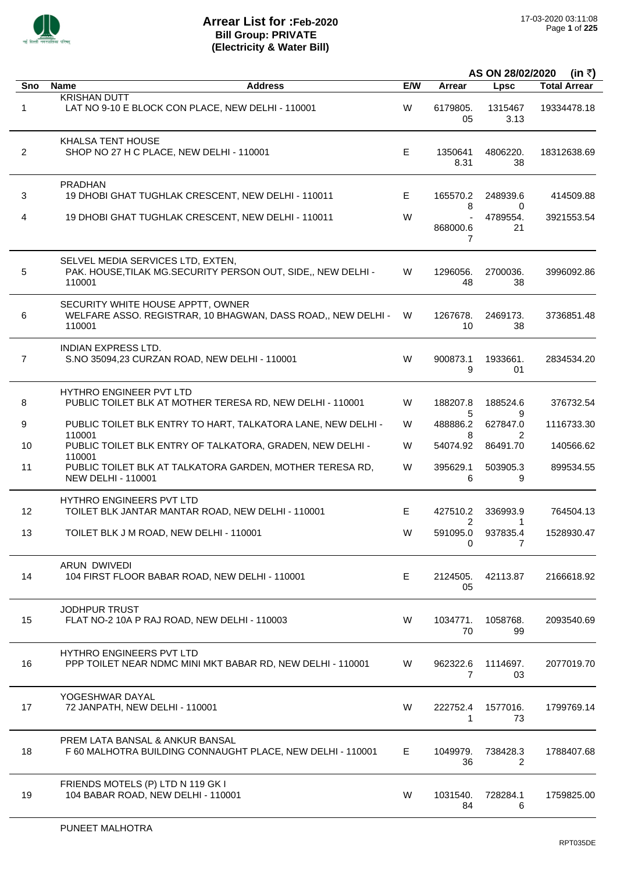

|                |                                                                                                              |     |                            | AS ON 28/02/2020           | (in ₹)              |
|----------------|--------------------------------------------------------------------------------------------------------------|-----|----------------------------|----------------------------|---------------------|
| Sno            | <b>Name</b><br><b>Address</b>                                                                                | E/W | Arrear                     | <b>Lpsc</b>                | <b>Total Arrear</b> |
| 1              | <b>KRISHAN DUTT</b><br>LAT NO 9-10 E BLOCK CON PLACE, NEW DELHI - 110001                                     | W   | 6179805.<br>05             | 1315467<br>3.13            | 19334478.18         |
| $\overline{2}$ | KHALSA TENT HOUSE<br>SHOP NO 27 H C PLACE, NEW DELHI - 110001                                                | E.  | 1350641<br>8.31            | 4806220.<br>38             | 18312638.69         |
| 3              | <b>PRADHAN</b><br>19 DHOBI GHAT TUGHLAK CRESCENT, NEW DELHI - 110011                                         | E   | 165570.2<br>8              | 248939.6<br>0              | 414509.88           |
| 4              | 19 DHOBI GHAT TUGHLAK CRESCENT, NEW DELHI - 110011                                                           | W   | 868000.6<br>7              | 4789554.<br>21             | 3921553.54          |
| 5              | SELVEL MEDIA SERVICES LTD, EXTEN,<br>PAK. HOUSE, TILAK MG. SECURITY PERSON OUT, SIDE,, NEW DELHI -<br>110001 | W   | 1296056.<br>48             | 2700036.<br>38             | 3996092.86          |
| 6              | SECURITY WHITE HOUSE APPTT, OWNER<br>WELFARE ASSO. REGISTRAR, 10 BHAGWAN, DASS ROAD,, NEW DELHI -<br>110001  | W   | 1267678.<br>10             | 2469173.<br>38             | 3736851.48          |
| $\overline{7}$ | INDIAN EXPRESS LTD.<br>S.NO 35094,23 CURZAN ROAD, NEW DELHI - 110001                                         | W   | 900873.1<br>9              | 1933661.<br>01             | 2834534.20          |
| 8              | <b>HYTHRO ENGINEER PVT LTD</b><br>PUBLIC TOILET BLK AT MOTHER TERESA RD, NEW DELHI - 110001                  | W   | 188207.8                   | 188524.6                   | 376732.54           |
| 9              | PUBLIC TOILET BLK ENTRY TO HART, TALKATORA LANE, NEW DELHI -                                                 | W   | 5<br>488886.2              | 9<br>627847.0              | 1116733.30          |
| 10             | 110001<br>PUBLIC TOILET BLK ENTRY OF TALKATORA, GRADEN, NEW DELHI -                                          | W   | 8<br>54074.92              | 86491.70                   | 140566.62           |
| 11             | 110001<br>PUBLIC TOILET BLK AT TALKATORA GARDEN, MOTHER TERESA RD,<br><b>NEW DELHI - 110001</b>              | W   | 395629.1<br>6              | 503905.3<br>9              | 899534.55           |
|                | <b>HYTHRO ENGINEERS PVT LTD</b>                                                                              |     |                            |                            |                     |
| 12             | TOILET BLK JANTAR MANTAR ROAD, NEW DELHI - 110001                                                            | E.  | 427510.2<br>$\overline{2}$ | 336993.9<br>1              | 764504.13           |
| 13             | TOILET BLK J M ROAD, NEW DELHI - 110001                                                                      | W   | 591095.0<br>0              | 937835.4<br>7              | 1528930.47          |
| 14             | <b>ARUN DWIVEDI</b><br>104 FIRST FLOOR BABAR ROAD, NEW DELHI - 110001                                        | E   | 2124505.<br>05             | 42113.87                   | 2166618.92          |
| 15             | <b>JODHPUR TRUST</b><br>FLAT NO-2 10A P RAJ ROAD, NEW DELHI - 110003                                         | W   | 1034771.<br>70             | 1058768.<br>99             | 2093540.69          |
| 16             | <b>HYTHRO ENGINEERS PVT LTD</b><br>PPP TOILET NEAR NDMC MINI MKT BABAR RD, NEW DELHI - 110001                | W   | 962322.6<br>$\overline{7}$ | 1114697.<br>03             | 2077019.70          |
| 17             | YOGESHWAR DAYAL<br>72 JANPATH, NEW DELHI - 110001                                                            | W   | 222752.4<br>1              | 1577016.<br>73             | 1799769.14          |
| 18             | PREM LATA BANSAL & ANKUR BANSAL<br>F 60 MALHOTRA BUILDING CONNAUGHT PLACE, NEW DELHI - 110001                | E   | 1049979.<br>36             | 738428.3<br>$\overline{2}$ | 1788407.68          |
| 19             | FRIENDS MOTELS (P) LTD N 119 GK I<br>104 BABAR ROAD, NEW DELHI - 110001                                      | W   | 1031540.<br>84             | 728284.1<br>6              | 1759825.00          |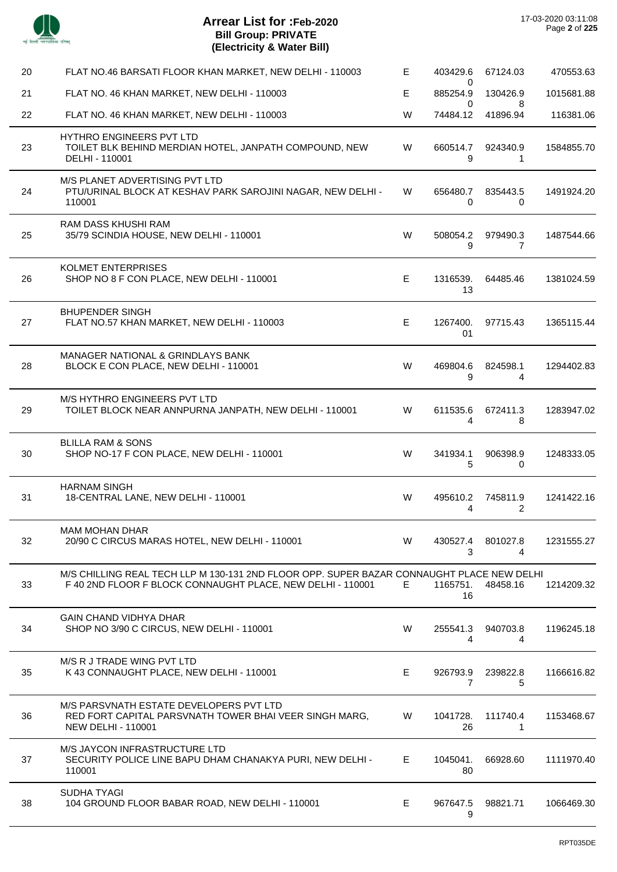J.

 $\overline{a}$ 

 $\overline{a}$ 

| 20 | FLAT NO.46 BARSATI FLOOR KHAN MARKET, NEW DELHI - 110003                                                                                                | Е  | 403429.6                   | 67124.03             | 470553.63  |
|----|---------------------------------------------------------------------------------------------------------------------------------------------------------|----|----------------------------|----------------------|------------|
| 21 | FLAT NO. 46 KHAN MARKET, NEW DELHI - 110003                                                                                                             | E. | 0<br>885254.9<br>0         | 130426.9<br>8        | 1015681.88 |
| 22 | FLAT NO. 46 KHAN MARKET, NEW DELHI - 110003                                                                                                             | W  | 74484.12                   | 41896.94             | 116381.06  |
| 23 | HYTHRO ENGINEERS PVT LTD<br>TOILET BLK BEHIND MERDIAN HOTEL, JANPATH COMPOUND, NEW<br>DELHI - 110001                                                    | W  | 660514.7<br>9              | 924340.9<br>1        | 1584855.70 |
| 24 | M/S PLANET ADVERTISING PVT LTD<br>PTU/URINAL BLOCK AT KESHAV PARK SAROJINI NAGAR, NEW DELHI -<br>110001                                                 | W  | 656480.7<br>$\mathbf 0$    | 835443.5<br>0        | 1491924.20 |
| 25 | <b>RAM DASS KHUSHI RAM</b><br>35/79 SCINDIA HOUSE, NEW DELHI - 110001                                                                                   | W  | 508054.2<br>9              | 979490.3<br>7        | 1487544.66 |
| 26 | <b>KOLMET ENTERPRISES</b><br>SHOP NO 8 F CON PLACE, NEW DELHI - 110001                                                                                  | E  | 1316539.<br>13             | 64485.46             | 1381024.59 |
| 27 | <b>BHUPENDER SINGH</b><br>FLAT NO.57 KHAN MARKET, NEW DELHI - 110003                                                                                    | E  | 1267400.<br>01             | 97715.43             | 1365115.44 |
| 28 | MANAGER NATIONAL & GRINDLAYS BANK<br>BLOCK E CON PLACE, NEW DELHI - 110001                                                                              | W  | 469804.6<br>9              | 824598.1<br>4        | 1294402.83 |
| 29 | M/S HYTHRO ENGINEERS PVT LTD<br>TOILET BLOCK NEAR ANNPURNA JANPATH, NEW DELHI - 110001                                                                  | W  | 611535.6<br>4              | 672411.3<br>8        | 1283947.02 |
| 30 | <b>BLILLA RAM &amp; SONS</b><br>SHOP NO-17 F CON PLACE, NEW DELHI - 110001                                                                              | W  | 341934.1<br>5              | 906398.9<br>$\Omega$ | 1248333.05 |
| 31 | <b>HARNAM SINGH</b><br>18-CENTRAL LANE, NEW DELHI - 110001                                                                                              | W  | 495610.2<br>4              | 745811.9<br>2        | 1241422.16 |
| 32 | <b>MAM MOHAN DHAR</b><br>20/90 C CIRCUS MARAS HOTEL, NEW DELHI - 110001                                                                                 | W  | 430527.4<br>3              | 801027.8<br>4        | 1231555.27 |
| 33 | M/S CHILLING REAL TECH LLP M 130-131 2ND FLOOR OPP. SUPER BAZAR CONNAUGHT PLACE NEW DELHI<br>F 40 2ND FLOOR F BLOCK CONNAUGHT PLACE, NEW DELHI - 110001 | E  | 1165751.<br>16             | 48458.16             | 1214209.32 |
| 34 | <b>GAIN CHAND VIDHYA DHAR</b><br>SHOP NO 3/90 C CIRCUS, NEW DELHI - 110001                                                                              | W  | 255541.3<br>4              | 940703.8<br>4        | 1196245.18 |
| 35 | M/S R J TRADE WING PVT LTD<br>K 43 CONNAUGHT PLACE, NEW DELHI - 110001                                                                                  | E  | 926793.9<br>$\overline{7}$ | 239822.8<br>5        | 1166616.82 |
| 36 | M/S PARSVNATH ESTATE DEVELOPERS PVT LTD<br>RED FORT CAPITAL PARSVNATH TOWER BHAI VEER SINGH MARG,<br><b>NEW DELHI - 110001</b>                          | W  | 1041728.<br>26             | 111740.4<br>1        | 1153468.67 |
| 37 | M/S JAYCON INFRASTRUCTURE LTD<br>SECURITY POLICE LINE BAPU DHAM CHANAKYA PURI, NEW DELHI -<br>110001                                                    | E. | 1045041.<br>80             | 66928.60             | 1111970.40 |
| 38 | <b>SUDHA TYAGI</b><br>104 GROUND FLOOR BABAR ROAD, NEW DELHI - 110001                                                                                   | E. | 967647.5<br>9              | 98821.71             | 1066469.30 |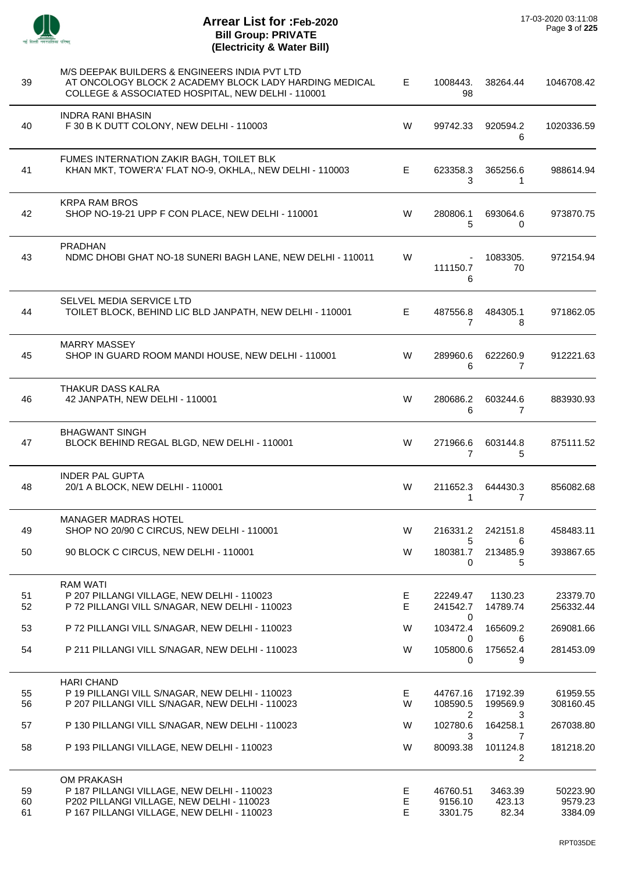

| 39             | M/S DEEPAK BUILDERS & ENGINEERS INDIA PVT LTD<br>AT ONCOLOGY BLOCK 2 ACADEMY BLOCK LADY HARDING MEDICAL<br>COLLEGE & ASSOCIATED HOSPITAL, NEW DELHI - 110001 | Е.          | 1008443.<br>98                            | 38264.44                   | 1046708.42                     |
|----------------|--------------------------------------------------------------------------------------------------------------------------------------------------------------|-------------|-------------------------------------------|----------------------------|--------------------------------|
| 40             | <b>INDRA RANI BHASIN</b><br>F 30 B K DUTT COLONY, NEW DELHI - 110003                                                                                         | W           | 99742.33                                  | 920594.2<br>6              | 1020336.59                     |
| 41             | FUMES INTERNATION ZAKIR BAGH, TOILET BLK<br>KHAN MKT, TOWER'A' FLAT NO-9, OKHLA,, NEW DELHI - 110003                                                         | E.          | 623358.3<br>3                             | 365256.6<br>1              | 988614.94                      |
| 42             | <b>KRPA RAM BROS</b><br>SHOP NO-19-21 UPP F CON PLACE, NEW DELHI - 110001                                                                                    | W           | 280806.1<br>5                             | 693064.6<br>0              | 973870.75                      |
| 43             | <b>PRADHAN</b><br>NDMC DHOBI GHAT NO-18 SUNERI BAGH LANE, NEW DELHI - 110011                                                                                 | W           | $\overline{\phantom{a}}$<br>111150.7<br>6 | 1083305.<br>70             | 972154.94                      |
| 44             | SELVEL MEDIA SERVICE LTD<br>TOILET BLOCK, BEHIND LIC BLD JANPATH, NEW DELHI - 110001                                                                         | E.          | 487556.8<br>7                             | 484305.1<br>8              | 971862.05                      |
| 45             | <b>MARRY MASSEY</b><br>SHOP IN GUARD ROOM MANDI HOUSE, NEW DELHI - 110001                                                                                    | W           | 289960.6<br>6                             | 622260.9<br>7              | 912221.63                      |
| 46             | THAKUR DASS KALRA<br>42 JANPATH, NEW DELHI - 110001                                                                                                          | W           | 280686.2<br>6                             | 603244.6<br>7              | 883930.93                      |
| 47             | <b>BHAGWANT SINGH</b><br>BLOCK BEHIND REGAL BLGD, NEW DELHI - 110001                                                                                         | W           | 271966.6<br>7                             | 603144.8<br>5              | 875111.52                      |
| 48             | <b>INDER PAL GUPTA</b><br>20/1 A BLOCK, NEW DELHI - 110001                                                                                                   | W           | 211652.3<br>1                             | 644430.3<br>7              | 856082.68                      |
| 49             | <b>MANAGER MADRAS HOTEL</b><br>SHOP NO 20/90 C CIRCUS, NEW DELHI - 110001                                                                                    | W           | 216331.2                                  | 242151.8                   | 458483.11                      |
| 50             | 90 BLOCK C CIRCUS, NEW DELHI - 110001                                                                                                                        | W           | 5<br>180381.7<br>0                        | 6<br>213485.9<br>5         | 393867.65                      |
| 51<br>52       | <b>RAM WATI</b><br>P 207 PILLANGI VILLAGE, NEW DELHI - 110023<br>P 72 PILLANGI VILL S/NAGAR, NEW DELHI - 110023                                              | Е<br>E      | 22249.47<br>241542.7                      | 1130.23<br>14789.74        | 23379.70<br>256332.44          |
| 53             | P 72 PILLANGI VILL S/NAGAR, NEW DELHI - 110023                                                                                                               | W           | 0<br>103472.4                             | 165609.2                   | 269081.66                      |
| 54             | P 211 PILLANGI VILL S/NAGAR, NEW DELHI - 110023                                                                                                              | W           | 0<br>105800.6<br>0                        | 6<br>175652.4<br>9         | 281453.09                      |
| 55<br>56       | <b>HARI CHAND</b><br>P 19 PILLANGI VILL S/NAGAR, NEW DELHI - 110023<br>P 207 PILLANGI VILL S/NAGAR, NEW DELHI - 110023                                       | E.<br>W     | 44767.16<br>108590.5                      | 17192.39<br>199569.9       | 61959.55<br>308160.45          |
| 57             | P 130 PILLANGI VILL S/NAGAR, NEW DELHI - 110023                                                                                                              | W           | 2<br>102780.6                             | 3<br>164258.1              | 267038.80                      |
| 58             | P 193 PILLANGI VILLAGE, NEW DELHI - 110023                                                                                                                   | W           | 3<br>80093.38                             | 7<br>101124.8<br>2         | 181218.20                      |
| 59<br>60<br>61 | OM PRAKASH<br>P 187 PILLANGI VILLAGE, NEW DELHI - 110023<br>P202 PILLANGI VILLAGE, NEW DELHI - 110023<br>P 167 PILLANGI VILLAGE, NEW DELHI - 110023          | Е<br>Е<br>E | 46760.51<br>9156.10<br>3301.75            | 3463.39<br>423.13<br>82.34 | 50223.90<br>9579.23<br>3384.09 |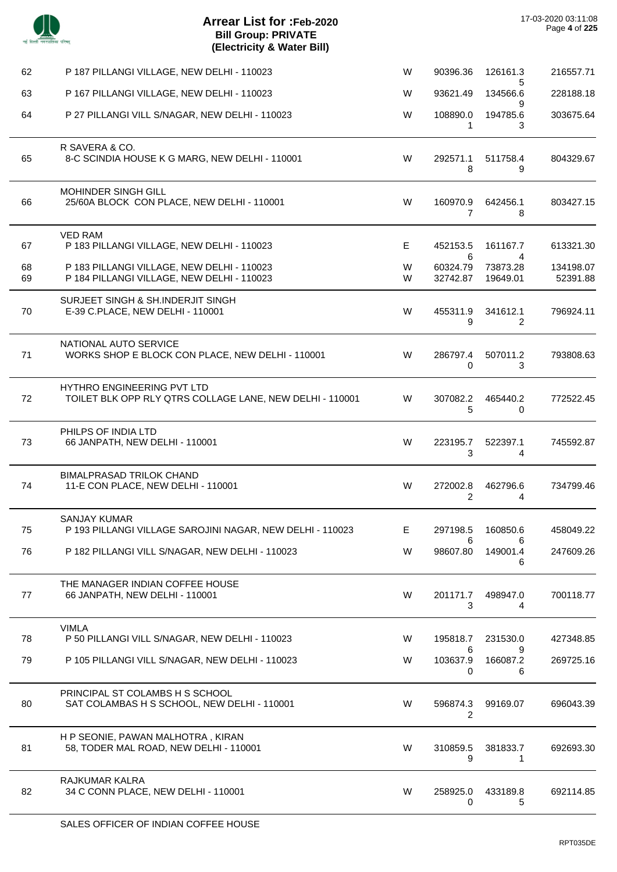| 17-03-2020 03:11:08 |               |
|---------------------|---------------|
|                     | Page 4 of 225 |

| 62       | P 187 PILLANGI VILLAGE, NEW DELHI - 110023                                                    | W      | 90396.36                | 126161.3                   | 216557.71             |
|----------|-----------------------------------------------------------------------------------------------|--------|-------------------------|----------------------------|-----------------------|
| 63       | P 167 PILLANGI VILLAGE, NEW DELHI - 110023                                                    | W      | 93621.49                | 5<br>134566.6<br>9         | 228188.18             |
| 64       | P 27 PILLANGI VILL S/NAGAR, NEW DELHI - 110023                                                | W      | 108890.0<br>1           | 194785.6<br>3              | 303675.64             |
| 65       | R SAVERA & CO.<br>8-C SCINDIA HOUSE K G MARG, NEW DELHI - 110001                              | W      | 292571.1<br>8           | 511758.4<br>9              | 804329.67             |
| 66       | <b>MOHINDER SINGH GILL</b><br>25/60A BLOCK CON PLACE, NEW DELHI - 110001                      | W      | 160970.9<br>7           | 642456.1<br>8              | 803427.15             |
| 67       | <b>VED RAM</b><br>P 183 PILLANGI VILLAGE, NEW DELHI - 110023                                  | E      | 452153.5<br>6           | 161167.7<br>4              | 613321.30             |
| 68<br>69 | P 183 PILLANGI VILLAGE, NEW DELHI - 110023<br>P 184 PILLANGI VILLAGE, NEW DELHI - 110023      | W<br>W | 60324.79<br>32742.87    | 73873.28<br>19649.01       | 134198.07<br>52391.88 |
| 70       | SURJEET SINGH & SH.INDERJIT SINGH<br>E-39 C.PLACE, NEW DELHI - 110001                         | W      | 455311.9<br>9           | 341612.1<br>$\overline{2}$ | 796924.11             |
| 71       | NATIONAL AUTO SERVICE<br>WORKS SHOP E BLOCK CON PLACE, NEW DELHI - 110001                     | W      | 286797.4<br>$\mathbf 0$ | 507011.2<br>3              | 793808.63             |
| 72       | <b>HYTHRO ENGINEERING PVT LTD</b><br>TOILET BLK OPP RLY QTRS COLLAGE LANE, NEW DELHI - 110001 | W      | 307082.2<br>5           | 465440.2<br>0              | 772522.45             |
| 73       | PHILPS OF INDIA LTD<br>66 JANPATH, NEW DELHI - 110001                                         | W      | 223195.7<br>3           | 522397.1<br>4              | 745592.87             |
| 74       | <b>BIMALPRASAD TRILOK CHAND</b><br>11-E CON PLACE, NEW DELHI - 110001                         | W      | 272002.8<br>2           | 462796.6<br>4              | 734799.46             |
| 75       | <b>SANJAY KUMAR</b><br>P 193 PILLANGI VILLAGE SAROJINI NAGAR, NEW DELHI - 110023              | E.     | 297198.5                | 160850.6                   | 458049.22             |
| 76       | P 182 PILLANGI VILL S/NAGAR, NEW DELHI - 110023                                               | W      | 6<br>98607.80           | 6<br>149001.4<br>6         | 247609.26             |
| 77       | THE MANAGER INDIAN COFFEE HOUSE<br>66 JANPATH, NEW DELHI - 110001                             | W      | 201171.7<br>3           | 498947.0<br>4              | 700118.77             |
| 78       | <b>VIMLA</b><br>P 50 PILLANGI VILL S/NAGAR, NEW DELHI - 110023                                | W      | 195818.7                | 231530.0                   | 427348.85             |
| 79       | P 105 PILLANGI VILL S/NAGAR, NEW DELHI - 110023                                               | W      | 6<br>103637.9<br>0      | 9<br>166087.2<br>6         | 269725.16             |
| 80       | PRINCIPAL ST COLAMBS H S SCHOOL<br>SAT COLAMBAS H S SCHOOL, NEW DELHI - 110001                | W      | 596874.3<br>2           | 99169.07                   | 696043.39             |
| 81       | H P SEONIE, PAWAN MALHOTRA, KIRAN<br>58, TODER MAL ROAD, NEW DELHI - 110001                   | W      | 310859.5<br>9           | 381833.7<br>1              | 692693.30             |
| 82       | RAJKUMAR KALRA<br>34 C CONN PLACE, NEW DELHI - 110001                                         | W      | 258925.0<br>0           | 433189.8<br>5              | 692114.85             |
|          |                                                                                               |        |                         |                            |                       |

 $\overline{a}$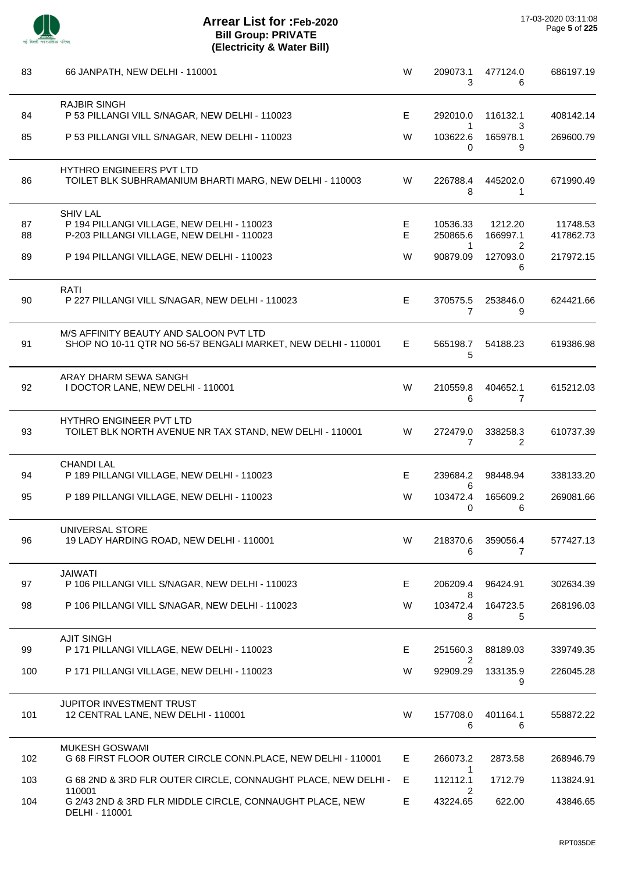

| 83  | 66 JANPATH, NEW DELHI - 110001                                                                          | W  | 209073.1<br>3              | 477124.0<br>6      | 686197.19 |
|-----|---------------------------------------------------------------------------------------------------------|----|----------------------------|--------------------|-----------|
| 84  | <b>RAJBIR SINGH</b><br>P 53 PILLANGI VILL S/NAGAR, NEW DELHI - 110023                                   | Е  | 292010.0                   | 116132.1           | 408142.14 |
| 85  | P 53 PILLANGI VILL S/NAGAR, NEW DELHI - 110023                                                          | W  | 1<br>103622.6<br>0         | 3<br>165978.1<br>9 | 269600.79 |
| 86  | HYTHRO ENGINEERS PVT LTD<br>TOILET BLK SUBHRAMANIUM BHARTI MARG, NEW DELHI - 110003                     | W  | 226788.4<br>8              | 445202.0<br>1      | 671990.49 |
| 87  | <b>SHIV LAL</b><br>P 194 PILLANGI VILLAGE, NEW DELHI - 110023                                           | Е  | 10536.33                   | 1212.20            | 11748.53  |
| 88  | P-203 PILLANGI VILLAGE, NEW DELHI - 110023                                                              | E  | 250865.6<br>1              | 166997.1<br>2      | 417862.73 |
| 89  | P 194 PILLANGI VILLAGE, NEW DELHI - 110023                                                              | W  | 90879.09                   | 127093.0<br>6      | 217972.15 |
| 90  | RATI<br>P 227 PILLANGI VILL S/NAGAR, NEW DELHI - 110023                                                 | E  | 370575.5<br>$\overline{7}$ | 253846.0<br>9      | 624421.66 |
| 91  | M/S AFFINITY BEAUTY AND SALOON PVT LTD<br>SHOP NO 10-11 QTR NO 56-57 BENGALI MARKET, NEW DELHI - 110001 | E. | 565198.7<br>5              | 54188.23           | 619386.98 |
| 92  | ARAY DHARM SEWA SANGH<br>I DOCTOR LANE, NEW DELHI - 110001                                              | W  | 210559.8<br>6              | 404652.1<br>7      | 615212.03 |
| 93  | HYTHRO ENGINEER PVT LTD<br>TOILET BLK NORTH AVENUE NR TAX STAND, NEW DELHI - 110001                     | W  | 272479.0<br>7              | 338258.3<br>2      | 610737.39 |
| 94  | <b>CHANDI LAL</b><br>P 189 PILLANGI VILLAGE, NEW DELHI - 110023                                         | Е  | 239684.2                   | 98448.94           | 338133.20 |
| 95  | P 189 PILLANGI VILLAGE, NEW DELHI - 110023                                                              | W  | 6<br>103472.4<br>0         | 165609.2<br>6      | 269081.66 |
| 96  | UNIVERSAL STORE<br>19 LADY HARDING ROAD, NEW DELHI - 110001                                             | W  | 218370.6<br>6              | 359056.4<br>7      | 577427.13 |
| 97  | JAIWATI<br>P 106 PILLANGI VILL S/NAGAR, NEW DELHI - 110023                                              | Е  | 206209.4                   | 96424.91           | 302634.39 |
| 98  | P 106 PILLANGI VILL S/NAGAR, NEW DELHI - 110023                                                         | W  | 8<br>103472.4<br>8         | 164723.5<br>5      | 268196.03 |
| 99  | <b>AJIT SINGH</b><br>P 171 PILLANGI VILLAGE, NEW DELHI - 110023                                         | E  | 251560.3                   | 88189.03           | 339749.35 |
| 100 | P 171 PILLANGI VILLAGE, NEW DELHI - 110023                                                              | W  | 2<br>92909.29              | 133135.9<br>9      | 226045.28 |
| 101 | JUPITOR INVESTMENT TRUST<br>12 CENTRAL LANE, NEW DELHI - 110001                                         | W  | 157708.0<br>6              | 401164.1<br>6      | 558872.22 |
| 102 | <b>MUKESH GOSWAMI</b><br>G 68 FIRST FLOOR OUTER CIRCLE CONN.PLACE, NEW DELHI - 110001                   | E. | 266073.2                   | 2873.58            | 268946.79 |
| 103 | G 68 2ND & 3RD FLR OUTER CIRCLE, CONNAUGHT PLACE, NEW DELHI -                                           | Е  | 1<br>112112.1              | 1712.79            | 113824.91 |
| 104 | 110001<br>G 2/43 2ND & 3RD FLR MIDDLE CIRCLE, CONNAUGHT PLACE, NEW<br>DELHI - 110001                    | Е  | 2<br>43224.65              | 622.00             | 43846.65  |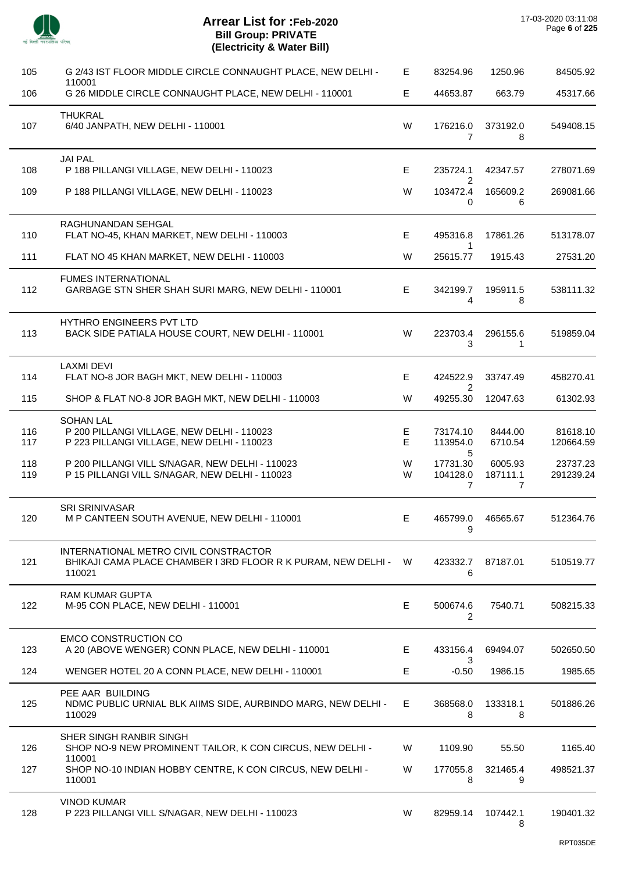

| 105        | G 2/43 IST FLOOR MIDDLE CIRCLE CONNAUGHT PLACE, NEW DELHI -                                                        | E      | 83254.96                               | 1250.96                               | 84505.92              |
|------------|--------------------------------------------------------------------------------------------------------------------|--------|----------------------------------------|---------------------------------------|-----------------------|
| 106        | 110001<br>G 26 MIDDLE CIRCLE CONNAUGHT PLACE, NEW DELHI - 110001                                                   | E      | 44653.87                               | 663.79                                | 45317.66              |
| 107        | <b>THUKRAL</b><br>6/40 JANPATH, NEW DELHI - 110001                                                                 | W      | 176216.0<br>7                          | 373192.0<br>8                         | 549408.15             |
| 108        | <b>JAI PAL</b><br>P 188 PILLANGI VILLAGE, NEW DELHI - 110023                                                       | E      | 235724.1                               | 42347.57                              | 278071.69             |
| 109        | P 188 PILLANGI VILLAGE, NEW DELHI - 110023                                                                         | W      | 2<br>103472.4<br>0                     | 165609.2<br>6                         | 269081.66             |
| 110        | RAGHUNANDAN SEHGAL<br>FLAT NO-45, KHAN MARKET, NEW DELHI - 110003                                                  | E      | 495316.8                               | 17861.26                              | 513178.07             |
| 111        | FLAT NO 45 KHAN MARKET, NEW DELHI - 110003                                                                         | W      | $\mathbf{1}$<br>25615.77               | 1915.43                               | 27531.20              |
| 112        | <b>FUMES INTERNATIONAL</b><br>GARBAGE STN SHER SHAH SURI MARG, NEW DELHI - 110001                                  | E.     | 342199.7<br>$\overline{4}$             | 195911.5<br>8                         | 538111.32             |
| 113        | HYTHRO ENGINEERS PVT LTD<br>BACK SIDE PATIALA HOUSE COURT, NEW DELHI - 110001                                      | W      | 223703.4<br>3                          | 296155.6<br>1                         | 519859.04             |
| 114        | <b>LAXMI DEVI</b><br>FLAT NO-8 JOR BAGH MKT, NEW DELHI - 110003                                                    | E      | 424522.9                               | 33747.49                              | 458270.41             |
| 115        | SHOP & FLAT NO-8 JOR BAGH MKT, NEW DELHI - 110003                                                                  | W      | 2<br>49255.30                          | 12047.63                              | 61302.93              |
| 116<br>117 | <b>SOHAN LAL</b><br>P 200 PILLANGI VILLAGE, NEW DELHI - 110023<br>P 223 PILLANGI VILLAGE, NEW DELHI - 110023       | E<br>E | 73174.10<br>113954.0<br>5              | 8444.00<br>6710.54                    | 81618.10<br>120664.59 |
| 118<br>119 | P 200 PILLANGI VILL S/NAGAR, NEW DELHI - 110023<br>P 15 PILLANGI VILL S/NAGAR, NEW DELHI - 110023                  | W<br>W | 17731.30<br>104128.0<br>$\overline{7}$ | 6005.93<br>187111.1<br>$\overline{7}$ | 23737.23<br>291239.24 |
| 120        | <b>SRI SRINIVASAR</b><br>M P CANTEEN SOUTH AVENUE, NEW DELHI - 110001                                              | Е      | 465799.0<br>9                          | 46565.67                              | 512364.76             |
| 121        | INTERNATIONAL METRO CIVIL CONSTRACTOR<br>BHIKAJI CAMA PLACE CHAMBER I 3RD FLOOR R K PURAM, NEW DELHI - W<br>110021 |        | 423332.7<br>6                          | 87187.01                              | 510519.77             |
| 122        | RAM KUMAR GUPTA<br>M-95 CON PLACE, NEW DELHI - 110001                                                              | E      | 500674.6<br>2                          | 7540.71                               | 508215.33             |
| 123        | <b>EMCO CONSTRUCTION CO</b><br>A 20 (ABOVE WENGER) CONN PLACE, NEW DELHI - 110001                                  | E      | 433156.4                               | 69494.07                              | 502650.50             |
| 124        | WENGER HOTEL 20 A CONN PLACE, NEW DELHI - 110001                                                                   | Е      | 3<br>$-0.50$                           | 1986.15                               | 1985.65               |
| 125        | PEE AAR BUILDING<br>NDMC PUBLIC URNIAL BLK AIIMS SIDE, AURBINDO MARG, NEW DELHI -<br>110029                        | E      | 368568.0<br>8                          | 133318.1<br>8                         | 501886.26             |
| 126        | SHER SINGH RANBIR SINGH<br>SHOP NO-9 NEW PROMINENT TAILOR, K CON CIRCUS, NEW DELHI -                               | W      | 1109.90                                | 55.50                                 | 1165.40               |
| 127        | 110001<br>SHOP NO-10 INDIAN HOBBY CENTRE, K CON CIRCUS, NEW DELHI -<br>110001                                      | W      | 177055.8<br>8                          | 321465.4<br>9                         | 498521.37             |
| 128        | <b>VINOD KUMAR</b><br>P 223 PILLANGI VILL S/NAGAR, NEW DELHI - 110023                                              | W      | 82959.14                               | 107442.1<br>8                         | 190401.32             |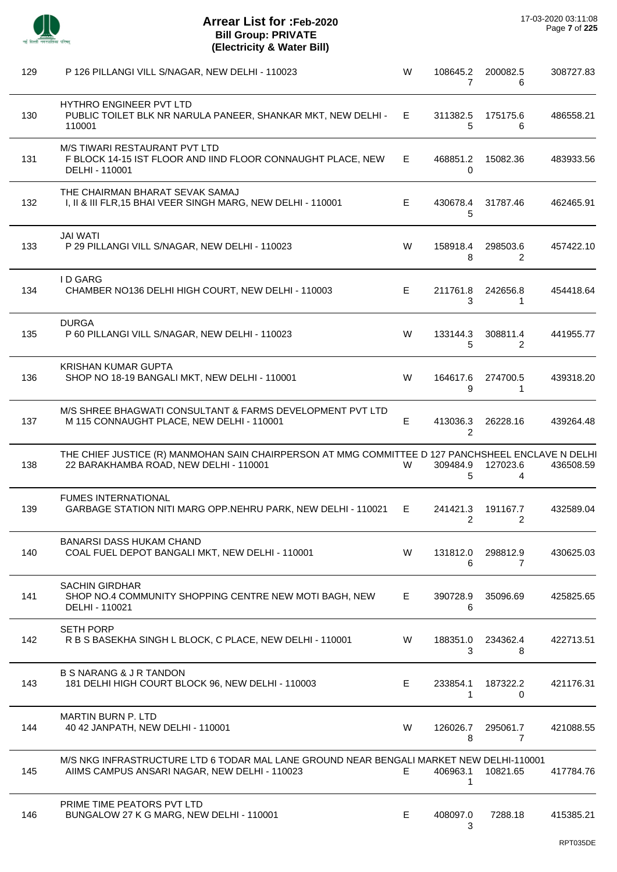| 129 | P 126 PILLANGI VILL S/NAGAR, NEW DELHI - 110023                                                                                             | W           | 108645.2<br>7 | 200082.5<br>6              | 308727.83 |
|-----|---------------------------------------------------------------------------------------------------------------------------------------------|-------------|---------------|----------------------------|-----------|
| 130 | HYTHRO ENGINEER PVT LTD<br>PUBLIC TOILET BLK NR NARULA PANEER, SHANKAR MKT, NEW DELHI -<br>110001                                           | Е           | 311382.5<br>5 | 175175.6<br>6              | 486558.21 |
| 131 | M/S TIWARI RESTAURANT PVT LTD<br>F BLOCK 14-15 IST FLOOR AND IIND FLOOR CONNAUGHT PLACE, NEW<br>DELHI - 110001                              | Е           | 468851.2<br>0 | 15082.36                   | 483933.56 |
| 132 | THE CHAIRMAN BHARAT SEVAK SAMAJ<br>I, II & III FLR, 15 BHAI VEER SINGH MARG, NEW DELHI - 110001                                             | Е           | 430678.4<br>5 | 31787.46                   | 462465.91 |
| 133 | <b>JAI WATI</b><br>P 29 PILLANGI VILL S/NAGAR, NEW DELHI - 110023                                                                           | W           | 158918.4<br>8 | 298503.6<br>2              | 457422.10 |
| 134 | <b>ID GARG</b><br>CHAMBER NO136 DELHI HIGH COURT, NEW DELHI - 110003                                                                        | E           | 211761.8<br>3 | 242656.8<br>1              | 454418.64 |
| 135 | <b>DURGA</b><br>P 60 PILLANGI VILL S/NAGAR, NEW DELHI - 110023                                                                              | W           | 133144.3<br>5 | 308811.4<br>2              | 441955.77 |
| 136 | <b>KRISHAN KUMAR GUPTA</b><br>SHOP NO 18-19 BANGALI MKT, NEW DELHI - 110001                                                                 | W           | 164617.6<br>9 | 274700.5<br>1              | 439318.20 |
| 137 | M/S SHREE BHAGWATI CONSULTANT & FARMS DEVELOPMENT PVT LTD<br>M 115 CONNAUGHT PLACE, NEW DELHI - 110001                                      | $\mathsf E$ | 413036.3<br>2 | 26228.16                   | 439264.48 |
| 138 | THE CHIEF JUSTICE (R) MANMOHAN SAIN CHAIRPERSON AT MMG COMMITTEE D 127 PANCHSHEEL ENCLAVE N DELHI<br>22 BARAKHAMBA ROAD, NEW DELHI - 110001 | W           | 309484.9<br>5 | 127023.6<br>4              | 436508.59 |
| 139 | <b>FUMES INTERNATIONAL</b><br>GARBAGE STATION NITI MARG OPP.NEHRU PARK, NEW DELHI - 110021                                                  | E.          | 241421.3<br>2 | 191167.7<br>2              | 432589.04 |
| 140 | <b>BANARSI DASS HUKAM CHAND</b><br>COAL FUEL DEPOT BANGALI MKT, NEW DELHI - 110001                                                          | W           | 131812.0<br>6 | 298812.9<br>$\overline{7}$ | 430625.03 |
| 141 | <b>SACHIN GIRDHAR</b><br>SHOP NO.4 COMMUNITY SHOPPING CENTRE NEW MOTI BAGH, NEW<br>DELHI - 110021                                           | E           | 390728.9<br>6 | 35096.69                   | 425825.65 |
| 142 | <b>SETH PORP</b><br>R B S BASEKHA SINGH L BLOCK, C PLACE, NEW DELHI - 110001                                                                | W           | 188351.0<br>3 | 234362.4<br>8              | 422713.51 |
| 143 | <b>B S NARANG &amp; J R TANDON</b><br>181 DELHI HIGH COURT BLOCK 96, NEW DELHI - 110003                                                     | E           | 233854.1<br>1 | 187322.2<br>0              | 421176.31 |
| 144 | MARTIN BURN P. LTD<br>40 42 JANPATH, NEW DELHI - 110001                                                                                     | W           | 126026.7<br>8 | 295061.7<br>$\overline{7}$ | 421088.55 |
| 145 | M/S NKG INFRASTRUCTURE LTD 6 TODAR MAL LANE GROUND NEAR BENGALI MARKET NEW DELHI-110001<br>AIIMS CAMPUS ANSARI NAGAR, NEW DELHI - 110023    | E           | 406963.1<br>1 | 10821.65                   | 417784.76 |
| 146 | PRIME TIME PEATORS PVT LTD<br>BUNGALOW 27 K G MARG, NEW DELHI - 110001                                                                      | E           | 408097.0<br>3 | 7288.18                    | 415385.21 |
|     |                                                                                                                                             |             |               |                            | RPT035DE  |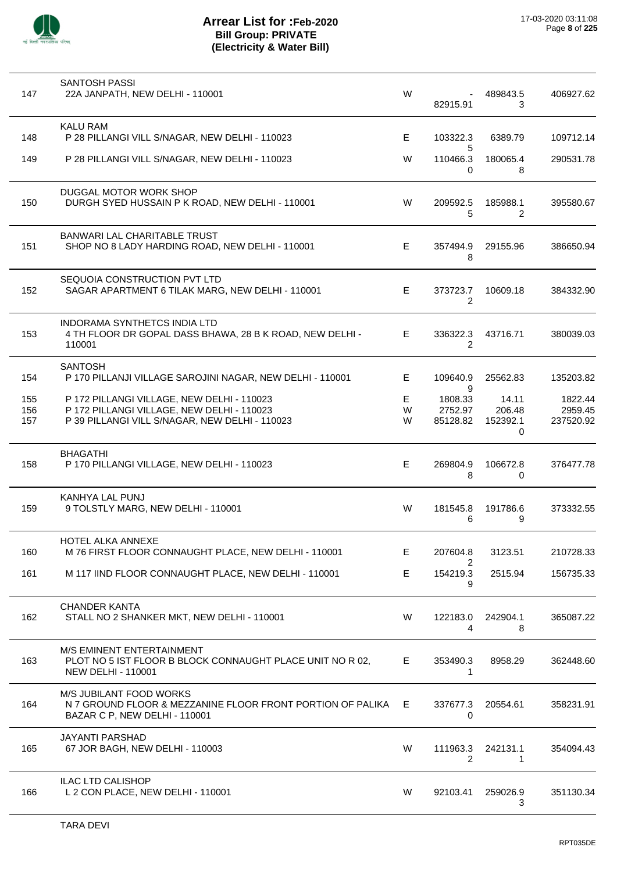

| 147 | <b>SANTOSH PASSI</b><br>22A JANPATH, NEW DELHI - 110001                                                                    | W  | 82915.91                   | 489843.5<br>3 | 406927.62 |
|-----|----------------------------------------------------------------------------------------------------------------------------|----|----------------------------|---------------|-----------|
| 148 | <b>KALU RAM</b><br>P 28 PILLANGI VILL S/NAGAR, NEW DELHI - 110023                                                          | E. | 103322.3                   | 6389.79       | 109712.14 |
| 149 | P 28 PILLANGI VILL S/NAGAR, NEW DELHI - 110023                                                                             | W  | 5<br>110466.3<br>0         | 180065.4<br>8 | 290531.78 |
| 150 | DUGGAL MOTOR WORK SHOP<br>DURGH SYED HUSSAIN P K ROAD, NEW DELHI - 110001                                                  | W  | 209592.5<br>5              | 185988.1<br>2 | 395580.67 |
| 151 | BANWARI LAL CHARITABLE TRUST<br>SHOP NO 8 LADY HARDING ROAD, NEW DELHI - 110001                                            | E  | 357494.9<br>8              | 29155.96      | 386650.94 |
| 152 | SEQUOIA CONSTRUCTION PVT LTD<br>SAGAR APARTMENT 6 TILAK MARG, NEW DELHI - 110001                                           | E. | 373723.7<br>$\overline{2}$ | 10609.18      | 384332.90 |
| 153 | INDORAMA SYNTHETCS INDIA LTD<br>4 TH FLOOR DR GOPAL DASS BHAWA, 28 B K ROAD, NEW DELHI -<br>110001                         | E. | 336322.3<br>$\overline{2}$ | 43716.71      | 380039.03 |
| 154 | <b>SANTOSH</b><br>P 170 PILLANJI VILLAGE SAROJINI NAGAR, NEW DELHI - 110001                                                | E. | 109640.9<br>9              | 25562.83      | 135203.82 |
| 155 | P 172 PILLANGI VILLAGE, NEW DELHI - 110023                                                                                 | Е  | 1808.33                    | 14.11         | 1822.44   |
| 156 | P 172 PILLANGI VILLAGE, NEW DELHI - 110023                                                                                 | W  | 2752.97                    | 206.48        | 2959.45   |
| 157 | P 39 PILLANGI VILL S/NAGAR, NEW DELHI - 110023                                                                             | W  | 85128.82                   | 152392.1<br>0 | 237520.92 |
| 158 | <b>BHAGATHI</b><br>P 170 PILLANGI VILLAGE, NEW DELHI - 110023                                                              | E  | 269804.9<br>8              | 106672.8<br>0 | 376477.78 |
| 159 | KANHYA LAL PUNJ<br>9 TOLSTLY MARG, NEW DELHI - 110001                                                                      | W  | 181545.8<br>6              | 191786.6<br>9 | 373332.55 |
| 160 | HOTEL ALKA ANNEXE<br>M 76 FIRST FLOOR CONNAUGHT PLACE, NEW DELHI - 110001                                                  | Е  | 207604.8<br>2              | 3123.51       | 210728.33 |
| 161 | M 117 IIND FLOOR CONNAUGHT PLACE, NEW DELHI - 110001                                                                       | Е  | 154219.3<br>9              | 2515.94       | 156735.33 |
| 162 | <b>CHANDER KANTA</b><br>STALL NO 2 SHANKER MKT, NEW DELHI - 110001                                                         | W  | 122183.0<br>4              | 242904.1<br>8 | 365087.22 |
| 163 | <b>M/S EMINENT ENTERTAINMENT</b><br>PLOT NO 5 IST FLOOR B BLOCK CONNAUGHT PLACE UNIT NO R 02,<br><b>NEW DELHI - 110001</b> | E  | 353490.3<br>1              | 8958.29       | 362448.60 |
| 164 | M/S JUBILANT FOOD WORKS<br>N 7 GROUND FLOOR & MEZZANINE FLOOR FRONT PORTION OF PALIKA<br>BAZAR C P, NEW DELHI - 110001     | E. | 337677.3<br>0              | 20554.61      | 358231.91 |
| 165 | <b>JAYANTI PARSHAD</b><br>67 JOR BAGH, NEW DELHI - 110003                                                                  | W  | 111963.3<br>$\overline{2}$ | 242131.1<br>1 | 354094.43 |
| 166 | <b>ILAC LTD CALISHOP</b><br>L 2 CON PLACE, NEW DELHI - 110001                                                              | W  | 92103.41                   | 259026.9<br>3 | 351130.34 |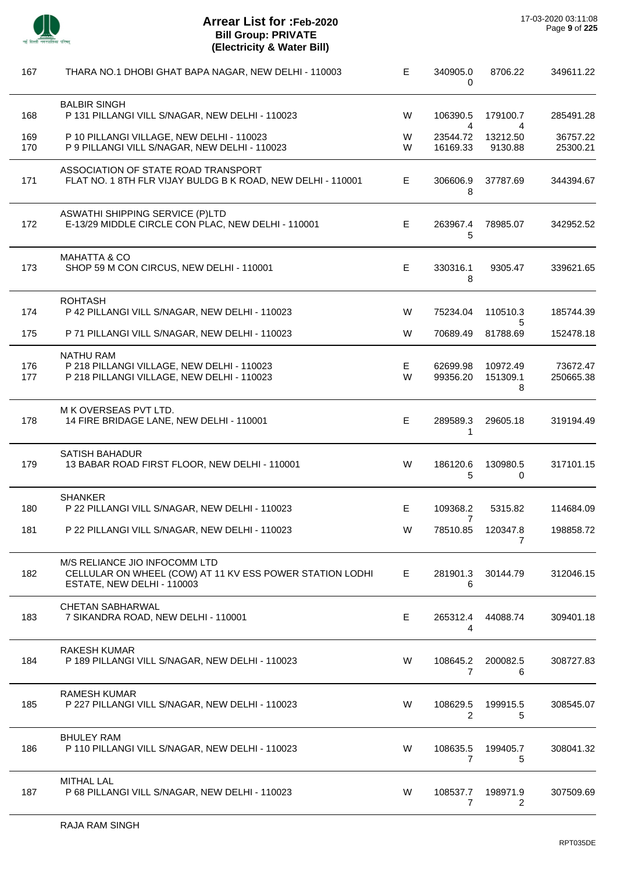

l,

l,

| 167        | THARA NO.1 DHOBI GHAT BAPA NAGAR, NEW DELHI - 110003                                                                    | Е      | 340905.0<br>$\Omega$                   | 8706.22                   | 349611.22             |
|------------|-------------------------------------------------------------------------------------------------------------------------|--------|----------------------------------------|---------------------------|-----------------------|
| 168        | <b>BALBIR SINGH</b><br>P 131 PILLANGI VILL S/NAGAR, NEW DELHI - 110023                                                  | W      | 106390.5                               | 179100.7                  | 285491.28             |
| 169<br>170 | P 10 PILLANGI VILLAGE, NEW DELHI - 110023<br>P 9 PILLANGI VILL S/NAGAR, NEW DELHI - 110023                              | W<br>W | $\overline{4}$<br>23544.72<br>16169.33 | 4<br>13212.50<br>9130.88  | 36757.22<br>25300.21  |
| 171        | ASSOCIATION OF STATE ROAD TRANSPORT<br>FLAT NO. 1 8TH FLR VIJAY BULDG B K ROAD, NEW DELHI - 110001                      | Ε      | 306606.9<br>8                          | 37787.69                  | 344394.67             |
| 172        | <b>ASWATHI SHIPPING SERVICE (P)LTD</b><br>E-13/29 MIDDLE CIRCLE CON PLAC, NEW DELHI - 110001                            | Е      | 263967.4<br>5                          | 78985.07                  | 342952.52             |
| 173        | <b>MAHATTA &amp; CO</b><br>SHOP 59 M CON CIRCUS, NEW DELHI - 110001                                                     | Е      | 330316.1<br>8                          | 9305.47                   | 339621.65             |
| 174        | <b>ROHTASH</b><br>P 42 PILLANGI VILL S/NAGAR, NEW DELHI - 110023                                                        | W      | 75234.04                               | 110510.3                  | 185744.39             |
| 175        | P 71 PILLANGI VILL S/NAGAR, NEW DELHI - 110023                                                                          | W      | 70689.49                               | 5<br>81788.69             | 152478.18             |
| 176<br>177 | <b>NATHU RAM</b><br>P 218 PILLANGI VILLAGE, NEW DELHI - 110023<br>P 218 PILLANGI VILLAGE, NEW DELHI - 110023            | Е<br>W | 62699.98<br>99356.20                   | 10972.49<br>151309.1<br>8 | 73672.47<br>250665.38 |
| 178        | M K OVERSEAS PVT LTD.<br>14 FIRE BRIDAGE LANE, NEW DELHI - 110001                                                       | E      | 289589.3<br>1                          | 29605.18                  | 319194.49             |
| 179        | <b>SATISH BAHADUR</b><br>13 BABAR ROAD FIRST FLOOR, NEW DELHI - 110001                                                  | W      | 186120.6<br>5                          | 130980.5<br>0             | 317101.15             |
| 180        | <b>SHANKER</b><br>P 22 PILLANGI VILL S/NAGAR, NEW DELHI - 110023                                                        | E      | 109368.2                               | 5315.82                   | 114684.09             |
| 181        | P 22 PILLANGI VILL S/NAGAR. NEW DELHI - 110023                                                                          | W      | 7<br>78510.85                          | 120347.8<br>7             | 198858.72             |
| 182        | M/S RELIANCE JIO INFOCOMM LTD<br>CELLULAR ON WHEEL (COW) AT 11 KV ESS POWER STATION LODHI<br>ESTATE, NEW DELHI - 110003 | Е      | 281901.3<br>6                          | 30144.79                  | 312046.15             |
| 183        | <b>CHETAN SABHARWAL</b><br>7 SIKANDRA ROAD, NEW DELHI - 110001                                                          | Е      | 265312.4<br>4                          | 44088.74                  | 309401.18             |
| 184        | <b>RAKESH KUMAR</b><br>P 189 PILLANGI VILL S/NAGAR, NEW DELHI - 110023                                                  | W      | 108645.2<br>7                          | 200082.5<br>6             | 308727.83             |
| 185        | <b>RAMESH KUMAR</b><br>P 227 PILLANGI VILL S/NAGAR, NEW DELHI - 110023                                                  | W      | 108629.5<br>2                          | 199915.5<br>5             | 308545.07             |
| 186        | <b>BHULEY RAM</b><br>P 110 PILLANGI VILL S/NAGAR, NEW DELHI - 110023                                                    | W      | 108635.5<br>7                          | 199405.7<br>5             | 308041.32             |
| 187        | <b>MITHAL LAL</b><br>P 68 PILLANGI VILL S/NAGAR, NEW DELHI - 110023                                                     | W      | 108537.7<br>7                          | 198971.9<br>2             | 307509.69             |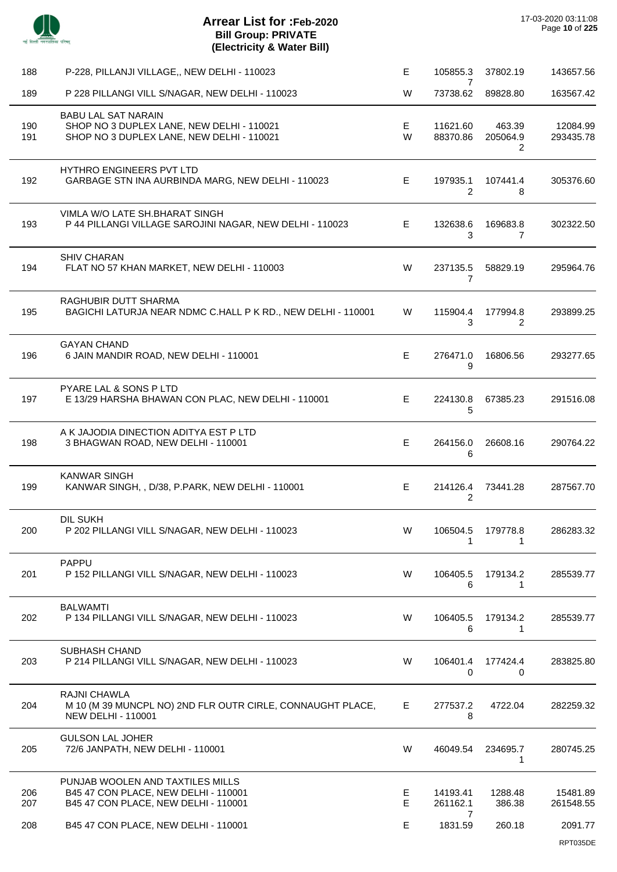| -- | т<br>≕<br>÷ |
|----|-------------|

 $\overline{a}$ 

 $\overline{\phantom{a}}$ 

| 188        | P-228, PILLANJI VILLAGE,, NEW DELHI - 110023                                                                         | E      | 105855.3                   | 37802.19                | 143657.56             |
|------------|----------------------------------------------------------------------------------------------------------------------|--------|----------------------------|-------------------------|-----------------------|
| 189        | P 228 PILLANGI VILL S/NAGAR, NEW DELHI - 110023                                                                      | W      | 7<br>73738.62              | 89828.80                | 163567.42             |
| 190<br>191 | <b>BABU LAL SAT NARAIN</b><br>SHOP NO 3 DUPLEX LANE, NEW DELHI - 110021<br>SHOP NO 3 DUPLEX LANE, NEW DELHI - 110021 | Е<br>W | 11621.60<br>88370.86       | 463.39<br>205064.9<br>2 | 12084.99<br>293435.78 |
| 192        | <b>HYTHRO ENGINEERS PVT LTD</b><br>GARBAGE STN INA AURBINDA MARG, NEW DELHI - 110023                                 | E.     | 197935.1<br>$\overline{2}$ | 107441.4<br>8           | 305376.60             |
| 193        | VIMLA W/O LATE SH.BHARAT SINGH<br>P 44 PILLANGI VILLAGE SAROJINI NAGAR, NEW DELHI - 110023                           | E.     | 132638.6<br>3              | 169683.8<br>7           | 302322.50             |
| 194        | <b>SHIV CHARAN</b><br>FLAT NO 57 KHAN MARKET, NEW DELHI - 110003                                                     | W      | 237135.5<br>7              | 58829.19                | 295964.76             |
| 195        | RAGHUBIR DUTT SHARMA<br>BAGICHI LATURJA NEAR NDMC C.HALL P K RD., NEW DELHI - 110001                                 | W      | 115904.4<br>3              | 177994.8<br>2           | 293899.25             |
| 196        | <b>GAYAN CHAND</b><br>6 JAIN MANDIR ROAD, NEW DELHI - 110001                                                         | E      | 276471.0<br>9              | 16806.56                | 293277.65             |
| 197        | PYARE LAL & SONS P LTD<br>E 13/29 HARSHA BHAWAN CON PLAC, NEW DELHI - 110001                                         | E      | 224130.8<br>5              | 67385.23                | 291516.08             |
| 198        | A K JAJODIA DINECTION ADITYA EST P LTD<br>3 BHAGWAN ROAD, NEW DELHI - 110001                                         | E      | 264156.0<br>6              | 26608.16                | 290764.22             |
| 199        | <b>KANWAR SINGH</b><br>KANWAR SINGH, , D/38, P.PARK, NEW DELHI - 110001                                              | E      | 214126.4<br>2              | 73441.28                | 287567.70             |
| 200        | DIL SUKH<br>P 202 PILLANGI VILL S/NAGAR, NEW DELHI - 110023                                                          | W      | 106504.5<br>1              | 179778.8<br>1           | 286283.32             |
| 201        | <b>PAPPU</b><br>P 152 PILLANGI VILL S/NAGAR, NEW DELHI - 110023                                                      | W      | 106405.5<br>6              | 179134.2<br>1           | 285539.77             |
| 202        | <b>BALWAMTI</b><br>P 134 PILLANGI VILL S/NAGAR, NEW DELHI - 110023                                                   | W      | 106405.5<br>6              | 179134.2<br>1           | 285539.77             |
| 203        | <b>SUBHASH CHAND</b><br>P 214 PILLANGI VILL S/NAGAR, NEW DELHI - 110023                                              | W      | 106401.4<br>0              | 177424.4<br>0           | 283825.80             |
| 204        | <b>RAJNI CHAWLA</b><br>M 10 (M 39 MUNCPL NO) 2ND FLR OUTR CIRLE, CONNAUGHT PLACE,<br><b>NEW DELHI - 110001</b>       | E      | 277537.2<br>8              | 4722.04                 | 282259.32             |
| 205        | <b>GULSON LAL JOHER</b><br>72/6 JANPATH, NEW DELHI - 110001                                                          | W      | 46049.54                   | 234695.7<br>1           | 280745.25             |
| 206<br>207 | PUNJAB WOOLEN AND TAXTILES MILLS<br>B45 47 CON PLACE, NEW DELHI - 110001<br>B45 47 CON PLACE, NEW DELHI - 110001     | E<br>E | 14193.41<br>261162.1       | 1288.48<br>386.38       | 15481.89<br>261548.55 |
| 208        | B45 47 CON PLACE, NEW DELHI - 110001                                                                                 | Е      | 7<br>1831.59               | 260.18                  | 2091.77<br>RPT035DE   |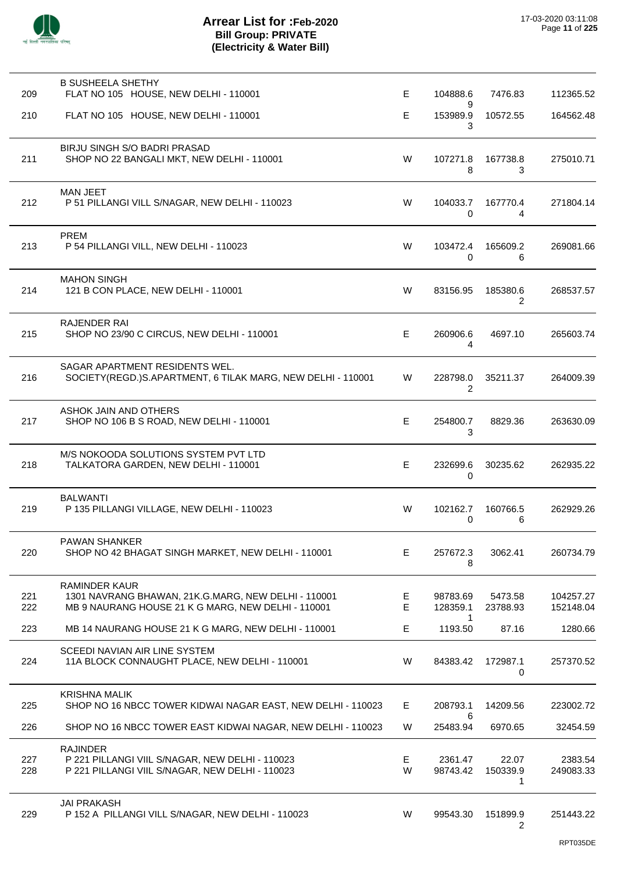| 209        | <b>B SUSHEELA SHETHY</b><br>FLAT NO 105 HOUSE, NEW DELHI - 110001                                                                 | E      | 104888.6             | 7476.83                | 112365.52              |
|------------|-----------------------------------------------------------------------------------------------------------------------------------|--------|----------------------|------------------------|------------------------|
| 210        | FLAT NO 105 HOUSE, NEW DELHI - 110001                                                                                             | E      | 9<br>153989.9<br>3   | 10572.55               | 164562.48              |
| 211        | BIRJU SINGH S/O BADRI PRASAD<br>SHOP NO 22 BANGALI MKT, NEW DELHI - 110001                                                        | W      | 107271.8<br>8        | 167738.8<br>3          | 275010.71              |
| 212        | <b>MAN JEET</b><br>P 51 PILLANGI VILL S/NAGAR, NEW DELHI - 110023                                                                 | W      | 104033.7<br>0        | 167770.4<br>4          | 271804.14              |
| 213        | <b>PREM</b><br>P 54 PILLANGI VILL, NEW DELHI - 110023                                                                             | W      | 103472.4<br>0        | 165609.2<br>6          | 269081.66              |
| 214        | <b>MAHON SINGH</b><br>121 B CON PLACE, NEW DELHI - 110001                                                                         | W      | 83156.95             | 185380.6<br>2          | 268537.57              |
| 215        | <b>RAJENDER RAI</b><br>SHOP NO 23/90 C CIRCUS, NEW DELHI - 110001                                                                 | E      | 260906.6<br>4        | 4697.10                | 265603.74              |
| 216        | SAGAR APARTMENT RESIDENTS WEL.<br>SOCIETY(REGD.)S.APARTMENT, 6 TILAK MARG, NEW DELHI - 110001                                     | W      | 228798.0<br>2        | 35211.37               | 264009.39              |
| 217        | ASHOK JAIN AND OTHERS<br>SHOP NO 106 B S ROAD, NEW DELHI - 110001                                                                 | Е      | 254800.7<br>3        | 8829.36                | 263630.09              |
| 218        | M/S NOKOODA SOLUTIONS SYSTEM PVT LTD<br>TALKATORA GARDEN, NEW DELHI - 110001                                                      | E      | 232699.6<br>0        | 30235.62               | 262935.22              |
| 219        | <b>BALWANTI</b><br>P 135 PILLANGI VILLAGE, NEW DELHI - 110023                                                                     | W      | 102162.7<br>0        | 160766.5<br>6          | 262929.26              |
| 220        | <b>PAWAN SHANKER</b><br>SHOP NO 42 BHAGAT SINGH MARKET, NEW DELHI - 110001                                                        | E.     | 257672.3<br>8        | 3062.41                | 260734.79              |
| 221<br>222 | <b>RAMINDER KAUR</b><br>1301 NAVRANG BHAWAN, 21K.G.MARG, NEW DELHI - 110001<br>MB 9 NAURANG HOUSE 21 K G MARG, NEW DELHI - 110001 | Е<br>Е | 98783.69<br>128359.1 | 5473.58<br>23788.93    | 104257.27<br>152148.04 |
| 223        | MB 14 NAURANG HOUSE 21 K G MARG, NEW DELHI - 110001                                                                               | E      | 1<br>1193.50         | 87.16                  | 1280.66                |
| 224        | SCEEDI NAVIAN AIR LINE SYSTEM<br>11A BLOCK CONNAUGHT PLACE, NEW DELHI - 110001                                                    | W      | 84383.42             | 172987.1<br>0          | 257370.52              |
| 225        | <b>KRISHNA MALIK</b><br>SHOP NO 16 NBCC TOWER KIDWAI NAGAR EAST, NEW DELHI - 110023                                               | E      | 208793.1             | 14209.56               | 223002.72              |
| 226        | SHOP NO 16 NBCC TOWER EAST KIDWAI NAGAR, NEW DELHI - 110023                                                                       | W      | 6<br>25483.94        | 6970.65                | 32454.59               |
| 227<br>228 | <b>RAJINDER</b><br>P 221 PILLANGI VIIL S/NAGAR, NEW DELHI - 110023<br>P 221 PILLANGI VIIL S/NAGAR, NEW DELHI - 110023             | E<br>W | 2361.47<br>98743.42  | 22.07<br>150339.9<br>1 | 2383.54<br>249083.33   |
| 229        | <b>JAI PRAKASH</b><br>P 152 A PILLANGI VILL S/NAGAR, NEW DELHI - 110023                                                           | W      | 99543.30             | 151899.9<br>2          | 251443.22              |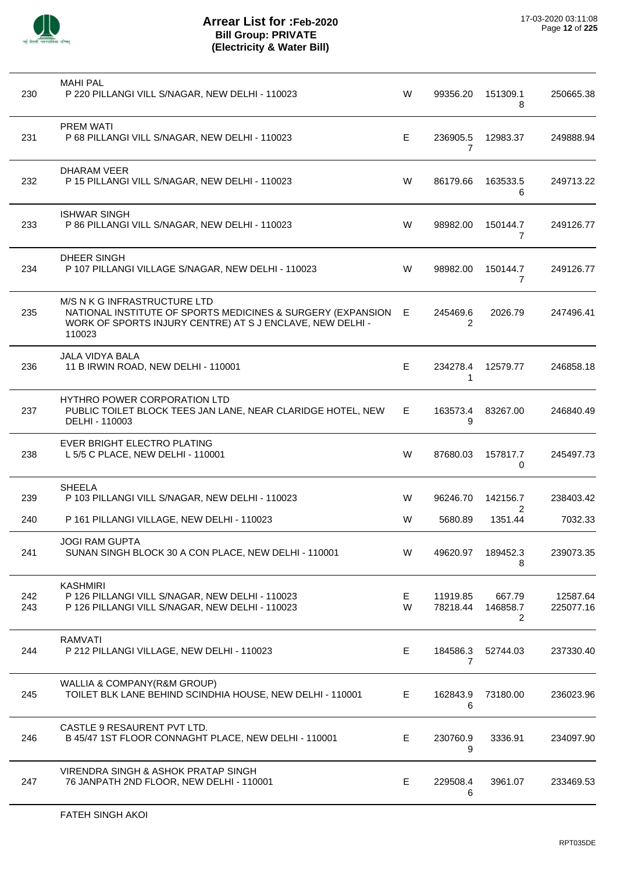

| 230        | <b>MAHI PAL</b><br>P 220 PILLANGI VILL S/NAGAR, NEW DELHI - 110023                                                                                                 | W      | 99356.20             | 151309.1<br>8           | 250665.38             |
|------------|--------------------------------------------------------------------------------------------------------------------------------------------------------------------|--------|----------------------|-------------------------|-----------------------|
| 231        | <b>PREM WATI</b><br>P 68 PILLANGI VILL S/NAGAR, NEW DELHI - 110023                                                                                                 | E      | 236905.5<br>7        | 12983.37                | 249888.94             |
| 232        | DHARAM VEER<br>P 15 PILLANGI VILL S/NAGAR, NEW DELHI - 110023                                                                                                      | W      | 86179.66             | 163533.5<br>6           | 249713.22             |
| 233        | <b>ISHWAR SINGH</b><br>P 86 PILLANGI VILL S/NAGAR, NEW DELHI - 110023                                                                                              | W      | 98982.00             | 150144.7<br>7           | 249126.77             |
| 234        | DHEER SINGH<br>P 107 PILLANGI VILLAGE S/NAGAR, NEW DELHI - 110023                                                                                                  | W      | 98982.00             | 150144.7<br>7           | 249126.77             |
| 235        | M/S N K G INFRASTRUCTURE LTD<br>NATIONAL INSTITUTE OF SPORTS MEDICINES & SURGERY (EXPANSION<br>WORK OF SPORTS INJURY CENTRE) AT S J ENCLAVE, NEW DELHI -<br>110023 | Е      | 245469.6<br>2        | 2026.79                 | 247496.41             |
| 236        | JALA VIDYA BALA<br>11 B IRWIN ROAD, NEW DELHI - 110001                                                                                                             | E      | 234278.4<br>1        | 12579.77                | 246858.18             |
| 237        | <b>HYTHRO POWER CORPORATION LTD</b><br>PUBLIC TOILET BLOCK TEES JAN LANE, NEAR CLARIDGE HOTEL, NEW<br>DELHI - 110003                                               | Е      | 163573.4<br>9        | 83267.00                | 246840.49             |
| 238        | EVER BRIGHT ELECTRO PLATING<br>L 5/5 C PLACE, NEW DELHI - 110001                                                                                                   | W      | 87680.03             | 157817.7<br>0           | 245497.73             |
| 239        | <b>SHEELA</b><br>P 103 PILLANGI VILL S/NAGAR, NEW DELHI - 110023                                                                                                   | W      | 96246.70             | 142156.7<br>2           | 238403.42             |
| 240        | P 161 PILLANGI VILLAGE, NEW DELHI - 110023                                                                                                                         | W      | 5680.89              | 1351.44                 | 7032.33               |
| 241        | <b>JOGI RAM GUPTA</b><br>SUNAN SINGH BLOCK 30 A CON PLACE, NEW DELHI - 110001                                                                                      | W      | 49620.97             | 189452.3<br>8           | 239073.35             |
| 242<br>243 | <b>KASHMIRI</b><br>P 126 PILLANGI VILL S/NAGAR, NEW DELHI - 110023<br>P 126 PILLANGI VILL S/NAGAR, NEW DELHI - 110023                                              | Е<br>W | 11919.85<br>78218.44 | 667.79<br>146858.7<br>2 | 12587.64<br>225077.16 |
| 244        | <b>RAMVATI</b><br>P 212 PILLANGI VILLAGE, NEW DELHI - 110023                                                                                                       | Е      | 184586.3<br>7        | 52744.03                | 237330.40             |
| 245        | WALLIA & COMPANY(R&M GROUP)<br>TOILET BLK LANE BEHIND SCINDHIA HOUSE, NEW DELHI - 110001                                                                           | E      | 162843.9<br>6        | 73180.00                | 236023.96             |
| 246        | CASTLE 9 RESAURENT PVT LTD.<br>B 45/47 1ST FLOOR CONNAGHT PLACE, NEW DELHI - 110001                                                                                | E      | 230760.9<br>9        | 3336.91                 | 234097.90             |
| 247        | VIRENDRA SINGH & ASHOK PRATAP SINGH<br>76 JANPATH 2ND FLOOR, NEW DELHI - 110001                                                                                    | E      | 229508.4<br>6        | 3961.07                 | 233469.53             |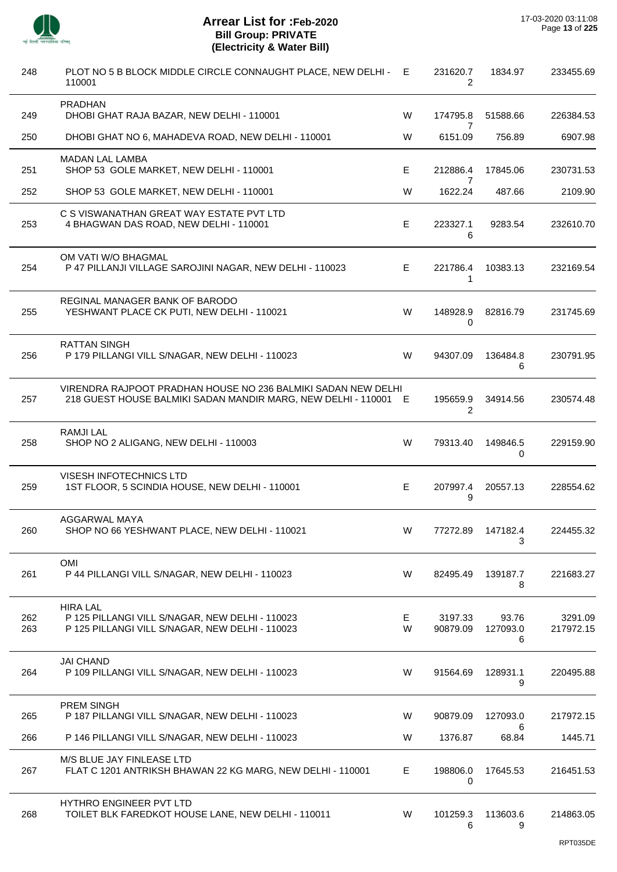| 248        | PLOT NO 5 B BLOCK MIDDLE CIRCLE CONNAUGHT PLACE, NEW DELHI -<br>110001                                                           | E.     | 231620.7<br>2       | 1834.97                | 233455.69            |
|------------|----------------------------------------------------------------------------------------------------------------------------------|--------|---------------------|------------------------|----------------------|
| 249        | PRADHAN<br>DHOBI GHAT RAJA BAZAR, NEW DELHI - 110001                                                                             | W      | 174795.8            | 51588.66               | 226384.53            |
| 250        | DHOBI GHAT NO 6, MAHADEVA ROAD, NEW DELHI - 110001                                                                               | W      | 7<br>6151.09        | 756.89                 | 6907.98              |
| 251        | MADAN LAL LAMBA<br>SHOP 53 GOLE MARKET, NEW DELHI - 110001                                                                       | E      | 212886.4            | 17845.06               | 230731.53            |
| 252        | SHOP 53 GOLE MARKET, NEW DELHI - 110001                                                                                          | W      | 7<br>1622.24        | 487.66                 | 2109.90              |
| 253        | C S VISWANATHAN GREAT WAY ESTATE PVT LTD<br>4 BHAGWAN DAS ROAD, NEW DELHI - 110001                                               | E      | 223327.1<br>6       | 9283.54                | 232610.70            |
| 254        | OM VATI W/O BHAGMAL<br>P 47 PILLANJI VILLAGE SAROJINI NAGAR, NEW DELHI - 110023                                                  | E      | 221786.4<br>1       | 10383.13               | 232169.54            |
| 255        | REGINAL MANAGER BANK OF BARODO<br>YESHWANT PLACE CK PUTI, NEW DELHI - 110021                                                     | W      | 148928.9<br>0       | 82816.79               | 231745.69            |
| 256        | <b>RATTAN SINGH</b><br>P 179 PILLANGI VILL S/NAGAR, NEW DELHI - 110023                                                           | W      | 94307.09            | 136484.8<br>6          | 230791.95            |
| 257        | VIRENDRA RAJPOOT PRADHAN HOUSE NO 236 BALMIKI SADAN NEW DELHI<br>218 GUEST HOUSE BALMIKI SADAN MANDIR MARG, NEW DELHI - 110001 E |        | 195659.9<br>2       | 34914.56               | 230574.48            |
| 258        | <b>RAMJILAL</b><br>SHOP NO 2 ALIGANG, NEW DELHI - 110003                                                                         | W      | 79313.40            | 149846.5<br>0          | 229159.90            |
| 259        | VISESH INFOTECHNICS LTD<br>1ST FLOOR, 5 SCINDIA HOUSE, NEW DELHI - 110001                                                        | E      | 207997.4<br>9       | 20557.13               | 228554.62            |
| 260        | AGGARWAL MAYA<br>SHOP NO 66 YESHWANT PLACE, NEW DELHI - 110021                                                                   | W      | 77272.89            | 147182.4<br>3          | 224455.32            |
| 261        | OMI<br>P 44 PILLANGI VILL S/NAGAR, NEW DELHI - 110023                                                                            | W      | 82495.49            | 139187.7<br>8          | 221683.27            |
| 262<br>263 | <b>HIRA LAL</b><br>P 125 PILLANGI VILL S/NAGAR, NEW DELHI - 110023<br>P 125 PILLANGI VILL S/NAGAR, NEW DELHI - 110023            | Е<br>W | 3197.33<br>90879.09 | 93.76<br>127093.0<br>6 | 3291.09<br>217972.15 |
| 264        | <b>JAI CHAND</b><br>P 109 PILLANGI VILL S/NAGAR, NEW DELHI - 110023                                                              | W      | 91564.69            | 128931.1<br>9          | 220495.88            |
| 265        | PREM SINGH<br>P 187 PILLANGI VILL S/NAGAR, NEW DELHI - 110023                                                                    | W      | 90879.09            | 127093.0               | 217972.15            |
| 266        | P 146 PILLANGI VILL S/NAGAR, NEW DELHI - 110023                                                                                  | W      | 1376.87             | 6<br>68.84             | 1445.71              |
| 267        | M/S BLUE JAY FINLEASE LTD<br>FLAT C 1201 ANTRIKSH BHAWAN 22 KG MARG, NEW DELHI - 110001                                          | Е      | 198806.0<br>0       | 17645.53               | 216451.53            |
| 268        | HYTHRO ENGINEER PVT LTD<br>TOILET BLK FAREDKOT HOUSE LANE, NEW DELHI - 110011                                                    | W      | 101259.3<br>6       | 113603.6<br>9          | 214863.05            |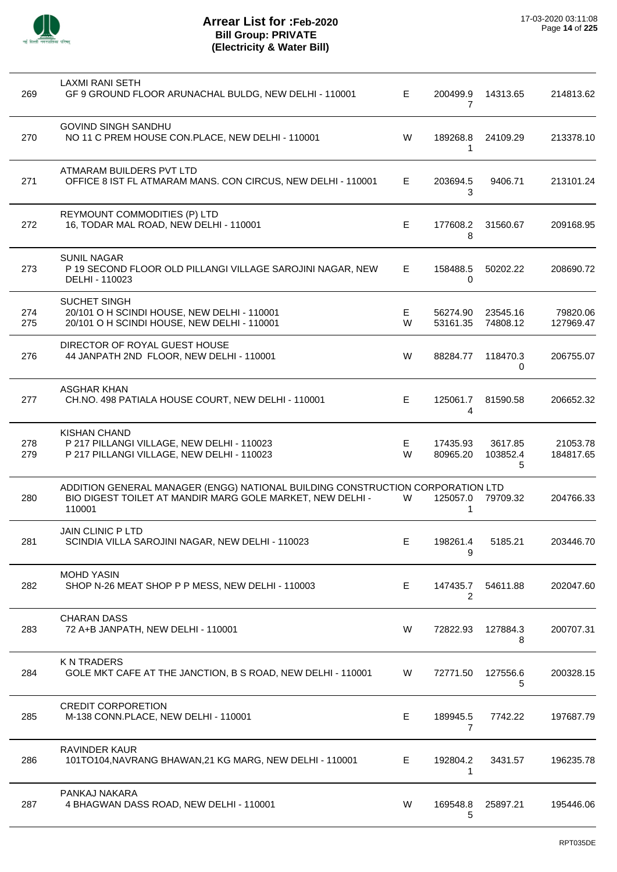

| 269        | LAXMI RANI SETH<br>GF 9 GROUND FLOOR ARUNACHAL BULDG, NEW DELHI - 110001                                                                              | E.     | 200499.9<br>7              | 14313.65                 | 214813.62             |
|------------|-------------------------------------------------------------------------------------------------------------------------------------------------------|--------|----------------------------|--------------------------|-----------------------|
| 270        | <b>GOVIND SINGH SANDHU</b><br>NO 11 C PREM HOUSE CON.PLACE, NEW DELHI - 110001                                                                        | W      | 189268.8<br>1              | 24109.29                 | 213378.10             |
| 271        | ATMARAM BUILDERS PVT LTD<br>OFFICE 8 IST FL ATMARAM MANS. CON CIRCUS, NEW DELHI - 110001                                                              | E.     | 203694.5<br>3              | 9406.71                  | 213101.24             |
| 272        | REYMOUNT COMMODITIES (P) LTD<br>16, TODAR MAL ROAD, NEW DELHI - 110001                                                                                | E      | 177608.2<br>8              | 31560.67                 | 209168.95             |
| 273        | <b>SUNIL NAGAR</b><br>P 19 SECOND FLOOR OLD PILLANGI VILLAGE SAROJINI NAGAR, NEW<br>DELHI - 110023                                                    | E.     | 158488.5<br>0              | 50202.22                 | 208690.72             |
| 274<br>275 | SUCHET SINGH<br>20/101 O H SCINDI HOUSE, NEW DELHI - 110001<br>20/101 O H SCINDI HOUSE, NEW DELHI - 110001                                            | E<br>W | 56274.90<br>53161.35       | 23545.16<br>74808.12     | 79820.06<br>127969.47 |
| 276        | DIRECTOR OF ROYAL GUEST HOUSE<br>44 JANPATH 2ND FLOOR, NEW DELHI - 110001                                                                             | W      | 88284.77                   | 118470.3<br>0            | 206755.07             |
| 277        | <b>ASGHAR KHAN</b><br>CH.NO. 498 PATIALA HOUSE COURT, NEW DELHI - 110001                                                                              | E.     | 125061.7<br>4              | 81590.58                 | 206652.32             |
| 278<br>279 | <b>KISHAN CHAND</b><br>P 217 PILLANGI VILLAGE, NEW DELHI - 110023<br>P 217 PILLANGI VILLAGE, NEW DELHI - 110023                                       | Е<br>W | 17435.93<br>80965.20       | 3617.85<br>103852.4<br>5 | 21053.78<br>184817.65 |
| 280        | ADDITION GENERAL MANAGER (ENGG) NATIONAL BUILDING CONSTRUCTION CORPORATION LTD<br>BIO DIGEST TOILET AT MANDIR MARG GOLE MARKET, NEW DELHI -<br>110001 | W      | 125057.0<br>1              | 79709.32                 | 204766.33             |
| 281        | <b>JAIN CLINIC P LTD</b><br>SCINDIA VILLA SAROJINI NAGAR, NEW DELHI - 110023                                                                          | Е      | 198261.4<br>9              | 5185.21                  | 203446.70             |
| 282        | <b>MOHD YASIN</b><br>SHOP N-26 MEAT SHOP P P MESS, NEW DELHI - 110003                                                                                 | E      | 147435.7<br>$\overline{2}$ | 54611.88                 | 202047.60             |
| 283        | <b>CHARAN DASS</b><br>72 A+B JANPATH, NEW DELHI - 110001                                                                                              | W      | 72822.93                   | 127884.3<br>8            | 200707.31             |
| 284        | <b>KNTRADERS</b><br>GOLE MKT CAFE AT THE JANCTION, B S ROAD, NEW DELHI - 110001                                                                       | W      | 72771.50                   | 127556.6<br>5            | 200328.15             |
| 285        | <b>CREDIT CORPORETION</b><br>M-138 CONN.PLACE, NEW DELHI - 110001                                                                                     | E      | 189945.5<br>$\overline{7}$ | 7742.22                  | 197687.79             |
| 286        | <b>RAVINDER KAUR</b><br>101TO104, NAVRANG BHAWAN, 21 KG MARG, NEW DELHI - 110001                                                                      | E.     | 192804.2<br>1              | 3431.57                  | 196235.78             |
| 287        | PANKAJ NAKARA<br>4 BHAGWAN DASS ROAD, NEW DELHI - 110001                                                                                              | W      | 169548.8<br>5              | 25897.21                 | 195446.06             |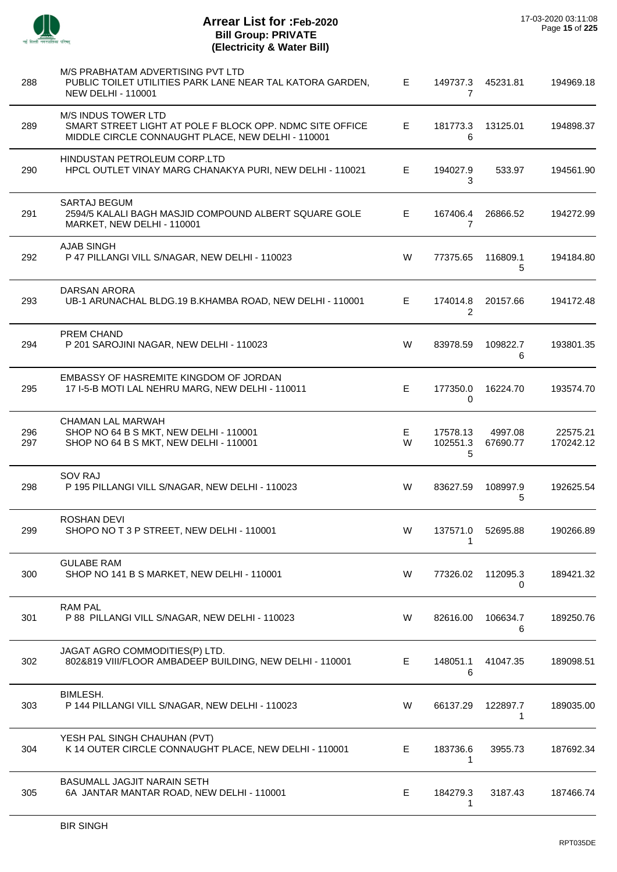

| 288        | M/S PRABHATAM ADVERTISING PVT LTD<br>PUBLIC TOILET UTILITIES PARK LANE NEAR TAL KATORA GARDEN,<br><b>NEW DELHI - 110001</b>                 | E.      | 7                          | 149737.3 45231.81   | 194969.18             |
|------------|---------------------------------------------------------------------------------------------------------------------------------------------|---------|----------------------------|---------------------|-----------------------|
| 289        | <b>M/S INDUS TOWER LTD</b><br>SMART STREET LIGHT AT POLE F BLOCK OPP. NDMC SITE OFFICE<br>MIDDLE CIRCLE CONNAUGHT PLACE, NEW DELHI - 110001 | E.      | 181773.3<br>6              | 13125.01            | 194898.37             |
| 290        | HINDUSTAN PETROLEUM CORP.LTD<br>HPCL OUTLET VINAY MARG CHANAKYA PURI, NEW DELHI - 110021                                                    | E.      | 194027.9<br>3              | 533.97              | 194561.90             |
| 291        | <b>SARTAJ BEGUM</b><br>2594/5 KALALI BAGH MASJID COMPOUND ALBERT SQUARE GOLE<br>MARKET, NEW DELHI - 110001                                  | E.      | 167406.4<br>7              | 26866.52            | 194272.99             |
| 292        | <b>AJAB SINGH</b><br>P 47 PILLANGI VILL S/NAGAR, NEW DELHI - 110023                                                                         | W       | 77375.65                   | 116809.1<br>5       | 194184.80             |
| 293        | DARSAN ARORA<br>UB-1 ARUNACHAL BLDG.19 B.KHAMBA ROAD, NEW DELHI - 110001                                                                    | E       | 174014.8<br>$\overline{2}$ | 20157.66            | 194172.48             |
| 294        | PREM CHAND<br>P 201 SAROJINI NAGAR, NEW DELHI - 110023                                                                                      | W       | 83978.59                   | 109822.7<br>6       | 193801.35             |
| 295        | EMBASSY OF HASREMITE KINGDOM OF JORDAN<br>17 I-5-B MOTI LAL NEHRU MARG, NEW DELHI - 110011                                                  | E       | 177350.0<br>0              | 16224.70            | 193574.70             |
| 296<br>297 | CHAMAN LAL MARWAH<br>SHOP NO 64 B S MKT, NEW DELHI - 110001<br>SHOP NO 64 B S MKT, NEW DELHI - 110001                                       | Е.<br>W | 17578.13<br>102551.3<br>5  | 4997.08<br>67690.77 | 22575.21<br>170242.12 |
| 298        | <b>SOV RAJ</b><br>P 195 PILLANGI VILL S/NAGAR, NEW DELHI - 110023                                                                           | W       | 83627.59                   | 108997.9<br>5       | 192625.54             |
| 299        | <b>ROSHAN DEVI</b><br>SHOPO NO T 3 P STREET, NEW DELHI - 110001                                                                             | W       | 137571.0<br>1              | 52695.88            | 190266.89             |
| 300        | <b>GULABE RAM</b><br>SHOP NO 141 B S MARKET, NEW DELHI - 110001                                                                             | W       | 77326.02                   | 112095.3<br>0       | 189421.32             |
| 301        | <b>RAM PAL</b><br>P 88 PILLANGI VILL S/NAGAR, NEW DELHI - 110023                                                                            | W       | 82616.00                   | 106634.7<br>6       | 189250.76             |
| 302        | JAGAT AGRO COMMODITIES(P) LTD.<br>802&819 VIII/FLOOR AMBADEEP BUILDING, NEW DELHI - 110001                                                  | E       | 148051.1<br>6              | 41047.35            | 189098.51             |
| 303        | BIMLESH.<br>P 144 PILLANGI VILL S/NAGAR, NEW DELHI - 110023                                                                                 | W       | 66137.29                   | 122897.7<br>1       | 189035.00             |
| 304        | YESH PAL SINGH CHAUHAN (PVT)<br>K 14 OUTER CIRCLE CONNAUGHT PLACE, NEW DELHI - 110001                                                       | E       | 183736.6<br>1              | 3955.73             | 187692.34             |
| 305        | BASUMALL JAGJIT NARAIN SETH<br>6A JANTAR MANTAR ROAD, NEW DELHI - 110001                                                                    | E       | 184279.3<br>1              | 3187.43             | 187466.74             |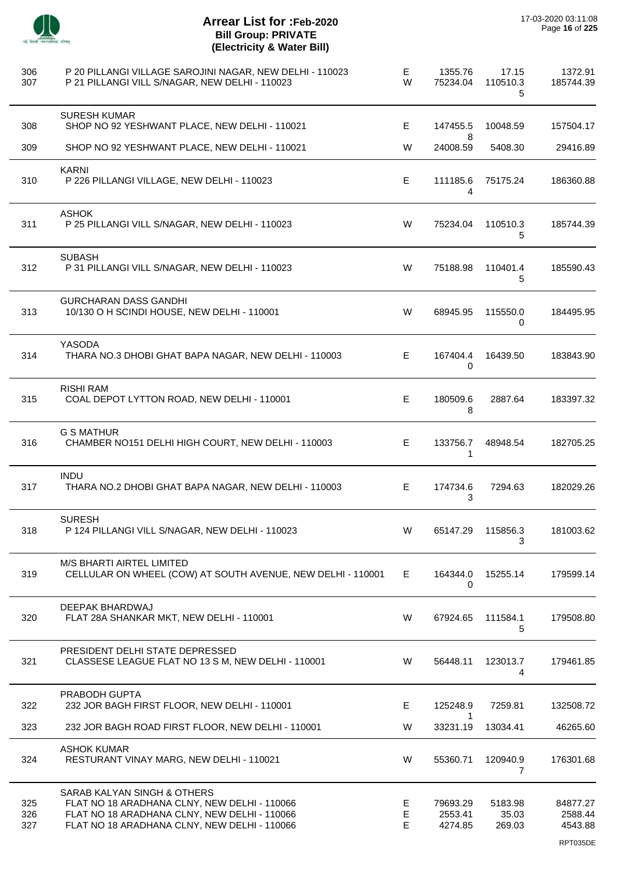

| 306<br>307        | P 20 PILLANGI VILLAGE SAROJINI NAGAR, NEW DELHI - 110023<br>P 21 PILLANGI VILL S/NAGAR, NEW DELHI - 110023                                                                  | E<br>W       | 1355.76<br>75234.04            | 17.15<br>110510.3<br>5     | 1372.91<br>185744.39                       |
|-------------------|-----------------------------------------------------------------------------------------------------------------------------------------------------------------------------|--------------|--------------------------------|----------------------------|--------------------------------------------|
| 308               | <b>SURESH KUMAR</b><br>SHOP NO 92 YESHWANT PLACE, NEW DELHI - 110021                                                                                                        | E            | 147455.5                       | 10048.59                   | 157504.17                                  |
| 309               | SHOP NO 92 YESHWANT PLACE, NEW DELHI - 110021                                                                                                                               | W            | 8<br>24008.59                  | 5408.30                    | 29416.89                                   |
| 310               | <b>KARNI</b><br>P 226 PILLANGI VILLAGE, NEW DELHI - 110023                                                                                                                  | Е            | 111185.6<br>4                  | 75175.24                   | 186360.88                                  |
| 311               | <b>ASHOK</b><br>P 25 PILLANGI VILL S/NAGAR, NEW DELHI - 110023                                                                                                              | W            | 75234.04                       | 110510.3<br>5              | 185744.39                                  |
| 312               | <b>SUBASH</b><br>P 31 PILLANGI VILL S/NAGAR, NEW DELHI - 110023                                                                                                             | W            | 75188.98                       | 110401.4<br>5              | 185590.43                                  |
| 313               | <b>GURCHARAN DASS GANDHI</b><br>10/130 O H SCINDI HOUSE, NEW DELHI - 110001                                                                                                 | W            | 68945.95                       | 115550.0<br>0              | 184495.95                                  |
| 314               | YASODA<br>THARA NO.3 DHOBI GHAT BAPA NAGAR, NEW DELHI - 110003                                                                                                              | E            | 167404.4<br>0                  | 16439.50                   | 183843.90                                  |
| 315               | <b>RISHI RAM</b><br>COAL DEPOT LYTTON ROAD, NEW DELHI - 110001                                                                                                              | Е            | 180509.6<br>8                  | 2887.64                    | 183397.32                                  |
| 316               | <b>G S MATHUR</b><br>CHAMBER NO151 DELHI HIGH COURT, NEW DELHI - 110003                                                                                                     | E            | 133756.7<br>$\mathbf{1}$       | 48948.54                   | 182705.25                                  |
| 317               | <b>INDU</b><br>THARA NO.2 DHOBI GHAT BAPA NAGAR, NEW DELHI - 110003                                                                                                         | E            | 174734.6<br>3                  | 7294.63                    | 182029.26                                  |
| 318               | <b>SURESH</b><br>P 124 PILLANGI VILL S/NAGAR, NEW DELHI - 110023                                                                                                            | W            | 65147.29                       | 115856.3<br>3              | 181003.62                                  |
| 319               | M/S BHARTI AIRTEL LIMITED<br>CELLULAR ON WHEEL (COW) AT SOUTH AVENUE, NEW DELHI - 110001                                                                                    | E.           | 164344.0<br>0                  | 15255.14                   | 179599.14                                  |
| 320               | DEEPAK BHARDWAJ<br>FLAT 28A SHANKAR MKT, NEW DELHI - 110001                                                                                                                 | W            | 67924.65                       | 111584.1<br>5              | 179508.80                                  |
| 321               | PRESIDENT DELHI STATE DEPRESSED<br>CLASSESE LEAGUE FLAT NO 13 S M, NEW DELHI - 110001                                                                                       | W            | 56448.11                       | 123013.7<br>4              | 179461.85                                  |
| 322               | PRABODH GUPTA<br>232 JOR BAGH FIRST FLOOR, NEW DELHI - 110001                                                                                                               | E            | 125248.9                       | 7259.81                    | 132508.72                                  |
| 323               | 232 JOR BAGH ROAD FIRST FLOOR, NEW DELHI - 110001                                                                                                                           | W            | 1<br>33231.19                  | 13034.41                   | 46265.60                                   |
| 324               | <b>ASHOK KUMAR</b><br>RESTURANT VINAY MARG, NEW DELHI - 110021                                                                                                              | W            | 55360.71                       | 120940.9<br>7              | 176301.68                                  |
| 325<br>326<br>327 | SARAB KALYAN SINGH & OTHERS<br>FLAT NO 18 ARADHANA CLNY, NEW DELHI - 110066<br>FLAT NO 18 ARADHANA CLNY, NEW DELHI - 110066<br>FLAT NO 18 ARADHANA CLNY, NEW DELHI - 110066 | E.<br>E<br>E | 79693.29<br>2553.41<br>4274.85 | 5183.98<br>35.03<br>269.03 | 84877.27<br>2588.44<br>4543.88<br>RPT035DE |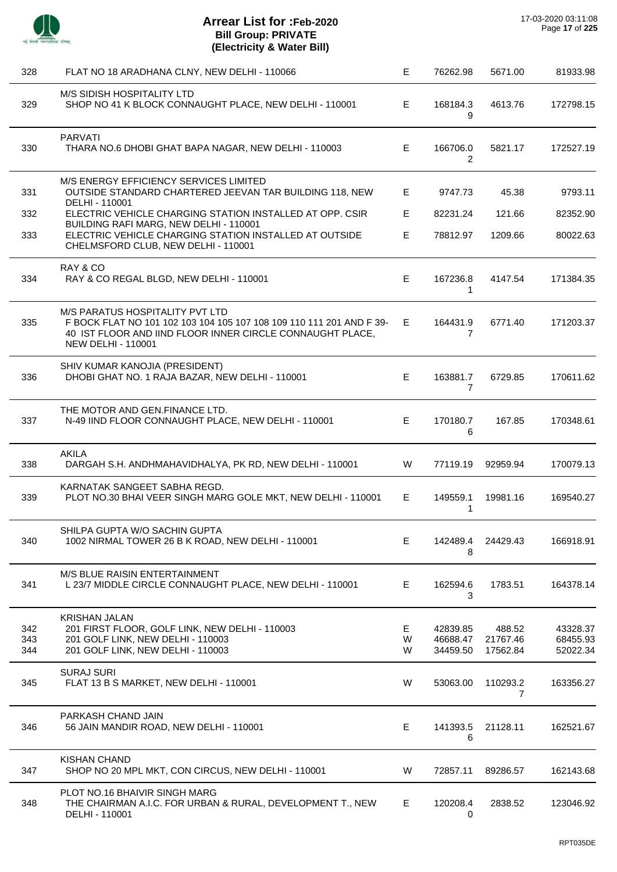

| 328               | FLAT NO 18 ARADHANA CLNY, NEW DELHI - 110066                                                                                                                                                      | E            | 76262.98                         | 5671.00                        | 81933.98                         |
|-------------------|---------------------------------------------------------------------------------------------------------------------------------------------------------------------------------------------------|--------------|----------------------------------|--------------------------------|----------------------------------|
| 329               | M/S SIDISH HOSPITALITY LTD<br>SHOP NO 41 K BLOCK CONNAUGHT PLACE, NEW DELHI - 110001                                                                                                              | Е            | 168184.3<br>9                    | 4613.76                        | 172798.15                        |
| 330               | <b>PARVATI</b><br>THARA NO.6 DHOBI GHAT BAPA NAGAR, NEW DELHI - 110003                                                                                                                            | E            | 166706.0<br>2                    | 5821.17                        | 172527.19                        |
| 331               | M/S ENERGY EFFICIENCY SERVICES LIMITED<br>OUTSIDE STANDARD CHARTERED JEEVAN TAR BUILDING 118, NEW<br>DELHI - 110001                                                                               | Е            | 9747.73                          | 45.38                          | 9793.11                          |
| 332               | ELECTRIC VEHICLE CHARGING STATION INSTALLED AT OPP. CSIR                                                                                                                                          | Е            | 82231.24                         | 121.66                         | 82352.90                         |
| 333               | BUILDING RAFI MARG, NEW DELHI - 110001<br>ELECTRIC VEHICLE CHARGING STATION INSTALLED AT OUTSIDE<br>CHELMSFORD CLUB, NEW DELHI - 110001                                                           | E            | 78812.97                         | 1209.66                        | 80022.63                         |
| 334               | RAY & CO<br>RAY & CO REGAL BLGD, NEW DELHI - 110001                                                                                                                                               | E            | 167236.8<br>1                    | 4147.54                        | 171384.35                        |
| 335               | M/S PARATUS HOSPITALITY PVT LTD<br>F BOCK FLAT NO 101 102 103 104 105 107 108 109 110 111 201 AND F 39-<br>40 IST FLOOR AND IIND FLOOR INNER CIRCLE CONNAUGHT PLACE,<br><b>NEW DELHI - 110001</b> | E.           | 164431.9<br>7                    | 6771.40                        | 171203.37                        |
| 336               | SHIV KUMAR KANOJIA (PRESIDENT)<br>DHOBI GHAT NO. 1 RAJA BAZAR, NEW DELHI - 110001                                                                                                                 | E.           | 163881.7<br>$\overline{7}$       | 6729.85                        | 170611.62                        |
| 337               | THE MOTOR AND GEN.FINANCE LTD.<br>N-49 IIND FLOOR CONNAUGHT PLACE, NEW DELHI - 110001                                                                                                             | E.           | 170180.7<br>6                    | 167.85                         | 170348.61                        |
| 338               | <b>AKILA</b><br>DARGAH S.H. ANDHMAHAVIDHALYA, PK RD, NEW DELHI - 110001                                                                                                                           | W            | 77119.19                         | 92959.94                       | 170079.13                        |
| 339               | KARNATAK SANGEET SABHA REGD.<br>PLOT NO.30 BHAI VEER SINGH MARG GOLE MKT, NEW DELHI - 110001                                                                                                      | E.           | 149559.1<br>1                    | 19981.16                       | 169540.27                        |
| 340               | SHILPA GUPTA W/O SACHIN GUPTA<br>1002 NIRMAL TOWER 26 B K ROAD, NEW DELHI - 110001                                                                                                                | Е            | 142489.4<br>8                    | 24429.43                       | 166918.91                        |
| 341               | M/S BLUE RAISIN ENTERTAINMENT<br>L 23/7 MIDDLE CIRCLE CONNAUGHT PLACE, NEW DELHI - 110001                                                                                                         | Е            | 162594.6<br>3                    | 1783.51                        | 164378.14                        |
| 342<br>343<br>344 | <b>KRISHAN JALAN</b><br>201 FIRST FLOOR, GOLF LINK, NEW DELHI - 110003<br>201 GOLF LINK, NEW DELHI - 110003<br>201 GOLF LINK, NEW DELHI - 110003                                                  | E.<br>W<br>W | 42839.85<br>46688.47<br>34459.50 | 488.52<br>21767.46<br>17562.84 | 43328.37<br>68455.93<br>52022.34 |
| 345               | <b>SURAJ SURI</b><br>FLAT 13 B S MARKET, NEW DELHI - 110001                                                                                                                                       | W            | 53063.00                         | 110293.2<br>$\overline{7}$     | 163356.27                        |
| 346               | PARKASH CHAND JAIN<br>56 JAIN MANDIR ROAD, NEW DELHI - 110001                                                                                                                                     | Е            | 141393.5<br>6                    | 21128.11                       | 162521.67                        |
| 347               | <b>KISHAN CHAND</b><br>SHOP NO 20 MPL MKT, CON CIRCUS, NEW DELHI - 110001                                                                                                                         | W            | 72857.11                         | 89286.57                       | 162143.68                        |
| 348               | PLOT NO.16 BHAIVIR SINGH MARG<br>THE CHAIRMAN A.I.C. FOR URBAN & RURAL, DEVELOPMENT T., NEW<br>DELHI - 110001                                                                                     | E.           | 120208.4<br>0                    | 2838.52                        | 123046.92                        |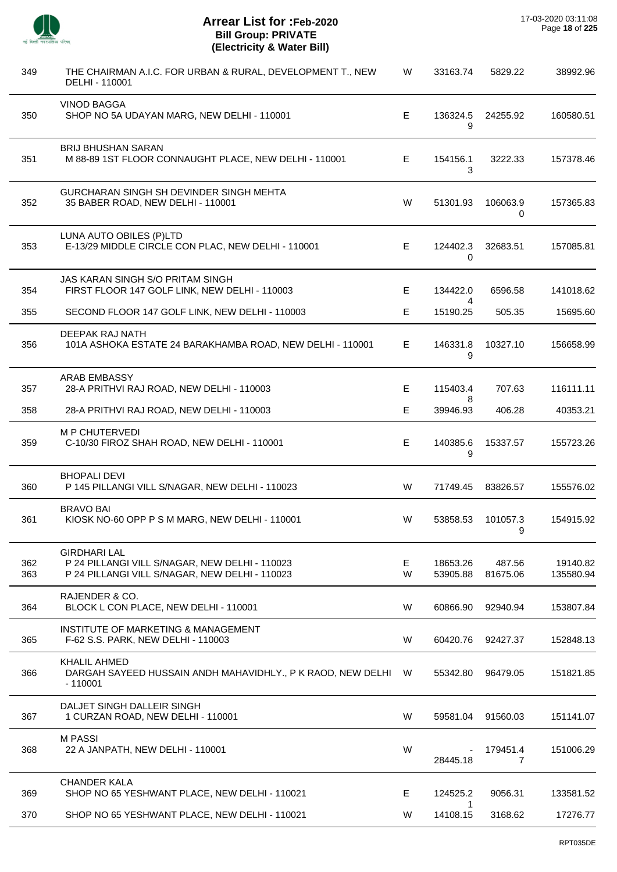| 349        | THE CHAIRMAN A.I.C. FOR URBAN & RURAL, DEVELOPMENT T., NEW<br>DELHI - 110001                                            | W       | 33163.74                 | 5829.22            | 38992.96              |
|------------|-------------------------------------------------------------------------------------------------------------------------|---------|--------------------------|--------------------|-----------------------|
| 350        | <b>VINOD BAGGA</b><br>SHOP NO 5A UDAYAN MARG, NEW DELHI - 110001                                                        | E.      | 136324.5<br>9            | 24255.92           | 160580.51             |
| 351        | <b>BRIJ BHUSHAN SARAN</b><br>M 88-89 1ST FLOOR CONNAUGHT PLACE, NEW DELHI - 110001                                      | E.      | 154156.1<br>3            | 3222.33            | 157378.46             |
| 352        | GURCHARAN SINGH SH DEVINDER SINGH MEHTA<br>35 BABER ROAD, NEW DELHI - 110001                                            | W       | 51301.93                 | 106063.9<br>0      | 157365.83             |
| 353        | LUNA AUTO OBILES (P)LTD<br>E-13/29 MIDDLE CIRCLE CON PLAC, NEW DELHI - 110001                                           | E.      | 124402.3<br>0            | 32683.51           | 157085.81             |
| 354        | JAS KARAN SINGH S/O PRITAM SINGH<br>FIRST FLOOR 147 GOLF LINK, NEW DELHI - 110003                                       | E.      | 134422.0                 | 6596.58            | 141018.62             |
| 355        | SECOND FLOOR 147 GOLF LINK, NEW DELHI - 110003                                                                          | Е       | 4<br>15190.25            | 505.35             | 15695.60              |
| 356        | DEEPAK RAJ NATH<br>101A ASHOKA ESTATE 24 BARAKHAMBA ROAD, NEW DELHI - 110001                                            | E.      | 146331.8<br>9            | 10327.10           | 156658.99             |
| 357        | <b>ARAB EMBASSY</b><br>28-A PRITHVI RAJ ROAD, NEW DELHI - 110003                                                        | E.      | 115403.4                 | 707.63             | 116111.11             |
| 358        | 28-A PRITHVI RAJ ROAD, NEW DELHI - 110003                                                                               | Е       | 8<br>39946.93            | 406.28             | 40353.21              |
| 359        | <b>M P CHUTERVEDI</b><br>C-10/30 FIROZ SHAH ROAD, NEW DELHI - 110001                                                    | E.      | 140385.6<br>9            | 15337.57           | 155723.26             |
| 360        | <b>BHOPALI DEVI</b><br>P 145 PILLANGI VILL S/NAGAR, NEW DELHI - 110023                                                  | W       | 71749.45                 | 83826.57           | 155576.02             |
| 361        | <b>BRAVO BAI</b><br>KIOSK NO-60 OPP P S M MARG, NEW DELHI - 110001                                                      | W       | 53858.53                 | 101057.3<br>9      | 154915.92             |
| 362<br>363 | <b>GIRDHARI LAL</b><br>P 24 PILLANGI VILL S/NAGAR, NEW DELHI - 110023<br>P 24 PILLANGI VILL S/NAGAR, NEW DELHI - 110023 | E.<br>W | 18653.26<br>53905.88     | 487.56<br>81675.06 | 19140.82<br>135580.94 |
| 364        | RAJENDER & CO.<br>BLOCK L CON PLACE, NEW DELHI - 110001                                                                 | W       | 60866.90                 | 92940.94           | 153807.84             |
| 365        | INSTITUTE OF MARKETING & MANAGEMENT<br>F-62 S.S. PARK, NEW DELHI - 110003                                               | W       | 60420.76                 | 92427.37           | 152848.13             |
| 366        | KHALIL AHMED<br>DARGAH SAYEED HUSSAIN ANDH MAHAVIDHLY., P K RAOD, NEW DELHI<br>$-110001$                                | W       | 55342.80                 | 96479.05           | 151821.85             |
| 367        | DALJET SINGH DALLEIR SINGH<br>1 CURZAN ROAD, NEW DELHI - 110001                                                         | W       | 59581.04                 | 91560.03           | 151141.07             |
| 368        | <b>M PASSI</b><br>22 A JANPATH, NEW DELHI - 110001                                                                      | W       | 28445.18                 | 179451.4<br>7      | 151006.29             |
| 369        | <b>CHANDER KALA</b><br>SHOP NO 65 YESHWANT PLACE, NEW DELHI - 110021                                                    | Е       | 124525.2                 | 9056.31            | 133581.52             |
| 370        | SHOP NO 65 YESHWANT PLACE, NEW DELHI - 110021                                                                           | W       | $\mathbf{1}$<br>14108.15 | 3168.62            | 17276.77              |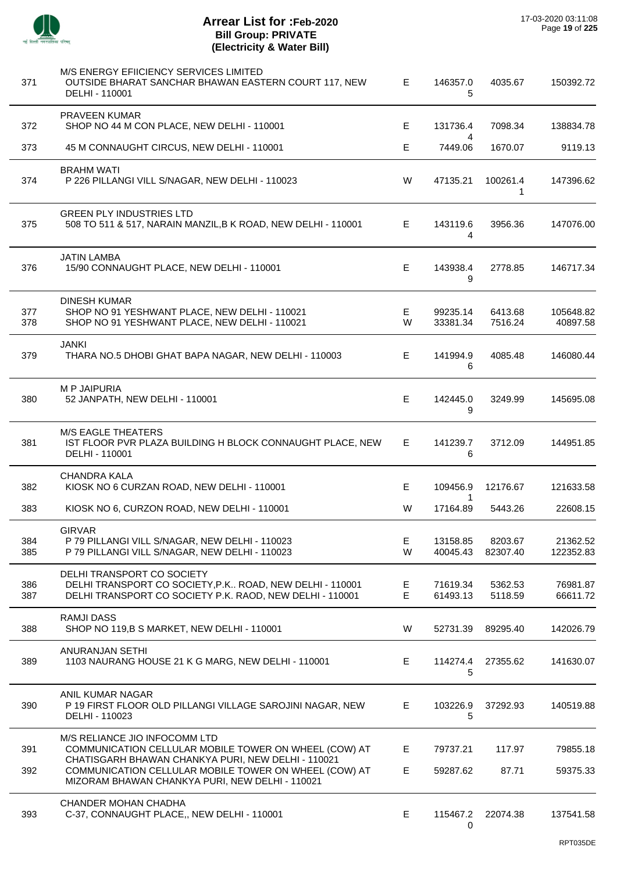

 $\overline{a}$ 

 $\overline{a}$ 

l,

L,

J.

 $\overline{a}$ 

| 371        | M/S ENERGY EFIICIENCY SERVICES LIMITED<br>OUTSIDE BHARAT SANCHAR BHAWAN EASTERN COURT 117, NEW<br>DELHI - 110001                                               | E.      | 146357.0<br>5        | 4035.67             | 150392.72             |
|------------|----------------------------------------------------------------------------------------------------------------------------------------------------------------|---------|----------------------|---------------------|-----------------------|
| 372        | PRAVEEN KUMAR<br>SHOP NO 44 M CON PLACE, NEW DELHI - 110001                                                                                                    | Е       | 131736.4             | 7098.34             | 138834.78             |
| 373        | 45 M CONNAUGHT CIRCUS, NEW DELHI - 110001                                                                                                                      | E       | 4<br>7449.06         | 1670.07             | 9119.13               |
| 374        | <b>BRAHM WATI</b><br>P 226 PILLANGI VILL S/NAGAR, NEW DELHI - 110023                                                                                           | W       | 47135.21             | 100261.4<br>1       | 147396.62             |
| 375        | <b>GREEN PLY INDUSTRIES LTD</b><br>508 TO 511 & 517, NARAIN MANZIL, B K ROAD, NEW DELHI - 110001                                                               | E       | 143119.6<br>4        | 3956.36             | 147076.00             |
| 376        | <b>JATIN LAMBA</b><br>15/90 CONNAUGHT PLACE, NEW DELHI - 110001                                                                                                | E       | 143938.4<br>9        | 2778.85             | 146717.34             |
| 377<br>378 | DINESH KUMAR<br>SHOP NO 91 YESHWANT PLACE, NEW DELHI - 110021<br>SHOP NO 91 YESHWANT PLACE, NEW DELHI - 110021                                                 | E.<br>W | 99235.14<br>33381.34 | 6413.68<br>7516.24  | 105648.82<br>40897.58 |
| 379        | JANKI<br>THARA NO.5 DHOBI GHAT BAPA NAGAR, NEW DELHI - 110003                                                                                                  | E       | 141994.9<br>6        | 4085.48             | 146080.44             |
| 380        | <b>MP JAIPURIA</b><br>52 JANPATH, NEW DELHI - 110001                                                                                                           | E.      | 142445.0<br>9        | 3249.99             | 145695.08             |
| 381        | <b>M/S EAGLE THEATERS</b><br>IST FLOOR PVR PLAZA BUILDING H BLOCK CONNAUGHT PLACE, NEW<br>DELHI - 110001                                                       | E.      | 141239.7<br>6        | 3712.09             | 144951.85             |
| 382        | <b>CHANDRA KALA</b><br>KIOSK NO 6 CURZAN ROAD, NEW DELHI - 110001                                                                                              | E       | 109456.9             | 12176.67            | 121633.58             |
| 383        | KIOSK NO 6, CURZON ROAD, NEW DELHI - 110001                                                                                                                    | W       | 1<br>17164.89        | 5443.26             | 22608.15              |
| 384<br>385 | <b>GIRVAR</b><br>P 79 PILLANGI VILL S/NAGAR, NEW DELHI - 110023<br>P 79 PILLANGI VILL S/NAGAR, NEW DELHI - 110023                                              | Е<br>W  | 13158.85<br>40045.43 | 8203.67<br>82307.40 | 21362.52<br>122352.83 |
| 386<br>387 | DELHI TRANSPORT CO SOCIETY<br>DELHI TRANSPORT CO SOCIETY, P.K ROAD, NEW DELHI - 110001<br>DELHI TRANSPORT CO SOCIETY P.K. RAOD, NEW DELHI - 110001             | Е<br>E  | 71619.34<br>61493.13 | 5362.53<br>5118.59  | 76981.87<br>66611.72  |
| 388        | <b>RAMJI DASS</b><br>SHOP NO 119,B S MARKET, NEW DELHI - 110001                                                                                                | W       | 52731.39             | 89295.40            | 142026.79             |
| 389        | <b>ANURANJAN SETHI</b><br>1103 NAURANG HOUSE 21 K G MARG, NEW DELHI - 110001                                                                                   | E.      | 114274.4<br>5        | 27355.62            | 141630.07             |
| 390        | ANIL KUMAR NAGAR<br>P 19 FIRST FLOOR OLD PILLANGI VILLAGE SAROJINI NAGAR, NEW<br>DELHI - 110023                                                                | E       | 103226.9<br>5        | 37292.93            | 140519.88             |
| 391        | M/S RELIANCE JIO INFOCOMM LTD<br>COMMUNICATION CELLULAR MOBILE TOWER ON WHEEL (COW) AT                                                                         | Е       | 79737.21             | 117.97              | 79855.18              |
| 392        | CHATISGARH BHAWAN CHANKYA PURI, NEW DELHI - 110021<br>COMMUNICATION CELLULAR MOBILE TOWER ON WHEEL (COW) AT<br>MIZORAM BHAWAN CHANKYA PURI, NEW DELHI - 110021 | Е       | 59287.62             | 87.71               | 59375.33              |
| 393        | CHANDER MOHAN CHADHA<br>C-37, CONNAUGHT PLACE,, NEW DELHI - 110001                                                                                             | Е       | 115467.2<br>0        | 22074.38            | 137541.58             |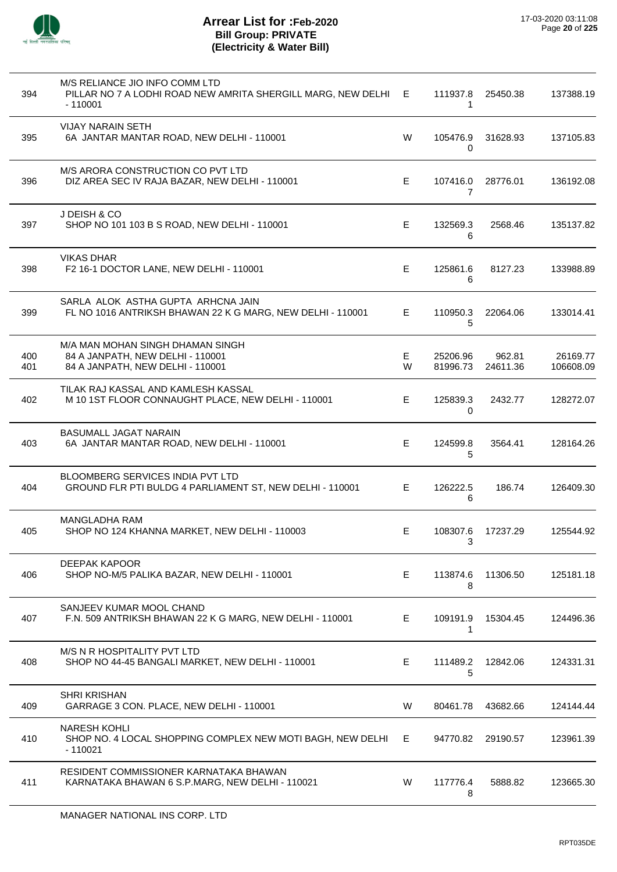

| 394        | M/S RELIANCE JIO INFO COMM LTD<br>PILLAR NO 7 A LODHI ROAD NEW AMRITA SHERGILL MARG, NEW DELHI E<br>$-110001$ |        | 111937.8<br>1        | 25450.38           | 137388.19             |
|------------|---------------------------------------------------------------------------------------------------------------|--------|----------------------|--------------------|-----------------------|
| 395        | <b>VIJAY NARAIN SETH</b><br>6A JANTAR MANTAR ROAD, NEW DELHI - 110001                                         | W      | 105476.9<br>0        | 31628.93           | 137105.83             |
| 396        | M/S ARORA CONSTRUCTION CO PVT LTD<br>DIZ AREA SEC IV RAJA BAZAR, NEW DELHI - 110001                           | Е      | 107416.0<br>7        | 28776.01           | 136192.08             |
| 397        | J DEISH & CO<br>SHOP NO 101 103 B S ROAD, NEW DELHI - 110001                                                  | E      | 132569.3<br>6        | 2568.46            | 135137.82             |
| 398        | <b>VIKAS DHAR</b><br>F2 16-1 DOCTOR LANE, NEW DELHI - 110001                                                  | Е      | 125861.6<br>6        | 8127.23            | 133988.89             |
| 399        | SARLA ALOK ASTHA GUPTA ARHCNA JAIN<br>FL NO 1016 ANTRIKSH BHAWAN 22 K G MARG, NEW DELHI - 110001              | Е      | 110950.3<br>5        | 22064.06           | 133014.41             |
| 400<br>401 | M/A MAN MOHAN SINGH DHAMAN SINGH<br>84 A JANPATH, NEW DELHI - 110001<br>84 A JANPATH, NEW DELHI - 110001      | E<br>W | 25206.96<br>81996.73 | 962.81<br>24611.36 | 26169.77<br>106608.09 |
| 402        | TILAK RAJ KASSAL AND KAMLESH KASSAL<br>M 10 1ST FLOOR CONNAUGHT PLACE, NEW DELHI - 110001                     | Е      | 125839.3<br>0        | 2432.77            | 128272.07             |
| 403        | BASUMALL JAGAT NARAIN<br>6A JANTAR MANTAR ROAD, NEW DELHI - 110001                                            | Е      | 124599.8<br>5        | 3564.41            | 128164.26             |
| 404        | <b>BLOOMBERG SERVICES INDIA PVT LTD</b><br>GROUND FLR PTI BULDG 4 PARLIAMENT ST, NEW DELHI - 110001           | E.     | 126222.5<br>6        | 186.74             | 126409.30             |
| 405        | <b>MANGLADHA RAM</b><br>SHOP NO 124 KHANNA MARKET, NEW DELHI - 110003                                         | Е      | 108307.6<br>3        | 17237.29           | 125544.92             |
| 406        | DEEPAK KAPOOR<br>SHOP NO-M/5 PALIKA BAZAR, NEW DELHI - 110001                                                 | E      | 113874.6<br>8        | 11306.50           | 125181.18             |
| 407        | SANJEEV KUMAR MOOL CHAND<br>F.N. 509 ANTRIKSH BHAWAN 22 K G MARG, NEW DELHI - 110001                          | E      | 109191.9<br>1        | 15304.45           | 124496.36             |
| 408        | M/S N R HOSPITALITY PVT LTD<br>SHOP NO 44-45 BANGALI MARKET, NEW DELHI - 110001                               | Е      | 111489.2<br>5        | 12842.06           | 124331.31             |
| 409        | <b>SHRI KRISHAN</b><br>GARRAGE 3 CON. PLACE, NEW DELHI - 110001                                               | W      | 80461.78             | 43682.66           | 124144.44             |
| 410        | <b>NARESH KOHLI</b><br>SHOP NO. 4 LOCAL SHOPPING COMPLEX NEW MOTI BAGH, NEW DELHI<br>$-110021$                | E.     | 94770.82             | 29190.57           | 123961.39             |
| 411        | RESIDENT COMMISSIONER KARNATAKA BHAWAN<br>KARNATAKA BHAWAN 6 S.P.MARG, NEW DELHI - 110021                     | W      | 117776.4<br>8        | 5888.82            | 123665.30             |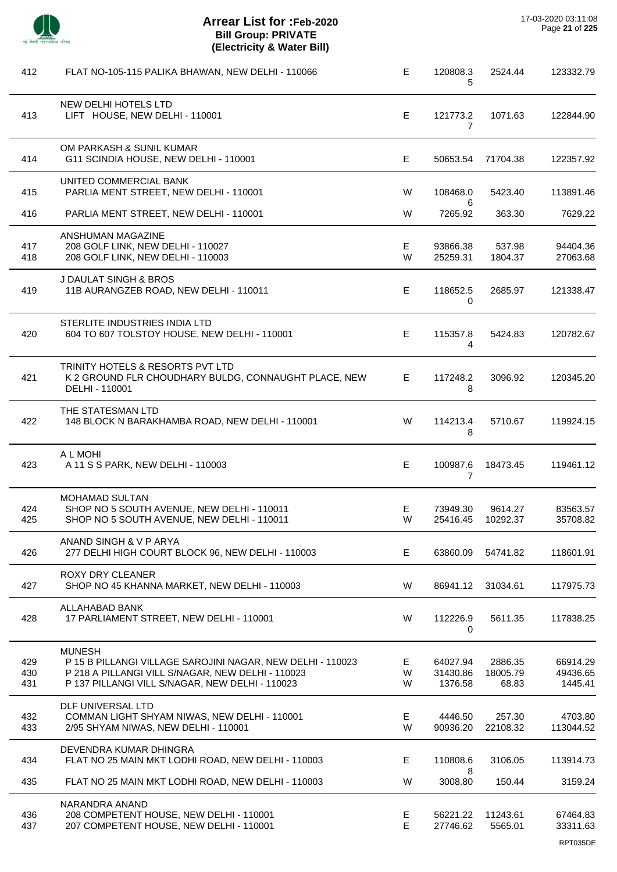| 412               | FLAT NO-105-115 PALIKA BHAWAN, NEW DELHI - 110066                                                                                                                                   | E           | 120808.3<br>5                   | 2524.44                      | 123332.79                       |
|-------------------|-------------------------------------------------------------------------------------------------------------------------------------------------------------------------------------|-------------|---------------------------------|------------------------------|---------------------------------|
| 413               | NEW DELHI HOTELS LTD<br>LIFT HOUSE, NEW DELHI - 110001                                                                                                                              | E.          | 121773.2<br>$\overline{7}$      | 1071.63                      | 122844.90                       |
| 414               | OM PARKASH & SUNIL KUMAR<br>G11 SCINDIA HOUSE, NEW DELHI - 110001                                                                                                                   | E.          | 50653.54                        | 71704.38                     | 122357.92                       |
| 415               | UNITED COMMERCIAL BANK<br>PARLIA MENT STREET, NEW DELHI - 110001                                                                                                                    | W           | 108468.0                        | 5423.40                      | 113891.46                       |
| 416               | PARLIA MENT STREET, NEW DELHI - 110001                                                                                                                                              | W           | 6<br>7265.92                    | 363.30                       | 7629.22                         |
| 417<br>418        | ANSHUMAN MAGAZINE<br>208 GOLF LINK, NEW DELHI - 110027<br>208 GOLF LINK, NEW DELHI - 110003                                                                                         | E.<br>W     | 93866.38<br>25259.31            | 537.98<br>1804.37            | 94404.36<br>27063.68            |
| 419               | J DAULAT SINGH & BROS<br>11B AURANGZEB ROAD, NEW DELHI - 110011                                                                                                                     | E           | 118652.5<br>0                   | 2685.97                      | 121338.47                       |
| 420               | STERLITE INDUSTRIES INDIA LTD<br>604 TO 607 TOLSTOY HOUSE, NEW DELHI - 110001                                                                                                       | E.          | 115357.8<br>4                   | 5424.83                      | 120782.67                       |
| 421               | TRINITY HOTELS & RESORTS PVT LTD<br>K 2 GROUND FLR CHOUDHARY BULDG, CONNAUGHT PLACE, NEW<br>DELHI - 110001                                                                          | E.          | 117248.2<br>8                   | 3096.92                      | 120345.20                       |
| 422               | THE STATESMAN LTD<br>148 BLOCK N BARAKHAMBA ROAD, NEW DELHI - 110001                                                                                                                | W           | 114213.4<br>8                   | 5710.67                      | 119924.15                       |
| 423               | A L MOHI<br>A 11 S S PARK, NEW DELHI - 110003                                                                                                                                       | E           | 100987.6<br>$\overline{7}$      | 18473.45                     | 119461.12                       |
| 424<br>425        | <b>MOHAMAD SULTAN</b><br>SHOP NO 5 SOUTH AVENUE, NEW DELHI - 110011<br>SHOP NO 5 SOUTH AVENUE, NEW DELHI - 110011                                                                   | E.<br>W     | 73949.30<br>25416.45            | 9614.27<br>10292.37          | 83563.57<br>35708.82            |
| 426               | ANAND SINGH & V P ARYA<br>277 DELHI HIGH COURT BLOCK 96, NEW DELHI - 110003                                                                                                         | E           | 63860.09                        | 54741.82                     | 118601.91                       |
| 427               | <b>ROXY DRY CLEANER</b><br>SHOP NO 45 KHANNA MARKET, NEW DELHI - 110003                                                                                                             | W           | 86941.12                        | 31034.61                     | 117975.73                       |
| 428               | ALLAHABAD BANK<br>17 PARLIAMENT STREET, NEW DELHI - 110001                                                                                                                          | W           | 112226.9<br>0                   | 5611.35                      | 117838.25                       |
| 429<br>430<br>431 | <b>MUNESH</b><br>P 15 B PILLANGI VILLAGE SAROJINI NAGAR, NEW DELHI - 110023<br>P 218 A PILLANGI VILL S/NAGAR, NEW DELHI - 110023<br>P 137 PILLANGI VILL S/NAGAR, NEW DELHI - 110023 | E<br>W<br>W | 64027.94<br>31430.86<br>1376.58 | 2886.35<br>18005.79<br>68.83 | 66914.29<br>49436.65<br>1445.41 |
| 432<br>433        | DLF UNIVERSAL LTD<br>COMMAN LIGHT SHYAM NIWAS, NEW DELHI - 110001<br>2/95 SHYAM NIWAS, NEW DELHI - 110001                                                                           | E<br>W      | 4446.50<br>90936.20             | 257.30<br>22108.32           | 4703.80<br>113044.52            |
| 434               | DEVENDRA KUMAR DHINGRA<br>FLAT NO 25 MAIN MKT LODHI ROAD, NEW DELHI - 110003                                                                                                        | E           | 110808.6                        | 3106.05                      | 113914.73                       |
| 435               | FLAT NO 25 MAIN MKT LODHI ROAD, NEW DELHI - 110003                                                                                                                                  | W           | 8<br>3008.80                    | 150.44                       | 3159.24                         |
| 436<br>437        | NARANDRA ANAND<br>208 COMPETENT HOUSE, NEW DELHI - 110001<br>207 COMPETENT HOUSE, NEW DELHI - 110001                                                                                | Е<br>E      | 56221.22<br>27746.62            | 11243.61<br>5565.01          | 67464.83<br>33311.63            |
|                   |                                                                                                                                                                                     |             |                                 |                              | RPT035DE                        |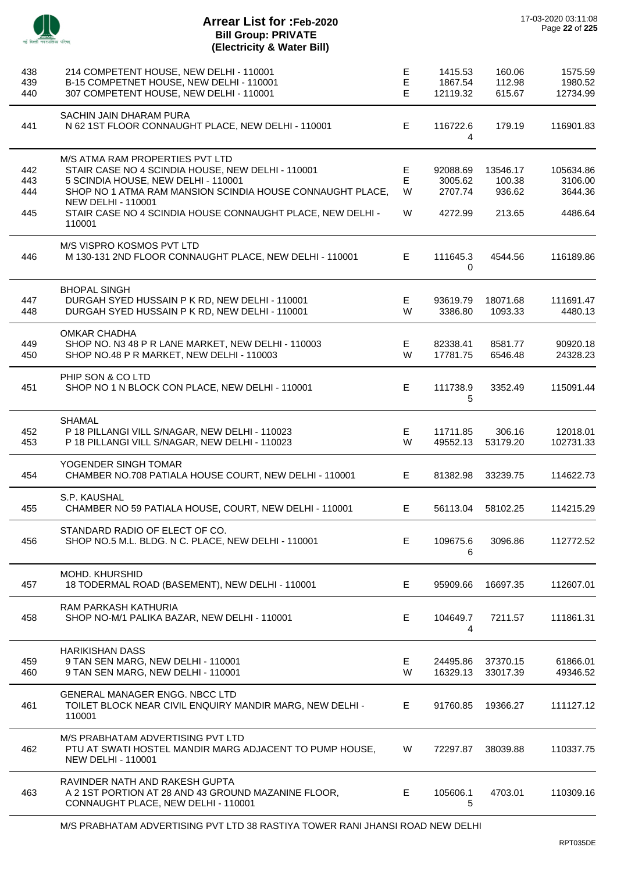

 $\overline{\phantom{a}}$ 

# **Arrear List for :Feb-2020 Bill Group: PRIVATE (Electricity & Water Bill)**

| 438<br>439<br>440        | 214 COMPETENT HOUSE, NEW DELHI - 110001<br>B-15 COMPETNET HOUSE, NEW DELHI - 110001<br>307 COMPETENT HOUSE, NEW DELHI - 110001                                                                                                                                                                | E<br>E<br>E      | 1415.53<br>1867.54<br>12119.32            | 160.06<br>112.98<br>615.67             | 1575.59<br>1980.52<br>12734.99             |
|--------------------------|-----------------------------------------------------------------------------------------------------------------------------------------------------------------------------------------------------------------------------------------------------------------------------------------------|------------------|-------------------------------------------|----------------------------------------|--------------------------------------------|
| 441                      | SACHIN JAIN DHARAM PURA<br>N 62 1ST FLOOR CONNAUGHT PLACE, NEW DELHI - 110001                                                                                                                                                                                                                 | Е                | 116722.6<br>4                             | 179.19                                 | 116901.83                                  |
| 442<br>443<br>444<br>445 | M/S ATMA RAM PROPERTIES PVT LTD<br>STAIR CASE NO 4 SCINDIA HOUSE, NEW DELHI - 110001<br>5 SCINDIA HOUSE, NEW DELHI - 110001<br>SHOP NO 1 ATMA RAM MANSION SCINDIA HOUSE CONNAUGHT PLACE,<br><b>NEW DELHI - 110001</b><br>STAIR CASE NO 4 SCINDIA HOUSE CONNAUGHT PLACE, NEW DELHI -<br>110001 | E<br>E<br>W<br>W | 92088.69<br>3005.62<br>2707.74<br>4272.99 | 13546.17<br>100.38<br>936.62<br>213.65 | 105634.86<br>3106.00<br>3644.36<br>4486.64 |
| 446                      | M/S VISPRO KOSMOS PVT LTD<br>M 130-131 2ND FLOOR CONNAUGHT PLACE, NEW DELHI - 110001                                                                                                                                                                                                          | E                | 111645.3<br>0                             | 4544.56                                | 116189.86                                  |
| 447<br>448               | <b>BHOPAL SINGH</b><br>DURGAH SYED HUSSAIN P K RD, NEW DELHI - 110001<br>DURGAH SYED HUSSAIN P K RD, NEW DELHI - 110001                                                                                                                                                                       | Е<br>W           | 93619.79<br>3386.80                       | 18071.68<br>1093.33                    | 111691.47<br>4480.13                       |
| 449<br>450               | OMKAR CHADHA<br>SHOP NO. N3 48 P R LANE MARKET, NEW DELHI - 110003<br>SHOP NO.48 P R MARKET, NEW DELHI - 110003                                                                                                                                                                               | E<br>W           | 82338.41<br>17781.75                      | 8581.77<br>6546.48                     | 90920.18<br>24328.23                       |
| 451                      | PHIP SON & CO LTD<br>SHOP NO 1 N BLOCK CON PLACE, NEW DELHI - 110001                                                                                                                                                                                                                          | Е                | 111738.9<br>5                             | 3352.49                                | 115091.44                                  |
| 452<br>453               | SHAMAL<br>P 18 PILLANGI VILL S/NAGAR, NEW DELHI - 110023<br>P 18 PILLANGI VILL S/NAGAR, NEW DELHI - 110023                                                                                                                                                                                    | E<br>W           | 11711.85<br>49552.13                      | 306.16<br>53179.20                     | 12018.01<br>102731.33                      |
| 454                      | YOGENDER SINGH TOMAR<br>CHAMBER NO.708 PATIALA HOUSE COURT, NEW DELHI - 110001                                                                                                                                                                                                                | E                | 81382.98                                  | 33239.75                               | 114622.73                                  |
| 455                      | S.P. KAUSHAL<br>CHAMBER NO 59 PATIALA HOUSE, COURT, NEW DELHI - 110001                                                                                                                                                                                                                        | E                | 56113.04                                  | 58102.25                               | 114215.29                                  |
| 456                      | STANDARD RADIO OF ELECT OF CO.<br>SHOP NO.5 M.L. BLDG. N C. PLACE, NEW DELHI - 110001                                                                                                                                                                                                         | Е                | 109675.6<br>6                             | 3096.86                                | 112772.52                                  |
| 457                      | MOHD. KHURSHID<br>18 TODERMAL ROAD (BASEMENT), NEW DELHI - 110001                                                                                                                                                                                                                             | E                | 95909.66                                  | 16697.35                               | 112607.01                                  |
| 458                      | RAM PARKASH KATHURIA<br>SHOP NO-M/1 PALIKA BAZAR, NEW DELHI - 110001                                                                                                                                                                                                                          | Е                | 104649.7<br>4                             | 7211.57                                | 111861.31                                  |
| 459<br>460               | <b>HARIKISHAN DASS</b><br>9 TAN SEN MARG, NEW DELHI - 110001<br>9 TAN SEN MARG, NEW DELHI - 110001                                                                                                                                                                                            | E.<br>W          | 24495.86<br>16329.13                      | 37370.15<br>33017.39                   | 61866.01<br>49346.52                       |
| 461                      | GENERAL MANAGER ENGG. NBCC LTD<br>TOILET BLOCK NEAR CIVIL ENQUIRY MANDIR MARG, NEW DELHI -<br>110001                                                                                                                                                                                          | E.               | 91760.85                                  | 19366.27                               | 111127.12                                  |
| 462                      | M/S PRABHATAM ADVERTISING PVT LTD<br>PTU AT SWATI HOSTEL MANDIR MARG ADJACENT TO PUMP HOUSE,<br><b>NEW DELHI - 110001</b>                                                                                                                                                                     | W                | 72297.87                                  | 38039.88                               | 110337.75                                  |
| 463                      | RAVINDER NATH AND RAKESH GUPTA<br>A 21ST PORTION AT 28 AND 43 GROUND MAZANINE FLOOR,<br>CONNAUGHT PLACE, NEW DELHI - 110001                                                                                                                                                                   | E                | 105606.1<br>5                             | 4703.01                                | 110309.16                                  |

M/S PRABHATAM ADVERTISING PVT LTD 38 RASTIYA TOWER RANI JHANSI ROAD NEW DELHI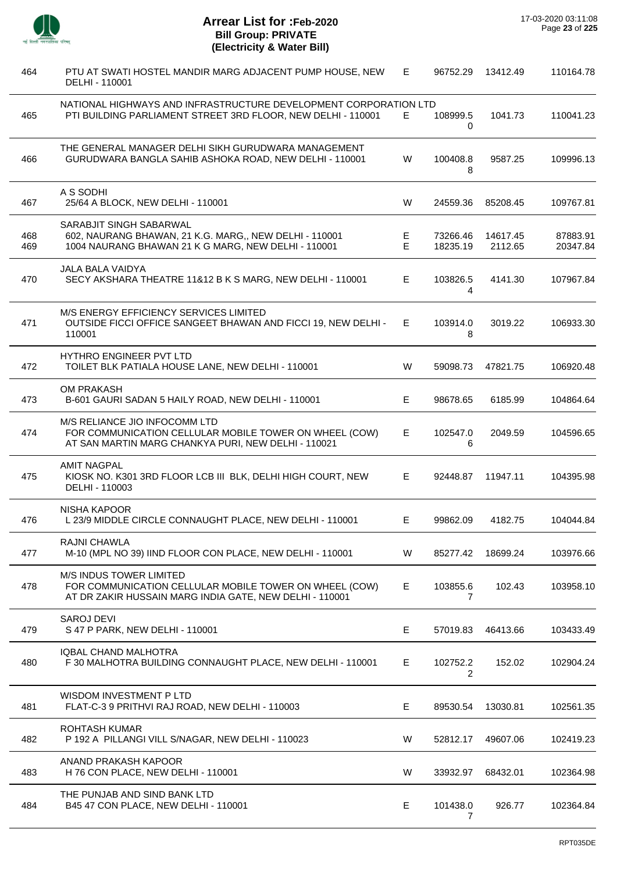

| 464        | PTU AT SWATI HOSTEL MANDIR MARG ADJACENT PUMP HOUSE, NEW<br>DELHI - 110001                                                                     | E.      | 96752.29             | 13412.49            | 110164.78            |
|------------|------------------------------------------------------------------------------------------------------------------------------------------------|---------|----------------------|---------------------|----------------------|
| 465        | NATIONAL HIGHWAYS AND INFRASTRUCTURE DEVELOPMENT CORPORATION LTD<br>PTI BUILDING PARLIAMENT STREET 3RD FLOOR, NEW DELHI - 110001               | E       | 108999.5<br>0        | 1041.73             | 110041.23            |
| 466        | THE GENERAL MANAGER DELHI SIKH GURUDWARA MANAGEMENT<br>GURUDWARA BANGLA SAHIB ASHOKA ROAD, NEW DELHI - 110001                                  | W       | 100408.8<br>8        | 9587.25             | 109996.13            |
| 467        | A S SODHI<br>25/64 A BLOCK, NEW DELHI - 110001                                                                                                 | W       | 24559.36             | 85208.45            | 109767.81            |
| 468<br>469 | SARABJIT SINGH SABARWAL<br>602, NAURANG BHAWAN, 21 K.G. MARG,, NEW DELHI - 110001<br>1004 NAURANG BHAWAN 21 K G MARG, NEW DELHI - 110001       | E.<br>E | 73266.46<br>18235.19 | 14617.45<br>2112.65 | 87883.91<br>20347.84 |
| 470        | <b>JALA BALA VAIDYA</b><br>SECY AKSHARA THEATRE 11&12 B K S MARG, NEW DELHI - 110001                                                           | E       | 103826.5<br>4        | 4141.30             | 107967.84            |
| 471        | M/S ENERGY EFFICIENCY SERVICES LIMITED<br>OUTSIDE FICCI OFFICE SANGEET BHAWAN AND FICCI 19, NEW DELHI -<br>110001                              | E.      | 103914.0<br>8        | 3019.22             | 106933.30            |
| 472        | HYTHRO ENGINEER PVT LTD<br>TOILET BLK PATIALA HOUSE LANE, NEW DELHI - 110001                                                                   | W       | 59098.73             | 47821.75            | 106920.48            |
| 473        | OM PRAKASH<br>B-601 GAURI SADAN 5 HAILY ROAD, NEW DELHI - 110001                                                                               | E       | 98678.65             | 6185.99             | 104864.64            |
| 474        | M/S RELIANCE JIO INFOCOMM LTD<br>FOR COMMUNICATION CELLULAR MOBILE TOWER ON WHEEL (COW)<br>AT SAN MARTIN MARG CHANKYA PURI, NEW DELHI - 110021 | E       | 102547.0<br>6        | 2049.59             | 104596.65            |
| 475        | <b>AMIT NAGPAL</b><br>KIOSK NO. K301 3RD FLOOR LCB III BLK, DELHI HIGH COURT, NEW<br>DELHI - 110003                                            | Е       | 92448.87             | 11947.11            | 104395.98            |
| 476        | <b>NISHA KAPOOR</b><br>L 23/9 MIDDLE CIRCLE CONNAUGHT PLACE, NEW DELHI - 110001                                                                | Е       | 99862.09             | 4182.75             | 104044.84            |
| 477        | RAJNI CHAWLA<br>M-10 (MPL NO 39) IIND FLOOR CON PLACE, NEW DELHI - 110001                                                                      | W       | 85277.42             | 18699.24            | 103976.66            |
| 478        | M/S INDUS TOWER LIMITED<br>FOR COMMUNICATION CELLULAR MOBILE TOWER ON WHEEL (COW)<br>AT DR ZAKIR HUSSAIN MARG INDIA GATE, NEW DELHI - 110001   | E       | 103855.6<br>7        | 102.43              | 103958.10            |
| 479        | <b>SAROJ DEVI</b><br>S 47 P PARK, NEW DELHI - 110001                                                                                           | Е       | 57019.83             | 46413.66            | 103433.49            |
| 480        | IQBAL CHAND MALHOTRA<br>F 30 MALHOTRA BUILDING CONNAUGHT PLACE, NEW DELHI - 110001                                                             | Е       | 102752.2<br>2        | 152.02              | 102904.24            |
| 481        | WISDOM INVESTMENT P LTD<br>FLAT-C-3 9 PRITHVI RAJ ROAD, NEW DELHI - 110003                                                                     | Е       | 89530.54             | 13030.81            | 102561.35            |
| 482        | <b>ROHTASH KUMAR</b><br>P 192 A PILLANGI VILL S/NAGAR, NEW DELHI - 110023                                                                      | W       | 52812.17             | 49607.06            | 102419.23            |
| 483        | ANAND PRAKASH KAPOOR<br>H 76 CON PLACE, NEW DELHI - 110001                                                                                     | W       | 33932.97             | 68432.01            | 102364.98            |
| 484        | THE PUNJAB AND SIND BANK LTD<br>B45 47 CON PLACE, NEW DELHI - 110001                                                                           | Е       | 101438.0<br>7        | 926.77              | 102364.84            |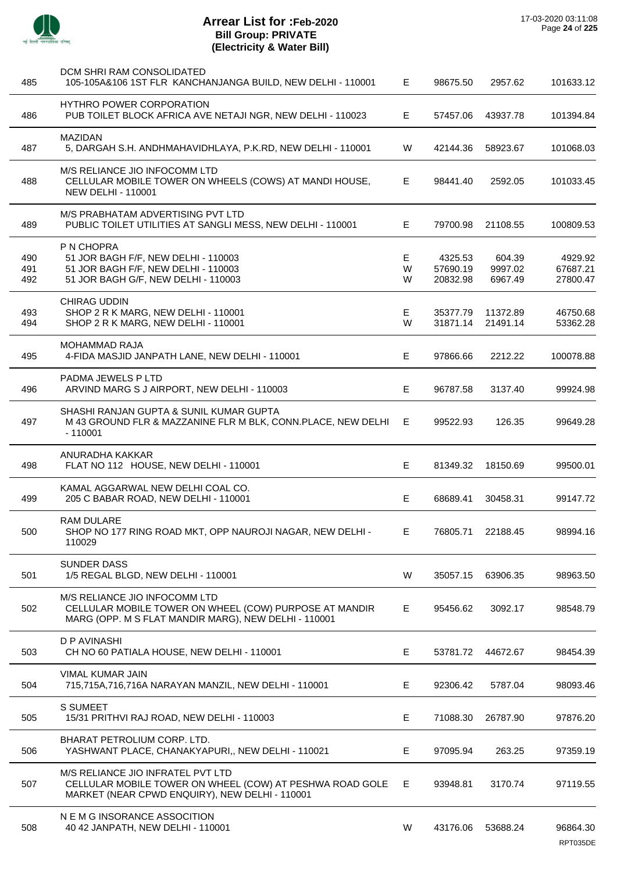

| 485               | DCM SHRI RAM CONSOLIDATED<br>105-105A&106 1ST FLR KANCHANJANGA BUILD, NEW DELHI - 110001                                                        | E.          | 98675.50                        | 2957.62                      | 101633.12                       |
|-------------------|-------------------------------------------------------------------------------------------------------------------------------------------------|-------------|---------------------------------|------------------------------|---------------------------------|
| 486               | HYTHRO POWER CORPORATION<br>PUB TOILET BLOCK AFRICA AVE NETAJI NGR, NEW DELHI - 110023                                                          | E           | 57457.06                        | 43937.78                     | 101394.84                       |
| 487               | <b>MAZIDAN</b><br>5, DARGAH S.H. ANDHMAHAVIDHLAYA, P.K.RD, NEW DELHI - 110001                                                                   | W           | 42144.36                        | 58923.67                     | 101068.03                       |
| 488               | M/S RELIANCE JIO INFOCOMM LTD<br>CELLULAR MOBILE TOWER ON WHEELS (COWS) AT MANDI HOUSE,<br><b>NEW DELHI - 110001</b>                            | E           | 98441.40                        | 2592.05                      | 101033.45                       |
| 489               | M/S PRABHATAM ADVERTISING PVT LTD<br>PUBLIC TOILET UTILITIES AT SANGLI MESS, NEW DELHI - 110001                                                 | E.          | 79700.98                        | 21108.55                     | 100809.53                       |
| 490<br>491<br>492 | P N CHOPRA<br>51 JOR BAGH F/F, NEW DELHI - 110003<br>51 JOR BAGH F/F, NEW DELHI - 110003<br>51 JOR BAGH G/F, NEW DELHI - 110003                 | Е<br>W<br>W | 4325.53<br>57690.19<br>20832.98 | 604.39<br>9997.02<br>6967.49 | 4929.92<br>67687.21<br>27800.47 |
| 493<br>494        | <b>CHIRAG UDDIN</b><br>SHOP 2 R K MARG, NEW DELHI - 110001<br>SHOP 2 R K MARG, NEW DELHI - 110001                                               | E<br>W      | 35377.79<br>31871.14            | 11372.89<br>21491.14         | 46750.68<br>53362.28            |
| 495               | <b>MOHAMMAD RAJA</b><br>4-FIDA MASJID JANPATH LANE, NEW DELHI - 110001                                                                          | E           | 97866.66                        | 2212.22                      | 100078.88                       |
| 496               | PADMA JEWELS P LTD<br>ARVIND MARG S J AIRPORT, NEW DELHI - 110003                                                                               | Е           | 96787.58                        | 3137.40                      | 99924.98                        |
| 497               | SHASHI RANJAN GUPTA & SUNIL KUMAR GUPTA<br>M 43 GROUND FLR & MAZZANINE FLR M BLK, CONN.PLACE, NEW DELHI<br>$-110001$                            | Е           | 99522.93                        | 126.35                       | 99649.28                        |
| 498               | ANURADHA KAKKAR<br>FLAT NO 112 HOUSE, NEW DELHI - 110001                                                                                        | E           | 81349.32                        | 18150.69                     | 99500.01                        |
| 499               | KAMAL AGGARWAL NEW DELHI COAL CO.<br>205 C BABAR ROAD, NEW DELHI - 110001                                                                       | E           | 68689.41                        | 30458.31                     | 99147.72                        |
| 500               | RAM DULARE<br>SHOP NO 177 RING ROAD MKT, OPP NAUROJI NAGAR, NEW DELHI -<br>110029                                                               | Е,          | 76805.71                        | 22188.45                     | 98994.16                        |
| 501               | <b>SUNDER DASS</b><br>1/5 REGAL BLGD, NEW DELHI - 110001                                                                                        | W           | 35057.15                        | 63906.35                     | 98963.50                        |
| 502               | M/S RELIANCE JIO INFOCOMM LTD<br>CELLULAR MOBILE TOWER ON WHEEL (COW) PURPOSE AT MANDIR<br>MARG (OPP. M S FLAT MANDIR MARG), NEW DELHI - 110001 | Е           | 95456.62                        | 3092.17                      | 98548.79                        |
| 503               | D P AVINASHI<br>CH NO 60 PATIALA HOUSE, NEW DELHI - 110001                                                                                      | Е           | 53781.72                        | 44672.67                     | 98454.39                        |
| 504               | <b>VIMAL KUMAR JAIN</b><br>715,715A,716,716A NARAYAN MANZIL, NEW DELHI - 110001                                                                 | E           | 92306.42                        | 5787.04                      | 98093.46                        |
| 505               | S SUMEET<br>15/31 PRITHVI RAJ ROAD, NEW DELHI - 110003                                                                                          | Е           | 71088.30                        | 26787.90                     | 97876.20                        |
| 506               | BHARAT PETROLIUM CORP. LTD.<br>YASHWANT PLACE, CHANAKYAPURI,, NEW DELHI - 110021                                                                | E.          | 97095.94                        | 263.25                       | 97359.19                        |
| 507               | M/S RELIANCE JIO INFRATEL PVT LTD<br>CELLULAR MOBILE TOWER ON WHEEL (COW) AT PESHWA ROAD GOLE<br>MARKET (NEAR CPWD ENQUIRY), NEW DELHI - 110001 | Е           | 93948.81                        | 3170.74                      | 97119.55                        |
| 508               | N E M G INSORANCE ASSOCITION<br>40 42 JANPATH, NEW DELHI - 110001                                                                               | W           | 43176.06                        | 53688.24                     | 96864.30                        |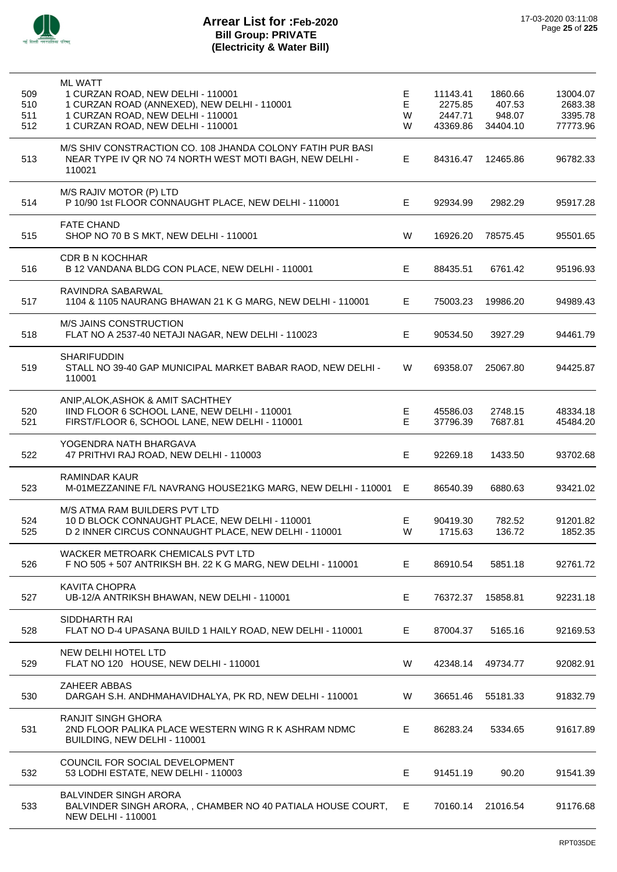

| 509<br>510<br>511<br>512 | <b>ML WATT</b><br>1 CURZAN ROAD, NEW DELHI - 110001<br>1 CURZAN ROAD (ANNEXED), NEW DELHI - 110001<br>1 CURZAN ROAD, NEW DELHI - 110001<br>1 CURZAN ROAD, NEW DELHI - 110001 | Е<br>E<br>W<br>W | 11143.41<br>2275.85<br>2447.71<br>43369.86 | 1860.66<br>407.53<br>948.07<br>34404.10 | 13004.07<br>2683.38<br>3395.78<br>77773.96 |
|--------------------------|------------------------------------------------------------------------------------------------------------------------------------------------------------------------------|------------------|--------------------------------------------|-----------------------------------------|--------------------------------------------|
| 513                      | M/S SHIV CONSTRACTION CO. 108 JHANDA COLONY FATIH PUR BASI<br>NEAR TYPE IV QR NO 74 NORTH WEST MOTI BAGH, NEW DELHI -<br>110021                                              | Е                | 84316.47                                   | 12465.86                                | 96782.33                                   |
| 514                      | M/S RAJIV MOTOR (P) LTD<br>P 10/90 1st FLOOR CONNAUGHT PLACE, NEW DELHI - 110001                                                                                             | E.               | 92934.99                                   | 2982.29                                 | 95917.28                                   |
| 515                      | <b>FATE CHAND</b><br>SHOP NO 70 B S MKT, NEW DELHI - 110001                                                                                                                  | W                | 16926.20                                   | 78575.45                                | 95501.65                                   |
| 516                      | <b>CDR B N KOCHHAR</b><br>B 12 VANDANA BLDG CON PLACE, NEW DELHI - 110001                                                                                                    | E                | 88435.51                                   | 6761.42                                 | 95196.93                                   |
| 517                      | RAVINDRA SABARWAL<br>1104 & 1105 NAURANG BHAWAN 21 K G MARG, NEW DELHI - 110001                                                                                              | E.               | 75003.23                                   | 19986.20                                | 94989.43                                   |
| 518                      | M/S JAINS CONSTRUCTION<br>FLAT NO A 2537-40 NETAJI NAGAR, NEW DELHI - 110023                                                                                                 | Е                | 90534.50                                   | 3927.29                                 | 94461.79                                   |
| 519                      | <b>SHARIFUDDIN</b><br>STALL NO 39-40 GAP MUNICIPAL MARKET BABAR RAOD, NEW DELHI -<br>110001                                                                                  | W                | 69358.07                                   | 25067.80                                | 94425.87                                   |
| 520<br>521               | ANIP, ALOK, ASHOK & AMIT SACHTHEY<br>IIND FLOOR 6 SCHOOL LANE, NEW DELHI - 110001<br>FIRST/FLOOR 6, SCHOOL LANE, NEW DELHI - 110001                                          | Е<br>E           | 45586.03<br>37796.39                       | 2748.15<br>7687.81                      | 48334.18<br>45484.20                       |
| 522                      | YOGENDRA NATH BHARGAVA<br>47 PRITHVI RAJ ROAD, NEW DELHI - 110003                                                                                                            | E.               | 92269.18                                   | 1433.50                                 | 93702.68                                   |
| 523                      | <b>RAMINDAR KAUR</b><br>M-01MEZZANINE F/L NAVRANG HOUSE21KG MARG, NEW DELHI - 110001                                                                                         | Е                | 86540.39                                   | 6880.63                                 | 93421.02                                   |
| 524<br>525               | M/S ATMA RAM BUILDERS PVT LTD<br>10 D BLOCK CONNAUGHT PLACE, NEW DELHI - 110001<br>D 2 INNER CIRCUS CONNAUGHT PLACE, NEW DELHI - 110001                                      | Е<br>W           | 90419.30<br>1715.63                        | 782.52<br>136.72                        | 91201.82<br>1852.35                        |
| 526                      | WACKER METROARK CHEMICALS PVT LTD<br>F NO 505 + 507 ANTRIKSH BH. 22 K G MARG, NEW DELHI - 110001                                                                             | E                | 86910.54                                   | 5851.18                                 | 92761.72                                   |
| 527                      | <b>KAVITA CHOPRA</b><br>UB-12/A ANTRIKSH BHAWAN, NEW DELHI - 110001                                                                                                          | Е                | 76372.37                                   | 15858.81                                | 92231.18                                   |
| 528                      | SIDDHARTH RAI<br>FLAT NO D-4 UPASANA BUILD 1 HAILY ROAD, NEW DELHI - 110001                                                                                                  | E.               | 87004.37                                   | 5165.16                                 | 92169.53                                   |
| 529                      | NEW DELHI HOTEL LTD<br>FLAT NO 120 HOUSE, NEW DELHI - 110001                                                                                                                 | W                | 42348.14                                   | 49734.77                                | 92082.91                                   |
| 530                      | <b>ZAHEER ABBAS</b><br>DARGAH S.H. ANDHMAHAVIDHALYA, PK RD, NEW DELHI - 110001                                                                                               | W                | 36651.46                                   | 55181.33                                | 91832.79                                   |
| 531                      | <b>RANJIT SINGH GHORA</b><br>2ND FLOOR PALIKA PLACE WESTERN WING R K ASHRAM NDMC<br>BUILDING, NEW DELHI - 110001                                                             | Е                | 86283.24                                   | 5334.65                                 | 91617.89                                   |
| 532                      | COUNCIL FOR SOCIAL DEVELOPMENT<br>53 LODHI ESTATE, NEW DELHI - 110003                                                                                                        | Е                | 91451.19                                   | 90.20                                   | 91541.39                                   |
| 533                      | <b>BALVINDER SINGH ARORA</b><br>BALVINDER SINGH ARORA,, CHAMBER NO 40 PATIALA HOUSE COURT,<br><b>NEW DELHI - 110001</b>                                                      | E.               | 70160.14                                   | 21016.54                                | 91176.68                                   |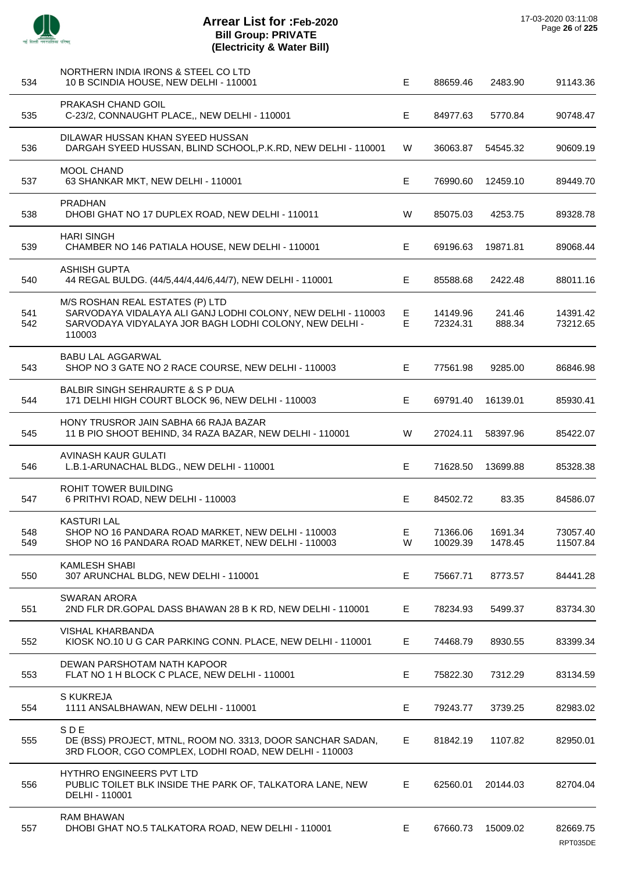J.

 $\overline{a}$ 

 $\overline{\phantom{a}}$ 

Ĭ.

 $\overline{a}$ 

J.

J.

| 534        | NORTHERN INDIA IRONS & STEEL CO LTD<br>10 B SCINDIA HOUSE, NEW DELHI - 110001                                                                                       | E.     | 88659.46             | 2483.90            | 91143.36             |
|------------|---------------------------------------------------------------------------------------------------------------------------------------------------------------------|--------|----------------------|--------------------|----------------------|
| 535        | PRAKASH CHAND GOIL<br>C-23/2, CONNAUGHT PLACE,, NEW DELHI - 110001                                                                                                  | E      | 84977.63             | 5770.84            | 90748.47             |
| 536        | DILAWAR HUSSAN KHAN SYEED HUSSAN<br>DARGAH SYEED HUSSAN, BLIND SCHOOL, P.K.RD, NEW DELHI - 110001                                                                   | W      | 36063.87             | 54545.32           | 90609.19             |
| 537        | MOOL CHAND<br>63 SHANKAR MKT, NEW DELHI - 110001                                                                                                                    | E.     | 76990.60             | 12459.10           | 89449.70             |
| 538        | <b>PRADHAN</b><br>DHOBI GHAT NO 17 DUPLEX ROAD, NEW DELHI - 110011                                                                                                  | W      | 85075.03             | 4253.75            | 89328.78             |
| 539        | <b>HARI SINGH</b><br>CHAMBER NO 146 PATIALA HOUSE, NEW DELHI - 110001                                                                                               | E.     | 69196.63             | 19871.81           | 89068.44             |
| 540        | <b>ASHISH GUPTA</b><br>44 REGAL BULDG. (44/5,44/4,44/6,44/7), NEW DELHI - 110001                                                                                    | Е      | 85588.68             | 2422.48            | 88011.16             |
| 541<br>542 | M/S ROSHAN REAL ESTATES (P) LTD<br>SARVODAYA VIDALAYA ALI GANJ LODHI COLONY, NEW DELHI - 110003<br>SARVODAYA VIDYALAYA JOR BAGH LODHI COLONY, NEW DELHI -<br>110003 | Е<br>Е | 14149.96<br>72324.31 | 241.46<br>888.34   | 14391.42<br>73212.65 |
| 543        | BABU LAL AGGARWAL<br>SHOP NO 3 GATE NO 2 RACE COURSE, NEW DELHI - 110003                                                                                            | E.     | 77561.98             | 9285.00            | 86846.98             |
| 544        | BALBIR SINGH SEHRAURTE & S P DUA<br>171 DELHI HIGH COURT BLOCK 96, NEW DELHI - 110003                                                                               | E      | 69791.40             | 16139.01           | 85930.41             |
| 545        | HONY TRUSROR JAIN SABHA 66 RAJA BAZAR<br>11 B PIO SHOOT BEHIND, 34 RAZA BAZAR, NEW DELHI - 110001                                                                   | W      | 27024.11             | 58397.96           | 85422.07             |
| 546        | AVINASH KAUR GULATI<br>L.B.1-ARUNACHAL BLDG., NEW DELHI - 110001                                                                                                    | Е      | 71628.50             | 13699.88           | 85328.38             |
| 547        | ROHIT TOWER BUILDING<br>6 PRITHVI ROAD, NEW DELHI - 110003                                                                                                          | E      | 84502.72             | 83.35              | 84586.07             |
| 548<br>549 | <b>KASTURI LAL</b><br>SHOP NO 16 PANDARA ROAD MARKET, NEW DELHI - 110003<br>SHOP NO 16 PANDARA ROAD MARKET, NEW DELHI - 110003                                      | Е<br>W | 71366.06<br>10029.39 | 1691.34<br>1478.45 | 73057.40<br>11507.84 |
| 550        | <b>KAMLESH SHABI</b><br>307 ARUNCHAL BLDG, NEW DELHI - 110001                                                                                                       | Е      | 75667.71             | 8773.57            | 84441.28             |
| 551        | <b>SWARAN ARORA</b><br>2ND FLR DR.GOPAL DASS BHAWAN 28 B K RD, NEW DELHI - 110001                                                                                   | Е      | 78234.93             | 5499.37            | 83734.30             |
| 552        | <b>VISHAL KHARBANDA</b><br>KIOSK NO.10 U G CAR PARKING CONN. PLACE, NEW DELHI - 110001                                                                              | E.     | 74468.79             | 8930.55            | 83399.34             |
| 553        | DEWAN PARSHOTAM NATH KAPOOR<br>FLAT NO 1 H BLOCK C PLACE, NEW DELHI - 110001                                                                                        | E.     | 75822.30             | 7312.29            | 83134.59             |
| 554        | <b>S KUKREJA</b><br>1111 ANSALBHAWAN, NEW DELHI - 110001                                                                                                            | Е      | 79243.77             | 3739.25            | 82983.02             |
| 555        | <b>SDE</b><br>DE (BSS) PROJECT, MTNL, ROOM NO. 3313, DOOR SANCHAR SADAN,<br>3RD FLOOR, CGO COMPLEX, LODHI ROAD, NEW DELHI - 110003                                  | E      | 81842.19             | 1107.82            | 82950.01             |
| 556        | <b>HYTHRO ENGINEERS PVT LTD</b><br>PUBLIC TOILET BLK INSIDE THE PARK OF, TALKATORA LANE, NEW<br>DELHI - 110001                                                      | E      | 62560.01             | 20144.03           | 82704.04             |
| 557        | <b>RAM BHAWAN</b><br>DHOBI GHAT NO.5 TALKATORA ROAD, NEW DELHI - 110001                                                                                             | E      | 67660.73             | 15009.02           | 82669.75<br>RPT035DE |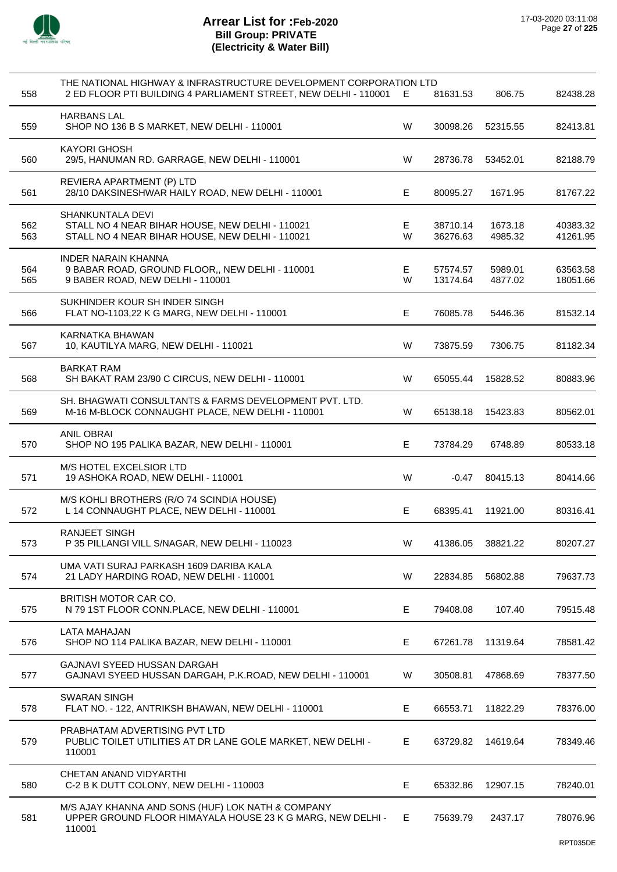

| 558        | THE NATIONAL HIGHWAY & INFRASTRUCTURE DEVELOPMENT CORPORATION LTD<br>2 ED FLOOR PTI BUILDING 4 PARLIAMENT STREET, NEW DELHI - 110001 | E.      | 81631.53             | 806.75             | 82438.28             |
|------------|--------------------------------------------------------------------------------------------------------------------------------------|---------|----------------------|--------------------|----------------------|
| 559        | <b>HARBANS LAL</b><br>SHOP NO 136 B S MARKET, NEW DELHI - 110001                                                                     | W       | 30098.26             | 52315.55           | 82413.81             |
| 560        | <b>KAYORI GHOSH</b><br>29/5, HANUMAN RD. GARRAGE, NEW DELHI - 110001                                                                 | W       | 28736.78             | 53452.01           | 82188.79             |
| 561        | REVIERA APARTMENT (P) LTD<br>28/10 DAKSINESHWAR HAILY ROAD, NEW DELHI - 110001                                                       | E.      | 80095.27             | 1671.95            | 81767.22             |
| 562<br>563 | SHANKUNTALA DEVI<br>STALL NO 4 NEAR BIHAR HOUSE, NEW DELHI - 110021<br>STALL NO 4 NEAR BIHAR HOUSE, NEW DELHI - 110021               | E.<br>W | 38710.14<br>36276.63 | 1673.18<br>4985.32 | 40383.32<br>41261.95 |
| 564<br>565 | <b>INDER NARAIN KHANNA</b><br>9 BABAR ROAD, GROUND FLOOR,, NEW DELHI - 110001<br>9 BABER ROAD, NEW DELHI - 110001                    | E.<br>W | 57574.57<br>13174.64 | 5989.01<br>4877.02 | 63563.58<br>18051.66 |
| 566        | SUKHINDER KOUR SH INDER SINGH<br>FLAT NO-1103,22 K G MARG, NEW DELHI - 110001                                                        | E       | 76085.78             | 5446.36            | 81532.14             |
| 567        | KARNATKA BHAWAN<br>10, KAUTILYA MARG, NEW DELHI - 110021                                                                             | W       | 73875.59             | 7306.75            | 81182.34             |
| 568        | <b>BARKAT RAM</b><br>SH BAKAT RAM 23/90 C CIRCUS, NEW DELHI - 110001                                                                 | W       | 65055.44             | 15828.52           | 80883.96             |
| 569        | SH. BHAGWATI CONSULTANTS & FARMS DEVELOPMENT PVT. LTD.<br>M-16 M-BLOCK CONNAUGHT PLACE, NEW DELHI - 110001                           | W       | 65138.18             | 15423.83           | 80562.01             |
| 570        | <b>ANIL OBRAI</b><br>SHOP NO 195 PALIKA BAZAR, NEW DELHI - 110001                                                                    | E       | 73784.29             | 6748.89            | 80533.18             |
| 571        | M/S HOTEL EXCELSIOR LTD<br>19 ASHOKA ROAD, NEW DELHI - 110001                                                                        | W       | $-0.47$              | 80415.13           | 80414.66             |
| 572        | M/S KOHLI BROTHERS (R/O 74 SCINDIA HOUSE)<br>L 14 CONNAUGHT PLACE, NEW DELHI - 110001                                                | E       | 68395.41             | 11921.00           | 80316.41             |
| 573        | <b>RANJEET SINGH</b><br>P 35 PILLANGI VILL S/NAGAR, NEW DELHI - 110023                                                               | W       | 41386.05             | 38821.22           | 80207.27             |
| 574        | UMA VATI SURAJ PARKASH 1609 DARIBA KALA<br>21 LADY HARDING ROAD, NEW DELHI - 110001                                                  | W       | 22834.85             | 56802.88           | 79637.73             |
| 575        | BRITISH MOTOR CAR CO.<br>N 79 1ST FLOOR CONN.PLACE, NEW DELHI - 110001                                                               | E       | 79408.08             | 107.40             | 79515.48             |
| 576        | <b>LATA MAHAJAN</b><br>SHOP NO 114 PALIKA BAZAR, NEW DELHI - 110001                                                                  | Е       | 67261.78             | 11319.64           | 78581.42             |
| 577        | GAJNAVI SYEED HUSSAN DARGAH<br>GAJNAVI SYEED HUSSAN DARGAH, P.K.ROAD, NEW DELHI - 110001                                             | W       | 30508.81             | 47868.69           | 78377.50             |
| 578        | <b>SWARAN SINGH</b><br>FLAT NO. - 122, ANTRIKSH BHAWAN, NEW DELHI - 110001                                                           | Е       | 66553.71             | 11822.29           | 78376.00             |
| 579        | PRABHATAM ADVERTISING PVT LTD<br>PUBLIC TOILET UTILITIES AT DR LANE GOLE MARKET, NEW DELHI -<br>110001                               | E       | 63729.82             | 14619.64           | 78349.46             |
| 580        | CHETAN ANAND VIDYARTHI<br>C-2 B K DUTT COLONY, NEW DELHI - 110003                                                                    | Е       | 65332.86             | 12907.15           | 78240.01             |
| 581        | M/S AJAY KHANNA AND SONS (HUF) LOK NATH & COMPANY<br>UPPER GROUND FLOOR HIMAYALA HOUSE 23 K G MARG, NEW DELHI -<br>110001            | E.      | 75639.79             | 2437.17            | 78076.96             |
|            |                                                                                                                                      |         |                      |                    | RPT035DE             |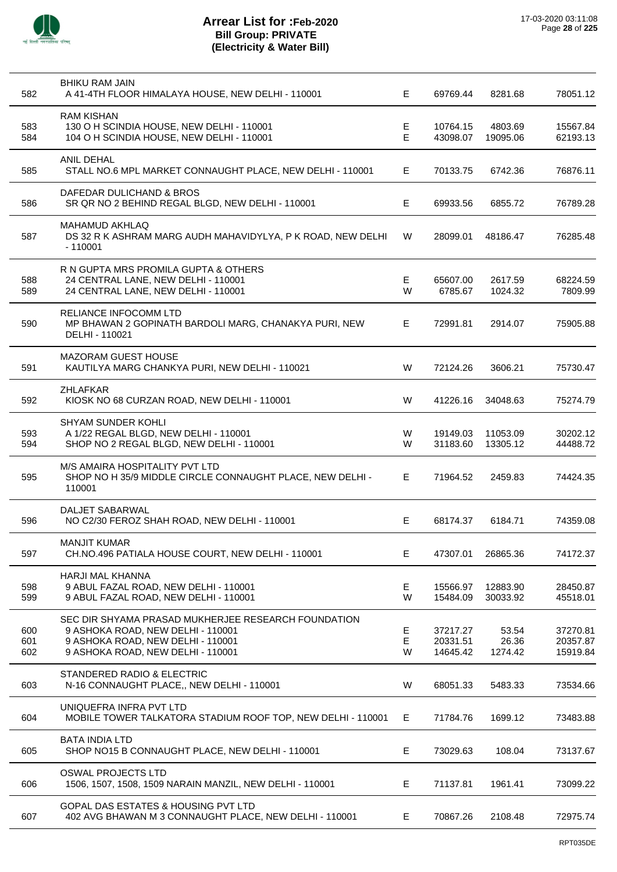

| 582               | <b>BHIKU RAM JAIN</b><br>A 41-4TH FLOOR HIMALAYA HOUSE, NEW DELHI - 110001                                                                                         | E.          | 69769.44                         | 8281.68                   | 78051.12                         |
|-------------------|--------------------------------------------------------------------------------------------------------------------------------------------------------------------|-------------|----------------------------------|---------------------------|----------------------------------|
| 583<br>584        | <b>RAM KISHAN</b><br>130 O H SCINDIA HOUSE, NEW DELHI - 110001<br>104 O H SCINDIA HOUSE, NEW DELHI - 110001                                                        | E.<br>E     | 10764.15<br>43098.07             | 4803.69<br>19095.06       | 15567.84<br>62193.13             |
| 585               | <b>ANIL DEHAL</b><br>STALL NO.6 MPL MARKET CONNAUGHT PLACE, NEW DELHI - 110001                                                                                     | E.          | 70133.75                         | 6742.36                   | 76876.11                         |
| 586               | DAFEDAR DULICHAND & BROS<br>SR QR NO 2 BEHIND REGAL BLGD, NEW DELHI - 110001                                                                                       | E           | 69933.56                         | 6855.72                   | 76789.28                         |
| 587               | <b>MAHAMUD AKHLAQ</b><br>DS 32 R K ASHRAM MARG AUDH MAHAVIDYLYA, P K ROAD, NEW DELHI<br>$-110001$                                                                  | W           | 28099.01                         | 48186.47                  | 76285.48                         |
| 588<br>589        | R N GUPTA MRS PROMILA GUPTA & OTHERS<br>24 CENTRAL LANE, NEW DELHI - 110001<br>24 CENTRAL LANE, NEW DELHI - 110001                                                 | E<br>W      | 65607.00<br>6785.67              | 2617.59<br>1024.32        | 68224.59<br>7809.99              |
| 590               | RELIANCE INFOCOMM LTD<br>MP BHAWAN 2 GOPINATH BARDOLI MARG, CHANAKYA PURI, NEW<br>DELHI - 110021                                                                   | E.          | 72991.81                         | 2914.07                   | 75905.88                         |
| 591               | <b>MAZORAM GUEST HOUSE</b><br>KAUTILYA MARG CHANKYA PURI, NEW DELHI - 110021                                                                                       | W           | 72124.26                         | 3606.21                   | 75730.47                         |
| 592               | <b>ZHLAFKAR</b><br>KIOSK NO 68 CURZAN ROAD, NEW DELHI - 110001                                                                                                     | W           | 41226.16                         | 34048.63                  | 75274.79                         |
| 593<br>594        | SHYAM SUNDER KOHLI<br>A 1/22 REGAL BLGD, NEW DELHI - 110001<br>SHOP NO 2 REGAL BLGD, NEW DELHI - 110001                                                            | W<br>W      | 19149.03<br>31183.60             | 11053.09<br>13305.12      | 30202.12<br>44488.72             |
| 595               | M/S AMAIRA HOSPITALITY PVT LTD<br>SHOP NO H 35/9 MIDDLE CIRCLE CONNAUGHT PLACE, NEW DELHI -<br>110001                                                              | E           | 71964.52                         | 2459.83                   | 74424.35                         |
| 596               | DALJET SABARWAL<br>NO C2/30 FEROZ SHAH ROAD, NEW DELHI - 110001                                                                                                    | E           | 68174.37                         | 6184.71                   | 74359.08                         |
| 597               | <b>MANJIT KUMAR</b><br>CH.NO.496 PATIALA HOUSE COURT, NEW DELHI - 110001                                                                                           | E.          | 47307.01                         | 26865.36                  | 74172.37                         |
| 598<br>599        | HARJI MAL KHANNA<br>9 ABUL FAZAL ROAD, NEW DELHI - 110001<br>9 ABUL FAZAL ROAD, NEW DELHI - 110001                                                                 | E.<br>W     | 15566.97<br>15484.09             | 12883.90<br>30033.92      | 28450.87<br>45518.01             |
| 600<br>601<br>602 | SEC DIR SHYAMA PRASAD MUKHERJEE RESEARCH FOUNDATION<br>9 ASHOKA ROAD, NEW DELHI - 110001<br>9 ASHOKA ROAD, NEW DELHI - 110001<br>9 ASHOKA ROAD, NEW DELHI - 110001 | E<br>Е<br>W | 37217.27<br>20331.51<br>14645.42 | 53.54<br>26.36<br>1274.42 | 37270.81<br>20357.87<br>15919.84 |
| 603               | STANDERED RADIO & ELECTRIC<br>N-16 CONNAUGHT PLACE,, NEW DELHI - 110001                                                                                            | W           | 68051.33                         | 5483.33                   | 73534.66                         |
| 604               | UNIQUEFRA INFRA PVT LTD<br>MOBILE TOWER TALKATORA STADIUM ROOF TOP, NEW DELHI - 110001                                                                             | Е           | 71784.76                         | 1699.12                   | 73483.88                         |
| 605               | <b>BATA INDIA LTD</b><br>SHOP NO15 B CONNAUGHT PLACE, NEW DELHI - 110001                                                                                           | E           | 73029.63                         | 108.04                    | 73137.67                         |
| 606               | OSWAL PROJECTS LTD<br>1506, 1507, 1508, 1509 NARAIN MANZIL, NEW DELHI - 110001                                                                                     | Е           | 71137.81                         | 1961.41                   | 73099.22                         |
| 607               | GOPAL DAS ESTATES & HOUSING PVT LTD<br>402 AVG BHAWAN M 3 CONNAUGHT PLACE, NEW DELHI - 110001                                                                      | E           | 70867.26                         | 2108.48                   | 72975.74                         |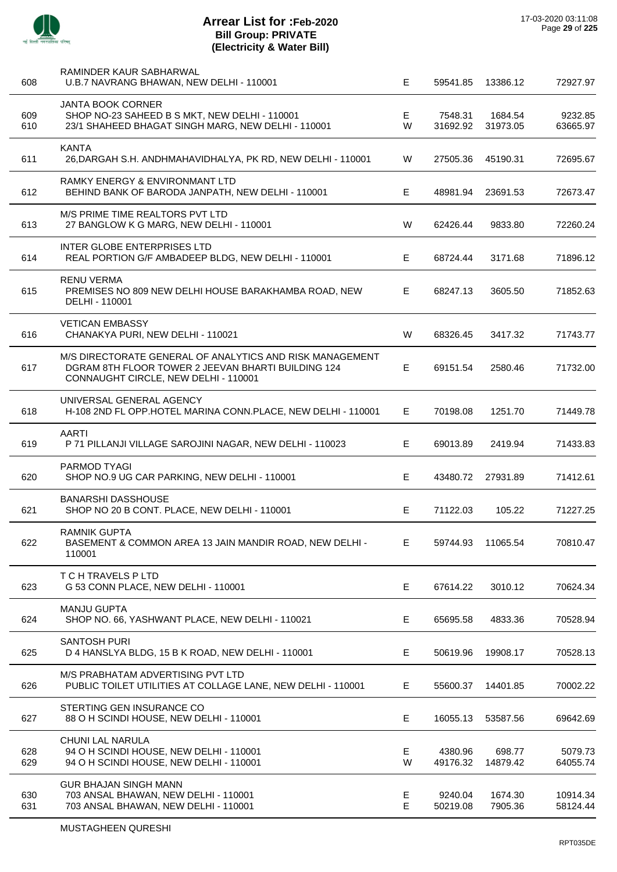| 608        | RAMINDER KAUR SABHARWAL<br>U.B.7 NAVRANG BHAWAN, NEW DELHI - 110001                                                                                    | E       | 59541.85            | 13386.12            | 72927.97             |
|------------|--------------------------------------------------------------------------------------------------------------------------------------------------------|---------|---------------------|---------------------|----------------------|
| 609<br>610 | <b>JANTA BOOK CORNER</b><br>SHOP NO-23 SAHEED B S MKT, NEW DELHI - 110001<br>23/1 SHAHEED BHAGAT SINGH MARG, NEW DELHI - 110001                        | E<br>W  | 7548.31<br>31692.92 | 1684.54<br>31973.05 | 9232.85<br>63665.97  |
| 611        | <b>KANTA</b><br>26, DARGAH S.H. ANDHMAHAVIDHALYA, PK RD, NEW DELHI - 110001                                                                            | W       | 27505.36            | 45190.31            | 72695.67             |
| 612        | <b>RAMKY ENERGY &amp; ENVIRONMANT LTD</b><br>BEHIND BANK OF BARODA JANPATH, NEW DELHI - 110001                                                         | E       | 48981.94            | 23691.53            | 72673.47             |
| 613        | M/S PRIME TIME REALTORS PVT LTD<br>27 BANGLOW K G MARG, NEW DELHI - 110001                                                                             | W       | 62426.44            | 9833.80             | 72260.24             |
| 614        | <b>INTER GLOBE ENTERPRISES LTD</b><br>REAL PORTION G/F AMBADEEP BLDG, NEW DELHI - 110001                                                               | E       | 68724.44            | 3171.68             | 71896.12             |
| 615        | <b>RENU VERMA</b><br>PREMISES NO 809 NEW DELHI HOUSE BARAKHAMBA ROAD, NEW<br>DELHI - 110001                                                            | E.      | 68247.13            | 3605.50             | 71852.63             |
| 616        | <b>VETICAN EMBASSY</b><br>CHANAKYA PURI, NEW DELHI - 110021                                                                                            | W       | 68326.45            | 3417.32             | 71743.77             |
| 617        | M/S DIRECTORATE GENERAL OF ANALYTICS AND RISK MANAGEMENT<br>DGRAM 8TH FLOOR TOWER 2 JEEVAN BHARTI BUILDING 124<br>CONNAUGHT CIRCLE, NEW DELHI - 110001 | E       | 69151.54            | 2580.46             | 71732.00             |
| 618        | UNIVERSAL GENERAL AGENCY<br>H-108 2ND FL OPP.HOTEL MARINA CONN.PLACE, NEW DELHI - 110001                                                               | Е.      | 70198.08            | 1251.70             | 71449.78             |
| 619        | AARTI<br>P 71 PILLANJI VILLAGE SAROJINI NAGAR, NEW DELHI - 110023                                                                                      | E       | 69013.89            | 2419.94             | 71433.83             |
| 620        | <b>PARMOD TYAGI</b><br>SHOP NO.9 UG CAR PARKING, NEW DELHI - 110001                                                                                    | E       | 43480.72            | 27931.89            | 71412.61             |
| 621        | <b>BANARSHI DASSHOUSE</b><br>SHOP NO 20 B CONT. PLACE, NEW DELHI - 110001                                                                              | E       | 71122.03            | 105.22              | 71227.25             |
| 622        | <b>RAMNIK GUPTA</b><br>BASEMENT & COMMON AREA 13 JAIN MANDIR ROAD, NEW DELHI -<br>110001                                                               | Е       | 59744.93            | 11065.54            | 70810.47             |
| 623        | T C H TRAVELS P LTD<br>G 53 CONN PLACE, NEW DELHI - 110001                                                                                             | E       | 67614.22            | 3010.12             | 70624.34             |
| 624        | <b>MANJU GUPTA</b><br>SHOP NO. 66, YASHWANT PLACE, NEW DELHI - 110021                                                                                  | Е       | 65695.58            | 4833.36             | 70528.94             |
| 625        | <b>SANTOSH PURI</b><br>D 4 HANSLYA BLDG, 15 B K ROAD, NEW DELHI - 110001                                                                               | Е       | 50619.96            | 19908.17            | 70528.13             |
| 626        | M/S PRABHATAM ADVERTISING PVT LTD<br>PUBLIC TOILET UTILITIES AT COLLAGE LANE, NEW DELHI - 110001                                                       | Е       | 55600.37            | 14401.85            | 70002.22             |
| 627        | STERTING GEN INSURANCE CO<br>88 O H SCINDI HOUSE, NEW DELHI - 110001                                                                                   | Е       | 16055.13            | 53587.56            | 69642.69             |
| 628<br>629 | CHUNI LAL NARULA<br>94 O H SCINDI HOUSE, NEW DELHI - 110001<br>94 O H SCINDI HOUSE, NEW DELHI - 110001                                                 | Е<br>W  | 4380.96<br>49176.32 | 698.77<br>14879.42  | 5079.73<br>64055.74  |
| 630<br>631 | <b>GUR BHAJAN SINGH MANN</b><br>703 ANSAL BHAWAN, NEW DELHI - 110001<br>703 ANSAL BHAWAN, NEW DELHI - 110001                                           | Е<br>E. | 9240.04<br>50219.08 | 1674.30<br>7905.36  | 10914.34<br>58124.44 |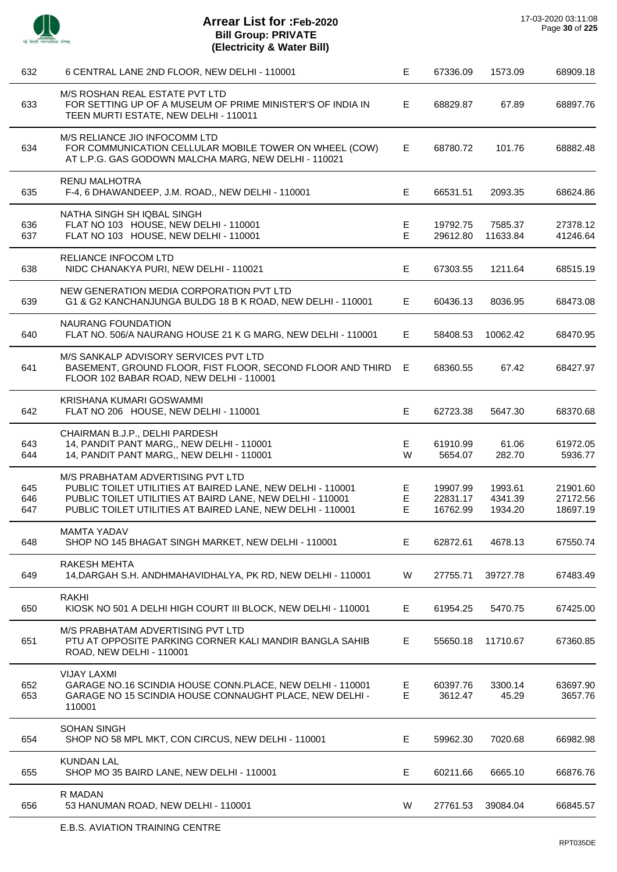

 $\overline{a}$ 

J.

 $\overline{\phantom{a}}$ 

J.

| 632               | 6 CENTRAL LANE 2ND FLOOR, NEW DELHI - 110001                                                                                                                                                                               | E.          | 67336.09                         | 1573.09                       | 68909.18                         |
|-------------------|----------------------------------------------------------------------------------------------------------------------------------------------------------------------------------------------------------------------------|-------------|----------------------------------|-------------------------------|----------------------------------|
| 633               | M/S ROSHAN REAL ESTATE PVT LTD<br>FOR SETTING UP OF A MUSEUM OF PRIME MINISTER'S OF INDIA IN<br>TEEN MURTI ESTATE, NEW DELHI - 110011                                                                                      | E.          | 68829.87                         | 67.89                         | 68897.76                         |
| 634               | M/S RELIANCE JIO INFOCOMM LTD<br>FOR COMMUNICATION CELLULAR MOBILE TOWER ON WHEEL (COW)<br>AT L.P.G. GAS GODOWN MALCHA MARG, NEW DELHI - 110021                                                                            | E.          | 68780.72                         | 101.76                        | 68882.48                         |
| 635               | <b>RENU MALHOTRA</b><br>F-4, 6 DHAWANDEEP, J.M. ROAD,, NEW DELHI - 110001                                                                                                                                                  | E.          | 66531.51                         | 2093.35                       | 68624.86                         |
| 636<br>637        | NATHA SINGH SH IQBAL SINGH<br>FLAT NO 103 HOUSE, NEW DELHI - 110001<br>FLAT NO 103 HOUSE, NEW DELHI - 110001                                                                                                               | Е<br>E      | 19792.75<br>29612.80             | 7585.37<br>11633.84           | 27378.12<br>41246.64             |
| 638               | RELIANCE INFOCOM LTD<br>NIDC CHANAKYA PURI, NEW DELHI - 110021                                                                                                                                                             | E.          | 67303.55                         | 1211.64                       | 68515.19                         |
| 639               | NEW GENERATION MEDIA CORPORATION PVT LTD<br>G1 & G2 KANCHANJUNGA BULDG 18 B K ROAD, NEW DELHI - 110001                                                                                                                     | E.          | 60436.13                         | 8036.95                       | 68473.08                         |
| 640               | <b>NAURANG FOUNDATION</b><br>FLAT NO. 506/A NAURANG HOUSE 21 K G MARG, NEW DELHI - 110001                                                                                                                                  | E.          | 58408.53                         | 10062.42                      | 68470.95                         |
| 641               | M/S SANKALP ADVISORY SERVICES PVT LTD<br>BASEMENT, GROUND FLOOR, FIST FLOOR, SECOND FLOOR AND THIRD<br>FLOOR 102 BABAR ROAD, NEW DELHI - 110001                                                                            | E           | 68360.55                         | 67.42                         | 68427.97                         |
| 642               | KRISHANA KUMARI GOSWAMMI<br>FLAT NO 206 HOUSE, NEW DELHI - 110001                                                                                                                                                          | E.          | 62723.38                         | 5647.30                       | 68370.68                         |
| 643<br>644        | CHAIRMAN B.J.P., DELHI PARDESH<br>14, PANDIT PANT MARG,, NEW DELHI - 110001<br>14, PANDIT PANT MARG,, NEW DELHI - 110001                                                                                                   | Е<br>W      | 61910.99<br>5654.07              | 61.06<br>282.70               | 61972.05<br>5936.77              |
| 645<br>646<br>647 | M/S PRABHATAM ADVERTISING PVT LTD<br>PUBLIC TOILET UTILITIES AT BAIRED LANE, NEW DELHI - 110001<br>PUBLIC TOILET UTILITIES AT BAIRD LANE, NEW DELHI - 110001<br>PUBLIC TOILET UTILITIES AT BAIRED LANE, NEW DELHI - 110001 | Е<br>E<br>E | 19907.99<br>22831.17<br>16762.99 | 1993.61<br>4341.39<br>1934.20 | 21901.60<br>27172.56<br>18697.19 |
| 648               | <b>MAMTA YADAV</b><br>SHOP NO 145 BHAGAT SINGH MARKET, NEW DELHI - 110001                                                                                                                                                  | E.          | 62872.61                         | 4678.13                       | 67550.74                         |
| 649               | <b>RAKESH MEHTA</b><br>14, DARGAH S.H. ANDHMAHAVIDHALYA, PK RD, NEW DELHI - 110001                                                                                                                                         | W           | 27755.71                         | 39727.78                      | 67483.49                         |
| 650               | <b>RAKHI</b><br>KIOSK NO 501 A DELHI HIGH COURT III BLOCK, NEW DELHI - 110001                                                                                                                                              | Е           | 61954.25                         | 5470.75                       | 67425.00                         |
| 651               | M/S PRABHATAM ADVERTISING PVT LTD<br>PTU AT OPPOSITE PARKING CORNER KALI MANDIR BANGLA SAHIB<br>ROAD, NEW DELHI - 110001                                                                                                   | E.          | 55650.18                         | 11710.67                      | 67360.85                         |
| 652<br>653        | <b>VIJAY LAXMI</b><br>GARAGE NO.16 SCINDIA HOUSE CONN.PLACE, NEW DELHI - 110001<br>GARAGE NO 15 SCINDIA HOUSE CONNAUGHT PLACE, NEW DELHI -<br>110001                                                                       | Е<br>E      | 60397.76<br>3612.47              | 3300.14<br>45.29              | 63697.90<br>3657.76              |
| 654               | <b>SOHAN SINGH</b><br>SHOP NO 58 MPL MKT, CON CIRCUS, NEW DELHI - 110001                                                                                                                                                   | Е           | 59962.30                         | 7020.68                       | 66982.98                         |
| 655               | <b>KUNDAN LAL</b><br>SHOP MO 35 BAIRD LANE, NEW DELHI - 110001                                                                                                                                                             | E.          | 60211.66                         | 6665.10                       | 66876.76                         |
| 656               | <b>R MADAN</b><br>53 HANUMAN ROAD, NEW DELHI - 110001                                                                                                                                                                      | W           | 27761.53                         | 39084.04                      | 66845.57                         |
|                   |                                                                                                                                                                                                                            |             |                                  |                               |                                  |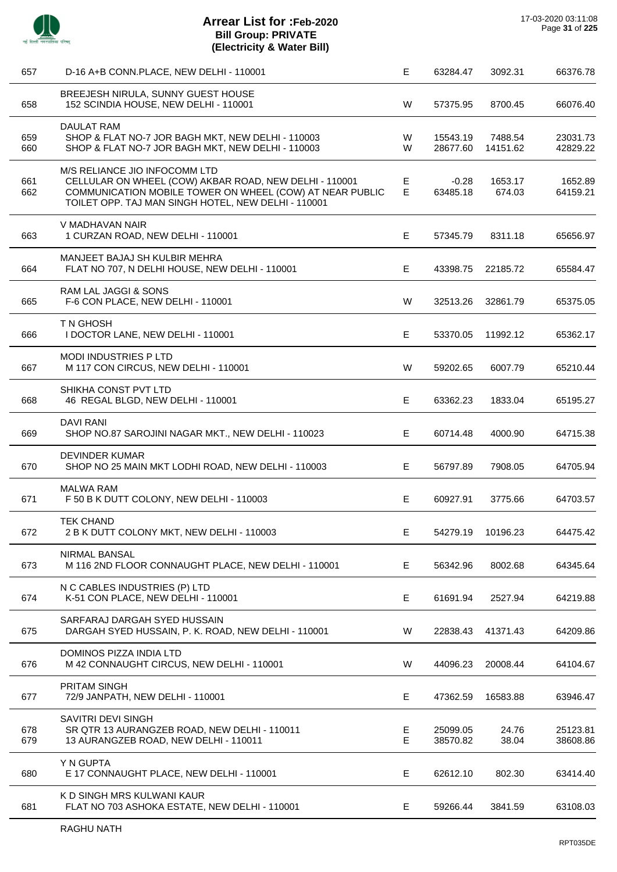l,

 $\overline{a}$ 

L.

J.

 $\overline{a}$ 

 $\overline{a}$ 

| 657        | D-16 A+B CONN.PLACE, NEW DELHI - 110001                                                                                                                                                                    | Е       | 63284.47             | 3092.31             | 66376.78             |
|------------|------------------------------------------------------------------------------------------------------------------------------------------------------------------------------------------------------------|---------|----------------------|---------------------|----------------------|
| 658        | BREEJESH NIRULA, SUNNY GUEST HOUSE<br>152 SCINDIA HOUSE, NEW DELHI - 110001                                                                                                                                | W       | 57375.95             | 8700.45             | 66076.40             |
| 659<br>660 | DAULAT RAM<br>SHOP & FLAT NO-7 JOR BAGH MKT, NEW DELHI - 110003<br>SHOP & FLAT NO-7 JOR BAGH MKT, NEW DELHI - 110003                                                                                       | W<br>W  | 15543.19<br>28677.60 | 7488.54<br>14151.62 | 23031.73<br>42829.22 |
| 661<br>662 | M/S RELIANCE JIO INFOCOMM LTD<br>CELLULAR ON WHEEL (COW) AKBAR ROAD, NEW DELHI - 110001<br>COMMUNICATION MOBILE TOWER ON WHEEL (COW) AT NEAR PUBLIC<br>TOILET OPP. TAJ MAN SINGH HOTEL, NEW DELHI - 110001 | E.<br>E | $-0.28$<br>63485.18  | 1653.17<br>674.03   | 1652.89<br>64159.21  |
| 663        | V MADHAVAN NAIR<br>1 CURZAN ROAD, NEW DELHI - 110001                                                                                                                                                       | E       | 57345.79             | 8311.18             | 65656.97             |
| 664        | MANJEET BAJAJ SH KULBIR MEHRA<br>FLAT NO 707, N DELHI HOUSE, NEW DELHI - 110001                                                                                                                            | Е       | 43398.75             | 22185.72            | 65584.47             |
| 665        | RAM LAL JAGGI & SONS<br>F-6 CON PLACE, NEW DELHI - 110001                                                                                                                                                  | W       | 32513.26             | 32861.79            | 65375.05             |
| 666        | T N GHOSH<br>I DOCTOR LANE, NEW DELHI - 110001                                                                                                                                                             | E       | 53370.05             | 11992.12            | 65362.17             |
| 667        | <b>MODI INDUSTRIES PLTD</b><br>M 117 CON CIRCUS, NEW DELHI - 110001                                                                                                                                        | W       | 59202.65             | 6007.79             | 65210.44             |
| 668        | SHIKHA CONST PVT LTD<br>46 REGAL BLGD, NEW DELHI - 110001                                                                                                                                                  | Е       | 63362.23             | 1833.04             | 65195.27             |
| 669        | <b>DAVI RANI</b><br>SHOP NO.87 SAROJINI NAGAR MKT., NEW DELHI - 110023                                                                                                                                     | E       | 60714.48             | 4000.90             | 64715.38             |
| 670        | <b>DEVINDER KUMAR</b><br>SHOP NO 25 MAIN MKT LODHI ROAD, NEW DELHI - 110003                                                                                                                                | Е       | 56797.89             | 7908.05             | 64705.94             |
| 671        | <b>MALWA RAM</b><br>F 50 B K DUTT COLONY, NEW DELHI - 110003                                                                                                                                               | E       | 60927.91             | 3775.66             | 64703.57             |
| 672        | <b>TEK CHAND</b><br>2 B K DUTT COLONY MKT, NEW DELHI - 110003                                                                                                                                              | E       | 54279.19             | 10196.23            | 64475.42             |
| 673        | NIRMAL BANSAL<br>M 116 2ND FLOOR CONNAUGHT PLACE, NEW DELHI - 110001                                                                                                                                       | E       | 56342.96             | 8002.68             | 64345.64             |
| 674        | N C CABLES INDUSTRIES (P) LTD<br>K-51 CON PLACE, NEW DELHI - 110001                                                                                                                                        | Е       | 61691.94             | 2527.94             | 64219.88             |
| 675        | SARFARAJ DARGAH SYED HUSSAIN<br>DARGAH SYED HUSSAIN, P. K. ROAD, NEW DELHI - 110001                                                                                                                        | W       | 22838.43             | 41371.43            | 64209.86             |
| 676        | DOMINOS PIZZA INDIA LTD<br>M 42 CONNAUGHT CIRCUS, NEW DELHI - 110001                                                                                                                                       | W       | 44096.23             | 20008.44            | 64104.67             |
| 677        | <b>PRITAM SINGH</b><br>72/9 JANPATH, NEW DELHI - 110001                                                                                                                                                    | E       | 47362.59             | 16583.88            | 63946.47             |
| 678<br>679 | SAVITRI DEVI SINGH<br>SR QTR 13 AURANGZEB ROAD, NEW DELHI - 110011<br>13 AURANGZEB ROAD, NEW DELHI - 110011                                                                                                | Е<br>Е  | 25099.05<br>38570.82 | 24.76<br>38.04      | 25123.81<br>38608.86 |
| 680        | Y N GUPTA<br>E 17 CONNAUGHT PLACE, NEW DELHI - 110001                                                                                                                                                      | E       | 62612.10             | 802.30              | 63414.40             |
| 681        | K D SINGH MRS KULWANI KAUR<br>FLAT NO 703 ASHOKA ESTATE, NEW DELHI - 110001                                                                                                                                | Е       | 59266.44             | 3841.59             | 63108.03             |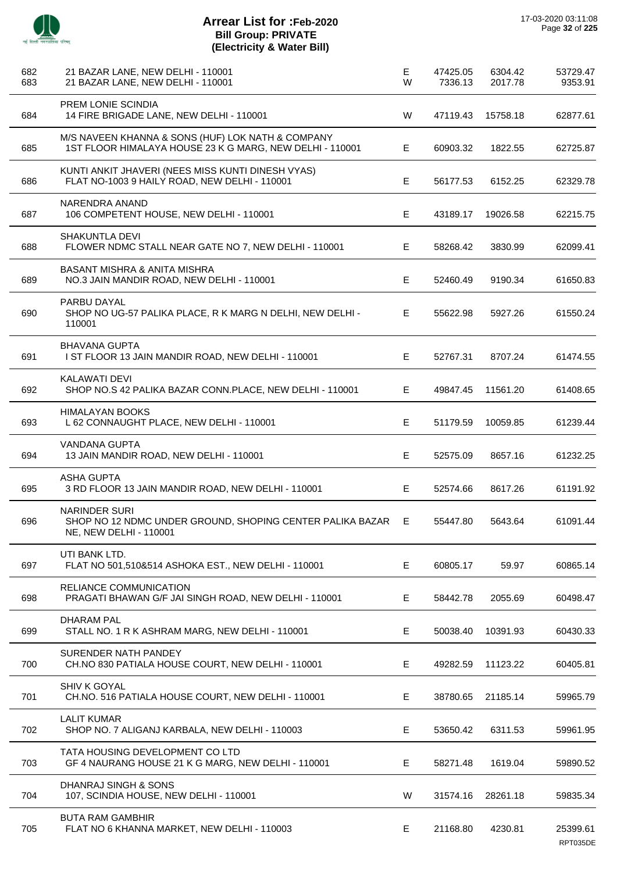

 $\overline{a}$ 

J.

 $\overline{a}$ 

J.

 $\overline{a}$ 

÷.

 $\overline{a}$ 

| 682<br>683 | 21 BAZAR LANE, NEW DELHI - 110001<br>21 BAZAR LANE, NEW DELHI - 110001                                        | E<br>W | 47425.05<br>7336.13 | 6304.42<br>2017.78 | 53729.47<br>9353.91  |
|------------|---------------------------------------------------------------------------------------------------------------|--------|---------------------|--------------------|----------------------|
| 684        | PREM LONIE SCINDIA<br>14 FIRE BRIGADE LANE, NEW DELHI - 110001                                                | W      | 47119.43            | 15758.18           | 62877.61             |
| 685        | M/S NAVEEN KHANNA & SONS (HUF) LOK NATH & COMPANY<br>1ST FLOOR HIMALAYA HOUSE 23 K G MARG, NEW DELHI - 110001 | E      | 60903.32            | 1822.55            | 62725.87             |
| 686        | KUNTI ANKIT JHAVERI (NEES MISS KUNTI DINESH VYAS)<br>FLAT NO-1003 9 HAILY ROAD, NEW DELHI - 110001            | E      | 56177.53            | 6152.25            | 62329.78             |
| 687        | NARENDRA ANAND<br>106 COMPETENT HOUSE, NEW DELHI - 110001                                                     | E      | 43189.17            | 19026.58           | 62215.75             |
| 688        | SHAKUNTLA DEVI<br>FLOWER NDMC STALL NEAR GATE NO 7, NEW DELHI - 110001                                        | E      | 58268.42            | 3830.99            | 62099.41             |
| 689        | <b>BASANT MISHRA &amp; ANITA MISHRA</b><br>NO.3 JAIN MANDIR ROAD, NEW DELHI - 110001                          | Е      | 52460.49            | 9190.34            | 61650.83             |
| 690        | PARBU DAYAL<br>SHOP NO UG-57 PALIKA PLACE, R K MARG N DELHI, NEW DELHI -<br>110001                            | Е      | 55622.98            | 5927.26            | 61550.24             |
| 691        | <b>BHAVANA GUPTA</b><br>I ST FLOOR 13 JAIN MANDIR ROAD, NEW DELHI - 110001                                    | E.     | 52767.31            | 8707.24            | 61474.55             |
| 692        | <b>KALAWATI DEVI</b><br>SHOP NO.S 42 PALIKA BAZAR CONN.PLACE, NEW DELHI - 110001                              | E      | 49847.45            | 11561.20           | 61408.65             |
| 693        | HIMALAYAN BOOKS<br>L 62 CONNAUGHT PLACE, NEW DELHI - 110001                                                   | E.     | 51179.59            | 10059.85           | 61239.44             |
| 694        | <b>VANDANA GUPTA</b><br>13 JAIN MANDIR ROAD, NEW DELHI - 110001                                               | E.     | 52575.09            | 8657.16            | 61232.25             |
| 695        | <b>ASHA GUPTA</b><br>3 RD FLOOR 13 JAIN MANDIR ROAD, NEW DELHI - 110001                                       | Е      | 52574.66            | 8617.26            | 61191.92             |
| 696        | <b>NARINDER SURI</b><br>SHOP NO 12 NDMC UNDER GROUND, SHOPING CENTER PALIKA BAZAR<br>NE, NEW DELHI - 110001   | E      | 55447.80            | 5643.64            | 61091.44             |
| 697        | UTI BANK LTD.<br>FLAT NO 501,510&514 ASHOKA EST., NEW DELHI - 110001                                          | Е      | 60805.17            | 59.97              | 60865.14             |
| 698        | RELIANCE COMMUNICATION<br>PRAGATI BHAWAN G/F JAI SINGH ROAD, NEW DELHI - 110001                               | E      | 58442.78            | 2055.69            | 60498.47             |
| 699        | DHARAM PAL<br>STALL NO. 1 R K ASHRAM MARG, NEW DELHI - 110001                                                 | Е      | 50038.40            | 10391.93           | 60430.33             |
| 700        | SURENDER NATH PANDEY<br>CH.NO 830 PATIALA HOUSE COURT, NEW DELHI - 110001                                     | E      | 49282.59            | 11123.22           | 60405.81             |
| 701        | <b>SHIV K GOYAL</b><br>CH.NO. 516 PATIALA HOUSE COURT, NEW DELHI - 110001                                     | Е      | 38780.65            | 21185.14           | 59965.79             |
| 702        | <b>LALIT KUMAR</b><br>SHOP NO. 7 ALIGANJ KARBALA, NEW DELHI - 110003                                          | Е      | 53650.42            | 6311.53            | 59961.95             |
| 703        | TATA HOUSING DEVELOPMENT CO LTD<br>GF 4 NAURANG HOUSE 21 K G MARG, NEW DELHI - 110001                         | E      | 58271.48            | 1619.04            | 59890.52             |
| 704        | DHANRAJ SINGH & SONS<br>107, SCINDIA HOUSE, NEW DELHI - 110001                                                | W      | 31574.16            | 28261.18           | 59835.34             |
| 705        | <b>BUTA RAM GAMBHIR</b><br>FLAT NO 6 KHANNA MARKET, NEW DELHI - 110003                                        | Е      | 21168.80            | 4230.81            | 25399.61<br>RPT035DE |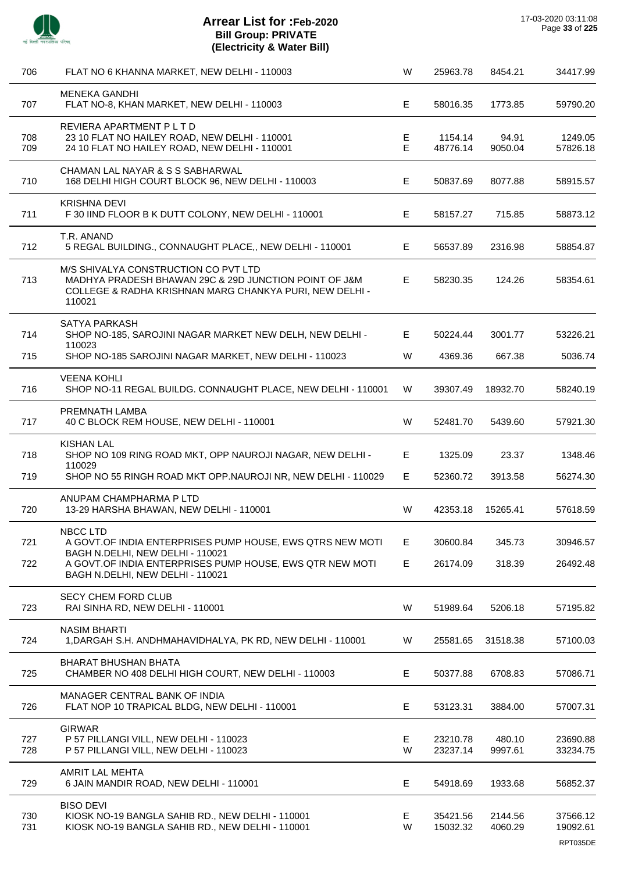

| 706        | FLAT NO 6 KHANNA MARKET, NEW DELHI - 110003                                                                                                                                                               | W       | 25963.78             | 8454.21            | 34417.99                         |
|------------|-----------------------------------------------------------------------------------------------------------------------------------------------------------------------------------------------------------|---------|----------------------|--------------------|----------------------------------|
| 707        | <b>MENEKA GANDHI</b><br>FLAT NO-8, KHAN MARKET, NEW DELHI - 110003                                                                                                                                        | Е       | 58016.35             | 1773.85            | 59790.20                         |
| 708<br>709 | REVIERA APARTMENT P L T D<br>23 10 FLAT NO HAILEY ROAD, NEW DELHI - 110001<br>24 10 FLAT NO HAILEY ROAD, NEW DELHI - 110001                                                                               | Е<br>E. | 1154.14<br>48776.14  | 94.91<br>9050.04   | 1249.05<br>57826.18              |
| 710        | CHAMAN LAL NAYAR & S S SABHARWAL<br>168 DELHI HIGH COURT BLOCK 96, NEW DELHI - 110003                                                                                                                     | E       | 50837.69             | 8077.88            | 58915.57                         |
| 711        | <b>KRISHNA DEVI</b><br>F 30 IIND FLOOR B K DUTT COLONY, NEW DELHI - 110001                                                                                                                                | E       | 58157.27             | 715.85             | 58873.12                         |
| 712        | T.R. ANAND<br>5 REGAL BUILDING., CONNAUGHT PLACE,, NEW DELHI - 110001                                                                                                                                     | E       | 56537.89             | 2316.98            | 58854.87                         |
| 713        | M/S SHIVALYA CONSTRUCTION CO PVT LTD<br>MADHYA PRADESH BHAWAN 29C & 29D JUNCTION POINT OF J&M<br>COLLEGE & RADHA KRISHNAN MARG CHANKYA PURI, NEW DELHI -<br>110021                                        | E       | 58230.35             | 124.26             | 58354.61                         |
| 714        | SATYA PARKASH<br>SHOP NO-185, SAROJINI NAGAR MARKET NEW DELH, NEW DELHI -                                                                                                                                 | E       | 50224.44             | 3001.77            | 53226.21                         |
| 715        | 110023<br>SHOP NO-185 SAROJINI NAGAR MARKET, NEW DELHI - 110023                                                                                                                                           | W       | 4369.36              | 667.38             | 5036.74                          |
| 716        | <b>VEENA KOHLI</b><br>SHOP NO-11 REGAL BUILDG. CONNAUGHT PLACE, NEW DELHI - 110001                                                                                                                        | W       | 39307.49             | 18932.70           | 58240.19                         |
| 717        | PREMNATH LAMBA<br>40 C BLOCK REM HOUSE, NEW DELHI - 110001                                                                                                                                                | W       | 52481.70             | 5439.60            | 57921.30                         |
| 718        | <b>KISHAN LAL</b><br>SHOP NO 109 RING ROAD MKT, OPP NAUROJI NAGAR, NEW DELHI -<br>110029                                                                                                                  | E       | 1325.09              | 23.37              | 1348.46                          |
| 719        | SHOP NO 55 RINGH ROAD MKT OPP.NAUROJI NR, NEW DELHI - 110029                                                                                                                                              | E       | 52360.72             | 3913.58            | 56274.30                         |
| 720        | ANUPAM CHAMPHARMA P LTD<br>13-29 HARSHA BHAWAN, NEW DELHI - 110001                                                                                                                                        | W       | 42353.18             | 15265.41           | 57618.59                         |
| 721<br>722 | NBCC LTD<br>A GOVT.OF INDIA ENTERPRISES PUMP HOUSE, EWS QTRS NEW MOTI<br>BAGH N.DELHI, NEW DELHI - 110021<br>A GOVT.OF INDIA ENTERPRISES PUMP HOUSE, EWS QTR NEW MOTI<br>BAGH N.DELHI, NEW DELHI - 110021 | Е<br>E  | 30600.84<br>26174.09 | 345.73<br>318.39   | 30946.57<br>26492.48             |
| 723        | <b>SECY CHEM FORD CLUB</b><br>RAI SINHA RD, NEW DELHI - 110001                                                                                                                                            | W       | 51989.64             | 5206.18            | 57195.82                         |
| 724        | <b>NASIM BHARTI</b><br>1, DARGAH S.H. ANDHMAHAVIDHALYA, PK RD, NEW DELHI - 110001                                                                                                                         | W       | 25581.65             | 31518.38           | 57100.03                         |
| 725        | <b>BHARAT BHUSHAN BHATA</b><br>CHAMBER NO 408 DELHI HIGH COURT, NEW DELHI - 110003                                                                                                                        | E       | 50377.88             | 6708.83            | 57086.71                         |
| 726        | <b>MANAGER CENTRAL BANK OF INDIA</b><br>FLAT NOP 10 TRAPICAL BLDG, NEW DELHI - 110001                                                                                                                     | Е       | 53123.31             | 3884.00            | 57007.31                         |
| 727<br>728 | <b>GIRWAR</b><br>P 57 PILLANGI VILL, NEW DELHI - 110023<br>P 57 PILLANGI VILL, NEW DELHI - 110023                                                                                                         | E<br>W  | 23210.78<br>23237.14 | 480.10<br>9997.61  | 23690.88<br>33234.75             |
| 729        | AMRIT LAL MEHTA<br>6 JAIN MANDIR ROAD, NEW DELHI - 110001                                                                                                                                                 | Е       | 54918.69             | 1933.68            | 56852.37                         |
| 730<br>731 | <b>BISO DEVI</b><br>KIOSK NO-19 BANGLA SAHIB RD., NEW DELHI - 110001<br>KIOSK NO-19 BANGLA SAHIB RD., NEW DELHI - 110001                                                                                  | E.<br>W | 35421.56<br>15032.32 | 2144.56<br>4060.29 | 37566.12<br>19092.61<br>RPT035DE |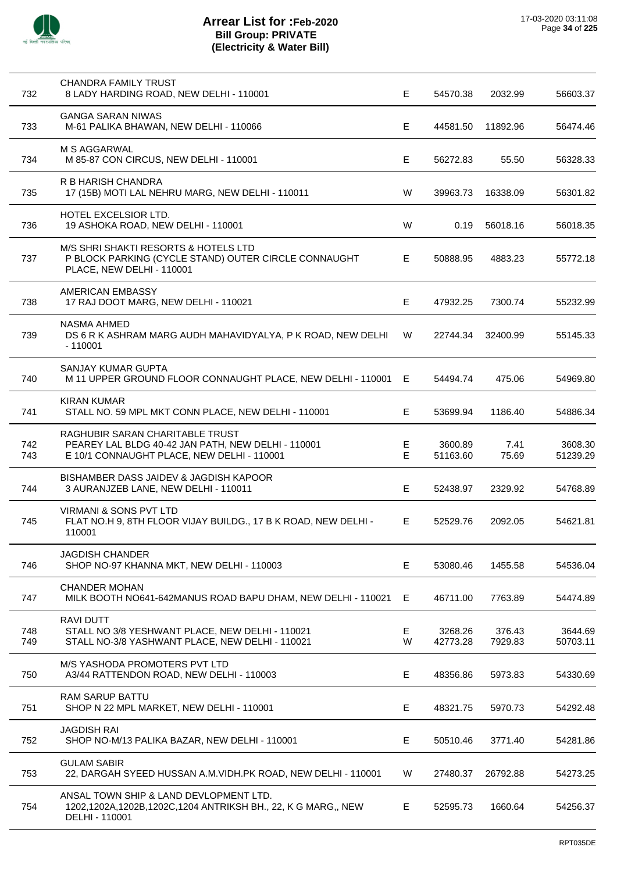

| 732        | CHANDRA FAMILY TRUST<br>8 LADY HARDING ROAD, NEW DELHI - 110001                                                                     | E      | 54570.38            | 2032.99           | 56603.37            |
|------------|-------------------------------------------------------------------------------------------------------------------------------------|--------|---------------------|-------------------|---------------------|
| 733        | <b>GANGA SARAN NIWAS</b><br>M-61 PALIKA BHAWAN, NEW DELHI - 110066                                                                  | E.     | 44581.50            | 11892.96          | 56474.46            |
| 734        | M S AGGARWAL<br>M 85-87 CON CIRCUS, NEW DELHI - 110001                                                                              | E.     | 56272.83            | 55.50             | 56328.33            |
| 735        | R B HARISH CHANDRA<br>17 (15B) MOTI LAL NEHRU MARG, NEW DELHI - 110011                                                              | W      | 39963.73            | 16338.09          | 56301.82            |
| 736        | <b>HOTEL EXCELSIOR LTD.</b><br>19 ASHOKA ROAD, NEW DELHI - 110001                                                                   | W      | 0.19                | 56018.16          | 56018.35            |
| 737        | M/S SHRI SHAKTI RESORTS & HOTELS LTD<br>P BLOCK PARKING (CYCLE STAND) OUTER CIRCLE CONNAUGHT<br>PLACE, NEW DELHI - 110001           | E.     | 50888.95            | 4883.23           | 55772.18            |
| 738        | AMERICAN EMBASSY<br>17 RAJ DOOT MARG, NEW DELHI - 110021                                                                            | E.     | 47932.25            | 7300.74           | 55232.99            |
| 739        | <b>NASMA AHMED</b><br>DS 6 R K ASHRAM MARG AUDH MAHAVIDYALYA, P K ROAD, NEW DELHI<br>$-110001$                                      | W      | 22744.34            | 32400.99          | 55145.33            |
| 740        | SANJAY KUMAR GUPTA<br>M 11 UPPER GROUND FLOOR CONNAUGHT PLACE, NEW DELHI - 110001                                                   | Е      | 54494.74            | 475.06            | 54969.80            |
| 741        | <b>KIRAN KUMAR</b><br>STALL NO. 59 MPL MKT CONN PLACE, NEW DELHI - 110001                                                           | E.     | 53699.94            | 1186.40           | 54886.34            |
| 742<br>743 | RAGHUBIR SARAN CHARITABLE TRUST<br>PEAREY LAL BLDG 40-42 JAN PATH, NEW DELHI - 110001<br>E 10/1 CONNAUGHT PLACE, NEW DELHI - 110001 | Е<br>E | 3600.89<br>51163.60 | 7.41<br>75.69     | 3608.30<br>51239.29 |
| 744        | BISHAMBER DASS JAIDEV & JAGDISH KAPOOR<br>3 AURANJZEB LANE, NEW DELHI - 110011                                                      | E.     | 52438.97            | 2329.92           | 54768.89            |
| 745        | <b>VIRMANI &amp; SONS PVT LTD</b><br>FLAT NO.H 9, 8TH FLOOR VIJAY BUILDG., 17 B K ROAD, NEW DELHI -<br>110001                       | E.     | 52529.76            | 2092.05           | 54621.81            |
| 746        | <b>JAGDISH CHANDER</b><br>SHOP NO-97 KHANNA MKT, NEW DELHI - 110003                                                                 | Е      | 53080.46            | 1455.58           | 54536.04            |
| 747        | <b>CHANDER MOHAN</b><br>MILK BOOTH NO641-642MANUS ROAD BAPU DHAM, NEW DELHI - 110021                                                | Е      | 46711.00            | 7763.89           | 54474.89            |
| 748<br>749 | <b>RAVI DUTT</b><br>STALL NO 3/8 YESHWANT PLACE, NEW DELHI - 110021<br>STALL NO-3/8 YASHWANT PLACE, NEW DELHI - 110021              | E<br>W | 3268.26<br>42773.28 | 376.43<br>7929.83 | 3644.69<br>50703.11 |
| 750        | M/S YASHODA PROMOTERS PVT LTD<br>A3/44 RATTENDON ROAD, NEW DELHI - 110003                                                           | E.     | 48356.86            | 5973.83           | 54330.69            |
| 751        | RAM SARUP BATTU<br>SHOP N 22 MPL MARKET, NEW DELHI - 110001                                                                         | Е      | 48321.75            | 5970.73           | 54292.48            |
| 752        | <b>JAGDISH RAI</b><br>SHOP NO-M/13 PALIKA BAZAR, NEW DELHI - 110001                                                                 | Е      | 50510.46            | 3771.40           | 54281.86            |
| 753        | <b>GULAM SABIR</b><br>22, DARGAH SYEED HUSSAN A.M.VIDH.PK ROAD, NEW DELHI - 110001                                                  | W      | 27480.37            | 26792.88          | 54273.25            |
| 754        | ANSAL TOWN SHIP & LAND DEVLOPMENT LTD.<br>1202,1202A,1202B,1202C,1204 ANTRIKSH BH., 22, K G MARG,, NEW<br>DELHI - 110001            | E.     | 52595.73            | 1660.64           | 54256.37            |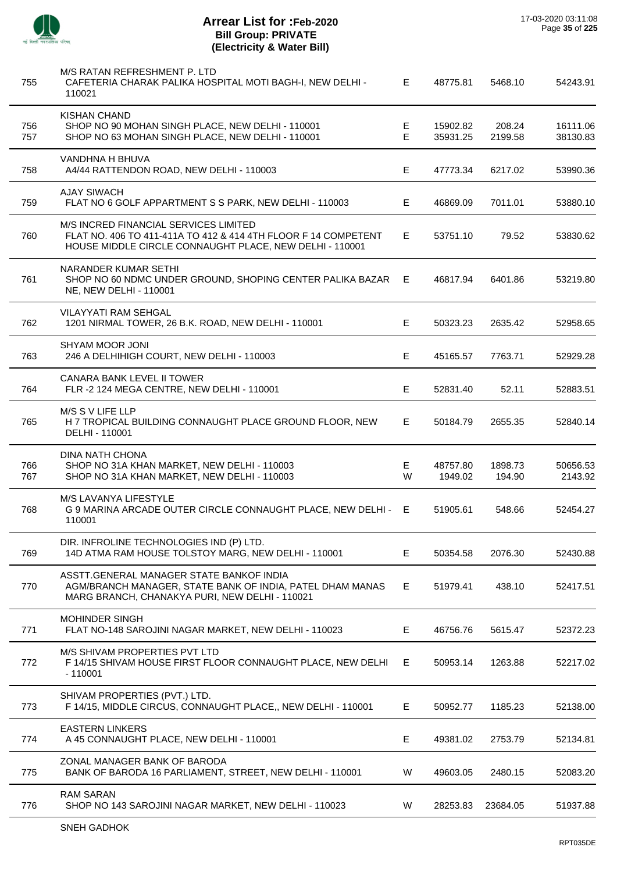

 $\overline{\phantom{a}}$ 

J.

 $\overline{a}$ 

J.

| 755        | M/S RATAN REFRESHMENT P. LTD<br>CAFETERIA CHARAK PALIKA HOSPITAL MOTI BAGH-I, NEW DELHI -<br>110021                                                                | E.     | 48775.81             | 5468.10           | 54243.91             |
|------------|--------------------------------------------------------------------------------------------------------------------------------------------------------------------|--------|----------------------|-------------------|----------------------|
| 756<br>757 | <b>KISHAN CHAND</b><br>SHOP NO 90 MOHAN SINGH PLACE, NEW DELHI - 110001<br>SHOP NO 63 MOHAN SINGH PLACE, NEW DELHI - 110001                                        | Е<br>E | 15902.82<br>35931.25 | 208.24<br>2199.58 | 16111.06<br>38130.83 |
| 758        | VANDHNA H BHUVA<br>A4/44 RATTENDON ROAD, NEW DELHI - 110003                                                                                                        | E      | 47773.34             | 6217.02           | 53990.36             |
| 759        | <b>AJAY SIWACH</b><br>FLAT NO 6 GOLF APPARTMENT S S PARK, NEW DELHI - 110003                                                                                       | E.     | 46869.09             | 7011.01           | 53880.10             |
| 760        | M/S INCRED FINANCIAL SERVICES LIMITED<br>FLAT NO. 406 TO 411-411A TO 412 & 414 4TH FLOOR F 14 COMPETENT<br>HOUSE MIDDLE CIRCLE CONNAUGHT PLACE, NEW DELHI - 110001 | E.     | 53751.10             | 79.52             | 53830.62             |
| 761        | NARANDER KUMAR SETHI<br>SHOP NO 60 NDMC UNDER GROUND, SHOPING CENTER PALIKA BAZAR<br>NE, NEW DELHI - 110001                                                        | E      | 46817.94             | 6401.86           | 53219.80             |
| 762        | VILAYYATI RAM SEHGAL<br>1201 NIRMAL TOWER, 26 B.K. ROAD, NEW DELHI - 110001                                                                                        | E      | 50323.23             | 2635.42           | 52958.65             |
| 763        | <b>SHYAM MOOR JONI</b><br>246 A DELHIHIGH COURT, NEW DELHI - 110003                                                                                                | E      | 45165.57             | 7763.71           | 52929.28             |
| 764        | <b>CANARA BANK LEVEL II TOWER</b><br>FLR-2 124 MEGA CENTRE, NEW DELHI - 110001                                                                                     | E.     | 52831.40             | 52.11             | 52883.51             |
| 765        | M/S S V LIFE LLP<br>H 7 TROPICAL BUILDING CONNAUGHT PLACE GROUND FLOOR, NEW<br>DELHI - 110001                                                                      | E.     | 50184.79             | 2655.35           | 52840.14             |
| 766<br>767 | DINA NATH CHONA<br>SHOP NO 31A KHAN MARKET, NEW DELHI - 110003<br>SHOP NO 31A KHAN MARKET, NEW DELHI - 110003                                                      | Е<br>W | 48757.80<br>1949.02  | 1898.73<br>194.90 | 50656.53<br>2143.92  |
| 768        | M/S LAVANYA LIFESTYLE<br>G 9 MARINA ARCADE OUTER CIRCLE CONNAUGHT PLACE, NEW DELHI - E<br>110001                                                                   |        | 51905.61             | 548.66            | 52454.27             |
| 769        | DIR. INFROLINE TECHNOLOGIES IND (P) LTD.<br>14D ATMA RAM HOUSE TOLSTOY MARG, NEW DELHI - 110001                                                                    | E      | 50354.58             | 2076.30           | 52430.88             |
| 770        | ASSTT.GENERAL MANAGER STATE BANKOF INDIA<br>AGM/BRANCH MANAGER, STATE BANK OF INDIA, PATEL DHAM MANAS<br>MARG BRANCH, CHANAKYA PURI, NEW DELHI - 110021            | E      | 51979.41             | 438.10            | 52417.51             |
| 771        | <b>MOHINDER SINGH</b><br>FLAT NO-148 SAROJINI NAGAR MARKET, NEW DELHI - 110023                                                                                     | E.     | 46756.76             | 5615.47           | 52372.23             |
| 772        | M/S SHIVAM PROPERTIES PVT LTD<br>F 14/15 SHIVAM HOUSE FIRST FLOOR CONNAUGHT PLACE, NEW DELHI<br>$-110001$                                                          | Е      | 50953.14             | 1263.88           | 52217.02             |
| 773        | SHIVAM PROPERTIES (PVT.) LTD.<br>F 14/15, MIDDLE CIRCUS, CONNAUGHT PLACE,, NEW DELHI - 110001                                                                      | Е      | 50952.77             | 1185.23           | 52138.00             |
| 774        | <b>EASTERN LINKERS</b><br>A 45 CONNAUGHT PLACE, NEW DELHI - 110001                                                                                                 | E      | 49381.02             | 2753.79           | 52134.81             |
| 775        | ZONAL MANAGER BANK OF BARODA<br>BANK OF BARODA 16 PARLIAMENT, STREET, NEW DELHI - 110001                                                                           | W      | 49603.05             | 2480.15           | 52083.20             |
| 776        | <b>RAM SARAN</b><br>SHOP NO 143 SAROJINI NAGAR MARKET, NEW DELHI - 110023                                                                                          | W      | 28253.83             | 23684.05          | 51937.88             |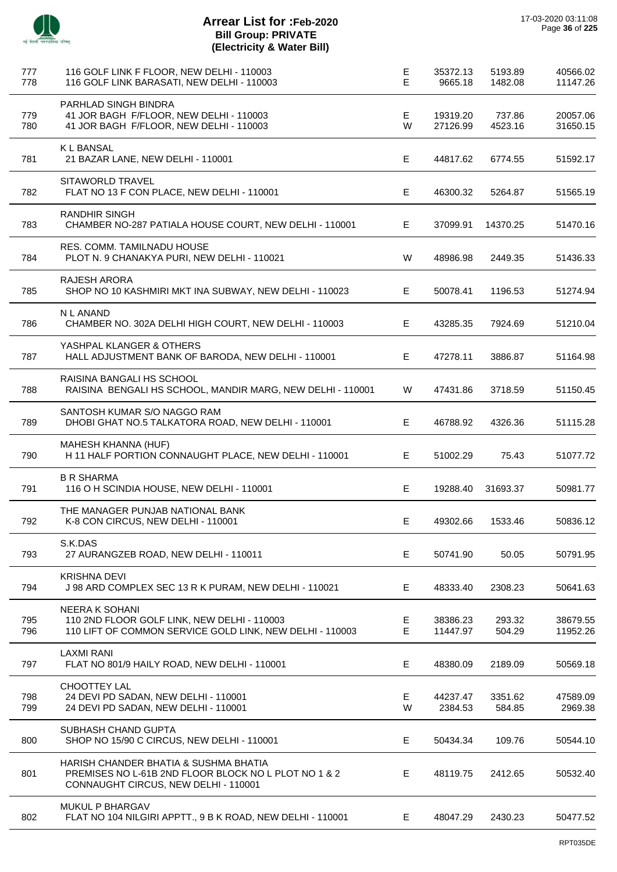| 777<br>778 | 116 GOLF LINK F FLOOR, NEW DELHI - 110003<br>116 GOLF LINK BARASATI, NEW DELHI - 110003                                               | E<br>E | 35372.13<br>9665.18  | 5193.89<br>1482.08 | 40566.02<br>11147.26 |
|------------|---------------------------------------------------------------------------------------------------------------------------------------|--------|----------------------|--------------------|----------------------|
| 779<br>780 | PARHLAD SINGH BINDRA<br>41 JOR BAGH F/FLOOR, NEW DELHI - 110003<br>41 JOR BAGH F/FLOOR, NEW DELHI - 110003                            | E<br>W | 19319.20<br>27126.99 | 737.86<br>4523.16  | 20057.06<br>31650.15 |
| 781        | <b>KLBANSAL</b><br>21 BAZAR LANE, NEW DELHI - 110001                                                                                  | E      | 44817.62             | 6774.55            | 51592.17             |
| 782        | <b>SITAWORLD TRAVEL</b><br>FLAT NO 13 F CON PLACE, NEW DELHI - 110001                                                                 | Е      | 46300.32             | 5264.87            | 51565.19             |
| 783        | <b>RANDHIR SINGH</b><br>CHAMBER NO-287 PATIALA HOUSE COURT, NEW DELHI - 110001                                                        | Е      | 37099.91             | 14370.25           | 51470.16             |
| 784        | RES. COMM. TAMILNADU HOUSE<br>PLOT N. 9 CHANAKYA PURI, NEW DELHI - 110021                                                             | W      | 48986.98             | 2449.35            | 51436.33             |
| 785        | RAJESH ARORA<br>SHOP NO 10 KASHMIRI MKT INA SUBWAY, NEW DELHI - 110023                                                                | Е      | 50078.41             | 1196.53            | 51274.94             |
| 786        | N L ANAND<br>CHAMBER NO. 302A DELHI HIGH COURT, NEW DELHI - 110003                                                                    | Е      | 43285.35             | 7924.69            | 51210.04             |
| 787        | YASHPAL KLANGER & OTHERS<br>HALL ADJUSTMENT BANK OF BARODA, NEW DELHI - 110001                                                        | Е      | 47278.11             | 3886.87            | 51164.98             |
| 788        | RAISINA BANGALI HS SCHOOL<br>RAISINA BENGALI HS SCHOOL, MANDIR MARG, NEW DELHI - 110001                                               | W      | 47431.86             | 3718.59            | 51150.45             |
| 789        | SANTOSH KUMAR S/O NAGGO RAM<br>DHOBI GHAT NO.5 TALKATORA ROAD, NEW DELHI - 110001                                                     | Е      | 46788.92             | 4326.36            | 51115.28             |
| 790        | MAHESH KHANNA (HUF)<br>H 11 HALF PORTION CONNAUGHT PLACE, NEW DELHI - 110001                                                          | E.     | 51002.29             | 75.43              | 51077.72             |
| 791        | <b>B R SHARMA</b><br>116 O H SCINDIA HOUSE, NEW DELHI - 110001                                                                        | Е      | 19288.40             | 31693.37           | 50981.77             |
| 792        | THE MANAGER PUNJAB NATIONAL BANK<br>K-8 CON CIRCUS, NEW DELHI - 110001                                                                | Е      | 49302.66             | 1533.46            | 50836.12             |
| 793        | S.K.DAS<br>27 AURANGZEB ROAD, NEW DELHI - 110011                                                                                      | E      | 50741.90             | 50.05              | 50791.95             |
| 794        | <b>KRISHNA DEVI</b><br>J 98 ARD COMPLEX SEC 13 R K PURAM, NEW DELHI - 110021                                                          | Е      | 48333.40             | 2308.23            | 50641.63             |
| 795<br>796 | <b>NEERA K SOHANI</b><br>110 2ND FLOOR GOLF LINK, NEW DELHI - 110003<br>110 LIFT OF COMMON SERVICE GOLD LINK, NEW DELHI - 110003      | Е<br>E | 38386.23<br>11447.97 | 293.32<br>504.29   | 38679.55<br>11952.26 |
| 797        | <b>LAXMI RANI</b><br>FLAT NO 801/9 HAILY ROAD, NEW DELHI - 110001                                                                     | E      | 48380.09             | 2189.09            | 50569.18             |
| 798<br>799 | CHOOTTEY LAL<br>24 DEVI PD SADAN, NEW DELHI - 110001<br>24 DEVI PD SADAN, NEW DELHI - 110001                                          | Е<br>W | 44237.47<br>2384.53  | 3351.62<br>584.85  | 47589.09<br>2969.38  |
| 800        | SUBHASH CHAND GUPTA<br>SHOP NO 15/90 C CIRCUS, NEW DELHI - 110001                                                                     | E      | 50434.34             | 109.76             | 50544.10             |
| 801        | HARISH CHANDER BHATIA & SUSHMA BHATIA<br>PREMISES NO L-61B 2ND FLOOR BLOCK NO L PLOT NO 1 & 2<br>CONNAUGHT CIRCUS, NEW DELHI - 110001 | E.     | 48119.75             | 2412.65            | 50532.40             |
| 802        | MUKUL P BHARGAV<br>FLAT NO 104 NILGIRI APPTT., 9 B K ROAD, NEW DELHI - 110001                                                         | E.     | 48047.29             | 2430.23            | 50477.52             |
|            |                                                                                                                                       |        |                      |                    |                      |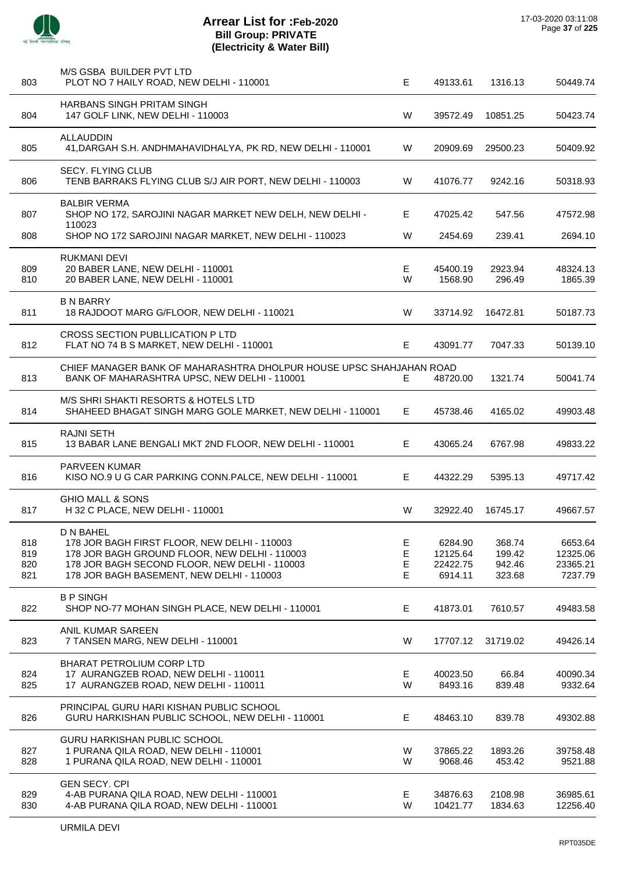

| 803                      | M/S GSBA BUILDER PVT LTD<br>PLOT NO 7 HAILY ROAD, NEW DELHI - 110001                                                                                                                                     | E                          | 49133.61                                   | 1316.13                              | 50449.74                                   |
|--------------------------|----------------------------------------------------------------------------------------------------------------------------------------------------------------------------------------------------------|----------------------------|--------------------------------------------|--------------------------------------|--------------------------------------------|
| 804                      | <b>HARBANS SINGH PRITAM SINGH</b><br>147 GOLF LINK, NEW DELHI - 110003                                                                                                                                   | W                          | 39572.49                                   | 10851.25                             | 50423.74                                   |
| 805                      | <b>ALLAUDDIN</b><br>41, DARGAH S.H. ANDHMAHAVIDHALYA, PK RD, NEW DELHI - 110001                                                                                                                          | W                          | 20909.69                                   | 29500.23                             | 50409.92                                   |
| 806                      | SECY. FLYING CLUB<br>TENB BARRAKS FLYING CLUB S/J AIR PORT, NEW DELHI - 110003                                                                                                                           | W                          | 41076.77                                   | 9242.16                              | 50318.93                                   |
| 807                      | <b>BALBIR VERMA</b><br>SHOP NO 172, SAROJINI NAGAR MARKET NEW DELH, NEW DELHI -<br>110023                                                                                                                | E                          | 47025.42                                   | 547.56                               | 47572.98                                   |
| 808                      | SHOP NO 172 SAROJINI NAGAR MARKET, NEW DELHI - 110023                                                                                                                                                    | W                          | 2454.69                                    | 239.41                               | 2694.10                                    |
| 809<br>810               | <b>RUKMANI DEVI</b><br>20 BABER LANE, NEW DELHI - 110001<br>20 BABER LANE, NEW DELHI - 110001                                                                                                            | Е<br>W                     | 45400.19<br>1568.90                        | 2923.94<br>296.49                    | 48324.13<br>1865.39                        |
| 811                      | <b>B N BARRY</b><br>18 RAJDOOT MARG G/FLOOR, NEW DELHI - 110021                                                                                                                                          | W                          | 33714.92                                   | 16472.81                             | 50187.73                                   |
| 812                      | CROSS SECTION PUBLLICATION P LTD<br>FLAT NO 74 B S MARKET, NEW DELHI - 110001                                                                                                                            | Е                          | 43091.77                                   | 7047.33                              | 50139.10                                   |
| 813                      | CHIEF MANAGER BANK OF MAHARASHTRA DHOLPUR HOUSE UPSC SHAHJAHAN ROAD<br>BANK OF MAHARASHTRA UPSC, NEW DELHI - 110001                                                                                      | E.                         | 48720.00                                   | 1321.74                              | 50041.74                                   |
| 814                      | M/S SHRI SHAKTI RESORTS & HOTELS LTD<br>SHAHEED BHAGAT SINGH MARG GOLE MARKET, NEW DELHI - 110001                                                                                                        | Е                          | 45738.46                                   | 4165.02                              | 49903.48                                   |
| 815                      | <b>RAJNI SETH</b><br>13 BABAR LANE BENGALI MKT 2ND FLOOR, NEW DELHI - 110001                                                                                                                             | E                          | 43065.24                                   | 6767.98                              | 49833.22                                   |
| 816                      | <b>PARVEEN KUMAR</b><br>KISO NO.9 U G CAR PARKING CONN.PALCE, NEW DELHI - 110001                                                                                                                         | E                          | 44322.29                                   | 5395.13                              | 49717.42                                   |
| 817                      | GHIO MALL & SONS<br>H 32 C PLACE, NEW DELHI - 110001                                                                                                                                                     | W                          | 32922.40                                   | 16745.17                             | 49667.57                                   |
| 818<br>819<br>820<br>821 | D N BAHEL<br>178 JOR BAGH FIRST FLOOR, NEW DELHI - 110003<br>178 JOR BAGH GROUND FLOOR, NEW DELHI - 110003<br>178 JOR BAGH SECOND FLOOR, NEW DELHI - 110003<br>178 JOR BAGH BASEMENT, NEW DELHI - 110003 | Е<br>$\mathsf E$<br>E<br>Е | 6284.90<br>12125.64<br>22422.75<br>6914.11 | 368.74<br>199.42<br>942.46<br>323.68 | 6653.64<br>12325.06<br>23365.21<br>7237.79 |
| 822                      | <b>B P SINGH</b><br>SHOP NO-77 MOHAN SINGH PLACE, NEW DELHI - 110001                                                                                                                                     | E                          | 41873.01                                   | 7610.57                              | 49483.58                                   |
| 823                      | ANIL KUMAR SAREEN<br>7 TANSEN MARG, NEW DELHI - 110001                                                                                                                                                   | W                          | 17707.12                                   | 31719.02                             | 49426.14                                   |
| 824<br>825               | BHARAT PETROLIUM CORP LTD<br>17 AURANGZEB ROAD, NEW DELHI - 110011<br>17 AURANGZEB ROAD, NEW DELHI - 110011                                                                                              | Е<br>W                     | 40023.50<br>8493.16                        | 66.84<br>839.48                      | 40090.34<br>9332.64                        |
| 826                      | PRINCIPAL GURU HARI KISHAN PUBLIC SCHOOL<br>GURU HARKISHAN PUBLIC SCHOOL, NEW DELHI - 110001                                                                                                             | E                          | 48463.10                                   | 839.78                               | 49302.88                                   |
| 827<br>828               | GURU HARKISHAN PUBLIC SCHOOL<br>1 PURANA QILA ROAD, NEW DELHI - 110001<br>1 PURANA QILA ROAD, NEW DELHI - 110001                                                                                         | W<br>W                     | 37865.22<br>9068.46                        | 1893.26<br>453.42                    | 39758.48<br>9521.88                        |
| 829<br>830               | <b>GEN SECY. CPI</b><br>4-AB PURANA QILA ROAD, NEW DELHI - 110001<br>4-AB PURANA QILA ROAD, NEW DELHI - 110001                                                                                           | E<br>W                     | 34876.63<br>10421.77                       | 2108.98<br>1834.63                   | 36985.61<br>12256.40                       |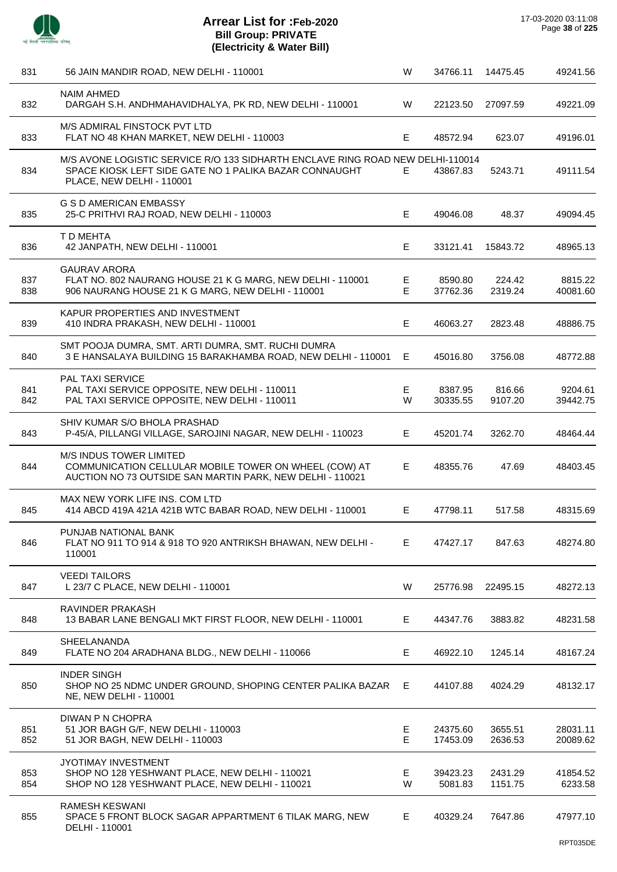

 $\overline{a}$ 

 $\overline{a}$ 

 $\overline{a}$ 

J.

 $\overline{a}$ 

| 831        | 56 JAIN MANDIR ROAD, NEW DELHI - 110001                                                                                                                               | W       | 34766.11             | 14475.45           | 49241.56             |
|------------|-----------------------------------------------------------------------------------------------------------------------------------------------------------------------|---------|----------------------|--------------------|----------------------|
| 832        | <b>NAIM AHMED</b><br>DARGAH S.H. ANDHMAHAVIDHALYA, PK RD, NEW DELHI - 110001                                                                                          | W       | 22123.50             | 27097.59           | 49221.09             |
| 833        | M/S ADMIRAL FINSTOCK PVT LTD<br>FLAT NO 48 KHAN MARKET, NEW DELHI - 110003                                                                                            | Е       | 48572.94             | 623.07             | 49196.01             |
| 834        | M/S AVONE LOGISTIC SERVICE R/O 133 SIDHARTH ENCLAVE RING ROAD NEW DELHI-110014<br>SPACE KIOSK LEFT SIDE GATE NO 1 PALIKA BAZAR CONNAUGHT<br>PLACE, NEW DELHI - 110001 | Е.      | 43867.83             | 5243.71            | 49111.54             |
| 835        | <b>G S D AMERICAN EMBASSY</b><br>25-C PRITHVI RAJ ROAD, NEW DELHI - 110003                                                                                            | Е       | 49046.08             | 48.37              | 49094.45             |
| 836        | T D MEHTA<br>42 JANPATH, NEW DELHI - 110001                                                                                                                           | E.      | 33121.41             | 15843.72           | 48965.13             |
| 837<br>838 | <b>GAURAV ARORA</b><br>FLAT NO. 802 NAURANG HOUSE 21 K G MARG, NEW DELHI - 110001<br>906 NAURANG HOUSE 21 K G MARG, NEW DELHI - 110001                                | E<br>E  | 8590.80<br>37762.36  | 224.42<br>2319.24  | 8815.22<br>40081.60  |
| 839        | KAPUR PROPERTIES AND INVESTMENT<br>410 INDRA PRAKASH, NEW DELHI - 110001                                                                                              | E.      | 46063.27             | 2823.48            | 48886.75             |
| 840        | SMT POOJA DUMRA, SMT. ARTI DUMRA, SMT. RUCHI DUMRA<br>3 E HANSALAYA BUILDING 15 BARAKHAMBA ROAD, NEW DELHI - 110001                                                   | Е       | 45016.80             | 3756.08            | 48772.88             |
| 841<br>842 | <b>PAL TAXI SERVICE</b><br>PAL TAXI SERVICE OPPOSITE, NEW DELHI - 110011<br>PAL TAXI SERVICE OPPOSITE, NEW DELHI - 110011                                             | E.<br>W | 8387.95<br>30335.55  | 816.66<br>9107.20  | 9204.61<br>39442.75  |
| 843        | SHIV KUMAR S/O BHOLA PRASHAD<br>P-45/A, PILLANGI VILLAGE, SAROJINI NAGAR, NEW DELHI - 110023                                                                          | E.      | 45201.74             | 3262.70            | 48464.44             |
| 844        | M/S INDUS TOWER LIMITED<br>COMMUNICATION CELLULAR MOBILE TOWER ON WHEEL (COW) AT<br>AUCTION NO 73 OUTSIDE SAN MARTIN PARK, NEW DELHI - 110021                         | Е       | 48355.76             | 47.69              | 48403.45             |
| 845        | MAX NEW YORK LIFE INS. COM LTD<br>414 ABCD 419A 421A 421B WTC BABAR ROAD, NEW DELHI - 110001                                                                          | E.      | 47798.11             | 517.58             | 48315.69             |
| 846        | PUNJAB NATIONAL BANK<br>FLAT NO 911 TO 914 & 918 TO 920 ANTRIKSH BHAWAN, NEW DELHI -<br>110001                                                                        | E.      | 47427.17             | 847.63             | 48274.80             |
| 847        | <b>VEEDI TAILORS</b><br>L 23/7 C PLACE, NEW DELHI - 110001                                                                                                            | W       | 25776.98             | 22495.15           | 48272.13             |
| 848        | RAVINDER PRAKASH<br>13 BABAR LANE BENGALI MKT FIRST FLOOR, NEW DELHI - 110001                                                                                         | E.      | 44347.76             | 3883.82            | 48231.58             |
| 849        | <b>SHEELANANDA</b><br>FLATE NO 204 ARADHANA BLDG., NEW DELHI - 110066                                                                                                 | Е       | 46922.10             | 1245.14            | 48167.24             |
| 850        | <b>INDER SINGH</b><br>SHOP NO 25 NDMC UNDER GROUND, SHOPING CENTER PALIKA BAZAR<br>NE, NEW DELHI - 110001                                                             | E.      | 44107.88             | 4024.29            | 48132.17             |
| 851<br>852 | DIWAN P N CHOPRA<br>51 JOR BAGH G/F, NEW DELHI - 110003<br>51 JOR BAGH, NEW DELHI - 110003                                                                            | Е<br>E  | 24375.60<br>17453.09 | 3655.51<br>2636.53 | 28031.11<br>20089.62 |
| 853<br>854 | JYOTIMAY INVESTMENT<br>SHOP NO 128 YESHWANT PLACE, NEW DELHI - 110021<br>SHOP NO 128 YESHWANT PLACE, NEW DELHI - 110021                                               | E.<br>W | 39423.23<br>5081.83  | 2431.29<br>1151.75 | 41854.52<br>6233.58  |
| 855        | <b>RAMESH KESWANI</b><br>SPACE 5 FRONT BLOCK SAGAR APPARTMENT 6 TILAK MARG, NEW<br>DELHI - 110001                                                                     | E.      | 40329.24             | 7647.86            | 47977.10             |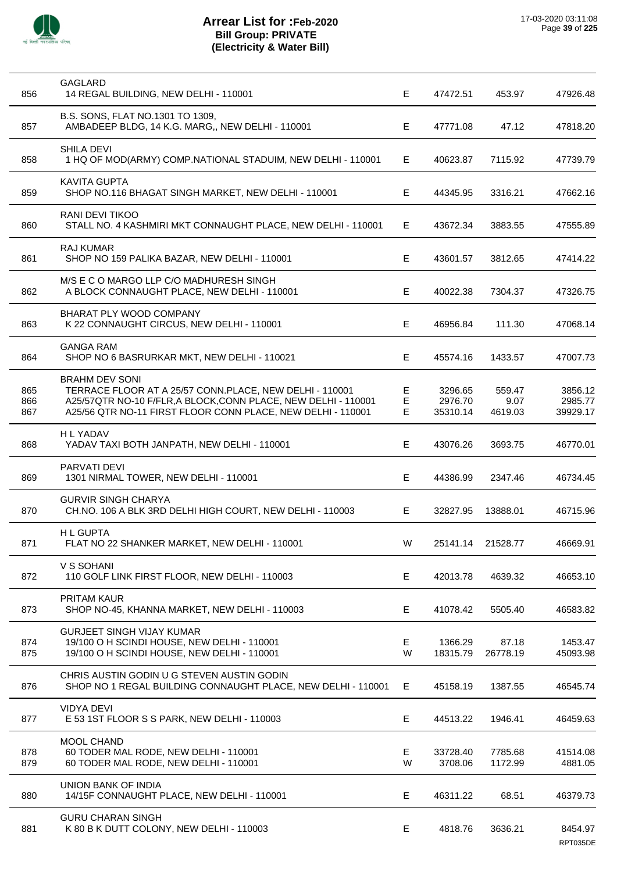

| 856               | <b>GAGLARD</b><br>14 REGAL BUILDING, NEW DELHI - 110001                                                                                                                                                           | E.           | 47472.51                       | 453.97                    | 47926.48                       |
|-------------------|-------------------------------------------------------------------------------------------------------------------------------------------------------------------------------------------------------------------|--------------|--------------------------------|---------------------------|--------------------------------|
| 857               | B.S. SONS, FLAT NO.1301 TO 1309,<br>AMBADEEP BLDG, 14 K.G. MARG,, NEW DELHI - 110001                                                                                                                              | Е            | 47771.08                       | 47.12                     | 47818.20                       |
| 858               | <b>SHILA DEVI</b><br>1 HQ OF MOD(ARMY) COMP.NATIONAL STADUIM, NEW DELHI - 110001                                                                                                                                  | E.           | 40623.87                       | 7115.92                   | 47739.79                       |
| 859               | <b>KAVITA GUPTA</b><br>SHOP NO.116 BHAGAT SINGH MARKET, NEW DELHI - 110001                                                                                                                                        | Е            | 44345.95                       | 3316.21                   | 47662.16                       |
| 860               | RANI DEVI TIKOO<br>STALL NO. 4 KASHMIRI MKT CONNAUGHT PLACE, NEW DELHI - 110001                                                                                                                                   | Е            | 43672.34                       | 3883.55                   | 47555.89                       |
| 861               | RAJ KUMAR<br>SHOP NO 159 PALIKA BAZAR, NEW DELHI - 110001                                                                                                                                                         | E.           | 43601.57                       | 3812.65                   | 47414.22                       |
| 862               | M/S E C O MARGO LLP C/O MADHURESH SINGH<br>A BLOCK CONNAUGHT PLACE, NEW DELHI - 110001                                                                                                                            | E            | 40022.38                       | 7304.37                   | 47326.75                       |
| 863               | BHARAT PLY WOOD COMPANY<br>K 22 CONNAUGHT CIRCUS, NEW DELHI - 110001                                                                                                                                              | Е            | 46956.84                       | 111.30                    | 47068.14                       |
| 864               | <b>GANGA RAM</b><br>SHOP NO 6 BASRURKAR MKT, NEW DELHI - 110021                                                                                                                                                   | Е            | 45574.16                       | 1433.57                   | 47007.73                       |
| 865<br>866<br>867 | <b>BRAHM DEV SONI</b><br>TERRACE FLOOR AT A 25/57 CONN.PLACE, NEW DELHI - 110001<br>A25/57QTR NO-10 F/FLR, A BLOCK, CONN PLACE, NEW DELHI - 110001<br>A25/56 QTR NO-11 FIRST FLOOR CONN PLACE, NEW DELHI - 110001 | Е<br>Е<br>E. | 3296.65<br>2976.70<br>35310.14 | 559.47<br>9.07<br>4619.03 | 3856.12<br>2985.77<br>39929.17 |
| 868               | <b>HLYADAV</b><br>YADAV TAXI BOTH JANPATH, NEW DELHI - 110001                                                                                                                                                     | Е            | 43076.26                       | 3693.75                   | 46770.01                       |
| 869               | PARVATI DEVI<br>1301 NIRMAL TOWER, NEW DELHI - 110001                                                                                                                                                             | E.           | 44386.99                       | 2347.46                   | 46734.45                       |
| 870               | <b>GURVIR SINGH CHARYA</b><br>CH.NO. 106 A BLK 3RD DELHI HIGH COURT, NEW DELHI - 110003                                                                                                                           | Е            | 32827.95                       | 13888.01                  | 46715.96                       |
| 871               | <b>HL GUPTA</b><br>FLAT NO 22 SHANKER MARKET, NEW DELHI - 110001                                                                                                                                                  | W            | 25141.14                       | 21528.77                  | 46669.91                       |
| 872               | V S SOHANI<br>110 GOLF LINK FIRST FLOOR, NEW DELHI - 110003                                                                                                                                                       | Е            | 42013.78                       | 4639.32                   | 46653.10                       |
| 873               | PRITAM KAUR<br>SHOP NO-45, KHANNA MARKET, NEW DELHI - 110003                                                                                                                                                      | Е            | 41078.42                       | 5505.40                   | 46583.82                       |
| 874<br>875        | <b>GURJEET SINGH VIJAY KUMAR</b><br>19/100 O H SCINDI HOUSE, NEW DELHI - 110001<br>19/100 O H SCINDI HOUSE, NEW DELHI - 110001                                                                                    | Е<br>W       | 1366.29<br>18315.79            | 87.18<br>26778.19         | 1453.47<br>45093.98            |
| 876               | CHRIS AUSTIN GODIN U G STEVEN AUSTIN GODIN<br>SHOP NO 1 REGAL BUILDING CONNAUGHT PLACE, NEW DELHI - 110001                                                                                                        | E.           | 45158.19                       | 1387.55                   | 46545.74                       |
| 877               | <b>VIDYA DEVI</b><br>E 53 1ST FLOOR S S PARK, NEW DELHI - 110003                                                                                                                                                  | Е            | 44513.22                       | 1946.41                   | 46459.63                       |
| 878<br>879        | MOOL CHAND<br>60 TODER MAL RODE, NEW DELHI - 110001<br>60 TODER MAL RODE, NEW DELHI - 110001                                                                                                                      | Е<br>W       | 33728.40<br>3708.06            | 7785.68<br>1172.99        | 41514.08<br>4881.05            |
| 880               | UNION BANK OF INDIA<br>14/15F CONNAUGHT PLACE, NEW DELHI - 110001                                                                                                                                                 | Е            | 46311.22                       | 68.51                     | 46379.73                       |
| 881               | <b>GURU CHARAN SINGH</b><br>K 80 B K DUTT COLONY, NEW DELHI - 110003                                                                                                                                              | E            | 4818.76                        | 3636.21                   | 8454.97<br>RPT035DE            |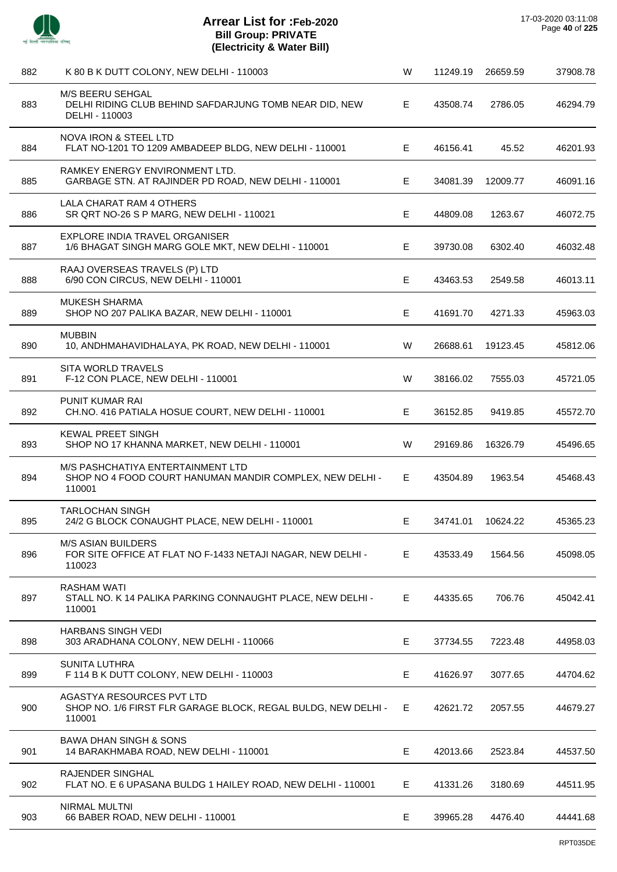

 $\overline{a}$ 

 $\sim$ 

l.

| 882 | K 80 B K DUTT COLONY, NEW DELHI - 110003                                                                | W  | 11249.19 | 26659.59 | 37908.78 |
|-----|---------------------------------------------------------------------------------------------------------|----|----------|----------|----------|
| 883 | M/S BEERU SEHGAL<br>DELHI RIDING CLUB BEHIND SAFDARJUNG TOMB NEAR DID, NEW<br>DELHI - 110003            | E. | 43508.74 | 2786.05  | 46294.79 |
| 884 | NOVA IRON & STEEL LTD<br>FLAT NO-1201 TO 1209 AMBADEEP BLDG, NEW DELHI - 110001                         | E. | 46156.41 | 45.52    | 46201.93 |
| 885 | RAMKEY ENERGY ENVIRONMENT LTD.<br>GARBAGE STN. AT RAJINDER PD ROAD, NEW DELHI - 110001                  | E. | 34081.39 | 12009.77 | 46091.16 |
| 886 | LALA CHARAT RAM 4 OTHERS<br>SR QRT NO-26 S P MARG, NEW DELHI - 110021                                   | Е  | 44809.08 | 1263.67  | 46072.75 |
| 887 | EXPLORE INDIA TRAVEL ORGANISER<br>1/6 BHAGAT SINGH MARG GOLE MKT, NEW DELHI - 110001                    | Е  | 39730.08 | 6302.40  | 46032.48 |
| 888 | RAAJ OVERSEAS TRAVELS (P) LTD<br>6/90 CON CIRCUS, NEW DELHI - 110001                                    | E  | 43463.53 | 2549.58  | 46013.11 |
| 889 | MUKESH SHARMA<br>SHOP NO 207 PALIKA BAZAR, NEW DELHI - 110001                                           | Е  | 41691.70 | 4271.33  | 45963.03 |
| 890 | <b>MUBBIN</b><br>10, ANDHMAHAVIDHALAYA, PK ROAD, NEW DELHI - 110001                                     | W  | 26688.61 | 19123.45 | 45812.06 |
| 891 | <b>SITA WORLD TRAVELS</b><br>F-12 CON PLACE, NEW DELHI - 110001                                         | W  | 38166.02 | 7555.03  | 45721.05 |
| 892 | PUNIT KUMAR RAI<br>CH.NO. 416 PATIALA HOSUE COURT, NEW DELHI - 110001                                   | E. | 36152.85 | 9419.85  | 45572.70 |
| 893 | <b>KEWAL PREET SINGH</b><br>SHOP NO 17 KHANNA MARKET, NEW DELHI - 110001                                | W  | 29169.86 | 16326.79 | 45496.65 |
| 894 | M/S PASHCHATIYA ENTERTAINMENT LTD<br>SHOP NO 4 FOOD COURT HANUMAN MANDIR COMPLEX, NEW DELHI -<br>110001 | Е  | 43504.89 | 1963.54  | 45468.43 |
| 895 | TARLOCHAN SINGH<br>24/2 G BLOCK CONAUGHT PLACE, NEW DELHI - 110001                                      | E  | 34741.01 | 10624.22 | 45365.23 |
| 896 | <b>M/S ASIAN BUILDERS</b><br>FOR SITE OFFICE AT FLAT NO F-1433 NETAJI NAGAR, NEW DELHI -<br>110023      | E. | 43533.49 | 1564.56  | 45098.05 |
| 897 | RASHAM WATI<br>STALL NO. K 14 PALIKA PARKING CONNAUGHT PLACE, NEW DELHI -<br>110001                     | E. | 44335.65 | 706.76   | 45042.41 |
| 898 | <b>HARBANS SINGH VEDI</b><br>303 ARADHANA COLONY, NEW DELHI - 110066                                    | Е  | 37734.55 | 7223.48  | 44958.03 |
| 899 | <b>SUNITA LUTHRA</b><br>F 114 B K DUTT COLONY, NEW DELHI - 110003                                       | Е  | 41626.97 | 3077.65  | 44704.62 |
| 900 | AGASTYA RESOURCES PVT LTD<br>SHOP NO. 1/6 FIRST FLR GARAGE BLOCK, REGAL BULDG, NEW DELHI -<br>110001    | E  | 42621.72 | 2057.55  | 44679.27 |
| 901 | <b>BAWA DHAN SINGH &amp; SONS</b><br>14 BARAKHMABA ROAD, NEW DELHI - 110001                             | Е  | 42013.66 | 2523.84  | 44537.50 |
| 902 | RAJENDER SINGHAL<br>FLAT NO. E 6 UPASANA BULDG 1 HAILEY ROAD, NEW DELHI - 110001                        | E. | 41331.26 | 3180.69  | 44511.95 |
| 903 | <b>NIRMAL MULTNI</b><br>66 BABER ROAD, NEW DELHI - 110001                                               | Е  | 39965.28 | 4476.40  | 44441.68 |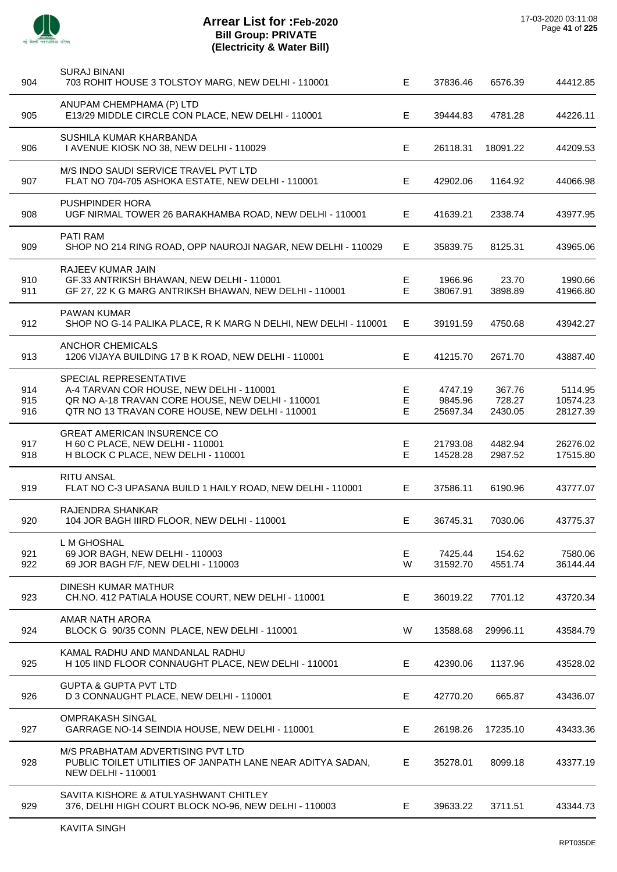

| 904               | <b>SURAJ BINANI</b><br>703 ROHIT HOUSE 3 TOLSTOY MARG, NEW DELHI - 110001                                                                                                 | E.           | 37836.46                       | 6576.39                     | 44412.85                        |
|-------------------|---------------------------------------------------------------------------------------------------------------------------------------------------------------------------|--------------|--------------------------------|-----------------------------|---------------------------------|
| 905               | ANUPAM CHEMPHAMA (P) LTD<br>E13/29 MIDDLE CIRCLE CON PLACE, NEW DELHI - 110001                                                                                            | Е            | 39444.83                       | 4781.28                     | 44226.11                        |
| 906               | SUSHILA KUMAR KHARBANDA<br>I AVENUE KIOSK NO 38, NEW DELHI - 110029                                                                                                       | E            | 26118.31                       | 18091.22                    | 44209.53                        |
| 907               | M/S INDO SAUDI SERVICE TRAVEL PVT LTD<br>FLAT NO 704-705 ASHOKA ESTATE, NEW DELHI - 110001                                                                                | Е            | 42902.06                       | 1164.92                     | 44066.98                        |
| 908               | PUSHPINDER HORA<br>UGF NIRMAL TOWER 26 BARAKHAMBA ROAD, NEW DELHI - 110001                                                                                                | E            | 41639.21                       | 2338.74                     | 43977.95                        |
| 909               | <b>PATI RAM</b><br>SHOP NO 214 RING ROAD, OPP NAUROJI NAGAR, NEW DELHI - 110029                                                                                           | Е            | 35839.75                       | 8125.31                     | 43965.06                        |
| 910<br>911        | <b>RAJEEV KUMAR JAIN</b><br>GF.33 ANTRIKSH BHAWAN, NEW DELHI - 110001<br>GF 27, 22 K G MARG ANTRIKSH BHAWAN, NEW DELHI - 110001                                           | Е<br>E       | 1966.96<br>38067.91            | 23.70<br>3898.89            | 1990.66<br>41966.80             |
| 912               | <b>PAWAN KUMAR</b><br>SHOP NO G-14 PALIKA PLACE, R K MARG N DELHI, NEW DELHI - 110001                                                                                     | Е            | 39191.59                       | 4750.68                     | 43942.27                        |
| 913               | <b>ANCHOR CHEMICALS</b><br>1206 VIJAYA BUILDING 17 B K ROAD, NEW DELHI - 110001                                                                                           | E            | 41215.70                       | 2671.70                     | 43887.40                        |
| 914<br>915<br>916 | SPECIAL REPRESENTATIVE<br>A-4 TARVAN COR HOUSE, NEW DELHI - 110001<br>QR NO A-18 TRAVAN CORE HOUSE, NEW DELHI - 110001<br>QTR NO 13 TRAVAN CORE HOUSE, NEW DELHI - 110001 | Е<br>Е<br>E. | 4747.19<br>9845.96<br>25697.34 | 367.76<br>728.27<br>2430.05 | 5114.95<br>10574.23<br>28127.39 |
| 917<br>918        | <b>GREAT AMERICAN INSURENCE CO</b><br>H 60 C PLACE, NEW DELHI - 110001<br>H BLOCK C PLACE, NEW DELHI - 110001                                                             | Е<br>E.      | 21793.08<br>14528.28           | 4482.94<br>2987.52          | 26276.02<br>17515.80            |
| 919               | <b>RITU ANSAL</b><br>FLAT NO C-3 UPASANA BUILD 1 HAILY ROAD, NEW DELHI - 110001                                                                                           | Е            | 37586.11                       | 6190.96                     | 43777.07                        |
| 920               | RAJENDRA SHANKAR<br>104 JOR BAGH IIIRD FLOOR, NEW DELHI - 110001                                                                                                          | Е            | 36745.31                       | 7030.06                     | 43775.37                        |
| 921<br>922        | L M GHOSHAL<br>69 JOR BAGH, NEW DELHI - 110003<br>69 JOR BAGH F/F, NEW DELHI - 110003                                                                                     | Е<br>W       | 7425.44<br>31592.70            | 154.62<br>4551.74           | 7580.06<br>36144.44             |
| 923               | DINESH KUMAR MATHUR<br>CH.NO. 412 PATIALA HOUSE COURT, NEW DELHI - 110001                                                                                                 | Е            | 36019.22                       | 7701.12                     | 43720.34                        |
| 924               | AMAR NATH ARORA<br>BLOCK G 90/35 CONN PLACE, NEW DELHI - 110001                                                                                                           | W            | 13588.68                       | 29996.11                    | 43584.79                        |
| 925               | KAMAL RADHU AND MANDANLAL RADHU<br>H 105 IIND FLOOR CONNAUGHT PLACE, NEW DELHI - 110001                                                                                   | E            | 42390.06                       | 1137.96                     | 43528.02                        |
| 926               | <b>GUPTA &amp; GUPTA PVT LTD</b><br>D 3 CONNAUGHT PLACE, NEW DELHI - 110001                                                                                               | E            | 42770.20                       | 665.87                      | 43436.07                        |
| 927               | <b>OMPRAKASH SINGAL</b><br>GARRAGE NO-14 SEINDIA HOUSE, NEW DELHI - 110001                                                                                                | Е            | 26198.26                       | 17235.10                    | 43433.36                        |
| 928               | M/S PRABHATAM ADVERTISING PVT LTD<br>PUBLIC TOILET UTILITIES OF JANPATH LANE NEAR ADITYA SADAN,<br><b>NEW DELHI - 110001</b>                                              | E            | 35278.01                       | 8099.18                     | 43377.19                        |
| 929               | SAVITA KISHORE & ATULYASHWANT CHITLEY<br>376, DELHI HIGH COURT BLOCK NO-96, NEW DELHI - 110003                                                                            | Е            | 39633.22                       | 3711.51                     | 43344.73                        |
|                   |                                                                                                                                                                           |              |                                |                             |                                 |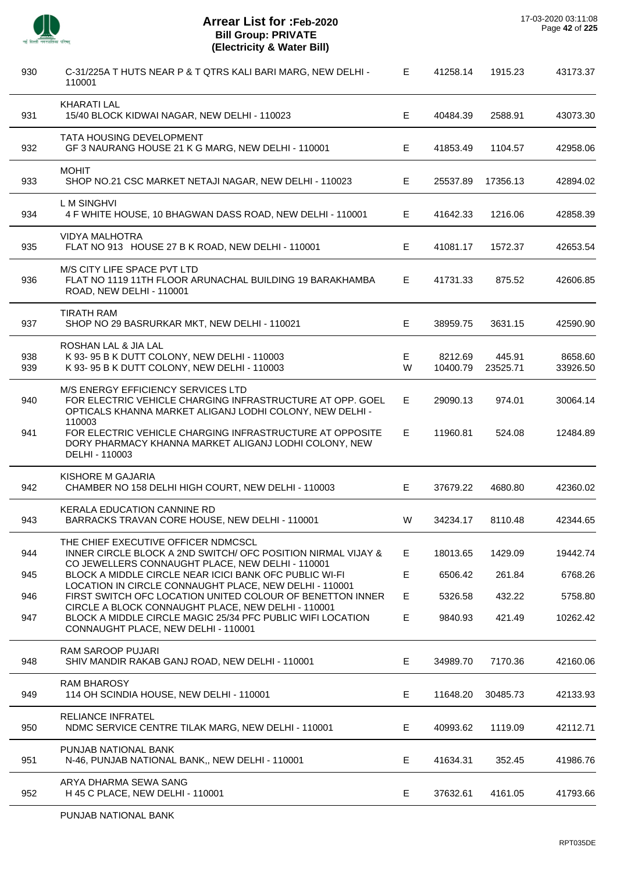

| 930        | C-31/225A T HUTS NEAR P & T QTRS KALI BARI MARG, NEW DELHI -<br>110001                                                                                      | Е      | 41258.14            | 1915.23            | 43173.37            |
|------------|-------------------------------------------------------------------------------------------------------------------------------------------------------------|--------|---------------------|--------------------|---------------------|
| 931        | <b>KHARATI LAL</b><br>15/40 BLOCK KIDWAI NAGAR, NEW DELHI - 110023                                                                                          | Е      | 40484.39            | 2588.91            | 43073.30            |
| 932        | TATA HOUSING DEVELOPMENT<br>GF 3 NAURANG HOUSE 21 K G MARG, NEW DELHI - 110001                                                                              | Е      | 41853.49            | 1104.57            | 42958.06            |
| 933        | <b>MOHIT</b><br>SHOP NO.21 CSC MARKET NETAJI NAGAR, NEW DELHI - 110023                                                                                      | E.     | 25537.89            | 17356.13           | 42894.02            |
| 934        | L M SINGHVI<br>4 F WHITE HOUSE, 10 BHAGWAN DASS ROAD, NEW DELHI - 110001                                                                                    | Е      | 41642.33            | 1216.06            | 42858.39            |
| 935        | <b>VIDYA MALHOTRA</b><br>FLAT NO 913 HOUSE 27 B K ROAD, NEW DELHI - 110001                                                                                  | Е      | 41081.17            | 1572.37            | 42653.54            |
| 936        | M/S CITY LIFE SPACE PVT LTD<br>FLAT NO 1119 11TH FLOOR ARUNACHAL BUILDING 19 BARAKHAMBA<br>ROAD, NEW DELHI - 110001                                         | Е      | 41731.33            | 875.52             | 42606.85            |
| 937        | <b>TIRATH RAM</b><br>SHOP NO 29 BASRURKAR MKT, NEW DELHI - 110021                                                                                           | Е      | 38959.75            | 3631.15            | 42590.90            |
| 938<br>939 | ROSHAN LAL & JIA LAL<br>K 93- 95 B K DUTT COLONY, NEW DELHI - 110003<br>K 93-95 B K DUTT COLONY, NEW DELHI - 110003                                         | Е<br>W | 8212.69<br>10400.79 | 445.91<br>23525.71 | 8658.60<br>33926.50 |
| 940        | M/S ENERGY EFFICIENCY SERVICES LTD<br>FOR ELECTRIC VEHICLE CHARGING INFRASTRUCTURE AT OPP. GOEL<br>OPTICALS KHANNA MARKET ALIGANJ LODHI COLONY, NEW DELHI - | Е      | 29090.13            | 974.01             | 30064.14            |
| 941        | 110003<br>FOR ELECTRIC VEHICLE CHARGING INFRASTRUCTURE AT OPPOSITE<br>DORY PHARMACY KHANNA MARKET ALIGANJ LODHI COLONY, NEW<br>DELHI - 110003               | Е      | 11960.81            | 524.08             | 12484.89            |
| 942        | KISHORE M GAJARIA<br>CHAMBER NO 158 DELHI HIGH COURT, NEW DELHI - 110003                                                                                    | Е      | 37679.22            | 4680.80            | 42360.02            |
| 943        | <b>KERALA EDUCATION CANNINE RD</b><br>BARRACKS TRAVAN CORE HOUSE, NEW DELHI - 110001                                                                        | W      | 34234.17            | 8110.48            | 42344.65            |
| 944        | THE CHIEF EXECUTIVE OFFICER NDMCSCL<br>INNER CIRCLE BLOCK A 2ND SWITCH/ OFC POSITION NIRMAL VIJAY &<br>CO JEWELLERS CONNAUGHT PLACE, NEW DELHI - 110001     | Е      | 18013.65            | 1429.09            | 19442.74            |
| 945        | BLOCK A MIDDLE CIRCLE NEAR ICICI BANK OFC PUBLIC WI-FI                                                                                                      | Е      | 6506.42             | 261.84             | 6768.26             |
| 946        | LOCATION IN CIRCLE CONNAUGHT PLACE, NEW DELHI - 110001<br>FIRST SWITCH OFC LOCATION UNITED COLOUR OF BENETTON INNER                                         | E      | 5326.58             | 432.22             | 5758.80             |
| 947        | CIRCLE A BLOCK CONNAUGHT PLACE, NEW DELHI - 110001<br>BLOCK A MIDDLE CIRCLE MAGIC 25/34 PFC PUBLIC WIFI LOCATION<br>CONNAUGHT PLACE, NEW DELHI - 110001     | Е      | 9840.93             | 421.49             | 10262.42            |
| 948        | <b>RAM SAROOP PUJARI</b><br>SHIV MANDIR RAKAB GANJ ROAD, NEW DELHI - 110001                                                                                 | Е      | 34989.70            | 7170.36            | 42160.06            |
| 949        | <b>RAM BHAROSY</b><br>114 OH SCINDIA HOUSE, NEW DELHI - 110001                                                                                              | Е      | 11648.20            | 30485.73           | 42133.93            |
| 950        | RELIANCE INFRATEL<br>NDMC SERVICE CENTRE TILAK MARG, NEW DELHI - 110001                                                                                     | E      | 40993.62            | 1119.09            | 42112.71            |
| 951        | PUNJAB NATIONAL BANK<br>N-46, PUNJAB NATIONAL BANK,, NEW DELHI - 110001                                                                                     | Е      | 41634.31            | 352.45             | 41986.76            |
| 952        | ARYA DHARMA SEWA SANG<br>H 45 C PLACE, NEW DELHI - 110001                                                                                                   | E      | 37632.61            | 4161.05            | 41793.66            |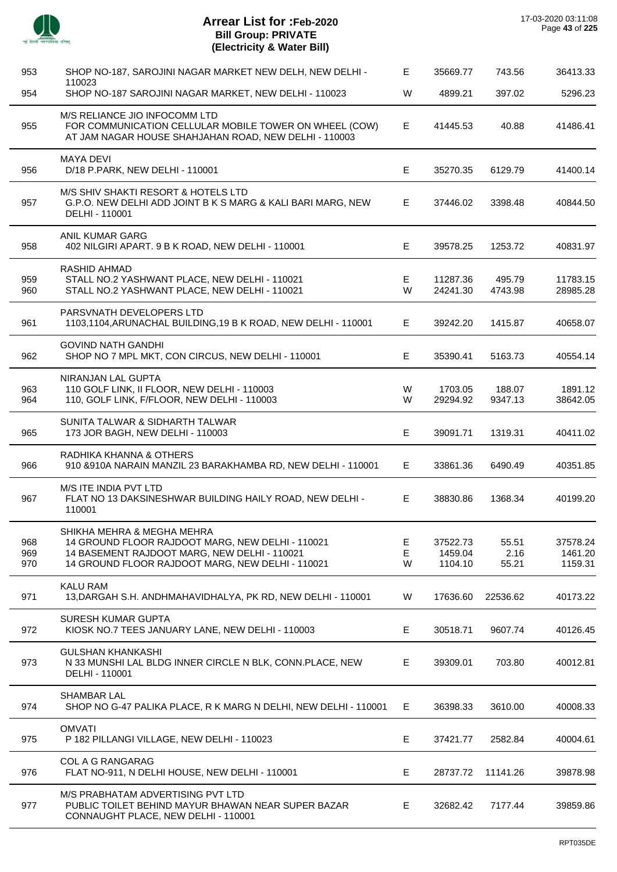| mř.<br><b>HEART</b> | _<br>œ<br>ær. |
|---------------------|---------------|

 $\overline{a}$ 

l,

l,

| 953               | SHOP NO-187, SAROJINI NAGAR MARKET NEW DELH, NEW DELHI -                                                                                                                           | Е           | 35669.77                       | 743.56                 | 36413.33                       |
|-------------------|------------------------------------------------------------------------------------------------------------------------------------------------------------------------------------|-------------|--------------------------------|------------------------|--------------------------------|
| 954               | 110023<br>SHOP NO-187 SAROJINI NAGAR MARKET, NEW DELHI - 110023                                                                                                                    | W           | 4899.21                        | 397.02                 | 5296.23                        |
| 955               | M/S RELIANCE JIO INFOCOMM LTD<br>FOR COMMUNICATION CELLULAR MOBILE TOWER ON WHEEL (COW)<br>AT JAM NAGAR HOUSE SHAHJAHAN ROAD, NEW DELHI - 110003                                   | Е           | 41445.53                       | 40.88                  | 41486.41                       |
| 956               | <b>MAYA DEVI</b><br>D/18 P.PARK, NEW DELHI - 110001                                                                                                                                | Е           | 35270.35                       | 6129.79                | 41400.14                       |
| 957               | M/S SHIV SHAKTI RESORT & HOTELS LTD<br>G.P.O. NEW DELHI ADD JOINT B K S MARG & KALI BARI MARG, NEW<br>DELHI - 110001                                                               | E           | 37446.02                       | 3398.48                | 40844.50                       |
| 958               | ANIL KUMAR GARG<br>402 NILGIRI APART. 9 B K ROAD, NEW DELHI - 110001                                                                                                               | Е           | 39578.25                       | 1253.72                | 40831.97                       |
| 959<br>960        | RASHID AHMAD<br>STALL NO.2 YASHWANT PLACE, NEW DELHI - 110021<br>STALL NO.2 YASHWANT PLACE, NEW DELHI - 110021                                                                     | Е<br>W      | 11287.36<br>24241.30           | 495.79<br>4743.98      | 11783.15<br>28985.28           |
| 961               | PARSVNATH DEVELOPERS LTD<br>1103,1104, ARUNACHAL BUILDING, 19 B K ROAD, NEW DELHI - 110001                                                                                         | Е           | 39242.20                       | 1415.87                | 40658.07                       |
| 962               | <b>GOVIND NATH GANDHI</b><br>SHOP NO 7 MPL MKT, CON CIRCUS, NEW DELHI - 110001                                                                                                     | Е           | 35390.41                       | 5163.73                | 40554.14                       |
| 963<br>964        | NIRANJAN LAL GUPTA<br>110 GOLF LINK, II FLOOR, NEW DELHI - 110003<br>110, GOLF LINK, F/FLOOR, NEW DELHI - 110003                                                                   | W<br>W      | 1703.05<br>29294.92            | 188.07<br>9347.13      | 1891.12<br>38642.05            |
| 965               | SUNITA TALWAR & SIDHARTH TALWAR<br>173 JOR BAGH, NEW DELHI - 110003                                                                                                                | $\mathsf E$ | 39091.71                       | 1319.31                | 40411.02                       |
| 966               | RADHIKA KHANNA & OTHERS<br>910 & 910A NARAIN MANZIL 23 BARAKHAMBA RD, NEW DELHI - 110001                                                                                           | E           | 33861.36                       | 6490.49                | 40351.85                       |
| 967               | M/S ITE INDIA PVT LTD<br>FLAT NO 13 DAKSINESHWAR BUILDING HAILY ROAD, NEW DELHI -<br>110001                                                                                        | Е           | 38830.86                       | 1368.34                | 40199.20                       |
| 968<br>969<br>970 | SHIKHA MEHRA & MEGHA MEHRA<br>14 GROUND FLOOR RAJDOOT MARG, NEW DELHI - 110021<br>14 BASEMENT RAJDOOT MARG, NEW DELHI - 110021<br>14 GROUND FLOOR RAJDOOT MARG, NEW DELHI - 110021 | Е<br>Е<br>W | 37522.73<br>1459.04<br>1104.10 | 55.51<br>2.16<br>55.21 | 37578.24<br>1461.20<br>1159.31 |
| 971               | KALU RAM<br>13, DARGAH S.H. ANDHMAHAVIDHALYA, PK RD, NEW DELHI - 110001                                                                                                            | W           | 17636.60                       | 22536.62               | 40173.22                       |
| 972               | <b>SURESH KUMAR GUPTA</b><br>KIOSK NO.7 TEES JANUARY LANE, NEW DELHI - 110003                                                                                                      | Е           | 30518.71                       | 9607.74                | 40126.45                       |
| 973               | <b>GULSHAN KHANKASHI</b><br>N 33 MUNSHI LAL BLDG INNER CIRCLE N BLK, CONN.PLACE, NEW<br>DELHI - 110001                                                                             | Е           | 39309.01                       | 703.80                 | 40012.81                       |
| 974               | <b>SHAMBAR LAL</b><br>SHOP NO G-47 PALIKA PLACE, R K MARG N DELHI, NEW DELHI - 110001                                                                                              | Е           | 36398.33                       | 3610.00                | 40008.33                       |
| 975               | <b>OMVATI</b><br>P 182 PILLANGI VILLAGE, NEW DELHI - 110023                                                                                                                        | Ε           | 37421.77                       | 2582.84                | 40004.61                       |
| 976               | COL A G RANGARAG<br>FLAT NO-911, N DELHI HOUSE, NEW DELHI - 110001                                                                                                                 | Е           | 28737.72                       | 11141.26               | 39878.98                       |
| 977               | M/S PRABHATAM ADVERTISING PVT LTD<br>PUBLIC TOILET BEHIND MAYUR BHAWAN NEAR SUPER BAZAR<br>CONNAUGHT PLACE, NEW DELHI - 110001                                                     | $\mathsf E$ | 32682.42                       | 7177.44                | 39859.86                       |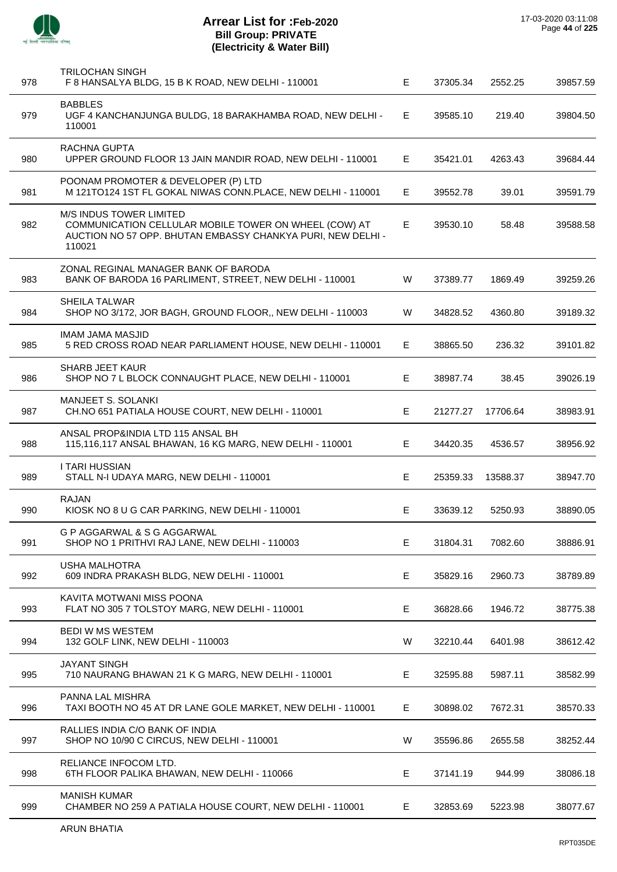| 978 | <b>TRILOCHAN SINGH</b><br>F 8 HANSALYA BLDG, 15 B K ROAD, NEW DELHI - 110001                                                                              | E  | 37305.34 | 2552.25  | 39857.59 |
|-----|-----------------------------------------------------------------------------------------------------------------------------------------------------------|----|----------|----------|----------|
| 979 | <b>BABBLES</b><br>UGF 4 KANCHANJUNGA BULDG, 18 BARAKHAMBA ROAD, NEW DELHI -<br>110001                                                                     | E. | 39585.10 | 219.40   | 39804.50 |
| 980 | RACHNA GUPTA<br>UPPER GROUND FLOOR 13 JAIN MANDIR ROAD, NEW DELHI - 110001                                                                                | E  | 35421.01 | 4263.43  | 39684.44 |
| 981 | POONAM PROMOTER & DEVELOPER (P) LTD<br>M 121TO124 1ST FL GOKAL NIWAS CONN.PLACE, NEW DELHI - 110001                                                       | E. | 39552.78 | 39.01    | 39591.79 |
| 982 | M/S INDUS TOWER LIMITED<br>COMMUNICATION CELLULAR MOBILE TOWER ON WHEEL (COW) AT<br>AUCTION NO 57 OPP. BHUTAN EMBASSY CHANKYA PURI, NEW DELHI -<br>110021 | Е  | 39530.10 | 58.48    | 39588.58 |
| 983 | ZONAL REGINAL MANAGER BANK OF BARODA<br>BANK OF BARODA 16 PARLIMENT, STREET, NEW DELHI - 110001                                                           | W  | 37389.77 | 1869.49  | 39259.26 |
| 984 | <b>SHEILA TALWAR</b><br>SHOP NO 3/172, JOR BAGH, GROUND FLOOR,, NEW DELHI - 110003                                                                        | W  | 34828.52 | 4360.80  | 39189.32 |
| 985 | <b>IMAM JAMA MASJID</b><br>5 RED CROSS ROAD NEAR PARLIAMENT HOUSE, NEW DELHI - 110001                                                                     | E  | 38865.50 | 236.32   | 39101.82 |
| 986 | <b>SHARB JEET KAUR</b><br>SHOP NO 7 L BLOCK CONNAUGHT PLACE, NEW DELHI - 110001                                                                           | Е  | 38987.74 | 38.45    | 39026.19 |
| 987 | MANJEET S. SOLANKI<br>CH.NO 651 PATIALA HOUSE COURT, NEW DELHI - 110001                                                                                   | Е  | 21277.27 | 17706.64 | 38983.91 |
| 988 | ANSAL PROP&INDIA LTD 115 ANSAL BH<br>115,116,117 ANSAL BHAWAN, 16 KG MARG, NEW DELHI - 110001                                                             | E  | 34420.35 | 4536.57  | 38956.92 |
| 989 | <b>I TARI HUSSIAN</b><br>STALL N-I UDAYA MARG, NEW DELHI - 110001                                                                                         | Е  | 25359.33 | 13588.37 | 38947.70 |
| 990 | <b>RAJAN</b><br>KIOSK NO 8 U G CAR PARKING, NEW DELHI - 110001                                                                                            | E. | 33639.12 | 5250.93  | 38890.05 |
| 991 | G P AGGARWAL & S G AGGARWAL<br>SHOP NO 1 PRITHVI RAJ LANE, NEW DELHI - 110003                                                                             | Е  | 31804.31 | 7082.60  | 38886.91 |
| 992 | <b>USHA MALHOTRA</b><br>609 INDRA PRAKASH BLDG, NEW DELHI - 110001                                                                                        | Е  | 35829.16 | 2960.73  | 38789.89 |
| 993 | KAVITA MOTWANI MISS POONA<br>FLAT NO 305 7 TOLSTOY MARG, NEW DELHI - 110001                                                                               | Е  | 36828.66 | 1946.72  | 38775.38 |
| 994 | <b>BEDI W MS WESTEM</b><br>132 GOLF LINK, NEW DELHI - 110003                                                                                              | W  | 32210.44 | 6401.98  | 38612.42 |
| 995 | <b>JAYANT SINGH</b><br>710 NAURANG BHAWAN 21 K G MARG, NEW DELHI - 110001                                                                                 | Е  | 32595.88 | 5987.11  | 38582.99 |
| 996 | PANNA LAL MISHRA<br>TAXI BOOTH NO 45 AT DR LANE GOLE MARKET, NEW DELHI - 110001                                                                           | Е  | 30898.02 | 7672.31  | 38570.33 |
| 997 | RALLIES INDIA C/O BANK OF INDIA<br>SHOP NO 10/90 C CIRCUS, NEW DELHI - 110001                                                                             | W  | 35596.86 | 2655.58  | 38252.44 |
| 998 | RELIANCE INFOCOM LTD.<br>6TH FLOOR PALIKA BHAWAN, NEW DELHI - 110066                                                                                      | Е  | 37141.19 | 944.99   | 38086.18 |
| 999 | <b>MANISH KUMAR</b><br>CHAMBER NO 259 A PATIALA HOUSE COURT, NEW DELHI - 110001                                                                           | E. | 32853.69 | 5223.98  | 38077.67 |
|     |                                                                                                                                                           |    |          |          |          |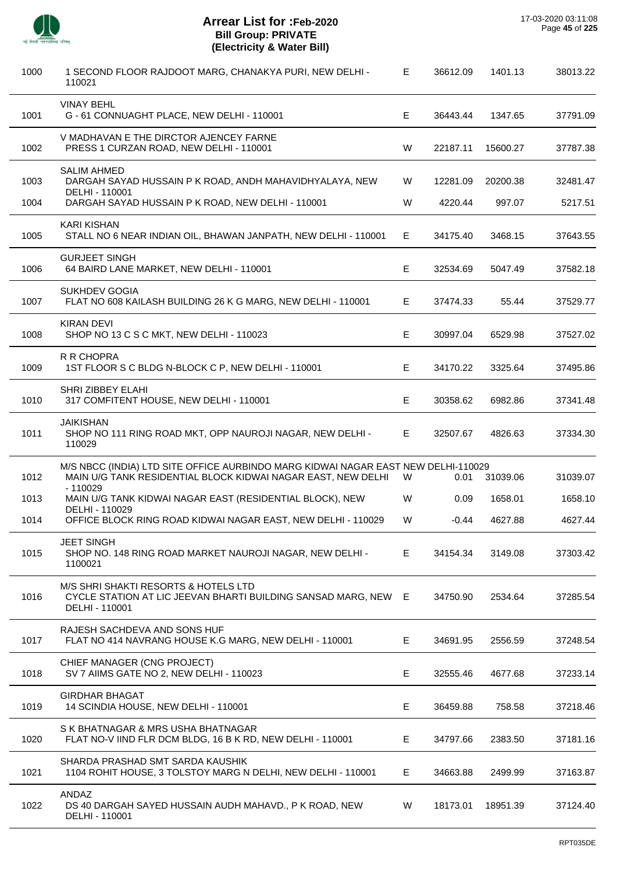| 1000 | 1 SECOND FLOOR RAJDOOT MARG, CHANAKYA PURI, NEW DELHI -<br>110021                                                                                             | Е. | 36612.09 | 1401.13  | 38013.22 |
|------|---------------------------------------------------------------------------------------------------------------------------------------------------------------|----|----------|----------|----------|
| 1001 | <b>VINAY BEHL</b><br>G - 61 CONNUAGHT PLACE, NEW DELHI - 110001                                                                                               | Е  | 36443.44 | 1347.65  | 37791.09 |
| 1002 | V MADHAVAN E THE DIRCTOR AJENCEY FARNE<br>PRESS 1 CURZAN ROAD, NEW DELHI - 110001                                                                             | W  | 22187.11 | 15600.27 | 37787.38 |
| 1003 | <b>SALIM AHMED</b><br>DARGAH SAYAD HUSSAIN P K ROAD, ANDH MAHAVIDHYALAYA, NEW<br>DELHI - 110001                                                               | W  | 12281.09 | 20200.38 | 32481.47 |
| 1004 | DARGAH SAYAD HUSSAIN P K ROAD, NEW DELHI - 110001                                                                                                             | W  | 4220.44  | 997.07   | 5217.51  |
| 1005 | <b>KARI KISHAN</b><br>STALL NO 6 NEAR INDIAN OIL, BHAWAN JANPATH, NEW DELHI - 110001                                                                          | E  | 34175.40 | 3468.15  | 37643.55 |
| 1006 | <b>GURJEET SINGH</b><br>64 BAIRD LANE MARKET, NEW DELHI - 110001                                                                                              | E. | 32534.69 | 5047.49  | 37582.18 |
| 1007 | <b>SUKHDEV GOGIA</b><br>FLAT NO 608 KAILASH BUILDING 26 K G MARG, NEW DELHI - 110001                                                                          | Е  | 37474.33 | 55.44    | 37529.77 |
| 1008 | <b>KIRAN DEVI</b><br>SHOP NO 13 C S C MKT, NEW DELHI - 110023                                                                                                 | E  | 30997.04 | 6529.98  | 37527.02 |
| 1009 | R R CHOPRA<br>1ST FLOOR S C BLDG N-BLOCK C P, NEW DELHI - 110001                                                                                              | Е  | 34170.22 | 3325.64  | 37495.86 |
| 1010 | SHRI ZIBBEY ELAHI<br>317 COMFITENT HOUSE, NEW DELHI - 110001                                                                                                  | Е  | 30358.62 | 6982.86  | 37341.48 |
| 1011 | <b>JAIKISHAN</b><br>SHOP NO 111 RING ROAD MKT, OPP NAUROJI NAGAR, NEW DELHI -<br>110029                                                                       | E. | 32507.67 | 4826.63  | 37334.30 |
| 1012 | M/S NBCC (INDIA) LTD SITE OFFICE AURBINDO MARG KIDWAI NAGAR EAST NEW DELHI-110029<br>MAIN U/G TANK RESIDENTIAL BLOCK KIDWAI NAGAR EAST, NEW DELHI<br>- 110029 | W  | 0.01     | 31039.06 | 31039.07 |
| 1013 | MAIN U/G TANK KIDWAI NAGAR EAST (RESIDENTIAL BLOCK), NEW                                                                                                      | W  | 0.09     | 1658.01  | 1658.10  |
| 1014 | DELHI - 110029<br>OFFICE BLOCK RING ROAD KIDWAI NAGAR EAST, NEW DELHI - 110029                                                                                | W  | $-0.44$  | 4627.88  | 4627.44  |
| 1015 | <b>JEET SINGH</b><br>SHOP NO. 148 RING ROAD MARKET NAUROJI NAGAR, NEW DELHI -<br>1100021                                                                      | E  | 34154.34 | 3149.08  | 37303.42 |
| 1016 | M/S SHRI SHAKTI RESORTS & HOTELS LTD<br>CYCLE STATION AT LIC JEEVAN BHARTI BUILDING SANSAD MARG, NEW E<br>DELHI - 110001                                      |    | 34750.90 | 2534.64  | 37285.54 |
| 1017 | RAJESH SACHDEVA AND SONS HUF<br>FLAT NO 414 NAVRANG HOUSE K.G MARG, NEW DELHI - 110001                                                                        | E. | 34691.95 | 2556.59  | 37248.54 |
| 1018 | CHIEF MANAGER (CNG PROJECT)<br>SV 7 AIIMS GATE NO 2, NEW DELHI - 110023                                                                                       | E  | 32555.46 | 4677.68  | 37233.14 |
| 1019 | <b>GIRDHAR BHAGAT</b><br>14 SCINDIA HOUSE, NEW DELHI - 110001                                                                                                 | Е  | 36459.88 | 758.58   | 37218.46 |
| 1020 | S K BHATNAGAR & MRS USHA BHATNAGAR<br>FLAT NO-V IIND FLR DCM BLDG, 16 B K RD, NEW DELHI - 110001                                                              | E  | 34797.66 | 2383.50  | 37181.16 |
| 1021 | SHARDA PRASHAD SMT SARDA KAUSHIK<br>1104 ROHIT HOUSE, 3 TOLSTOY MARG N DELHI, NEW DELHI - 110001                                                              | E. | 34663.88 | 2499.99  | 37163.87 |
| 1022 | ANDAZ<br>DS 40 DARGAH SAYED HUSSAIN AUDH MAHAVD., P K ROAD, NEW<br>DELHI - 110001                                                                             | W  | 18173.01 | 18951.39 | 37124.40 |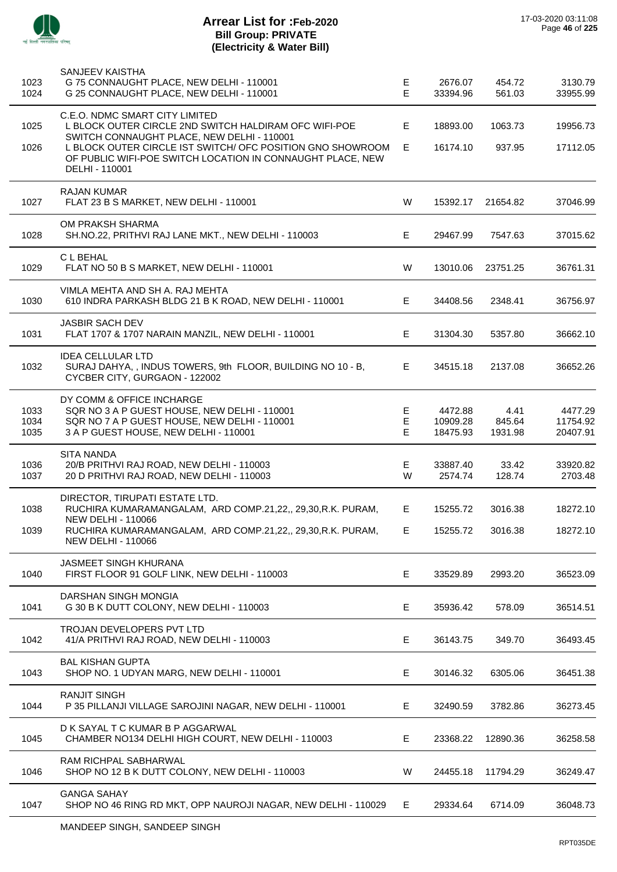

 $\overline{a}$ 

| 1023<br>1024         | SANJEEV KAISTHA<br>G 75 CONNAUGHT PLACE, NEW DELHI - 110001<br>G 25 CONNAUGHT PLACE, NEW DELHI - 110001                                                            | Е<br>E      | 2676.07<br>33394.96             | 454.72<br>561.03          | 3130.79<br>33955.99             |
|----------------------|--------------------------------------------------------------------------------------------------------------------------------------------------------------------|-------------|---------------------------------|---------------------------|---------------------------------|
| 1025                 | C.E.O. NDMC SMART CITY LIMITED<br>L BLOCK OUTER CIRCLE 2ND SWITCH HALDIRAM OFC WIFI-POE<br>SWITCH CONNAUGHT PLACE, NEW DELHI - 110001                              | E           | 18893.00                        | 1063.73                   | 19956.73                        |
| 1026                 | L BLOCK OUTER CIRCLE IST SWITCH/ OFC POSITION GNO SHOWROOM<br>OF PUBLIC WIFI-POE SWITCH LOCATION IN CONNAUGHT PLACE, NEW<br>DELHI - 110001                         | E           | 16174.10                        | 937.95                    | 17112.05                        |
| 1027                 | <b>RAJAN KUMAR</b><br>FLAT 23 B S MARKET, NEW DELHI - 110001                                                                                                       | W           | 15392.17                        | 21654.82                  | 37046.99                        |
| 1028                 | OM PRAKSH SHARMA<br>SH.NO.22, PRITHVI RAJ LANE MKT., NEW DELHI - 110003                                                                                            | Е           | 29467.99                        | 7547.63                   | 37015.62                        |
| 1029                 | C L BEHAL<br>FLAT NO 50 B S MARKET, NEW DELHI - 110001                                                                                                             | W           | 13010.06                        | 23751.25                  | 36761.31                        |
| 1030                 | VIMLA MEHTA AND SH A. RAJ MEHTA<br>610 INDRA PARKASH BLDG 21 B K ROAD, NEW DELHI - 110001                                                                          | E.          | 34408.56                        | 2348.41                   | 36756.97                        |
| 1031                 | <b>JASBIR SACH DEV</b><br>FLAT 1707 & 1707 NARAIN MANZIL, NEW DELHI - 110001                                                                                       | Е           | 31304.30                        | 5357.80                   | 36662.10                        |
| 1032                 | <b>IDEA CELLULAR LTD</b><br>SURAJ DAHYA, , INDUS TOWERS, 9th FLOOR, BUILDING NO 10 - B,<br>CYCBER CITY, GURGAON - 122002                                           | E           | 34515.18                        | 2137.08                   | 36652.26                        |
| 1033<br>1034<br>1035 | DY COMM & OFFICE INCHARGE<br>SQR NO 3 A P GUEST HOUSE, NEW DELHI - 110001<br>SQR NO 7 A P GUEST HOUSE, NEW DELHI - 110001<br>3 A P GUEST HOUSE, NEW DELHI - 110001 | Е<br>E<br>E | 4472.88<br>10909.28<br>18475.93 | 4.41<br>845.64<br>1931.98 | 4477.29<br>11754.92<br>20407.91 |
| 1036<br>1037         | <b>SITA NANDA</b><br>20/B PRITHVI RAJ ROAD, NEW DELHI - 110003<br>20 D PRITHVI RAJ ROAD, NEW DELHI - 110003                                                        | Е<br>W      | 33887.40<br>2574.74             | 33.42<br>128.74           | 33920.82<br>2703.48             |
| 1038                 | DIRECTOR, TIRUPATI ESTATE LTD.<br>RUCHIRA KUMARAMANGALAM, ARD COMP.21,22,, 29,30, R.K. PURAM,<br><b>NEW DELHI - 110066</b>                                         | E           | 15255.72                        | 3016.38                   | 18272.10                        |
| 1039                 | RUCHIRA KUMARAMANGALAM, ARD COMP.21,22,, 29,30,R.K. PURAM,<br><b>NEW DELHI - 110066</b>                                                                            | E           | 15255.72                        | 3016.38                   | 18272.10                        |
| 1040                 | <b>JASMEET SINGH KHURANA</b><br>FIRST FLOOR 91 GOLF LINK, NEW DELHI - 110003                                                                                       | Е           | 33529.89                        | 2993.20                   | 36523.09                        |
| 1041                 | DARSHAN SINGH MONGIA<br>G 30 B K DUTT COLONY, NEW DELHI - 110003                                                                                                   | Е           | 35936.42                        | 578.09                    | 36514.51                        |
| 1042                 | <b>TROJAN DEVELOPERS PVT LTD</b><br>41/A PRITHVI RAJ ROAD, NEW DELHI - 110003                                                                                      | Е           | 36143.75                        | 349.70                    | 36493.45                        |
| 1043                 | <b>BAL KISHAN GUPTA</b><br>SHOP NO. 1 UDYAN MARG, NEW DELHI - 110001                                                                                               | Е           | 30146.32                        | 6305.06                   | 36451.38                        |
| 1044                 | <b>RANJIT SINGH</b><br>P 35 PILLANJI VILLAGE SAROJINI NAGAR, NEW DELHI - 110001                                                                                    | E.          | 32490.59                        | 3782.86                   | 36273.45                        |
| 1045                 | D K SAYAL T C KUMAR B P AGGARWAL<br>CHAMBER NO134 DELHI HIGH COURT, NEW DELHI - 110003                                                                             | Е           | 23368.22                        | 12890.36                  | 36258.58                        |
| 1046                 | RAM RICHPAL SABHARWAL<br>SHOP NO 12 B K DUTT COLONY, NEW DELHI - 110003                                                                                            | W           | 24455.18                        | 11794.29                  | 36249.47                        |
| 1047                 | <b>GANGA SAHAY</b><br>SHOP NO 46 RING RD MKT, OPP NAUROJI NAGAR, NEW DELHI - 110029                                                                                | E.          | 29334.64                        | 6714.09                   | 36048.73                        |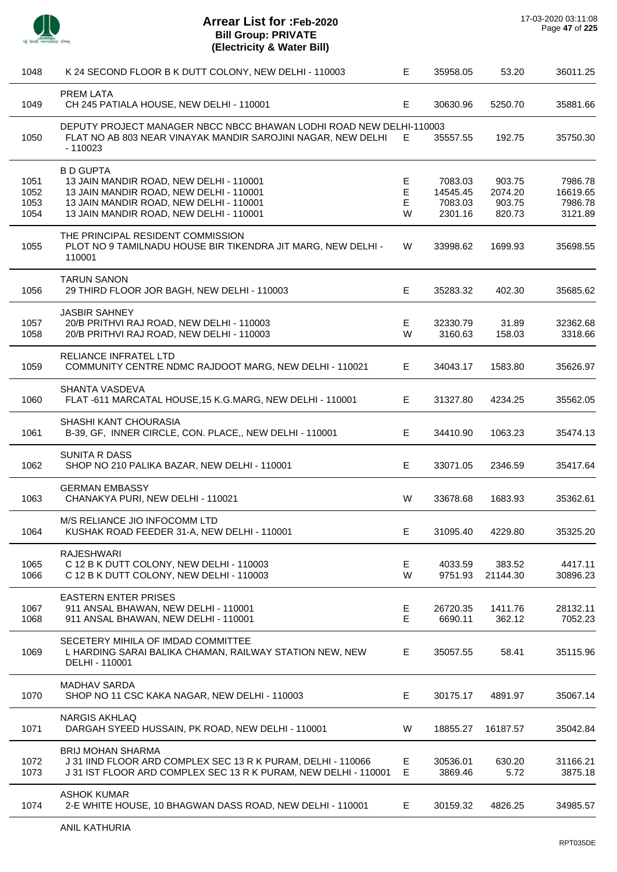

| 1048                         | K 24 SECOND FLOOR B K DUTT COLONY, NEW DELHI - 110003                                                                                                                                        | Е                | 35958.05                                  | 53.20                                 | 36011.25                                  |
|------------------------------|----------------------------------------------------------------------------------------------------------------------------------------------------------------------------------------------|------------------|-------------------------------------------|---------------------------------------|-------------------------------------------|
| 1049                         | <b>PREM LATA</b><br>CH 245 PATIALA HOUSE, NEW DELHI - 110001                                                                                                                                 | Е                | 30630.96                                  | 5250.70                               | 35881.66                                  |
| 1050                         | DEPUTY PROJECT MANAGER NBCC NBCC BHAWAN LODHI ROAD NEW DELHI-110003<br>FLAT NO AB 803 NEAR VINAYAK MANDIR SAROJINI NAGAR, NEW DELHI<br>$-110023$                                             | E.               | 35557.55                                  | 192.75                                | 35750.30                                  |
| 1051<br>1052<br>1053<br>1054 | <b>B D GUPTA</b><br>13 JAIN MANDIR ROAD, NEW DELHI - 110001<br>13 JAIN MANDIR ROAD, NEW DELHI - 110001<br>13 JAIN MANDIR ROAD, NEW DELHI - 110001<br>13 JAIN MANDIR ROAD, NEW DELHI - 110001 | Е<br>Е<br>Е<br>W | 7083.03<br>14545.45<br>7083.03<br>2301.16 | 903.75<br>2074.20<br>903.75<br>820.73 | 7986.78<br>16619.65<br>7986.78<br>3121.89 |
| 1055                         | THE PRINCIPAL RESIDENT COMMISSION<br>PLOT NO 9 TAMILNADU HOUSE BIR TIKENDRA JIT MARG, NEW DELHI -<br>110001                                                                                  | W                | 33998.62                                  | 1699.93                               | 35698.55                                  |
| 1056                         | <b>TARUN SANON</b><br>29 THIRD FLOOR JOR BAGH, NEW DELHI - 110003                                                                                                                            | Е                | 35283.32                                  | 402.30                                | 35685.62                                  |
| 1057<br>1058                 | <b>JASBIR SAHNEY</b><br>20/B PRITHVI RAJ ROAD, NEW DELHI - 110003<br>20/B PRITHVI RAJ ROAD, NEW DELHI - 110003                                                                               | Е<br>W           | 32330.79<br>3160.63                       | 31.89<br>158.03                       | 32362.68<br>3318.66                       |
| 1059                         | RELIANCE INFRATEL LTD<br>COMMUNITY CENTRE NDMC RAJDOOT MARG, NEW DELHI - 110021                                                                                                              | E                | 34043.17                                  | 1583.80                               | 35626.97                                  |
| 1060                         | SHANTA VASDEVA<br>FLAT-611 MARCATAL HOUSE, 15 K.G.MARG, NEW DELHI - 110001                                                                                                                   | E                | 31327.80                                  | 4234.25                               | 35562.05                                  |
| 1061                         | SHASHI KANT CHOURASIA<br>B-39, GF, INNER CIRCLE, CON. PLACE,, NEW DELHI - 110001                                                                                                             | Е                | 34410.90                                  | 1063.23                               | 35474.13                                  |
| 1062                         | <b>SUNITA R DASS</b><br>SHOP NO 210 PALIKA BAZAR, NEW DELHI - 110001                                                                                                                         | Е                | 33071.05                                  | 2346.59                               | 35417.64                                  |
| 1063                         | <b>GERMAN EMBASSY</b><br>CHANAKYA PURI, NEW DELHI - 110021                                                                                                                                   | W                | 33678.68                                  | 1683.93                               | 35362.61                                  |
| 1064                         | M/S RELIANCE JIO INFOCOMM LTD<br>KUSHAK ROAD FEEDER 31-A, NEW DELHI - 110001                                                                                                                 |                  | 31095.40                                  | 4229.80                               | 35325.20                                  |
| 1065<br>1066                 | <b>RAJESHWARI</b><br>C 12 B K DUTT COLONY, NEW DELHI - 110003<br>C 12 B K DUTT COLONY, NEW DELHI - 110003                                                                                    | E<br>W           | 4033.59<br>9751.93                        | 383.52<br>21144.30                    | 4417.11<br>30896.23                       |
| 1067<br>1068                 | <b>EASTERN ENTER PRISES</b><br>911 ANSAL BHAWAN, NEW DELHI - 110001<br>911 ANSAL BHAWAN, NEW DELHI - 110001                                                                                  | Е<br>Е           | 26720.35<br>6690.11                       | 1411.76<br>362.12                     | 28132.11<br>7052.23                       |
| 1069                         | SECETERY MIHILA OF IMDAD COMMITTEE<br>L HARDING SARAI BALIKA CHAMAN, RAILWAY STATION NEW, NEW<br>DELHI - 110001                                                                              | Е                | 35057.55                                  | 58.41                                 | 35115.96                                  |
| 1070                         | MADHAV SARDA<br>SHOP NO 11 CSC KAKA NAGAR, NEW DELHI - 110003                                                                                                                                | Е                | 30175.17                                  | 4891.97                               | 35067.14                                  |
| 1071                         | <b>NARGIS AKHLAQ</b><br>DARGAH SYEED HUSSAIN, PK ROAD, NEW DELHI - 110001                                                                                                                    | W                | 18855.27                                  | 16187.57                              | 35042.84                                  |
| 1072<br>1073                 | <b>BRIJ MOHAN SHARMA</b><br>J31 IIND FLOOR ARD COMPLEX SEC 13 R K PURAM, DELHI - 110066<br>J 31 IST FLOOR ARD COMPLEX SEC 13 R K PURAM, NEW DELHI - 110001                                   | E<br>Е           | 30536.01<br>3869.46                       | 630.20<br>5.72                        | 31166.21<br>3875.18                       |
| 1074                         | <b>ASHOK KUMAR</b><br>2-E WHITE HOUSE, 10 BHAGWAN DASS ROAD, NEW DELHI - 110001                                                                                                              | E.               | 30159.32                                  | 4826.25                               | 34985.57                                  |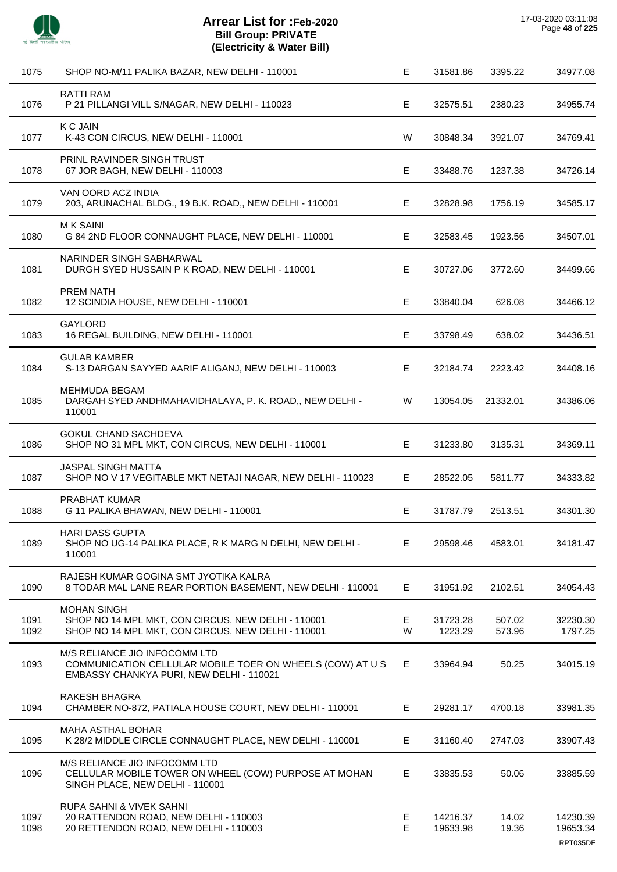

| 1075         | SHOP NO-M/11 PALIKA BAZAR, NEW DELHI - 110001                                                                                          | Е       | 31581.86             | 3395.22          | 34977.08             |
|--------------|----------------------------------------------------------------------------------------------------------------------------------------|---------|----------------------|------------------|----------------------|
| 1076         | <b>RATTI RAM</b><br>P 21 PILLANGI VILL S/NAGAR, NEW DELHI - 110023                                                                     | E.      | 32575.51             | 2380.23          | 34955.74             |
| 1077         | <b>K C JAIN</b><br>K-43 CON CIRCUS, NEW DELHI - 110001                                                                                 | W       | 30848.34             | 3921.07          | 34769.41             |
| 1078         | PRINL RAVINDER SINGH TRUST<br>67 JOR BAGH, NEW DELHI - 110003                                                                          | E       | 33488.76             | 1237.38          | 34726.14             |
| 1079         | VAN OORD ACZ INDIA<br>203, ARUNACHAL BLDG., 19 B.K. ROAD,, NEW DELHI - 110001                                                          | E.      | 32828.98             | 1756.19          | 34585.17             |
| 1080         | <b>MK SAINI</b><br>G 84 2ND FLOOR CONNAUGHT PLACE, NEW DELHI - 110001                                                                  | Е       | 32583.45             | 1923.56          | 34507.01             |
| 1081         | NARINDER SINGH SABHARWAL<br>DURGH SYED HUSSAIN P K ROAD, NEW DELHI - 110001                                                            | Е       | 30727.06             | 3772.60          | 34499.66             |
| 1082         | <b>PREM NATH</b><br>12 SCINDIA HOUSE, NEW DELHI - 110001                                                                               | Е       | 33840.04             | 626.08           | 34466.12             |
| 1083         | <b>GAYLORD</b><br>16 REGAL BUILDING, NEW DELHI - 110001                                                                                | Е       | 33798.49             | 638.02           | 34436.51             |
| 1084         | <b>GULAB KAMBER</b><br>S-13 DARGAN SAYYED AARIF ALIGANJ, NEW DELHI - 110003                                                            | E.      | 32184.74             | 2223.42          | 34408.16             |
| 1085         | <b>MEHMUDA BEGAM</b><br>DARGAH SYED ANDHMAHAVIDHALAYA, P. K. ROAD,, NEW DELHI -<br>110001                                              | W       | 13054.05             | 21332.01         | 34386.06             |
| 1086         | <b>GOKUL CHAND SACHDEVA</b><br>SHOP NO 31 MPL MKT, CON CIRCUS, NEW DELHI - 110001                                                      | E       | 31233.80             | 3135.31          | 34369.11             |
| 1087         | <b>JASPAL SINGH MATTA</b><br>SHOP NO V 17 VEGITABLE MKT NETAJI NAGAR, NEW DELHI - 110023                                               | E.      | 28522.05             | 5811.77          | 34333.82             |
| 1088         | PRABHAT KUMAR<br>G 11 PALIKA BHAWAN, NEW DELHI - 110001                                                                                | Е       | 31787.79             | 2513.51          | 34301.30             |
| 1089         | <b>HARI DASS GUPTA</b><br>SHOP NO UG-14 PALIKA PLACE, R K MARG N DELHI, NEW DELHI -<br>110001                                          | Е       | 29598.46             | 4583.01          | 34181.47             |
| 1090         | RAJESH KUMAR GOGINA SMT JYOTIKA KALRA<br>8 TODAR MAL LANE REAR PORTION BASEMENT, NEW DELHI - 110001                                    | E.      | 31951.92             | 2102.51          | 34054.43             |
| 1091<br>1092 | <b>MOHAN SINGH</b><br>SHOP NO 14 MPL MKT, CON CIRCUS, NEW DELHI - 110001<br>SHOP NO 14 MPL MKT, CON CIRCUS, NEW DELHI - 110001         | E.<br>W | 31723.28<br>1223.29  | 507.02<br>573.96 | 32230.30<br>1797.25  |
| 1093         | M/S RELIANCE JIO INFOCOMM LTD<br>COMMUNICATION CELLULAR MOBILE TOER ON WHEELS (COW) AT U S<br>EMBASSY CHANKYA PURI, NEW DELHI - 110021 | E.      | 33964.94             | 50.25            | 34015.19             |
| 1094         | RAKESH BHAGRA<br>CHAMBER NO-872, PATIALA HOUSE COURT, NEW DELHI - 110001                                                               | E.      | 29281.17             | 4700.18          | 33981.35             |
| 1095         | MAHA ASTHAL BOHAR<br>K 28/2 MIDDLE CIRCLE CONNAUGHT PLACE, NEW DELHI - 110001                                                          | E.      | 31160.40             | 2747.03          | 33907.43             |
| 1096         | M/S RELIANCE JIO INFOCOMM LTD<br>CELLULAR MOBILE TOWER ON WHEEL (COW) PURPOSE AT MOHAN<br>SINGH PLACE, NEW DELHI - 110001              | E       | 33835.53             | 50.06            | 33885.59             |
| 1097<br>1098 | RUPA SAHNI & VIVEK SAHNI<br>20 RATTENDON ROAD, NEW DELHI - 110003<br>20 RETTENDON ROAD, NEW DELHI - 110003                             | Е<br>E  | 14216.37<br>19633.98 | 14.02<br>19.36   | 14230.39<br>19653.34 |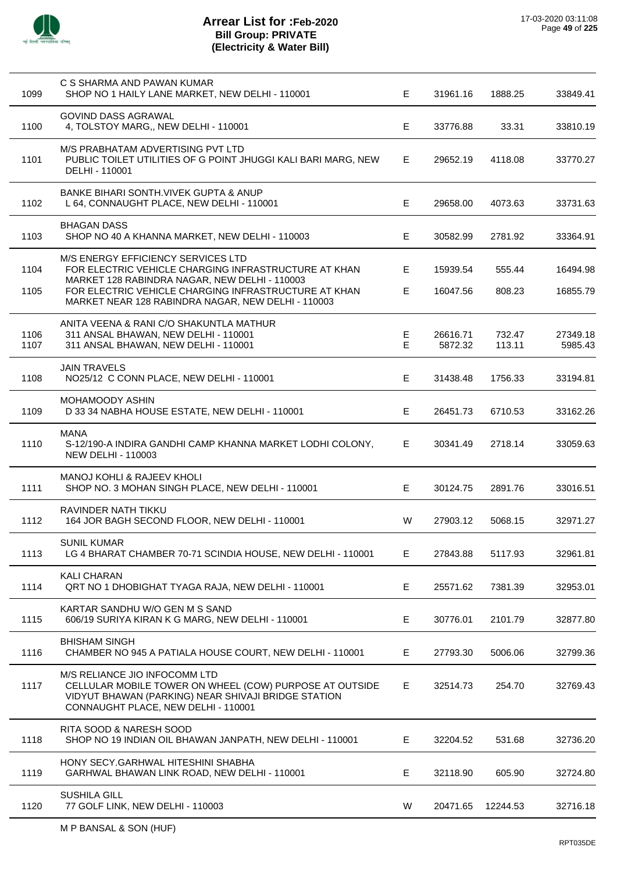

| 1099         | C S SHARMA AND PAWAN KUMAR<br>SHOP NO 1 HAILY LANE MARKET, NEW DELHI - 110001                                                                                                                                                                             | E.     | 31961.16             | 1888.25          | 33849.41             |
|--------------|-----------------------------------------------------------------------------------------------------------------------------------------------------------------------------------------------------------------------------------------------------------|--------|----------------------|------------------|----------------------|
| 1100         | <b>GOVIND DASS AGRAWAL</b><br>4, TOLSTOY MARG,, NEW DELHI - 110001                                                                                                                                                                                        | Е      | 33776.88             | 33.31            | 33810.19             |
| 1101         | M/S PRABHATAM ADVERTISING PVT LTD<br>PUBLIC TOILET UTILITIES OF G POINT JHUGGI KALI BARI MARG, NEW<br>DELHI - 110001                                                                                                                                      | E      | 29652.19             | 4118.08          | 33770.27             |
| 1102         | <b>BANKE BIHARI SONTH, VIVEK GUPTA &amp; ANUP</b><br>L 64, CONNAUGHT PLACE, NEW DELHI - 110001                                                                                                                                                            | Е      | 29658.00             | 4073.63          | 33731.63             |
| 1103         | <b>BHAGAN DASS</b><br>SHOP NO 40 A KHANNA MARKET, NEW DELHI - 110003                                                                                                                                                                                      | E      | 30582.99             | 2781.92          | 33364.91             |
| 1104<br>1105 | M/S ENERGY EFFICIENCY SERVICES LTD<br>FOR ELECTRIC VEHICLE CHARGING INFRASTRUCTURE AT KHAN<br>MARKET 128 RABINDRA NAGAR, NEW DELHI - 110003<br>FOR ELECTRIC VEHICLE CHARGING INFRASTRUCTURE AT KHAN<br>MARKET NEAR 128 RABINDRA NAGAR, NEW DELHI - 110003 | Е<br>E | 15939.54<br>16047.56 | 555.44<br>808.23 | 16494.98<br>16855.79 |
| 1106<br>1107 | ANITA VEENA & RANI C/O SHAKUNTLA MATHUR<br>311 ANSAL BHAWAN, NEW DELHI - 110001<br>311 ANSAL BHAWAN, NEW DELHI - 110001                                                                                                                                   | Е<br>E | 26616.71<br>5872.32  | 732.47<br>113.11 | 27349.18<br>5985.43  |
| 1108         | <b>JAIN TRAVELS</b><br>NO25/12 C CONN PLACE, NEW DELHI - 110001                                                                                                                                                                                           | Е      | 31438.48             | 1756.33          | 33194.81             |
| 1109         | MOHAMOODY ASHIN<br>D 33 34 NABHA HOUSE ESTATE, NEW DELHI - 110001                                                                                                                                                                                         | Е      | 26451.73             | 6710.53          | 33162.26             |
| 1110         | <b>MANA</b><br>S-12/190-A INDIRA GANDHI CAMP KHANNA MARKET LODHI COLONY,<br><b>NEW DELHI - 110003</b>                                                                                                                                                     | E      | 30341.49             | 2718.14          | 33059.63             |
| 1111         | <b>MANOJ KOHLI &amp; RAJEEV KHOLI</b><br>SHOP NO. 3 MOHAN SINGH PLACE, NEW DELHI - 110001                                                                                                                                                                 | Е      | 30124.75             | 2891.76          | 33016.51             |
| 1112         | RAVINDER NATH TIKKU<br>164 JOR BAGH SECOND FLOOR, NEW DELHI - 110001                                                                                                                                                                                      | W      | 27903.12             | 5068.15          | 32971.27             |
| 1113         | <b>SUNIL KUMAR</b><br>LG 4 BHARAT CHAMBER 70-71 SCINDIA HOUSE, NEW DELHI - 110001                                                                                                                                                                         | Е      | 27843.88             | 5117.93          | 32961.81             |
| 1114         | KALI CHARAN<br>QRT NO 1 DHOBIGHAT TYAGA RAJA, NEW DELHI - 110001                                                                                                                                                                                          | Е      | 25571.62             | 7381.39          | 32953.01             |
| 1115         | KARTAR SANDHU W/O GEN M S SAND<br>606/19 SURIYA KIRAN K G MARG, NEW DELHI - 110001                                                                                                                                                                        | Е      | 30776.01             | 2101.79          | 32877.80             |
| 1116         | <b>BHISHAM SINGH</b><br>CHAMBER NO 945 A PATIALA HOUSE COURT, NEW DELHI - 110001                                                                                                                                                                          | E.     | 27793.30             | 5006.06          | 32799.36             |
| 1117         | M/S RELIANCE JIO INFOCOMM LTD<br>CELLULAR MOBILE TOWER ON WHEEL (COW) PURPOSE AT OUTSIDE<br>VIDYUT BHAWAN (PARKING) NEAR SHIVAJI BRIDGE STATION<br>CONNAUGHT PLACE, NEW DELHI - 110001                                                                    | E.     | 32514.73             | 254.70           | 32769.43             |
| 1118         | RITA SOOD & NARESH SOOD<br>SHOP NO 19 INDIAN OIL BHAWAN JANPATH, NEW DELHI - 110001                                                                                                                                                                       | E      | 32204.52             | 531.68           | 32736.20             |
| 1119         | HONY SECY.GARHWAL HITESHINI SHABHA<br>GARHWAL BHAWAN LINK ROAD, NEW DELHI - 110001                                                                                                                                                                        | Е      | 32118.90             | 605.90           | 32724.80             |
| 1120         | SUSHILA GILL<br>77 GOLF LINK, NEW DELHI - 110003                                                                                                                                                                                                          | W      | 20471.65             | 12244.53         | 32716.18             |
|              |                                                                                                                                                                                                                                                           |        |                      |                  |                      |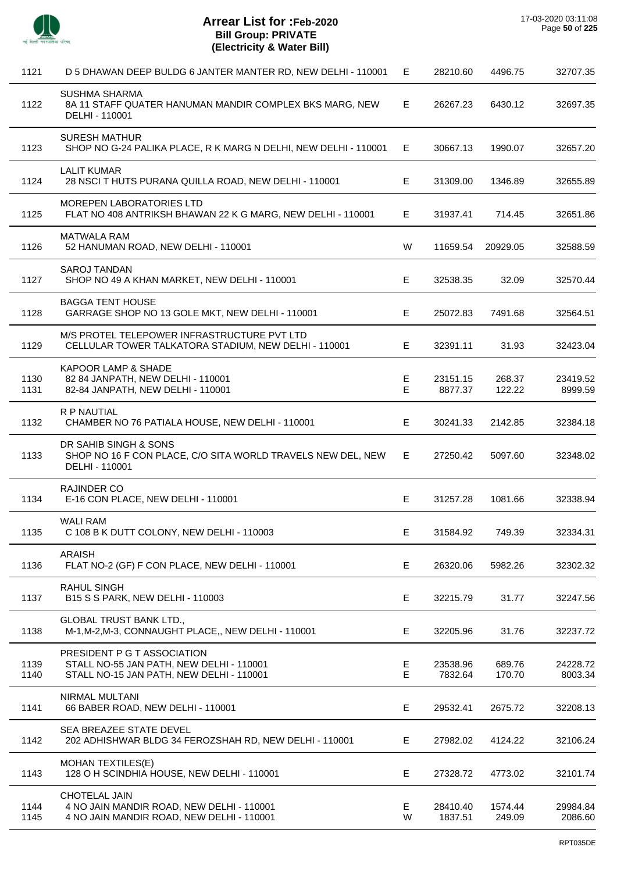

 $\overline{a}$ 

J.

J.

| 1121         | D 5 DHAWAN DEEP BULDG 6 JANTER MANTER RD, NEW DELHI - 110001                                                        | E.      | 28210.60            | 4496.75           | 32707.35            |
|--------------|---------------------------------------------------------------------------------------------------------------------|---------|---------------------|-------------------|---------------------|
| 1122         | <b>SUSHMA SHARMA</b><br>8A 11 STAFF QUATER HANUMAN MANDIR COMPLEX BKS MARG, NEW<br>DELHI - 110001                   | E.      | 26267.23            | 6430.12           | 32697.35            |
| 1123         | <b>SURESH MATHUR</b><br>SHOP NO G-24 PALIKA PLACE, R K MARG N DELHI, NEW DELHI - 110001                             | E.      | 30667.13            | 1990.07           | 32657.20            |
| 1124         | <b>LALIT KUMAR</b><br>28 NSCI T HUTS PURANA QUILLA ROAD, NEW DELHI - 110001                                         | E       | 31309.00            | 1346.89           | 32655.89            |
| 1125         | MOREPEN LABORATORIES LTD<br>FLAT NO 408 ANTRIKSH BHAWAN 22 K G MARG, NEW DELHI - 110001                             | E.      | 31937.41            | 714.45            | 32651.86            |
| 1126         | <b>MATWALA RAM</b><br>52 HANUMAN ROAD, NEW DELHI - 110001                                                           | W       | 11659.54            | 20929.05          | 32588.59            |
| 1127         | <b>SAROJ TANDAN</b><br>SHOP NO 49 A KHAN MARKET, NEW DELHI - 110001                                                 | E       | 32538.35            | 32.09             | 32570.44            |
| 1128         | <b>BAGGA TENT HOUSE</b><br>GARRAGE SHOP NO 13 GOLE MKT, NEW DELHI - 110001                                          | E       | 25072.83            | 7491.68           | 32564.51            |
| 1129         | M/S PROTEL TELEPOWER INFRASTRUCTURE PVT LTD<br>CELLULAR TOWER TALKATORA STADIUM, NEW DELHI - 110001                 | E       | 32391.11            | 31.93             | 32423.04            |
| 1130<br>1131 | KAPOOR LAMP & SHADE<br>82 84 JANPATH, NEW DELHI - 110001<br>82-84 JANPATH, NEW DELHI - 110001                       | E<br>E. | 23151.15<br>8877.37 | 268.37<br>122.22  | 23419.52<br>8999.59 |
| 1132         | R P NAUTIAL<br>CHAMBER NO 76 PATIALA HOUSE, NEW DELHI - 110001                                                      | E       | 30241.33            | 2142.85           | 32384.18            |
| 1133         | DR SAHIB SINGH & SONS<br>SHOP NO 16 F CON PLACE, C/O SITA WORLD TRAVELS NEW DEL, NEW<br>DELHI - 110001              | E       | 27250.42            | 5097.60           | 32348.02            |
| 1134         | <b>RAJINDER CO</b><br>E-16 CON PLACE, NEW DELHI - 110001                                                            | E       | 31257.28            | 1081.66           | 32338.94            |
| 1135         | <b>WALI RAM</b><br>C 108 B K DUTT COLONY, NEW DELHI - 110003                                                        | E       | 31584.92            | 749.39            | 32334.31            |
| 1136         | <b>ARAISH</b><br>FLAT NO-2 (GF) F CON PLACE, NEW DELHI - 110001                                                     | Е       | 26320.06            | 5982.26           | 32302.32            |
| 1137         | <b>RAHUL SINGH</b><br>B15 S S PARK, NEW DELHI - 110003                                                              | E       | 32215.79            | 31.77             | 32247.56            |
| 1138         | <b>GLOBAL TRUST BANK LTD.,</b><br>M-1, M-2, M-3, CONNAUGHT PLACE,, NEW DELHI - 110001                               | Е       | 32205.96            | 31.76             | 32237.72            |
| 1139<br>1140 | PRESIDENT P G T ASSOCIATION<br>STALL NO-55 JAN PATH, NEW DELHI - 110001<br>STALL NO-15 JAN PATH, NEW DELHI - 110001 | E<br>Е  | 23538.96<br>7832.64 | 689.76<br>170.70  | 24228.72<br>8003.34 |
| 1141         | NIRMAL MULTANI<br>66 BABER ROAD, NEW DELHI - 110001                                                                 | E       | 29532.41            | 2675.72           | 32208.13            |
| 1142         | SEA BREAZEE STATE DEVEL<br>202 ADHISHWAR BLDG 34 FEROZSHAH RD, NEW DELHI - 110001                                   | Е       | 27982.02            | 4124.22           | 32106.24            |
| 1143         | <b>MOHAN TEXTILES(E)</b><br>128 O H SCINDHIA HOUSE, NEW DELHI - 110001                                              | Е       | 27328.72            | 4773.02           | 32101.74            |
| 1144<br>1145 | <b>CHOTELAL JAIN</b><br>4 NO JAIN MANDIR ROAD, NEW DELHI - 110001<br>4 NO JAIN MANDIR ROAD, NEW DELHI - 110001      | Е<br>W  | 28410.40<br>1837.51 | 1574.44<br>249.09 | 29984.84<br>2086.60 |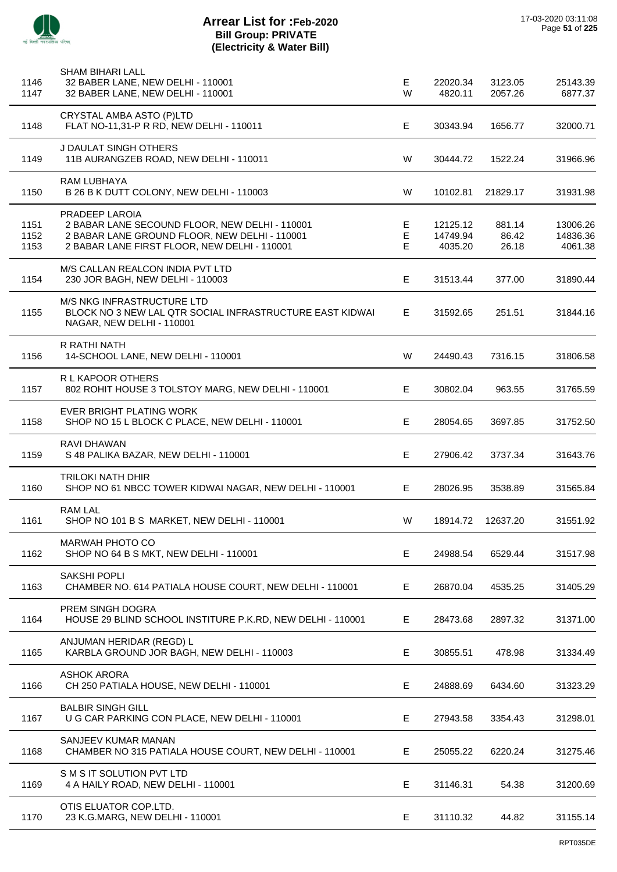

 $\overline{\phantom{a}}$ 

J.

J.

 $\overline{a}$ 

 $\overline{a}$ 

 $\overline{a}$ 

J.

| 1146<br>1147         | <b>SHAM BIHARI LALL</b><br>32 BABER LANE, NEW DELHI - 110001<br>32 BABER LANE, NEW DELHI - 110001                                                                 | Е<br>W       | 22020.34<br>4820.11             | 3123.05<br>2057.26       | 25143.39<br>6877.37             |
|----------------------|-------------------------------------------------------------------------------------------------------------------------------------------------------------------|--------------|---------------------------------|--------------------------|---------------------------------|
| 1148                 | CRYSTAL AMBA ASTO (P)LTD<br>FLAT NO-11,31-P R RD, NEW DELHI - 110011                                                                                              | Е            | 30343.94                        | 1656.77                  | 32000.71                        |
| 1149                 | J DAULAT SINGH OTHERS<br>11B AURANGZEB ROAD, NEW DELHI - 110011                                                                                                   | W            | 30444.72                        | 1522.24                  | 31966.96                        |
| 1150                 | RAM LUBHAYA<br>B 26 B K DUTT COLONY, NEW DELHI - 110003                                                                                                           | W            | 10102.81                        | 21829.17                 | 31931.98                        |
| 1151<br>1152<br>1153 | PRADEEP LAROIA<br>2 BABAR LANE SECOUND FLOOR, NEW DELHI - 110001<br>2 BABAR LANE GROUND FLOOR, NEW DELHI - 110001<br>2 BABAR LANE FIRST FLOOR, NEW DELHI - 110001 | Е<br>E<br>E. | 12125.12<br>14749.94<br>4035.20 | 881.14<br>86.42<br>26.18 | 13006.26<br>14836.36<br>4061.38 |
| 1154                 | M/S CALLAN REALCON INDIA PVT LTD<br>230 JOR BAGH, NEW DELHI - 110003                                                                                              | E            | 31513.44                        | 377.00                   | 31890.44                        |
| 1155                 | M/S NKG INFRASTRUCTURE LTD<br>BLOCK NO 3 NEW LAL QTR SOCIAL INFRASTRUCTURE EAST KIDWAI<br>NAGAR, NEW DELHI - 110001                                               | E            | 31592.65                        | 251.51                   | 31844.16                        |
| 1156                 | R RATHI NATH<br>14-SCHOOL LANE, NEW DELHI - 110001                                                                                                                | W            | 24490.43                        | 7316.15                  | 31806.58                        |
| 1157                 | R L KAPOOR OTHERS<br>802 ROHIT HOUSE 3 TOLSTOY MARG, NEW DELHI - 110001                                                                                           | Е            | 30802.04                        | 963.55                   | 31765.59                        |
| 1158                 | EVER BRIGHT PLATING WORK<br>SHOP NO 15 L BLOCK C PLACE, NEW DELHI - 110001                                                                                        | E            | 28054.65                        | 3697.85                  | 31752.50                        |
| 1159                 | RAVI DHAWAN<br>S 48 PALIKA BAZAR, NEW DELHI - 110001                                                                                                              | E            | 27906.42                        | 3737.34                  | 31643.76                        |
| 1160                 | <b>TRILOKI NATH DHIR</b><br>SHOP NO 61 NBCC TOWER KIDWAI NAGAR, NEW DELHI - 110001                                                                                | Е            | 28026.95                        | 3538.89                  | 31565.84                        |
| 1161                 | <b>RAM LAL</b><br>SHOP NO 101 B S MARKET, NEW DELHI - 110001                                                                                                      | W            | 18914.72                        | 12637.20                 | 31551.92                        |
| 1162                 | <b>MARWAH PHOTO CO</b><br>SHOP NO 64 B S MKT, NEW DELHI - 110001                                                                                                  | E            | 24988.54                        | 6529.44                  | 31517.98                        |
| 1163                 | <b>SAKSHI POPLI</b><br>CHAMBER NO. 614 PATIALA HOUSE COURT, NEW DELHI - 110001                                                                                    | E            | 26870.04                        | 4535.25                  | 31405.29                        |
| 1164                 | PREM SINGH DOGRA<br>HOUSE 29 BLIND SCHOOL INSTITURE P.K.RD, NEW DELHI - 110001                                                                                    | Е            | 28473.68                        | 2897.32                  | 31371.00                        |
| 1165                 | ANJUMAN HERIDAR (REGD) L<br>KARBLA GROUND JOR BAGH, NEW DELHI - 110003                                                                                            | Е            | 30855.51                        | 478.98                   | 31334.49                        |
| 1166                 | <b>ASHOK ARORA</b><br>CH 250 PATIALA HOUSE, NEW DELHI - 110001                                                                                                    | Е            | 24888.69                        | 6434.60                  | 31323.29                        |
| 1167                 | <b>BALBIR SINGH GILL</b><br>U G CAR PARKING CON PLACE, NEW DELHI - 110001                                                                                         | Е            | 27943.58                        | 3354.43                  | 31298.01                        |
| 1168                 | SANJEEV KUMAR MANAN<br>CHAMBER NO 315 PATIALA HOUSE COURT, NEW DELHI - 110001                                                                                     | E            | 25055.22                        | 6220.24                  | 31275.46                        |
| 1169                 | S M S IT SOLUTION PVT LTD<br>4 A HAILY ROAD, NEW DELHI - 110001                                                                                                   | Е            | 31146.31                        | 54.38                    | 31200.69                        |
| 1170                 | OTIS ELUATOR COP.LTD.<br>23 K.G.MARG, NEW DELHI - 110001                                                                                                          | Е            | 31110.32                        | 44.82                    | 31155.14                        |
|                      |                                                                                                                                                                   |              |                                 |                          |                                 |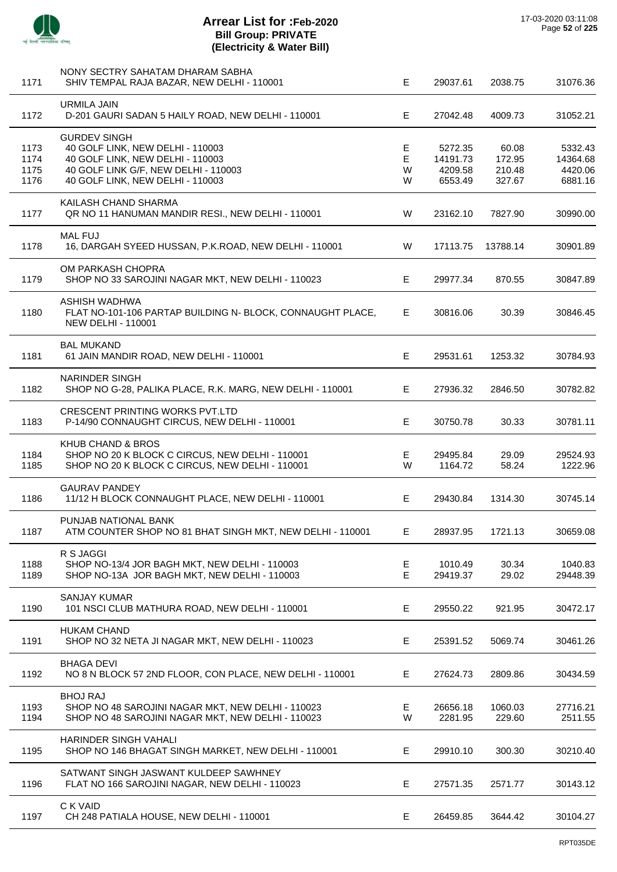

| 1171                         | NONY SECTRY SAHATAM DHARAM SABHA<br>SHIV TEMPAL RAJA BAZAR, NEW DELHI - 110001                                                                                          | E.               | 29037.61                                  | 2038.75                             | 31076.36                                  |
|------------------------------|-------------------------------------------------------------------------------------------------------------------------------------------------------------------------|------------------|-------------------------------------------|-------------------------------------|-------------------------------------------|
| 1172                         | <b>URMILA JAIN</b><br>D-201 GAURI SADAN 5 HAILY ROAD, NEW DELHI - 110001                                                                                                | E.               | 27042.48                                  | 4009.73                             | 31052.21                                  |
| 1173<br>1174<br>1175<br>1176 | <b>GURDEV SINGH</b><br>40 GOLF LINK, NEW DELHI - 110003<br>40 GOLF LINK, NEW DELHI - 110003<br>40 GOLF LINK G/F, NEW DELHI - 110003<br>40 GOLF LINK, NEW DELHI - 110003 | E<br>E<br>W<br>W | 5272.35<br>14191.73<br>4209.58<br>6553.49 | 60.08<br>172.95<br>210.48<br>327.67 | 5332.43<br>14364.68<br>4420.06<br>6881.16 |
| 1177                         | KAILASH CHAND SHARMA<br>QR NO 11 HANUMAN MANDIR RESI., NEW DELHI - 110001                                                                                               | W                | 23162.10                                  | 7827.90                             | 30990.00                                  |
| 1178                         | <b>MAL FUJ</b><br>16, DARGAH SYEED HUSSAN, P.K.ROAD, NEW DELHI - 110001                                                                                                 | W                | 17113.75                                  | 13788.14                            | 30901.89                                  |
| 1179                         | OM PARKASH CHOPRA<br>SHOP NO 33 SAROJINI NAGAR MKT, NEW DELHI - 110023                                                                                                  | E.               | 29977.34                                  | 870.55                              | 30847.89                                  |
| 1180                         | ASHISH WADHWA<br>FLAT NO-101-106 PARTAP BUILDING N- BLOCK, CONNAUGHT PLACE,<br><b>NEW DELHI - 110001</b>                                                                | E.               | 30816.06                                  | 30.39                               | 30846.45                                  |
| 1181                         | <b>BAL MUKAND</b><br>61 JAIN MANDIR ROAD, NEW DELHI - 110001                                                                                                            | E                | 29531.61                                  | 1253.32                             | 30784.93                                  |
| 1182                         | <b>NARINDER SINGH</b><br>SHOP NO G-28, PALIKA PLACE, R.K. MARG, NEW DELHI - 110001                                                                                      | E.               | 27936.32                                  | 2846.50                             | 30782.82                                  |
| 1183                         | <b>CRESCENT PRINTING WORKS PVT.LTD</b><br>P-14/90 CONNAUGHT CIRCUS, NEW DELHI - 110001                                                                                  | E                | 30750.78                                  | 30.33                               | 30781.11                                  |
| 1184<br>1185                 | KHUB CHAND & BROS<br>SHOP NO 20 K BLOCK C CIRCUS, NEW DELHI - 110001<br>SHOP NO 20 K BLOCK C CIRCUS, NEW DELHI - 110001                                                 | Е.<br>W          | 29495.84<br>1164.72                       | 29.09<br>58.24                      | 29524.93<br>1222.96                       |
| 1186                         | <b>GAURAV PANDEY</b><br>11/12 H BLOCK CONNAUGHT PLACE, NEW DELHI - 110001                                                                                               | E.               | 29430.84                                  | 1314.30                             | 30745.14                                  |
| 1187                         | PUNJAB NATIONAL BANK<br>ATM COUNTER SHOP NO 81 BHAT SINGH MKT, NEW DELHI - 110001                                                                                       | Е.               | 28937.95                                  | 1721.13                             | 30659.08                                  |
| 1188<br>1189                 | R S JAGGI<br>SHOP NO-13/4 JOR BAGH MKT, NEW DELHI - 110003<br>SHOP NO-13A JOR BAGH MKT, NEW DELHI - 110003                                                              | Е<br>E           | 1010.49<br>29419.37                       | 30.34<br>29.02                      | 1040.83<br>29448.39                       |
| 1190                         | <b>SANJAY KUMAR</b><br>101 NSCI CLUB MATHURA ROAD, NEW DELHI - 110001                                                                                                   | E.               | 29550.22                                  | 921.95                              | 30472.17                                  |
| 1191                         | <b>HUKAM CHAND</b><br>SHOP NO 32 NETA JI NAGAR MKT, NEW DELHI - 110023                                                                                                  | E.               | 25391.52                                  | 5069.74                             | 30461.26                                  |
| 1192                         | <b>BHAGA DEVI</b><br>NO 8 N BLOCK 57 2ND FLOOR, CON PLACE, NEW DELHI - 110001                                                                                           | Е                | 27624.73                                  | 2809.86                             | 30434.59                                  |
| 1193<br>1194                 | <b>BHOJ RAJ</b><br>SHOP NO 48 SAROJINI NAGAR MKT, NEW DELHI - 110023<br>SHOP NO 48 SAROJINI NAGAR MKT, NEW DELHI - 110023                                               | E.<br>W          | 26656.18<br>2281.95                       | 1060.03<br>229.60                   | 27716.21<br>2511.55                       |
| 1195                         | HARINDER SINGH VAHALI<br>SHOP NO 146 BHAGAT SINGH MARKET, NEW DELHI - 110001                                                                                            | E                | 29910.10                                  | 300.30                              | 30210.40                                  |
| 1196                         | SATWANT SINGH JASWANT KULDEEP SAWHNEY<br>FLAT NO 166 SAROJINI NAGAR, NEW DELHI - 110023                                                                                 | Е                | 27571.35                                  | 2571.77                             | 30143.12                                  |
| 1197                         | C K VAID<br>CH 248 PATIALA HOUSE, NEW DELHI - 110001                                                                                                                    | Е                | 26459.85                                  | 3644.42                             | 30104.27                                  |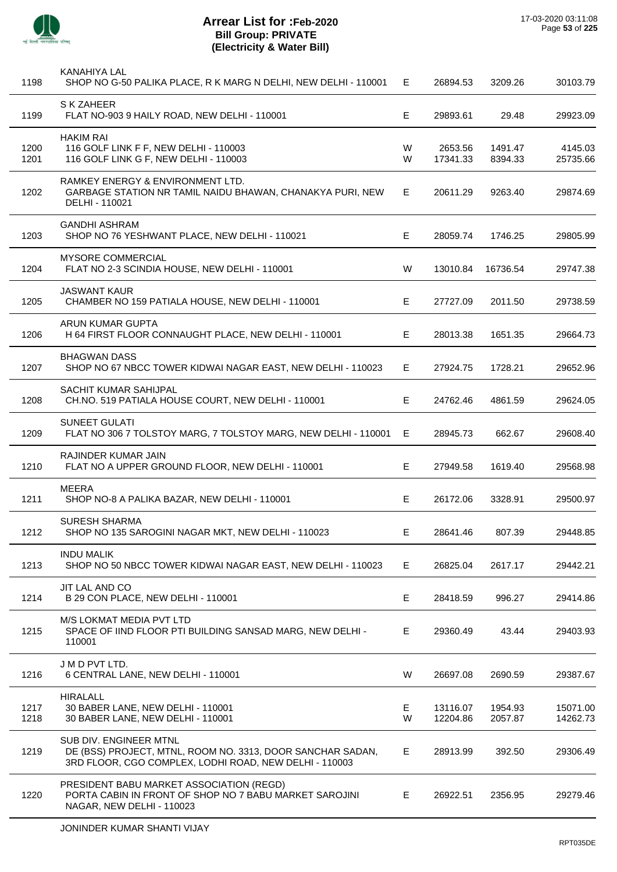

J.

J.

 $\overline{\phantom{a}}$ 

| 1198         | KANAHIYA LAL<br>SHOP NO G-50 PALIKA PLACE, R K MARG N DELHI, NEW DELHI - 110001                                                                | E.     | 26894.53             | 3209.26            | 30103.79             |
|--------------|------------------------------------------------------------------------------------------------------------------------------------------------|--------|----------------------|--------------------|----------------------|
| 1199         | S K ZAHEER<br>FLAT NO-903 9 HAILY ROAD, NEW DELHI - 110001                                                                                     | Е      | 29893.61             | 29.48              | 29923.09             |
| 1200<br>1201 | <b>HAKIM RAI</b><br>116 GOLF LINK F F, NEW DELHI - 110003<br>116 GOLF LINK G F, NEW DELHI - 110003                                             | W<br>W | 2653.56<br>17341.33  | 1491.47<br>8394.33 | 4145.03<br>25735.66  |
| 1202         | <b>RAMKEY ENERGY &amp; ENVIRONMENT LTD.</b><br>GARBAGE STATION NR TAMIL NAIDU BHAWAN, CHANAKYA PURI, NEW<br>DELHI - 110021                     | E      | 20611.29             | 9263.40            | 29874.69             |
| 1203         | GANDHI ASHRAM<br>SHOP NO 76 YESHWANT PLACE, NEW DELHI - 110021                                                                                 | E.     | 28059.74             | 1746.25            | 29805.99             |
| 1204         | <b>MYSORE COMMERCIAL</b><br>FLAT NO 2-3 SCINDIA HOUSE, NEW DELHI - 110001                                                                      | W      | 13010.84             | 16736.54           | 29747.38             |
| 1205         | <b>JASWANT KAUR</b><br>CHAMBER NO 159 PATIALA HOUSE, NEW DELHI - 110001                                                                        | Е      | 27727.09             | 2011.50            | 29738.59             |
| 1206         | ARUN KUMAR GUPTA<br>H 64 FIRST FLOOR CONNAUGHT PLACE, NEW DELHI - 110001                                                                       | E.     | 28013.38             | 1651.35            | 29664.73             |
| 1207         | <b>BHAGWAN DASS</b><br>SHOP NO 67 NBCC TOWER KIDWAI NAGAR EAST, NEW DELHI - 110023                                                             | E.     | 27924.75             | 1728.21            | 29652.96             |
| 1208         | SACHIT KUMAR SAHIJPAL<br>CH.NO. 519 PATIALA HOUSE COURT, NEW DELHI - 110001                                                                    | Е      | 24762.46             | 4861.59            | 29624.05             |
| 1209         | <b>SUNEET GULATI</b><br>FLAT NO 306 7 TOLSTOY MARG, 7 TOLSTOY MARG, NEW DELHI - 110001                                                         | E.     | 28945.73             | 662.67             | 29608.40             |
| 1210         | RAJINDER KUMAR JAIN<br>FLAT NO A UPPER GROUND FLOOR, NEW DELHI - 110001                                                                        | E.     | 27949.58             | 1619.40            | 29568.98             |
| 1211         | <b>MEERA</b><br>SHOP NO-8 A PALIKA BAZAR, NEW DELHI - 110001                                                                                   | E      | 26172.06             | 3328.91            | 29500.97             |
| 1212         | SURESH SHARMA<br>SHOP NO 135 SAROGINI NAGAR MKT, NEW DELHI - 110023                                                                            | Е      | 28641.46             | 807.39             | 29448.85             |
| 1213         | <b>INDU MALIK</b><br>SHOP NO 50 NBCC TOWER KIDWAI NAGAR EAST, NEW DELHI - 110023                                                               | E.     | 26825.04             | 2617.17            | 29442.21             |
| 1214         | JIT LAL AND CO<br>B 29 CON PLACE, NEW DELHI - 110001                                                                                           | E.     | 28418.59             | 996.27             | 29414.86             |
| 1215         | M/S LOKMAT MEDIA PVT LTD<br>SPACE OF IIND FLOOR PTI BUILDING SANSAD MARG, NEW DELHI -<br>110001                                                | Е      | 29360.49             | 43.44              | 29403.93             |
| 1216         | J M D PVT LTD.<br>6 CENTRAL LANE, NEW DELHI - 110001                                                                                           | W      | 26697.08             | 2690.59            | 29387.67             |
| 1217<br>1218 | <b>HIRALALL</b><br>30 BABER LANE, NEW DELHI - 110001<br>30 BABER LANE, NEW DELHI - 110001                                                      | E<br>W | 13116.07<br>12204.86 | 1954.93<br>2057.87 | 15071.00<br>14262.73 |
| 1219         | SUB DIV. ENGINEER MTNL<br>DE (BSS) PROJECT, MTNL, ROOM NO. 3313, DOOR SANCHAR SADAN,<br>3RD FLOOR, CGO COMPLEX, LODHI ROAD, NEW DELHI - 110003 | E.     | 28913.99             | 392.50             | 29306.49             |
| 1220         | PRESIDENT BABU MARKET ASSOCIATION (REGD)<br>PORTA CABIN IN FRONT OF SHOP NO 7 BABU MARKET SAROJINI<br>NAGAR, NEW DELHI - 110023                | E.     | 26922.51             | 2356.95            | 29279.46             |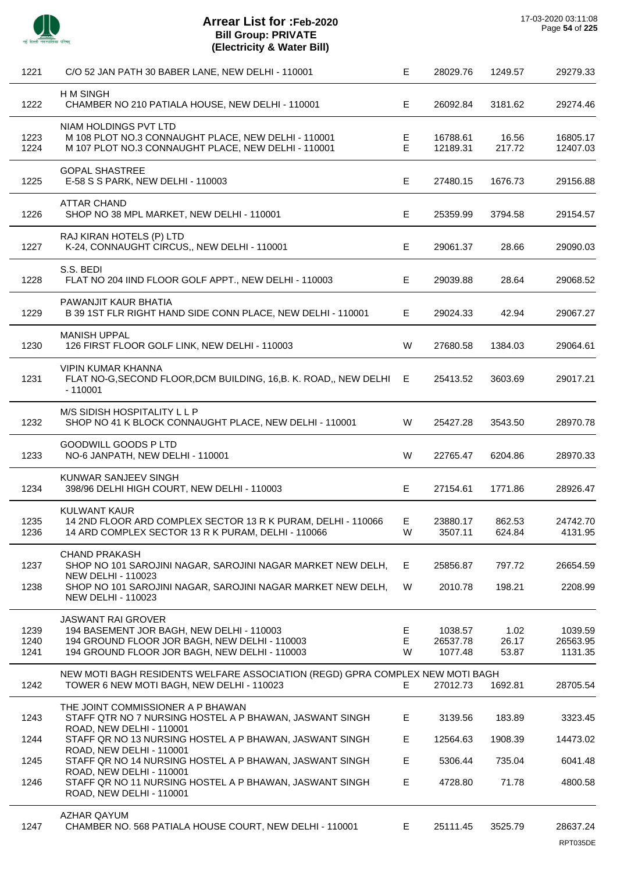

J.

 $\overline{a}$ 

| 1221                 | C/O 52 JAN PATH 30 BABER LANE, NEW DELHI - 110001                                                                                                                                                            | Е                | 28029.76                       | 1249.57                | 29279.33                       |
|----------------------|--------------------------------------------------------------------------------------------------------------------------------------------------------------------------------------------------------------|------------------|--------------------------------|------------------------|--------------------------------|
| 1222                 | <b>HM SINGH</b><br>CHAMBER NO 210 PATIALA HOUSE, NEW DELHI - 110001                                                                                                                                          | E                | 26092.84                       | 3181.62                | 29274.46                       |
| 1223<br>1224         | NIAM HOLDINGS PVT LTD<br>M 108 PLOT NO.3 CONNAUGHT PLACE, NEW DELHI - 110001<br>M 107 PLOT NO.3 CONNAUGHT PLACE, NEW DELHI - 110001                                                                          | Е<br>$\mathsf E$ | 16788.61<br>12189.31           | 16.56<br>217.72        | 16805.17<br>12407.03           |
| 1225                 | <b>GOPAL SHASTREE</b><br>E-58 S S PARK, NEW DELHI - 110003                                                                                                                                                   | E                | 27480.15                       | 1676.73                | 29156.88                       |
| 1226                 | <b>ATTAR CHAND</b><br>SHOP NO 38 MPL MARKET, NEW DELHI - 110001                                                                                                                                              | E                | 25359.99                       | 3794.58                | 29154.57                       |
| 1227                 | RAJ KIRAN HOTELS (P) LTD<br>K-24, CONNAUGHT CIRCUS,, NEW DELHI - 110001                                                                                                                                      | E                | 29061.37                       | 28.66                  | 29090.03                       |
| 1228                 | S.S. BEDI<br>FLAT NO 204 IIND FLOOR GOLF APPT., NEW DELHI - 110003                                                                                                                                           | E                | 29039.88                       | 28.64                  | 29068.52                       |
| 1229                 | PAWANJIT KAUR BHATIA<br>B 39 1ST FLR RIGHT HAND SIDE CONN PLACE, NEW DELHI - 110001                                                                                                                          | Е                | 29024.33                       | 42.94                  | 29067.27                       |
| 1230                 | <b>MANISH UPPAL</b><br>126 FIRST FLOOR GOLF LINK, NEW DELHI - 110003                                                                                                                                         | W                | 27680.58                       | 1384.03                | 29064.61                       |
| 1231                 | <b>VIPIN KUMAR KHANNA</b><br>FLAT NO-G, SECOND FLOOR, DCM BUILDING, 16, B. K. ROAD,, NEW DELHI<br>$-110001$                                                                                                  | Е                | 25413.52                       | 3603.69                | 29017.21                       |
| 1232                 | M/S SIDISH HOSPITALITY L L P<br>SHOP NO 41 K BLOCK CONNAUGHT PLACE, NEW DELHI - 110001                                                                                                                       | W                | 25427.28                       | 3543.50                | 28970.78                       |
| 1233                 | <b>GOODWILL GOODS P LTD</b><br>NO-6 JANPATH, NEW DELHI - 110001                                                                                                                                              | W                | 22765.47                       | 6204.86                | 28970.33                       |
| 1234                 | KUNWAR SANJEEV SINGH<br>398/96 DELHI HIGH COURT, NEW DELHI - 110003                                                                                                                                          | E                | 27154.61                       | 1771.86                | 28926.47                       |
| 1235<br>1236         | <b>KULWANT KAUR</b><br>14 2ND FLOOR ARD COMPLEX SECTOR 13 R K PURAM, DELHI - 110066<br>14 ARD COMPLEX SECTOR 13 R K PURAM, DELHI - 110066                                                                    | Е<br>W           | 23880.17<br>3507.11            | 862.53<br>624.84       | 24742.70<br>4131.95            |
| 1237<br>1238         | <b>CHAND PRAKASH</b><br>SHOP NO 101 SAROJINI NAGAR, SAROJINI NAGAR MARKET NEW DELH,<br><b>NEW DELHI - 110023</b><br>SHOP NO 101 SAROJINI NAGAR, SAROJINI NAGAR MARKET NEW DELH,<br><b>NEW DELHI - 110023</b> | Е<br>W           | 25856.87<br>2010.78            | 797.72<br>198.21       | 26654.59<br>2208.99            |
| 1239<br>1240<br>1241 | <b>JASWANT RAI GROVER</b><br>194 BASEMENT JOR BAGH, NEW DELHI - 110003<br>194 GROUND FLOOR JOR BAGH, NEW DELHI - 110003<br>194 GROUND FLOOR JOR BAGH, NEW DELHI - 110003                                     | Е<br>E<br>W      | 1038.57<br>26537.78<br>1077.48 | 1.02<br>26.17<br>53.87 | 1039.59<br>26563.95<br>1131.35 |
| 1242                 | NEW MOTI BAGH RESIDENTS WELFARE ASSOCIATION (REGD) GPRA COMPLEX NEW MOTI BAGH<br>TOWER 6 NEW MOTI BAGH, NEW DELHI - 110023                                                                                   | Е                | 27012.73                       | 1692.81                | 28705.54                       |
| 1243                 | THE JOINT COMMISSIONER A P BHAWAN<br>STAFF QTR NO 7 NURSING HOSTEL A P BHAWAN, JASWANT SINGH                                                                                                                 | Е                | 3139.56                        | 183.89                 | 3323.45                        |
| 1244                 | ROAD, NEW DELHI - 110001<br>STAFF QR NO 13 NURSING HOSTEL A P BHAWAN, JASWANT SINGH                                                                                                                          | Е                | 12564.63                       | 1908.39                | 14473.02                       |
| 1245                 | ROAD, NEW DELHI - 110001<br>STAFF QR NO 14 NURSING HOSTEL A P BHAWAN, JASWANT SINGH                                                                                                                          | Е                | 5306.44                        | 735.04                 | 6041.48                        |
| 1246                 | ROAD, NEW DELHI - 110001<br>STAFF QR NO 11 NURSING HOSTEL A P BHAWAN, JASWANT SINGH<br>ROAD, NEW DELHI - 110001                                                                                              | Е                | 4728.80                        | 71.78                  | 4800.58                        |
| 1247                 | <b>AZHAR QAYUM</b><br>CHAMBER NO. 568 PATIALA HOUSE COURT, NEW DELHI - 110001                                                                                                                                | Е                | 25111.45                       | 3525.79                | 28637.24                       |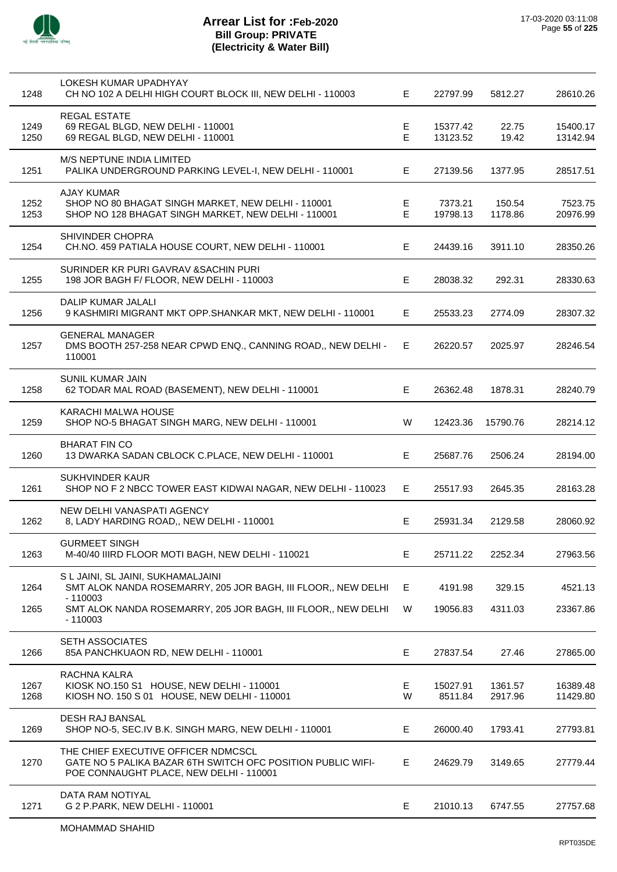

| 1248         | LOKESH KUMAR UPADHYAY<br>CH NO 102 A DELHI HIGH COURT BLOCK III, NEW DELHI - 110003                                                           | E.      | 22797.99             | 5812.27            | 28610.26             |
|--------------|-----------------------------------------------------------------------------------------------------------------------------------------------|---------|----------------------|--------------------|----------------------|
| 1249<br>1250 | REGAL ESTATE<br>69 REGAL BLGD, NEW DELHI - 110001<br>69 REGAL BLGD, NEW DELHI - 110001                                                        | Е<br>E  | 15377.42<br>13123.52 | 22.75<br>19.42     | 15400.17<br>13142.94 |
| 1251         | <b>M/S NEPTUNE INDIA LIMITED</b><br>PALIKA UNDERGROUND PARKING LEVEL-I, NEW DELHI - 110001                                                    | Е       | 27139.56             | 1377.95            | 28517.51             |
| 1252<br>1253 | <b>AJAY KUMAR</b><br>SHOP NO 80 BHAGAT SINGH MARKET, NEW DELHI - 110001<br>SHOP NO 128 BHAGAT SINGH MARKET, NEW DELHI - 110001                | Е<br>E  | 7373.21<br>19798.13  | 150.54<br>1178.86  | 7523.75<br>20976.99  |
| 1254         | <b>SHIVINDER CHOPRA</b><br>CH.NO. 459 PATIALA HOUSE COURT, NEW DELHI - 110001                                                                 | E.      | 24439.16             | 3911.10            | 28350.26             |
| 1255         | SURINDER KR PURI GAVRAV & SACHIN PURI<br>198 JOR BAGH F/ FLOOR, NEW DELHI - 110003                                                            | E       | 28038.32             | 292.31             | 28330.63             |
| 1256         | DALIP KUMAR JALALI<br>9 KASHMIRI MIGRANT MKT OPP.SHANKAR MKT, NEW DELHI - 110001                                                              | E.      | 25533.23             | 2774.09            | 28307.32             |
| 1257         | <b>GENERAL MANAGER</b><br>DMS BOOTH 257-258 NEAR CPWD ENQ., CANNING ROAD,, NEW DELHI -<br>110001                                              | E.      | 26220.57             | 2025.97            | 28246.54             |
| 1258         | SUNIL KUMAR JAIN<br>62 TODAR MAL ROAD (BASEMENT), NEW DELHI - 110001                                                                          | E.      | 26362.48             | 1878.31            | 28240.79             |
| 1259         | <b>KARACHI MALWA HOUSE</b><br>SHOP NO-5 BHAGAT SINGH MARG, NEW DELHI - 110001                                                                 | W       | 12423.36             | 15790.76           | 28214.12             |
| 1260         | <b>BHARAT FIN CO</b><br>13 DWARKA SADAN CBLOCK C.PLACE, NEW DELHI - 110001                                                                    | E.      | 25687.76             | 2506.24            | 28194.00             |
| 1261         | SUKHVINDER KAUR<br>SHOP NO F 2 NBCC TOWER EAST KIDWAI NAGAR, NEW DELHI - 110023                                                               | E.      | 25517.93             | 2645.35            | 28163.28             |
| 1262         | NEW DELHI VANASPATI AGENCY<br>8, LADY HARDING ROAD,, NEW DELHI - 110001                                                                       | Е       | 25931.34             | 2129.58            | 28060.92             |
| 1263         | <b>GURMEET SINGH</b><br>M-40/40 IIIRD FLOOR MOTI BAGH, NEW DELHI - 110021                                                                     | Е       | 25711.22             | 2252.34            | 27963.56             |
| 1264         | S L JAINI, SL JAINI, SUKHAMALJAINI<br>SMT ALOK NANDA ROSEMARRY, 205 JOR BAGH, III FLOOR,, NEW DELHI                                           | Е       | 4191.98              | 329.15             | 4521.13              |
| 1265         | $-110003$<br>SMT ALOK NANDA ROSEMARRY, 205 JOR BAGH, III FLOOR,, NEW DELHI<br>$-110003$                                                       | W       | 19056.83             | 4311.03            | 23367.86             |
| 1266         | <b>SETH ASSOCIATES</b><br>85A PANCHKUAON RD, NEW DELHI - 110001                                                                               | Е       | 27837.54             | 27.46              | 27865.00             |
| 1267<br>1268 | RACHNA KALRA<br>KIOSK NO.150 S1 HOUSE, NEW DELHI - 110001<br>KIOSH NO. 150 S 01 HOUSE, NEW DELHI - 110001                                     | E.<br>W | 15027.91<br>8511.84  | 1361.57<br>2917.96 | 16389.48<br>11429.80 |
| 1269         | DESH RAJ BANSAL<br>SHOP NO-5, SEC.IV B.K. SINGH MARG, NEW DELHI - 110001                                                                      | E       | 26000.40             | 1793.41            | 27793.81             |
| 1270         | THE CHIEF EXECUTIVE OFFICER NDMCSCL<br>GATE NO 5 PALIKA BAZAR 6TH SWITCH OFC POSITION PUBLIC WIFI-<br>POE CONNAUGHT PLACE, NEW DELHI - 110001 | Е       | 24629.79             | 3149.65            | 27779.44             |
| 1271         | DATA RAM NOTIYAL<br>G 2 P.PARK, NEW DELHI - 110001                                                                                            | Е       | 21010.13             | 6747.55            | 27757.68             |
|              |                                                                                                                                               |         |                      |                    |                      |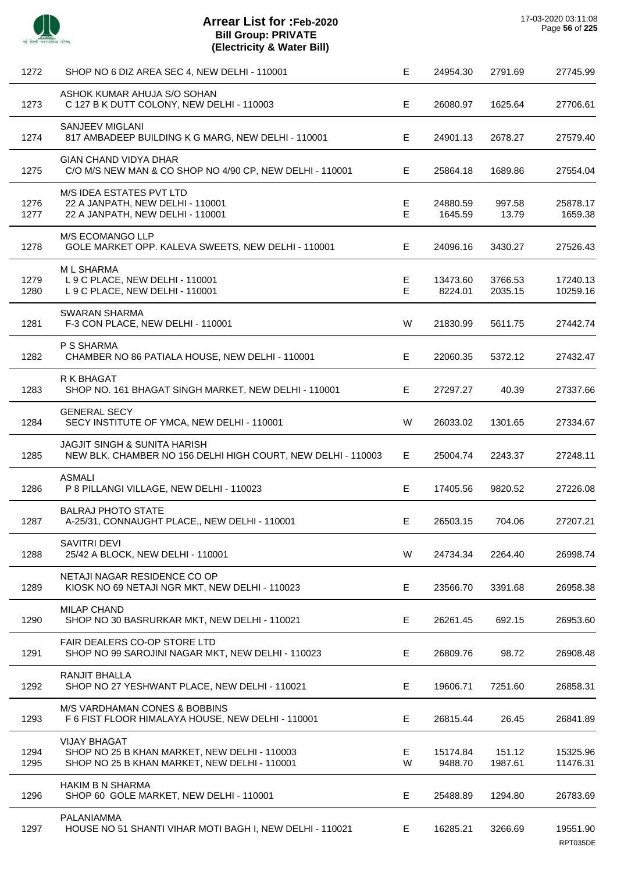

 $\overline{a}$ 

J.

÷.

| 1272         | SHOP NO 6 DIZ AREA SEC 4, NEW DELHI - 110001                                                                        | Е      | 24954.30            | 2791.69            | 27745.99             |
|--------------|---------------------------------------------------------------------------------------------------------------------|--------|---------------------|--------------------|----------------------|
| 1273         | ASHOK KUMAR AHUJA S/O SOHAN<br>C 127 B K DUTT COLONY, NEW DELHI - 110003                                            | E.     | 26080.97            | 1625.64            | 27706.61             |
| 1274         | SANJEEV MIGLANI<br>817 AMBADEEP BUILDING K G MARG, NEW DELHI - 110001                                               | Е      | 24901.13            | 2678.27            | 27579.40             |
| 1275         | <b>GIAN CHAND VIDYA DHAR</b><br>C/O M/S NEW MAN & CO SHOP NO 4/90 CP, NEW DELHI - 110001                            | E      | 25864.18            | 1689.86            | 27554.04             |
| 1276<br>1277 | M/S IDEA ESTATES PVT LTD<br>22 A JANPATH, NEW DELHI - 110001<br>22 A JANPATH, NEW DELHI - 110001                    | Е<br>E | 24880.59<br>1645.59 | 997.58<br>13.79    | 25878.17<br>1659.38  |
| 1278         | M/S ECOMANGO LLP<br>GOLE MARKET OPP. KALEVA SWEETS, NEW DELHI - 110001                                              | E.     | 24096.16            | 3430.27            | 27526.43             |
| 1279<br>1280 | <b>ML SHARMA</b><br>L 9 C PLACE, NEW DELHI - 110001<br>L 9 C PLACE, NEW DELHI - 110001                              | E<br>E | 13473.60<br>8224.01 | 3766.53<br>2035.15 | 17240.13<br>10259.16 |
| 1281         | <b>SWARAN SHARMA</b><br>F-3 CON PLACE, NEW DELHI - 110001                                                           | W      | 21830.99            | 5611.75            | 27442.74             |
| 1282         | P S SHARMA<br>CHAMBER NO 86 PATIALA HOUSE, NEW DELHI - 110001                                                       | E      | 22060.35            | 5372.12            | 27432.47             |
| 1283         | R K BHAGAT<br>SHOP NO. 161 BHAGAT SINGH MARKET, NEW DELHI - 110001                                                  | E.     | 27297.27            | 40.39              | 27337.66             |
| 1284         | <b>GENERAL SECY</b><br>SECY INSTITUTE OF YMCA, NEW DELHI - 110001                                                   | W      | 26033.02            | 1301.65            | 27334.67             |
| 1285         | <b>JAGJIT SINGH &amp; SUNITA HARISH</b><br>NEW BLK. CHAMBER NO 156 DELHI HIGH COURT, NEW DELHI - 110003             | E.     | 25004.74            | 2243.37            | 27248.11             |
| 1286         | <b>ASMALI</b><br>P 8 PILLANGI VILLAGE, NEW DELHI - 110023                                                           | E      | 17405.56            | 9820.52            | 27226.08             |
| 1287         | <b>BALRAJ PHOTO STATE</b><br>A-25/31, CONNAUGHT PLACE,, NEW DELHI - 110001                                          | E.     | 26503.15            | 704.06             | 27207.21             |
| 1288         | <b>SAVITRI DEVI</b><br>25/42 A BLOCK, NEW DELHI - 110001                                                            | W      | 24734.34            | 2264.40            | 26998.74             |
| 1289         | NETAJI NAGAR RESIDENCE CO OP<br>KIOSK NO 69 NETAJI NGR MKT, NEW DELHI - 110023                                      | Е      | 23566.70            | 3391.68            | 26958.38             |
| 1290         | <b>MILAP CHAND</b><br>SHOP NO 30 BASRURKAR MKT, NEW DELHI - 110021                                                  | Е      | 26261.45            | 692.15             | 26953.60             |
| 1291         | FAIR DEALERS CO-OP STORE LTD<br>SHOP NO 99 SAROJINI NAGAR MKT, NEW DELHI - 110023                                   | E      | 26809.76            | 98.72              | 26908.48             |
| 1292         | RANJIT BHALLA<br>SHOP NO 27 YESHWANT PLACE, NEW DELHI - 110021                                                      | Е      | 19606.71            | 7251.60            | 26858.31             |
| 1293         | <b>M/S VARDHAMAN CONES &amp; BOBBINS</b><br>F 6 FIST FLOOR HIMALAYA HOUSE, NEW DELHI - 110001                       | E      | 26815.44            | 26.45              | 26841.89             |
| 1294<br>1295 | <b>VIJAY BHAGAT</b><br>SHOP NO 25 B KHAN MARKET, NEW DELHI - 110003<br>SHOP NO 25 B KHAN MARKET, NEW DELHI - 110001 | E<br>W | 15174.84<br>9488.70 | 151.12<br>1987.61  | 15325.96<br>11476.31 |
| 1296         | <b>HAKIM B N SHARMA</b><br>SHOP 60 GOLE MARKET, NEW DELHI - 110001                                                  | E      | 25488.89            | 1294.80            | 26783.69             |
| 1297         | PALANIAMMA<br>HOUSE NO 51 SHANTI VIHAR MOTI BAGH I, NEW DELHI - 110021                                              | E.     | 16285.21            | 3266.69            | 19551.90<br>RPT035DE |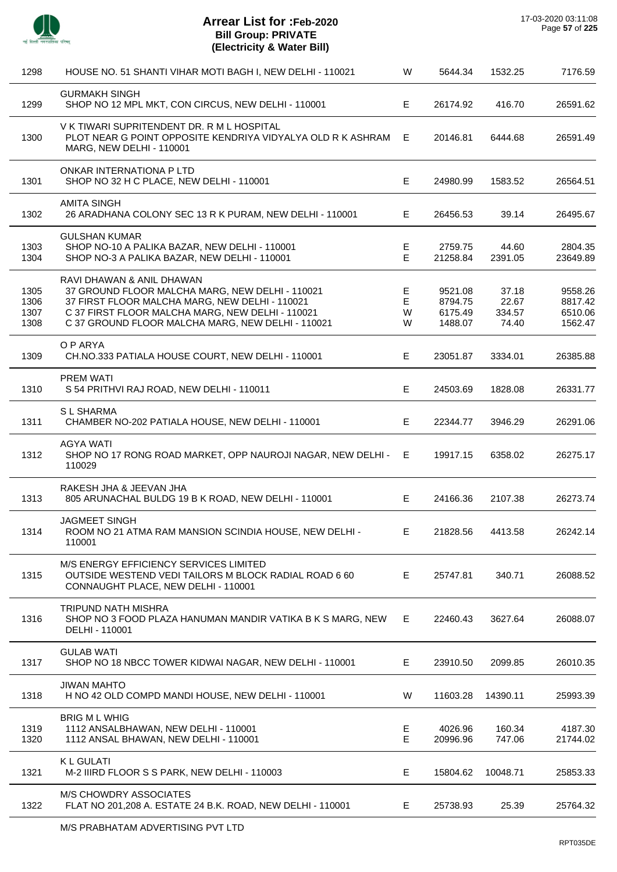

J.

 $\overline{\phantom{a}}$ 

 $\overline{a}$ 

| 1298                         | HOUSE NO. 51 SHANTI VIHAR MOTI BAGH I, NEW DELHI - 110021                                                                                                                                                                               | W                | 5644.34                                  | 1532.25                           | 7176.59                                  |
|------------------------------|-----------------------------------------------------------------------------------------------------------------------------------------------------------------------------------------------------------------------------------------|------------------|------------------------------------------|-----------------------------------|------------------------------------------|
| 1299                         | <b>GURMAKH SINGH</b><br>SHOP NO 12 MPL MKT, CON CIRCUS, NEW DELHI - 110001                                                                                                                                                              | E                | 26174.92                                 | 416.70                            | 26591.62                                 |
| 1300                         | V K TIWARI SUPRITENDENT DR. R M L HOSPITAL<br>PLOT NEAR G POINT OPPOSITE KENDRIYA VIDYALYA OLD R K ASHRAM<br><b>MARG, NEW DELHI - 110001</b>                                                                                            | E.               | 20146.81                                 | 6444.68                           | 26591.49                                 |
| 1301                         | ONKAR INTERNATIONA P LTD<br>SHOP NO 32 H C PLACE, NEW DELHI - 110001                                                                                                                                                                    | E                | 24980.99                                 | 1583.52                           | 26564.51                                 |
| 1302                         | <b>AMITA SINGH</b><br>26 ARADHANA COLONY SEC 13 R K PURAM, NEW DELHI - 110001                                                                                                                                                           | E                | 26456.53                                 | 39.14                             | 26495.67                                 |
| 1303<br>1304                 | <b>GULSHAN KUMAR</b><br>SHOP NO-10 A PALIKA BAZAR, NEW DELHI - 110001<br>SHOP NO-3 A PALIKA BAZAR, NEW DELHI - 110001                                                                                                                   | Ε<br>E           | 2759.75<br>21258.84                      | 44.60<br>2391.05                  | 2804.35<br>23649.89                      |
| 1305<br>1306<br>1307<br>1308 | RAVI DHAWAN & ANIL DHAWAN<br>37 GROUND FLOOR MALCHA MARG, NEW DELHI - 110021<br>37 FIRST FLOOR MALCHA MARG, NEW DELHI - 110021<br>C 37 FIRST FLOOR MALCHA MARG, NEW DELHI - 110021<br>C 37 GROUND FLOOR MALCHA MARG, NEW DELHI - 110021 | Е<br>E<br>W<br>W | 9521.08<br>8794.75<br>6175.49<br>1488.07 | 37.18<br>22.67<br>334.57<br>74.40 | 9558.26<br>8817.42<br>6510.06<br>1562.47 |
| 1309                         | O P ARYA<br>CH.NO.333 PATIALA HOUSE COURT, NEW DELHI - 110001                                                                                                                                                                           | E.               | 23051.87                                 | 3334.01                           | 26385.88                                 |
| 1310                         | <b>PREM WATI</b><br>S 54 PRITHVI RAJ ROAD, NEW DELHI - 110011                                                                                                                                                                           | Е                | 24503.69                                 | 1828.08                           | 26331.77                                 |
| 1311                         | S L SHARMA<br>CHAMBER NO-202 PATIALA HOUSE, NEW DELHI - 110001                                                                                                                                                                          | E                | 22344.77                                 | 3946.29                           | 26291.06                                 |
| 1312                         | <b>AGYA WATI</b><br>SHOP NO 17 RONG ROAD MARKET, OPP NAUROJI NAGAR, NEW DELHI -<br>110029                                                                                                                                               | E                | 19917.15                                 | 6358.02                           | 26275.17                                 |
| 1313                         | RAKESH JHA & JEEVAN JHA<br>805 ARUNACHAL BULDG 19 B K ROAD, NEW DELHI - 110001                                                                                                                                                          | E.               | 24166.36                                 | 2107.38                           | 26273.74                                 |
| 1314                         | <b>JAGMEET SINGH</b><br>ROOM NO 21 ATMA RAM MANSION SCINDIA HOUSE, NEW DELHI -<br>110001                                                                                                                                                | E                | 21828.56                                 | 4413.58                           | 26242.14                                 |
| 1315                         | M/S ENERGY EFFICIENCY SERVICES LIMITED<br>OUTSIDE WESTEND VEDI TAILORS M BLOCK RADIAL ROAD 6 60<br>CONNAUGHT PLACE, NEW DELHI - 110001                                                                                                  | E                | 25747.81                                 | 340.71                            | 26088.52                                 |
| 1316                         | TRIPUND NATH MISHRA<br>SHOP NO 3 FOOD PLAZA HANUMAN MANDIR VATIKA B K S MARG, NEW<br>DELHI - 110001                                                                                                                                     | E.               | 22460.43                                 | 3627.64                           | 26088.07                                 |
| 1317                         | <b>GULAB WATI</b><br>SHOP NO 18 NBCC TOWER KIDWAI NAGAR, NEW DELHI - 110001                                                                                                                                                             | E.               | 23910.50                                 | 2099.85                           | 26010.35                                 |
| 1318                         | <b>JIWAN MAHTO</b><br>H NO 42 OLD COMPD MANDI HOUSE, NEW DELHI - 110001                                                                                                                                                                 | W                | 11603.28                                 | 14390.11                          | 25993.39                                 |
| 1319<br>1320                 | <b>BRIG ML WHIG</b><br>1112 ANSALBHAWAN, NEW DELHI - 110001<br>1112 ANSAL BHAWAN, NEW DELHI - 110001                                                                                                                                    | E<br>E           | 4026.96<br>20996.96                      | 160.34<br>747.06                  | 4187.30<br>21744.02                      |
| 1321                         | <b>KL GULATI</b><br>M-2 IIIRD FLOOR S S PARK, NEW DELHI - 110003                                                                                                                                                                        | E.               | 15804.62                                 | 10048.71                          | 25853.33                                 |
| 1322                         | <b>M/S CHOWDRY ASSOCIATES</b><br>FLAT NO 201,208 A. ESTATE 24 B.K. ROAD, NEW DELHI - 110001                                                                                                                                             | E.               | 25738.93                                 | 25.39                             | 25764.32                                 |
|                              |                                                                                                                                                                                                                                         |                  |                                          |                                   |                                          |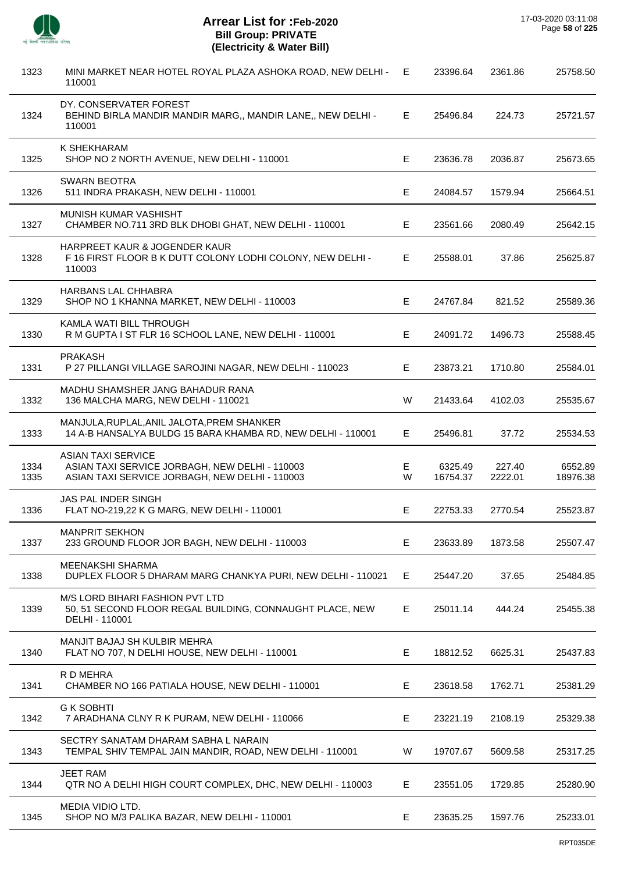

| 1323         | MINI MARKET NEAR HOTEL ROYAL PLAZA ASHOKA ROAD, NEW DELHI -<br>110001                                                         | E      | 23396.64            | 2361.86           | 25758.50            |
|--------------|-------------------------------------------------------------------------------------------------------------------------------|--------|---------------------|-------------------|---------------------|
| 1324         | DY. CONSERVATER FOREST<br>BEHIND BIRLA MANDIR MANDIR MARG,, MANDIR LANE,, NEW DELHI -<br>110001                               | E.     | 25496.84            | 224.73            | 25721.57            |
| 1325         | K SHEKHARAM<br>SHOP NO 2 NORTH AVENUE, NEW DELHI - 110001                                                                     | Е      | 23636.78            | 2036.87           | 25673.65            |
| 1326         | <b>SWARN BEOTRA</b><br>511 INDRA PRAKASH, NEW DELHI - 110001                                                                  | E      | 24084.57            | 1579.94           | 25664.51            |
| 1327         | MUNISH KUMAR VASHISHT<br>CHAMBER NO.711 3RD BLK DHOBI GHAT, NEW DELHI - 110001                                                | E      | 23561.66            | 2080.49           | 25642.15            |
| 1328         | HARPREET KAUR & JOGENDER KAUR<br>F 16 FIRST FLOOR B K DUTT COLONY LODHI COLONY, NEW DELHI -<br>110003                         | Е      | 25588.01            | 37.86             | 25625.87            |
| 1329         | HARBANS LAL CHHABRA<br>SHOP NO 1 KHANNA MARKET, NEW DELHI - 110003                                                            | Е      | 24767.84            | 821.52            | 25589.36            |
| 1330         | KAMLA WATI BILL THROUGH<br>R M GUPTA I ST FLR 16 SCHOOL LANE, NEW DELHI - 110001                                              | Е      | 24091.72            | 1496.73           | 25588.45            |
| 1331         | <b>PRAKASH</b><br>P 27 PILLANGI VILLAGE SAROJINI NAGAR, NEW DELHI - 110023                                                    | Е      | 23873.21            | 1710.80           | 25584.01            |
| 1332         | MADHU SHAMSHER JANG BAHADUR RANA<br>136 MALCHA MARG, NEW DELHI - 110021                                                       | W      | 21433.64            | 4102.03           | 25535.67            |
| 1333         | MANJULA, RUPLAL, ANIL JALOTA, PREM SHANKER<br>14 A-B HANSALYA BULDG 15 BARA KHAMBA RD, NEW DELHI - 110001                     | Е      | 25496.81            | 37.72             | 25534.53            |
| 1334<br>1335 | <b>ASIAN TAXI SERVICE</b><br>ASIAN TAXI SERVICE JORBAGH, NEW DELHI - 110003<br>ASIAN TAXI SERVICE JORBAGH, NEW DELHI - 110003 | Е<br>W | 6325.49<br>16754.37 | 227.40<br>2222.01 | 6552.89<br>18976.38 |
| 1336         | JAS PAL INDER SINGH<br>FLAT NO-219,22 K G MARG, NEW DELHI - 110001                                                            | Е      | 22753.33            | 2770.54           | 25523.87            |
| 1337         | <b>MANPRIT SEKHON</b><br>233 GROUND FLOOR JOR BAGH, NEW DELHI - 110003                                                        | Е      | 23633.89            | 1873.58           | 25507.47            |
| 1338         | MEENAKSHI SHARMA<br>DUPLEX FLOOR 5 DHARAM MARG CHANKYA PURI, NEW DELHI - 110021                                               | Е      | 25447.20            | 37.65             | 25484.85            |
| 1339         | M/S LORD BIHARI FASHION PVT LTD<br>50, 51 SECOND FLOOR REGAL BUILDING, CONNAUGHT PLACE, NEW<br>DELHI - 110001                 | Е      | 25011.14            | 444.24            | 25455.38            |
| 1340         | MANJIT BAJAJ SH KULBIR MEHRA<br>FLAT NO 707, N DELHI HOUSE, NEW DELHI - 110001                                                | E      | 18812.52            | 6625.31           | 25437.83            |
| 1341         | R D MEHRA<br>CHAMBER NO 166 PATIALA HOUSE, NEW DELHI - 110001                                                                 | E      | 23618.58            | 1762.71           | 25381.29            |
| 1342         | <b>G K SOBHTI</b><br>7 ARADHANA CLNY R K PURAM, NEW DELHI - 110066                                                            | E      | 23221.19            | 2108.19           | 25329.38            |
| 1343         | SECTRY SANATAM DHARAM SABHA L NARAIN<br>TEMPAL SHIV TEMPAL JAIN MANDIR, ROAD, NEW DELHI - 110001                              | W      | 19707.67            | 5609.58           | 25317.25            |
| 1344         | <b>JEET RAM</b><br>QTR NO A DELHI HIGH COURT COMPLEX, DHC, NEW DELHI - 110003                                                 | Е      | 23551.05            | 1729.85           | 25280.90            |
| 1345         | MEDIA VIDIO LTD.<br>SHOP NO M/3 PALIKA BAZAR, NEW DELHI - 110001                                                              | E      | 23635.25            | 1597.76           | 25233.01            |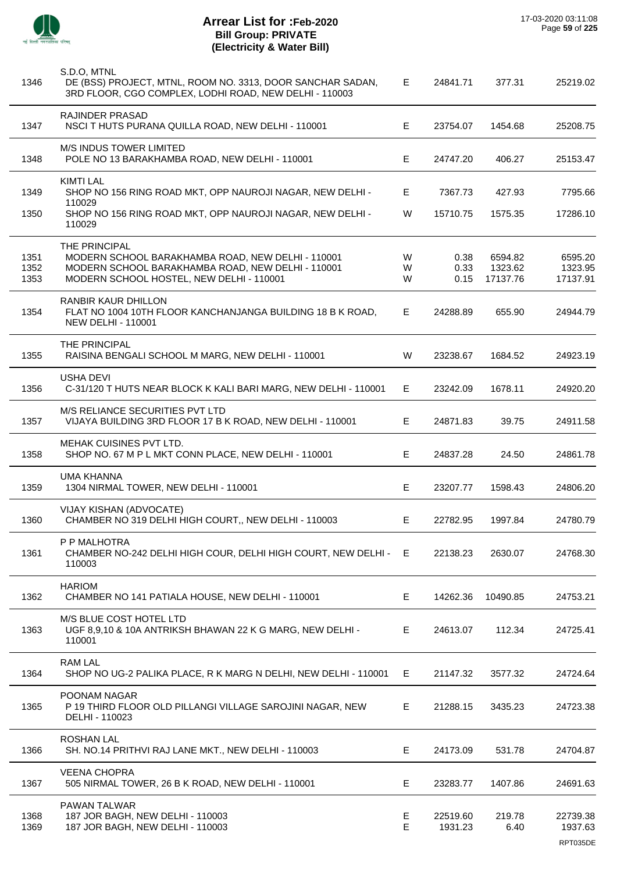

| 1346         | S.D.O. MTNL<br>DE (BSS) PROJECT, MTNL, ROOM NO. 3313, DOOR SANCHAR SADAN,<br>3RD FLOOR, CGO COMPLEX, LODHI ROAD, NEW DELHI - 110003 | Е       | 24841.71            | 377.31         | 25219.02            |
|--------------|-------------------------------------------------------------------------------------------------------------------------------------|---------|---------------------|----------------|---------------------|
| 1347         | RAJINDER PRASAD<br>NSCI THUTS PURANA QUILLA ROAD, NEW DELHI - 110001                                                                | Е       | 23754.07            | 1454.68        | 25208.75            |
| 1348         | <b>M/S INDUS TOWER LIMITED</b><br>POLE NO 13 BARAKHAMBA ROAD, NEW DELHI - 110001                                                    | Е       | 24747.20            | 406.27         | 25153.47            |
| 1349         | <b>KIMTI LAL</b><br>SHOP NO 156 RING ROAD MKT, OPP NAUROJI NAGAR, NEW DELHI -<br>110029                                             | Е       | 7367.73             | 427.93         | 7795.66             |
| 1350         | SHOP NO 156 RING ROAD MKT, OPP NAUROJI NAGAR, NEW DELHI -<br>110029                                                                 | W       | 15710.75            | 1575.35        | 17286.10            |
|              | THE PRINCIPAL                                                                                                                       |         |                     |                |                     |
| 1351         | MODERN SCHOOL BARAKHAMBA ROAD, NEW DELHI - 110001                                                                                   | W       | 0.38                | 6594.82        | 6595.20             |
| 1352         | MODERN SCHOOL BARAKHAMBA ROAD, NEW DELHI - 110001                                                                                   | W       | 0.33                | 1323.62        | 1323.95             |
| 1353         | MODERN SCHOOL HOSTEL, NEW DELHI - 110001                                                                                            | W       | 0.15                | 17137.76       | 17137.91            |
| 1354         | RANBIR KAUR DHILLON<br>FLAT NO 1004 10TH FLOOR KANCHANJANGA BUILDING 18 B K ROAD,<br><b>NEW DELHI - 110001</b>                      | Е       | 24288.89            | 655.90         | 24944.79            |
| 1355         | THE PRINCIPAL<br>RAISINA BENGALI SCHOOL M MARG, NEW DELHI - 110001                                                                  | W       | 23238.67            | 1684.52        | 24923.19            |
| 1356         | <b>USHA DEVI</b><br>C-31/120 T HUTS NEAR BLOCK K KALI BARI MARG, NEW DELHI - 110001                                                 | Е       | 23242.09            | 1678.11        | 24920.20            |
| 1357         | M/S RELIANCE SECURITIES PVT LTD<br>VIJAYA BUILDING 3RD FLOOR 17 B K ROAD, NEW DELHI - 110001                                        | E       | 24871.83            | 39.75          | 24911.58            |
| 1358         | <b>MEHAK CUISINES PVT LTD.</b><br>SHOP NO. 67 M P L MKT CONN PLACE, NEW DELHI - 110001                                              | Е       | 24837.28            | 24.50          | 24861.78            |
| 1359         | <b>UMA KHANNA</b><br>1304 NIRMAL TOWER, NEW DELHI - 110001                                                                          | Е       | 23207.77            | 1598.43        | 24806.20            |
| 1360         | VIJAY KISHAN (ADVOCATE)<br>CHAMBER NO 319 DELHI HIGH COURT,, NEW DELHI - 110003                                                     | E       | 22782.95            | 1997.84        | 24780.79            |
| 1361         | P P MALHOTRA<br>CHAMBER NO-242 DELHI HIGH COUR, DELHI HIGH COURT, NEW DELHI - E<br>110003                                           |         | 22138.23            | 2630.07        | 24768.30            |
| 1362         | <b>HARIOM</b><br>CHAMBER NO 141 PATIALA HOUSE, NEW DELHI - 110001                                                                   | Е       | 14262.36            | 10490.85       | 24753.21            |
| 1363         | M/S BLUE COST HOTEL LTD<br>UGF 8,9,10 & 10A ANTRIKSH BHAWAN 22 K G MARG, NEW DELHI -<br>110001                                      | Е       | 24613.07            | 112.34         | 24725.41            |
| 1364         | <b>RAM LAL</b><br>SHOP NO UG-2 PALIKA PLACE, R K MARG N DELHI, NEW DELHI - 110001                                                   | Е       | 21147.32            | 3577.32        | 24724.64            |
| 1365         | POONAM NAGAR<br>P 19 THIRD FLOOR OLD PILLANGI VILLAGE SAROJINI NAGAR, NEW<br>DELHI - 110023                                         | Е       | 21288.15            | 3435.23        | 24723.38            |
| 1366         | <b>ROSHAN LAL</b><br>SH. NO.14 PRITHVI RAJ LANE MKT., NEW DELHI - 110003                                                            | Е       | 24173.09            | 531.78         | 24704.87            |
| 1367         | <b>VEENA CHOPRA</b><br>505 NIRMAL TOWER, 26 B K ROAD, NEW DELHI - 110001                                                            | Е       | 23283.77            | 1407.86        | 24691.63            |
|              | PAWAN TALWAR                                                                                                                        |         |                     |                |                     |
| 1368<br>1369 | 187 JOR BAGH, NEW DELHI - 110003<br>187 JOR BAGH, NEW DELHI - 110003                                                                | E.<br>E | 22519.60<br>1931.23 | 219.78<br>6.40 | 22739.38<br>1937.63 |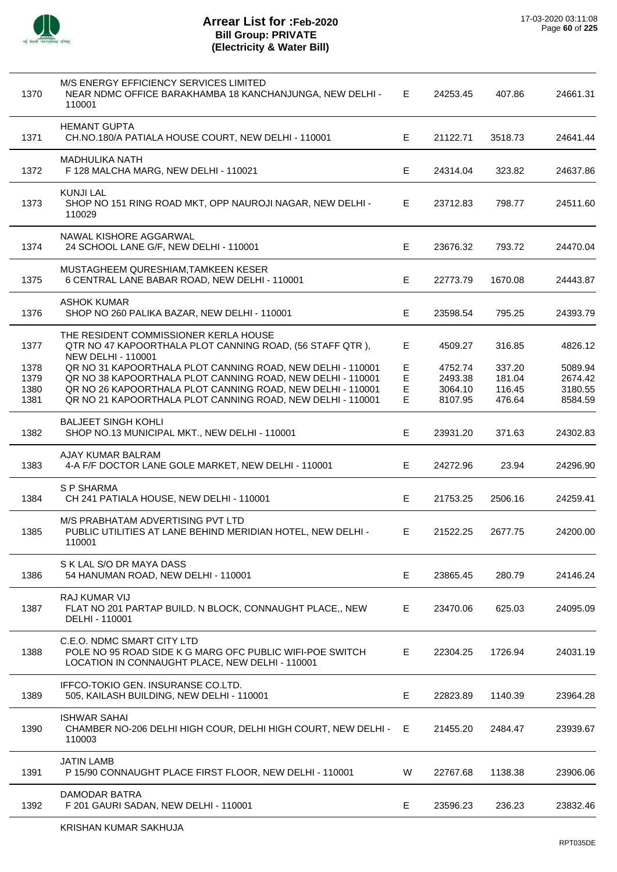

| 1370         | M/S ENERGY EFFICIENCY SERVICES LIMITED<br>NEAR NDMC OFFICE BARAKHAMBA 18 KANCHANJUNGA, NEW DELHI -<br>110001                              | E      | 24253.45           | 407.86           | 24661.31           |
|--------------|-------------------------------------------------------------------------------------------------------------------------------------------|--------|--------------------|------------------|--------------------|
| 1371         | <b>HEMANT GUPTA</b><br>CH.NO.180/A PATIALA HOUSE COURT, NEW DELHI - 110001                                                                | E      | 21122.71           | 3518.73          | 24641.44           |
| 1372         | <b>MADHULIKA NATH</b><br>F 128 MALCHA MARG, NEW DELHI - 110021                                                                            | Е      | 24314.04           | 323.82           | 24637.86           |
| 1373         | <b>KUNJI LAL</b><br>SHOP NO 151 RING ROAD MKT, OPP NAUROJI NAGAR, NEW DELHI -<br>110029                                                   | E.     | 23712.83           | 798.77           | 24511.60           |
| 1374         | NAWAL KISHORE AGGARWAL<br>24 SCHOOL LANE G/F, NEW DELHI - 110001                                                                          | Е      | 23676.32           | 793.72           | 24470.04           |
| 1375         | MUSTAGHEEM QURESHIAM, TAMKEEN KESER<br>6 CENTRAL LANE BABAR ROAD, NEW DELHI - 110001                                                      | Е      | 22773.79           | 1670.08          | 24443.87           |
| 1376         | <b>ASHOK KUMAR</b><br>SHOP NO 260 PALIKA BAZAR, NEW DELHI - 110001                                                                        | E      | 23598.54           | 795.25           | 24393.79           |
| 1377         | THE RESIDENT COMMISSIONER KERLA HOUSE<br>QTR NO 47 KAPOORTHALA PLOT CANNING ROAD, (56 STAFF QTR),                                         | Е      | 4509.27            | 316.85           | 4826.12            |
| 1378         | <b>NEW DELHI - 110001</b><br>QR NO 31 KAPOORTHALA PLOT CANNING ROAD, NEW DELHI - 110001                                                   | Е      | 4752.74            | 337.20           | 5089.94            |
| 1379         | QR NO 38 KAPOORTHALA PLOT CANNING ROAD, NEW DELHI - 110001                                                                                | E      | 2493.38            | 181.04           | 2674.42            |
| 1380<br>1381 | QR NO 26 KAPOORTHALA PLOT CANNING ROAD, NEW DELHI - 110001<br>QR NO 21 KAPOORTHALA PLOT CANNING ROAD, NEW DELHI - 110001                  | E<br>E | 3064.10<br>8107.95 | 116.45<br>476.64 | 3180.55<br>8584.59 |
| 1382         | <b>BALJEET SINGH KOHLI</b><br>SHOP NO.13 MUNICIPAL MKT., NEW DELHI - 110001                                                               | Е      | 23931.20           | 371.63           | 24302.83           |
| 1383         | AJAY KUMAR BALRAM<br>4-A F/F DOCTOR LANE GOLE MARKET, NEW DELHI - 110001                                                                  | Е      | 24272.96           | 23.94            | 24296.90           |
| 1384         | S P SHARMA<br>CH 241 PATIALA HOUSE, NEW DELHI - 110001                                                                                    | Е      | 21753.25           | 2506.16          | 24259.41           |
| 1385         | M/S PRABHATAM ADVERTISING PVT LTD<br>PUBLIC UTILITIES AT LANE BEHIND MERIDIAN HOTEL, NEW DELHI -<br>110001                                | Ε      | 21522.25           | 2677.75          | 24200.00           |
| 1386         | S K LAL S/O DR MAYA DASS<br>54 HANUMAN ROAD, NEW DELHI - 110001                                                                           | Е      | 23865.45           | 280.79           | 24146.24           |
| 1387         | RAJ KUMAR VIJ<br>FLAT NO 201 PARTAP BUILD. N BLOCK, CONNAUGHT PLACE,, NEW<br>DELHI - 110001                                               | E.     | 23470.06           | 625.03           | 24095.09           |
| 1388         | C.E.O. NDMC SMART CITY LTD<br>POLE NO 95 ROAD SIDE K G MARG OFC PUBLIC WIFI-POE SWITCH<br>LOCATION IN CONNAUGHT PLACE, NEW DELHI - 110001 | Е      | 22304.25           | 1726.94          | 24031.19           |
| 1389         | IFFCO-TOKIO GEN. INSURANSE CO.LTD.<br>505, KAILASH BUILDING, NEW DELHI - 110001                                                           | Е      | 22823.89           | 1140.39          | 23964.28           |
| 1390         | <b>ISHWAR SAHAI</b><br>CHAMBER NO-206 DELHI HIGH COUR, DELHI HIGH COURT, NEW DELHI -<br>110003                                            | E.     | 21455.20           | 2484.47          | 23939.67           |
| 1391         | <b>JATIN LAMB</b><br>P 15/90 CONNAUGHT PLACE FIRST FLOOR, NEW DELHI - 110001                                                              | W      | 22767.68           | 1138.38          | 23906.06           |
| 1392         | DAMODAR BATRA<br>F 201 GAURI SADAN, NEW DELHI - 110001                                                                                    | Е      | 23596.23           | 236.23           | 23832.46           |
|              | KRISHAN KUMAR SAKHUJA                                                                                                                     |        |                    |                  |                    |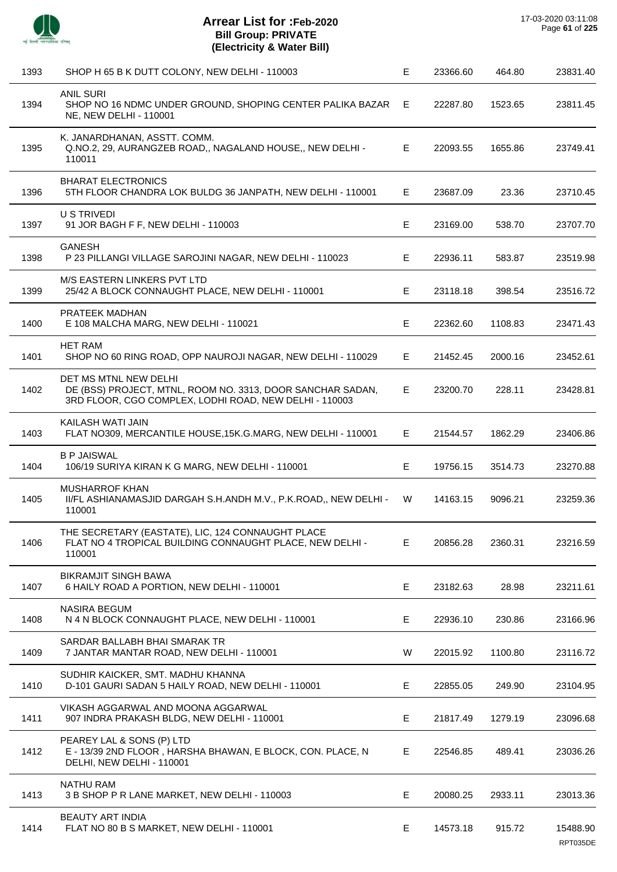

l,

 $\overline{a}$ 

J.

l,

 $\overline{a}$ 

l,

l.

| 1393 | SHOP H 65 B K DUTT COLONY, NEW DELHI - 110003                                                                                                 | E  | 23366.60 | 464.80  | 23831.40             |
|------|-----------------------------------------------------------------------------------------------------------------------------------------------|----|----------|---------|----------------------|
| 1394 | <b>ANIL SURI</b><br>SHOP NO 16 NDMC UNDER GROUND, SHOPING CENTER PALIKA BAZAR<br>NE, NEW DELHI - 110001                                       | E  | 22287.80 | 1523.65 | 23811.45             |
| 1395 | K. JANARDHANAN, ASSTT. COMM.<br>Q.NO.2, 29, AURANGZEB ROAD,, NAGALAND HOUSE,, NEW DELHI -<br>110011                                           | E. | 22093.55 | 1655.86 | 23749.41             |
| 1396 | <b>BHARAT ELECTRONICS</b><br>5TH FLOOR CHANDRA LOK BULDG 36 JANPATH, NEW DELHI - 110001                                                       | E. | 23687.09 | 23.36   | 23710.45             |
| 1397 | U S TRIVEDI<br>91 JOR BAGH F F, NEW DELHI - 110003                                                                                            | E. | 23169.00 | 538.70  | 23707.70             |
| 1398 | <b>GANESH</b><br>P 23 PILLANGI VILLAGE SAROJINI NAGAR, NEW DELHI - 110023                                                                     | Е  | 22936.11 | 583.87  | 23519.98             |
| 1399 | <b>M/S EASTERN LINKERS PVT LTD</b><br>25/42 A BLOCK CONNAUGHT PLACE, NEW DELHI - 110001                                                       | E. | 23118.18 | 398.54  | 23516.72             |
| 1400 | PRATEEK MADHAN<br>E 108 MALCHA MARG, NEW DELHI - 110021                                                                                       | E. | 22362.60 | 1108.83 | 23471.43             |
| 1401 | <b>HET RAM</b><br>SHOP NO 60 RING ROAD, OPP NAUROJI NAGAR, NEW DELHI - 110029                                                                 | Е  | 21452.45 | 2000.16 | 23452.61             |
| 1402 | DET MS MTNL NEW DELHI<br>DE (BSS) PROJECT, MTNL, ROOM NO. 3313, DOOR SANCHAR SADAN,<br>3RD FLOOR, CGO COMPLEX, LODHI ROAD, NEW DELHI - 110003 | E. | 23200.70 | 228.11  | 23428.81             |
| 1403 | KAILASH WATI JAIN<br>FLAT NO309, MERCANTILE HOUSE, 15K.G.MARG, NEW DELHI - 110001                                                             | E. | 21544.57 | 1862.29 | 23406.86             |
| 1404 | <b>B P JAISWAL</b><br>106/19 SURIYA KIRAN K G MARG, NEW DELHI - 110001                                                                        | E. | 19756.15 | 3514.73 | 23270.88             |
| 1405 | <b>MUSHARROF KHAN</b><br>II/FL ASHIANAMASJID DARGAH S.H.ANDH M.V., P.K.ROAD,, NEW DELHI -<br>110001                                           | W  | 14163.15 | 9096.21 | 23259.36             |
| 1406 | THE SECRETARY (EASTATE), LIC, 124 CONNAUGHT PLACE<br>FLAT NO 4 TROPICAL BUILDING CONNAUGHT PLACE, NEW DELHI -<br>110001                       | Е  | 20856.28 | 2360.31 | 23216.59             |
| 1407 | <b>BIKRAMJIT SINGH BAWA</b><br>6 HAILY ROAD A PORTION, NEW DELHI - 110001                                                                     | Е  | 23182.63 | 28.98   | 23211.61             |
| 1408 | <b>NASIRA BEGUM</b><br>N 4 N BLOCK CONNAUGHT PLACE, NEW DELHI - 110001                                                                        | Е  | 22936.10 | 230.86  | 23166.96             |
| 1409 | SARDAR BALLABH BHAI SMARAK TR<br>7 JANTAR MANTAR ROAD, NEW DELHI - 110001                                                                     | W  | 22015.92 | 1100.80 | 23116.72             |
| 1410 | SUDHIR KAICKER, SMT. MADHU KHANNA<br>D-101 GAURI SADAN 5 HAILY ROAD, NEW DELHI - 110001                                                       | E. | 22855.05 | 249.90  | 23104.95             |
| 1411 | VIKASH AGGARWAL AND MOONA AGGARWAL<br>907 INDRA PRAKASH BLDG, NEW DELHI - 110001                                                              | Е  | 21817.49 | 1279.19 | 23096.68             |
| 1412 | PEAREY LAL & SONS (P) LTD<br>E - 13/39 2ND FLOOR, HARSHA BHAWAN, E BLOCK, CON. PLACE, N<br>DELHI, NEW DELHI - 110001                          | E. | 22546.85 | 489.41  | 23036.26             |
| 1413 | <b>NATHU RAM</b><br>3 B SHOP P R LANE MARKET, NEW DELHI - 110003                                                                              | Е  | 20080.25 | 2933.11 | 23013.36             |
| 1414 | <b>BEAUTY ART INDIA</b><br>FLAT NO 80 B S MARKET, NEW DELHI - 110001                                                                          | Е  | 14573.18 | 915.72  | 15488.90<br>RPT035DE |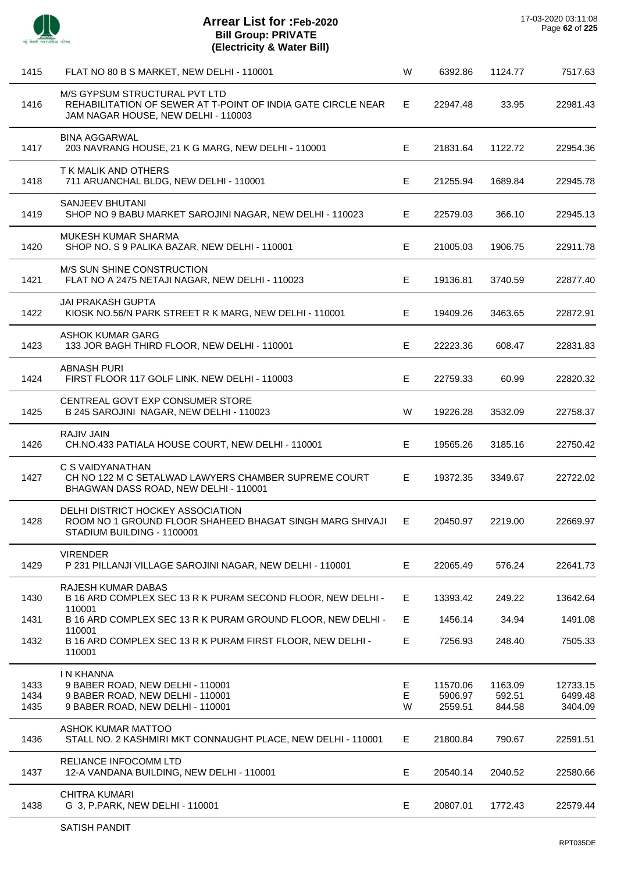

| 1415                 | FLAT NO 80 B S MARKET, NEW DELHI - 110001                                                                                            | W           | 6392.86                        | 1124.77                     | 7517.63                        |
|----------------------|--------------------------------------------------------------------------------------------------------------------------------------|-------------|--------------------------------|-----------------------------|--------------------------------|
| 1416                 | M/S GYPSUM STRUCTURAL PVT LTD<br>REHABILITATION OF SEWER AT T-POINT OF INDIA GATE CIRCLE NEAR<br>JAM NAGAR HOUSE, NEW DELHI - 110003 | E.          | 22947.48                       | 33.95                       | 22981.43                       |
| 1417                 | <b>BINA AGGARWAL</b><br>203 NAVRANG HOUSE, 21 K G MARG, NEW DELHI - 110001                                                           | E           | 21831.64                       | 1122.72                     | 22954.36                       |
| 1418                 | T K MALIK AND OTHERS<br>711 ARUANCHAL BLDG, NEW DELHI - 110001                                                                       | Е           | 21255.94                       | 1689.84                     | 22945.78                       |
| 1419                 | SANJEEV BHUTANI<br>SHOP NO 9 BABU MARKET SAROJINI NAGAR, NEW DELHI - 110023                                                          | Е           | 22579.03                       | 366.10                      | 22945.13                       |
| 1420                 | <b>MUKESH KUMAR SHARMA</b><br>SHOP NO. S 9 PALIKA BAZAR, NEW DELHI - 110001                                                          | E           | 21005.03                       | 1906.75                     | 22911.78                       |
| 1421                 | M/S SUN SHINE CONSTRUCTION<br>FLAT NO A 2475 NETAJI NAGAR, NEW DELHI - 110023                                                        | E           | 19136.81                       | 3740.59                     | 22877.40                       |
| 1422                 | <b>JAI PRAKASH GUPTA</b><br>KIOSK NO.56/N PARK STREET R K MARG, NEW DELHI - 110001                                                   | Е           | 19409.26                       | 3463.65                     | 22872.91                       |
| 1423                 | <b>ASHOK KUMAR GARG</b><br>133 JOR BAGH THIRD FLOOR, NEW DELHI - 110001                                                              | E.          | 22223.36                       | 608.47                      | 22831.83                       |
| 1424                 | <b>ABNASH PURI</b><br>FIRST FLOOR 117 GOLF LINK, NEW DELHI - 110003                                                                  | E           | 22759.33                       | 60.99                       | 22820.32                       |
| 1425                 | CENTREAL GOVT EXP CONSUMER STORE<br>B 245 SAROJINI NAGAR, NEW DELHI - 110023                                                         | W           | 19226.28                       | 3532.09                     | 22758.37                       |
| 1426                 | <b>RAJIV JAIN</b><br>CH.NO.433 PATIALA HOUSE COURT, NEW DELHI - 110001                                                               | E.          | 19565.26                       | 3185.16                     | 22750.42                       |
| 1427                 | C S VAIDYANATHAN<br>CH NO 122 M C SETALWAD LAWYERS CHAMBER SUPREME COURT<br>BHAGWAN DASS ROAD, NEW DELHI - 110001                    | E           | 19372.35                       | 3349.67                     | 22722.02                       |
| 1428                 | DELHI DISTRICT HOCKEY ASSOCIATION<br>ROOM NO 1 GROUND FLOOR SHAHEED BHAGAT SINGH MARG SHIVAJI<br>STADIUM BUILDING - 1100001          | Е           | 20450.97                       | 2219.00                     | 22669.97                       |
| 1429                 | <b>VIRENDER</b><br>P 231 PILLANJI VILLAGE SAROJINI NAGAR, NEW DELHI - 110001                                                         | E.          | 22065.49                       | 576.24                      | 22641.73                       |
| 1430                 | RAJESH KUMAR DABAS<br>B 16 ARD COMPLEX SEC 13 R K PURAM SECOND FLOOR, NEW DELHI -<br>110001                                          | E           | 13393.42                       | 249.22                      | 13642.64                       |
| 1431                 | B 16 ARD COMPLEX SEC 13 R K PURAM GROUND FLOOR, NEW DELHI -                                                                          | E           | 1456.14                        | 34.94                       | 1491.08                        |
| 1432                 | 110001<br>B 16 ARD COMPLEX SEC 13 R K PURAM FIRST FLOOR, NEW DELHI -<br>110001                                                       | E           | 7256.93                        | 248.40                      | 7505.33                        |
| 1433<br>1434<br>1435 | <b>IN KHANNA</b><br>9 BABER ROAD, NEW DELHI - 110001<br>9 BABER ROAD, NEW DELHI - 110001<br>9 BABER ROAD, NEW DELHI - 110001         | Е<br>E<br>W | 11570.06<br>5906.97<br>2559.51 | 1163.09<br>592.51<br>844.58 | 12733.15<br>6499.48<br>3404.09 |
| 1436                 | ASHOK KUMAR MATTOO<br>STALL NO. 2 KASHMIRI MKT CONNAUGHT PLACE, NEW DELHI - 110001                                                   | E           | 21800.84                       | 790.67                      | 22591.51                       |
| 1437                 | RELIANCE INFOCOMM LTD<br>12-A VANDANA BUILDING, NEW DELHI - 110001                                                                   | E.          | 20540.14                       | 2040.52                     | 22580.66                       |
| 1438                 | <b>CHITRA KUMARI</b><br>G 3, P.PARK, NEW DELHI - 110001                                                                              | Е           | 20807.01                       | 1772.43                     | 22579.44                       |
|                      |                                                                                                                                      |             |                                |                             |                                |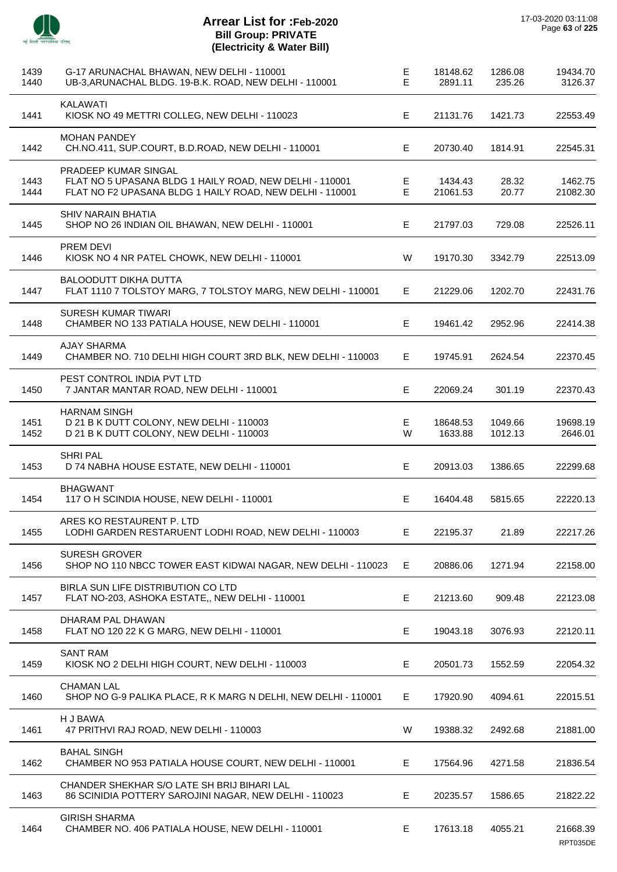

J.

J.

J.

 $\overline{\phantom{a}}$ 

J.

J.

 $\overline{a}$ 

 $\overline{a}$ 

| 1439<br>1440 | G-17 ARUNACHAL BHAWAN, NEW DELHI - 110001<br>UB-3, ARUNACHAL BLDG. 19-B.K. ROAD, NEW DELHI - 110001                                         | Е<br>E | 18148.62<br>2891.11 | 1286.08<br>235.26  | 19434.70<br>3126.37  |
|--------------|---------------------------------------------------------------------------------------------------------------------------------------------|--------|---------------------|--------------------|----------------------|
| 1441         | <b>KALAWATI</b><br>KIOSK NO 49 METTRI COLLEG, NEW DELHI - 110023                                                                            | E      | 21131.76            | 1421.73            | 22553.49             |
| 1442         | <b>MOHAN PANDEY</b><br>CH.NO.411, SUP.COURT, B.D.ROAD, NEW DELHI - 110001                                                                   | Е      | 20730.40            | 1814.91            | 22545.31             |
| 1443<br>1444 | PRADEEP KUMAR SINGAL<br>FLAT NO 5 UPASANA BLDG 1 HAILY ROAD, NEW DELHI - 110001<br>FLAT NO F2 UPASANA BLDG 1 HAILY ROAD, NEW DELHI - 110001 | Е<br>E | 1434.43<br>21061.53 | 28.32<br>20.77     | 1462.75<br>21082.30  |
| 1445         | SHIV NARAIN BHATIA<br>SHOP NO 26 INDIAN OIL BHAWAN, NEW DELHI - 110001                                                                      | Е      | 21797.03            | 729.08             | 22526.11             |
| 1446         | <b>PREM DEVI</b><br>KIOSK NO 4 NR PATEL CHOWK, NEW DELHI - 110001                                                                           | W      | 19170.30            | 3342.79            | 22513.09             |
| 1447         | <b>BALOODUTT DIKHA DUTTA</b><br>FLAT 1110 7 TOLSTOY MARG, 7 TOLSTOY MARG, NEW DELHI - 110001                                                | Е      | 21229.06            | 1202.70            | 22431.76             |
| 1448         | SURESH KUMAR TIWARI<br>CHAMBER NO 133 PATIALA HOUSE, NEW DELHI - 110001                                                                     | Е      | 19461.42            | 2952.96            | 22414.38             |
| 1449         | <b>AJAY SHARMA</b><br>CHAMBER NO. 710 DELHI HIGH COURT 3RD BLK, NEW DELHI - 110003                                                          | Е      | 19745.91            | 2624.54            | 22370.45             |
| 1450         | PEST CONTROL INDIA PVT LTD<br>7 JANTAR MANTAR ROAD, NEW DELHI - 110001                                                                      | E      | 22069.24            | 301.19             | 22370.43             |
| 1451<br>1452 | <b>HARNAM SINGH</b><br>D 21 B K DUTT COLONY, NEW DELHI - 110003<br>D 21 B K DUTT COLONY, NEW DELHI - 110003                                 | Е<br>W | 18648.53<br>1633.88 | 1049.66<br>1012.13 | 19698.19<br>2646.01  |
| 1453         | <b>SHRI PAL</b><br>D 74 NABHA HOUSE ESTATE, NEW DELHI - 110001                                                                              | E      | 20913.03            | 1386.65            | 22299.68             |
| 1454         | <b>BHAGWANT</b><br>117 O H SCINDIA HOUSE, NEW DELHI - 110001                                                                                | Е      | 16404.48            | 5815.65            | 22220.13             |
| 1455         | ARES KO RESTAURENT P. LTD<br>LODHI GARDEN RESTARUENT LODHI ROAD, NEW DELHI - 110003                                                         | E.     | 22195.37            | 21.89              | 22217.26             |
| 1456         | <b>SURESH GROVER</b><br>SHOP NO 110 NBCC TOWER EAST KIDWAI NAGAR, NEW DELHI - 110023                                                        | E.     | 20886.06            | 1271.94            | 22158.00             |
| 1457         | BIRLA SUN LIFE DISTRIBUTION CO LTD<br>FLAT NO-203, ASHOKA ESTATE,, NEW DELHI - 110001                                                       | E      | 21213.60            | 909.48             | 22123.08             |
| 1458         | DHARAM PAL DHAWAN<br>FLAT NO 120 22 K G MARG, NEW DELHI - 110001                                                                            | E      | 19043.18            | 3076.93            | 22120.11             |
| 1459         | <b>SANT RAM</b><br>KIOSK NO 2 DELHI HIGH COURT, NEW DELHI - 110003                                                                          | E.     | 20501.73            | 1552.59            | 22054.32             |
| 1460         | <b>CHAMAN LAL</b><br>SHOP NO G-9 PALIKA PLACE, R K MARG N DELHI, NEW DELHI - 110001                                                         | E.     | 17920.90            | 4094.61            | 22015.51             |
| 1461         | H J BAWA<br>47 PRITHVI RAJ ROAD, NEW DELHI - 110003                                                                                         | W      | 19388.32            | 2492.68            | 21881.00             |
| 1462         | <b>BAHAL SINGH</b><br>CHAMBER NO 953 PATIALA HOUSE COURT, NEW DELHI - 110001                                                                | Е.     | 17564.96            | 4271.58            | 21836.54             |
| 1463         | CHANDER SHEKHAR S/O LATE SH BRIJ BIHARI LAL<br>86 SCINIDIA POTTERY SAROJINI NAGAR, NEW DELHI - 110023                                       | E      | 20235.57            | 1586.65            | 21822.22             |
| 1464         | <b>GIRISH SHARMA</b><br>CHAMBER NO. 406 PATIALA HOUSE, NEW DELHI - 110001                                                                   | Е      | 17613.18            | 4055.21            | 21668.39<br>RPT035DE |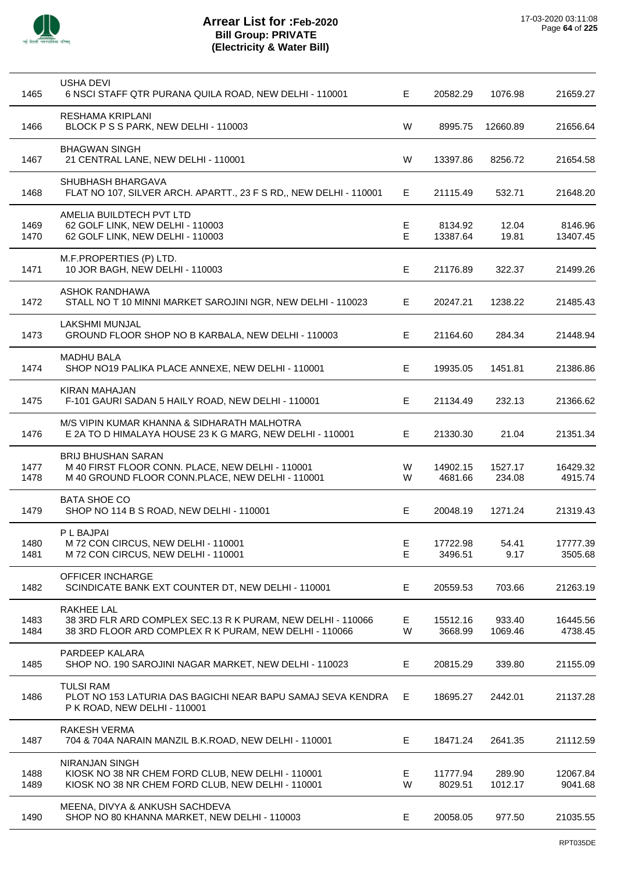

| 1465         | USHA DEVI<br>6 NSCI STAFF QTR PURANA QUILA ROAD, NEW DELHI - 110001                                                                 | E      | 20582.29            | 1076.98           | 21659.27            |
|--------------|-------------------------------------------------------------------------------------------------------------------------------------|--------|---------------------|-------------------|---------------------|
| 1466         | <b>RESHAMA KRIPLANI</b><br>BLOCK P S S PARK, NEW DELHI - 110003                                                                     | W      | 8995.75             | 12660.89          | 21656.64            |
| 1467         | <b>BHAGWAN SINGH</b><br>21 CENTRAL LANE, NEW DELHI - 110001                                                                         | W      | 13397.86            | 8256.72           | 21654.58            |
| 1468         | SHUBHASH BHARGAVA<br>FLAT NO 107, SILVER ARCH. APARTT., 23 F S RD,, NEW DELHI - 110001                                              | Е      | 21115.49            | 532.71            | 21648.20            |
| 1469<br>1470 | AMELIA BUILDTECH PVT LTD<br>62 GOLF LINK, NEW DELHI - 110003<br>62 GOLF LINK, NEW DELHI - 110003                                    | Е<br>E | 8134.92<br>13387.64 | 12.04<br>19.81    | 8146.96<br>13407.45 |
| 1471         | M.F.PROPERTIES (P) LTD.<br>10 JOR BAGH, NEW DELHI - 110003                                                                          | Е      | 21176.89            | 322.37            | 21499.26            |
| 1472         | ASHOK RANDHAWA<br>STALL NO T 10 MINNI MARKET SAROJINI NGR, NEW DELHI - 110023                                                       | Е      | 20247.21            | 1238.22           | 21485.43            |
| 1473         | <b>LAKSHMI MUNJAL</b><br>GROUND FLOOR SHOP NO B KARBALA, NEW DELHI - 110003                                                         | E.     | 21164.60            | 284.34            | 21448.94            |
| 1474         | <b>MADHU BALA</b><br>SHOP NO19 PALIKA PLACE ANNEXE, NEW DELHI - 110001                                                              | Е      | 19935.05            | 1451.81           | 21386.86            |
| 1475         | KIRAN MAHAJAN<br>F-101 GAURI SADAN 5 HAILY ROAD, NEW DELHI - 110001                                                                 | Е      | 21134.49            | 232.13            | 21366.62            |
| 1476         | M/S VIPIN KUMAR KHANNA & SIDHARATH MALHOTRA<br>E 2A TO D HIMALAYA HOUSE 23 K G MARG, NEW DELHI - 110001                             | Е      | 21330.30            | 21.04             | 21351.34            |
| 1477<br>1478 | <b>BRIJ BHUSHAN SARAN</b><br>M 40 FIRST FLOOR CONN. PLACE, NEW DELHI - 110001<br>M 40 GROUND FLOOR CONN.PLACE, NEW DELHI - 110001   | W<br>W | 14902.15<br>4681.66 | 1527.17<br>234.08 | 16429.32<br>4915.74 |
| 1479         | <b>BATA SHOE CO</b><br>SHOP NO 114 B S ROAD, NEW DELHI - 110001                                                                     | Е      | 20048.19            | 1271.24           | 21319.43            |
| 1480<br>1481 | P L BAJPAI<br>M 72 CON CIRCUS, NEW DELHI - 110001<br>M 72 CON CIRCUS, NEW DELHI - 110001                                            | Е<br>Е | 17722.98<br>3496.51 | 54.41<br>9.17     | 17777.39<br>3505.68 |
| 1482         | OFFICER INCHARGE<br>SCINDICATE BANK EXT COUNTER DT, NEW DELHI - 110001                                                              | E      | 20559.53            | 703.66            | 21263.19            |
| 1483<br>1484 | RAKHEE LAL<br>38 3RD FLR ARD COMPLEX SEC.13 R K PURAM, NEW DELHI - 110066<br>38 3RD FLOOR ARD COMPLEX R K PURAM, NEW DELHI - 110066 | Е<br>W | 15512.16<br>3668.99 | 933.40<br>1069.46 | 16445.56<br>4738.45 |
| 1485         | PARDEEP KALARA<br>SHOP NO. 190 SAROJINI NAGAR MARKET, NEW DELHI - 110023                                                            | Е      | 20815.29            | 339.80            | 21155.09            |
| 1486         | <b>TULSI RAM</b><br>PLOT NO 153 LATURIA DAS BAGICHI NEAR BAPU SAMAJ SEVA KENDRA<br>P K ROAD, NEW DELHI - 110001                     | Е      | 18695.27            | 2442.01           | 21137.28            |
| 1487         | RAKESH VERMA<br>704 & 704A NARAIN MANZIL B.K.ROAD, NEW DELHI - 110001                                                               | E      | 18471.24            | 2641.35           | 21112.59            |
| 1488<br>1489 | <b>NIRANJAN SINGH</b><br>KIOSK NO 38 NR CHEM FORD CLUB, NEW DELHI - 110001<br>KIOSK NO 38 NR CHEM FORD CLUB, NEW DELHI - 110001     | Е<br>W | 11777.94<br>8029.51 | 289.90<br>1012.17 | 12067.84<br>9041.68 |
| 1490         | MEENA, DIVYA & ANKUSH SACHDEVA<br>SHOP NO 80 KHANNA MARKET, NEW DELHI - 110003                                                      | E      | 20058.05            | 977.50            | 21035.55            |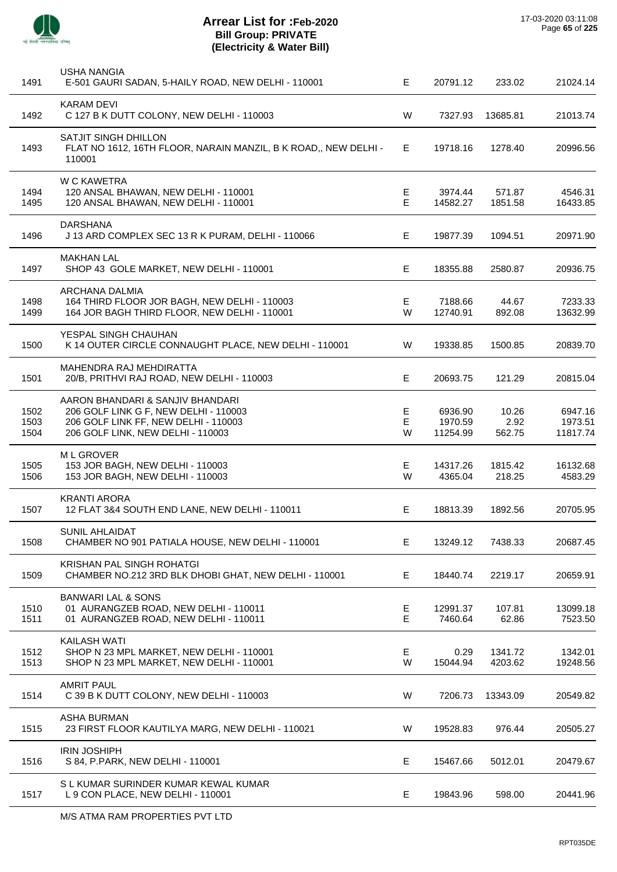

| 1491                 | <b>USHA NANGIA</b><br>E-501 GAURI SADAN, 5-HAILY ROAD, NEW DELHI - 110001                                                                              | E           | 20791.12                       | 233.02                  | 21024.14                       |
|----------------------|--------------------------------------------------------------------------------------------------------------------------------------------------------|-------------|--------------------------------|-------------------------|--------------------------------|
| 1492                 | <b>KARAM DEVI</b><br>C 127 B K DUTT COLONY, NEW DELHI - 110003                                                                                         | W           | 7327.93                        | 13685.81                | 21013.74                       |
| 1493                 | SATJIT SINGH DHILLON<br>FLAT NO 1612, 16TH FLOOR, NARAIN MANZIL, B K ROAD,, NEW DELHI -<br>110001                                                      | Е           | 19718.16                       | 1278.40                 | 20996.56                       |
| 1494<br>1495         | <b>W C KAWETRA</b><br>120 ANSAL BHAWAN, NEW DELHI - 110001<br>120 ANSAL BHAWAN, NEW DELHI - 110001                                                     | Е<br>E      | 3974.44<br>14582.27            | 571.87<br>1851.58       | 4546.31<br>16433.85            |
| 1496                 | <b>DARSHANA</b><br>J 13 ARD COMPLEX SEC 13 R K PURAM, DELHI - 110066                                                                                   | Е           | 19877.39                       | 1094.51                 | 20971.90                       |
| 1497                 | <b>MAKHAN LAL</b><br>SHOP 43 GOLE MARKET, NEW DELHI - 110001                                                                                           | E           | 18355.88                       | 2580.87                 | 20936.75                       |
| 1498<br>1499         | ARCHANA DALMIA<br>164 THIRD FLOOR JOR BAGH, NEW DELHI - 110003<br>164 JOR BAGH THIRD FLOOR, NEW DELHI - 110001                                         | Е<br>W      | 7188.66<br>12740.91            | 44.67<br>892.08         | 7233.33<br>13632.99            |
| 1500                 | YESPAL SINGH CHAUHAN<br>K 14 OUTER CIRCLE CONNAUGHT PLACE, NEW DELHI - 110001                                                                          | W           | 19338.85                       | 1500.85                 | 20839.70                       |
| 1501                 | MAHENDRA RAJ MEHDIRATTA<br>20/B, PRITHVI RAJ ROAD, NEW DELHI - 110003                                                                                  | E           | 20693.75                       | 121.29                  | 20815.04                       |
| 1502<br>1503<br>1504 | AARON BHANDARI & SANJIV BHANDARI<br>206 GOLF LINK G F, NEW DELHI - 110003<br>206 GOLF LINK FF, NEW DELHI - 110003<br>206 GOLF LINK, NEW DELHI - 110003 | Е<br>Е<br>W | 6936.90<br>1970.59<br>11254.99 | 10.26<br>2.92<br>562.75 | 6947.16<br>1973.51<br>11817.74 |
| 1505<br>1506         | M L GROVER<br>153 JOR BAGH, NEW DELHI - 110003<br>153 JOR BAGH, NEW DELHI - 110003                                                                     | Е<br>W      | 14317.26<br>4365.04            | 1815.42<br>218.25       | 16132.68<br>4583.29            |
| 1507                 | <b>KRANTI ARORA</b><br>12 FLAT 3&4 SOUTH END LANE, NEW DELHI - 110011                                                                                  | Е           | 18813.39                       | 1892.56                 | 20705.95                       |
| 1508                 | SUNIL AHLAIDAT<br>CHAMBER NO 901 PATIALA HOUSE, NEW DELHI - 110001                                                                                     | Е           | 13249.12                       | 7438.33                 | 20687.45                       |
| 1509                 | <b>KRISHAN PAL SINGH ROHATGI</b><br>CHAMBER NO.212 3RD BLK DHOBI GHAT, NEW DELHI - 110001                                                              | Е           | 18440.74                       | 2219.17                 | 20659.91                       |
| 1510<br>1511         | <b>BANWARI LAL &amp; SONS</b><br>01 AURANGZEB ROAD, NEW DELHI - 110011<br>01 AURANGZEB ROAD, NEW DELHI - 110011                                        | Е<br>E      | 12991.37<br>7460.64            | 107.81<br>62.86         | 13099.18<br>7523.50            |
| 1512<br>1513         | KAILASH WATI<br>SHOP N 23 MPL MARKET, NEW DELHI - 110001<br>SHOP N 23 MPL MARKET, NEW DELHI - 110001                                                   | Е<br>W      | 0.29<br>15044.94               | 1341.72<br>4203.62      | 1342.01<br>19248.56            |
| 1514                 | <b>AMRIT PAUL</b><br>C 39 B K DUTT COLONY, NEW DELHI - 110003                                                                                          | W           | 7206.73                        | 13343.09                | 20549.82                       |
| 1515                 | <b>ASHA BURMAN</b><br>23 FIRST FLOOR KAUTILYA MARG, NEW DELHI - 110021                                                                                 | W           | 19528.83                       | 976.44                  | 20505.27                       |
| 1516                 | <b>IRIN JOSHIPH</b><br>S 84, P.PARK, NEW DELHI - 110001                                                                                                | Е           | 15467.66                       | 5012.01                 | 20479.67                       |
| 1517                 | S L KUMAR SURINDER KUMAR KEWAL KUMAR<br>L 9 CON PLACE, NEW DELHI - 110001                                                                              | E           | 19843.96                       | 598.00                  | 20441.96                       |
|                      |                                                                                                                                                        |             |                                |                         |                                |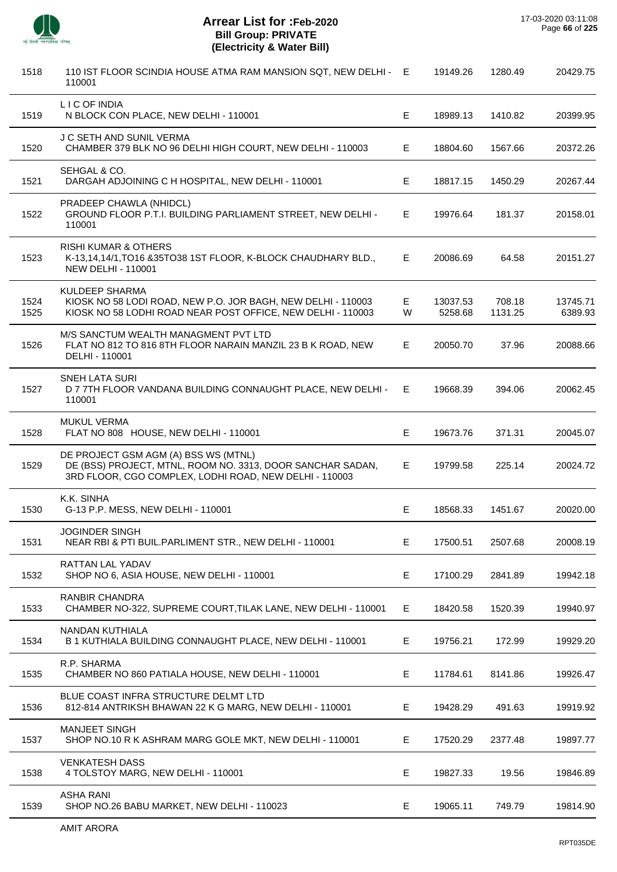l,

l,

J.

l,

l,

| 1518         | 110 IST FLOOR SCINDIA HOUSE ATMA RAM MANSION SQT, NEW DELHI - E<br>110001                                                                                    |         | 19149.26            | 1280.49           | 20429.75            |
|--------------|--------------------------------------------------------------------------------------------------------------------------------------------------------------|---------|---------------------|-------------------|---------------------|
| 1519         | L I C OF INDIA<br>N BLOCK CON PLACE, NEW DELHI - 110001                                                                                                      | Е       | 18989.13            | 1410.82           | 20399.95            |
| 1520         | J C SETH AND SUNIL VERMA<br>CHAMBER 379 BLK NO 96 DELHI HIGH COURT, NEW DELHI - 110003                                                                       | E.      | 18804.60            | 1567.66           | 20372.26            |
| 1521         | SEHGAL & CO.<br>DARGAH ADJOINING C H HOSPITAL, NEW DELHI - 110001                                                                                            | Е       | 18817.15            | 1450.29           | 20267.44            |
| 1522         | PRADEEP CHAWLA (NHIDCL)<br>GROUND FLOOR P.T.I. BUILDING PARLIAMENT STREET, NEW DELHI -<br>110001                                                             | E       | 19976.64            | 181.37            | 20158.01            |
| 1523         | <b>RISHI KUMAR &amp; OTHERS</b><br>K-13,14,14/1, TO16 & 35TO38 1ST FLOOR, K-BLOCK CHAUDHARY BLD.,<br><b>NEW DELHI - 110001</b>                               | Е       | 20086.69            | 64.58             | 20151.27            |
| 1524<br>1525 | <b>KULDEEP SHARMA</b><br>KIOSK NO 58 LODI ROAD, NEW P.O. JOR BAGH, NEW DELHI - 110003<br>KIOSK NO 58 LODHI ROAD NEAR POST OFFICE, NEW DELHI - 110003         | E.<br>W | 13037.53<br>5258.68 | 708.18<br>1131.25 | 13745.71<br>6389.93 |
| 1526         | M/S SANCTUM WEALTH MANAGMENT PVT LTD<br>FLAT NO 812 TO 816 8TH FLOOR NARAIN MANZIL 23 B K ROAD, NEW<br>DELHI - 110001                                        | Е       | 20050.70            | 37.96             | 20088.66            |
| 1527         | SNEH LATA SURI<br>D 7 7TH FLOOR VANDANA BUILDING CONNAUGHT PLACE, NEW DELHI -<br>110001                                                                      | E.      | 19668.39            | 394.06            | 20062.45            |
| 1528         | <b>MUKUL VERMA</b><br>FLAT NO 808 HOUSE, NEW DELHI - 110001                                                                                                  | Е       | 19673.76            | 371.31            | 20045.07            |
| 1529         | DE PROJECT GSM AGM (A) BSS WS (MTNL)<br>DE (BSS) PROJECT, MTNL, ROOM NO. 3313, DOOR SANCHAR SADAN,<br>3RD FLOOR, CGO COMPLEX, LODHI ROAD, NEW DELHI - 110003 | Е       | 19799.58            | 225.14            | 20024.72            |
| 1530         | K.K. SINHA<br>G-13 P.P. MESS, NEW DELHI - 110001                                                                                                             | Е       | 18568.33            | 1451.67           | 20020.00            |
| 1531         | JOGINDER SINGH<br>NEAR RBI & PTI BUIL.PARLIMENT STR., NEW DELHI - 110001                                                                                     | Е       | 17500.51            | 2507.68           | 20008.19            |
| 1532         | <b>RATTAN LAL YADAV</b><br>SHOP NO 6, ASIA HOUSE, NEW DELHI - 110001                                                                                         | Е       | 17100.29            | 2841.89           | 19942.18            |
| 1533         | <b>RANBIR CHANDRA</b><br>CHAMBER NO-322, SUPREME COURT, TILAK LANE, NEW DELHI - 110001                                                                       | Е       | 18420.58            | 1520.39           | 19940.97            |
| 1534         | <b>NANDAN KUTHIALA</b><br>B 1 KUTHIALA BUILDING CONNAUGHT PLACE, NEW DELHI - 110001                                                                          | Е       | 19756.21            | 172.99            | 19929.20            |
| 1535         | R.P. SHARMA<br>CHAMBER NO 860 PATIALA HOUSE, NEW DELHI - 110001                                                                                              | Е       | 11784.61            | 8141.86           | 19926.47            |
| 1536         | BLUE COAST INFRA STRUCTURE DELMT LTD<br>812-814 ANTRIKSH BHAWAN 22 K G MARG, NEW DELHI - 110001                                                              | Е       | 19428.29            | 491.63            | 19919.92            |
| 1537         | <b>MANJEET SINGH</b><br>SHOP NO.10 R K ASHRAM MARG GOLE MKT, NEW DELHI - 110001                                                                              | E.      | 17520.29            | 2377.48           | 19897.77            |
| 1538         | <b>VENKATESH DASS</b><br>4 TOLSTOY MARG, NEW DELHI - 110001                                                                                                  | Е       | 19827.33            | 19.56             | 19846.89            |
| 1539         | <b>ASHA RANI</b><br>SHOP NO.26 BABU MARKET, NEW DELHI - 110023                                                                                               | Е       | 19065.11            | 749.79            | 19814.90            |
|              |                                                                                                                                                              |         |                     |                   |                     |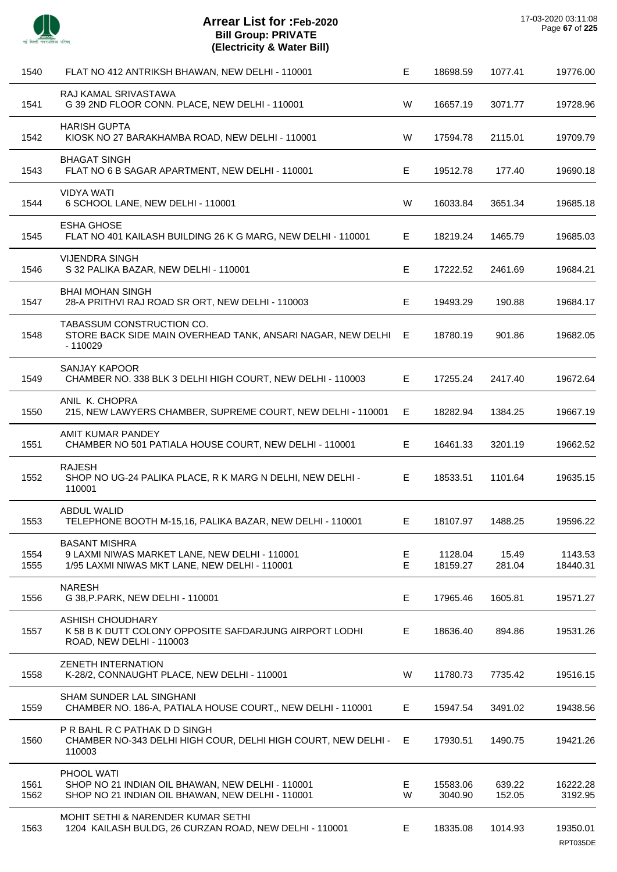

| 1540         | FLAT NO 412 ANTRIKSH BHAWAN, NEW DELHI - 110001                                                                        | Е      | 18698.59            | 1077.41          | 19776.00             |
|--------------|------------------------------------------------------------------------------------------------------------------------|--------|---------------------|------------------|----------------------|
| 1541         | RAJ KAMAL SRIVASTAWA<br>G 39 2ND FLOOR CONN. PLACE, NEW DELHI - 110001                                                 | W      | 16657.19            | 3071.77          | 19728.96             |
| 1542         | <b>HARISH GUPTA</b><br>KIOSK NO 27 BARAKHAMBA ROAD, NEW DELHI - 110001                                                 | W      | 17594.78            | 2115.01          | 19709.79             |
| 1543         | <b>BHAGAT SINGH</b><br>FLAT NO 6 B SAGAR APARTMENT, NEW DELHI - 110001                                                 | E      | 19512.78            | 177.40           | 19690.18             |
| 1544         | <b>VIDYA WATI</b><br>6 SCHOOL LANE, NEW DELHI - 110001                                                                 | W      | 16033.84            | 3651.34          | 19685.18             |
| 1545         | <b>ESHA GHOSE</b><br>FLAT NO 401 KAILASH BUILDING 26 K G MARG, NEW DELHI - 110001                                      | E      | 18219.24            | 1465.79          | 19685.03             |
| 1546         | <b>VIJENDRA SINGH</b><br>S 32 PALIKA BAZAR, NEW DELHI - 110001                                                         | Е      | 17222.52            | 2461.69          | 19684.21             |
| 1547         | <b>BHAI MOHAN SINGH</b><br>28-A PRITHVI RAJ ROAD SR ORT, NEW DELHI - 110003                                            | Е      | 19493.29            | 190.88           | 19684.17             |
| 1548         | TABASSUM CONSTRUCTION CO.<br>STORE BACK SIDE MAIN OVERHEAD TANK, ANSARI NAGAR, NEW DELHI E<br>$-110029$                |        | 18780.19            | 901.86           | 19682.05             |
| 1549         | SANJAY KAPOOR<br>CHAMBER NO. 338 BLK 3 DELHI HIGH COURT, NEW DELHI - 110003                                            | E.     | 17255.24            | 2417.40          | 19672.64             |
| 1550         | ANIL K. CHOPRA<br>215, NEW LAWYERS CHAMBER, SUPREME COURT, NEW DELHI - 110001                                          | E      | 18282.94            | 1384.25          | 19667.19             |
| 1551         | AMIT KUMAR PANDEY<br>CHAMBER NO 501 PATIALA HOUSE COURT, NEW DELHI - 110001                                            | E      | 16461.33            | 3201.19          | 19662.52             |
| 1552         | <b>RAJESH</b><br>SHOP NO UG-24 PALIKA PLACE, R K MARG N DELHI, NEW DELHI -<br>110001                                   | E      | 18533.51            | 1101.64          | 19635.15             |
| 1553         | <b>ABDUL WALID</b><br>TELEPHONE BOOTH M-15,16, PALIKA BAZAR, NEW DELHI - 110001                                        | E      | 18107.97            | 1488.25          | 19596.22             |
| 1554<br>1555 | <b>BASANT MISHRA</b><br>9 LAXMI NIWAS MARKET LANE, NEW DELHI - 110001<br>1/95 LAXMI NIWAS MKT LANE, NEW DELHI - 110001 | Е<br>E | 1128.04<br>18159.27 | 15.49<br>281.04  | 1143.53<br>18440.31  |
| 1556         | <b>NARESH</b><br>G 38, P. PARK, NEW DELHI - 110001                                                                     | E      | 17965.46            | 1605.81          | 19571.27             |
| 1557         | <b>ASHISH CHOUDHARY</b><br>K 58 B K DUTT COLONY OPPOSITE SAFDARJUNG AIRPORT LODHI<br>ROAD, NEW DELHI - 110003          | Е      | 18636.40            | 894.86           | 19531.26             |
| 1558         | <b>ZENETH INTERNATION</b><br>K-28/2, CONNAUGHT PLACE, NEW DELHI - 110001                                               | W      | 11780.73            | 7735.42          | 19516.15             |
| 1559         | SHAM SUNDER LAL SINGHANI<br>CHAMBER NO. 186-A, PATIALA HOUSE COURT,, NEW DELHI - 110001                                | E.     | 15947.54            | 3491.02          | 19438.56             |
| 1560         | P R BAHL R C PATHAK D D SINGH<br>CHAMBER NO-343 DELHI HIGH COUR, DELHI HIGH COURT, NEW DELHI -<br>110003               | E      | 17930.51            | 1490.75          | 19421.26             |
| 1561<br>1562 | PHOOL WATI<br>SHOP NO 21 INDIAN OIL BHAWAN, NEW DELHI - 110001<br>SHOP NO 21 INDIAN OIL BHAWAN, NEW DELHI - 110001     | Е<br>W | 15583.06<br>3040.90 | 639.22<br>152.05 | 16222.28<br>3192.95  |
| 1563         | <b>MOHIT SETHI &amp; NARENDER KUMAR SETHI</b><br>1204 KAILASH BULDG, 26 CURZAN ROAD, NEW DELHI - 110001                | E.     | 18335.08            | 1014.93          | 19350.01<br>RPT035DE |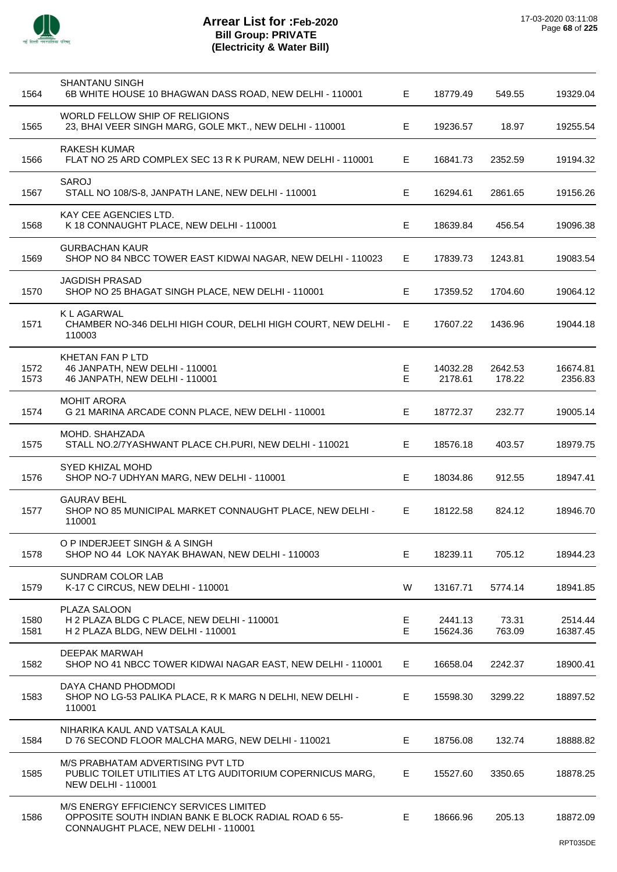

| 1564         | SHANTANU SINGH<br>6B WHITE HOUSE 10 BHAGWAN DASS ROAD, NEW DELHI - 110001                                                             | E.     | 18779.49            | 549.55            | 19329.04            |
|--------------|---------------------------------------------------------------------------------------------------------------------------------------|--------|---------------------|-------------------|---------------------|
| 1565         | WORLD FELLOW SHIP OF RELIGIONS<br>23, BHAI VEER SINGH MARG, GOLE MKT., NEW DELHI - 110001                                             | Е      | 19236.57            | 18.97             | 19255.54            |
| 1566         | <b>RAKESH KUMAR</b><br>FLAT NO 25 ARD COMPLEX SEC 13 R K PURAM, NEW DELHI - 110001                                                    | Е      | 16841.73            | 2352.59           | 19194.32            |
| 1567         | <b>SAROJ</b><br>STALL NO 108/S-8, JANPATH LANE, NEW DELHI - 110001                                                                    | Е      | 16294.61            | 2861.65           | 19156.26            |
| 1568         | KAY CEE AGENCIES LTD.<br>K 18 CONNAUGHT PLACE, NEW DELHI - 110001                                                                     | Е      | 18639.84            | 456.54            | 19096.38            |
| 1569         | <b>GURBACHAN KAUR</b><br>SHOP NO 84 NBCC TOWER EAST KIDWAI NAGAR, NEW DELHI - 110023                                                  | E      | 17839.73            | 1243.81           | 19083.54            |
| 1570         | <b>JAGDISH PRASAD</b><br>SHOP NO 25 BHAGAT SINGH PLACE, NEW DELHI - 110001                                                            | Е      | 17359.52            | 1704.60           | 19064.12            |
| 1571         | K L AGARWAL<br>CHAMBER NO-346 DELHI HIGH COUR, DELHI HIGH COURT, NEW DELHI -<br>110003                                                | Е      | 17607.22            | 1436.96           | 19044.18            |
| 1572<br>1573 | <b>KHETAN FAN P LTD</b><br>46 JANPATH, NEW DELHI - 110001<br>46 JANPATH, NEW DELHI - 110001                                           | Е<br>E | 14032.28<br>2178.61 | 2642.53<br>178.22 | 16674.81<br>2356.83 |
| 1574         | <b>MOHIT ARORA</b><br>G 21 MARINA ARCADE CONN PLACE, NEW DELHI - 110001                                                               | Е      | 18772.37            | 232.77            | 19005.14            |
| 1575         | MOHD. SHAHZADA<br>STALL NO.2/7YASHWANT PLACE CH.PURI, NEW DELHI - 110021                                                              | Е      | 18576.18            | 403.57            | 18979.75            |
| 1576         | <b>SYED KHIZAL MOHD</b><br>SHOP NO-7 UDHYAN MARG, NEW DELHI - 110001                                                                  | E      | 18034.86            | 912.55            | 18947.41            |
| 1577         | <b>GAURAV BEHL</b><br>SHOP NO 85 MUNICIPAL MARKET CONNAUGHT PLACE, NEW DELHI -<br>110001                                              | Е      | 18122.58            | 824.12            | 18946.70            |
| 1578         | O P INDERJEET SINGH & A SINGH<br>SHOP NO 44 LOK NAYAK BHAWAN, NEW DELHI - 110003                                                      | E.     | 18239.11            | 705.12            | 18944.23            |
| 1579         | <b>SUNDRAM COLOR LAB</b><br>K-17 C CIRCUS, NEW DELHI - 110001                                                                         | W      | 13167.71            | 5774.14           | 18941.85            |
| 1580<br>1581 | PLAZA SALOON<br>H 2 PLAZA BLDG C PLACE, NEW DELHI - 110001<br>H 2 PLAZA BLDG, NEW DELHI - 110001                                      | Е<br>Е | 2441.13<br>15624.36 | 73.31<br>763.09   | 2514.44<br>16387.45 |
| 1582         | DEEPAK MARWAH<br>SHOP NO 41 NBCC TOWER KIDWAI NAGAR EAST, NEW DELHI - 110001                                                          | E.     | 16658.04            | 2242.37           | 18900.41            |
| 1583         | DAYA CHAND PHODMODI<br>SHOP NO LG-53 PALIKA PLACE, R K MARG N DELHI, NEW DELHI -<br>110001                                            | Е      | 15598.30            | 3299.22           | 18897.52            |
| 1584         | NIHARIKA KAUL AND VATSALA KAUL<br>D 76 SECOND FLOOR MALCHA MARG, NEW DELHI - 110021                                                   | Е      | 18756.08            | 132.74            | 18888.82            |
| 1585         | M/S PRABHATAM ADVERTISING PVT LTD<br>PUBLIC TOILET UTILITIES AT LTG AUDITORIUM COPERNICUS MARG,<br><b>NEW DELHI - 110001</b>          | Е      | 15527.60            | 3350.65           | 18878.25            |
| 1586         | M/S ENERGY EFFICIENCY SERVICES LIMITED<br>OPPOSITE SOUTH INDIAN BANK E BLOCK RADIAL ROAD 6 55-<br>CONNAUGHT PLACE, NEW DELHI - 110001 | E      | 18666.96            | 205.13            | 18872.09            |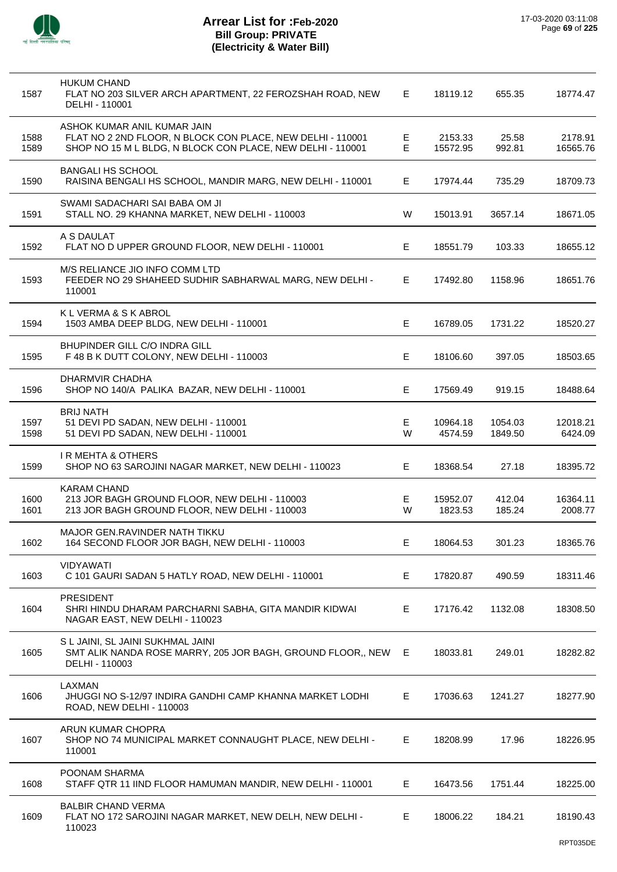

| 1587         | <b>HUKUM CHAND</b><br>FLAT NO 203 SILVER ARCH APARTMENT, 22 FEROZSHAH ROAD, NEW<br>DELHI - 110001                                                       | E.     | 18119.12            | 655.35             | 18774.47            |
|--------------|---------------------------------------------------------------------------------------------------------------------------------------------------------|--------|---------------------|--------------------|---------------------|
| 1588<br>1589 | ASHOK KUMAR ANIL KUMAR JAIN<br>FLAT NO 2 2ND FLOOR, N BLOCK CON PLACE, NEW DELHI - 110001<br>SHOP NO 15 M L BLDG, N BLOCK CON PLACE, NEW DELHI - 110001 | Е<br>Е | 2153.33<br>15572.95 | 25.58<br>992.81    | 2178.91<br>16565.76 |
| 1590         | <b>BANGALI HS SCHOOL</b><br>RAISINA BENGALI HS SCHOOL, MANDIR MARG, NEW DELHI - 110001                                                                  | E.     | 17974.44            | 735.29             | 18709.73            |
| 1591         | SWAMI SADACHARI SAI BABA OM JI<br>STALL NO. 29 KHANNA MARKET, NEW DELHI - 110003                                                                        | W      | 15013.91            | 3657.14            | 18671.05            |
| 1592         | A S DAULAT<br>FLAT NO D UPPER GROUND FLOOR, NEW DELHI - 110001                                                                                          | Е      | 18551.79            | 103.33             | 18655.12            |
| 1593         | M/S RELIANCE JIO INFO COMM LTD<br>FEEDER NO 29 SHAHEED SUDHIR SABHARWAL MARG, NEW DELHI -<br>110001                                                     | E.     | 17492.80            | 1158.96            | 18651.76            |
| 1594         | K L VERMA & S K ABROL<br>1503 AMBA DEEP BLDG, NEW DELHI - 110001                                                                                        | Е      | 16789.05            | 1731.22            | 18520.27            |
| 1595         | <b>BHUPINDER GILL C/O INDRA GILL</b><br>F 48 B K DUTT COLONY, NEW DELHI - 110003                                                                        | Е      | 18106.60            | 397.05             | 18503.65            |
| 1596         | DHARMVIR CHADHA<br>SHOP NO 140/A PALIKA BAZAR, NEW DELHI - 110001                                                                                       | E.     | 17569.49            | 919.15             | 18488.64            |
| 1597<br>1598 | <b>BRIJ NATH</b><br>51 DEVI PD SADAN, NEW DELHI - 110001<br>51 DEVI PD SADAN, NEW DELHI - 110001                                                        | Е<br>W | 10964.18<br>4574.59 | 1054.03<br>1849.50 | 12018.21<br>6424.09 |
| 1599         | <b>IR MEHTA &amp; OTHERS</b><br>SHOP NO 63 SAROJINI NAGAR MARKET, NEW DELHI - 110023                                                                    | E.     | 18368.54            | 27.18              | 18395.72            |
| 1600<br>1601 | <b>KARAM CHAND</b><br>213 JOR BAGH GROUND FLOOR, NEW DELHI - 110003<br>213 JOR BAGH GROUND FLOOR, NEW DELHI - 110003                                    | Е<br>W | 15952.07<br>1823.53 | 412.04<br>185.24   | 16364.11<br>2008.77 |
| 1602         | MAJOR GEN.RAVINDER NATH TIKKU<br>164 SECOND FLOOR JOR BAGH, NEW DELHI - 110003                                                                          | Е      | 18064.53            | 301.23             | 18365.76            |
| 1603         | <b>VIDYAWATI</b><br>C 101 GAURI SADAN 5 HATLY ROAD, NEW DELHI - 110001                                                                                  | Е      | 17820.87            | 490.59             | 18311.46            |
| 1604         | <b>PRESIDENT</b><br>SHRI HINDU DHARAM PARCHARNI SABHA, GITA MANDIR KIDWAI<br>NAGAR EAST, NEW DELHI - 110023                                             | E.     | 17176.42            | 1132.08            | 18308.50            |
| 1605         | S L JAINI, SL JAINI SUKHMAL JAINI<br>SMT ALIK NANDA ROSE MARRY, 205 JOR BAGH, GROUND FLOOR,, NEW<br>DELHI - 110003                                      | E      | 18033.81            | 249.01             | 18282.82            |
| 1606         | LAXMAN<br>JHUGGI NO S-12/97 INDIRA GANDHI CAMP KHANNA MARKET LODHI<br>ROAD, NEW DELHI - 110003                                                          | Е      | 17036.63            | 1241.27            | 18277.90            |
| 1607         | ARUN KUMAR CHOPRA<br>SHOP NO 74 MUNICIPAL MARKET CONNAUGHT PLACE, NEW DELHI -<br>110001                                                                 | E      | 18208.99            | 17.96              | 18226.95            |
| 1608         | POONAM SHARMA<br>STAFF QTR 11 IIND FLOOR HAMUMAN MANDIR, NEW DELHI - 110001                                                                             | E.     | 16473.56            | 1751.44            | 18225.00            |
| 1609         | <b>BALBIR CHAND VERMA</b><br>FLAT NO 172 SAROJINI NAGAR MARKET, NEW DELH, NEW DELHI -<br>110023                                                         | E.     | 18006.22            | 184.21             | 18190.43            |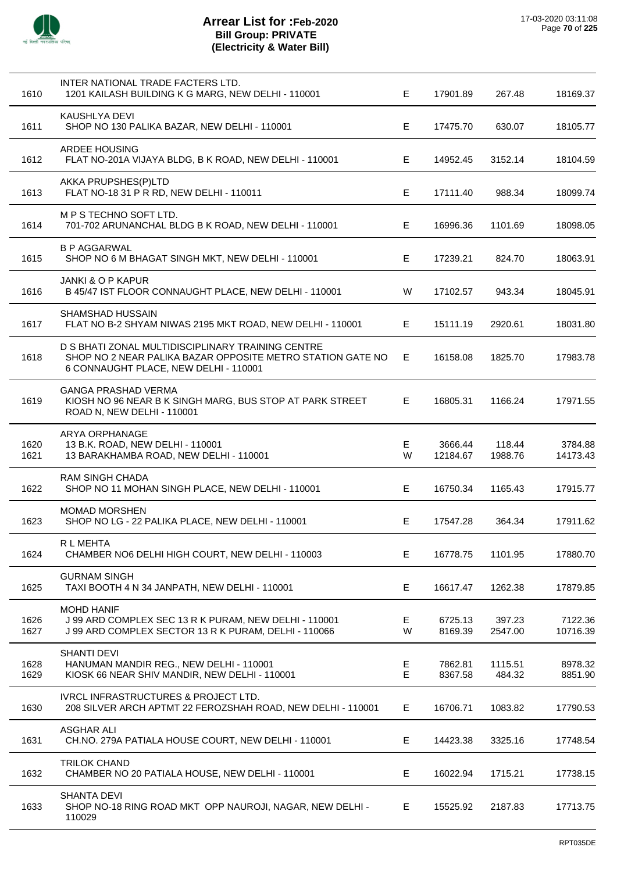

| 1610         | INTER NATIONAL TRADE FACTERS LTD.<br>1201 KAILASH BUILDING K G MARG, NEW DELHI - 110001                                                                  | E      | 17901.89            | 267.48            | 18169.37            |
|--------------|----------------------------------------------------------------------------------------------------------------------------------------------------------|--------|---------------------|-------------------|---------------------|
| 1611         | KAUSHLYA DEVI<br>SHOP NO 130 PALIKA BAZAR, NEW DELHI - 110001                                                                                            | Е      | 17475.70            | 630.07            | 18105.77            |
| 1612         | <b>ARDEE HOUSING</b><br>FLAT NO-201A VIJAYA BLDG, B K ROAD, NEW DELHI - 110001                                                                           | Е      | 14952.45            | 3152.14           | 18104.59            |
| 1613         | AKKA PRUPSHES(P)LTD<br>FLAT NO-18 31 P R RD, NEW DELHI - 110011                                                                                          | E      | 17111.40            | 988.34            | 18099.74            |
| 1614         | M P S TECHNO SOFT LTD.<br>701-702 ARUNANCHAL BLDG B K ROAD, NEW DELHI - 110001                                                                           | Е      | 16996.36            | 1101.69           | 18098.05            |
| 1615         | <b>B P AGGARWAL</b><br>SHOP NO 6 M BHAGAT SINGH MKT, NEW DELHI - 110001                                                                                  | Е      | 17239.21            | 824.70            | 18063.91            |
| 1616         | <b>JANKI &amp; O P KAPUR</b><br>B 45/47 IST FLOOR CONNAUGHT PLACE, NEW DELHI - 110001                                                                    | W      | 17102.57            | 943.34            | 18045.91            |
| 1617         | <b>SHAMSHAD HUSSAIN</b><br>FLAT NO B-2 SHYAM NIWAS 2195 MKT ROAD, NEW DELHI - 110001                                                                     | Е      | 15111.19            | 2920.61           | 18031.80            |
| 1618         | D S BHATI ZONAL MULTIDISCIPLINARY TRAINING CENTRE<br>SHOP NO 2 NEAR PALIKA BAZAR OPPOSITE METRO STATION GATE NO<br>6 CONNAUGHT PLACE, NEW DELHI - 110001 | Е      | 16158.08            | 1825.70           | 17983.78            |
| 1619         | <b>GANGA PRASHAD VERMA</b><br>KIOSH NO 96 NEAR B K SINGH MARG, BUS STOP AT PARK STREET<br>ROAD N, NEW DELHI - 110001                                     | E      | 16805.31            | 1166.24           | 17971.55            |
| 1620<br>1621 | ARYA ORPHANAGE<br>13 B.K. ROAD, NEW DELHI - 110001<br>13 BARAKHAMBA ROAD, NEW DELHI - 110001                                                             | Е<br>W | 3666.44<br>12184.67 | 118.44<br>1988.76 | 3784.88<br>14173.43 |
| 1622         | <b>RAM SINGH CHADA</b><br>SHOP NO 11 MOHAN SINGH PLACE, NEW DELHI - 110001                                                                               | Е      | 16750.34            | 1165.43           | 17915.77            |
| 1623         | <b>MOMAD MORSHEN</b><br>SHOP NO LG - 22 PALIKA PLACE, NEW DELHI - 110001                                                                                 | Е      | 17547.28            | 364.34            | 17911.62            |
| 1624         | R L MEHTA<br>CHAMBER NO6 DELHI HIGH COURT, NEW DELHI - 110003                                                                                            | E      | 16778.75            | 1101.95           | 17880.70            |
| 1625         | <b>GURNAM SINGH</b><br>TAXI BOOTH 4 N 34 JANPATH, NEW DELHI - 110001                                                                                     | E      | 16617.47            | 1262.38           | 17879.85            |
| 1626<br>1627 | <b>MOHD HANIF</b><br>J 99 ARD COMPLEX SEC 13 R K PURAM, NEW DELHI - 110001<br>J 99 ARD COMPLEX SECTOR 13 R K PURAM, DELHI - 110066                       | Ε<br>W | 6725.13<br>8169.39  | 397.23<br>2547.00 | 7122.36<br>10716.39 |
| 1628<br>1629 | <b>SHANTI DEVI</b><br>HANUMAN MANDIR REG., NEW DELHI - 110001<br>KIOSK 66 NEAR SHIV MANDIR, NEW DELHI - 110001                                           | Е<br>Е | 7862.81<br>8367.58  | 1115.51<br>484.32 | 8978.32<br>8851.90  |
| 1630         | <b>IVRCL INFRASTRUCTURES &amp; PROJECT LTD.</b><br>208 SILVER ARCH APTMT 22 FEROZSHAH ROAD, NEW DELHI - 110001                                           | E      | 16706.71            | 1083.82           | 17790.53            |
| 1631         | <b>ASGHAR ALI</b><br>CH.NO. 279A PATIALA HOUSE COURT, NEW DELHI - 110001                                                                                 | Ε      | 14423.38            | 3325.16           | 17748.54            |
| 1632         | <b>TRILOK CHAND</b><br>CHAMBER NO 20 PATIALA HOUSE, NEW DELHI - 110001                                                                                   | E      | 16022.94            | 1715.21           | 17738.15            |
| 1633         | <b>SHANTA DEVI</b><br>SHOP NO-18 RING ROAD MKT OPP NAUROJI, NAGAR, NEW DELHI -<br>110029                                                                 | E      | 15525.92            | 2187.83           | 17713.75            |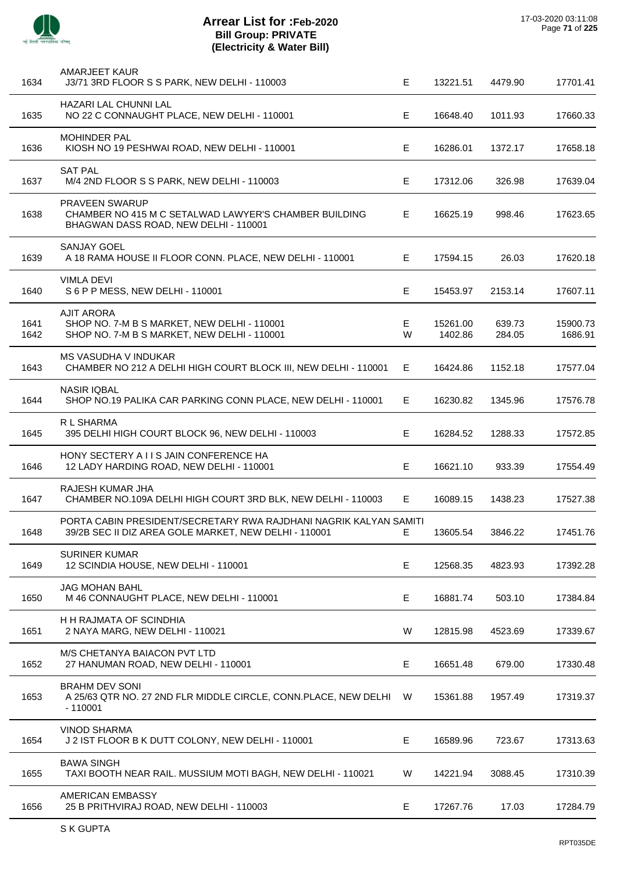

| 1634         | AMARJEET KAUR<br>J3/71 3RD FLOOR S S PARK, NEW DELHI - 110003                                                              | Е      | 13221.51            | 4479.90          | 17701.41            |
|--------------|----------------------------------------------------------------------------------------------------------------------------|--------|---------------------|------------------|---------------------|
| 1635         | HAZARI LAL CHUNNI LAL<br>NO 22 C CONNAUGHT PLACE, NEW DELHI - 110001                                                       | Е      | 16648.40            | 1011.93          | 17660.33            |
| 1636         | MOHINDER PAL<br>KIOSH NO 19 PESHWAI ROAD, NEW DELHI - 110001                                                               | E      | 16286.01            | 1372.17          | 17658.18            |
| 1637         | <b>SAT PAL</b><br>M/4 2ND FLOOR S S PARK, NEW DELHI - 110003                                                               | E      | 17312.06            | 326.98           | 17639.04            |
| 1638         | PRAVEEN SWARUP<br>CHAMBER NO 415 M C SETALWAD LAWYER'S CHAMBER BUILDING<br>BHAGWAN DASS ROAD, NEW DELHI - 110001           | Е      | 16625.19            | 998.46           | 17623.65            |
| 1639         | <b>SANJAY GOEL</b><br>A 18 RAMA HOUSE II FLOOR CONN. PLACE, NEW DELHI - 110001                                             | E.     | 17594.15            | 26.03            | 17620.18            |
| 1640         | <b>VIMLA DEVI</b><br>S 6 P P MESS, NEW DELHI - 110001                                                                      | Е      | 15453.97            | 2153.14          | 17607.11            |
| 1641<br>1642 | <b>AJIT ARORA</b><br>SHOP NO. 7-M B S MARKET, NEW DELHI - 110001<br>SHOP NO. 7-M B S MARKET, NEW DELHI - 110001            | Е<br>W | 15261.00<br>1402.86 | 639.73<br>284.05 | 15900.73<br>1686.91 |
| 1643         | <b>MS VASUDHA V INDUKAR</b><br>CHAMBER NO 212 A DELHI HIGH COURT BLOCK III, NEW DELHI - 110001                             | Е      | 16424.86            | 1152.18          | 17577.04            |
| 1644         | <b>NASIR IQBAL</b><br>SHOP NO.19 PALIKA CAR PARKING CONN PLACE, NEW DELHI - 110001                                         | Е      | 16230.82            | 1345.96          | 17576.78            |
| 1645         | R L SHARMA<br>395 DELHI HIGH COURT BLOCK 96, NEW DELHI - 110003                                                            | E      | 16284.52            | 1288.33          | 17572.85            |
| 1646         | HONY SECTERY A I I S JAIN CONFERENCE HA<br>12 LADY HARDING ROAD, NEW DELHI - 110001                                        | E      | 16621.10            | 933.39           | 17554.49            |
| 1647         | RAJESH KUMAR JHA<br>CHAMBER NO.109A DELHI HIGH COURT 3RD BLK, NEW DELHI - 110003                                           | Е      | 16089.15            | 1438.23          | 17527.38            |
| 1648         | PORTA CABIN PRESIDENT/SECRETARY RWA RAJDHANI NAGRIK KALYAN SAMITI<br>39/2B SEC II DIZ AREA GOLE MARKET, NEW DELHI - 110001 |        | 13605.54            | 3846.22          | 17451.76            |
| 1649         | <b>SURINER KUMAR</b><br>12 SCINDIA HOUSE, NEW DELHI - 110001                                                               | E      | 12568.35            | 4823.93          | 17392.28            |
| 1650         | <b>JAG MOHAN BAHL</b><br>M 46 CONNAUGHT PLACE, NEW DELHI - 110001                                                          | E      | 16881.74            | 503.10           | 17384.84            |
| 1651         | H H RAJMATA OF SCINDHIA<br>2 NAYA MARG, NEW DELHI - 110021                                                                 | W      | 12815.98            | 4523.69          | 17339.67            |
| 1652         | M/S CHETANYA BAIACON PVT LTD<br>27 HANUMAN ROAD, NEW DELHI - 110001                                                        | E      | 16651.48            | 679.00           | 17330.48            |
| 1653         | <b>BRAHM DEV SONI</b><br>A 25/63 QTR NO. 27 2ND FLR MIDDLE CIRCLE, CONN.PLACE, NEW DELHI<br>$-110001$                      | W      | 15361.88            | 1957.49          | 17319.37            |
| 1654         | <b>VINOD SHARMA</b><br>J 2 IST FLOOR B K DUTT COLONY, NEW DELHI - 110001                                                   | E      | 16589.96            | 723.67           | 17313.63            |
| 1655         | <b>BAWA SINGH</b><br>TAXI BOOTH NEAR RAIL. MUSSIUM MOTI BAGH, NEW DELHI - 110021                                           | W      | 14221.94            | 3088.45          | 17310.39            |
| 1656         | AMERICAN EMBASSY<br>25 B PRITHVIRAJ ROAD, NEW DELHI - 110003                                                               | E      | 17267.76            | 17.03            | 17284.79            |
|              |                                                                                                                            |        |                     |                  |                     |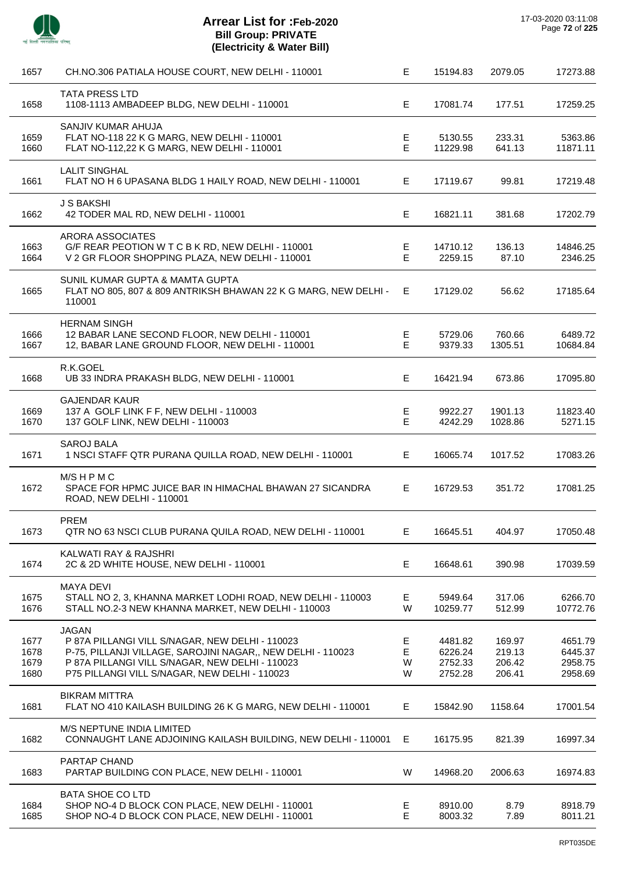

 $\overline{a}$ 

 $\overline{a}$ 

| 1657                         | CH.NO.306 PATIALA HOUSE COURT, NEW DELHI - 110001                                                                                                                                                                                  | Е                | 15194.83                                 | 2079.05                              | 17273.88                                 |
|------------------------------|------------------------------------------------------------------------------------------------------------------------------------------------------------------------------------------------------------------------------------|------------------|------------------------------------------|--------------------------------------|------------------------------------------|
| 1658                         | <b>TATA PRESS LTD</b><br>1108-1113 AMBADEEP BLDG, NEW DELHI - 110001                                                                                                                                                               | Е                | 17081.74                                 | 177.51                               | 17259.25                                 |
| 1659<br>1660                 | SANJIV KUMAR AHUJA<br>FLAT NO-118 22 K G MARG, NEW DELHI - 110001<br>FLAT NO-112,22 K G MARG, NEW DELHI - 110001                                                                                                                   | Е<br>E           | 5130.55<br>11229.98                      | 233.31<br>641.13                     | 5363.86<br>11871.11                      |
| 1661                         | <b>LALIT SINGHAL</b><br>FLAT NO H 6 UPASANA BLDG 1 HAILY ROAD, NEW DELHI - 110001                                                                                                                                                  | Е                | 17119.67                                 | 99.81                                | 17219.48                                 |
| 1662                         | <b>J S BAKSHI</b><br>42 TODER MAL RD, NEW DELHI - 110001                                                                                                                                                                           | Е                | 16821.11                                 | 381.68                               | 17202.79                                 |
| 1663<br>1664                 | ARORA ASSOCIATES<br>G/F REAR PEOTION W T C B K RD, NEW DELHI - 110001<br>V 2 GR FLOOR SHOPPING PLAZA, NEW DELHI - 110001                                                                                                           | Е<br>Е           | 14710.12<br>2259.15                      | 136.13<br>87.10                      | 14846.25<br>2346.25                      |
| 1665                         | SUNIL KUMAR GUPTA & MAMTA GUPTA<br>FLAT NO 805, 807 & 809 ANTRIKSH BHAWAN 22 K G MARG, NEW DELHI -<br>110001                                                                                                                       | E                | 17129.02                                 | 56.62                                | 17185.64                                 |
| 1666<br>1667                 | <b>HERNAM SINGH</b><br>12 BABAR LANE SECOND FLOOR, NEW DELHI - 110001<br>12, BABAR LANE GROUND FLOOR, NEW DELHI - 110001                                                                                                           | Е<br>Е           | 5729.06<br>9379.33                       | 760.66<br>1305.51                    | 6489.72<br>10684.84                      |
| 1668                         | R.K.GOEL<br>UB 33 INDRA PRAKASH BLDG, NEW DELHI - 110001                                                                                                                                                                           | Е                | 16421.94                                 | 673.86                               | 17095.80                                 |
| 1669<br>1670                 | <b>GAJENDAR KAUR</b><br>137 A GOLF LINK F F, NEW DELHI - 110003<br>137 GOLF LINK, NEW DELHI - 110003                                                                                                                               | Ε<br>E           | 9922.27<br>4242.29                       | 1901.13<br>1028.86                   | 11823.40<br>5271.15                      |
| 1671                         | <b>SAROJ BALA</b><br>1 NSCI STAFF QTR PURANA QUILLA ROAD, NEW DELHI - 110001                                                                                                                                                       | Е                | 16065.74                                 | 1017.52                              | 17083.26                                 |
| 1672                         | M/SHPMC<br>SPACE FOR HPMC JUICE BAR IN HIMACHAL BHAWAN 27 SICANDRA<br>ROAD, NEW DELHI - 110001                                                                                                                                     | Е                | 16729.53                                 | 351.72                               | 17081.25                                 |
| 1673                         | <b>PREM</b><br>QTR NO 63 NSCI CLUB PURANA QUILA ROAD, NEW DELHI - 110001                                                                                                                                                           | Е.               | 16645.51                                 | 404.97                               | 17050.48                                 |
| 1674                         | KALWATI RAY & RAJSHRI<br>2C & 2D WHITE HOUSE, NEW DELHI - 110001                                                                                                                                                                   | E.               | 16648.61                                 | 390.98                               | 17039.59                                 |
| 1675<br>1676                 | <b>MAYA DEVI</b><br>STALL NO 2, 3, KHANNA MARKET LODHI ROAD, NEW DELHI - 110003<br>STALL NO.2-3 NEW KHANNA MARKET, NEW DELHI - 110003                                                                                              | E.<br>W          | 5949.64<br>10259.77                      | 317.06<br>512.99                     | 6266.70<br>10772.76                      |
| 1677<br>1678<br>1679<br>1680 | <b>JAGAN</b><br>P 87A PILLANGI VILL S/NAGAR, NEW DELHI - 110023<br>P-75, PILLANJI VILLAGE, SAROJINI NAGAR,, NEW DELHI - 110023<br>P 87A PILLANGI VILL S/NAGAR, NEW DELHI - 110023<br>P75 PILLANGI VILL S/NAGAR, NEW DELHI - 110023 | Е<br>Е<br>W<br>W | 4481.82<br>6226.24<br>2752.33<br>2752.28 | 169.97<br>219.13<br>206.42<br>206.41 | 4651.79<br>6445.37<br>2958.75<br>2958.69 |
| 1681                         | <b>BIKRAM MITTRA</b><br>FLAT NO 410 KAILASH BUILDING 26 K G MARG, NEW DELHI - 110001                                                                                                                                               | E.               | 15842.90                                 | 1158.64                              | 17001.54                                 |
| 1682                         | M/S NEPTUNE INDIA LIMITED<br>CONNAUGHT LANE ADJOINING KAILASH BUILDING, NEW DELHI - 110001                                                                                                                                         | Е                | 16175.95                                 | 821.39                               | 16997.34                                 |
| 1683                         | PARTAP CHAND<br>PARTAP BUILDING CON PLACE, NEW DELHI - 110001                                                                                                                                                                      | W                | 14968.20                                 | 2006.63                              | 16974.83                                 |
| 1684<br>1685                 | <b>BATA SHOE CO LTD</b><br>SHOP NO-4 D BLOCK CON PLACE, NEW DELHI - 110001<br>SHOP NO-4 D BLOCK CON PLACE, NEW DELHI - 110001                                                                                                      | E.<br>E          | 8910.00<br>8003.32                       | 8.79<br>7.89                         | 8918.79<br>8011.21                       |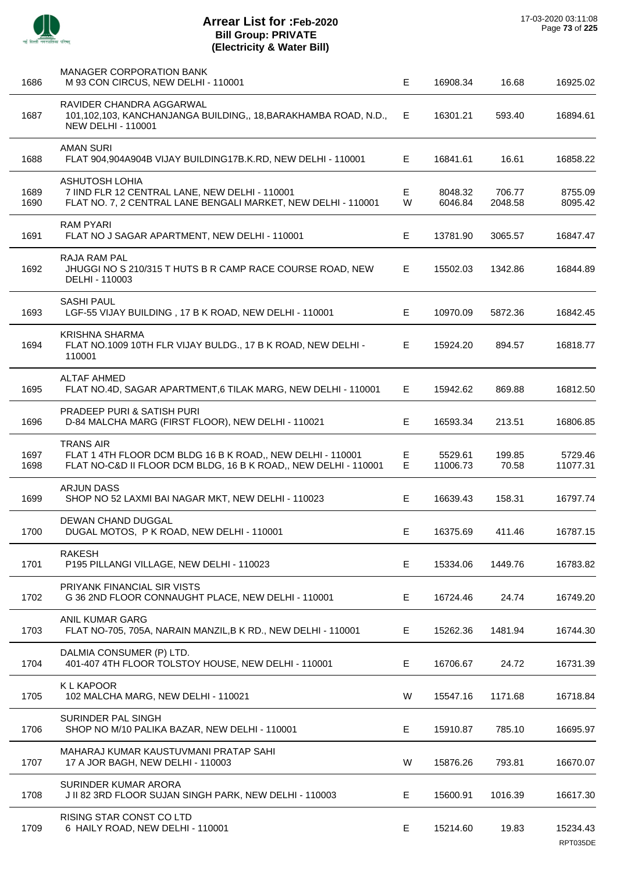| 1686         | <b>MANAGER CORPORATION BANK</b><br>M 93 CON CIRCUS, NEW DELHI - 110001                                                                            | E      | 16908.34            | 16.68             | 16925.02             |
|--------------|---------------------------------------------------------------------------------------------------------------------------------------------------|--------|---------------------|-------------------|----------------------|
| 1687         | RAVIDER CHANDRA AGGARWAL<br>101,102,103, KANCHANJANGA BUILDING,, 18, BARAKHAMBA ROAD, N.D.,<br><b>NEW DELHI - 110001</b>                          | E      | 16301.21            | 593.40            | 16894.61             |
| 1688         | <b>AMAN SURI</b><br>FLAT 904,904A904B VIJAY BUILDING17B.K.RD, NEW DELHI - 110001                                                                  | E.     | 16841.61            | 16.61             | 16858.22             |
| 1689<br>1690 | <b>ASHUTOSH LOHIA</b><br>7 IIND FLR 12 CENTRAL LANE, NEW DELHI - 110001<br>FLAT NO. 7, 2 CENTRAL LANE BENGALI MARKET, NEW DELHI - 110001          | E<br>W | 8048.32<br>6046.84  | 706.77<br>2048.58 | 8755.09<br>8095.42   |
| 1691         | <b>RAM PYARI</b><br>FLAT NO J SAGAR APARTMENT, NEW DELHI - 110001                                                                                 | E      | 13781.90            | 3065.57           | 16847.47             |
| 1692         | <b>RAJA RAM PAL</b><br>JHUGGI NO S 210/315 T HUTS B R CAMP RACE COURSE ROAD, NEW<br>DELHI - 110003                                                | E.     | 15502.03            | 1342.86           | 16844.89             |
| 1693         | <b>SASHI PAUL</b><br>LGF-55 VIJAY BUILDING, 17 B K ROAD, NEW DELHI - 110001                                                                       | E      | 10970.09            | 5872.36           | 16842.45             |
| 1694         | <b>KRISHNA SHARMA</b><br>FLAT NO.1009 10TH FLR VIJAY BULDG., 17 B K ROAD, NEW DELHI -<br>110001                                                   | E.     | 15924.20            | 894.57            | 16818.77             |
| 1695         | <b>ALTAF AHMED</b><br>FLAT NO.4D, SAGAR APARTMENT, 6 TILAK MARG, NEW DELHI - 110001                                                               | E.     | 15942.62            | 869.88            | 16812.50             |
| 1696         | <b>PRADEEP PURI &amp; SATISH PURI</b><br>D-84 MALCHA MARG (FIRST FLOOR), NEW DELHI - 110021                                                       | Е      | 16593.34            | 213.51            | 16806.85             |
| 1697<br>1698 | <b>TRANS AIR</b><br>FLAT 1 4TH FLOOR DCM BLDG 16 B K ROAD,, NEW DELHI - 110001<br>FLAT NO-C&D II FLOOR DCM BLDG, 16 B K ROAD,, NEW DELHI - 110001 | E<br>E | 5529.61<br>11006.73 | 199.85<br>70.58   | 5729.46<br>11077.31  |
| 1699         | <b>ARJUN DASS</b><br>SHOP NO 52 LAXMI BAI NAGAR MKT, NEW DELHI - 110023                                                                           | E.     | 16639.43            | 158.31            | 16797.74             |
| 1700         | <b>DEWAN CHAND DUGGAL</b><br>DUGAL MOTOS, P K ROAD, NEW DELHI - 110001                                                                            | Е      | 16375.69            | 411.46            | 16787.15             |
| 1701         | <b>RAKESH</b><br>P195 PILLANGI VILLAGE, NEW DELHI - 110023                                                                                        | Е      | 15334.06            | 1449.76           | 16783.82             |
| 1702         | PRIYANK FINANCIAL SIR VISTS<br>G 36 2ND FLOOR CONNAUGHT PLACE, NEW DELHI - 110001                                                                 | E      | 16724.46            | 24.74             | 16749.20             |
| 1703         | <b>ANIL KUMAR GARG</b><br>FLAT NO-705, 705A, NARAIN MANZIL, B K RD., NEW DELHI - 110001                                                           | Е      | 15262.36            | 1481.94           | 16744.30             |
| 1704         | DALMIA CONSUMER (P) LTD.<br>401-407 4TH FLOOR TOLSTOY HOUSE, NEW DELHI - 110001                                                                   | E      | 16706.67            | 24.72             | 16731.39             |
| 1705         | <b>KLKAPOOR</b><br>102 MALCHA MARG, NEW DELHI - 110021                                                                                            | W      | 15547.16            | 1171.68           | 16718.84             |
| 1706         | SURINDER PAL SINGH<br>SHOP NO M/10 PALIKA BAZAR, NEW DELHI - 110001                                                                               | Е      | 15910.87            | 785.10            | 16695.97             |
| 1707         | MAHARAJ KUMAR KAUSTUVMANI PRATAP SAHI<br>17 A JOR BAGH, NEW DELHI - 110003                                                                        | W      | 15876.26            | 793.81            | 16670.07             |
| 1708         | SURINDER KUMAR ARORA<br>J II 82 3RD FLOOR SUJAN SINGH PARK, NEW DELHI - 110003                                                                    | E      | 15600.91            | 1016.39           | 16617.30             |
| 1709         | RISING STAR CONST CO LTD<br>6 HAILY ROAD, NEW DELHI - 110001                                                                                      | Е      | 15214.60            | 19.83             | 15234.43<br>RPT035DE |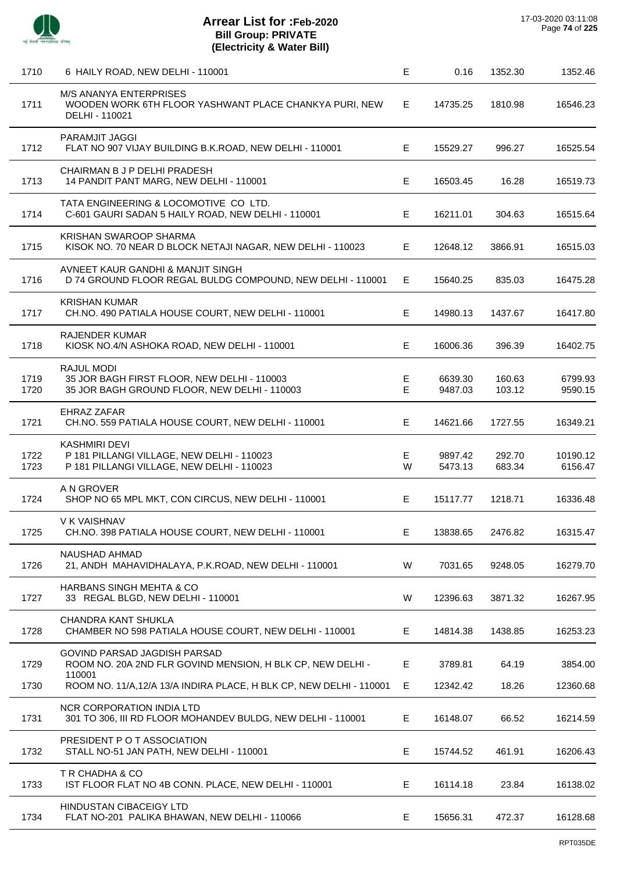

| 1710         | 6 HAILY ROAD, NEW DELHI - 110001                                                                                 | Е           | 0.16               | 1352.30          | 1352.46             |
|--------------|------------------------------------------------------------------------------------------------------------------|-------------|--------------------|------------------|---------------------|
| 1711         | M/S ANANYA ENTERPRISES<br>WOODEN WORK 6TH FLOOR YASHWANT PLACE CHANKYA PURI, NEW<br>DELHI - 110021               | E.          | 14735.25           | 1810.98          | 16546.23            |
| 1712         | PARAMJIT JAGGI<br>FLAT NO 907 VIJAY BUILDING B.K.ROAD, NEW DELHI - 110001                                        | Е           | 15529.27           | 996.27           | 16525.54            |
| 1713         | CHAIRMAN B J P DELHI PRADESH<br>14 PANDIT PANT MARG, NEW DELHI - 110001                                          | Е           | 16503.45           | 16.28            | 16519.73            |
| 1714         | TATA ENGINEERING & LOCOMOTIVE CO LTD.<br>C-601 GAURI SADAN 5 HAILY ROAD, NEW DELHI - 110001                      | Е           | 16211.01           | 304.63           | 16515.64            |
| 1715         | KRISHAN SWAROOP SHARMA<br>KISOK NO. 70 NEAR D BLOCK NETAJI NAGAR, NEW DELHI - 110023                             | Е           | 12648.12           | 3866.91          | 16515.03            |
| 1716         | AVNEET KAUR GANDHI & MANJIT SINGH<br>D 74 GROUND FLOOR REGAL BULDG COMPOUND, NEW DELHI - 110001                  | Е           | 15640.25           | 835.03           | 16475.28            |
| 1717         | <b>KRISHAN KUMAR</b><br>CH.NO. 490 PATIALA HOUSE COURT, NEW DELHI - 110001                                       | Е           | 14980.13           | 1437.67          | 16417.80            |
| 1718         | <b>RAJENDER KUMAR</b><br>KIOSK NO.4/N ASHOKA ROAD, NEW DELHI - 110001                                            | Е           | 16006.36           | 396.39           | 16402.75            |
| 1719<br>1720 | RAJUL MODI<br>35 JOR BAGH FIRST FLOOR, NEW DELHI - 110003<br>35 JOR BAGH GROUND FLOOR, NEW DELHI - 110003        | Е<br>E      | 6639.30<br>9487.03 | 160.63<br>103.12 | 6799.93<br>9590.15  |
| 1721         | EHRAZ ZAFAR<br>CH.NO. 559 PATIALA HOUSE COURT, NEW DELHI - 110001                                                | Е           | 14621.66           | 1727.55          | 16349.21            |
| 1722<br>1723 | <b>KASHMIRI DEVI</b><br>P 181 PILLANGI VILLAGE, NEW DELHI - 110023<br>P 181 PILLANGI VILLAGE, NEW DELHI - 110023 | Е<br>W      | 9897.42<br>5473.13 | 292.70<br>683.34 | 10190.12<br>6156.47 |
| 1724         | A N GROVER<br>SHOP NO 65 MPL MKT, CON CIRCUS, NEW DELHI - 110001                                                 | Е           | 15117.77           | 1218.71          | 16336.48            |
| 1725         | V K VAISHNAV<br>CH.NO. 398 PATIALA HOUSE COURT, NEW DELHI - 110001                                               | $\mathsf E$ | 13838.65           | 2476.82          | 16315.47            |
| 1726         | NAUSHAD AHMAD<br>21, ANDH MAHAVIDHALAYA, P.K.ROAD, NEW DELHI - 110001                                            | W           | 7031.65            | 9248.05          | 16279.70            |
| 1727         | HARBANS SINGH MEHTA & CO<br>33 REGAL BLGD, NEW DELHI - 110001                                                    | W           | 12396.63           | 3871.32          | 16267.95            |
| 1728         | CHANDRA KANT SHUKLA<br>CHAMBER NO 598 PATIALA HOUSE COURT, NEW DELHI - 110001                                    | E           | 14814.38           | 1438.85          | 16253.23            |
| 1729         | <b>GOVIND PARSAD JAGDISH PARSAD</b><br>ROOM NO. 20A 2ND FLR GOVIND MENSION, H BLK CP, NEW DELHI -<br>110001      | E           | 3789.81            | 64.19            | 3854.00             |
| 1730         | ROOM NO. 11/A,12/A 13/A INDIRA PLACE, H BLK CP, NEW DELHI - 110001                                               | Е           | 12342.42           | 18.26            | 12360.68            |
| 1731         | NCR CORPORATION INDIA LTD<br>301 TO 306, III RD FLOOR MOHANDEV BULDG, NEW DELHI - 110001                         | E           | 16148.07           | 66.52            | 16214.59            |
| 1732         | PRESIDENT P O T ASSOCIATION<br>STALL NO-51 JAN PATH, NEW DELHI - 110001                                          | E           | 15744.52           | 461.91           | 16206.43            |
| 1733         | T R CHADHA & CO<br>IST FLOOR FLAT NO 4B CONN. PLACE, NEW DELHI - 110001                                          | E.          | 16114.18           | 23.84            | 16138.02            |
| 1734         | HINDUSTAN CIBACEIGY LTD<br>FLAT NO-201 PALIKA BHAWAN, NEW DELHI - 110066                                         | E           | 15656.31           | 472.37           | 16128.68            |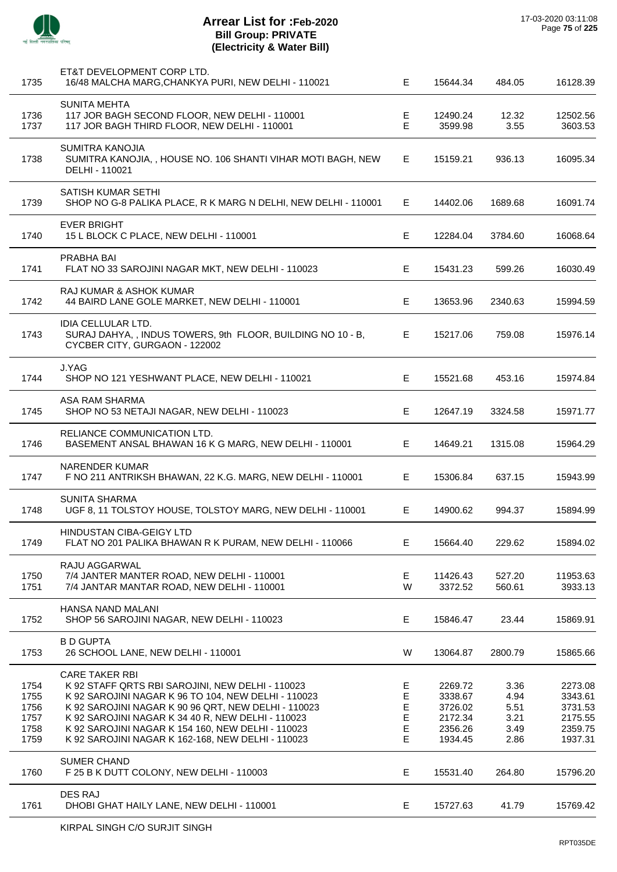

| 1735                                         | ET&T DEVELOPMENT CORP LTD.<br>16/48 MALCHA MARG, CHANKYA PURI, NEW DELHI - 110021                                                                                                                                                                                                                                                                      | E.                                   | 15644.34                                                       | 484.05                                       | 16128.39                                                       |
|----------------------------------------------|--------------------------------------------------------------------------------------------------------------------------------------------------------------------------------------------------------------------------------------------------------------------------------------------------------------------------------------------------------|--------------------------------------|----------------------------------------------------------------|----------------------------------------------|----------------------------------------------------------------|
| 1736<br>1737                                 | SUNITA MEHTA<br>117 JOR BAGH SECOND FLOOR, NEW DELHI - 110001<br>117 JOR BAGH THIRD FLOOR, NEW DELHI - 110001                                                                                                                                                                                                                                          | E<br>$\mathsf E$                     | 12490.24<br>3599.98                                            | 12.32<br>3.55                                | 12502.56<br>3603.53                                            |
| 1738                                         | <b>SUMITRA KANOJIA</b><br>SUMITRA KANOJIA, , HOUSE NO. 106 SHANTI VIHAR MOTI BAGH, NEW<br>DELHI - 110021                                                                                                                                                                                                                                               | Е                                    | 15159.21                                                       | 936.13                                       | 16095.34                                                       |
| 1739                                         | SATISH KUMAR SETHI<br>SHOP NO G-8 PALIKA PLACE, R K MARG N DELHI, NEW DELHI - 110001                                                                                                                                                                                                                                                                   | E.                                   | 14402.06                                                       | 1689.68                                      | 16091.74                                                       |
| 1740                                         | <b>EVER BRIGHT</b><br>15 L BLOCK C PLACE, NEW DELHI - 110001                                                                                                                                                                                                                                                                                           | E.                                   | 12284.04                                                       | 3784.60                                      | 16068.64                                                       |
| 1741                                         | PRABHA BAI<br>FLAT NO 33 SAROJINI NAGAR MKT, NEW DELHI - 110023                                                                                                                                                                                                                                                                                        | Е                                    | 15431.23                                                       | 599.26                                       | 16030.49                                                       |
| 1742                                         | RAJ KUMAR & ASHOK KUMAR<br>44 BAIRD LANE GOLE MARKET, NEW DELHI - 110001                                                                                                                                                                                                                                                                               | Е                                    | 13653.96                                                       | 2340.63                                      | 15994.59                                                       |
| 1743                                         | IDIA CELLULAR LTD.<br>SURAJ DAHYA,, INDUS TOWERS, 9th FLOOR, BUILDING NO 10 - B,<br>CYCBER CITY, GURGAON - 122002                                                                                                                                                                                                                                      | E                                    | 15217.06                                                       | 759.08                                       | 15976.14                                                       |
| 1744                                         | J.YAG<br>SHOP NO 121 YESHWANT PLACE, NEW DELHI - 110021                                                                                                                                                                                                                                                                                                | E                                    | 15521.68                                                       | 453.16                                       | 15974.84                                                       |
| 1745                                         | ASA RAM SHARMA<br>SHOP NO 53 NETAJI NAGAR, NEW DELHI - 110023                                                                                                                                                                                                                                                                                          | Е                                    | 12647.19                                                       | 3324.58                                      | 15971.77                                                       |
| 1746                                         | RELIANCE COMMUNICATION LTD.<br>BASEMENT ANSAL BHAWAN 16 K G MARG, NEW DELHI - 110001                                                                                                                                                                                                                                                                   | E.                                   | 14649.21                                                       | 1315.08                                      | 15964.29                                                       |
| 1747                                         | <b>NARENDER KUMAR</b><br>F NO 211 ANTRIKSH BHAWAN, 22 K.G. MARG, NEW DELHI - 110001                                                                                                                                                                                                                                                                    | Е                                    | 15306.84                                                       | 637.15                                       | 15943.99                                                       |
| 1748                                         | <b>SUNITA SHARMA</b><br>UGF 8, 11 TOLSTOY HOUSE, TOLSTOY MARG, NEW DELHI - 110001                                                                                                                                                                                                                                                                      | E.                                   | 14900.62                                                       | 994.37                                       | 15894.99                                                       |
| 1749                                         | HINDUSTAN CIBA-GEIGY LTD<br>FLAT NO 201 PALIKA BHAWAN R K PURAM, NEW DELHI - 110066                                                                                                                                                                                                                                                                    | Е                                    | 15664.40                                                       | 229.62                                       | 15894.02                                                       |
| 1750<br>1751                                 | RAJU AGGARWAL<br>7/4 JANTER MANTER ROAD, NEW DELHI - 110001<br>7/4 JANTAR MANTAR ROAD, NEW DELHI - 110001                                                                                                                                                                                                                                              | Е<br>W                               | 11426.43<br>3372.52                                            | 527.20<br>560.61                             | 11953.63<br>3933.13                                            |
| 1752                                         | HANSA NAND MALANI<br>SHOP 56 SAROJINI NAGAR, NEW DELHI - 110023                                                                                                                                                                                                                                                                                        | Е                                    | 15846.47                                                       | 23.44                                        | 15869.91                                                       |
| 1753                                         | <b>B D GUPTA</b><br>26 SCHOOL LANE, NEW DELHI - 110001                                                                                                                                                                                                                                                                                                 | W                                    | 13064.87                                                       | 2800.79                                      | 15865.66                                                       |
| 1754<br>1755<br>1756<br>1757<br>1758<br>1759 | <b>CARE TAKER RBI</b><br>K 92 STAFF QRTS RBI SAROJINI, NEW DELHI - 110023<br>K 92 SAROJINI NAGAR K 96 TO 104, NEW DELHI - 110023<br>K 92 SAROJINI NAGAR K 90 96 QRT, NEW DELHI - 110023<br>K 92 SAROJINI NAGAR K 34 40 R, NEW DELHI - 110023<br>K 92 SAROJINI NAGAR K 154 160, NEW DELHI - 110023<br>K 92 SAROJINI NAGAR K 162-168, NEW DELHI - 110023 | E<br>E<br>E<br>$\mathsf E$<br>E<br>Е | 2269.72<br>3338.67<br>3726.02<br>2172.34<br>2356.26<br>1934.45 | 3.36<br>4.94<br>5.51<br>3.21<br>3.49<br>2.86 | 2273.08<br>3343.61<br>3731.53<br>2175.55<br>2359.75<br>1937.31 |
| 1760                                         | <b>SUMER CHAND</b><br>F 25 B K DUTT COLONY, NEW DELHI - 110003                                                                                                                                                                                                                                                                                         | Е                                    | 15531.40                                                       | 264.80                                       | 15796.20                                                       |
| 1761                                         | <b>DES RAJ</b><br>DHOBI GHAT HAILY LANE, NEW DELHI - 110001                                                                                                                                                                                                                                                                                            | Е                                    | 15727.63                                                       | 41.79                                        | 15769.42                                                       |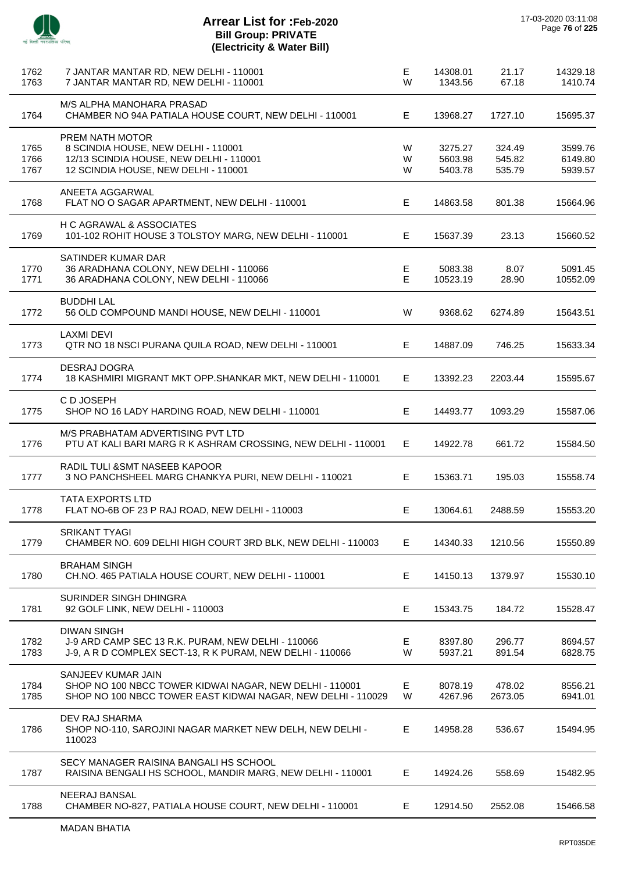

J.

 $\overline{a}$ 

J.

 $\overline{a}$ 

J.

j.

 $\overline{a}$ 

 $\overline{a}$ 

J.

| 1762<br>1763         | 7 JANTAR MANTAR RD, NEW DELHI - 110001<br>7 JANTAR MANTAR RD, NEW DELHI - 110001                                                              | Е<br>W      | 14308.01<br>1343.56           | 21.17<br>67.18             | 14329.18<br>1410.74           |
|----------------------|-----------------------------------------------------------------------------------------------------------------------------------------------|-------------|-------------------------------|----------------------------|-------------------------------|
| 1764                 | M/S ALPHA MANOHARA PRASAD<br>CHAMBER NO 94A PATIALA HOUSE COURT, NEW DELHI - 110001                                                           | E.          | 13968.27                      | 1727.10                    | 15695.37                      |
| 1765<br>1766<br>1767 | PREM NATH MOTOR<br>8 SCINDIA HOUSE, NEW DELHI - 110001<br>12/13 SCINDIA HOUSE, NEW DELHI - 110001<br>12 SCINDIA HOUSE, NEW DELHI - 110001     | W<br>W<br>W | 3275.27<br>5603.98<br>5403.78 | 324.49<br>545.82<br>535.79 | 3599.76<br>6149.80<br>5939.57 |
| 1768                 | ANEETA AGGARWAL<br>FLAT NO O SAGAR APARTMENT, NEW DELHI - 110001                                                                              | Е           | 14863.58                      | 801.38                     | 15664.96                      |
| 1769                 | H C AGRAWAL & ASSOCIATES<br>101-102 ROHIT HOUSE 3 TOLSTOY MARG, NEW DELHI - 110001                                                            | E.          | 15637.39                      | 23.13                      | 15660.52                      |
| 1770<br>1771         | SATINDER KUMAR DAR<br>36 ARADHANA COLONY, NEW DELHI - 110066<br>36 ARADHANA COLONY, NEW DELHI - 110066                                        | Е<br>E.     | 5083.38<br>10523.19           | 8.07<br>28.90              | 5091.45<br>10552.09           |
| 1772                 | <b>BUDDHI LAL</b><br>56 OLD COMPOUND MANDI HOUSE, NEW DELHI - 110001                                                                          | W           | 9368.62                       | 6274.89                    | 15643.51                      |
| 1773                 | <b>LAXMI DEVI</b><br>QTR NO 18 NSCI PURANA QUILA ROAD, NEW DELHI - 110001                                                                     | Е           | 14887.09                      | 746.25                     | 15633.34                      |
| 1774                 | <b>DESRAJ DOGRA</b><br>18 KASHMIRI MIGRANT MKT OPP.SHANKAR MKT, NEW DELHI - 110001                                                            | E.          | 13392.23                      | 2203.44                    | 15595.67                      |
| 1775                 | C D JOSEPH<br>SHOP NO 16 LADY HARDING ROAD, NEW DELHI - 110001                                                                                | Е           | 14493.77                      | 1093.29                    | 15587.06                      |
| 1776                 | M/S PRABHATAM ADVERTISING PVT LTD<br>PTU AT KALI BARI MARG R K ASHRAM CROSSING, NEW DELHI - 110001                                            | E.          | 14922.78                      | 661.72                     | 15584.50                      |
| 1777                 | RADIL TULI & SMT NASEEB KAPOOR<br>3 NO PANCHSHEEL MARG CHANKYA PURI, NEW DELHI - 110021                                                       | Е           | 15363.71                      | 195.03                     | 15558.74                      |
| 1778                 | <b>TATA EXPORTS LTD</b><br>FLAT NO-6B OF 23 P RAJ ROAD, NEW DELHI - 110003                                                                    | E.          | 13064.61                      | 2488.59                    | 15553.20                      |
| 1779                 | <b>SRIKANT TYAGI</b><br>CHAMBER NO. 609 DELHI HIGH COURT 3RD BLK, NEW DELHI - 110003                                                          | E.          | 14340.33                      | 1210.56                    | 15550.89                      |
| 1780                 | <b>BRAHAM SINGH</b><br>CH.NO. 465 PATIALA HOUSE COURT, NEW DELHI - 110001                                                                     | Е           | 14150.13                      | 1379.97                    | 15530.10                      |
| 1781                 | SURINDER SINGH DHINGRA<br>92 GOLF LINK, NEW DELHI - 110003                                                                                    | Е           | 15343.75                      | 184.72                     | 15528.47                      |
| 1782<br>1783         | <b>DIWAN SINGH</b><br>J-9 ARD CAMP SEC 13 R.K. PURAM, NEW DELHI - 110066<br>J-9, A R D COMPLEX SECT-13, R K PURAM, NEW DELHI - 110066         | E.<br>W     | 8397.80<br>5937.21            | 296.77<br>891.54           | 8694.57<br>6828.75            |
| 1784<br>1785         | SANJEEV KUMAR JAIN<br>SHOP NO 100 NBCC TOWER KIDWAI NAGAR, NEW DELHI - 110001<br>SHOP NO 100 NBCC TOWER EAST KIDWAI NAGAR, NEW DELHI - 110029 | E<br>W      | 8078.19<br>4267.96            | 478.02<br>2673.05          | 8556.21<br>6941.01            |
| 1786                 | DEV RAJ SHARMA<br>SHOP NO-110, SAROJINI NAGAR MARKET NEW DELH, NEW DELHI -<br>110023                                                          | E.          | 14958.28                      | 536.67                     | 15494.95                      |
| 1787                 | SECY MANAGER RAISINA BANGALI HS SCHOOL<br>RAISINA BENGALI HS SCHOOL, MANDIR MARG, NEW DELHI - 110001                                          | Е           | 14924.26                      | 558.69                     | 15482.95                      |
| 1788                 | NEERAJ BANSAL<br>CHAMBER NO-827, PATIALA HOUSE COURT, NEW DELHI - 110001                                                                      | Е           | 12914.50                      | 2552.08                    | 15466.58                      |
|                      |                                                                                                                                               |             |                               |                            |                               |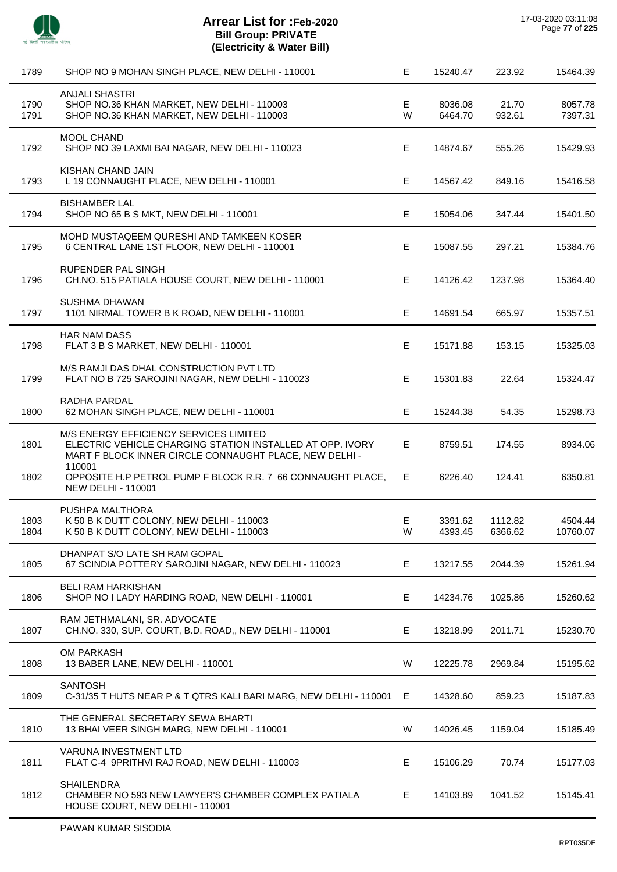

| 1789         | SHOP NO 9 MOHAN SINGH PLACE, NEW DELHI - 110001                                                                                                               | E       | 15240.47           | 223.92             | 15464.39            |
|--------------|---------------------------------------------------------------------------------------------------------------------------------------------------------------|---------|--------------------|--------------------|---------------------|
| 1790<br>1791 | <b>ANJALI SHASTRI</b><br>SHOP NO.36 KHAN MARKET, NEW DELHI - 110003<br>SHOP NO.36 KHAN MARKET, NEW DELHI - 110003                                             | E<br>W  | 8036.08<br>6464.70 | 21.70<br>932.61    | 8057.78<br>7397.31  |
| 1792         | MOOL CHAND<br>SHOP NO 39 LAXMI BAI NAGAR, NEW DELHI - 110023                                                                                                  | E.      | 14874.67           | 555.26             | 15429.93            |
| 1793         | KISHAN CHAND JAIN<br>L 19 CONNAUGHT PLACE, NEW DELHI - 110001                                                                                                 | E       | 14567.42           | 849.16             | 15416.58            |
| 1794         | <b>BISHAMBER LAL</b><br>SHOP NO 65 B S MKT, NEW DELHI - 110001                                                                                                | E       | 15054.06           | 347.44             | 15401.50            |
| 1795         | MOHD MUSTAQEEM QURESHI AND TAMKEEN KOSER<br>6 CENTRAL LANE 1ST FLOOR, NEW DELHI - 110001                                                                      | E       | 15087.55           | 297.21             | 15384.76            |
| 1796         | RUPENDER PAL SINGH<br>CH.NO. 515 PATIALA HOUSE COURT, NEW DELHI - 110001                                                                                      | Е       | 14126.42           | 1237.98            | 15364.40            |
| 1797         | <b>SUSHMA DHAWAN</b><br>1101 NIRMAL TOWER B K ROAD, NEW DELHI - 110001                                                                                        | E       | 14691.54           | 665.97             | 15357.51            |
| 1798         | <b>HAR NAM DASS</b><br>FLAT 3 B S MARKET, NEW DELHI - 110001                                                                                                  | E.      | 15171.88           | 153.15             | 15325.03            |
| 1799         | M/S RAMJI DAS DHAL CONSTRUCTION PVT LTD<br>FLAT NO B 725 SAROJINI NAGAR, NEW DELHI - 110023                                                                   | E       | 15301.83           | 22.64              | 15324.47            |
| 1800         | RADHA PARDAL<br>62 MOHAN SINGH PLACE, NEW DELHI - 110001                                                                                                      | E       | 15244.38           | 54.35              | 15298.73            |
| 1801         | M/S ENERGY EFFICIENCY SERVICES LIMITED<br>ELECTRIC VEHICLE CHARGING STATION INSTALLED AT OPP. IVORY<br>MART F BLOCK INNER CIRCLE CONNAUGHT PLACE, NEW DELHI - | E       | 8759.51            | 174.55             | 8934.06             |
| 1802         | 110001<br>OPPOSITE H.P PETROL PUMP F BLOCK R.R. 7 66 CONNAUGHT PLACE,<br><b>NEW DELHI - 110001</b>                                                            | E.      | 6226.40            | 124.41             | 6350.81             |
| 1803<br>1804 | PUSHPA MALTHORA<br>K 50 B K DUTT COLONY, NEW DELHI - 110003<br>K 50 B K DUTT COLONY, NEW DELHI - 110003                                                       | E.<br>W | 3391.62<br>4393.45 | 1112.82<br>6366.62 | 4504.44<br>10760.07 |
| 1805         | DHANPAT S/O LATE SH RAM GOPAL<br>67 SCINDIA POTTERY SAROJINI NAGAR, NEW DELHI - 110023                                                                        | E       | 13217.55           | 2044.39            | 15261.94            |
| 1806         | <b>BELI RAM HARKISHAN</b><br>SHOP NO I LADY HARDING ROAD, NEW DELHI - 110001                                                                                  | E.      | 14234.76           | 1025.86            | 15260.62            |
| 1807         | RAM JETHMALANI, SR. ADVOCATE<br>CH.NO. 330, SUP. COURT, B.D. ROAD,, NEW DELHI - 110001                                                                        | E.      | 13218.99           | 2011.71            | 15230.70            |
| 1808         | <b>OM PARKASH</b><br>13 BABER LANE, NEW DELHI - 110001                                                                                                        | W       | 12225.78           | 2969.84            | 15195.62            |
| 1809         | <b>SANTOSH</b><br>C-31/35 T HUTS NEAR P & T QTRS KALI BARI MARG, NEW DELHI - 110001                                                                           | E.      | 14328.60           | 859.23             | 15187.83            |
| 1810         | THE GENERAL SECRETARY SEWA BHARTI<br>13 BHAI VEER SINGH MARG, NEW DELHI - 110001                                                                              | W       | 14026.45           | 1159.04            | 15185.49            |
| 1811         | VARUNA INVESTMENT LTD<br>FLAT C-4 9PRITHVI RAJ ROAD, NEW DELHI - 110003                                                                                       | E       | 15106.29           | 70.74              | 15177.03            |
| 1812         | <b>SHAILENDRA</b><br>CHAMBER NO 593 NEW LAWYER'S CHAMBER COMPLEX PATIALA<br>HOUSE COURT, NEW DELHI - 110001                                                   | E.      | 14103.89           | 1041.52            | 15145.41            |
|              |                                                                                                                                                               |         |                    |                    |                     |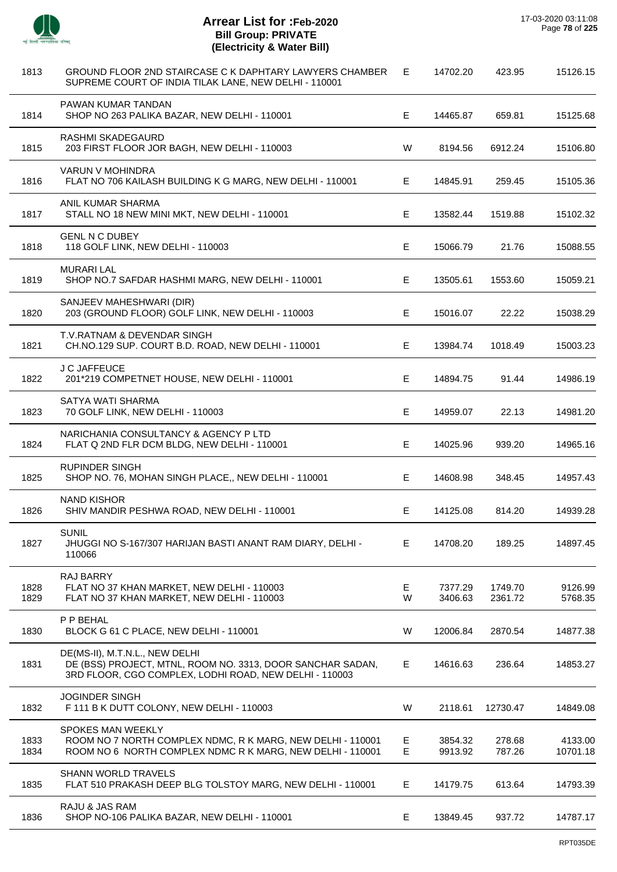

| 1813         | GROUND FLOOR 2ND STAIRCASE C K DAPHTARY LAWYERS CHAMBER<br>SUPREME COURT OF INDIA TILAK LANE, NEW DELHI - 110001                                       | Е      | 14702.20           | 423.95             | 15126.15            |
|--------------|--------------------------------------------------------------------------------------------------------------------------------------------------------|--------|--------------------|--------------------|---------------------|
| 1814         | PAWAN KUMAR TANDAN<br>SHOP NO 263 PALIKA BAZAR, NEW DELHI - 110001                                                                                     | Е      | 14465.87           | 659.81             | 15125.68            |
| 1815         | RASHMI SKADEGAURD<br>203 FIRST FLOOR JOR BAGH, NEW DELHI - 110003                                                                                      | W      | 8194.56            | 6912.24            | 15106.80            |
| 1816         | VARUN V MOHINDRA<br>FLAT NO 706 KAILASH BUILDING K G MARG, NEW DELHI - 110001                                                                          | Е      | 14845.91           | 259.45             | 15105.36            |
| 1817         | ANIL KUMAR SHARMA<br>STALL NO 18 NEW MINI MKT, NEW DELHI - 110001                                                                                      | E      | 13582.44           | 1519.88            | 15102.32            |
| 1818         | <b>GENL N C DUBEY</b><br>118 GOLF LINK, NEW DELHI - 110003                                                                                             | Е      | 15066.79           | 21.76              | 15088.55            |
| 1819         | <b>MURARI LAL</b><br>SHOP NO.7 SAFDAR HASHMI MARG, NEW DELHI - 110001                                                                                  | Е      | 13505.61           | 1553.60            | 15059.21            |
| 1820         | SANJEEV MAHESHWARI (DIR)<br>203 (GROUND FLOOR) GOLF LINK, NEW DELHI - 110003                                                                           | E      | 15016.07           | 22.22              | 15038.29            |
| 1821         | T.V.RATNAM & DEVENDAR SINGH<br>CH.NO.129 SUP. COURT B.D. ROAD, NEW DELHI - 110001                                                                      | Е      | 13984.74           | 1018.49            | 15003.23            |
| 1822         | J C JAFFEUCE<br>201*219 COMPETNET HOUSE, NEW DELHI - 110001                                                                                            | E      | 14894.75           | 91.44              | 14986.19            |
| 1823         | SATYA WATI SHARMA<br>70 GOLF LINK, NEW DELHI - 110003                                                                                                  | Е      | 14959.07           | 22.13              | 14981.20            |
| 1824         | NARICHANIA CONSULTANCY & AGENCY P LTD<br>FLAT Q 2ND FLR DCM BLDG, NEW DELHI - 110001                                                                   | Е      | 14025.96           | 939.20             | 14965.16            |
| 1825         | <b>RUPINDER SINGH</b><br>SHOP NO. 76, MOHAN SINGH PLACE,, NEW DELHI - 110001                                                                           | Е      | 14608.98           | 348.45             | 14957.43            |
| 1826         | <b>NAND KISHOR</b><br>SHIV MANDIR PESHWA ROAD, NEW DELHI - 110001                                                                                      | Е      | 14125.08           | 814.20             | 14939.28            |
| 1827         | <b>SUNIL</b><br>JHUGGI NO S-167/307 HARIJAN BASTI ANANT RAM DIARY, DELHI -<br>110066                                                                   | Е      | 14708.20           | 189.25             | 14897.45            |
| 1828<br>1829 | <b>RAJ BARRY</b><br>FLAT NO 37 KHAN MARKET, NEW DELHI - 110003<br>FLAT NO 37 KHAN MARKET, NEW DELHI - 110003                                           | E<br>W | 7377.29<br>3406.63 | 1749.70<br>2361.72 | 9126.99<br>5768.35  |
| 1830         | P P BEHAL<br>BLOCK G 61 C PLACE, NEW DELHI - 110001                                                                                                    | W      | 12006.84           | 2870.54            | 14877.38            |
| 1831         | DE(MS-II), M.T.N.L., NEW DELHI<br>DE (BSS) PROJECT, MTNL, ROOM NO. 3313, DOOR SANCHAR SADAN,<br>3RD FLOOR, CGO COMPLEX, LODHI ROAD, NEW DELHI - 110003 | Е      | 14616.63           | 236.64             | 14853.27            |
| 1832         | <b>JOGINDER SINGH</b><br>F 111 B K DUTT COLONY, NEW DELHI - 110003                                                                                     | W      | 2118.61            | 12730.47           | 14849.08            |
| 1833<br>1834 | SPOKES MAN WEEKLY<br>ROOM NO 7 NORTH COMPLEX NDMC, R K MARG, NEW DELHI - 110001<br>ROOM NO 6 NORTH COMPLEX NDMC R K MARG, NEW DELHI - 110001           | Е<br>E | 3854.32<br>9913.92 | 278.68<br>787.26   | 4133.00<br>10701.18 |
| 1835         | <b>SHANN WORLD TRAVELS</b><br>FLAT 510 PRAKASH DEEP BLG TOLSTOY MARG, NEW DELHI - 110001                                                               | Е      | 14179.75           | 613.64             | 14793.39            |
| 1836         | RAJU & JAS RAM<br>SHOP NO-106 PALIKA BAZAR, NEW DELHI - 110001                                                                                         | E      | 13849.45           | 937.72             | 14787.17            |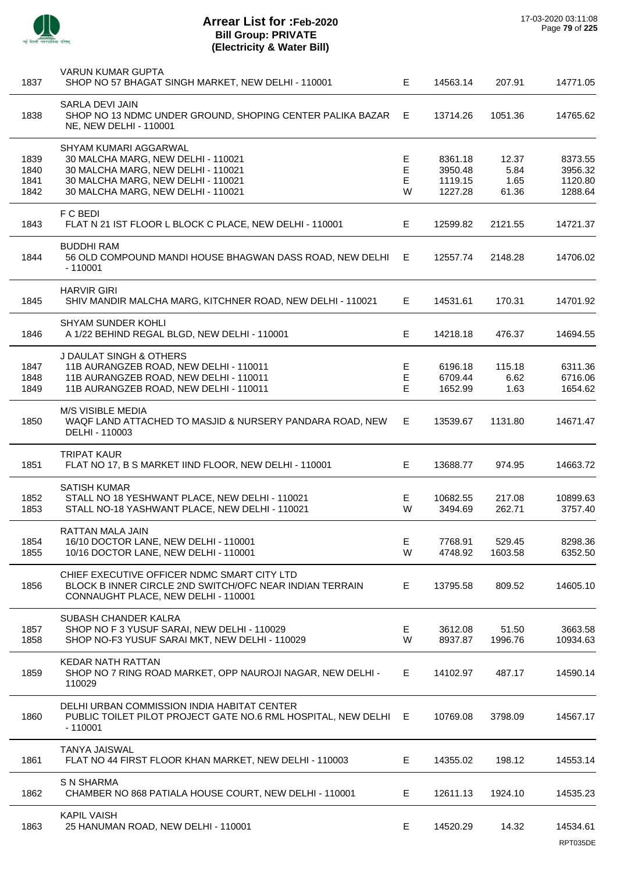

| 1837         | <b>VARUN KUMAR GUPTA</b><br>SHOP NO 57 BHAGAT SINGH MARKET, NEW DELHI - 110001                                                                | E.     | 14563.14           | 207.91       | 14771.05           |
|--------------|-----------------------------------------------------------------------------------------------------------------------------------------------|--------|--------------------|--------------|--------------------|
| 1838         | SARLA DEVI JAIN<br>SHOP NO 13 NDMC UNDER GROUND, SHOPING CENTER PALIKA BAZAR E<br>NE, NEW DELHI - 110001                                      |        | 13714.26           | 1051.36      | 14765.62           |
|              | SHYAM KUMARI AGGARWAL                                                                                                                         |        |                    |              |                    |
| 1839         | 30 MALCHA MARG, NEW DELHI - 110021                                                                                                            | Е      | 8361.18            | 12.37        | 8373.55            |
| 1840<br>1841 | 30 MALCHA MARG, NEW DELHI - 110021<br>30 MALCHA MARG, NEW DELHI - 110021                                                                      | Е<br>Е | 3950.48<br>1119.15 | 5.84<br>1.65 | 3956.32<br>1120.80 |
| 1842         | 30 MALCHA MARG, NEW DELHI - 110021                                                                                                            | W      | 1227.28            | 61.36        | 1288.64            |
| 1843         | F C BEDI<br>FLAT N 21 IST FLOOR L BLOCK C PLACE, NEW DELHI - 110001                                                                           | E.     | 12599.82           | 2121.55      | 14721.37           |
| 1844         | <b>BUDDHI RAM</b><br>56 OLD COMPOUND MANDI HOUSE BHAGWAN DASS ROAD, NEW DELHI<br>$-110001$                                                    | - E    | 12557.74           | 2148.28      | 14706.02           |
| 1845         | <b>HARVIR GIRI</b><br>SHIV MANDIR MALCHA MARG, KITCHNER ROAD, NEW DELHI - 110021                                                              | E.     | 14531.61           | 170.31       | 14701.92           |
| 1846         | SHYAM SUNDER KOHLI<br>A 1/22 BEHIND REGAL BLGD, NEW DELHI - 110001                                                                            | E      | 14218.18           | 476.37       | 14694.55           |
|              |                                                                                                                                               |        |                    |              |                    |
|              | J DAULAT SINGH & OTHERS                                                                                                                       |        |                    |              |                    |
| 1847         | 11B AURANGZEB ROAD, NEW DELHI - 110011                                                                                                        | Е      | 6196.18            | 115.18       | 6311.36            |
| 1848         | 11B AURANGZEB ROAD, NEW DELHI - 110011                                                                                                        | E      | 6709.44            | 6.62         | 6716.06            |
| 1849         | 11B AURANGZEB ROAD, NEW DELHI - 110011                                                                                                        | Е      | 1652.99            | 1.63         | 1654.62            |
| 1850         | M/S VISIBLE MEDIA<br>WAQF LAND ATTACHED TO MASJID & NURSERY PANDARA ROAD, NEW<br>DELHI - 110003                                               | E.     | 13539.67           | 1131.80      | 14671.47           |
| 1851         | <b>TRIPAT KAUR</b><br>FLAT NO 17, B S MARKET IIND FLOOR, NEW DELHI - 110001                                                                   | E      | 13688.77           | 974.95       | 14663.72           |
|              | <b>SATISH KUMAR</b>                                                                                                                           |        |                    |              |                    |
| 1852         | STALL NO 18 YESHWANT PLACE, NEW DELHI - 110021                                                                                                | E      | 10682.55           | 217.08       | 10899.63           |
| 1853         | STALL NO-18 YASHWANT PLACE, NEW DELHI - 110021                                                                                                | W      | 3494.69            | 262.71       | 3757.40            |
|              | RATTAN MALA JAIN                                                                                                                              |        |                    |              |                    |
| 1854         | 16/10 DOCTOR LANE, NEW DELHI - 110001                                                                                                         | E      | 7768.91            | 529.45       | 8298.36            |
| 1855         | 10/16 DOCTOR LANE, NEW DELHI - 110001                                                                                                         | W      | 4748.92            | 1603.58      | 6352.50            |
| 1856         | CHIEF EXECUTIVE OFFICER NDMC SMART CITY LTD<br>BLOCK B INNER CIRCLE 2ND SWITCH/OFC NEAR INDIAN TERRAIN<br>CONNAUGHT PLACE, NEW DELHI - 110001 | E      | 13795.58           | 809.52       | 14605.10           |
|              |                                                                                                                                               |        |                    |              |                    |
| 1857         | SUBASH CHANDER KALRA<br>SHOP NO F 3 YUSUF SARAI, NEW DELHI - 110029                                                                           | Е      | 3612.08            | 51.50        | 3663.58            |
| 1858         | SHOP NO-F3 YUSUF SARAI MKT, NEW DELHI - 110029                                                                                                | W      | 8937.87            | 1996.76      | 10934.63           |
| 1859         | <b>KEDAR NATH RATTAN</b><br>SHOP NO 7 RING ROAD MARKET, OPP NAUROJI NAGAR, NEW DELHI -<br>110029                                              | E      | 14102.97           | 487.17       | 14590.14           |
| 1860         | DELHI URBAN COMMISSION INDIA HABITAT CENTER<br>PUBLIC TOILET PILOT PROJECT GATE NO.6 RML HOSPITAL, NEW DELHI E<br>$-110001$                   |        | 10769.08           | 3798.09      | 14567.17           |
| 1861         | <b>TANYA JAISWAL</b><br>FLAT NO 44 FIRST FLOOR KHAN MARKET, NEW DELHI - 110003                                                                | E      | 14355.02           | 198.12       | 14553.14           |
| 1862         | <b>S N SHARMA</b><br>CHAMBER NO 868 PATIALA HOUSE COURT, NEW DELHI - 110001                                                                   | E.     | 12611.13           | 1924.10      | 14535.23           |
| 1863         | <b>KAPIL VAISH</b><br>25 HANUMAN ROAD, NEW DELHI - 110001                                                                                     | Е      | 14520.29           | 14.32        | 14534.61           |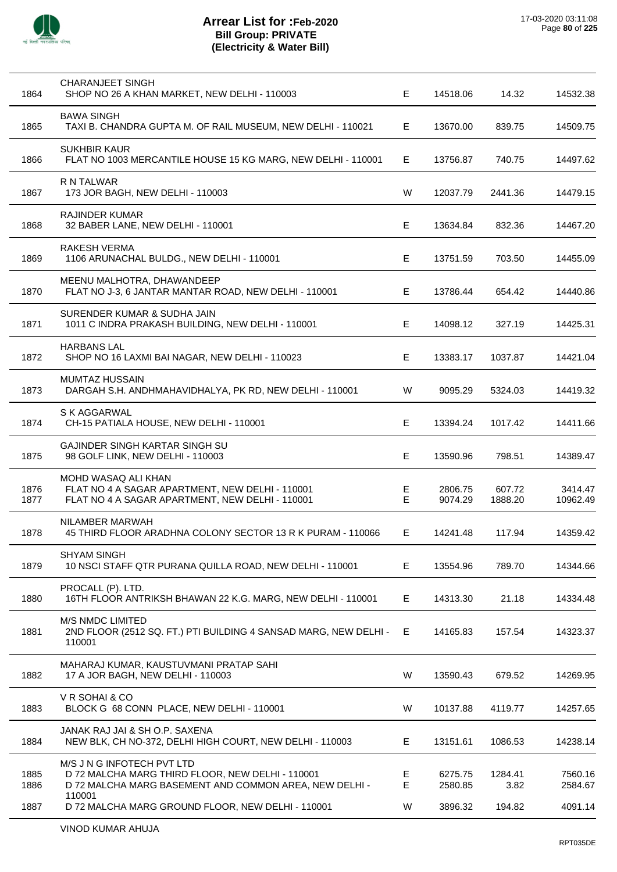

| 1864         | <b>CHARANJEET SINGH</b><br>SHOP NO 26 A KHAN MARKET, NEW DELHI - 110003                                                                            | Е      | 14518.06           | 14.32             | 14532.38            |
|--------------|----------------------------------------------------------------------------------------------------------------------------------------------------|--------|--------------------|-------------------|---------------------|
| 1865         | <b>BAWA SINGH</b><br>TAXI B. CHANDRA GUPTA M. OF RAIL MUSEUM, NEW DELHI - 110021                                                                   | E      | 13670.00           | 839.75            | 14509.75            |
| 1866         | <b>SUKHBIR KAUR</b><br>FLAT NO 1003 MERCANTILE HOUSE 15 KG MARG, NEW DELHI - 110001                                                                | E.     | 13756.87           | 740.75            | 14497.62            |
| 1867         | R N TALWAR<br>173 JOR BAGH, NEW DELHI - 110003                                                                                                     | W      | 12037.79           | 2441.36           | 14479.15            |
| 1868         | <b>RAJINDER KUMAR</b><br>32 BABER LANE, NEW DELHI - 110001                                                                                         | E      | 13634.84           | 832.36            | 14467.20            |
| 1869         | RAKESH VERMA<br>1106 ARUNACHAL BULDG., NEW DELHI - 110001                                                                                          | E.     | 13751.59           | 703.50            | 14455.09            |
| 1870         | MEENU MALHOTRA, DHAWANDEEP<br>FLAT NO J-3, 6 JANTAR MANTAR ROAD, NEW DELHI - 110001                                                                | E.     | 13786.44           | 654.42            | 14440.86            |
| 1871         | SURENDER KUMAR & SUDHA JAIN<br>1011 C INDRA PRAKASH BUILDING, NEW DELHI - 110001                                                                   | E.     | 14098.12           | 327.19            | 14425.31            |
| 1872         | <b>HARBANS LAL</b><br>SHOP NO 16 LAXMI BAI NAGAR, NEW DELHI - 110023                                                                               | E.     | 13383.17           | 1037.87           | 14421.04            |
| 1873         | <b>MUMTAZ HUSSAIN</b><br>DARGAH S.H. ANDHMAHAVIDHALYA, PK RD, NEW DELHI - 110001                                                                   | W      | 9095.29            | 5324.03           | 14419.32            |
| 1874         | S K AGGARWAL<br>CH-15 PATIALA HOUSE, NEW DELHI - 110001                                                                                            | E      | 13394.24           | 1017.42           | 14411.66            |
| 1875         | GAJINDER SINGH KARTAR SINGH SU<br>98 GOLF LINK, NEW DELHI - 110003                                                                                 | E.     | 13590.96           | 798.51            | 14389.47            |
| 1876<br>1877 | MOHD WASAQ ALI KHAN<br>FLAT NO 4 A SAGAR APARTMENT, NEW DELHI - 110001<br>FLAT NO 4 A SAGAR APARTMENT, NEW DELHI - 110001                          | Е<br>Е | 2806.75<br>9074.29 | 607.72<br>1888.20 | 3414.47<br>10962.49 |
| 1878         | NILAMBER MARWAH<br>45 THIRD FLOOR ARADHNA COLONY SECTOR 13 R K PURAM - 110066                                                                      | E.     | 14241.48           | 117.94            | 14359.42            |
| 1879         | <b>SHYAM SINGH</b><br>10 NSCI STAFF QTR PURANA QUILLA ROAD, NEW DELHI - 110001                                                                     | Е      | 13554.96           | 789.70            | 14344.66            |
| 1880         | PROCALL (P). LTD.<br>16TH FLOOR ANTRIKSH BHAWAN 22 K.G. MARG, NEW DELHI - 110001                                                                   | E.     | 14313.30           | 21.18             | 14334.48            |
| 1881         | <b>M/S NMDC LIMITED</b><br>2ND FLOOR (2512 SQ. FT.) PTI BUILDING 4 SANSAD MARG, NEW DELHI -<br>110001                                              | E      | 14165.83           | 157.54            | 14323.37            |
| 1882         | MAHARAJ KUMAR, KAUSTUVMANI PRATAP SAHI<br>17 A JOR BAGH, NEW DELHI - 110003                                                                        | W      | 13590.43           | 679.52            | 14269.95            |
| 1883         | V R SOHAI & CO<br>BLOCK G 68 CONN PLACE, NEW DELHI - 110001                                                                                        | W      | 10137.88           | 4119.77           | 14257.65            |
| 1884         | JANAK RAJ JAI & SH O.P. SAXENA<br>NEW BLK, CH NO-372, DELHI HIGH COURT, NEW DELHI - 110003                                                         | Е      | 13151.61           | 1086.53           | 14238.14            |
| 1885<br>1886 | M/S J N G INFOTECH PVT LTD<br>D 72 MALCHA MARG THIRD FLOOR, NEW DELHI - 110001<br>D 72 MALCHA MARG BASEMENT AND COMMON AREA, NEW DELHI -<br>110001 | Е<br>E | 6275.75<br>2580.85 | 1284.41<br>3.82   | 7560.16<br>2584.67  |
| 1887         | D 72 MALCHA MARG GROUND FLOOR, NEW DELHI - 110001                                                                                                  | W      | 3896.32            | 194.82            | 4091.14             |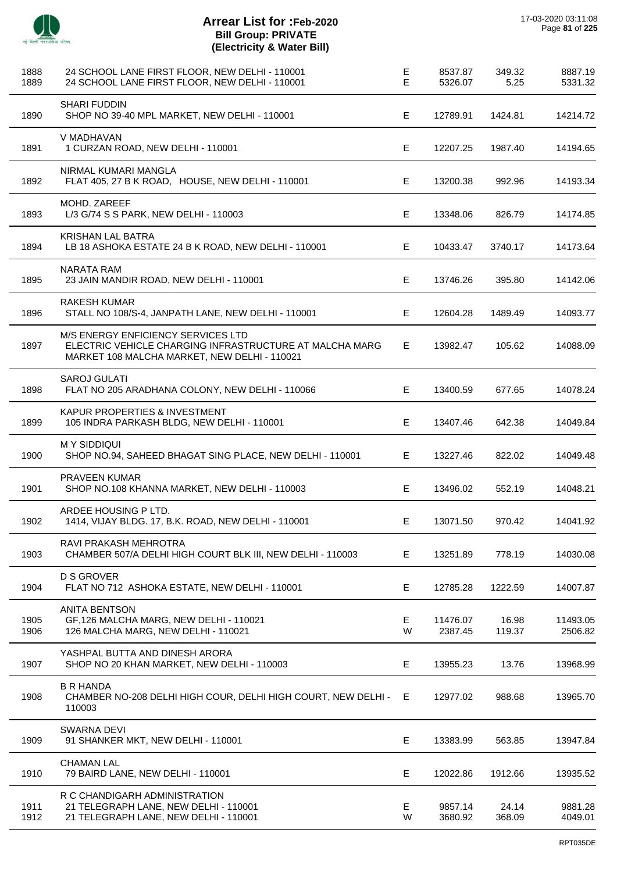| 1888<br>1889 | 24 SCHOOL LANE FIRST FLOOR, NEW DELHI - 110001<br>24 SCHOOL LANE FIRST FLOOR, NEW DELHI - 110001                                              | E<br>E | 8537.87<br>5326.07  | 349.32<br>5.25  | 8887.19<br>5331.32  |
|--------------|-----------------------------------------------------------------------------------------------------------------------------------------------|--------|---------------------|-----------------|---------------------|
| 1890         | <b>SHARI FUDDIN</b><br>SHOP NO 39-40 MPL MARKET, NEW DELHI - 110001                                                                           | Е      | 12789.91            | 1424.81         | 14214.72            |
| 1891         | V MADHAVAN<br>1 CURZAN ROAD, NEW DELHI - 110001                                                                                               | E      | 12207.25            | 1987.40         | 14194.65            |
| 1892         | NIRMAL KUMARI MANGLA<br>FLAT 405, 27 B K ROAD, HOUSE, NEW DELHI - 110001                                                                      | E      | 13200.38            | 992.96          | 14193.34            |
| 1893         | MOHD. ZAREEF<br>L/3 G/74 S S PARK, NEW DELHI - 110003                                                                                         | E      | 13348.06            | 826.79          | 14174.85            |
| 1894         | <b>KRISHAN LAL BATRA</b><br>LB 18 ASHOKA ESTATE 24 B K ROAD, NEW DELHI - 110001                                                               | E      | 10433.47            | 3740.17         | 14173.64            |
| 1895         | <b>NARATA RAM</b><br>23 JAIN MANDIR ROAD, NEW DELHI - 110001                                                                                  | E      | 13746.26            | 395.80          | 14142.06            |
| 1896         | <b>RAKESH KUMAR</b><br>STALL NO 108/S-4, JANPATH LANE, NEW DELHI - 110001                                                                     | E      | 12604.28            | 1489.49         | 14093.77            |
| 1897         | M/S ENERGY ENFICIENCY SERVICES LTD<br>ELECTRIC VEHICLE CHARGING INFRASTRUCTURE AT MALCHA MARG<br>MARKET 108 MALCHA MARKET, NEW DELHI - 110021 | E      | 13982.47            | 105.62          | 14088.09            |
| 1898         | <b>SAROJ GULATI</b><br>FLAT NO 205 ARADHANA COLONY, NEW DELHI - 110066                                                                        | E      | 13400.59            | 677.65          | 14078.24            |
| 1899         | KAPUR PROPERTIES & INVESTMENT<br>105 INDRA PARKASH BLDG, NEW DELHI - 110001                                                                   | E      | 13407.46            | 642.38          | 14049.84            |
| 1900         | <b>MY SIDDIQUI</b><br>SHOP NO.94, SAHEED BHAGAT SING PLACE, NEW DELHI - 110001                                                                | E.     | 13227.46            | 822.02          | 14049.48            |
| 1901         | <b>PRAVEEN KUMAR</b><br>SHOP NO.108 KHANNA MARKET, NEW DELHI - 110003                                                                         | E      | 13496.02            | 552.19          | 14048.21            |
| 1902         | ARDEE HOUSING P LTD.<br>1414, VIJAY BLDG. 17, B.K. ROAD, NEW DELHI - 110001                                                                   | E.     | 13071.50            | 970.42          | 14041.92            |
| 1903         | RAVI PRAKASH MEHROTRA<br>CHAMBER 507/A DELHI HIGH COURT BLK III, NEW DELHI - 110003                                                           | E.     | 13251.89            | 778.19          | 14030.08            |
| 1904         | <b>D S GROVER</b><br>FLAT NO 712 ASHOKA ESTATE, NEW DELHI - 110001                                                                            | E      | 12785.28            | 1222.59         | 14007.87            |
| 1905<br>1906 | <b>ANITA BENTSON</b><br>GF,126 MALCHA MARG, NEW DELHI - 110021<br>126 MALCHA MARG, NEW DELHI - 110021                                         | Е<br>W | 11476.07<br>2387.45 | 16.98<br>119.37 | 11493.05<br>2506.82 |
| 1907         | YASHPAL BUTTA AND DINESH ARORA<br>SHOP NO 20 KHAN MARKET, NEW DELHI - 110003                                                                  | Е      | 13955.23            | 13.76           | 13968.99            |
| 1908         | <b>B R HANDA</b><br>CHAMBER NO-208 DELHI HIGH COUR, DELHI HIGH COURT, NEW DELHI -<br>110003                                                   | E      | 12977.02            | 988.68          | 13965.70            |
| 1909         | <b>SWARNA DEVI</b><br>91 SHANKER MKT, NEW DELHI - 110001                                                                                      | E      | 13383.99            | 563.85          | 13947.84            |
| 1910         | <b>CHAMAN LAL</b><br>79 BAIRD LANE, NEW DELHI - 110001                                                                                        | E      | 12022.86            | 1912.66         | 13935.52            |
| 1911<br>1912 | R C CHANDIGARH ADMINISTRATION<br>21 TELEGRAPH LANE, NEW DELHI - 110001<br>21 TELEGRAPH LANE, NEW DELHI - 110001                               | E<br>W | 9857.14<br>3680.92  | 24.14<br>368.09 | 9881.28<br>4049.01  |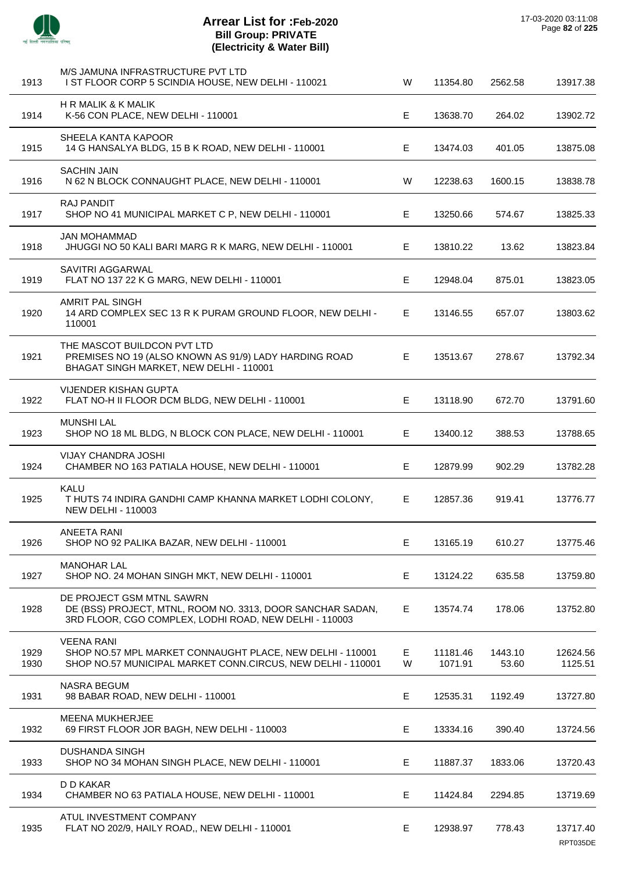

J.

 $\overline{a}$ 

 $\overline{a}$ 

 $\overline{a}$ 

 $\overline{a}$ 

J.

## **Arrear List for :Feb-2020 Bill Group: PRIVATE (Electricity & Water Bill)**

| 1913         | M/S JAMUNA INFRASTRUCTURE PVT LTD<br>I ST FLOOR CORP 5 SCINDIA HOUSE, NEW DELHI - 110021                                                          | W      | 11354.80            | 2562.58          | 13917.38            |
|--------------|---------------------------------------------------------------------------------------------------------------------------------------------------|--------|---------------------|------------------|---------------------|
| 1914         | <b>H R MALIK &amp; K MALIK</b><br>K-56 CON PLACE, NEW DELHI - 110001                                                                              | E.     | 13638.70            | 264.02           | 13902.72            |
| 1915         | SHEELA KANTA KAPOOR<br>14 G HANSALYA BLDG, 15 B K ROAD, NEW DELHI - 110001                                                                        | E.     | 13474.03            | 401.05           | 13875.08            |
| 1916         | <b>SACHIN JAIN</b><br>N 62 N BLOCK CONNAUGHT PLACE, NEW DELHI - 110001                                                                            | W      | 12238.63            | 1600.15          | 13838.78            |
| 1917         | <b>RAJ PANDIT</b><br>SHOP NO 41 MUNICIPAL MARKET C P, NEW DELHI - 110001                                                                          | E.     | 13250.66            | 574.67           | 13825.33            |
| 1918         | <b>JAN MOHAMMAD</b><br>JHUGGI NO 50 KALI BARI MARG R K MARG, NEW DELHI - 110001                                                                   | E.     | 13810.22            | 13.62            | 13823.84            |
| 1919         | SAVITRI AGGARWAL<br>FLAT NO 137 22 K G MARG, NEW DELHI - 110001                                                                                   | Е      | 12948.04            | 875.01           | 13823.05            |
| 1920         | AMRIT PAL SINGH<br>14 ARD COMPLEX SEC 13 R K PURAM GROUND FLOOR, NEW DELHI -<br>110001                                                            | E.     | 13146.55            | 657.07           | 13803.62            |
| 1921         | THE MASCOT BUILDCON PVT LTD<br>PREMISES NO 19 (ALSO KNOWN AS 91/9) LADY HARDING ROAD<br>BHAGAT SINGH MARKET, NEW DELHI - 110001                   | E.     | 13513.67            | 278.67           | 13792.34            |
| 1922         | <b>VIJENDER KISHAN GUPTA</b><br>FLAT NO-H II FLOOR DCM BLDG, NEW DELHI - 110001                                                                   | E.     | 13118.90            | 672.70           | 13791.60            |
| 1923         | <b>MUNSHI LAL</b><br>SHOP NO 18 ML BLDG, N BLOCK CON PLACE, NEW DELHI - 110001                                                                    | E.     | 13400.12            | 388.53           | 13788.65            |
| 1924         | <b>VIJAY CHANDRA JOSHI</b><br>CHAMBER NO 163 PATIALA HOUSE, NEW DELHI - 110001                                                                    | Е      | 12879.99            | 902.29           | 13782.28            |
| 1925         | KALU<br>T HUTS 74 INDIRA GANDHI CAMP KHANNA MARKET LODHI COLONY,<br><b>NEW DELHI - 110003</b>                                                     | E.     | 12857.36            | 919.41           | 13776.77            |
| 1926         | <b>ANEETA RANI</b><br>SHOP NO 92 PALIKA BAZAR, NEW DELHI - 110001                                                                                 | E.     | 13165.19            | 610.27           | 13775.46            |
| 1927         | <b>MANOHAR LAL</b><br>SHOP NO. 24 MOHAN SINGH MKT, NEW DELHI - 110001                                                                             | Е      | 13124.22            | 635.58           | 13759.80            |
| 1928         | DE PROJECT GSM MTNL SAWRN<br>DE (BSS) PROJECT, MTNL, ROOM NO. 3313, DOOR SANCHAR SADAN,<br>3RD FLOOR, CGO COMPLEX, LODHI ROAD, NEW DELHI - 110003 | E.     | 13574.74            | 178.06           | 13752.80            |
| 1929<br>1930 | <b>VEENA RANI</b><br>SHOP NO.57 MPL MARKET CONNAUGHT PLACE, NEW DELHI - 110001<br>SHOP NO.57 MUNICIPAL MARKET CONN.CIRCUS, NEW DELHI - 110001     | Е<br>W | 11181.46<br>1071.91 | 1443.10<br>53.60 | 12624.56<br>1125.51 |
| 1931         | <b>NASRA BEGUM</b><br>98 BABAR ROAD, NEW DELHI - 110001                                                                                           | Е      | 12535.31            | 1192.49          | 13727.80            |
| 1932         | <b>MEENA MUKHERJEE</b><br>69 FIRST FLOOR JOR BAGH, NEW DELHI - 110003                                                                             | E      | 13334.16            | 390.40           | 13724.56            |
| 1933         | <b>DUSHANDA SINGH</b><br>SHOP NO 34 MOHAN SINGH PLACE, NEW DELHI - 110001                                                                         | Е      | 11887.37            | 1833.06          | 13720.43            |
| 1934         | D D KAKAR<br>CHAMBER NO 63 PATIALA HOUSE, NEW DELHI - 110001                                                                                      | E      | 11424.84            | 2294.85          | 13719.69            |
| 1935         | ATUL INVESTMENT COMPANY<br>FLAT NO 202/9, HAILY ROAD,, NEW DELHI - 110001                                                                         | E      | 12938.97            | 778.43           | 13717.40            |

RPT035DE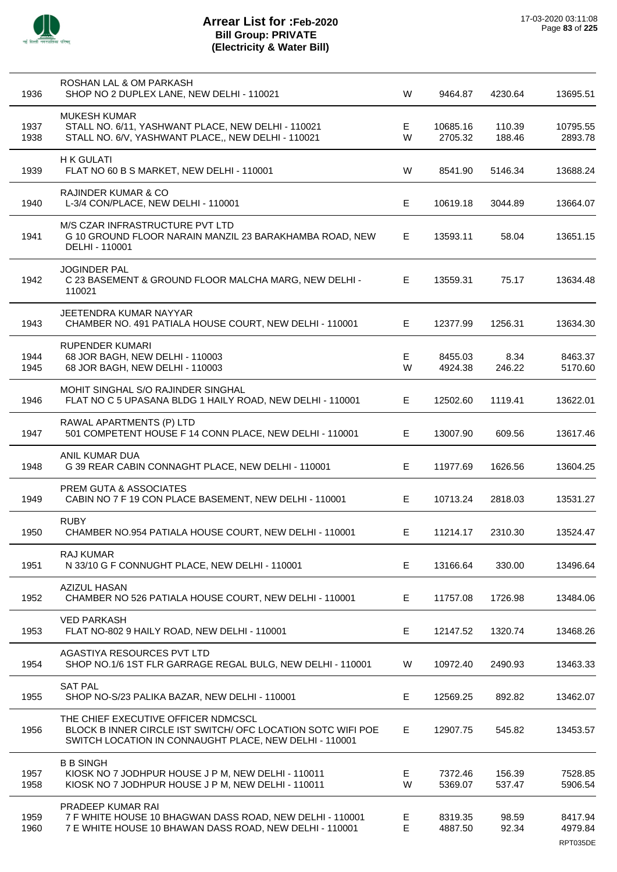| 1936         | ROSHAN LAL & OM PARKASH<br>SHOP NO 2 DUPLEX LANE, NEW DELHI - 110021                                                                                         | W       | 9464.87             | 4230.64          | 13695.51                       |
|--------------|--------------------------------------------------------------------------------------------------------------------------------------------------------------|---------|---------------------|------------------|--------------------------------|
| 1937<br>1938 | <b>MUKESH KUMAR</b><br>STALL NO. 6/11, YASHWANT PLACE, NEW DELHI - 110021<br>STALL NO. 6/V, YASHWANT PLACE,, NEW DELHI - 110021                              | E.<br>W | 10685.16<br>2705.32 | 110.39<br>188.46 | 10795.55<br>2893.78            |
| 1939         | <b>H K GULATI</b><br>FLAT NO 60 B S MARKET, NEW DELHI - 110001                                                                                               | W       | 8541.90             | 5146.34          | 13688.24                       |
| 1940         | <b>RAJINDER KUMAR &amp; CO</b><br>L-3/4 CON/PLACE, NEW DELHI - 110001                                                                                        | E       | 10619.18            | 3044.89          | 13664.07                       |
| 1941         | M/S CZAR INFRASTRUCTURE PVT LTD<br>G 10 GROUND FLOOR NARAIN MANZIL 23 BARAKHAMBA ROAD, NEW<br>DELHI - 110001                                                 | E       | 13593.11            | 58.04            | 13651.15                       |
| 1942         | <b>JOGINDER PAL</b><br>C 23 BASEMENT & GROUND FLOOR MALCHA MARG, NEW DELHI -<br>110021                                                                       | E.      | 13559.31            | 75.17            | 13634.48                       |
| 1943         | JEETENDRA KUMAR NAYYAR<br>CHAMBER NO. 491 PATIALA HOUSE COURT, NEW DELHI - 110001                                                                            | E       | 12377.99            | 1256.31          | 13634.30                       |
| 1944<br>1945 | <b>RUPENDER KUMARI</b><br>68 JOR BAGH, NEW DELHI - 110003<br>68 JOR BAGH, NEW DELHI - 110003                                                                 | Е<br>W  | 8455.03<br>4924.38  | 8.34<br>246.22   | 8463.37<br>5170.60             |
| 1946         | MOHIT SINGHAL S/O RAJINDER SINGHAL<br>FLAT NO C 5 UPASANA BLDG 1 HAILY ROAD, NEW DELHI - 110001                                                              | E       | 12502.60            | 1119.41          | 13622.01                       |
| 1947         | RAWAL APARTMENTS (P) LTD<br>501 COMPETENT HOUSE F 14 CONN PLACE, NEW DELHI - 110001                                                                          | E       | 13007.90            | 609.56           | 13617.46                       |
| 1948         | ANIL KUMAR DUA<br>G 39 REAR CABIN CONNAGHT PLACE, NEW DELHI - 110001                                                                                         | E       | 11977.69            | 1626.56          | 13604.25                       |
| 1949         | PREM GUTA & ASSOCIATES<br>CABIN NO 7 F 19 CON PLACE BASEMENT, NEW DELHI - 110001                                                                             | Е       | 10713.24            | 2818.03          | 13531.27                       |
| 1950         | <b>RUBY</b><br>CHAMBER NO.954 PATIALA HOUSE COURT, NEW DELHI - 110001                                                                                        | E.      | 11214.17            | 2310.30          | 13524.47                       |
| 1951         | RAJ KUMAR<br>N 33/10 G F CONNUGHT PLACE, NEW DELHI - 110001                                                                                                  | Е       | 13166.64            | 330.00           | 13496.64                       |
| 1952         | <b>AZIZUL HASAN</b><br>CHAMBER NO 526 PATIALA HOUSE COURT, NEW DELHI - 110001                                                                                | E       | 11757.08            | 1726.98          | 13484.06                       |
| 1953         | <b>VED PARKASH</b><br>FLAT NO-802 9 HAILY ROAD, NEW DELHI - 110001                                                                                           | E       | 12147.52            | 1320.74          | 13468.26                       |
| 1954         | AGASTIYA RESOURCES PVT LTD<br>SHOP NO.1/6 1ST FLR GARRAGE REGAL BULG, NEW DELHI - 110001                                                                     | W       | 10972.40            | 2490.93          | 13463.33                       |
| 1955         | <b>SAT PAL</b><br>SHOP NO-S/23 PALIKA BAZAR, NEW DELHI - 110001                                                                                              | Е       | 12569.25            | 892.82           | 13462.07                       |
| 1956         | THE CHIEF EXECUTIVE OFFICER NDMCSCL<br>BLOCK B INNER CIRCLE IST SWITCH/ OFC LOCATION SOTC WIFI POE<br>SWITCH LOCATION IN CONNAUGHT PLACE, NEW DELHI - 110001 | E       | 12907.75            | 545.82           | 13453.57                       |
| 1957<br>1958 | <b>B B SINGH</b><br>KIOSK NO 7 JODHPUR HOUSE J P M, NEW DELHI - 110011<br>KIOSK NO 7 JODHPUR HOUSE J P M, NEW DELHI - 110011                                 | Е<br>W  | 7372.46<br>5369.07  | 156.39<br>537.47 | 7528.85<br>5906.54             |
| 1959<br>1960 | PRADEEP KUMAR RAI<br>7 F WHITE HOUSE 10 BHAGWAN DASS ROAD, NEW DELHI - 110001<br>7 E WHITE HOUSE 10 BHAWAN DASS ROAD, NEW DELHI - 110001                     | Е<br>Е  | 8319.35<br>4887.50  | 98.59<br>92.34   | 8417.94<br>4979.84<br>RPT035DE |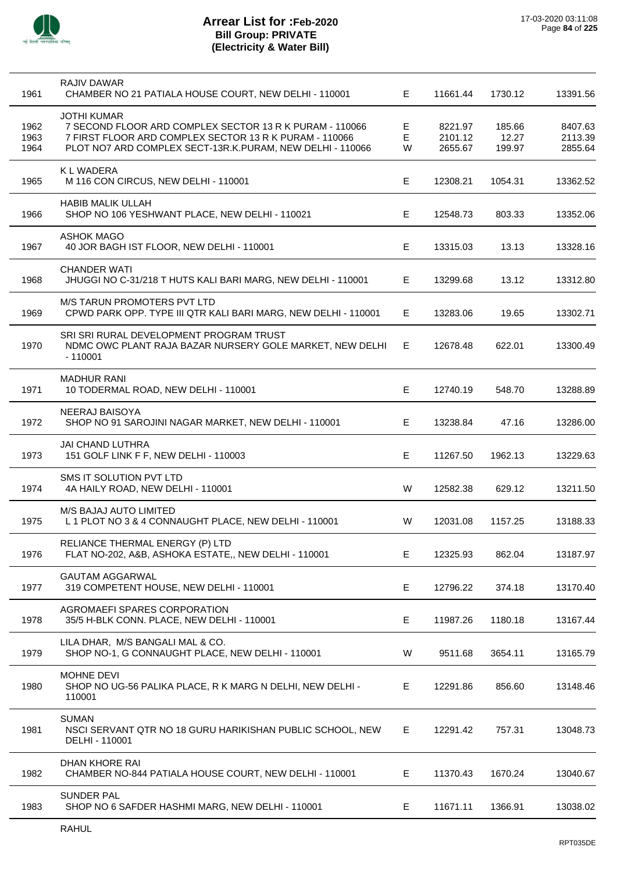

 $\overline{a}$ 

## **Arrear List for :Feb-2020 Bill Group: PRIVATE (Electricity & Water Bill)**

| 1961         | RAJIV DAWAR<br>CHAMBER NO 21 PATIALA HOUSE COURT, NEW DELHI - 110001                                                                    | E.     | 11661.44           | 1730.12         | 13391.56           |
|--------------|-----------------------------------------------------------------------------------------------------------------------------------------|--------|--------------------|-----------------|--------------------|
| 1962<br>1963 | <b>JOTHI KUMAR</b><br>7 SECOND FLOOR ARD COMPLEX SECTOR 13 R K PURAM - 110066<br>7 FIRST FLOOR ARD COMPLEX SECTOR 13 R K PURAM - 110066 | Е<br>E | 8221.97<br>2101.12 | 185.66<br>12.27 | 8407.63<br>2113.39 |
| 1964         | PLOT NO7 ARD COMPLEX SECT-13R.K.PURAM, NEW DELHI - 110066<br><b>KLWADERA</b>                                                            | W      | 2655.67            | 199.97          | 2855.64            |
| 1965         | M 116 CON CIRCUS, NEW DELHI - 110001                                                                                                    | E.     | 12308.21           | 1054.31         | 13362.52           |
| 1966         | <b>HABIB MALIK ULLAH</b><br>SHOP NO 106 YESHWANT PLACE, NEW DELHI - 110021                                                              | E.     | 12548.73           | 803.33          | 13352.06           |
| 1967         | <b>ASHOK MAGO</b><br>40 JOR BAGH IST FLOOR, NEW DELHI - 110001                                                                          | Е      | 13315.03           | 13.13           | 13328.16           |
| 1968         | <b>CHANDER WATI</b><br>JHUGGI NO C-31/218 T HUTS KALI BARI MARG, NEW DELHI - 110001                                                     | Е      | 13299.68           | 13.12           | 13312.80           |
| 1969         | <b>M/S TARUN PROMOTERS PVT LTD</b><br>CPWD PARK OPP. TYPE III QTR KALI BARI MARG, NEW DELHI - 110001                                    | E.     | 13283.06           | 19.65           | 13302.71           |
| 1970         | SRI SRI RURAL DEVELOPMENT PROGRAM TRUST<br>NDMC OWC PLANT RAJA BAZAR NURSERY GOLE MARKET, NEW DELHI<br>$-110001$                        | E.     | 12678.48           | 622.01          | 13300.49           |
| 1971         | <b>MADHUR RANI</b><br>10 TODERMAL ROAD, NEW DELHI - 110001                                                                              | E.     | 12740.19           | 548.70          | 13288.89           |
| 1972         | <b>NEERAJ BAISOYA</b><br>SHOP NO 91 SAROJINI NAGAR MARKET, NEW DELHI - 110001                                                           | Е      | 13238.84           | 47.16           | 13286.00           |
| 1973         | <b>JAI CHAND LUTHRA</b><br>151 GOLF LINK F F, NEW DELHI - 110003                                                                        | E      | 11267.50           | 1962.13         | 13229.63           |
| 1974         | SMS IT SOLUTION PVT LTD<br>4A HAILY ROAD, NEW DELHI - 110001                                                                            | W      | 12582.38           | 629.12          | 13211.50           |
| 1975         | M/S BAJAJ AUTO LIMITED<br>L 1 PLOT NO 3 & 4 CONNAUGHT PLACE, NEW DELHI - 110001                                                         | W      | 12031.08           | 1157.25         | 13188.33           |
| 1976         | RELIANCE THERMAL ENERGY (P) LTD<br>FLAT NO-202, A&B, ASHOKA ESTATE,, NEW DELHI - 110001                                                 | Е      | 12325.93           | 862.04          | 13187.97           |
| 1977         | <b>GAUTAM AGGARWAL</b><br>319 COMPETENT HOUSE, NEW DELHI - 110001                                                                       | Е      | 12796.22           | 374.18          | 13170.40           |
| 1978         | AGROMAEFI SPARES CORPORATION<br>35/5 H-BLK CONN. PLACE, NEW DELHI - 110001                                                              | E      | 11987.26           | 1180.18         | 13167.44           |
| 1979         | LILA DHAR, M/S BANGALI MAL & CO.<br>SHOP NO-1, G CONNAUGHT PLACE, NEW DELHI - 110001                                                    | W      | 9511.68            | 3654.11         | 13165.79           |
| 1980         | MOHNE DEVI<br>SHOP NO UG-56 PALIKA PLACE, R K MARG N DELHI, NEW DELHI -<br>110001                                                       | E.     | 12291.86           | 856.60          | 13148.46           |
| 1981         | <b>SUMAN</b><br>NSCI SERVANT QTR NO 18 GURU HARIKISHAN PUBLIC SCHOOL, NEW<br>DELHI - 110001                                             | Е      | 12291.42           | 757.31          | 13048.73           |
| 1982         | DHAN KHORE RAI<br>CHAMBER NO-844 PATIALA HOUSE COURT, NEW DELHI - 110001                                                                | E.     | 11370.43           | 1670.24         | 13040.67           |
| 1983         | <b>SUNDER PAL</b><br>SHOP NO 6 SAFDER HASHMI MARG, NEW DELHI - 110001                                                                   | E.     | 11671.11           | 1366.91         | 13038.02           |
|              |                                                                                                                                         |        |                    |                 |                    |

l,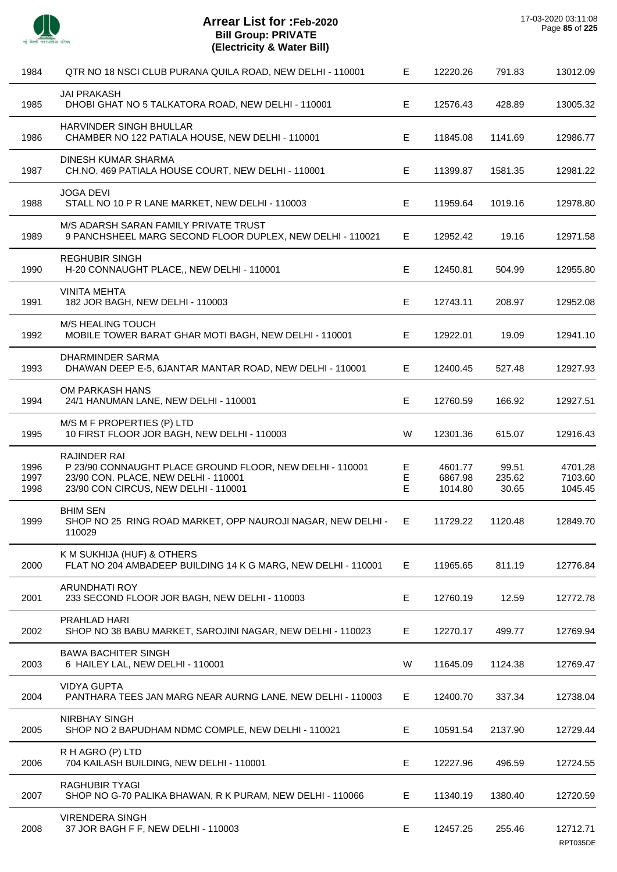

| 1984                 | QTR NO 18 NSCI CLUB PURANA QUILA ROAD, NEW DELHI - 110001                                                                                                | Е           | 12220.26                      | 791.83                   | 13012.09                      |
|----------------------|----------------------------------------------------------------------------------------------------------------------------------------------------------|-------------|-------------------------------|--------------------------|-------------------------------|
| 1985                 | <b>JAI PRAKASH</b><br>DHOBI GHAT NO 5 TALKATORA ROAD, NEW DELHI - 110001                                                                                 | Е           | 12576.43                      | 428.89                   | 13005.32                      |
| 1986                 | HARVINDER SINGH BHULLAR<br>CHAMBER NO 122 PATIALA HOUSE, NEW DELHI - 110001                                                                              | Е           | 11845.08                      | 1141.69                  | 12986.77                      |
| 1987                 | DINESH KUMAR SHARMA<br>CH.NO. 469 PATIALA HOUSE COURT, NEW DELHI - 110001                                                                                | Е           | 11399.87                      | 1581.35                  | 12981.22                      |
| 1988                 | <b>JOGA DEVI</b><br>STALL NO 10 P R LANE MARKET, NEW DELHI - 110003                                                                                      | Е           | 11959.64                      | 1019.16                  | 12978.80                      |
| 1989                 | M/S ADARSH SARAN FAMILY PRIVATE TRUST<br>9 PANCHSHEEL MARG SECOND FLOOR DUPLEX, NEW DELHI - 110021                                                       | Е           | 12952.42                      | 19.16                    | 12971.58                      |
| 1990                 | <b>REGHUBIR SINGH</b><br>H-20 CONNAUGHT PLACE,, NEW DELHI - 110001                                                                                       | Е           | 12450.81                      | 504.99                   | 12955.80                      |
| 1991                 | <b>VINITA MEHTA</b><br>182 JOR BAGH, NEW DELHI - 110003                                                                                                  | Е           | 12743.11                      | 208.97                   | 12952.08                      |
| 1992                 | <b>M/S HEALING TOUCH</b><br>MOBILE TOWER BARAT GHAR MOTI BAGH, NEW DELHI - 110001                                                                        | E           | 12922.01                      | 19.09                    | 12941.10                      |
| 1993                 | DHARMINDER SARMA<br>DHAWAN DEEP E-5, 6JANTAR MANTAR ROAD, NEW DELHI - 110001                                                                             | Е           | 12400.45                      | 527.48                   | 12927.93                      |
| 1994                 | OM PARKASH HANS<br>24/1 HANUMAN LANE, NEW DELHI - 110001                                                                                                 | Е           | 12760.59                      | 166.92                   | 12927.51                      |
| 1995                 | M/S M F PROPERTIES (P) LTD<br>10 FIRST FLOOR JOR BAGH, NEW DELHI - 110003                                                                                | W           | 12301.36                      | 615.07                   | 12916.43                      |
| 1996<br>1997<br>1998 | RAJINDER RAI<br>P 23/90 CONNAUGHT PLACE GROUND FLOOR, NEW DELHI - 110001<br>23/90 CON. PLACE, NEW DELHI - 110001<br>23/90 CON CIRCUS, NEW DELHI - 110001 | E<br>E<br>E | 4601.77<br>6867.98<br>1014.80 | 99.51<br>235.62<br>30.65 | 4701.28<br>7103.60<br>1045.45 |
| 1999                 | <b>BHIM SEN</b><br>SHOP NO 25 RING ROAD MARKET, OPP NAUROJI NAGAR, NEW DELHI -<br>110029                                                                 | Е.          | 11729.22                      | 1120.48                  | 12849.70                      |
| 2000                 | K M SUKHIJA (HUF) & OTHERS<br>FLAT NO 204 AMBADEEP BUILDING 14 K G MARG, NEW DELHI - 110001                                                              | Е           | 11965.65                      | 811.19                   | 12776.84                      |
| 2001                 | <b>ARUNDHATI ROY</b><br>233 SECOND FLOOR JOR BAGH, NEW DELHI - 110003                                                                                    | Е           | 12760.19                      | 12.59                    | 12772.78                      |
| 2002                 | PRAHLAD HARI<br>SHOP NO 38 BABU MARKET, SAROJINI NAGAR, NEW DELHI - 110023                                                                               | Е           | 12270.17                      | 499.77                   | 12769.94                      |
| 2003                 | <b>BAWA BACHITER SINGH</b><br>6 HAILEY LAL, NEW DELHI - 110001                                                                                           | W           | 11645.09                      | 1124.38                  | 12769.47                      |
| 2004                 | <b>VIDYA GUPTA</b><br>PANTHARA TEES JAN MARG NEAR AURNG LANE, NEW DELHI - 110003                                                                         | Е           | 12400.70                      | 337.34                   | 12738.04                      |
| 2005                 | <b>NIRBHAY SINGH</b><br>SHOP NO 2 BAPUDHAM NDMC COMPLE, NEW DELHI - 110021                                                                               | E           | 10591.54                      | 2137.90                  | 12729.44                      |
| 2006                 | R H AGRO (P) LTD<br>704 KAILASH BUILDING, NEW DELHI - 110001                                                                                             | Е           | 12227.96                      | 496.59                   | 12724.55                      |
| 2007                 | <b>RAGHUBIR TYAGI</b><br>SHOP NO G-70 PALIKA BHAWAN, R K PURAM, NEW DELHI - 110066                                                                       | Е           | 11340.19                      | 1380.40                  | 12720.59                      |
| 2008                 | <b>VIRENDERA SINGH</b><br>37 JOR BAGH F F, NEW DELHI - 110003                                                                                            | E           | 12457.25                      | 255.46                   | 12712.71<br>RPT035DE          |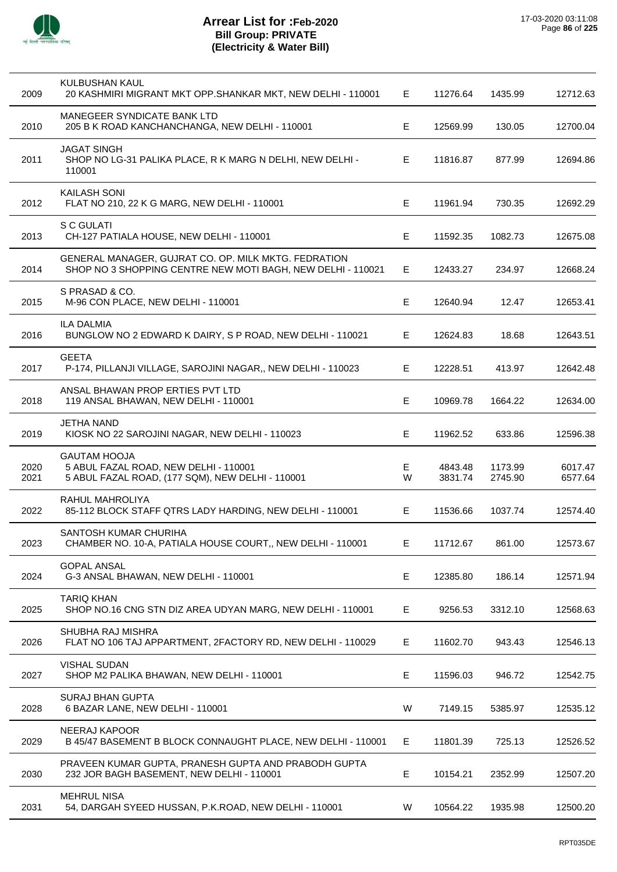

| 2009         | KULBUSHAN KAUL<br>20 KASHMIRI MIGRANT MKT OPP.SHANKAR MKT, NEW DELHI - 110001                                       | E      | 11276.64           | 1435.99            | 12712.63           |
|--------------|---------------------------------------------------------------------------------------------------------------------|--------|--------------------|--------------------|--------------------|
| 2010         | MANEGEER SYNDICATE BANK LTD<br>205 B K ROAD KANCHANCHANGA, NEW DELHI - 110001                                       | Е      | 12569.99           | 130.05             | 12700.04           |
| 2011         | <b>JAGAT SINGH</b><br>SHOP NO LG-31 PALIKA PLACE, R K MARG N DELHI, NEW DELHI -<br>110001                           | Е      | 11816.87           | 877.99             | 12694.86           |
| 2012         | KAILASH SONI<br>FLAT NO 210, 22 K G MARG, NEW DELHI - 110001                                                        | Е      | 11961.94           | 730.35             | 12692.29           |
| 2013         | S C GULATI<br>CH-127 PATIALA HOUSE, NEW DELHI - 110001                                                              | Е      | 11592.35           | 1082.73            | 12675.08           |
| 2014         | GENERAL MANAGER, GUJRAT CO. OP. MILK MKTG. FEDRATION<br>SHOP NO 3 SHOPPING CENTRE NEW MOTI BAGH, NEW DELHI - 110021 | Е      | 12433.27           | 234.97             | 12668.24           |
| 2015         | S PRASAD & CO.<br>M-96 CON PLACE, NEW DELHI - 110001                                                                | Е      | 12640.94           | 12.47              | 12653.41           |
| 2016         | <b>ILA DALMIA</b><br>BUNGLOW NO 2 EDWARD K DAIRY, S P ROAD, NEW DELHI - 110021                                      | Е      | 12624.83           | 18.68              | 12643.51           |
| 2017         | <b>GEETA</b><br>P-174, PILLANJI VILLAGE, SAROJINI NAGAR,, NEW DELHI - 110023                                        | Е      | 12228.51           | 413.97             | 12642.48           |
| 2018         | ANSAL BHAWAN PROP ERTIES PVT LTD<br>119 ANSAL BHAWAN, NEW DELHI - 110001                                            | E      | 10969.78           | 1664.22            | 12634.00           |
| 2019         | <b>JETHA NAND</b><br>KIOSK NO 22 SAROJINI NAGAR, NEW DELHI - 110023                                                 | Е      | 11962.52           | 633.86             | 12596.38           |
| 2020<br>2021 | <b>GAUTAM HOOJA</b><br>5 ABUL FAZAL ROAD, NEW DELHI - 110001<br>5 ABUL FAZAL ROAD, (177 SQM), NEW DELHI - 110001    | Е<br>W | 4843.48<br>3831.74 | 1173.99<br>2745.90 | 6017.47<br>6577.64 |
| 2022         | RAHUL MAHROLIYA<br>85-112 BLOCK STAFF QTRS LADY HARDING, NEW DELHI - 110001                                         | Е      | 11536.66           | 1037.74            | 12574.40           |
| 2023         | SANTOSH KUMAR CHURIHA<br>CHAMBER NO. 10-A, PATIALA HOUSE COURT,, NEW DELHI - 110001                                 | Е,     | 11712.67           | 861.00             | 12573.67           |
| 2024         | <b>GOPAL ANSAL</b><br>G-3 ANSAL BHAWAN, NEW DELHI - 110001                                                          | E      | 12385.80           | 186.14             | 12571.94           |
| 2025         | <b>TARIQ KHAN</b><br>SHOP NO.16 CNG STN DIZ AREA UDYAN MARG, NEW DELHI - 110001                                     | E      | 9256.53            | 3312.10            | 12568.63           |
| 2026         | SHUBHA RAJ MISHRA<br>FLAT NO 106 TAJ APPARTMENT, 2FACTORY RD, NEW DELHI - 110029                                    | Е      | 11602.70           | 943.43             | 12546.13           |
| 2027         | <b>VISHAL SUDAN</b><br>SHOP M2 PALIKA BHAWAN, NEW DELHI - 110001                                                    | E      | 11596.03           | 946.72             | 12542.75           |
| 2028         | <b>SURAJ BHAN GUPTA</b><br>6 BAZAR LANE, NEW DELHI - 110001                                                         | W      | 7149.15            | 5385.97            | 12535.12           |
| 2029         | NEERAJ KAPOOR<br>B 45/47 BASEMENT B BLOCK CONNAUGHT PLACE, NEW DELHI - 110001                                       | Е      | 11801.39           | 725.13             | 12526.52           |
| 2030         | PRAVEEN KUMAR GUPTA, PRANESH GUPTA AND PRABODH GUPTA<br>232 JOR BAGH BASEMENT, NEW DELHI - 110001                   | E      | 10154.21           | 2352.99            | 12507.20           |
| 2031         | <b>MEHRUL NISA</b><br>54, DARGAH SYEED HUSSAN, P.K.ROAD, NEW DELHI - 110001                                         | W      | 10564.22           | 1935.98            | 12500.20           |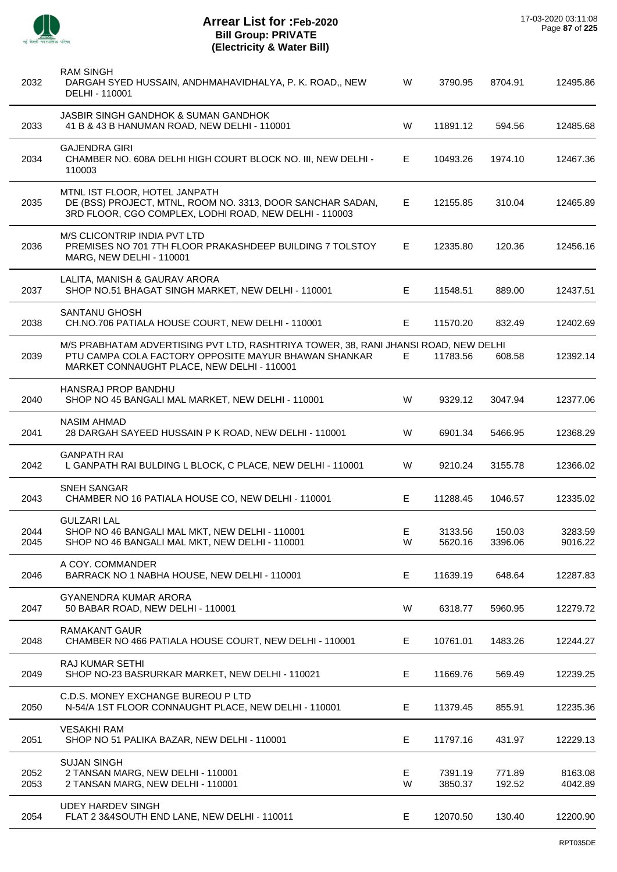

| 2032         | <b>RAM SINGH</b><br>DARGAH SYED HUSSAIN, ANDHMAHAVIDHALYA, P. K. ROAD,, NEW<br>DELHI - 110001                                                                                             | W       | 3790.95            | 8704.91           | 12495.86           |
|--------------|-------------------------------------------------------------------------------------------------------------------------------------------------------------------------------------------|---------|--------------------|-------------------|--------------------|
| 2033         | JASBIR SINGH GANDHOK & SUMAN GANDHOK<br>41 B & 43 B HANUMAN ROAD, NEW DELHI - 110001                                                                                                      | W       | 11891.12           | 594.56            | 12485.68           |
| 2034         | <b>GAJENDRA GIRI</b><br>CHAMBER NO. 608A DELHI HIGH COURT BLOCK NO. III, NEW DELHI -<br>110003                                                                                            | E.      | 10493.26           | 1974.10           | 12467.36           |
| 2035         | MTNL IST FLOOR, HOTEL JANPATH<br>DE (BSS) PROJECT, MTNL, ROOM NO. 3313, DOOR SANCHAR SADAN,<br>3RD FLOOR, CGO COMPLEX, LODHI ROAD, NEW DELHI - 110003                                     | E.      | 12155.85           | 310.04            | 12465.89           |
| 2036         | M/S CLICONTRIP INDIA PVT LTD<br>PREMISES NO 701 7TH FLOOR PRAKASHDEEP BUILDING 7 TOLSTOY<br>MARG, NEW DELHI - 110001                                                                      | E.      | 12335.80           | 120.36            | 12456.16           |
| 2037         | LALITA, MANISH & GAURAV ARORA<br>SHOP NO.51 BHAGAT SINGH MARKET, NEW DELHI - 110001                                                                                                       | E.      | 11548.51           | 889.00            | 12437.51           |
| 2038         | SANTANU GHOSH<br>CH.NO.706 PATIALA HOUSE COURT, NEW DELHI - 110001                                                                                                                        | E       | 11570.20           | 832.49            | 12402.69           |
| 2039         | M/S PRABHATAM ADVERTISING PVT LTD, RASHTRIYA TOWER, 38, RANI JHANSI ROAD, NEW DELHI<br>PTU CAMPA COLA FACTORY OPPOSITE MAYUR BHAWAN SHANKAR<br>MARKET CONNAUGHT PLACE, NEW DELHI - 110001 | E       | 11783.56           | 608.58            | 12392.14           |
| 2040         | <b>HANSRAJ PROP BANDHU</b><br>SHOP NO 45 BANGALI MAL MARKET, NEW DELHI - 110001                                                                                                           | W       | 9329.12            | 3047.94           | 12377.06           |
| 2041         | <b>NASIM AHMAD</b><br>28 DARGAH SAYEED HUSSAIN P K ROAD, NEW DELHI - 110001                                                                                                               | W       | 6901.34            | 5466.95           | 12368.29           |
| 2042         | <b>GANPATH RAI</b><br>L GANPATH RAI BULDING L BLOCK, C PLACE, NEW DELHI - 110001                                                                                                          | W       | 9210.24            | 3155.78           | 12366.02           |
| 2043         | <b>SNEH SANGAR</b><br>CHAMBER NO 16 PATIALA HOUSE CO, NEW DELHI - 110001                                                                                                                  | E       | 11288.45           | 1046.57           | 12335.02           |
| 2044<br>2045 | <b>GULZARI LAL</b><br>SHOP NO 46 BANGALI MAL MKT, NEW DELHI - 110001<br>SHOP NO 46 BANGALI MAL MKT, NEW DELHI - 110001                                                                    | E,<br>W | 3133.56<br>5620.16 | 150.03<br>3396.06 | 3283.59<br>9016.22 |
| 2046         | A COY. COMMANDER<br>BARRACK NO 1 NABHA HOUSE, NEW DELHI - 110001                                                                                                                          | E       | 11639.19           | 648.64            | 12287.83           |
| 2047         | <b>GYANENDRA KUMAR ARORA</b><br>50 BABAR ROAD, NEW DELHI - 110001                                                                                                                         | W       | 6318.77            | 5960.95           | 12279.72           |
| 2048         | <b>RAMAKANT GAUR</b><br>CHAMBER NO 466 PATIALA HOUSE COURT, NEW DELHI - 110001                                                                                                            | E.      | 10761.01           | 1483.26           | 12244.27           |
| 2049         | RAJ KUMAR SETHI<br>SHOP NO-23 BASRURKAR MARKET, NEW DELHI - 110021                                                                                                                        | E       | 11669.76           | 569.49            | 12239.25           |
| 2050         | C.D.S. MONEY EXCHANGE BUREOU P LTD<br>N-54/A 1ST FLOOR CONNAUGHT PLACE, NEW DELHI - 110001                                                                                                | Е       | 11379.45           | 855.91            | 12235.36           |
| 2051         | <b>VESAKHI RAM</b><br>SHOP NO 51 PALIKA BAZAR, NEW DELHI - 110001                                                                                                                         | Е       | 11797.16           | 431.97            | 12229.13           |
| 2052<br>2053 | <b>SUJAN SINGH</b><br>2 TANSAN MARG, NEW DELHI - 110001<br>2 TANSAN MARG, NEW DELHI - 110001                                                                                              | E<br>W  | 7391.19<br>3850.37 | 771.89<br>192.52  | 8163.08<br>4042.89 |
| 2054         | <b>UDEY HARDEV SINGH</b><br>FLAT 2 3&4SOUTH END LANE, NEW DELHI - 110011                                                                                                                  | Е       | 12070.50           | 130.40            | 12200.90           |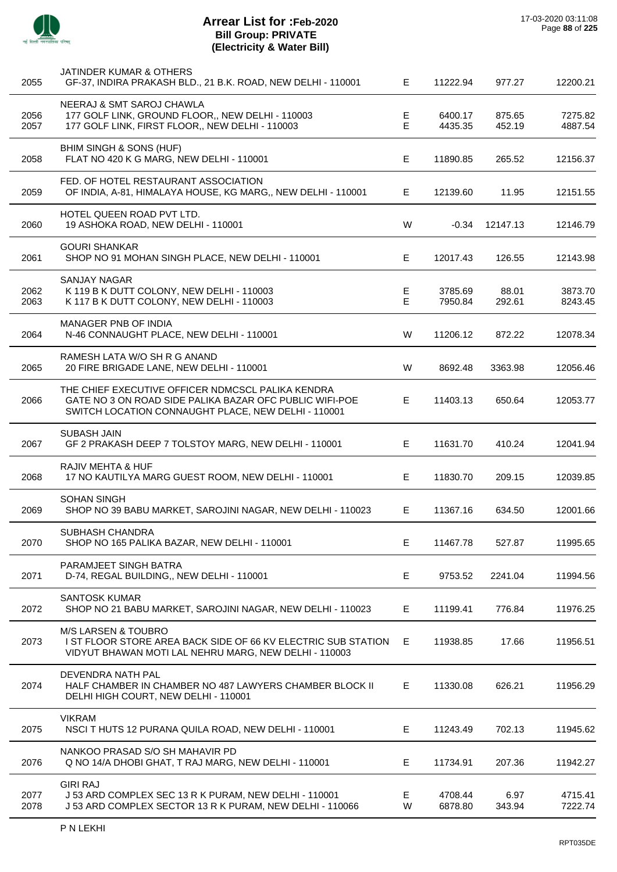

| 2055         | JATINDER KUMAR & OTHERS<br>GF-37, INDIRA PRAKASH BLD., 21 B.K. ROAD, NEW DELHI - 110001                                                                             | E.      | 11222.94           | 977.27           | 12200.21           |
|--------------|---------------------------------------------------------------------------------------------------------------------------------------------------------------------|---------|--------------------|------------------|--------------------|
| 2056<br>2057 | NEERAJ & SMT SAROJ CHAWLA<br>177 GOLF LINK, GROUND FLOOR,, NEW DELHI - 110003<br>177 GOLF LINK, FIRST FLOOR,, NEW DELHI - 110003                                    | E<br>E. | 6400.17<br>4435.35 | 875.65<br>452.19 | 7275.82<br>4887.54 |
| 2058         | BHIM SINGH & SONS (HUF)<br>FLAT NO 420 K G MARG, NEW DELHI - 110001                                                                                                 | E.      | 11890.85           | 265.52           | 12156.37           |
| 2059         | FED. OF HOTEL RESTAURANT ASSOCIATION<br>OF INDIA, A-81, HIMALAYA HOUSE, KG MARG,, NEW DELHI - 110001                                                                | E.      | 12139.60           | 11.95            | 12151.55           |
| 2060         | HOTEL QUEEN ROAD PVT LTD.<br>19 ASHOKA ROAD, NEW DELHI - 110001                                                                                                     | W       | $-0.34$            | 12147.13         | 12146.79           |
| 2061         | <b>GOURI SHANKAR</b><br>SHOP NO 91 MOHAN SINGH PLACE, NEW DELHI - 110001                                                                                            | E.      | 12017.43           | 126.55           | 12143.98           |
| 2062<br>2063 | <b>SANJAY NAGAR</b><br>K 119 B K DUTT COLONY, NEW DELHI - 110003<br>K 117 B K DUTT COLONY, NEW DELHI - 110003                                                       | E<br>E. | 3785.69<br>7950.84 | 88.01<br>292.61  | 3873.70<br>8243.45 |
| 2064         | MANAGER PNB OF INDIA<br>N-46 CONNAUGHT PLACE, NEW DELHI - 110001                                                                                                    | W       | 11206.12           | 872.22           | 12078.34           |
| 2065         | RAMESH LATA W/O SH R G ANAND<br>20 FIRE BRIGADE LANE, NEW DELHI - 110001                                                                                            | W       | 8692.48            | 3363.98          | 12056.46           |
| 2066         | THE CHIEF EXECUTIVE OFFICER NDMCSCL PALIKA KENDRA<br>GATE NO 3 ON ROAD SIDE PALIKA BAZAR OFC PUBLIC WIFI-POE<br>SWITCH LOCATION CONNAUGHT PLACE, NEW DELHI - 110001 | E.      | 11403.13           | 650.64           | 12053.77           |
| 2067         | <b>SUBASH JAIN</b><br>GF 2 PRAKASH DEEP 7 TOLSTOY MARG, NEW DELHI - 110001                                                                                          | E.      | 11631.70           | 410.24           | 12041.94           |
| 2068         | RAJIV MEHTA & HUF<br>17 NO KAUTILYA MARG GUEST ROOM, NEW DELHI - 110001                                                                                             | E.      | 11830.70           | 209.15           | 12039.85           |
| 2069         | <b>SOHAN SINGH</b><br>SHOP NO 39 BABU MARKET, SAROJINI NAGAR, NEW DELHI - 110023                                                                                    | Е       | 11367.16           | 634.50           | 12001.66           |
| 2070         | SUBHASH CHANDRA<br>SHOP NO 165 PALIKA BAZAR, NEW DELHI - 110001                                                                                                     | Е       | 11467.78           | 527.87           | 11995.65           |
| 2071         | PARAMJEET SINGH BATRA<br>D-74, REGAL BUILDING,, NEW DELHI - 110001                                                                                                  | E.      | 9753.52            | 2241.04          | 11994.56           |
| 2072         | <b>SANTOSK KUMAR</b><br>SHOP NO 21 BABU MARKET, SAROJINI NAGAR, NEW DELHI - 110023                                                                                  | E       | 11199.41           | 776.84           | 11976.25           |
| 2073         | <b>M/S LARSEN &amp; TOUBRO</b><br>I ST FLOOR STORE AREA BACK SIDE OF 66 KV ELECTRIC SUB STATION<br>VIDYUT BHAWAN MOTI LAL NEHRU MARG, NEW DELHI - 110003            | Е       | 11938.85           | 17.66            | 11956.51           |
| 2074         | DEVENDRA NATH PAL<br>HALF CHAMBER IN CHAMBER NO 487 LAWYERS CHAMBER BLOCK II<br>DELHI HIGH COURT, NEW DELHI - 110001                                                | Е       | 11330.08           | 626.21           | 11956.29           |
| 2075         | <b>VIKRAM</b><br>NSCI THUTS 12 PURANA QUILA ROAD, NEW DELHI - 110001                                                                                                | E.      | 11243.49           | 702.13           | 11945.62           |
| 2076         | NANKOO PRASAD S/O SH MAHAVIR PD<br>Q NO 14/A DHOBI GHAT, T RAJ MARG, NEW DELHI - 110001                                                                             | E.      | 11734.91           | 207.36           | 11942.27           |
| 2077<br>2078 | <b>GIRI RAJ</b><br>J 53 ARD COMPLEX SEC 13 R K PURAM, NEW DELHI - 110001<br>J 53 ARD COMPLEX SECTOR 13 R K PURAM, NEW DELHI - 110066                                | Е<br>W  | 4708.44<br>6878.80 | 6.97<br>343.94   | 4715.41<br>7222.74 |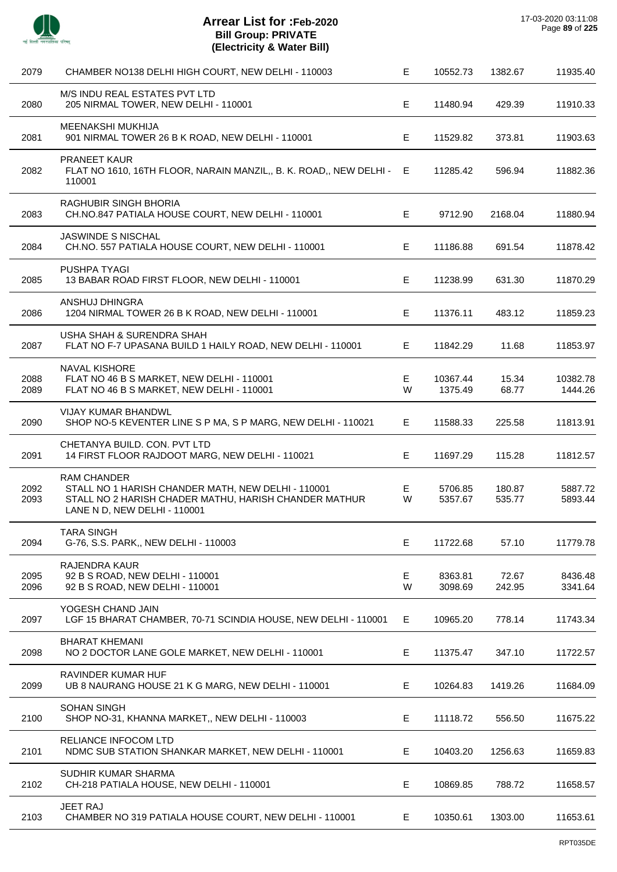

 $\overline{a}$ 

 $\overline{\phantom{a}}$ 

J.

J.

Ĭ.

 $\overline{a}$ 

| 2079         | CHAMBER NO138 DELHI HIGH COURT, NEW DELHI - 110003                                                                                                                | Е       | 10552.73            | 1382.67          | 11935.40            |
|--------------|-------------------------------------------------------------------------------------------------------------------------------------------------------------------|---------|---------------------|------------------|---------------------|
| 2080         | M/S INDU REAL ESTATES PVT LTD<br>205 NIRMAL TOWER, NEW DELHI - 110001                                                                                             | E.      | 11480.94            | 429.39           | 11910.33            |
| 2081         | MEENAKSHI MUKHIJA<br>901 NIRMAL TOWER 26 B K ROAD, NEW DELHI - 110001                                                                                             | E.      | 11529.82            | 373.81           | 11903.63            |
| 2082         | <b>PRANEET KAUR</b><br>FLAT NO 1610, 16TH FLOOR, NARAIN MANZIL,, B. K. ROAD,, NEW DELHI -<br>110001                                                               | E       | 11285.42            | 596.94           | 11882.36            |
| 2083         | RAGHUBIR SINGH BHORIA<br>CH.NO.847 PATIALA HOUSE COURT, NEW DELHI - 110001                                                                                        | Е       | 9712.90             | 2168.04          | 11880.94            |
| 2084         | <b>JASWINDE S NISCHAL</b><br>CH.NO. 557 PATIALA HOUSE COURT, NEW DELHI - 110001                                                                                   | E.      | 11186.88            | 691.54           | 11878.42            |
| 2085         | <b>PUSHPA TYAGI</b><br>13 BABAR ROAD FIRST FLOOR, NEW DELHI - 110001                                                                                              | E.      | 11238.99            | 631.30           | 11870.29            |
| 2086         | ANSHUJ DHINGRA<br>1204 NIRMAL TOWER 26 B K ROAD, NEW DELHI - 110001                                                                                               | Е       | 11376.11            | 483.12           | 11859.23            |
| 2087         | USHA SHAH & SURENDRA SHAH<br>FLAT NO F-7 UPASANA BUILD 1 HAILY ROAD, NEW DELHI - 110001                                                                           | E       | 11842.29            | 11.68            | 11853.97            |
| 2088<br>2089 | <b>NAVAL KISHORE</b><br>FLAT NO 46 B S MARKET, NEW DELHI - 110001<br>FLAT NO 46 B S MARKET, NEW DELHI - 110001                                                    | E<br>W  | 10367.44<br>1375.49 | 15.34<br>68.77   | 10382.78<br>1444.26 |
| 2090         | <b>VIJAY KUMAR BHANDWL</b><br>SHOP NO-5 KEVENTER LINE S P MA, S P MARG, NEW DELHI - 110021                                                                        | E.      | 11588.33            | 225.58           | 11813.91            |
| 2091         | CHETANYA BUILD. CON. PVT LTD<br>14 FIRST FLOOR RAJDOOT MARG, NEW DELHI - 110021                                                                                   | E.      | 11697.29            | 115.28           | 11812.57            |
| 2092<br>2093 | <b>RAM CHANDER</b><br>STALL NO 1 HARISH CHANDER MATH, NEW DELHI - 110001<br>STALL NO 2 HARISH CHADER MATHU, HARISH CHANDER MATHUR<br>LANE N D, NEW DELHI - 110001 | Е<br>W  | 5706.85<br>5357.67  | 180.87<br>535.77 | 5887.72<br>5893.44  |
| 2094         | TARA SINGH<br>G-76, S.S. PARK,, NEW DELHI - 110003                                                                                                                | Е       | 11722.68            | 57.10            | 11779.78            |
| 2095<br>2096 | <b>RAJENDRA KAUR</b><br>92 B S ROAD, NEW DELHI - 110001<br>92 B S ROAD, NEW DELHI - 110001                                                                        | E.<br>W | 8363.81<br>3098.69  | 72.67<br>242.95  | 8436.48<br>3341.64  |
| 2097         | YOGESH CHAND JAIN<br>LGF 15 BHARAT CHAMBER, 70-71 SCINDIA HOUSE, NEW DELHI - 110001                                                                               | Е       | 10965.20            | 778.14           | 11743.34            |
| 2098         | <b>BHARAT KHEMANI</b><br>NO 2 DOCTOR LANE GOLE MARKET, NEW DELHI - 110001                                                                                         | Е       | 11375.47            | 347.10           | 11722.57            |
| 2099         | RAVINDER KUMAR HUF<br>UB 8 NAURANG HOUSE 21 K G MARG, NEW DELHI - 110001                                                                                          | Е       | 10264.83            | 1419.26          | 11684.09            |
| 2100         | <b>SOHAN SINGH</b><br>SHOP NO-31, KHANNA MARKET,, NEW DELHI - 110003                                                                                              | E       | 11118.72            | 556.50           | 11675.22            |
| 2101         | RELIANCE INFOCOM LTD<br>NDMC SUB STATION SHANKAR MARKET, NEW DELHI - 110001                                                                                       | Е       | 10403.20            | 1256.63          | 11659.83            |
| 2102         | SUDHIR KUMAR SHARMA<br>CH-218 PATIALA HOUSE, NEW DELHI - 110001                                                                                                   | Е       | 10869.85            | 788.72           | 11658.57            |
| 2103         | JEET RAJ<br>CHAMBER NO 319 PATIALA HOUSE COURT, NEW DELHI - 110001                                                                                                | Е       | 10350.61            | 1303.00          | 11653.61            |
|              |                                                                                                                                                                   |         |                     |                  |                     |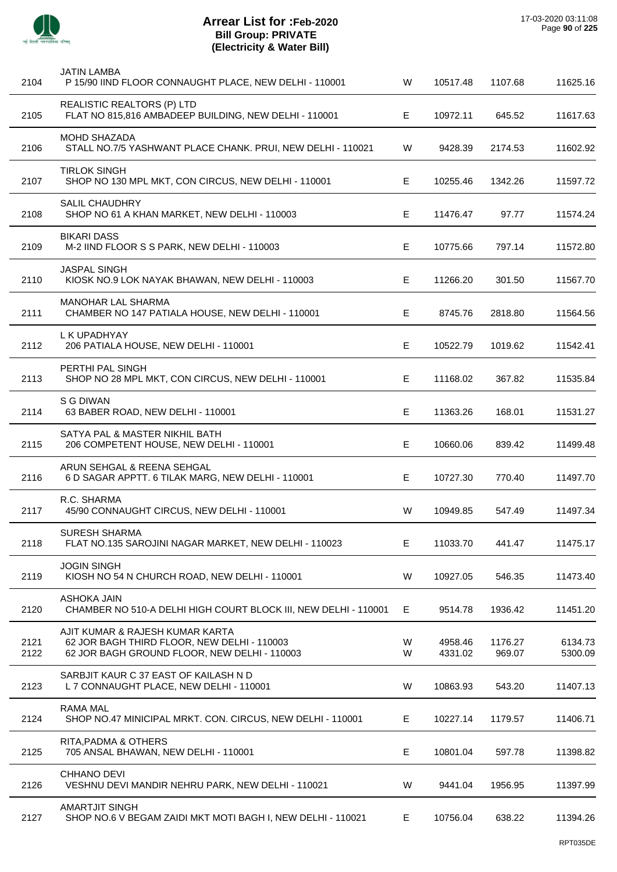

| 2104         | <b>JATIN LAMBA</b><br>P 15/90 IIND FLOOR CONNAUGHT PLACE, NEW DELHI - 110001                                                   | W      | 10517.48           | 1107.68           | 11625.16           |
|--------------|--------------------------------------------------------------------------------------------------------------------------------|--------|--------------------|-------------------|--------------------|
| 2105         | REALISTIC REALTORS (P) LTD<br>FLAT NO 815,816 AMBADEEP BUILDING, NEW DELHI - 110001                                            | Е      | 10972.11           | 645.52            | 11617.63           |
| 2106         | MOHD SHAZADA<br>STALL NO.7/5 YASHWANT PLACE CHANK. PRUI, NEW DELHI - 110021                                                    | W      | 9428.39            | 2174.53           | 11602.92           |
| 2107         | <b>TIRLOK SINGH</b><br>SHOP NO 130 MPL MKT, CON CIRCUS, NEW DELHI - 110001                                                     | Е      | 10255.46           | 1342.26           | 11597.72           |
| 2108         | <b>SALIL CHAUDHRY</b><br>SHOP NO 61 A KHAN MARKET, NEW DELHI - 110003                                                          | E      | 11476.47           | 97.77             | 11574.24           |
| 2109         | <b>BIKARI DASS</b><br>M-2 IIND FLOOR S S PARK, NEW DELHI - 110003                                                              | Е      | 10775.66           | 797.14            | 11572.80           |
| 2110         | <b>JASPAL SINGH</b><br>KIOSK NO.9 LOK NAYAK BHAWAN, NEW DELHI - 110003                                                         | Е      | 11266.20           | 301.50            | 11567.70           |
| 2111         | <b>MANOHAR LAL SHARMA</b><br>CHAMBER NO 147 PATIALA HOUSE, NEW DELHI - 110001                                                  | E      | 8745.76            | 2818.80           | 11564.56           |
| 2112         | L K UPADHYAY<br>206 PATIALA HOUSE, NEW DELHI - 110001                                                                          | Е      | 10522.79           | 1019.62           | 11542.41           |
| 2113         | PERTHI PAL SINGH<br>SHOP NO 28 MPL MKT, CON CIRCUS, NEW DELHI - 110001                                                         | E.     | 11168.02           | 367.82            | 11535.84           |
| 2114         | S G DIWAN<br>63 BABER ROAD, NEW DELHI - 110001                                                                                 | Е      | 11363.26           | 168.01            | 11531.27           |
| 2115         | SATYA PAL & MASTER NIKHIL BATH<br>206 COMPETENT HOUSE, NEW DELHI - 110001                                                      | Е      | 10660.06           | 839.42            | 11499.48           |
| 2116         | ARUN SEHGAL & REENA SEHGAL<br>6 D SAGAR APPTT. 6 TILAK MARG, NEW DELHI - 110001                                                | E.     | 10727.30           | 770.40            | 11497.70           |
| 2117         | R.C. SHARMA<br>45/90 CONNAUGHT CIRCUS, NEW DELHI - 110001                                                                      | W      | 10949.85           | 547.49            | 11497.34           |
| 2118         | <b>SURESH SHARMA</b><br>FLAT NO.135 SAROJINI NAGAR MARKET, NEW DELHI - 110023                                                  | E      | 11033.70           | 441.47            | 11475.17           |
| 2119         | <b>JOGIN SINGH</b><br>KIOSH NO 54 N CHURCH ROAD, NEW DELHI - 110001                                                            | W      | 10927.05           | 546.35            | 11473.40           |
| 2120         | <b>ASHOKA JAIN</b><br>CHAMBER NO 510-A DELHI HIGH COURT BLOCK III, NEW DELHI - 110001                                          | E      | 9514.78            | 1936.42           | 11451.20           |
| 2121<br>2122 | AJIT KUMAR & RAJESH KUMAR KARTA<br>62 JOR BAGH THIRD FLOOR, NEW DELHI - 110003<br>62 JOR BAGH GROUND FLOOR, NEW DELHI - 110003 | W<br>W | 4958.46<br>4331.02 | 1176.27<br>969.07 | 6134.73<br>5300.09 |
| 2123         | SARBJIT KAUR C 37 EAST OF KAILASH N D<br>L 7 CONNAUGHT PLACE, NEW DELHI - 110001                                               | W      | 10863.93           | 543.20            | 11407.13           |
| 2124         | <b>RAMA MAL</b><br>SHOP NO.47 MINICIPAL MRKT. CON. CIRCUS, NEW DELHI - 110001                                                  | E      | 10227.14           | 1179.57           | 11406.71           |
| 2125         | RITA, PADMA & OTHERS<br>705 ANSAL BHAWAN, NEW DELHI - 110001                                                                   | Е      | 10801.04           | 597.78            | 11398.82           |
| 2126         | CHHANO DEVI<br>VESHNU DEVI MANDIR NEHRU PARK, NEW DELHI - 110021                                                               | W      | 9441.04            | 1956.95           | 11397.99           |
| 2127         | <b>AMARTJIT SINGH</b><br>SHOP NO.6 V BEGAM ZAIDI MKT MOTI BAGH I, NEW DELHI - 110021                                           | E      | 10756.04           | 638.22            | 11394.26           |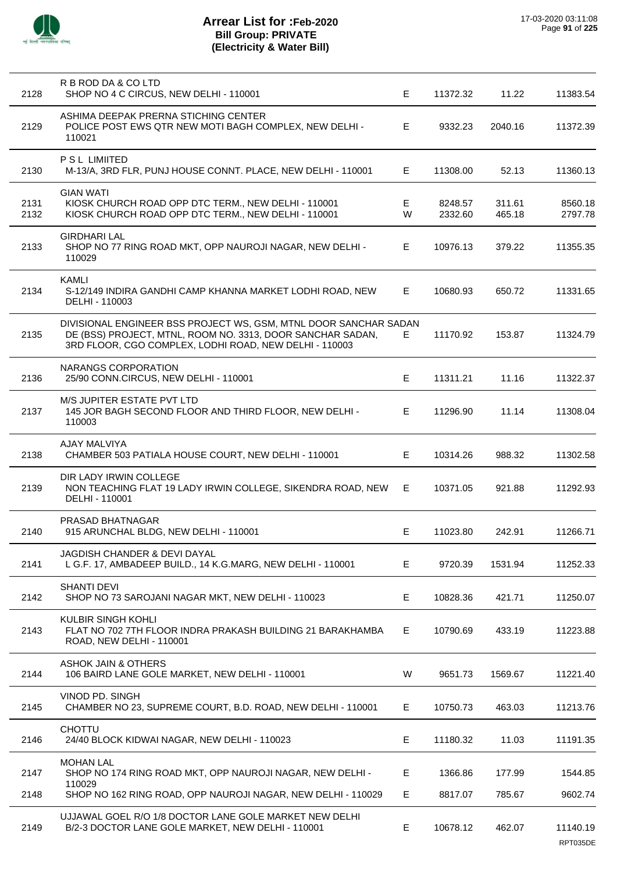

| 2128         | R B ROD DA & CO LTD<br>SHOP NO 4 C CIRCUS, NEW DELHI - 110001                                                                                                                            | E.     | 11372.32           | 11.22            | 11383.54             |
|--------------|------------------------------------------------------------------------------------------------------------------------------------------------------------------------------------------|--------|--------------------|------------------|----------------------|
| 2129         | ASHIMA DEEPAK PRERNA STICHING CENTER<br>POLICE POST EWS QTR NEW MOTI BAGH COMPLEX, NEW DELHI -<br>110021                                                                                 | E      | 9332.23            | 2040.16          | 11372.39             |
| 2130         | P S L LIMIITED<br>M-13/A, 3RD FLR, PUNJ HOUSE CONNT. PLACE, NEW DELHI - 110001                                                                                                           | E.     | 11308.00           | 52.13            | 11360.13             |
| 2131<br>2132 | <b>GIAN WATI</b><br>KIOSK CHURCH ROAD OPP DTC TERM., NEW DELHI - 110001<br>KIOSK CHURCH ROAD OPP DTC TERM., NEW DELHI - 110001                                                           | E<br>W | 8248.57<br>2332.60 | 311.61<br>465.18 | 8560.18<br>2797.78   |
| 2133         | <b>GIRDHARI LAL</b><br>SHOP NO 77 RING ROAD MKT, OPP NAUROJI NAGAR, NEW DELHI -<br>110029                                                                                                | E.     | 10976.13           | 379.22           | 11355.35             |
| 2134         | <b>KAMLI</b><br>S-12/149 INDIRA GANDHI CAMP KHANNA MARKET LODHI ROAD, NEW<br>DELHI - 110003                                                                                              | E.     | 10680.93           | 650.72           | 11331.65             |
| 2135         | DIVISIONAL ENGINEER BSS PROJECT WS, GSM, MTNL DOOR SANCHAR SADAN<br>DE (BSS) PROJECT, MTNL, ROOM NO. 3313, DOOR SANCHAR SADAN,<br>3RD FLOOR, CGO COMPLEX, LODHI ROAD, NEW DELHI - 110003 | E.     | 11170.92           | 153.87           | 11324.79             |
| 2136         | NARANGS CORPORATION<br>25/90 CONN.CIRCUS, NEW DELHI - 110001                                                                                                                             | E.     | 11311.21           | 11.16            | 11322.37             |
| 2137         | M/S JUPITER ESTATE PVT LTD<br>145 JOR BAGH SECOND FLOOR AND THIRD FLOOR, NEW DELHI -<br>110003                                                                                           | E      | 11296.90           | 11.14            | 11308.04             |
| 2138         | <b>AJAY MALVIYA</b><br>CHAMBER 503 PATIALA HOUSE COURT, NEW DELHI - 110001                                                                                                               | E.     | 10314.26           | 988.32           | 11302.58             |
| 2139         | DIR LADY IRWIN COLLEGE<br>NON TEACHING FLAT 19 LADY IRWIN COLLEGE, SIKENDRA ROAD, NEW<br>DELHI - 110001                                                                                  | E      | 10371.05           | 921.88           | 11292.93             |
| 2140         | PRASAD BHATNAGAR<br>915 ARUNCHAL BLDG, NEW DELHI - 110001                                                                                                                                | E.     | 11023.80           | 242.91           | 11266.71             |
| 2141         | <b>JAGDISH CHANDER &amp; DEVI DAYAL</b><br>L G.F. 17, AMBADEEP BUILD., 14 K.G.MARG, NEW DELHI - 110001                                                                                   | E.     | 9720.39            | 1531.94          | 11252.33             |
| 2142         | <b>SHANTI DEVI</b><br>SHOP NO 73 SAROJANI NAGAR MKT, NEW DELHI - 110023                                                                                                                  | E      | 10828.36           | 421.71           | 11250.07             |
| 2143         | <b>KULBIR SINGH KOHLI</b><br>FLAT NO 702 7TH FLOOR INDRA PRAKASH BUILDING 21 BARAKHAMBA<br>ROAD, NEW DELHI - 110001                                                                      | Е      | 10790.69           | 433.19           | 11223.88             |
| 2144         | <b>ASHOK JAIN &amp; OTHERS</b><br>106 BAIRD LANE GOLE MARKET, NEW DELHI - 110001                                                                                                         | W      | 9651.73            | 1569.67          | 11221.40             |
| 2145         | VINOD PD. SINGH<br>CHAMBER NO 23, SUPREME COURT, B.D. ROAD, NEW DELHI - 110001                                                                                                           | E      | 10750.73           | 463.03           | 11213.76             |
| 2146         | <b>CHOTTU</b><br>24/40 BLOCK KIDWAI NAGAR, NEW DELHI - 110023                                                                                                                            | Е      | 11180.32           | 11.03            | 11191.35             |
| 2147         | <b>MOHAN LAL</b><br>SHOP NO 174 RING ROAD MKT, OPP NAUROJI NAGAR, NEW DELHI -                                                                                                            | E      | 1366.86            | 177.99           | 1544.85              |
| 2148         | 110029<br>SHOP NO 162 RING ROAD, OPP NAUROJI NAGAR, NEW DELHI - 110029                                                                                                                   | Е      | 8817.07            | 785.67           | 9602.74              |
| 2149         | UJJAWAL GOEL R/O 1/8 DOCTOR LANE GOLE MARKET NEW DELHI<br>B/2-3 DOCTOR LANE GOLE MARKET, NEW DELHI - 110001                                                                              | E      | 10678.12           | 462.07           | 11140.19<br>RPT035DE |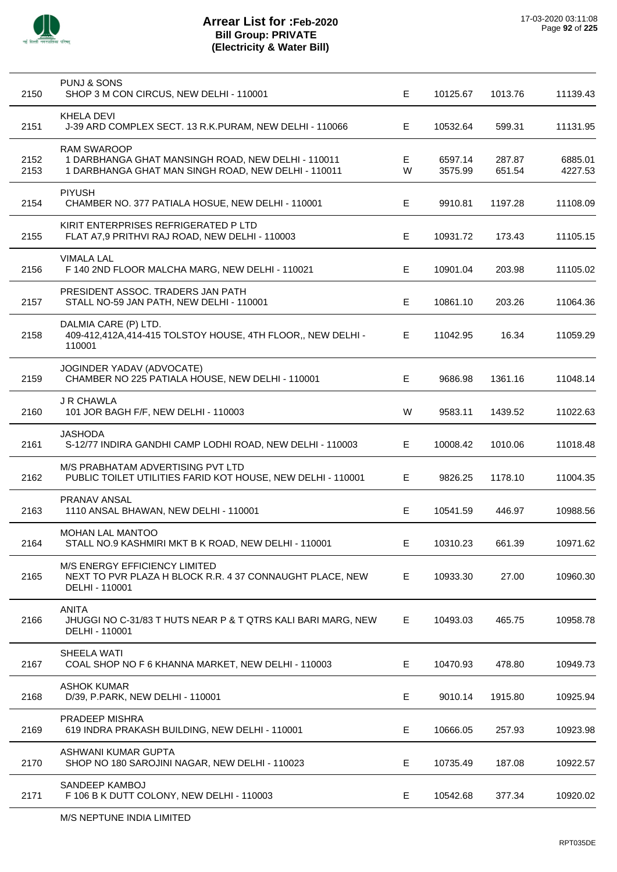

l,

 $\overline{a}$ 

 $\overline{a}$ 

J.

l,

| 2150         | <b>PUNJ &amp; SONS</b><br>SHOP 3 M CON CIRCUS, NEW DELHI - 110001                                                               | E.     | 10125.67           | 1013.76          | 11139.43           |
|--------------|---------------------------------------------------------------------------------------------------------------------------------|--------|--------------------|------------------|--------------------|
| 2151         | KHELA DEVI<br>J-39 ARD COMPLEX SECT. 13 R.K.PURAM, NEW DELHI - 110066                                                           | E      | 10532.64           | 599.31           | 11131.95           |
| 2152<br>2153 | <b>RAM SWAROOP</b><br>1 DARBHANGA GHAT MANSINGH ROAD, NEW DELHI - 110011<br>1 DARBHANGA GHAT MAN SINGH ROAD, NEW DELHI - 110011 | Е<br>W | 6597.14<br>3575.99 | 287.87<br>651.54 | 6885.01<br>4227.53 |
| 2154         | <b>PIYUSH</b><br>CHAMBER NO. 377 PATIALA HOSUE, NEW DELHI - 110001                                                              | E      | 9910.81            | 1197.28          | 11108.09           |
| 2155         | KIRIT ENTERPRISES REFRIGERATED P LTD<br>FLAT A7,9 PRITHVI RAJ ROAD, NEW DELHI - 110003                                          | Е      | 10931.72           | 173.43           | 11105.15           |
| 2156         | <b>VIMALA LAL</b><br>F 140 2ND FLOOR MALCHA MARG, NEW DELHI - 110021                                                            | E      | 10901.04           | 203.98           | 11105.02           |
| 2157         | PRESIDENT ASSOC. TRADERS JAN PATH<br>STALL NO-59 JAN PATH, NEW DELHI - 110001                                                   | E      | 10861.10           | 203.26           | 11064.36           |
| 2158         | DALMIA CARE (P) LTD.<br>409-412,412A,414-415 TOLSTOY HOUSE, 4TH FLOOR,, NEW DELHI -<br>110001                                   | E      | 11042.95           | 16.34            | 11059.29           |
| 2159         | JOGINDER YADAV (ADVOCATE)<br>CHAMBER NO 225 PATIALA HOUSE, NEW DELHI - 110001                                                   | Е      | 9686.98            | 1361.16          | 11048.14           |
| 2160         | <b>J R CHAWLA</b><br>101 JOR BAGH F/F, NEW DELHI - 110003                                                                       | W      | 9583.11            | 1439.52          | 11022.63           |
| 2161         | <b>JASHODA</b><br>S-12/77 INDIRA GANDHI CAMP LODHI ROAD, NEW DELHI - 110003                                                     | E      | 10008.42           | 1010.06          | 11018.48           |
| 2162         | M/S PRABHATAM ADVERTISING PVT LTD<br>PUBLIC TOILET UTILITIES FARID KOT HOUSE, NEW DELHI - 110001                                | E.     | 9826.25            | 1178.10          | 11004.35           |
| 2163         | PRANAV ANSAL<br>1110 ANSAL BHAWAN, NEW DELHI - 110001                                                                           | E.     | 10541.59           | 446.97           | 10988.56           |
| 2164         | <b>MOHAN LAL MANTOO</b><br>STALL NO.9 KASHMIRI MKT B K ROAD, NEW DELHI - 110001                                                 | Е      | 10310.23           | 661.39           | 10971.62           |
| 2165         | <b>M/S ENERGY EFFICIENCY LIMITED</b><br>NEXT TO PVR PLAZA H BLOCK R.R. 4 37 CONNAUGHT PLACE, NEW<br>DELHI - 110001              | E.     | 10933.30           | 27.00            | 10960.30           |
| 2166         | <b>ANITA</b><br>JHUGGI NO C-31/83 T HUTS NEAR P & T QTRS KALI BARI MARG, NEW<br>DELHI - 110001                                  | Е      | 10493.03           | 465.75           | 10958.78           |
| 2167         | SHEELA WATI<br>COAL SHOP NO F 6 KHANNA MARKET, NEW DELHI - 110003                                                               | Е      | 10470.93           | 478.80           | 10949.73           |
| 2168         | <b>ASHOK KUMAR</b><br>D/39, P.PARK, NEW DELHI - 110001                                                                          | Е      | 9010.14            | 1915.80          | 10925.94           |
| 2169         | PRADEEP MISHRA<br>619 INDRA PRAKASH BUILDING, NEW DELHI - 110001                                                                | Е      | 10666.05           | 257.93           | 10923.98           |
| 2170         | ASHWANI KUMAR GUPTA<br>SHOP NO 180 SAROJINI NAGAR, NEW DELHI - 110023                                                           | Е      | 10735.49           | 187.08           | 10922.57           |
| 2171         | SANDEEP KAMBOJ<br>F 106 B K DUTT COLONY, NEW DELHI - 110003                                                                     | Е      | 10542.68           | 377.34           | 10920.02           |
|              |                                                                                                                                 |        |                    |                  |                    |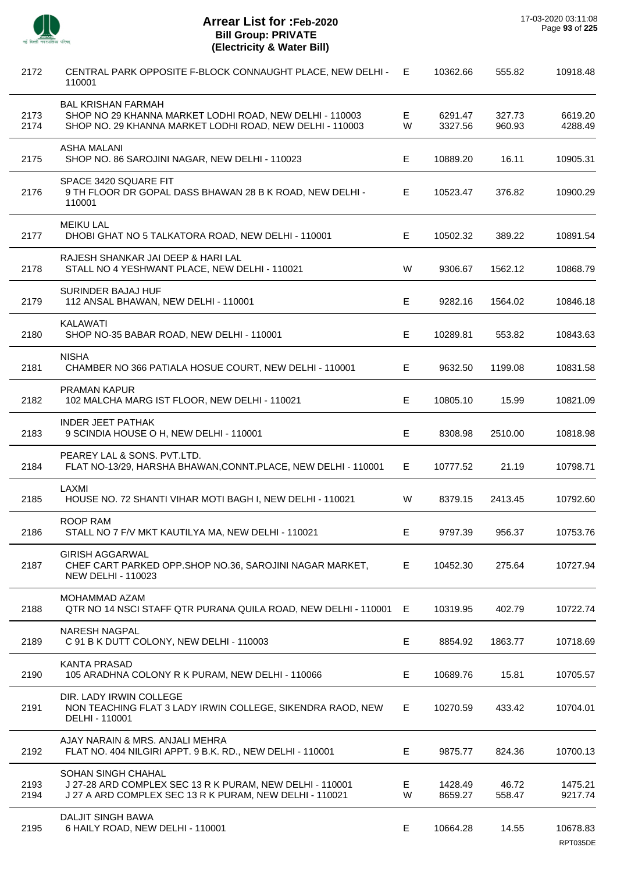

J.

J.

 $\overline{a}$ 

÷.

l.

 $\overline{a}$ 

# **Arrear List for :Feb-2020 Bill Group: PRIVATE (Electricity & Water Bill)**

| 2172         | CENTRAL PARK OPPOSITE F-BLOCK CONNAUGHT PLACE, NEW DELHI -<br>110001                                                                             | E      | 10362.66           | 555.82           | 10918.48           |
|--------------|--------------------------------------------------------------------------------------------------------------------------------------------------|--------|--------------------|------------------|--------------------|
| 2173<br>2174 | <b>BAL KRISHAN FARMAH</b><br>SHOP NO 29 KHANNA MARKET LODHI ROAD, NEW DELHI - 110003<br>SHOP NO. 29 KHANNA MARKET LODHI ROAD, NEW DELHI - 110003 | Е<br>W | 6291.47<br>3327.56 | 327.73<br>960.93 | 6619.20<br>4288.49 |
| 2175         | <b>ASHA MALANI</b><br>SHOP NO. 86 SAROJINI NAGAR, NEW DELHI - 110023                                                                             | Е      | 10889.20           | 16.11            | 10905.31           |
| 2176         | SPACE 3420 SQUARE FIT<br>9 TH FLOOR DR GOPAL DASS BHAWAN 28 B K ROAD, NEW DELHI -<br>110001                                                      | E.     | 10523.47           | 376.82           | 10900.29           |
| 2177         | <b>MEIKU LAL</b><br>DHOBI GHAT NO 5 TALKATORA ROAD, NEW DELHI - 110001                                                                           | E.     | 10502.32           | 389.22           | 10891.54           |
| 2178         | RAJESH SHANKAR JAI DEEP & HARI LAL<br>STALL NO 4 YESHWANT PLACE, NEW DELHI - 110021                                                              | W      | 9306.67            | 1562.12          | 10868.79           |
| 2179         | SURINDER BAJAJ HUF<br>112 ANSAL BHAWAN, NEW DELHI - 110001                                                                                       | Е      | 9282.16            | 1564.02          | 10846.18           |
| 2180         | <b>KALAWATI</b><br>SHOP NO-35 BABAR ROAD, NEW DELHI - 110001                                                                                     | Е      | 10289.81           | 553.82           | 10843.63           |
| 2181         | <b>NISHA</b><br>CHAMBER NO 366 PATIALA HOSUE COURT, NEW DELHI - 110001                                                                           | Е      | 9632.50            | 1199.08          | 10831.58           |
| 2182         | <b>PRAMAN KAPUR</b><br>102 MALCHA MARG IST FLOOR, NEW DELHI - 110021                                                                             | Е      | 10805.10           | 15.99            | 10821.09           |
| 2183         | <b>INDER JEET PATHAK</b><br>9 SCINDIA HOUSE O H, NEW DELHI - 110001                                                                              | Е      | 8308.98            | 2510.00          | 10818.98           |
| 2184         | PEAREY LAL & SONS. PVT.LTD.<br>FLAT NO-13/29, HARSHA BHAWAN, CONNT. PLACE, NEW DELHI - 110001                                                    | E.     | 10777.52           | 21.19            | 10798.71           |
| 2185         | LAXMI<br>HOUSE NO. 72 SHANTI VIHAR MOTI BAGH I, NEW DELHI - 110021                                                                               | W      | 8379.15            | 2413.45          | 10792.60           |
| 2186         | ROOP RAM<br>STALL NO 7 F/V MKT KAUTILYA MA, NEW DELHI - 110021                                                                                   | Е      | 9797.39            | 956.37           | 10753.76           |
| 2187         | <b>GIRISH AGGARWAL</b><br>CHEF CART PARKED OPP.SHOP NO.36, SAROJINI NAGAR MARKET,<br><b>NEW DELHI - 110023</b>                                   | E.     | 10452.30           | 275.64           | 10727.94           |
| 2188         | MOHAMMAD AZAM<br>QTR NO 14 NSCI STAFF QTR PURANA QUILA ROAD, NEW DELHI - 110001                                                                  | E.     | 10319.95           | 402.79           | 10722.74           |
| 2189         | <b>NARESH NAGPAL</b><br>C 91 B K DUTT COLONY, NEW DELHI - 110003                                                                                 | Е      | 8854.92            | 1863.77          | 10718.69           |
| 2190         | <b>KANTA PRASAD</b><br>105 ARADHNA COLONY R K PURAM, NEW DELHI - 110066                                                                          | E.     | 10689.76           | 15.81            | 10705.57           |
| 2191         | DIR. LADY IRWIN COLLEGE<br>NON TEACHING FLAT 3 LADY IRWIN COLLEGE, SIKENDRA RAOD, NEW<br>DELHI - 110001                                          | E.     | 10270.59           | 433.42           | 10704.01           |
| 2192         | AJAY NARAIN & MRS. ANJALI MEHRA<br>FLAT NO. 404 NILGIRI APPT. 9 B.K. RD., NEW DELHI - 110001                                                     | Е      | 9875.77            | 824.36           | 10700.13           |
| 2193<br>2194 | SOHAN SINGH CHAHAL<br>J 27-28 ARD COMPLEX SEC 13 R K PURAM, NEW DELHI - 110001<br>J 27 A ARD COMPLEX SEC 13 R K PURAM, NEW DELHI - 110021        | Е<br>W | 1428.49<br>8659.27 | 46.72<br>558.47  | 1475.21<br>9217.74 |
| 2195         | <b>DALJIT SINGH BAWA</b><br>6 HAILY ROAD, NEW DELHI - 110001                                                                                     | E.     | 10664.28           | 14.55            | 10678.83           |

RPT035DE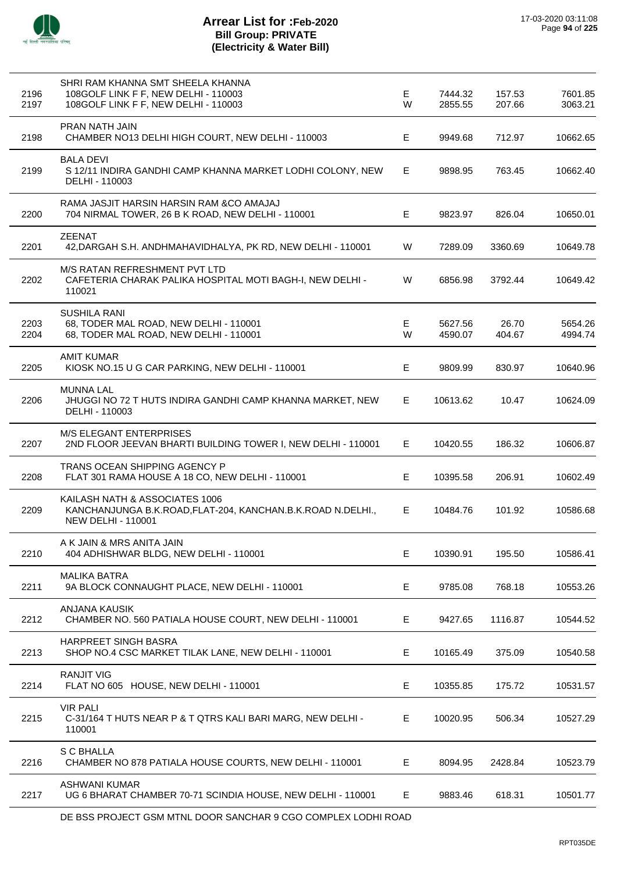

|              | SHRI RAM KHANNA SMT SHEELA KHANNA                                                                                          |         |                    |                  |                    |
|--------------|----------------------------------------------------------------------------------------------------------------------------|---------|--------------------|------------------|--------------------|
| 2196<br>2197 | 108GOLF LINK F F, NEW DELHI - 110003<br>108GOLF LINK F F, NEW DELHI - 110003                                               | E.<br>W | 7444.32<br>2855.55 | 157.53<br>207.66 | 7601.85<br>3063.21 |
| 2198         | PRAN NATH JAIN<br>CHAMBER NO13 DELHI HIGH COURT, NEW DELHI - 110003                                                        | Е       | 9949.68            | 712.97           | 10662.65           |
| 2199         | <b>BALA DEVI</b><br>S 12/11 INDIRA GANDHI CAMP KHANNA MARKET LODHI COLONY, NEW<br>DELHI - 110003                           | E       | 9898.95            | 763.45           | 10662.40           |
| 2200         | RAMA JASJIT HARSIN HARSIN RAM & CO AMAJAJ<br>704 NIRMAL TOWER, 26 B K ROAD, NEW DELHI - 110001                             | Е       | 9823.97            | 826.04           | 10650.01           |
| 2201         | <b>ZEENAT</b><br>42, DARGAH S.H. ANDHMAHAVIDHALYA, PK RD, NEW DELHI - 110001                                               | W       | 7289.09            | 3360.69          | 10649.78           |
| 2202         | M/S RATAN REFRESHMENT PVT LTD<br>CAFETERIA CHARAK PALIKA HOSPITAL MOTI BAGH-I, NEW DELHI -<br>110021                       | W       | 6856.98            | 3792.44          | 10649.42           |
| 2203<br>2204 | <b>SUSHILA RANI</b><br>68, TODER MAL ROAD, NEW DELHI - 110001<br>68, TODER MAL ROAD, NEW DELHI - 110001                    | Е<br>W  | 5627.56<br>4590.07 | 26.70<br>404.67  | 5654.26<br>4994.74 |
| 2205         | <b>AMIT KUMAR</b><br>KIOSK NO.15 U G CAR PARKING, NEW DELHI - 110001                                                       | E.      | 9809.99            | 830.97           | 10640.96           |
| 2206         | <b>MUNNA LAL</b><br>JHUGGI NO 72 T HUTS INDIRA GANDHI CAMP KHANNA MARKET, NEW<br>DELHI - 110003                            | E.      | 10613.62           | 10.47            | 10624.09           |
| 2207         | <b>M/S ELEGANT ENTERPRISES</b><br>2ND FLOOR JEEVAN BHARTI BUILDING TOWER I, NEW DELHI - 110001                             | E.      | 10420.55           | 186.32           | 10606.87           |
| 2208         | TRANS OCEAN SHIPPING AGENCY P<br>FLAT 301 RAMA HOUSE A 18 CO, NEW DELHI - 110001                                           | Е       | 10395.58           | 206.91           | 10602.49           |
| 2209         | KAILASH NATH & ASSOCIATES 1006<br>KANCHANJUNGA B.K.ROAD, FLAT-204, KANCHAN.B.K.ROAD N.DELHI.,<br><b>NEW DELHI - 110001</b> | E.      | 10484.76           | 101.92           | 10586.68           |
| 2210         | A K JAIN & MRS ANITA JAIN<br>404 ADHISHWAR BLDG, NEW DELHI - 110001                                                        | Е       | 10390.91           | 195.50           | 10586.41           |
| 2211         | <b>MALIKA BATRA</b><br>9A BLOCK CONNAUGHT PLACE, NEW DELHI - 110001                                                        | E       | 9785.08            | 768.18           | 10553.26           |
| 2212         | ANJANA KAUSIK<br>CHAMBER NO. 560 PATIALA HOUSE COURT, NEW DELHI - 110001                                                   | Е       | 9427.65            | 1116.87          | 10544.52           |
| 2213         | HARPREET SINGH BASRA<br>SHOP NO.4 CSC MARKET TILAK LANE, NEW DELHI - 110001                                                | Е       | 10165.49           | 375.09           | 10540.58           |
| 2214         | <b>RANJIT VIG</b><br>FLAT NO 605 HOUSE, NEW DELHI - 110001                                                                 | E       | 10355.85           | 175.72           | 10531.57           |
| 2215         | <b>VIR PALI</b><br>C-31/164 T HUTS NEAR P & T QTRS KALI BARI MARG, NEW DELHI -<br>110001                                   | E.      | 10020.95           | 506.34           | 10527.29           |
| 2216         | <b>S C BHALLA</b><br>CHAMBER NO 878 PATIALA HOUSE COURTS, NEW DELHI - 110001                                               | Е       | 8094.95            | 2428.84          | 10523.79           |
| 2217         | <b>ASHWANI KUMAR</b><br>UG 6 BHARAT CHAMBER 70-71 SCINDIA HOUSE, NEW DELHI - 110001                                        | Е       | 9883.46            | 618.31           | 10501.77           |
|              |                                                                                                                            |         |                    |                  |                    |

DE BSS PROJECT GSM MTNL DOOR SANCHAR 9 CGO COMPLEX LODHI ROAD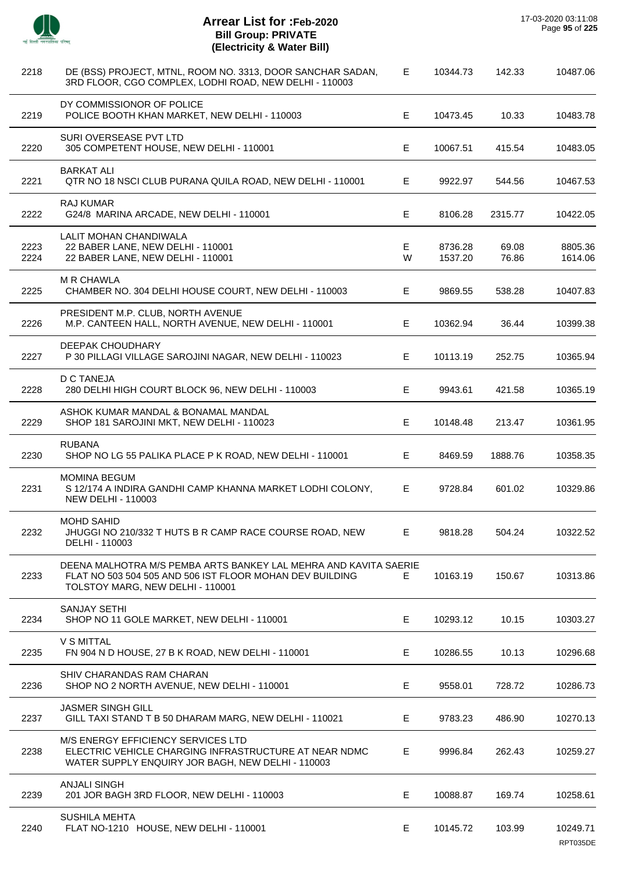

 $\overline{a}$ 

 $\overline{a}$ 

 $\overline{\phantom{a}}$ 

 $\overline{a}$ 

l.

| 2218         | DE (BSS) PROJECT, MTNL, ROOM NO. 3313, DOOR SANCHAR SADAN,<br>3RD FLOOR, CGO COMPLEX, LODHI ROAD, NEW DELHI - 110003                                             | Е      | 10344.73           | 142.33         | 10487.06             |
|--------------|------------------------------------------------------------------------------------------------------------------------------------------------------------------|--------|--------------------|----------------|----------------------|
| 2219         | DY COMMISSIONOR OF POLICE<br>POLICE BOOTH KHAN MARKET, NEW DELHI - 110003                                                                                        | Е      | 10473.45           | 10.33          | 10483.78             |
| 2220         | SURI OVERSEASE PVT LTD<br>305 COMPETENT HOUSE, NEW DELHI - 110001                                                                                                | Е      | 10067.51           | 415.54         | 10483.05             |
| 2221         | <b>BARKAT ALI</b><br>QTR NO 18 NSCI CLUB PURANA QUILA ROAD, NEW DELHI - 110001                                                                                   | Е      | 9922.97            | 544.56         | 10467.53             |
| 2222         | <b>RAJ KUMAR</b><br>G24/8 MARINA ARCADE, NEW DELHI - 110001                                                                                                      | Е      | 8106.28            | 2315.77        | 10422.05             |
| 2223<br>2224 | LALIT MOHAN CHANDIWALA<br>22 BABER LANE, NEW DELHI - 110001<br>22 BABER LANE, NEW DELHI - 110001                                                                 | Е<br>W | 8736.28<br>1537.20 | 69.08<br>76.86 | 8805.36<br>1614.06   |
| 2225         | <b>MR CHAWLA</b><br>CHAMBER NO. 304 DELHI HOUSE COURT, NEW DELHI - 110003                                                                                        | E      | 9869.55            | 538.28         | 10407.83             |
| 2226         | PRESIDENT M.P. CLUB, NORTH AVENUE<br>M.P. CANTEEN HALL, NORTH AVENUE, NEW DELHI - 110001                                                                         | Е      | 10362.94           | 36.44          | 10399.38             |
| 2227         | <b>DEEPAK CHOUDHARY</b><br>P 30 PILLAGI VILLAGE SAROJINI NAGAR, NEW DELHI - 110023                                                                               | Е      | 10113.19           | 252.75         | 10365.94             |
| 2228         | <b>D C TANEJA</b><br>280 DELHI HIGH COURT BLOCK 96, NEW DELHI - 110003                                                                                           | Е      | 9943.61            | 421.58         | 10365.19             |
| 2229         | ASHOK KUMAR MANDAL & BONAMAL MANDAL<br>SHOP 181 SAROJINI MKT, NEW DELHI - 110023                                                                                 | Е      | 10148.48           | 213.47         | 10361.95             |
| 2230         | <b>RUBANA</b><br>SHOP NO LG 55 PALIKA PLACE P K ROAD, NEW DELHI - 110001                                                                                         | Е      | 8469.59            | 1888.76        | 10358.35             |
| 2231         | <b>MOMINA BEGUM</b><br>S 12/174 A INDIRA GANDHI CAMP KHANNA MARKET LODHI COLONY,<br><b>NEW DELHI - 110003</b>                                                    | E      | 9728.84            | 601.02         | 10329.86             |
| 2232         | <b>MOHD SAHID</b><br>JHUGGI NO 210/332 T HUTS B R CAMP RACE COURSE ROAD, NEW<br>DELHI - 110003                                                                   | Е      | 9818.28            | 504.24         | 10322.52             |
| 2233         | DEENA MALHOTRA M/S PEMBA ARTS BANKEY LAL MEHRA AND KAVITA SAERIE<br>FLAT NO 503 504 505 AND 506 IST FLOOR MOHAN DEV BUILDING<br>TOLSTOY MARG, NEW DELHI - 110001 | E.     | 10163.19           | 150.67         | 10313.86             |
| 2234         | <b>SANJAY SETHI</b><br>SHOP NO 11 GOLE MARKET, NEW DELHI - 110001                                                                                                | Е      | 10293.12           | 10.15          | 10303.27             |
| 2235         | V S MITTAL<br>FN 904 N D HOUSE, 27 B K ROAD, NEW DELHI - 110001                                                                                                  | Е      | 10286.55           | 10.13          | 10296.68             |
| 2236         | SHIV CHARANDAS RAM CHARAN<br>SHOP NO 2 NORTH AVENUE, NEW DELHI - 110001                                                                                          | Е      | 9558.01            | 728.72         | 10286.73             |
| 2237         | <b>JASMER SINGH GILL</b><br>GILL TAXI STAND T B 50 DHARAM MARG, NEW DELHI - 110021                                                                               | Е      | 9783.23            | 486.90         | 10270.13             |
| 2238         | M/S ENERGY EFFICIENCY SERVICES LTD<br>ELECTRIC VEHICLE CHARGING INFRASTRUCTURE AT NEAR NDMC<br>WATER SUPPLY ENQUIRY JOR BAGH, NEW DELHI - 110003                 | Е      | 9996.84            | 262.43         | 10259.27             |
| 2239         | <b>ANJALI SINGH</b><br>201 JOR BAGH 3RD FLOOR, NEW DELHI - 110003                                                                                                | Е      | 10088.87           | 169.74         | 10258.61             |
| 2240         | <b>SUSHILA MEHTA</b><br>FLAT NO-1210 HOUSE, NEW DELHI - 110001                                                                                                   | Е      | 10145.72           | 103.99         | 10249.71<br>RPT035DE |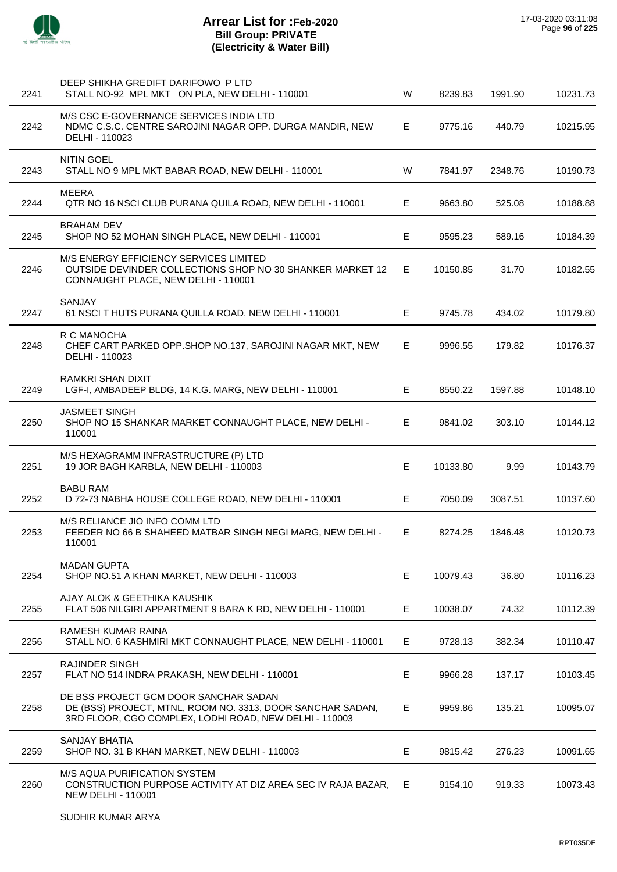

| 2241 | DEEP SHIKHA GREDIFT DARIFOWO P LTD<br>STALL NO-92 MPL MKT ON PLA, NEW DELHI - 110001                                                                          | W | 8239.83  | 1991.90 | 10231.73 |
|------|---------------------------------------------------------------------------------------------------------------------------------------------------------------|---|----------|---------|----------|
| 2242 | M/S CSC E-GOVERNANCE SERVICES INDIA LTD<br>NDMC C.S.C. CENTRE SAROJINI NAGAR OPP. DURGA MANDIR, NEW<br>DELHI - 110023                                         | Е | 9775.16  | 440.79  | 10215.95 |
| 2243 | <b>NITIN GOEL</b><br>STALL NO 9 MPL MKT BABAR ROAD, NEW DELHI - 110001                                                                                        | W | 7841.97  | 2348.76 | 10190.73 |
| 2244 | <b>MEERA</b><br>QTR NO 16 NSCI CLUB PURANA QUILA ROAD, NEW DELHI - 110001                                                                                     | Е | 9663.80  | 525.08  | 10188.88 |
| 2245 | <b>BRAHAM DEV</b><br>SHOP NO 52 MOHAN SINGH PLACE, NEW DELHI - 110001                                                                                         | Е | 9595.23  | 589.16  | 10184.39 |
| 2246 | M/S ENERGY EFFICIENCY SERVICES LIMITED<br>OUTSIDE DEVINDER COLLECTIONS SHOP NO 30 SHANKER MARKET 12<br>CONNAUGHT PLACE, NEW DELHI - 110001                    | Е | 10150.85 | 31.70   | 10182.55 |
| 2247 | SANJAY<br>61 NSCI T HUTS PURANA QUILLA ROAD, NEW DELHI - 110001                                                                                               | Е | 9745.78  | 434.02  | 10179.80 |
| 2248 | R C MANOCHA<br>CHEF CART PARKED OPP.SHOP NO.137, SAROJINI NAGAR MKT, NEW<br>DELHI - 110023                                                                    | Е | 9996.55  | 179.82  | 10176.37 |
| 2249 | RAMKRI SHAN DIXIT<br>LGF-I, AMBADEEP BLDG, 14 K.G. MARG, NEW DELHI - 110001                                                                                   | E | 8550.22  | 1597.88 | 10148.10 |
| 2250 | <b>JASMEET SINGH</b><br>SHOP NO 15 SHANKAR MARKET CONNAUGHT PLACE, NEW DELHI -<br>110001                                                                      | Е | 9841.02  | 303.10  | 10144.12 |
| 2251 | M/S HEXAGRAMM INFRASTRUCTURE (P) LTD<br>19 JOR BAGH KARBLA, NEW DELHI - 110003                                                                                | E | 10133.80 | 9.99    | 10143.79 |
| 2252 | <b>BABU RAM</b><br>D 72-73 NABHA HOUSE COLLEGE ROAD, NEW DELHI - 110001                                                                                       | Е | 7050.09  | 3087.51 | 10137.60 |
| 2253 | M/S RELIANCE JIO INFO COMM LTD<br>FEEDER NO 66 B SHAHEED MATBAR SINGH NEGI MARG, NEW DELHI -<br>110001                                                        | Е | 8274.25  | 1846.48 | 10120.73 |
| 2254 | <b>MADAN GUPTA</b><br>SHOP NO.51 A KHAN MARKET, NEW DELHI - 110003                                                                                            | Е | 10079.43 | 36.80   | 10116.23 |
| 2255 | AJAY ALOK & GEETHIKA KAUSHIK<br>FLAT 506 NILGIRI APPARTMENT 9 BARA K RD, NEW DELHI - 110001                                                                   | Е | 10038.07 | 74.32   | 10112.39 |
| 2256 | RAMESH KUMAR RAINA<br>STALL NO. 6 KASHMIRI MKT CONNAUGHT PLACE, NEW DELHI - 110001                                                                            | Е | 9728.13  | 382.34  | 10110.47 |
| 2257 | <b>RAJINDER SINGH</b><br>FLAT NO 514 INDRA PRAKASH, NEW DELHI - 110001                                                                                        | E | 9966.28  | 137.17  | 10103.45 |
| 2258 | DE BSS PROJECT GCM DOOR SANCHAR SADAN<br>DE (BSS) PROJECT, MTNL, ROOM NO. 3313, DOOR SANCHAR SADAN,<br>3RD FLOOR, CGO COMPLEX, LODHI ROAD, NEW DELHI - 110003 | Е | 9959.86  | 135.21  | 10095.07 |
| 2259 | <b>SANJAY BHATIA</b><br>SHOP NO. 31 B KHAN MARKET, NEW DELHI - 110003                                                                                         | Е | 9815.42  | 276.23  | 10091.65 |
| 2260 | <b>M/S AQUA PURIFICATION SYSTEM</b><br>CONSTRUCTION PURPOSE ACTIVITY AT DIZ AREA SEC IV RAJA BAZAR,<br><b>NEW DELHI - 110001</b>                              | Е | 9154.10  | 919.33  | 10073.43 |
|      |                                                                                                                                                               |   |          |         |          |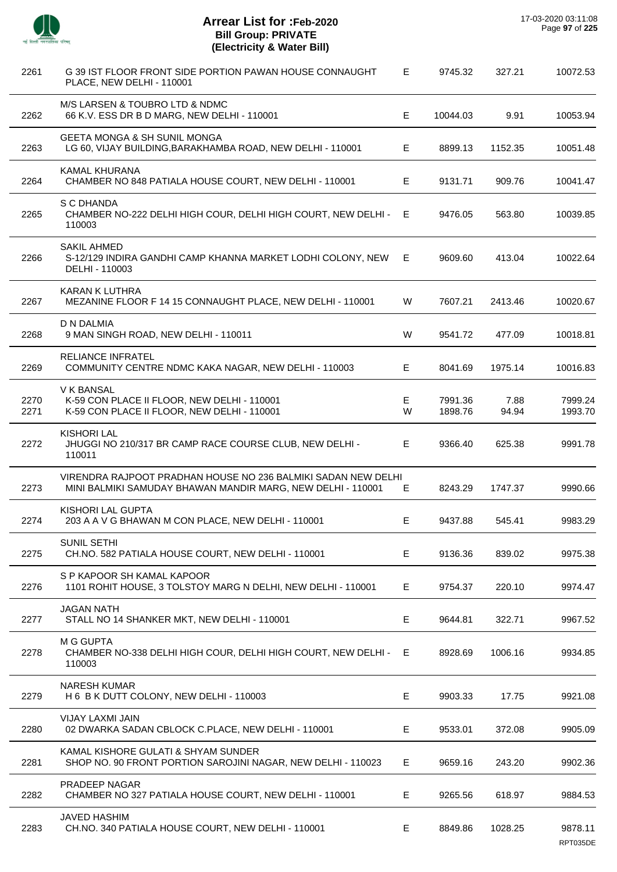

 $\overline{\phantom{a}}$ 

 $\overline{a}$ 

 $\overline{\phantom{a}}$ 

 $\overline{a}$ 

 $\overline{\phantom{a}}$ 

| 2261         | G 39 IST FLOOR FRONT SIDE PORTION PAWAN HOUSE CONNAUGHT<br>PLACE, NEW DELHI - 110001                                         | Е      | 9745.32            | 327.21        | 10072.53            |
|--------------|------------------------------------------------------------------------------------------------------------------------------|--------|--------------------|---------------|---------------------|
| 2262         | M/S LARSEN & TOUBRO LTD & NDMC<br>66 K.V. ESS DR B D MARG, NEW DELHI - 110001                                                | Е      | 10044.03           | 9.91          | 10053.94            |
| 2263         | <b>GEETA MONGA &amp; SH SUNIL MONGA</b><br>LG 60, VIJAY BUILDING, BARAKHAMBA ROAD, NEW DELHI - 110001                        | Е      | 8899.13            | 1152.35       | 10051.48            |
| 2264         | <b>KAMAL KHURANA</b><br>CHAMBER NO 848 PATIALA HOUSE COURT, NEW DELHI - 110001                                               | E.     | 9131.71            | 909.76        | 10041.47            |
| 2265         | S C DHANDA<br>CHAMBER NO-222 DELHI HIGH COUR, DELHI HIGH COURT, NEW DELHI -<br>110003                                        | E.     | 9476.05            | 563.80        | 10039.85            |
| 2266         | <b>SAKIL AHMED</b><br>S-12/129 INDIRA GANDHI CAMP KHANNA MARKET LODHI COLONY, NEW<br>DELHI - 110003                          | Е      | 9609.60            | 413.04        | 10022.64            |
| 2267         | KARAN K LUTHRA<br>MEZANINE FLOOR F 14 15 CONNAUGHT PLACE, NEW DELHI - 110001                                                 | W      | 7607.21            | 2413.46       | 10020.67            |
| 2268         | <b>D N DALMIA</b><br>9 MAN SINGH ROAD, NEW DELHI - 110011                                                                    | W      | 9541.72            | 477.09        | 10018.81            |
| 2269         | <b>RELIANCE INFRATEL</b><br>COMMUNITY CENTRE NDMC KAKA NAGAR, NEW DELHI - 110003                                             | Е      | 8041.69            | 1975.14       | 10016.83            |
| 2270<br>2271 | V K BANSAL<br>K-59 CON PLACE II FLOOR, NEW DELHI - 110001<br>K-59 CON PLACE II FLOOR, NEW DELHI - 110001                     | Е<br>W | 7991.36<br>1898.76 | 7.88<br>94.94 | 7999.24<br>1993.70  |
| 2272         | <b>KISHORI LAL</b><br>JHUGGI NO 210/317 BR CAMP RACE COURSE CLUB, NEW DELHI -<br>110011                                      | Е      | 9366.40            | 625.38        | 9991.78             |
| 2273         | VIRENDRA RAJPOOT PRADHAN HOUSE NO 236 BALMIKI SADAN NEW DELHI<br>MINI BALMIKI SAMUDAY BHAWAN MANDIR MARG, NEW DELHI - 110001 | Е      | 8243.29            | 1747.37       | 9990.66             |
| 2274         | KISHORI LAL GUPTA<br>203 A A V G BHAWAN M CON PLACE, NEW DELHI - 110001                                                      | Е      | 9437.88            | 545.41        | 9983.29             |
| 2275         | <b>SUNIL SETHI</b><br>CH.NO. 582 PATIALA HOUSE COURT, NEW DELHI - 110001                                                     | Е      | 9136.36            | 839.02        | 9975.38             |
| 2276         | S P KAPOOR SH KAMAL KAPOOR<br>1101 ROHIT HOUSE, 3 TOLSTOY MARG N DELHI, NEW DELHI - 110001                                   | Е      | 9754.37            | 220.10        | 9974.47             |
| 2277         | <b>JAGAN NATH</b><br>STALL NO 14 SHANKER MKT, NEW DELHI - 110001                                                             | Е      | 9644.81            | 322.71        | 9967.52             |
| 2278         | M G GUPTA<br>CHAMBER NO-338 DELHI HIGH COUR, DELHI HIGH COURT, NEW DELHI -<br>110003                                         | Е      | 8928.69            | 1006.16       | 9934.85             |
| 2279         | NARESH KUMAR<br>H 6 B K DUTT COLONY, NEW DELHI - 110003                                                                      | Е      | 9903.33            | 17.75         | 9921.08             |
| 2280         | VIJAY LAXMI JAIN<br>02 DWARKA SADAN CBLOCK C.PLACE, NEW DELHI - 110001                                                       | E.     | 9533.01            | 372.08        | 9905.09             |
| 2281         | KAMAL KISHORE GULATI & SHYAM SUNDER<br>SHOP NO. 90 FRONT PORTION SAROJINI NAGAR, NEW DELHI - 110023                          | Е      | 9659.16            | 243.20        | 9902.36             |
| 2282         | PRADEEP NAGAR<br>CHAMBER NO 327 PATIALA HOUSE COURT, NEW DELHI - 110001                                                      | Е      | 9265.56            | 618.97        | 9884.53             |
| 2283         | <b>JAVED HASHIM</b><br>CH.NO. 340 PATIALA HOUSE COURT, NEW DELHI - 110001                                                    | E.     | 8849.86            | 1028.25       | 9878.11<br>RPT035DE |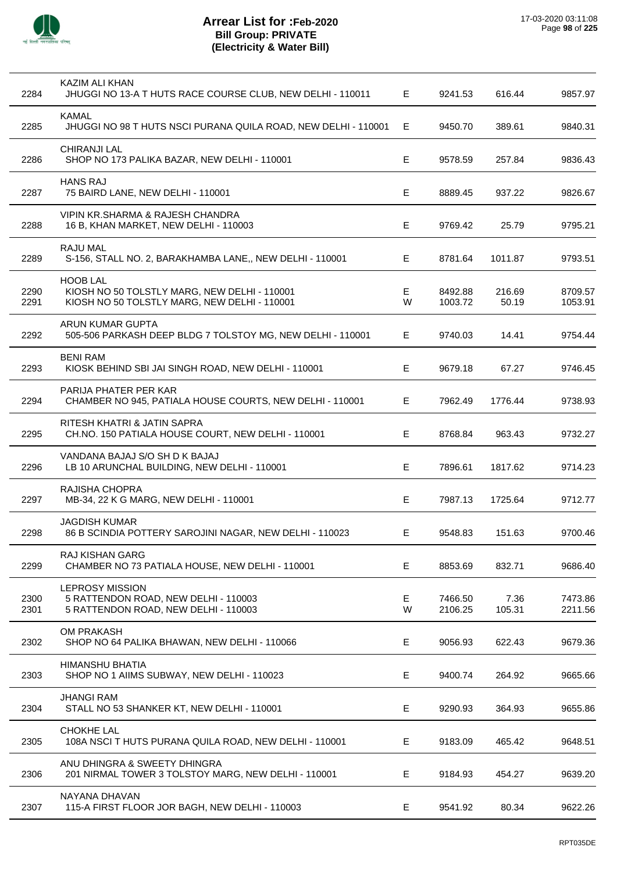

| 2284         | KAZIM ALI KHAN<br>JHUGGI NO 13-A T HUTS RACE COURSE CLUB, NEW DELHI - 110011                                    | E      | 9241.53            | 616.44          | 9857.97            |
|--------------|-----------------------------------------------------------------------------------------------------------------|--------|--------------------|-----------------|--------------------|
| 2285         | <b>KAMAL</b><br>JHUGGI NO 98 T HUTS NSCI PURANA QUILA ROAD, NEW DELHI - 110001                                  | Е      | 9450.70            | 389.61          | 9840.31            |
| 2286         | <b>CHIRANJI LAL</b><br>SHOP NO 173 PALIKA BAZAR, NEW DELHI - 110001                                             | Е      | 9578.59            | 257.84          | 9836.43            |
| 2287         | <b>HANS RAJ</b><br>75 BAIRD LANE, NEW DELHI - 110001                                                            | Е      | 8889.45            | 937.22          | 9826.67            |
| 2288         | VIPIN KR.SHARMA & RAJESH CHANDRA<br>16 B, KHAN MARKET, NEW DELHI - 110003                                       | Е      | 9769.42            | 25.79           | 9795.21            |
| 2289         | <b>RAJU MAL</b><br>S-156, STALL NO. 2, BARAKHAMBA LANE,, NEW DELHI - 110001                                     | E.     | 8781.64            | 1011.87         | 9793.51            |
| 2290<br>2291 | <b>HOOB LAL</b><br>KIOSH NO 50 TOLSTLY MARG, NEW DELHI - 110001<br>KIOSH NO 50 TOLSTLY MARG, NEW DELHI - 110001 | Е<br>W | 8492.88<br>1003.72 | 216.69<br>50.19 | 8709.57<br>1053.91 |
| 2292         | ARUN KUMAR GUPTA<br>505-506 PARKASH DEEP BLDG 7 TOLSTOY MG, NEW DELHI - 110001                                  | Е      | 9740.03            | 14.41           | 9754.44            |
| 2293         | <b>BENI RAM</b><br>KIOSK BEHIND SBI JAI SINGH ROAD, NEW DELHI - 110001                                          | Е      | 9679.18            | 67.27           | 9746.45            |
| 2294         | PARIJA PHATER PER KAR<br>CHAMBER NO 945, PATIALA HOUSE COURTS, NEW DELHI - 110001                               | E      | 7962.49            | 1776.44         | 9738.93            |
| 2295         | RITESH KHATRI & JATIN SAPRA<br>CH.NO. 150 PATIALA HOUSE COURT, NEW DELHI - 110001                               | Е      | 8768.84            | 963.43          | 9732.27            |
| 2296         | VANDANA BAJAJ S/O SH D K BAJAJ<br>LB 10 ARUNCHAL BUILDING, NEW DELHI - 110001                                   | Е      | 7896.61            | 1817.62         | 9714.23            |
| 2297         | RAJISHA CHOPRA<br>MB-34, 22 K G MARG, NEW DELHI - 110001                                                        | E      | 7987.13            | 1725.64         | 9712.77            |
| 2298         | <b>JAGDISH KUMAR</b><br>86 B SCINDIA POTTERY SAROJINI NAGAR, NEW DELHI - 110023                                 | Е      | 9548.83            | 151.63          | 9700.46            |
| 2299         | RAJ KISHAN GARG<br>CHAMBER NO 73 PATIALA HOUSE, NEW DELHI - 110001                                              | Е      | 8853.69            | 832.71          | 9686.40            |
| 2300<br>2301 | <b>LEPROSY MISSION</b><br>5 RATTENDON ROAD, NEW DELHI - 110003<br>5 RATTENDON ROAD, NEW DELHI - 110003          | Е<br>W | 7466.50<br>2106.25 | 7.36<br>105.31  | 7473.86<br>2211.56 |
| 2302         | <b>OM PRAKASH</b><br>SHOP NO 64 PALIKA BHAWAN, NEW DELHI - 110066                                               | E      | 9056.93            | 622.43          | 9679.36            |
| 2303         | <b>HIMANSHU BHATIA</b><br>SHOP NO 1 AIIMS SUBWAY, NEW DELHI - 110023                                            | Е      | 9400.74            | 264.92          | 9665.66            |
| 2304         | <b>JHANGI RAM</b><br>STALL NO 53 SHANKER KT, NEW DELHI - 110001                                                 | Е      | 9290.93            | 364.93          | 9655.86            |
| 2305         | CHOKHE LAL<br>108A NSCI T HUTS PURANA QUILA ROAD, NEW DELHI - 110001                                            | Е      | 9183.09            | 465.42          | 9648.51            |
| 2306         | ANU DHINGRA & SWEETY DHINGRA<br>201 NIRMAL TOWER 3 TOLSTOY MARG, NEW DELHI - 110001                             | Е      | 9184.93            | 454.27          | 9639.20            |
| 2307         | NAYANA DHAVAN<br>115-A FIRST FLOOR JOR BAGH, NEW DELHI - 110003                                                 | Е      | 9541.92            | 80.34           | 9622.26            |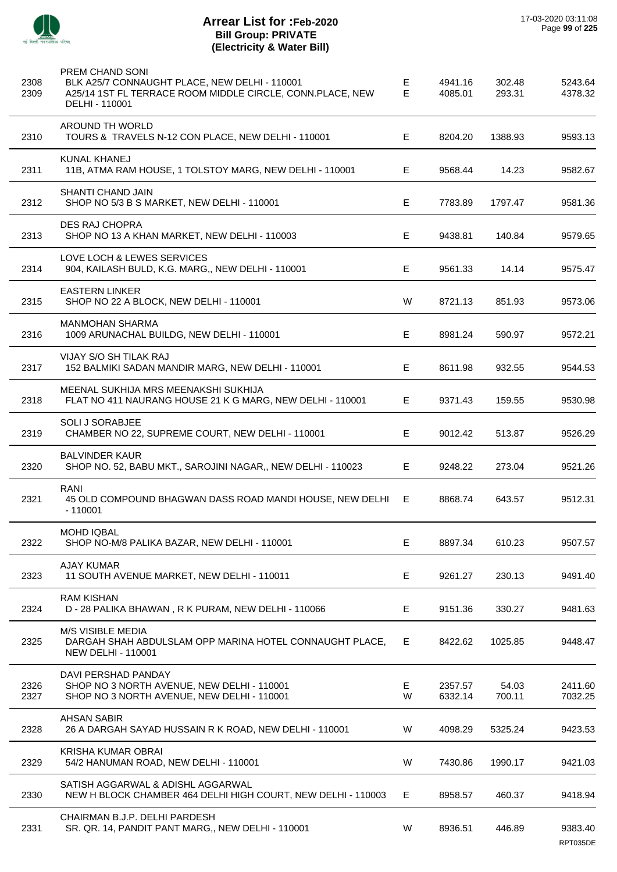

 $\overline{\phantom{a}}$ 

J.

 $\overline{a}$ 

J.

J.

 $\overline{a}$ 

 $\overline{a}$ 

 $\overline{a}$ 

J.

## **Arrear List for :Feb-2020 Bill Group: PRIVATE (Electricity & Water Bill)**

| 2308<br>2309 | <b>PREM CHAND SONI</b><br>BLK A25/7 CONNAUGHT PLACE, NEW DELHI - 110001<br>A25/14 1ST FL TERRACE ROOM MIDDLE CIRCLE, CONN.PLACE, NEW<br>DELHI - 110001 | Е<br>E  | 4941.16<br>4085.01 | 302.48<br>293.31 | 5243.64<br>4378.32 |
|--------------|--------------------------------------------------------------------------------------------------------------------------------------------------------|---------|--------------------|------------------|--------------------|
| 2310         | AROUND TH WORLD<br>TOURS & TRAVELS N-12 CON PLACE, NEW DELHI - 110001                                                                                  | E.      | 8204.20            | 1388.93          | 9593.13            |
| 2311         | KUNAL KHANEJ<br>11B, ATMA RAM HOUSE, 1 TOLSTOY MARG, NEW DELHI - 110001                                                                                | E.      | 9568.44            | 14.23            | 9582.67            |
| 2312         | SHANTI CHAND JAIN<br>SHOP NO 5/3 B S MARKET, NEW DELHI - 110001                                                                                        | Е       | 7783.89            | 1797.47          | 9581.36            |
| 2313         | <b>DES RAJ CHOPRA</b><br>SHOP NO 13 A KHAN MARKET, NEW DELHI - 110003                                                                                  | Е       | 9438.81            | 140.84           | 9579.65            |
| 2314         | LOVE LOCH & LEWES SERVICES<br>904, KAILASH BULD, K.G. MARG,, NEW DELHI - 110001                                                                        | Е       | 9561.33            | 14.14            | 9575.47            |
| 2315         | <b>EASTERN LINKER</b><br>SHOP NO 22 A BLOCK, NEW DELHI - 110001                                                                                        | W       | 8721.13            | 851.93           | 9573.06            |
| 2316         | <b>MANMOHAN SHARMA</b><br>1009 ARUNACHAL BUILDG, NEW DELHI - 110001                                                                                    | Е       | 8981.24            | 590.97           | 9572.21            |
| 2317         | VIJAY S/O SH TILAK RAJ<br>152 BALMIKI SADAN MANDIR MARG, NEW DELHI - 110001                                                                            | Е       | 8611.98            | 932.55           | 9544.53            |
| 2318         | MEENAL SUKHIJA MRS MEENAKSHI SUKHIJA<br>FLAT NO 411 NAURANG HOUSE 21 K G MARG, NEW DELHI - 110001                                                      | Е       | 9371.43            | 159.55           | 9530.98            |
| 2319         | <b>SOLI J SORABJEE</b><br>CHAMBER NO 22, SUPREME COURT, NEW DELHI - 110001                                                                             | Е       | 9012.42            | 513.87           | 9526.29            |
| 2320         | <b>BALVINDER KAUR</b><br>SHOP NO. 52, BABU MKT., SAROJINI NAGAR,, NEW DELHI - 110023                                                                   | Е       | 9248.22            | 273.04           | 9521.26            |
| 2321         | <b>RANI</b><br>45 OLD COMPOUND BHAGWAN DASS ROAD MANDI HOUSE, NEW DELHI<br>$-110001$                                                                   | E       | 8868.74            | 643.57           | 9512.31            |
| 2322         | MOHD IQBAL<br>SHOP NO-M/8 PALIKA BAZAR, NEW DELHI - 110001                                                                                             | Е       | 8897.34            | 610.23           | 9507.57            |
| 2323         | <b>AJAY KUMAR</b><br>11 SOUTH AVENUE MARKET, NEW DELHI - 110011                                                                                        | Е       | 9261.27            | 230.13           | 9491.40            |
| 2324         | <b>RAM KISHAN</b><br>D - 28 PALIKA BHAWAN, R K PURAM, NEW DELHI - 110066                                                                               | Е       | 9151.36            | 330.27           | 9481.63            |
| 2325         | M/S VISIBLE MEDIA<br>DARGAH SHAH ABDULSLAM OPP MARINA HOTEL CONNAUGHT PLACE,<br><b>NEW DELHI - 110001</b>                                              | E.      | 8422.62            | 1025.85          | 9448.47            |
| 2326<br>2327 | DAVI PERSHAD PANDAY<br>SHOP NO 3 NORTH AVENUE, NEW DELHI - 110001<br>SHOP NO 3 NORTH AVENUE, NEW DELHI - 110001                                        | E.<br>W | 2357.57<br>6332.14 | 54.03<br>700.11  | 2411.60<br>7032.25 |
| 2328         | <b>AHSAN SABIR</b><br>26 A DARGAH SAYAD HUSSAIN R K ROAD, NEW DELHI - 110001                                                                           | W       | 4098.29            | 5325.24          | 9423.53            |
| 2329         | KRISHA KUMAR OBRAI<br>54/2 HANUMAN ROAD, NEW DELHI - 110001                                                                                            | W       | 7430.86            | 1990.17          | 9421.03            |
| 2330         | SATISH AGGARWAL & ADISHL AGGARWAL<br>NEW H BLOCK CHAMBER 464 DELHI HIGH COURT, NEW DELHI - 110003                                                      | Е       | 8958.57            | 460.37           | 9418.94            |
| 2331         | CHAIRMAN B.J.P. DELHI PARDESH<br>SR. QR. 14, PANDIT PANT MARG,, NEW DELHI - 110001                                                                     | W       | 8936.51            | 446.89           | 9383.40            |

RPT035DE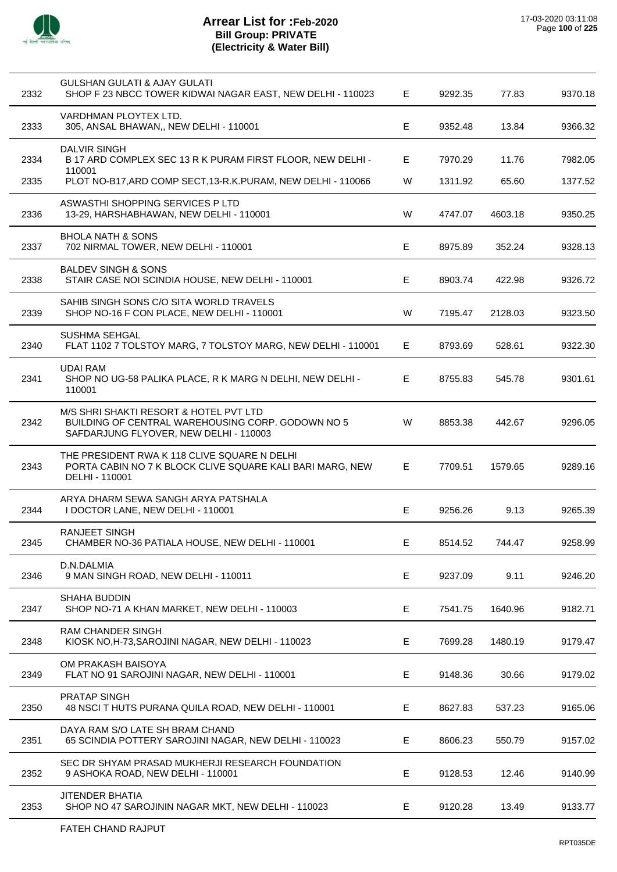

l,

## **Arrear List for :Feb-2020 Bill Group: PRIVATE (Electricity & Water Bill)**

| 2332 | GULSHAN GULATI & AJAY GULATI<br>SHOP F 23 NBCC TOWER KIDWAI NAGAR EAST, NEW DELHI - 110023                                            | Е | 9292.35 | 77.83   | 9370.18 |
|------|---------------------------------------------------------------------------------------------------------------------------------------|---|---------|---------|---------|
| 2333 | VARDHMAN PLOYTEX LTD.<br>305, ANSAL BHAWAN,, NEW DELHI - 110001                                                                       | E | 9352.48 | 13.84   | 9366.32 |
| 2334 | <b>DALVIR SINGH</b><br>B 17 ARD COMPLEX SEC 13 R K PURAM FIRST FLOOR, NEW DELHI -<br>110001                                           | Е | 7970.29 | 11.76   | 7982.05 |
| 2335 | PLOT NO-B17, ARD COMP SECT, 13-R.K. PURAM, NEW DELHI - 110066                                                                         | W | 1311.92 | 65.60   | 1377.52 |
| 2336 | ASWASTHI SHOPPING SERVICES P LTD<br>13-29, HARSHABHAWAN, NEW DELHI - 110001                                                           | W | 4747.07 | 4603.18 | 9350.25 |
| 2337 | <b>BHOLA NATH &amp; SONS</b><br>702 NIRMAL TOWER, NEW DELHI - 110001                                                                  | Е | 8975.89 | 352.24  | 9328.13 |
| 2338 | <b>BALDEV SINGH &amp; SONS</b><br>STAIR CASE NOI SCINDIA HOUSE, NEW DELHI - 110001                                                    | Е | 8903.74 | 422.98  | 9326.72 |
| 2339 | SAHIB SINGH SONS C/O SITA WORLD TRAVELS<br>SHOP NO-16 F CON PLACE, NEW DELHI - 110001                                                 | W | 7195.47 | 2128.03 | 9323.50 |
| 2340 | <b>SUSHMA SEHGAL</b><br>FLAT 1102 7 TOLSTOY MARG, 7 TOLSTOY MARG, NEW DELHI - 110001                                                  | Е | 8793.69 | 528.61  | 9322.30 |
| 2341 | <b>UDAI RAM</b><br>SHOP NO UG-58 PALIKA PLACE, R K MARG N DELHI, NEW DELHI -<br>110001                                                | Е | 8755.83 | 545.78  | 9301.61 |
| 2342 | M/S SHRI SHAKTI RESORT & HOTEL PVT LTD<br>BUILDING OF CENTRAL WAREHOUSING CORP. GODOWN NO 5<br>SAFDARJUNG FLYOVER, NEW DELHI - 110003 | W | 8853.38 | 442.67  | 9296.05 |
| 2343 | THE PRESIDENT RWA K 118 CLIVE SQUARE N DELHI<br>PORTA CABIN NO 7 K BLOCK CLIVE SQUARE KALI BARI MARG, NEW<br>DELHI - 110001           | Е | 7709.51 | 1579.65 | 9289.16 |
| 2344 | ARYA DHARM SEWA SANGH ARYA PATSHALA<br>I DOCTOR LANE, NEW DELHI - 110001                                                              | E | 9256.26 | 9.13    | 9265.39 |
| 2345 | RANJEET SINGH<br>CHAMBER NO-36 PATIALA HOUSE, NEW DELHI - 110001                                                                      | E | 8514.52 | 744.47  | 9258.99 |
| 2346 | D.N.DALMIA<br>9 MAN SINGH ROAD, NEW DELHI - 110011                                                                                    | E | 9237.09 | 9.11    | 9246.20 |
| 2347 | SHAHA BUDDIN<br>SHOP NO-71 A KHAN MARKET, NEW DELHI - 110003                                                                          | E | 7541.75 | 1640.96 | 9182.71 |
| 2348 | RAM CHANDER SINGH<br>KIOSK NO, H-73, SAROJINI NAGAR, NEW DELHI - 110023                                                               | E | 7699.28 | 1480.19 | 9179.47 |
| 2349 | OM PRAKASH BAISOYA<br>FLAT NO 91 SAROJINI NAGAR, NEW DELHI - 110001                                                                   | E | 9148.36 | 30.66   | 9179.02 |
| 2350 | PRATAP SINGH<br>48 NSCI T HUTS PURANA QUILA ROAD, NEW DELHI - 110001                                                                  | E | 8627.83 | 537.23  | 9165.06 |
| 2351 | DAYA RAM S/O LATE SH BRAM CHAND<br>65 SCINDIA POTTERY SAROJINI NAGAR, NEW DELHI - 110023                                              | E | 8606.23 | 550.79  | 9157.02 |
| 2352 | SEC DR SHYAM PRASAD MUKHERJI RESEARCH FOUNDATION<br>9 ASHOKA ROAD, NEW DELHI - 110001                                                 | E | 9128.53 | 12.46   | 9140.99 |
| 2353 | <b>JITENDER BHATIA</b><br>SHOP NO 47 SAROJININ NAGAR MKT, NEW DELHI - 110023                                                          | Е | 9120.28 | 13.49   | 9133.77 |
|      |                                                                                                                                       |   |         |         |         |

l,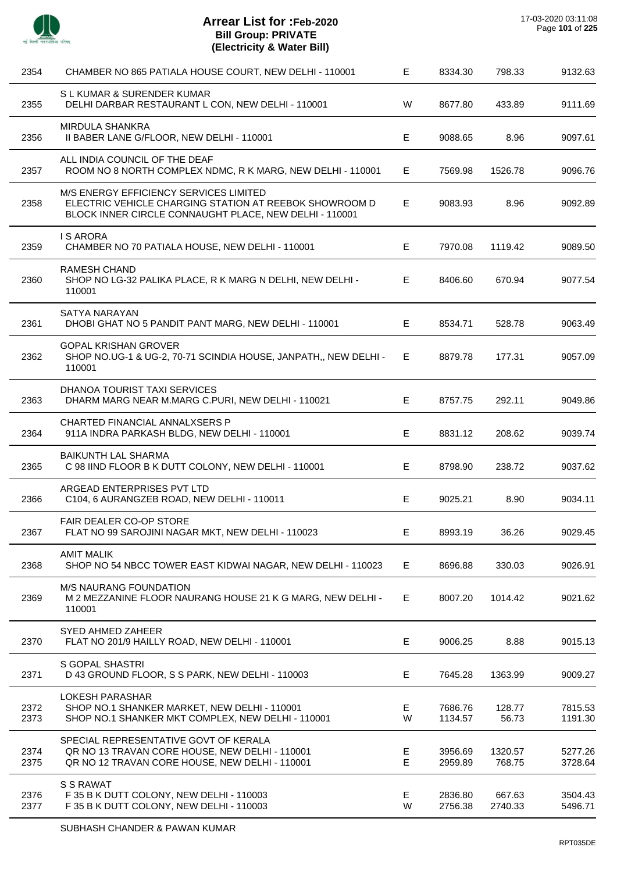

 $\overline{a}$ 

 $\overline{a}$ 

 $\overline{\phantom{a}}$ 

| 2354         | CHAMBER NO 865 PATIALA HOUSE COURT, NEW DELHI - 110001                                                                                                     | Е                | 8334.30            | 798.33            | 9132.63            |
|--------------|------------------------------------------------------------------------------------------------------------------------------------------------------------|------------------|--------------------|-------------------|--------------------|
| 2355         | S L KUMAR & SURENDER KUMAR<br>DELHI DARBAR RESTAURANT L CON, NEW DELHI - 110001                                                                            | W                | 8677.80            | 433.89            | 9111.69            |
| 2356         | MIRDULA SHANKRA<br>II BABER LANE G/FLOOR, NEW DELHI - 110001                                                                                               | Е                | 9088.65            | 8.96              | 9097.61            |
| 2357         | ALL INDIA COUNCIL OF THE DEAF<br>ROOM NO 8 NORTH COMPLEX NDMC, R K MARG, NEW DELHI - 110001                                                                | Е                | 7569.98            | 1526.78           | 9096.76            |
| 2358         | M/S ENERGY EFFICIENCY SERVICES LIMITED<br>ELECTRIC VEHICLE CHARGING STATION AT REEBOK SHOWROOM D<br>BLOCK INNER CIRCLE CONNAUGHT PLACE, NEW DELHI - 110001 | Е                | 9083.93            | 8.96              | 9092.89            |
| 2359         | <b>IS ARORA</b><br>CHAMBER NO 70 PATIALA HOUSE, NEW DELHI - 110001                                                                                         | Е                | 7970.08            | 1119.42           | 9089.50            |
| 2360         | <b>RAMESH CHAND</b><br>SHOP NO LG-32 PALIKA PLACE, R K MARG N DELHI, NEW DELHI -<br>110001                                                                 | Е                | 8406.60            | 670.94            | 9077.54            |
| 2361         | <b>SATYA NARAYAN</b><br>DHOBI GHAT NO 5 PANDIT PANT MARG, NEW DELHI - 110001                                                                               | Е                | 8534.71            | 528.78            | 9063.49            |
| 2362         | <b>GOPAL KRISHAN GROVER</b><br>SHOP NO.UG-1 & UG-2, 70-71 SCINDIA HOUSE, JANPATH,, NEW DELHI -<br>110001                                                   | Е                | 8879.78            | 177.31            | 9057.09            |
| 2363         | DHANOA TOURIST TAXI SERVICES<br>DHARM MARG NEAR M.MARG C.PURI, NEW DELHI - 110021                                                                          | Е                | 8757.75            | 292.11            | 9049.86            |
| 2364         | CHARTED FINANCIAL ANNALXSERS P<br>911A INDRA PARKASH BLDG, NEW DELHI - 110001                                                                              | $\mathsf E$      | 8831.12            | 208.62            | 9039.74            |
| 2365         | <b>BAIKUNTH LAL SHARMA</b><br>C 98 IIND FLOOR B K DUTT COLONY, NEW DELHI - 110001                                                                          | Е                | 8798.90            | 238.72            | 9037.62            |
| 2366         | ARGEAD ENTERPRISES PVT LTD<br>C104, 6 AURANGZEB ROAD, NEW DELHI - 110011                                                                                   | Е                | 9025.21            | 8.90              | 9034.11            |
| 2367         | <b>FAIR DEALER CO-OP STORE</b><br>FLAT NO 99 SAROJINI NAGAR MKT, NEW DELHI - 110023                                                                        | Е                | 8993.19            | 36.26             | 9029.45            |
| 2368         | <b>AMIT MALIK</b><br>SHOP NO 54 NBCC TOWER EAST KIDWAI NAGAR, NEW DELHI - 110023                                                                           | Е                | 8696.88            | 330.03            | 9026.91            |
| 2369         | <b>M/S NAURANG FOUNDATION</b><br>M 2 MEZZANINE FLOOR NAURANG HOUSE 21 K G MARG, NEW DELHI -<br>110001                                                      | Е                | 8007.20            | 1014.42           | 9021.62            |
| 2370         | SYED AHMED ZAHEER<br>FLAT NO 201/9 HAILLY ROAD, NEW DELHI - 110001                                                                                         | Е                | 9006.25            | 8.88              | 9015.13            |
| 2371         | <b>S GOPAL SHASTRI</b><br>D 43 GROUND FLOOR, S S PARK, NEW DELHI - 110003                                                                                  | E                | 7645.28            | 1363.99           | 9009.27            |
| 2372<br>2373 | <b>LOKESH PARASHAR</b><br>SHOP NO.1 SHANKER MARKET, NEW DELHI - 110001<br>SHOP NO.1 SHANKER MKT COMPLEX, NEW DELHI - 110001                                | Е<br>W           | 7686.76<br>1134.57 | 128.77<br>56.73   | 7815.53<br>1191.30 |
| 2374<br>2375 | SPECIAL REPRESENTATIVE GOVT OF KERALA<br>QR NO 13 TRAVAN CORE HOUSE, NEW DELHI - 110001<br>QR NO 12 TRAVAN CORE HOUSE, NEW DELHI - 110001                  | Е<br>$\mathsf E$ | 3956.69<br>2959.89 | 1320.57<br>768.75 | 5277.26<br>3728.64 |
| 2376<br>2377 | S S RAWAT<br>F 35 B K DUTT COLONY, NEW DELHI - 110003<br>F 35 B K DUTT COLONY, NEW DELHI - 110003                                                          | E<br>W           | 2836.80<br>2756.38 | 667.63<br>2740.33 | 3504.43<br>5496.71 |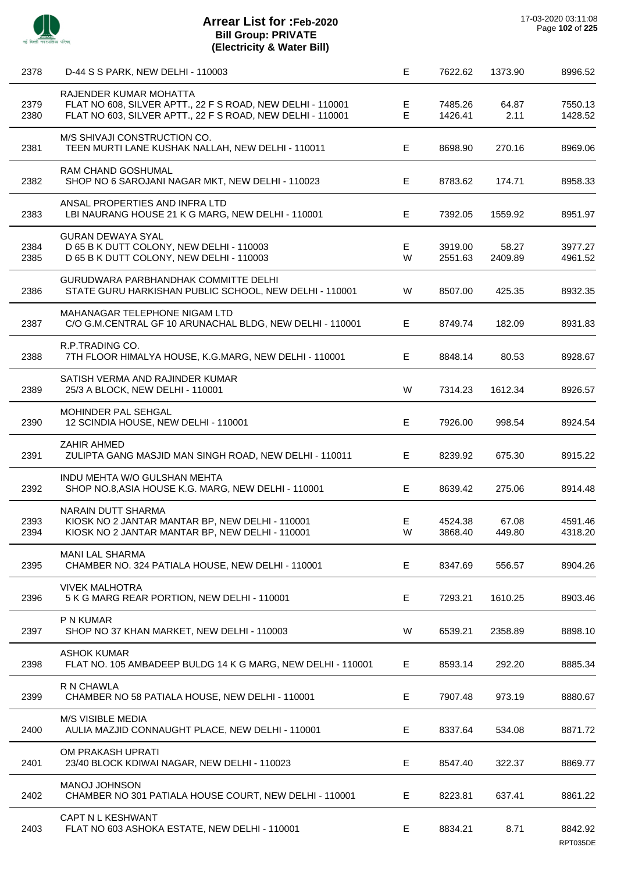

| 2378 | D-44 S S PARK, NEW DELHI - 110003                                                 | Е  | 7622.62 | 1373.90          | 8996.52  |
|------|-----------------------------------------------------------------------------------|----|---------|------------------|----------|
|      | RAJENDER KUMAR MOHATTA                                                            |    |         |                  |          |
| 2379 | FLAT NO 608, SILVER APTT., 22 F S ROAD, NEW DELHI - 110001                        | Е  | 7485.26 | 64.87            | 7550.13  |
| 2380 | FLAT NO 603, SILVER APTT., 22 F S ROAD, NEW DELHI - 110001                        | E  | 1426.41 | 2.11             | 1428.52  |
|      | M/S SHIVAJI CONSTRUCTION CO.                                                      |    |         |                  |          |
| 2381 | TEEN MURTI LANE KUSHAK NALLAH, NEW DELHI - 110011                                 | Е  | 8698.90 | 270.16           | 8969.06  |
|      | <b>RAM CHAND GOSHUMAL</b>                                                         |    |         |                  |          |
| 2382 | SHOP NO 6 SAROJANI NAGAR MKT, NEW DELHI - 110023                                  | Е  | 8783.62 | 174.71           | 8958.33  |
|      | ANSAL PROPERTIES AND INFRA LTD                                                    |    |         |                  |          |
| 2383 | LBI NAURANG HOUSE 21 K G MARG, NEW DELHI - 110001                                 | Е  | 7392.05 | 1559.92          | 8951.97  |
|      |                                                                                   |    |         |                  |          |
| 2384 | <b>GURAN DEWAYA SYAL</b><br>D 65 B K DUTT COLONY, NEW DELHI - 110003              | Е  | 3919.00 |                  | 3977.27  |
| 2385 | D 65 B K DUTT COLONY, NEW DELHI - 110003                                          | W  | 2551.63 | 58.27<br>2409.89 | 4961.52  |
|      |                                                                                   |    |         |                  |          |
|      | <b>GURUDWARA PARBHANDHAK COMMITTE DELHI</b>                                       |    |         |                  |          |
| 2386 | STATE GURU HARKISHAN PUBLIC SCHOOL, NEW DELHI - 110001                            | W  | 8507.00 | 425.35           | 8932.35  |
|      | MAHANAGAR TELEPHONE NIGAM LTD                                                     |    |         |                  |          |
| 2387 | C/O G.M.CENTRAL GF 10 ARUNACHAL BLDG, NEW DELHI - 110001                          | Е  | 8749.74 | 182.09           | 8931.83  |
|      |                                                                                   |    |         |                  |          |
| 2388 | R.P.TRADING CO.<br>7TH FLOOR HIMALYA HOUSE, K.G.MARG, NEW DELHI - 110001          | E. | 8848.14 | 80.53            | 8928.67  |
|      |                                                                                   |    |         |                  |          |
|      | SATISH VERMA AND RAJINDER KUMAR                                                   |    |         |                  |          |
| 2389 | 25/3 A BLOCK, NEW DELHI - 110001                                                  | W  | 7314.23 | 1612.34          | 8926.57  |
|      | MOHINDER PAL SEHGAL                                                               |    |         |                  |          |
| 2390 | 12 SCINDIA HOUSE, NEW DELHI - 110001                                              | E  | 7926.00 | 998.54           | 8924.54  |
|      |                                                                                   |    |         |                  |          |
|      | <b>ZAHIR AHMED</b>                                                                |    |         |                  |          |
| 2391 | ZULIPTA GANG MASJID MAN SINGH ROAD, NEW DELHI - 110011                            | E. | 8239.92 | 675.30           | 8915.22  |
|      | INDU MEHTA W/O GULSHAN MEHTA                                                      |    |         |                  |          |
| 2392 | SHOP NO.8, ASIA HOUSE K.G. MARG, NEW DELHI - 110001                               | Е  | 8639.42 | 275.06           | 8914.48  |
|      | NARAIN DUTT SHARMA                                                                |    |         |                  |          |
| 2393 | KIOSK NO 2 JANTAR MANTAR BP, NEW DELHI - 110001                                   | E  | 4524.38 | 67.08            | 4591.46  |
| 2394 | KIOSK NO 2 JANTAR MANTAR BP, NEW DELHI - 110001                                   | W  | 3868.40 | 449.80           | 4318.20  |
|      |                                                                                   |    |         |                  |          |
| 2395 | <b>MANI LAL SHARMA</b><br>CHAMBER NO. 324 PATIALA HOUSE, NEW DELHI - 110001       | Е  | 8347.69 | 556.57           | 8904.26  |
|      |                                                                                   |    |         |                  |          |
|      | <b>VIVEK MALHOTRA</b>                                                             |    |         |                  |          |
| 2396 | 5 K G MARG REAR PORTION, NEW DELHI - 110001                                       | Е  | 7293.21 | 1610.25          | 8903.46  |
|      | P N KUMAR                                                                         |    |         |                  |          |
| 2397 | SHOP NO 37 KHAN MARKET, NEW DELHI - 110003                                        | W  | 6539.21 | 2358.89          | 8898.10  |
|      |                                                                                   |    |         |                  |          |
| 2398 | <b>ASHOK KUMAR</b><br>FLAT NO. 105 AMBADEEP BULDG 14 K G MARG, NEW DELHI - 110001 | E. | 8593.14 | 292.20           | 8885.34  |
|      |                                                                                   |    |         |                  |          |
|      | R N CHAWLA                                                                        |    |         |                  |          |
| 2399 | CHAMBER NO 58 PATIALA HOUSE, NEW DELHI - 110001                                   | Е  | 7907.48 | 973.19           | 8880.67  |
|      | M/S VISIBLE MEDIA                                                                 |    |         |                  |          |
| 2400 | AULIA MAZJID CONNAUGHT PLACE, NEW DELHI - 110001                                  | Е  | 8337.64 | 534.08           | 8871.72  |
|      |                                                                                   |    |         |                  |          |
|      | OM PRAKASH UPRATI                                                                 |    |         |                  |          |
| 2401 | 23/40 BLOCK KDIWAI NAGAR, NEW DELHI - 110023                                      | Е  | 8547.40 | 322.37           | 8869.77  |
|      | MANOJ JOHNSON                                                                     |    |         |                  |          |
| 2402 | CHAMBER NO 301 PATIALA HOUSE COURT, NEW DELHI - 110001                            | Е  | 8223.81 | 637.41           | 8861.22  |
|      |                                                                                   |    |         |                  |          |
| 2403 | CAPT N L KESHWANT<br>FLAT NO 603 ASHOKA ESTATE, NEW DELHI - 110001                | E. | 8834.21 | 8.71             | 8842.92  |
|      |                                                                                   |    |         |                  | RPT035DE |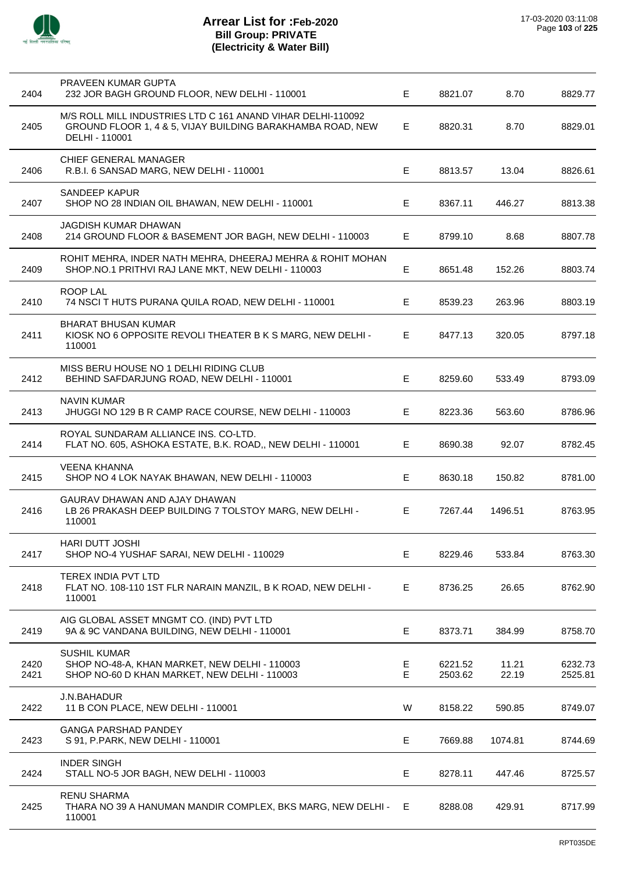| 2404         | PRAVEEN KUMAR GUPTA<br>232 JOR BAGH GROUND FLOOR, NEW DELHI - 110001                                                                        | E.     | 8821.07            | 8.70           | 8829.77            |
|--------------|---------------------------------------------------------------------------------------------------------------------------------------------|--------|--------------------|----------------|--------------------|
| 2405         | M/S ROLL MILL INDUSTRIES LTD C 161 ANAND VIHAR DELHI-110092<br>GROUND FLOOR 1, 4 & 5, VIJAY BUILDING BARAKHAMBA ROAD, NEW<br>DELHI - 110001 | Е      | 8820.31            | 8.70           | 8829.01            |
| 2406         | CHIEF GENERAL MANAGER<br>R.B.I. 6 SANSAD MARG, NEW DELHI - 110001                                                                           | Е      | 8813.57            | 13.04          | 8826.61            |
| 2407         | <b>SANDEEP KAPUR</b><br>SHOP NO 28 INDIAN OIL BHAWAN, NEW DELHI - 110001                                                                    | E.     | 8367.11            | 446.27         | 8813.38            |
| 2408         | JAGDISH KUMAR DHAWAN<br>214 GROUND FLOOR & BASEMENT JOR BAGH, NEW DELHI - 110003                                                            | E      | 8799.10            | 8.68           | 8807.78            |
| 2409         | ROHIT MEHRA, INDER NATH MEHRA, DHEERAJ MEHRA & ROHIT MOHAN<br>SHOP.NO.1 PRITHVI RAJ LANE MKT, NEW DELHI - 110003                            | E      | 8651.48            | 152.26         | 8803.74            |
| 2410         | ROOP LAL<br>74 NSCI T HUTS PURANA QUILA ROAD, NEW DELHI - 110001                                                                            | Е      | 8539.23            | 263.96         | 8803.19            |
| 2411         | <b>BHARAT BHUSAN KUMAR</b><br>KIOSK NO 6 OPPOSITE REVOLI THEATER B K S MARG, NEW DELHI -<br>110001                                          | Е      | 8477.13            | 320.05         | 8797.18            |
| 2412         | MISS BERU HOUSE NO 1 DELHI RIDING CLUB<br>BEHIND SAFDARJUNG ROAD, NEW DELHI - 110001                                                        | E      | 8259.60            | 533.49         | 8793.09            |
| 2413         | NAVIN KUMAR<br>JHUGGI NO 129 B R CAMP RACE COURSE, NEW DELHI - 110003                                                                       | Е      | 8223.36            | 563.60         | 8786.96            |
| 2414         | ROYAL SUNDARAM ALLIANCE INS. CO-LTD.<br>FLAT NO. 605, ASHOKA ESTATE, B.K. ROAD,, NEW DELHI - 110001                                         | E.     | 8690.38            | 92.07          | 8782.45            |
| 2415         | <b>VEENA KHANNA</b><br>SHOP NO 4 LOK NAYAK BHAWAN, NEW DELHI - 110003                                                                       | Е      | 8630.18            | 150.82         | 8781.00            |
| 2416         | GAURAV DHAWAN AND AJAY DHAWAN<br>LB 26 PRAKASH DEEP BUILDING 7 TOLSTOY MARG, NEW DELHI -<br>110001                                          | E.     | 7267.44            | 1496.51        | 8763.95            |
| 2417         | HARI DUTT JOSHI<br>SHOP NO-4 YUSHAF SARAI, NEW DELHI - 110029                                                                               | Е      | 8229.46            | 533.84         | 8763.30            |
| 2418         | TEREX INDIA PVT LTD<br>FLAT NO. 108-110 1ST FLR NARAIN MANZIL, B K ROAD, NEW DELHI -<br>110001                                              | Е      | 8736.25            | 26.65          | 8762.90            |
| 2419         | AIG GLOBAL ASSET MNGMT CO. (IND) PVT LTD<br>9A & 9C VANDANA BUILDING, NEW DELHI - 110001                                                    | E      | 8373.71            | 384.99         | 8758.70            |
| 2420<br>2421 | <b>SUSHIL KUMAR</b><br>SHOP NO-48-A, KHAN MARKET, NEW DELHI - 110003<br>SHOP NO-60 D KHAN MARKET, NEW DELHI - 110003                        | E<br>Е | 6221.52<br>2503.62 | 11.21<br>22.19 | 6232.73<br>2525.81 |
| 2422         | J.N.BAHADUR<br>11 B CON PLACE, NEW DELHI - 110001                                                                                           | W      | 8158.22            | 590.85         | 8749.07            |
| 2423         | <b>GANGA PARSHAD PANDEY</b><br>S 91, P.PARK, NEW DELHI - 110001                                                                             | Е      | 7669.88            | 1074.81        | 8744.69            |
| 2424         | <b>INDER SINGH</b><br>STALL NO-5 JOR BAGH, NEW DELHI - 110003                                                                               | Е      | 8278.11            | 447.46         | 8725.57            |
| 2425         | <b>RENU SHARMA</b><br>THARA NO 39 A HANUMAN MANDIR COMPLEX, BKS MARG, NEW DELHI -<br>110001                                                 | Е      | 8288.08            | 429.91         | 8717.99            |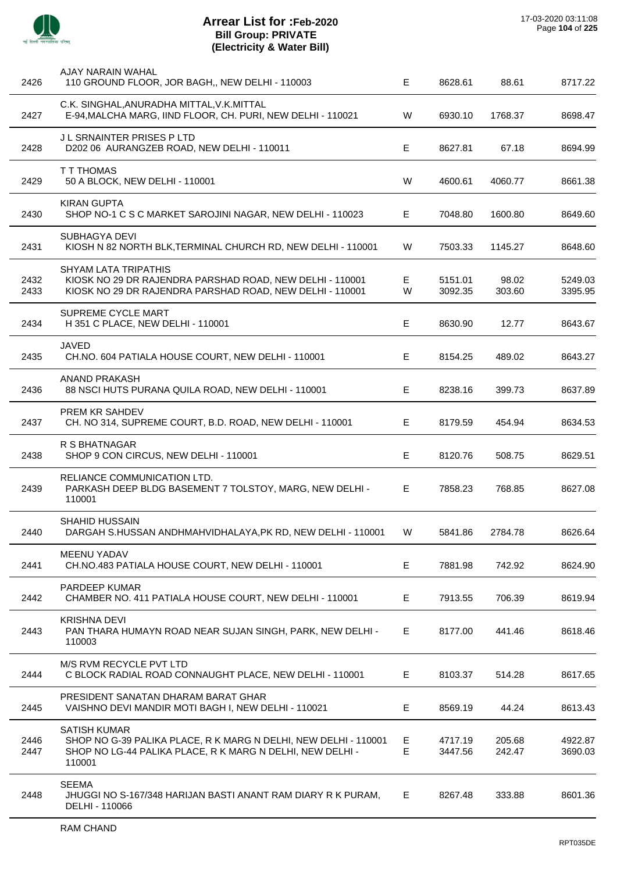

| 2426         | AJAY NARAIN WAHAL<br>110 GROUND FLOOR, JOR BAGH,, NEW DELHI - 110003                                                                                          | Е      | 8628.61            | 88.61            | 8717.22            |
|--------------|---------------------------------------------------------------------------------------------------------------------------------------------------------------|--------|--------------------|------------------|--------------------|
| 2427         | C.K. SINGHAL, ANURADHA MITTAL, V.K. MITTAL<br>E-94, MALCHA MARG, IIND FLOOR, CH. PURI, NEW DELHI - 110021                                                     | W      | 6930.10            | 1768.37          | 8698.47            |
| 2428         | JL SRNAINTER PRISES PLTD<br>D202 06 AURANGZEB ROAD, NEW DELHI - 110011                                                                                        | Е      | 8627.81            | 67.18            | 8694.99            |
| 2429         | <b>T T THOMAS</b><br>50 A BLOCK, NEW DELHI - 110001                                                                                                           | W      | 4600.61            | 4060.77          | 8661.38            |
| 2430         | <b>KIRAN GUPTA</b><br>SHOP NO-1 C S C MARKET SAROJINI NAGAR, NEW DELHI - 110023                                                                               | Е      | 7048.80            | 1600.80          | 8649.60            |
| 2431         | SUBHAGYA DEVI<br>KIOSH N 82 NORTH BLK, TERMINAL CHURCH RD, NEW DELHI - 110001                                                                                 | W      | 7503.33            | 1145.27          | 8648.60            |
| 2432<br>2433 | <b>SHYAM LATA TRIPATHIS</b><br>KIOSK NO 29 DR RAJENDRA PARSHAD ROAD, NEW DELHI - 110001<br>KIOSK NO 29 DR RAJENDRA PARSHAD ROAD, NEW DELHI - 110001           | Е<br>W | 5151.01<br>3092.35 | 98.02<br>303.60  | 5249.03<br>3395.95 |
| 2434         | SUPREME CYCLE MART<br>H 351 C PLACE, NEW DELHI - 110001                                                                                                       | E      | 8630.90            | 12.77            | 8643.67            |
| 2435         | <b>JAVED</b><br>CH.NO. 604 PATIALA HOUSE COURT, NEW DELHI - 110001                                                                                            | Е      | 8154.25            | 489.02           | 8643.27            |
| 2436         | ANAND PRAKASH<br>88 NSCI HUTS PURANA QUILA ROAD, NEW DELHI - 110001                                                                                           | Е      | 8238.16            | 399.73           | 8637.89            |
| 2437         | PREM KR SAHDEV<br>CH. NO 314, SUPREME COURT, B.D. ROAD, NEW DELHI - 110001                                                                                    | E      | 8179.59            | 454.94           | 8634.53            |
| 2438         | <b>R S BHATNAGAR</b><br>SHOP 9 CON CIRCUS, NEW DELHI - 110001                                                                                                 | Е      | 8120.76            | 508.75           | 8629.51            |
| 2439         | RELIANCE COMMUNICATION LTD.<br>PARKASH DEEP BLDG BASEMENT 7 TOLSTOY, MARG, NEW DELHI -<br>110001                                                              | E      | 7858.23            | 768.85           | 8627.08            |
| 2440         | SHAHID HUSSAIN<br>DARGAH S.HUSSAN ANDHMAHVIDHALAYA, PK RD, NEW DELHI - 110001                                                                                 | W      | 5841.86            | 2784.78          | 8626.64            |
| 2441         | <b>MEENU YADAV</b><br>CH.NO.483 PATIALA HOUSE COURT, NEW DELHI - 110001                                                                                       | E      | 7881.98            | 742.92           | 8624.90            |
| 2442         | <b>PARDEEP KUMAR</b><br>CHAMBER NO. 411 PATIALA HOUSE COURT, NEW DELHI - 110001                                                                               | Е      | 7913.55            | 706.39           | 8619.94            |
| 2443         | <b>KRISHNA DEVI</b><br>PAN THARA HUMAYN ROAD NEAR SUJAN SINGH, PARK, NEW DELHI -<br>110003                                                                    | E.     | 8177.00            | 441.46           | 8618.46            |
| 2444         | M/S RVM RECYCLE PVT LTD<br>C BLOCK RADIAL ROAD CONNAUGHT PLACE, NEW DELHI - 110001                                                                            | Е      | 8103.37            | 514.28           | 8617.65            |
| 2445         | PRESIDENT SANATAN DHARAM BARAT GHAR<br>VAISHNO DEVI MANDIR MOTI BAGH I, NEW DELHI - 110021                                                                    | Е      | 8569.19            | 44.24            | 8613.43            |
| 2446<br>2447 | <b>SATISH KUMAR</b><br>SHOP NO G-39 PALIKA PLACE, R K MARG N DELHI, NEW DELHI - 110001<br>SHOP NO LG-44 PALIKA PLACE, R K MARG N DELHI, NEW DELHI -<br>110001 | E<br>E | 4717.19<br>3447.56 | 205.68<br>242.47 | 4922.87<br>3690.03 |
| 2448         | <b>SEEMA</b><br>JHUGGI NO S-167/348 HARIJAN BASTI ANANT RAM DIARY R K PURAM,<br>DELHI - 110066                                                                | E.     | 8267.48            | 333.88           | 8601.36            |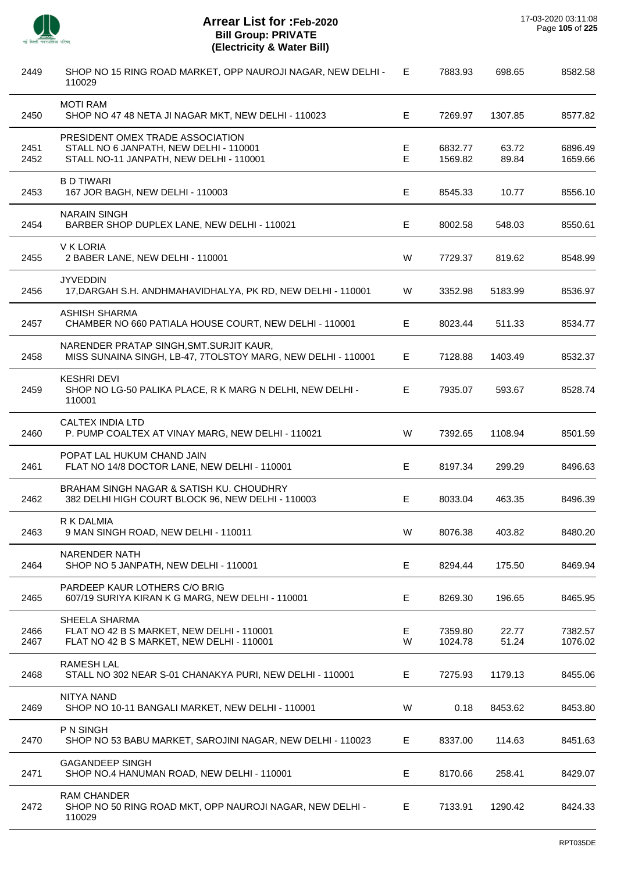| 2449         | SHOP NO 15 RING ROAD MARKET, OPP NAUROJI NAGAR, NEW DELHI -<br>110029                                                 | E      | 7883.93            | 698.65         | 8582.58            |
|--------------|-----------------------------------------------------------------------------------------------------------------------|--------|--------------------|----------------|--------------------|
| 2450         | <b>MOTI RAM</b><br>SHOP NO 47 48 NETA JI NAGAR MKT, NEW DELHI - 110023                                                | Е      | 7269.97            | 1307.85        | 8577.82            |
| 2451<br>2452 | PRESIDENT OMEX TRADE ASSOCIATION<br>STALL NO 6 JANPATH, NEW DELHI - 110001<br>STALL NO-11 JANPATH, NEW DELHI - 110001 | Е<br>E | 6832.77<br>1569.82 | 63.72<br>89.84 | 6896.49<br>1659.66 |
| 2453         | <b>B D TIWARI</b><br>167 JOR BAGH, NEW DELHI - 110003                                                                 | Е      | 8545.33            | 10.77          | 8556.10            |
| 2454         | <b>NARAIN SINGH</b><br>BARBER SHOP DUPLEX LANE, NEW DELHI - 110021                                                    | Е      | 8002.58            | 548.03         | 8550.61            |
| 2455         | V K LORIA<br>2 BABER LANE, NEW DELHI - 110001                                                                         | W      | 7729.37            | 819.62         | 8548.99            |
| 2456         | <b>JYVEDDIN</b><br>17, DARGAH S.H. ANDHMAHAVIDHALYA, PK RD, NEW DELHI - 110001                                        | W      | 3352.98            | 5183.99        | 8536.97            |
| 2457         | <b>ASHISH SHARMA</b><br>CHAMBER NO 660 PATIALA HOUSE COURT, NEW DELHI - 110001                                        | Е      | 8023.44            | 511.33         | 8534.77            |
| 2458         | NARENDER PRATAP SINGH, SMT. SURJIT KAUR,<br>MISS SUNAINA SINGH, LB-47, 7TOLSTOY MARG, NEW DELHI - 110001              | E      | 7128.88            | 1403.49        | 8532.37            |
| 2459         | <b>KESHRI DEVI</b><br>SHOP NO LG-50 PALIKA PLACE, R K MARG N DELHI, NEW DELHI -<br>110001                             | E      | 7935.07            | 593.67         | 8528.74            |
| 2460         | CALTEX INDIA LTD<br>P. PUMP COALTEX AT VINAY MARG, NEW DELHI - 110021                                                 | W      | 7392.65            | 1108.94        | 8501.59            |
| 2461         | POPAT LAL HUKUM CHAND JAIN<br>FLAT NO 14/8 DOCTOR LANE, NEW DELHI - 110001                                            | Е      | 8197.34            | 299.29         | 8496.63            |
| 2462         | BRAHAM SINGH NAGAR & SATISH KU. CHOUDHRY<br>382 DELHI HIGH COURT BLOCK 96, NEW DELHI - 110003                         | Е      | 8033.04            | 463.35         | 8496.39            |
| 2463         | R K DALMIA<br>9 MAN SINGH ROAD, NEW DELHI - 110011                                                                    | W      | 8076.38            | 403.82         | 8480.20            |
| 2464         | <b>NARENDER NATH</b><br>SHOP NO 5 JANPATH, NEW DELHI - 110001                                                         | Е      | 8294.44            | 175.50         | 8469.94            |
| 2465         | PARDEEP KAUR LOTHERS C/O BRIG<br>607/19 SURIYA KIRAN K G MARG, NEW DELHI - 110001                                     | Е      | 8269.30            | 196.65         | 8465.95            |
| 2466<br>2467 | SHEELA SHARMA<br>FLAT NO 42 B S MARKET, NEW DELHI - 110001<br>FLAT NO 42 B S MARKET, NEW DELHI - 110001               | Е<br>W | 7359.80<br>1024.78 | 22.77<br>51.24 | 7382.57<br>1076.02 |
| 2468         | <b>RAMESH LAL</b><br>STALL NO 302 NEAR S-01 CHANAKYA PURI, NEW DELHI - 110001                                         | E.     | 7275.93            | 1179.13        | 8455.06            |
| 2469         | NITYA NAND<br>SHOP NO 10-11 BANGALI MARKET, NEW DELHI - 110001                                                        | W      | 0.18               | 8453.62        | 8453.80            |
| 2470         | P N SINGH<br>SHOP NO 53 BABU MARKET, SAROJINI NAGAR, NEW DELHI - 110023                                               | Е      | 8337.00            | 114.63         | 8451.63            |
| 2471         | <b>GAGANDEEP SINGH</b><br>SHOP NO.4 HANUMAN ROAD, NEW DELHI - 110001                                                  | Е      | 8170.66            | 258.41         | 8429.07            |
| 2472         | <b>RAM CHANDER</b><br>SHOP NO 50 RING ROAD MKT, OPP NAUROJI NAGAR, NEW DELHI -<br>110029                              | Е      | 7133.91            | 1290.42        | 8424.33            |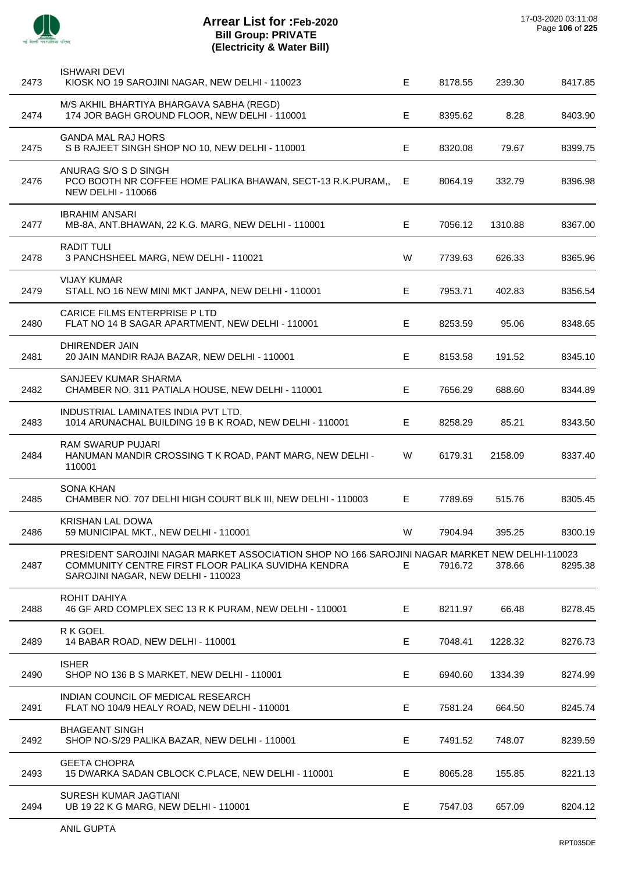| 2473 | <b>ISHWARI DEVI</b><br>KIOSK NO 19 SAROJINI NAGAR, NEW DELHI - 110023                                                                                                                      | E. | 8178.55 | 239.30  | 8417.85 |
|------|--------------------------------------------------------------------------------------------------------------------------------------------------------------------------------------------|----|---------|---------|---------|
| 2474 | M/S AKHIL BHARTIYA BHARGAVA SABHA (REGD)<br>174 JOR BAGH GROUND FLOOR, NEW DELHI - 110001                                                                                                  | Е  | 8395.62 | 8.28    | 8403.90 |
| 2475 | <b>GANDA MAL RAJ HORS</b><br>S B RAJEET SINGH SHOP NO 10, NEW DELHI - 110001                                                                                                               | Е  | 8320.08 | 79.67   | 8399.75 |
| 2476 | ANURAG S/O S D SINGH<br>PCO BOOTH NR COFFEE HOME PALIKA BHAWAN, SECT-13 R.K.PURAM,,<br><b>NEW DELHI - 110066</b>                                                                           | Е  | 8064.19 | 332.79  | 8396.98 |
| 2477 | <b>IBRAHIM ANSARI</b><br>MB-8A, ANT.BHAWAN, 22 K.G. MARG, NEW DELHI - 110001                                                                                                               | Е  | 7056.12 | 1310.88 | 8367.00 |
| 2478 | <b>RADIT TULI</b><br>3 PANCHSHEEL MARG, NEW DELHI - 110021                                                                                                                                 | W  | 7739.63 | 626.33  | 8365.96 |
| 2479 | <b>VIJAY KUMAR</b><br>STALL NO 16 NEW MINI MKT JANPA, NEW DELHI - 110001                                                                                                                   | Е  | 7953.71 | 402.83  | 8356.54 |
| 2480 | <b>CARICE FILMS ENTERPRISE PLTD</b><br>FLAT NO 14 B SAGAR APARTMENT, NEW DELHI - 110001                                                                                                    | Е  | 8253.59 | 95.06   | 8348.65 |
| 2481 | <b>DHIRENDER JAIN</b><br>20 JAIN MANDIR RAJA BAZAR, NEW DELHI - 110001                                                                                                                     | Е  | 8153.58 | 191.52  | 8345.10 |
| 2482 | SANJEEV KUMAR SHARMA<br>CHAMBER NO. 311 PATIALA HOUSE, NEW DELHI - 110001                                                                                                                  | Е  | 7656.29 | 688.60  | 8344.89 |
| 2483 | INDUSTRIAL LAMINATES INDIA PVT LTD.<br>1014 ARUNACHAL BUILDING 19 B K ROAD, NEW DELHI - 110001                                                                                             | Е  | 8258.29 | 85.21   | 8343.50 |
| 2484 | RAM SWARUP PUJARI<br>HANUMAN MANDIR CROSSING T K ROAD, PANT MARG, NEW DELHI -<br>110001                                                                                                    | W  | 6179.31 | 2158.09 | 8337.40 |
| 2485 | <b>SONA KHAN</b><br>CHAMBER NO. 707 DELHI HIGH COURT BLK III, NEW DELHI - 110003                                                                                                           | E. | 7789.69 | 515.76  | 8305.45 |
| 2486 | <b>KRISHAN LAL DOWA</b><br>59 MUNICIPAL MKT., NEW DELHI - 110001                                                                                                                           | W  | 7904.94 | 395.25  | 8300.19 |
| 2487 | PRESIDENT SAROJINI NAGAR MARKET ASSOCIATION SHOP NO 166 SAROJINI NAGAR MARKET NEW DELHI-110023<br>COMMUNITY CENTRE FIRST FLOOR PALIKA SUVIDHA KENDRA<br>SAROJINI NAGAR, NEW DELHI - 110023 | E. | 7916.72 | 378.66  | 8295.38 |
| 2488 | ROHIT DAHIYA<br>46 GF ARD COMPLEX SEC 13 R K PURAM, NEW DELHI - 110001                                                                                                                     | Е  | 8211.97 | 66.48   | 8278.45 |
| 2489 | R K GOEL<br>14 BABAR ROAD, NEW DELHI - 110001                                                                                                                                              | Е  | 7048.41 | 1228.32 | 8276.73 |
| 2490 | <b>ISHER</b><br>SHOP NO 136 B S MARKET, NEW DELHI - 110001                                                                                                                                 | Е  | 6940.60 | 1334.39 | 8274.99 |
| 2491 | INDIAN COUNCIL OF MEDICAL RESEARCH<br>FLAT NO 104/9 HEALY ROAD, NEW DELHI - 110001                                                                                                         | Е  | 7581.24 | 664.50  | 8245.74 |
| 2492 | <b>BHAGEANT SINGH</b><br>SHOP NO-S/29 PALIKA BAZAR, NEW DELHI - 110001                                                                                                                     | Е  | 7491.52 | 748.07  | 8239.59 |
| 2493 | <b>GEETA CHOPRA</b><br>15 DWARKA SADAN CBLOCK C.PLACE, NEW DELHI - 110001                                                                                                                  | Е  | 8065.28 | 155.85  | 8221.13 |
| 2494 | SURESH KUMAR JAGTIANI<br>UB 19 22 K G MARG, NEW DELHI - 110001                                                                                                                             | Е  | 7547.03 | 657.09  | 8204.12 |
|      |                                                                                                                                                                                            |    |         |         |         |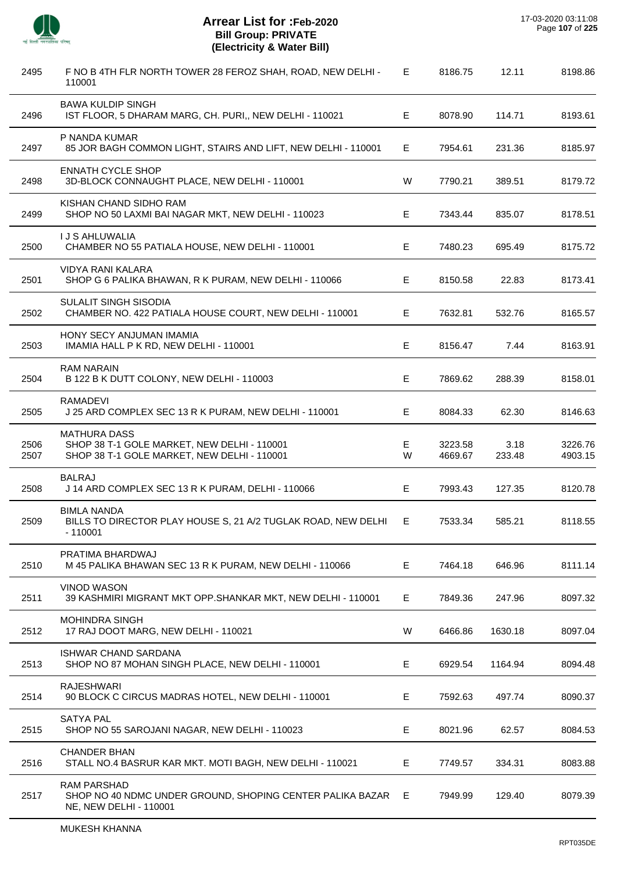

| 2495         | F NO B 4TH FLR NORTH TOWER 28 FEROZ SHAH, ROAD, NEW DELHI -<br>110001                                             | E.     | 8186.75            | 12.11          | 8198.86            |
|--------------|-------------------------------------------------------------------------------------------------------------------|--------|--------------------|----------------|--------------------|
| 2496         | <b>BAWA KULDIP SINGH</b><br>IST FLOOR, 5 DHARAM MARG, CH. PURI,, NEW DELHI - 110021                               | E.     | 8078.90            | 114.71         | 8193.61            |
| 2497         | P NANDA KUMAR<br>85 JOR BAGH COMMON LIGHT, STAIRS AND LIFT, NEW DELHI - 110001                                    | E.     | 7954.61            | 231.36         | 8185.97            |
| 2498         | <b>ENNATH CYCLE SHOP</b><br>3D-BLOCK CONNAUGHT PLACE, NEW DELHI - 110001                                          | W      | 7790.21            | 389.51         | 8179.72            |
| 2499         | KISHAN CHAND SIDHO RAM<br>SHOP NO 50 LAXMI BAI NAGAR MKT, NEW DELHI - 110023                                      | E.     | 7343.44            | 835.07         | 8178.51            |
| 2500         | <b>I J S AHLUWALIA</b><br>CHAMBER NO 55 PATIALA HOUSE, NEW DELHI - 110001                                         | Е      | 7480.23            | 695.49         | 8175.72            |
| 2501         | <b>VIDYA RANI KALARA</b><br>SHOP G 6 PALIKA BHAWAN, R K PURAM, NEW DELHI - 110066                                 | E      | 8150.58            | 22.83          | 8173.41            |
| 2502         | SULALIT SINGH SISODIA<br>CHAMBER NO. 422 PATIALA HOUSE COURT, NEW DELHI - 110001                                  | E.     | 7632.81            | 532.76         | 8165.57            |
| 2503         | HONY SECY ANJUMAN IMAMIA<br>IMAMIA HALL P K RD, NEW DELHI - 110001                                                | E      | 8156.47            | 7.44           | 8163.91            |
| 2504         | <b>RAM NARAIN</b><br>B 122 B K DUTT COLONY, NEW DELHI - 110003                                                    | Е      | 7869.62            | 288.39         | 8158.01            |
| 2505         | <b>RAMADEVI</b><br>J 25 ARD COMPLEX SEC 13 R K PURAM, NEW DELHI - 110001                                          | E      | 8084.33            | 62.30          | 8146.63            |
| 2506<br>2507 | <b>MATHURA DASS</b><br>SHOP 38 T-1 GOLE MARKET, NEW DELHI - 110001<br>SHOP 38 T-1 GOLE MARKET, NEW DELHI - 110001 | E<br>W | 3223.58<br>4669.67 | 3.18<br>233.48 | 3226.76<br>4903.15 |
| 2508         | <b>BALRAJ</b><br>J 14 ARD COMPLEX SEC 13 R K PURAM, DELHI - 110066                                                | E      | 7993.43            | 127.35         | 8120.78            |
| 2509         | <b>BIMLA NANDA</b><br>BILLS TO DIRECTOR PLAY HOUSE S, 21 A/2 TUGLAK ROAD, NEW DELHI<br>- 110001                   | E      | 7533.34            | 585.21         | 8118.55            |
| 2510         | PRATIMA BHARDWAJ<br>M 45 PALIKA BHAWAN SEC 13 R K PURAM, NEW DELHI - 110066                                       | E      | 7464.18            | 646.96         | 8111.14            |
| 2511         | <b>VINOD WASON</b><br>39 KASHMIRI MIGRANT MKT OPP.SHANKAR MKT, NEW DELHI - 110001                                 | Е      | 7849.36            | 247.96         | 8097.32            |
| 2512         | <b>MOHINDRA SINGH</b><br>17 RAJ DOOT MARG, NEW DELHI - 110021                                                     | W      | 6466.86            | 1630.18        | 8097.04            |
| 2513         | <b>ISHWAR CHAND SARDANA</b><br>SHOP NO 87 MOHAN SINGH PLACE, NEW DELHI - 110001                                   | E      | 6929.54            | 1164.94        | 8094.48            |
| 2514         | <b>RAJESHWARI</b><br>90 BLOCK C CIRCUS MADRAS HOTEL, NEW DELHI - 110001                                           | Е      | 7592.63            | 497.74         | 8090.37            |
| 2515         | <b>SATYA PAL</b><br>SHOP NO 55 SAROJANI NAGAR, NEW DELHI - 110023                                                 | E.     | 8021.96            | 62.57          | 8084.53            |
| 2516         | <b>CHANDER BHAN</b><br>STALL NO.4 BASRUR KAR MKT. MOTI BAGH, NEW DELHI - 110021                                   | Е      | 7749.57            | 334.31         | 8083.88            |
| 2517         | <b>RAM PARSHAD</b><br>SHOP NO 40 NDMC UNDER GROUND, SHOPING CENTER PALIKA BAZAR<br>NE, NEW DELHI - 110001         | E.     | 7949.99            | 129.40         | 8079.39            |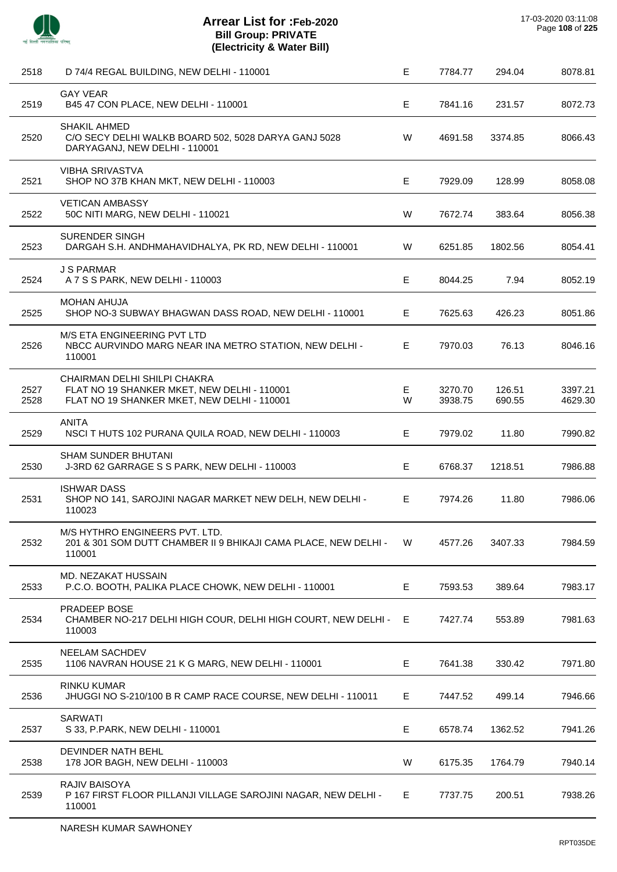

| 2518         | D 74/4 REGAL BUILDING, NEW DELHI - 110001                                                                                  | E      | 7784.77            | 294.04           | 8078.81            |
|--------------|----------------------------------------------------------------------------------------------------------------------------|--------|--------------------|------------------|--------------------|
| 2519         | <b>GAY VEAR</b><br>B45 47 CON PLACE, NEW DELHI - 110001                                                                    | Е      | 7841.16            | 231.57           | 8072.73            |
| 2520         | <b>SHAKIL AHMED</b><br>C/O SECY DELHI WALKB BOARD 502, 5028 DARYA GANJ 5028<br>DARYAGANJ, NEW DELHI - 110001               | W      | 4691.58            | 3374.85          | 8066.43            |
| 2521         | <b>VIBHA SRIVASTVA</b><br>SHOP NO 37B KHAN MKT, NEW DELHI - 110003                                                         | E      | 7929.09            | 128.99           | 8058.08            |
| 2522         | <b>VETICAN AMBASSY</b><br>50C NITI MARG, NEW DELHI - 110021                                                                | W      | 7672.74            | 383.64           | 8056.38            |
| 2523         | <b>SURENDER SINGH</b><br>DARGAH S.H. ANDHMAHAVIDHALYA, PK RD, NEW DELHI - 110001                                           | W      | 6251.85            | 1802.56          | 8054.41            |
| 2524         | <b>J S PARMAR</b><br>A 7 S S PARK, NEW DELHI - 110003                                                                      | E      | 8044.25            | 7.94             | 8052.19            |
| 2525         | <b>MOHAN AHUJA</b><br>SHOP NO-3 SUBWAY BHAGWAN DASS ROAD, NEW DELHI - 110001                                               | Е      | 7625.63            | 426.23           | 8051.86            |
| 2526         | M/S ETA ENGINEERING PVT LTD<br>NBCC AURVINDO MARG NEAR INA METRO STATION, NEW DELHI -<br>110001                            | E.     | 7970.03            | 76.13            | 8046.16            |
| 2527<br>2528 | CHAIRMAN DELHI SHILPI CHAKRA<br>FLAT NO 19 SHANKER MKET, NEW DELHI - 110001<br>FLAT NO 19 SHANKER MKET, NEW DELHI - 110001 | E<br>W | 3270.70<br>3938.75 | 126.51<br>690.55 | 3397.21<br>4629.30 |
| 2529         | <b>ANITA</b><br>NSCI THUTS 102 PURANA QUILA ROAD, NEW DELHI - 110003                                                       | E      | 7979.02            | 11.80            | 7990.82            |
| 2530         | <b>SHAM SUNDER BHUTANI</b><br>J-3RD 62 GARRAGE S S PARK, NEW DELHI - 110003                                                | Е      | 6768.37            | 1218.51          | 7986.88            |
| 2531         | <b>ISHWAR DASS</b><br>SHOP NO 141, SAROJINI NAGAR MARKET NEW DELH, NEW DELHI -<br>110023                                   | E.     | 7974.26            | 11.80            | 7986.06            |
| 2532         | M/S HYTHRO ENGINEERS PVT. LTD.<br>201 & 301 SOM DUTT CHAMBER II 9 BHIKAJI CAMA PLACE, NEW DELHI -<br>110001                | W      | 4577.26            | 3407.33          | 7984.59            |
| 2533         | MD. NEZAKAT HUSSAIN<br>P.C.O. BOOTH, PALIKA PLACE CHOWK, NEW DELHI - 110001                                                | Е      | 7593.53            | 389.64           | 7983.17            |
| 2534         | PRADEEP BOSE<br>CHAMBER NO-217 DELHI HIGH COUR, DELHI HIGH COURT, NEW DELHI - E<br>110003                                  |        | 7427.74            | 553.89           | 7981.63            |
| 2535         | <b>NEELAM SACHDEV</b><br>1106 NAVRAN HOUSE 21 K G MARG, NEW DELHI - 110001                                                 | E      | 7641.38            | 330.42           | 7971.80            |
| 2536         | <b>RINKU KUMAR</b><br>JHUGGI NO S-210/100 B R CAMP RACE COURSE, NEW DELHI - 110011                                         | E.     | 7447.52            | 499.14           | 7946.66            |
| 2537         | <b>SARWATI</b><br>S 33, P.PARK, NEW DELHI - 110001                                                                         | Е      | 6578.74            | 1362.52          | 7941.26            |
| 2538         | DEVINDER NATH BEHL<br>178 JOR BAGH, NEW DELHI - 110003                                                                     | W      | 6175.35            | 1764.79          | 7940.14            |
| 2539         | RAJIV BAISOYA<br>P 167 FIRST FLOOR PILLANJI VILLAGE SAROJINI NAGAR, NEW DELHI -<br>110001                                  | E      | 7737.75            | 200.51           | 7938.26            |
|              |                                                                                                                            |        |                    |                  |                    |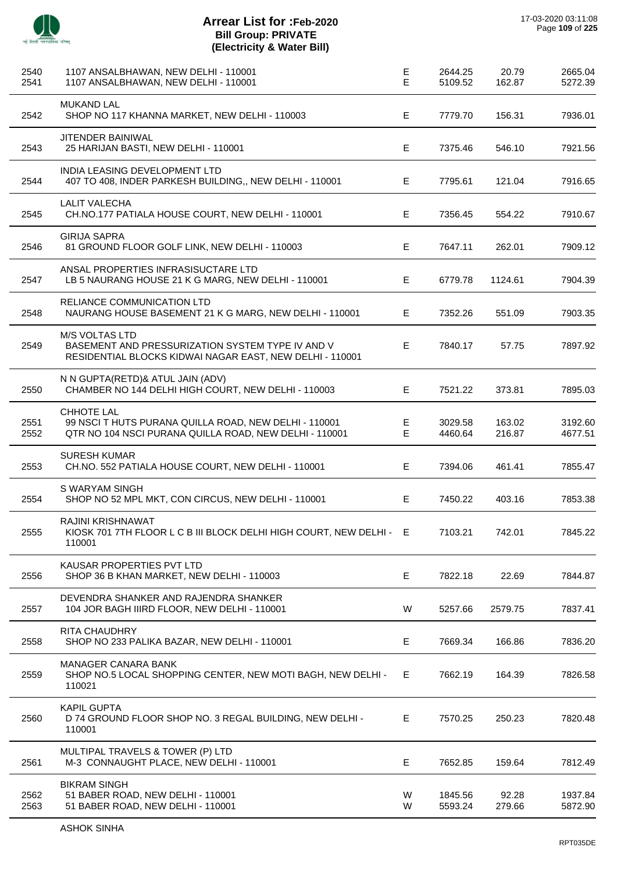

J.

J.

J.

J.

j.

 $\overline{a}$ 

 $\overline{\phantom{a}}$ 

| 2540<br>2541 | 1107 ANSALBHAWAN, NEW DELHI - 110001<br>1107 ANSALBHAWAN, NEW DELHI - 110001                                                          | E<br>E  | 2644.25<br>5109.52 | 20.79<br>162.87  | 2665.04<br>5272.39 |
|--------------|---------------------------------------------------------------------------------------------------------------------------------------|---------|--------------------|------------------|--------------------|
| 2542         | <b>MUKAND LAL</b><br>SHOP NO 117 KHANNA MARKET, NEW DELHI - 110003                                                                    | E       | 7779.70            | 156.31           | 7936.01            |
| 2543         | <b>JITENDER BAINIWAL</b><br>25 HARIJAN BASTI, NEW DELHI - 110001                                                                      | E       | 7375.46            | 546.10           | 7921.56            |
| 2544         | INDIA LEASING DEVELOPMENT LTD<br>407 TO 408, INDER PARKESH BUILDING,, NEW DELHI - 110001                                              | Е       | 7795.61            | 121.04           | 7916.65            |
| 2545         | <b>LALIT VALECHA</b><br>CH.NO.177 PATIALA HOUSE COURT, NEW DELHI - 110001                                                             | E       | 7356.45            | 554.22           | 7910.67            |
| 2546         | <b>GIRIJA SAPRA</b><br>81 GROUND FLOOR GOLF LINK, NEW DELHI - 110003                                                                  | E       | 7647.11            | 262.01           | 7909.12            |
| 2547         | ANSAL PROPERTIES INFRASISUCTARE LTD<br>LB 5 NAURANG HOUSE 21 K G MARG, NEW DELHI - 110001                                             | Е       | 6779.78            | 1124.61          | 7904.39            |
| 2548         | RELIANCE COMMUNICATION LTD<br>NAURANG HOUSE BASEMENT 21 K G MARG, NEW DELHI - 110001                                                  | E       | 7352.26            | 551.09           | 7903.35            |
| 2549         | <b>M/S VOLTAS LTD</b><br>BASEMENT AND PRESSURIZATION SYSTEM TYPE IV AND V<br>RESIDENTIAL BLOCKS KIDWAI NAGAR EAST, NEW DELHI - 110001 | E       | 7840.17            | 57.75            | 7897.92            |
| 2550         | N N GUPTA(RETD)& ATUL JAIN (ADV)<br>CHAMBER NO 144 DELHI HIGH COURT, NEW DELHI - 110003                                               | E       | 7521.22            | 373.81           | 7895.03            |
| 2551<br>2552 | CHHOTE LAL<br>99 NSCI T HUTS PURANA QUILLA ROAD, NEW DELHI - 110001<br>QTR NO 104 NSCI PURANA QUILLA ROAD, NEW DELHI - 110001         | E.<br>Е | 3029.58<br>4460.64 | 163.02<br>216.87 | 3192.60<br>4677.51 |
| 2553         | <b>SURESH KUMAR</b><br>CH.NO. 552 PATIALA HOUSE COURT, NEW DELHI - 110001                                                             | E       | 7394.06            | 461.41           | 7855.47            |
| 2554         | S WARYAM SINGH<br>SHOP NO 52 MPL MKT, CON CIRCUS, NEW DELHI - 110001                                                                  | E       | 7450.22            | 403.16           | 7853.38            |
| 2555         | <b>RAJINI KRISHNAWAT</b><br>KIOSK 701 7TH FLOOR L C B III BLOCK DELHI HIGH COURT, NEW DELHI - E<br>110001                             |         | 7103.21            | 742.01           | 7845.22            |
| 2556         | KAUSAR PROPERTIES PVT LTD<br>SHOP 36 B KHAN MARKET, NEW DELHI - 110003                                                                | Е       | 7822.18            | 22.69            | 7844.87            |
| 2557         | DEVENDRA SHANKER AND RAJENDRA SHANKER<br>104 JOR BAGH IIIRD FLOOR, NEW DELHI - 110001                                                 | W       | 5257.66            | 2579.75          | 7837.41            |
| 2558         | <b>RITA CHAUDHRY</b><br>SHOP NO 233 PALIKA BAZAR, NEW DELHI - 110001                                                                  | Е       | 7669.34            | 166.86           | 7836.20            |
| 2559         | MANAGER CANARA BANK<br>SHOP NO.5 LOCAL SHOPPING CENTER, NEW MOTI BAGH, NEW DELHI -<br>110021                                          | E       | 7662.19            | 164.39           | 7826.58            |
| 2560         | <b>KAPIL GUPTA</b><br>D 74 GROUND FLOOR SHOP NO. 3 REGAL BUILDING, NEW DELHI -<br>110001                                              | E.      | 7570.25            | 250.23           | 7820.48            |
| 2561         | MULTIPAL TRAVELS & TOWER (P) LTD<br>M-3 CONNAUGHT PLACE, NEW DELHI - 110001                                                           | E       | 7652.85            | 159.64           | 7812.49            |
| 2562<br>2563 | <b>BIKRAM SINGH</b><br>51 BABER ROAD, NEW DELHI - 110001<br>51 BABER ROAD, NEW DELHI - 110001                                         | W<br>W  | 1845.56<br>5593.24 | 92.28<br>279.66  | 1937.84<br>5872.90 |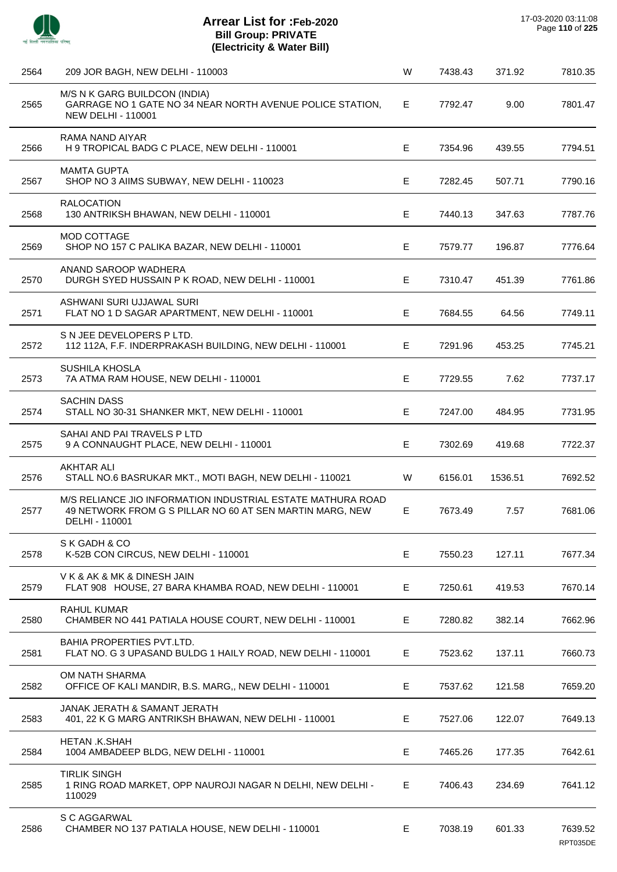

| 2564 | 209 JOR BAGH, NEW DELHI - 110003                                                                                                          | W | 7438.43 | 371.92  | 7810.35             |
|------|-------------------------------------------------------------------------------------------------------------------------------------------|---|---------|---------|---------------------|
| 2565 | M/S N K GARG BUILDCON (INDIA)<br>GARRAGE NO 1 GATE NO 34 NEAR NORTH AVENUE POLICE STATION,<br><b>NEW DELHI - 110001</b>                   | Е | 7792.47 | 9.00    | 7801.47             |
| 2566 | RAMA NAND AIYAR<br>H 9 TROPICAL BADG C PLACE, NEW DELHI - 110001                                                                          | Е | 7354.96 | 439.55  | 7794.51             |
| 2567 | <b>MAMTA GUPTA</b><br>SHOP NO 3 AIIMS SUBWAY, NEW DELHI - 110023                                                                          | Е | 7282.45 | 507.71  | 7790.16             |
| 2568 | <b>RALOCATION</b><br>130 ANTRIKSH BHAWAN, NEW DELHI - 110001                                                                              | Е | 7440.13 | 347.63  | 7787.76             |
| 2569 | MOD COTTAGE<br>SHOP NO 157 C PALIKA BAZAR, NEW DELHI - 110001                                                                             | Е | 7579.77 | 196.87  | 7776.64             |
| 2570 | ANAND SAROOP WADHERA<br>DURGH SYED HUSSAIN P K ROAD, NEW DELHI - 110001                                                                   | Е | 7310.47 | 451.39  | 7761.86             |
| 2571 | ASHWANI SURI UJJAWAL SURI<br>FLAT NO 1 D SAGAR APARTMENT, NEW DELHI - 110001                                                              | Е | 7684.55 | 64.56   | 7749.11             |
| 2572 | S N JEE DEVELOPERS P LTD.<br>112 112A, F.F. INDERPRAKASH BUILDING, NEW DELHI - 110001                                                     | Е | 7291.96 | 453.25  | 7745.21             |
| 2573 | SUSHILA KHOSLA<br>7A ATMA RAM HOUSE, NEW DELHI - 110001                                                                                   | E | 7729.55 | 7.62    | 7737.17             |
| 2574 | <b>SACHIN DASS</b><br>STALL NO 30-31 SHANKER MKT, NEW DELHI - 110001                                                                      | Е | 7247.00 | 484.95  | 7731.95             |
| 2575 | SAHAI AND PAI TRAVELS P LTD<br>9 A CONNAUGHT PLACE, NEW DELHI - 110001                                                                    | Е | 7302.69 | 419.68  | 7722.37             |
| 2576 | <b>AKHTAR ALI</b><br>STALL NO.6 BASRUKAR MKT., MOTI BAGH, NEW DELHI - 110021                                                              | W | 6156.01 | 1536.51 | 7692.52             |
| 2577 | M/S RELIANCE JIO INFORMATION INDUSTRIAL ESTATE MATHURA ROAD<br>49 NETWORK FROM G S PILLAR NO 60 AT SEN MARTIN MARG, NEW<br>DELHI - 110001 | Е | 7673.49 | 7.57    | 7681.06             |
| 2578 | S K GADH & CO<br>K-52B CON CIRCUS, NEW DELHI - 110001                                                                                     | Е | 7550.23 | 127.11  | 7677.34             |
| 2579 | V K & AK & MK & DINESH JAIN<br>FLAT 908 HOUSE, 27 BARA KHAMBA ROAD, NEW DELHI - 110001                                                    | Е | 7250.61 | 419.53  | 7670.14             |
| 2580 | <b>RAHUL KUMAR</b><br>CHAMBER NO 441 PATIALA HOUSE COURT, NEW DELHI - 110001                                                              | Е | 7280.82 | 382.14  | 7662.96             |
| 2581 | BAHIA PROPERTIES PVT.LTD.<br>FLAT NO. G 3 UPASAND BULDG 1 HAILY ROAD, NEW DELHI - 110001                                                  | Е | 7523.62 | 137.11  | 7660.73             |
| 2582 | OM NATH SHARMA<br>OFFICE OF KALI MANDIR, B.S. MARG,, NEW DELHI - 110001                                                                   | Е | 7537.62 | 121.58  | 7659.20             |
| 2583 | JANAK JERATH & SAMANT JERATH<br>401, 22 K G MARG ANTRIKSH BHAWAN, NEW DELHI - 110001                                                      | Е | 7527.06 | 122.07  | 7649.13             |
| 2584 | HETAN .K.SHAH<br>1004 AMBADEEP BLDG, NEW DELHI - 110001                                                                                   | Е | 7465.26 | 177.35  | 7642.61             |
| 2585 | <b>TIRLIK SINGH</b><br>1 RING ROAD MARKET, OPP NAUROJI NAGAR N DELHI, NEW DELHI -<br>110029                                               | Е | 7406.43 | 234.69  | 7641.12             |
| 2586 | S C AGGARWAL<br>CHAMBER NO 137 PATIALA HOUSE, NEW DELHI - 110001                                                                          | Е | 7038.19 | 601.33  | 7639.52<br>RPT035DE |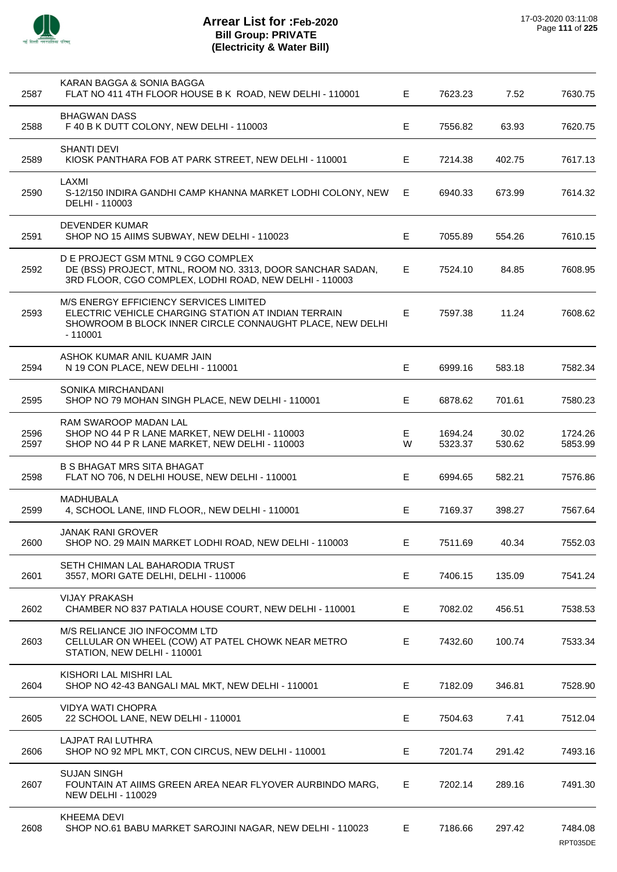

| 2587         | KARAN BAGGA & SONIA BAGGA<br>FLAT NO 411 4TH FLOOR HOUSE B K ROAD, NEW DELHI - 110001                                                                                  | E.      | 7623.23            | 7.52            | 7630.75             |
|--------------|------------------------------------------------------------------------------------------------------------------------------------------------------------------------|---------|--------------------|-----------------|---------------------|
| 2588         | <b>BHAGWAN DASS</b><br>F 40 B K DUTT COLONY, NEW DELHI - 110003                                                                                                        | E.      | 7556.82            | 63.93           | 7620.75             |
| 2589         | <b>SHANTI DEVI</b><br>KIOSK PANTHARA FOB AT PARK STREET, NEW DELHI - 110001                                                                                            | E.      | 7214.38            | 402.75          | 7617.13             |
| 2590         | LAXMI<br>S-12/150 INDIRA GANDHI CAMP KHANNA MARKET LODHI COLONY, NEW<br>DELHI - 110003                                                                                 | E.      | 6940.33            | 673.99          | 7614.32             |
| 2591         | <b>DEVENDER KUMAR</b><br>SHOP NO 15 AIIMS SUBWAY, NEW DELHI - 110023                                                                                                   | E       | 7055.89            | 554.26          | 7610.15             |
| 2592         | D E PROJECT GSM MTNL 9 CGO COMPLEX<br>DE (BSS) PROJECT, MTNL, ROOM NO. 3313, DOOR SANCHAR SADAN,<br>3RD FLOOR, CGO COMPLEX, LODHI ROAD, NEW DELHI - 110003             | E       | 7524.10            | 84.85           | 7608.95             |
| 2593         | M/S ENERGY EFFICIENCY SERVICES LIMITED<br>ELECTRIC VEHICLE CHARGING STATION AT INDIAN TERRAIN<br>SHOWROOM B BLOCK INNER CIRCLE CONNAUGHT PLACE, NEW DELHI<br>$-110001$ | E.      | 7597.38            | 11.24           | 7608.62             |
| 2594         | ASHOK KUMAR ANIL KUAMR JAIN<br>N 19 CON PLACE, NEW DELHI - 110001                                                                                                      | E.      | 6999.16            | 583.18          | 7582.34             |
| 2595         | SONIKA MIRCHANDANI<br>SHOP NO 79 MOHAN SINGH PLACE, NEW DELHI - 110001                                                                                                 | E.      | 6878.62            | 701.61          | 7580.23             |
| 2596<br>2597 | RAM SWAROOP MADAN LAL<br>SHOP NO 44 P R LANE MARKET, NEW DELHI - 110003<br>SHOP NO 44 P R LANE MARKET, NEW DELHI - 110003                                              | E.<br>W | 1694.24<br>5323.37 | 30.02<br>530.62 | 1724.26<br>5853.99  |
| 2598         | <b>B S BHAGAT MRS SITA BHAGAT</b><br>FLAT NO 706, N DELHI HOUSE, NEW DELHI - 110001                                                                                    | E       | 6994.65            | 582.21          | 7576.86             |
| 2599         | MADHUBALA<br>4, SCHOOL LANE, IIND FLOOR,, NEW DELHI - 110001                                                                                                           | E.      | 7169.37            | 398.27          | 7567.64             |
| 2600         | <b>JANAK RANI GROVER</b><br>SHOP NO. 29 MAIN MARKET LODHI ROAD, NEW DELHI - 110003                                                                                     | Е       | 7511.69            | 40.34           | 7552.03             |
| 2601         | SETH CHIMAN LAL BAHARODIA TRUST<br>3557, MORI GATE DELHI, DELHI - 110006                                                                                               | E       | 7406.15            | 135.09          | 7541.24             |
| 2602         | <b>VIJAY PRAKASH</b><br>CHAMBER NO 837 PATIALA HOUSE COURT, NEW DELHI - 110001                                                                                         | E.      | 7082.02            | 456.51          | 7538.53             |
| 2603         | M/S RELIANCE JIO INFOCOMM LTD<br>CELLULAR ON WHEEL (COW) AT PATEL CHOWK NEAR METRO<br>STATION, NEW DELHI - 110001                                                      | E.      | 7432.60            | 100.74          | 7533.34             |
| 2604         | KISHORI LAL MISHRI LAL<br>SHOP NO 42-43 BANGALI MAL MKT, NEW DELHI - 110001                                                                                            | E       | 7182.09            | 346.81          | 7528.90             |
| 2605         | <b>VIDYA WATI CHOPRA</b><br>22 SCHOOL LANE, NEW DELHI - 110001                                                                                                         | E.      | 7504.63            | 7.41            | 7512.04             |
| 2606         | LAJPAT RAI LUTHRA<br>SHOP NO 92 MPL MKT, CON CIRCUS, NEW DELHI - 110001                                                                                                | Е       | 7201.74            | 291.42          | 7493.16             |
| 2607         | <b>SUJAN SINGH</b><br>FOUNTAIN AT AIIMS GREEN AREA NEAR FLYOVER AURBINDO MARG,<br><b>NEW DELHI - 110029</b>                                                            | E.      | 7202.14            | 289.16          | 7491.30             |
| 2608         | <b>KHEEMA DEVI</b><br>SHOP NO.61 BABU MARKET SAROJINI NAGAR, NEW DELHI - 110023                                                                                        | E.      | 7186.66            | 297.42          | 7484.08<br>RPT035DE |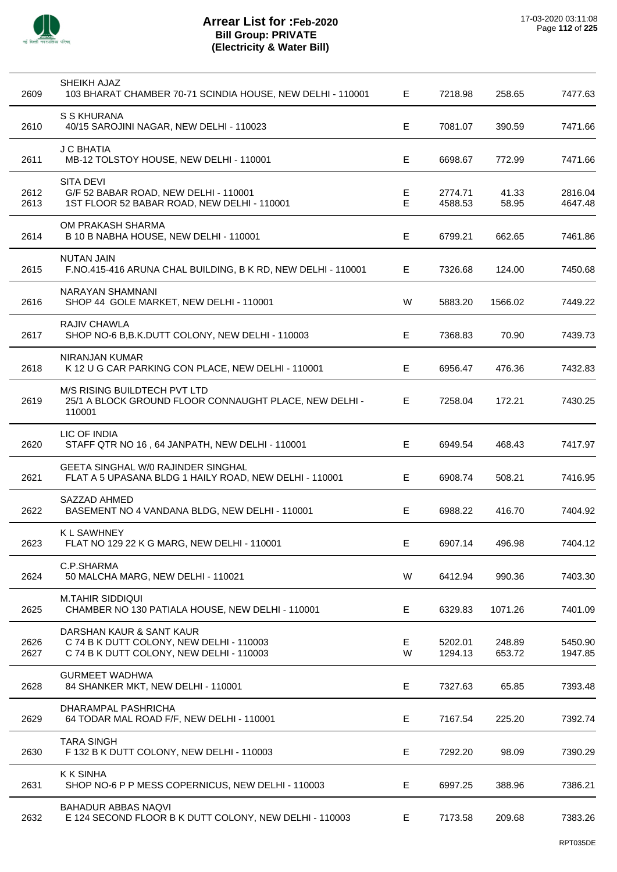

| 2609         | SHEIKH AJAZ<br>103 BHARAT CHAMBER 70-71 SCINDIA HOUSE, NEW DELHI - 110001                                        | E      | 7218.98            | 258.65           | 7477.63            |
|--------------|------------------------------------------------------------------------------------------------------------------|--------|--------------------|------------------|--------------------|
| 2610         | S S KHURANA<br>40/15 SAROJINI NAGAR, NEW DELHI - 110023                                                          | Е      | 7081.07            | 390.59           | 7471.66            |
| 2611         | <b>J C BHATIA</b><br>MB-12 TOLSTOY HOUSE, NEW DELHI - 110001                                                     | E      | 6698.67            | 772.99           | 7471.66            |
| 2612<br>2613 | <b>SITA DEVI</b><br>G/F 52 BABAR ROAD, NEW DELHI - 110001<br>1ST FLOOR 52 BABAR ROAD, NEW DELHI - 110001         | Е<br>E | 2774.71<br>4588.53 | 41.33<br>58.95   | 2816.04<br>4647.48 |
| 2614         | OM PRAKASH SHARMA<br>B 10 B NABHA HOUSE, NEW DELHI - 110001                                                      | Е      | 6799.21            | 662.65           | 7461.86            |
| 2615         | <b>NUTAN JAIN</b><br>F.NO.415-416 ARUNA CHAL BUILDING, B K RD, NEW DELHI - 110001                                | E      | 7326.68            | 124.00           | 7450.68            |
| 2616         | <b>NARAYAN SHAMNANI</b><br>SHOP 44 GOLE MARKET, NEW DELHI - 110001                                               | W      | 5883.20            | 1566.02          | 7449.22            |
| 2617         | <b>RAJIV CHAWLA</b><br>SHOP NO-6 B, B.K.DUTT COLONY, NEW DELHI - 110003                                          | Е      | 7368.83            | 70.90            | 7439.73            |
| 2618         | NIRANJAN KUMAR<br>K 12 U G CAR PARKING CON PLACE, NEW DELHI - 110001                                             | Е      | 6956.47            | 476.36           | 7432.83            |
| 2619         | M/S RISING BUILDTECH PVT LTD<br>25/1 A BLOCK GROUND FLOOR CONNAUGHT PLACE, NEW DELHI -<br>110001                 | Е      | 7258.04            | 172.21           | 7430.25            |
| 2620         | LIC OF INDIA<br>STAFF QTR NO 16, 64 JANPATH, NEW DELHI - 110001                                                  | E      | 6949.54            | 468.43           | 7417.97            |
| 2621         | <b>GEETA SINGHAL W/0 RAJINDER SINGHAL</b><br>FLAT A 5 UPASANA BLDG 1 HAILY ROAD, NEW DELHI - 110001              | E      | 6908.74            | 508.21           | 7416.95            |
| 2622         | SAZZAD AHMED<br>BASEMENT NO 4 VANDANA BLDG, NEW DELHI - 110001                                                   | Е      | 6988.22            | 416.70           | 7404.92            |
| 2623         | K L SAWHNEY<br>FLAT NO 129 22 K G MARG, NEW DELHI - 110001                                                       | E      | 6907.14            | 496.98           | 7404.12            |
| 2624         | C.P.SHARMA<br>50 MALCHA MARG, NEW DELHI - 110021                                                                 | W      | 6412.94            | 990.36           | 7403.30            |
| 2625         | <b>M.TAHIR SIDDIQUI</b><br>CHAMBER NO 130 PATIALA HOUSE, NEW DELHI - 110001                                      | E      | 6329.83            | 1071.26          | 7401.09            |
| 2626<br>2627 | DARSHAN KAUR & SANT KAUR<br>C 74 B K DUTT COLONY, NEW DELHI - 110003<br>C 74 B K DUTT COLONY, NEW DELHI - 110003 | Е<br>W | 5202.01<br>1294.13 | 248.89<br>653.72 | 5450.90<br>1947.85 |
| 2628         | <b>GURMEET WADHWA</b><br>84 SHANKER MKT, NEW DELHI - 110001                                                      | Е      | 7327.63            | 65.85            | 7393.48            |
| 2629         | DHARAMPAL PASHRICHA<br>64 TODAR MAL ROAD F/F, NEW DELHI - 110001                                                 | E      | 7167.54            | 225.20           | 7392.74            |
| 2630         | <b>TARA SINGH</b><br>F 132 B K DUTT COLONY, NEW DELHI - 110003                                                   | E      | 7292.20            | 98.09            | 7390.29            |
| 2631         | <b>K K SINHA</b><br>SHOP NO-6 P P MESS COPERNICUS, NEW DELHI - 110003                                            | Е      | 6997.25            | 388.96           | 7386.21            |
| 2632         | <b>BAHADUR ABBAS NAQVI</b><br>E 124 SECOND FLOOR B K DUTT COLONY, NEW DELHI - 110003                             | E      | 7173.58            | 209.68           | 7383.26            |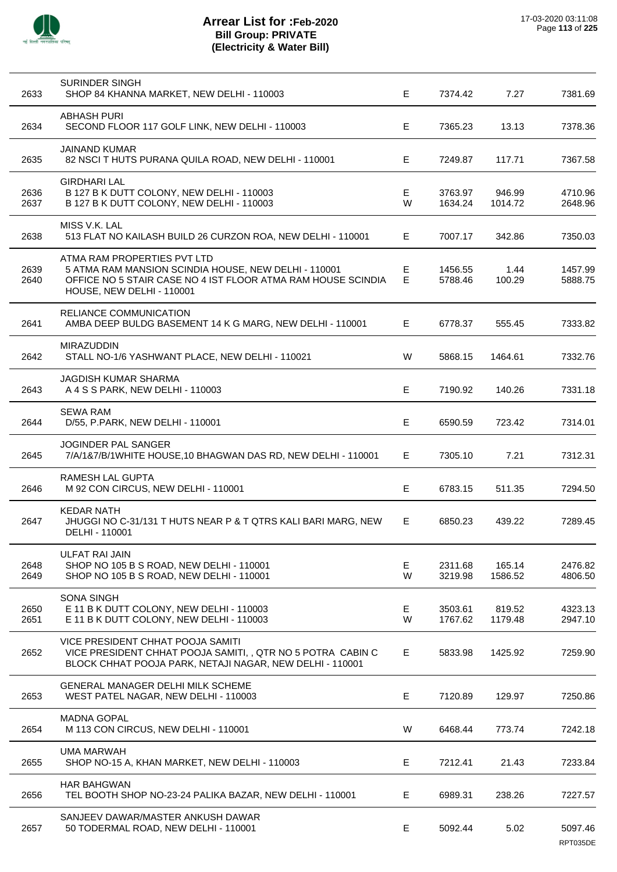

| 2633         | SURINDER SINGH<br>SHOP 84 KHANNA MARKET, NEW DELHI - 110003                                                                                                                      | E.      | 7374.42            | 7.27              | 7381.69             |
|--------------|----------------------------------------------------------------------------------------------------------------------------------------------------------------------------------|---------|--------------------|-------------------|---------------------|
| 2634         | <b>ABHASH PURI</b><br>SECOND FLOOR 117 GOLF LINK, NEW DELHI - 110003                                                                                                             | Е       | 7365.23            | 13.13             | 7378.36             |
| 2635         | <b>JAINAND KUMAR</b><br>82 NSCI T HUTS PURANA QUILA ROAD, NEW DELHI - 110001                                                                                                     | E.      | 7249.87            | 117.71            | 7367.58             |
| 2636<br>2637 | <b>GIRDHARI LAL</b><br>B 127 B K DUTT COLONY, NEW DELHI - 110003<br>B 127 B K DUTT COLONY, NEW DELHI - 110003                                                                    | E<br>W  | 3763.97<br>1634.24 | 946.99<br>1014.72 | 4710.96<br>2648.96  |
| 2638         | MISS V.K. LAL<br>513 FLAT NO KAILASH BUILD 26 CURZON ROA, NEW DELHI - 110001                                                                                                     | E.      | 7007.17            | 342.86            | 7350.03             |
| 2639<br>2640 | ATMA RAM PROPERTIES PVT LTD<br>5 ATMA RAM MANSION SCINDIA HOUSE, NEW DELHI - 110001<br>OFFICE NO 5 STAIR CASE NO 4 IST FLOOR ATMA RAM HOUSE SCINDIA<br>HOUSE, NEW DELHI - 110001 | Е<br>E  | 1456.55<br>5788.46 | 1.44<br>100.29    | 1457.99<br>5888.75  |
| 2641         | RELIANCE COMMUNICATION<br>AMBA DEEP BULDG BASEMENT 14 K G MARG, NEW DELHI - 110001                                                                                               | E.      | 6778.37            | 555.45            | 7333.82             |
| 2642         | <b>MIRAZUDDIN</b><br>STALL NO-1/6 YASHWANT PLACE, NEW DELHI - 110021                                                                                                             | W       | 5868.15            | 1464.61           | 7332.76             |
| 2643         | <b>JAGDISH KUMAR SHARMA</b><br>A 4 S S PARK, NEW DELHI - 110003                                                                                                                  | E       | 7190.92            | 140.26            | 7331.18             |
| 2644         | <b>SEWA RAM</b><br>D/55, P.PARK, NEW DELHI - 110001                                                                                                                              | E       | 6590.59            | 723.42            | 7314.01             |
| 2645         | JOGINDER PAL SANGER<br>7/A/1&7/B/1WHITE HOUSE, 10 BHAGWAN DAS RD, NEW DELHI - 110001                                                                                             | E.      | 7305.10            | 7.21              | 7312.31             |
| 2646         | <b>RAMESH LAL GUPTA</b><br>M 92 CON CIRCUS, NEW DELHI - 110001                                                                                                                   | E.      | 6783.15            | 511.35            | 7294.50             |
| 2647         | <b>KEDAR NATH</b><br>JHUGGI NO C-31/131 T HUTS NEAR P & T QTRS KALI BARI MARG, NEW<br>DELHI - 110001                                                                             | E       | 6850.23            | 439.22            | 7289.45             |
| 2648<br>2649 | ULFAT RAI JAIN<br>SHOP NO 105 B S ROAD, NEW DELHI - 110001<br>SHOP NO 105 B S ROAD, NEW DELHI - 110001                                                                           | E.<br>W | 2311.68<br>3219.98 | 165.14<br>1586.52 | 2476.82<br>4806.50  |
| 2650<br>2651 | <b>SONA SINGH</b><br>E 11 B K DUTT COLONY, NEW DELHI - 110003<br>E 11 B K DUTT COLONY, NEW DELHI - 110003                                                                        | Е<br>W  | 3503.61<br>1767.62 | 819.52<br>1179.48 | 4323.13<br>2947.10  |
| 2652         | VICE PRESIDENT CHHAT POOJA SAMITI<br>VICE PRESIDENT CHHAT POOJA SAMITI,, QTR NO 5 POTRA CABIN C<br>BLOCK CHHAT POOJA PARK, NETAJI NAGAR, NEW DELHI - 110001                      | E.      | 5833.98            | 1425.92           | 7259.90             |
| 2653         | GENERAL MANAGER DELHI MILK SCHEME<br>WEST PATEL NAGAR, NEW DELHI - 110003                                                                                                        | E       | 7120.89            | 129.97            | 7250.86             |
| 2654         | <b>MADNA GOPAL</b><br>M 113 CON CIRCUS, NEW DELHI - 110001                                                                                                                       | W       | 6468.44            | 773.74            | 7242.18             |
| 2655         | <b>UMA MARWAH</b><br>SHOP NO-15 A, KHAN MARKET, NEW DELHI - 110003                                                                                                               | E.      | 7212.41            | 21.43             | 7233.84             |
| 2656         | <b>HAR BAHGWAN</b><br>TEL BOOTH SHOP NO-23-24 PALIKA BAZAR, NEW DELHI - 110001                                                                                                   | Е       | 6989.31            | 238.26            | 7227.57             |
| 2657         | SANJEEV DAWAR/MASTER ANKUSH DAWAR<br>50 TODERMAL ROAD, NEW DELHI - 110001                                                                                                        | E       | 5092.44            | 5.02              | 5097.46<br>RPT035DE |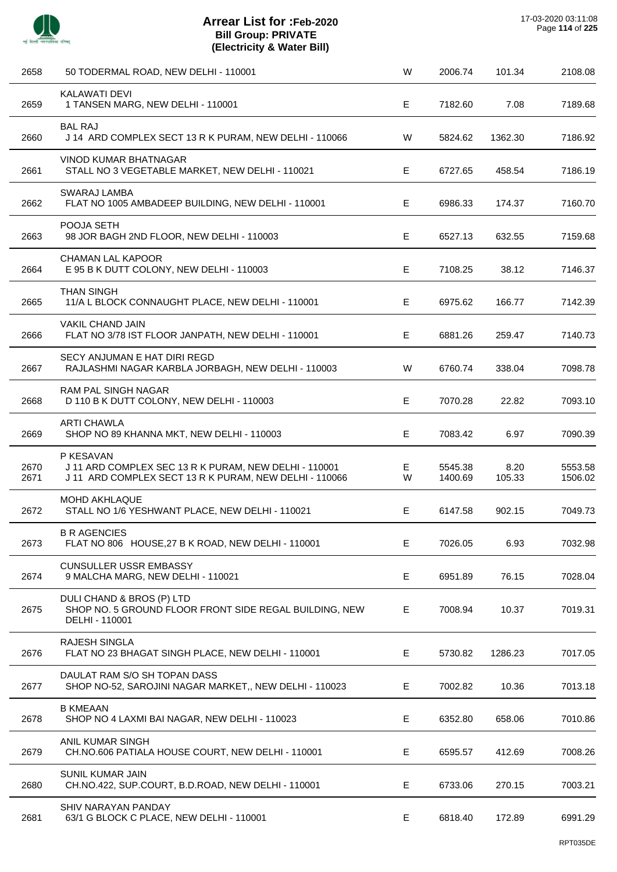

| 2658         | 50 TODERMAL ROAD, NEW DELHI - 110001                                                                                         | W      | 2006.74            | 101.34         | 2108.08            |
|--------------|------------------------------------------------------------------------------------------------------------------------------|--------|--------------------|----------------|--------------------|
| 2659         | <b>KALAWATI DEVI</b><br>1 TANSEN MARG, NEW DELHI - 110001                                                                    | Е      | 7182.60            | 7.08           | 7189.68            |
| 2660         | <b>BAL RAJ</b><br>J 14 ARD COMPLEX SECT 13 R K PURAM, NEW DELHI - 110066                                                     | W      | 5824.62            | 1362.30        | 7186.92            |
| 2661         | VINOD KUMAR BHATNAGAR<br>STALL NO 3 VEGETABLE MARKET, NEW DELHI - 110021                                                     | Е      | 6727.65            | 458.54         | 7186.19            |
| 2662         | SWARAJ LAMBA<br>FLAT NO 1005 AMBADEEP BUILDING, NEW DELHI - 110001                                                           | Е      | 6986.33            | 174.37         | 7160.70            |
| 2663         | POOJA SETH<br>98 JOR BAGH 2ND FLOOR, NEW DELHI - 110003                                                                      | Е      | 6527.13            | 632.55         | 7159.68            |
| 2664         | <b>CHAMAN LAL KAPOOR</b><br>E 95 B K DUTT COLONY, NEW DELHI - 110003                                                         | Е      | 7108.25            | 38.12          | 7146.37            |
| 2665         | <b>THAN SINGH</b><br>11/A L BLOCK CONNAUGHT PLACE, NEW DELHI - 110001                                                        | Е      | 6975.62            | 166.77         | 7142.39            |
| 2666         | <b>VAKIL CHAND JAIN</b><br>FLAT NO 3/78 IST FLOOR JANPATH, NEW DELHI - 110001                                                | Е      | 6881.26            | 259.47         | 7140.73            |
| 2667         | SECY ANJUMAN E HAT DIRI REGD<br>RAJLASHMI NAGAR KARBLA JORBAGH, NEW DELHI - 110003                                           | W      | 6760.74            | 338.04         | 7098.78            |
| 2668         | <b>RAM PAL SINGH NAGAR</b><br>D 110 B K DUTT COLONY, NEW DELHI - 110003                                                      | E      | 7070.28            | 22.82          | 7093.10            |
| 2669         | <b>ARTI CHAWLA</b><br>SHOP NO 89 KHANNA MKT, NEW DELHI - 110003                                                              | Е      | 7083.42            | 6.97           | 7090.39            |
| 2670<br>2671 | P KESAVAN<br>J 11 ARD COMPLEX SEC 13 R K PURAM, NEW DELHI - 110001<br>J 11 ARD COMPLEX SECT 13 R K PURAM, NEW DELHI - 110066 | E<br>W | 5545.38<br>1400.69 | 8.20<br>105.33 | 5553.58<br>1506.02 |
| 2672         | <b>MOHD AKHLAQUE</b><br>STALL NO 1/6 YESHWANT PLACE, NEW DELHI - 110021                                                      | E.     | 6147.58            | 902.15         | 7049.73            |
| 2673         | <b>B R AGENCIES</b><br>FLAT NO 806 HOUSE, 27 B K ROAD, NEW DELHI - 110001                                                    | Е      | 7026.05            | 6.93           | 7032.98            |
| 2674         | <b>CUNSULLER USSR EMBASSY</b><br>9 MALCHA MARG, NEW DELHI - 110021                                                           | E      | 6951.89            | 76.15          | 7028.04            |
| 2675         | DULI CHAND & BROS (P) LTD<br>SHOP NO. 5 GROUND FLOOR FRONT SIDE REGAL BUILDING, NEW<br>DELHI - 110001                        | Е      | 7008.94            | 10.37          | 7019.31            |
| 2676         | <b>RAJESH SINGLA</b><br>FLAT NO 23 BHAGAT SINGH PLACE, NEW DELHI - 110001                                                    | Е      | 5730.82            | 1286.23        | 7017.05            |
| 2677         | DAULAT RAM S/O SH TOPAN DASS<br>SHOP NO-52, SAROJINI NAGAR MARKET,, NEW DELHI - 110023                                       | Е      | 7002.82            | 10.36          | 7013.18            |
| 2678         | <b>B KMEAAN</b><br>SHOP NO 4 LAXMI BAI NAGAR, NEW DELHI - 110023                                                             | Е      | 6352.80            | 658.06         | 7010.86            |
| 2679         | ANIL KUMAR SINGH<br>CH.NO.606 PATIALA HOUSE COURT, NEW DELHI - 110001                                                        | Е      | 6595.57            | 412.69         | 7008.26            |
| 2680         | SUNIL KUMAR JAIN<br>CH.NO.422, SUP.COURT, B.D.ROAD, NEW DELHI - 110001                                                       | Е      | 6733.06            | 270.15         | 7003.21            |
| 2681         | SHIV NARAYAN PANDAY<br>63/1 G BLOCK C PLACE, NEW DELHI - 110001                                                              | E.     | 6818.40            | 172.89         | 6991.29            |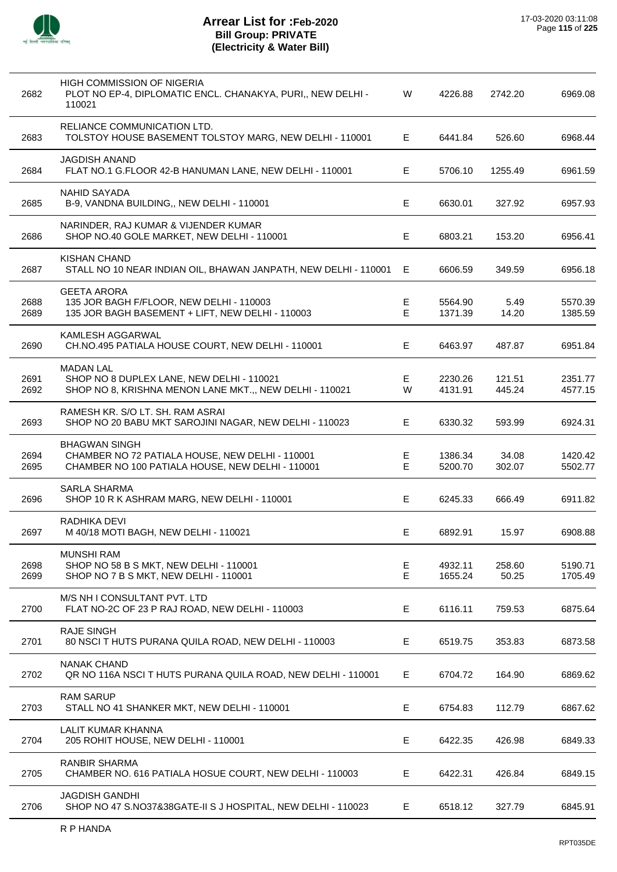

| 2682         | HIGH COMMISSION OF NIGERIA<br>PLOT NO EP-4, DIPLOMATIC ENCL. CHANAKYA, PURI,, NEW DELHI -<br>110021                         | W                          | 4226.88            | 2742.20          | 6969.08            |
|--------------|-----------------------------------------------------------------------------------------------------------------------------|----------------------------|--------------------|------------------|--------------------|
| 2683         | RELIANCE COMMUNICATION LTD.<br>TOLSTOY HOUSE BASEMENT TOLSTOY MARG, NEW DELHI - 110001                                      | Е                          | 6441.84            | 526.60           | 6968.44            |
| 2684         | <b>JAGDISH ANAND</b><br>FLAT NO.1 G.FLOOR 42-B HANUMAN LANE, NEW DELHI - 110001                                             | E                          | 5706.10            | 1255.49          | 6961.59            |
| 2685         | NAHID SAYADA<br>B-9, VANDNA BUILDING,, NEW DELHI - 110001                                                                   | Е                          | 6630.01            | 327.92           | 6957.93            |
| 2686         | NARINDER, RAJ KUMAR & VIJENDER KUMAR<br>SHOP NO.40 GOLE MARKET, NEW DELHI - 110001                                          | Е                          | 6803.21            | 153.20           | 6956.41            |
| 2687         | <b>KISHAN CHAND</b><br>STALL NO 10 NEAR INDIAN OIL, BHAWAN JANPATH, NEW DELHI - 110001                                      | Е                          | 6606.59            | 349.59           | 6956.18            |
| 2688<br>2689 | <b>GEETA ARORA</b><br>135 JOR BAGH F/FLOOR, NEW DELHI - 110003<br>135 JOR BAGH BASEMENT + LIFT, NEW DELHI - 110003          | Е<br>Е                     | 5564.90<br>1371.39 | 5.49<br>14.20    | 5570.39<br>1385.59 |
| 2690         | KAMLESH AGGARWAL<br>CH.NO.495 PATIALA HOUSE COURT, NEW DELHI - 110001                                                       | Е                          | 6463.97            | 487.87           | 6951.84            |
| 2691<br>2692 | <b>MADAN LAL</b><br>SHOP NO 8 DUPLEX LANE, NEW DELHI - 110021<br>SHOP NO 8, KRISHNA MENON LANE MKT.,, NEW DELHI - 110021    | Е<br>W                     | 2230.26<br>4131.91 | 121.51<br>445.24 | 2351.77<br>4577.15 |
| 2693         | RAMESH KR. S/O LT. SH. RAM ASRAI<br>SHOP NO 20 BABU MKT SAROJINI NAGAR, NEW DELHI - 110023                                  | Е                          | 6330.32            | 593.99           | 6924.31            |
| 2694<br>2695 | <b>BHAGWAN SINGH</b><br>CHAMBER NO 72 PATIALA HOUSE, NEW DELHI - 110001<br>CHAMBER NO 100 PATIALA HOUSE, NEW DELHI - 110001 | Е<br>E                     | 1386.34<br>5200.70 | 34.08<br>302.07  | 1420.42<br>5502.77 |
| 2696         | <b>SARLA SHARMA</b><br>SHOP 10 R K ASHRAM MARG, NEW DELHI - 110001                                                          | E                          | 6245.33            | 666.49           | 6911.82            |
| 2697         | RADHIKA DEVI<br>M 40/18 MOTI BAGH, NEW DELHI - 110021                                                                       |                            | 6892.91            | 15.97            | 6908.88            |
| 2698<br>2699 | <b>MUNSHI RAM</b><br>SHOP NO 58 B S MKT, NEW DELHI - 110001<br>SHOP NO 7 B S MKT, NEW DELHI - 110001                        | $\mathsf E$<br>$\mathsf E$ | 4932.11<br>1655.24 | 258.60<br>50.25  | 5190.71<br>1705.49 |
| 2700         | M/S NH I CONSULTANT PVT. LTD<br>FLAT NO-2C OF 23 P RAJ ROAD, NEW DELHI - 110003                                             | E                          | 6116.11            | 759.53           | 6875.64            |
| 2701         | <b>RAJE SINGH</b><br>80 NSCI T HUTS PURANA QUILA ROAD, NEW DELHI - 110003                                                   | Е                          | 6519.75            | 353.83           | 6873.58            |
| 2702         | <b>NANAK CHAND</b><br>QR NO 116A NSCI T HUTS PURANA QUILA ROAD, NEW DELHI - 110001                                          | Е                          | 6704.72            | 164.90           | 6869.62            |
| 2703         | <b>RAM SARUP</b><br>STALL NO 41 SHANKER MKT, NEW DELHI - 110001                                                             | E                          | 6754.83            | 112.79           | 6867.62            |
| 2704         | LALIT KUMAR KHANNA<br>205 ROHIT HOUSE, NEW DELHI - 110001                                                                   | E                          | 6422.35            | 426.98           | 6849.33            |
| 2705         | <b>RANBIR SHARMA</b><br>CHAMBER NO. 616 PATIALA HOSUE COURT, NEW DELHI - 110003                                             | E                          | 6422.31            | 426.84           | 6849.15            |
| 2706         | <b>JAGDISH GANDHI</b><br>SHOP NO 47 S.NO37&38GATE-II S J HOSPITAL, NEW DELHI - 110023                                       | Е                          | 6518.12            | 327.79           | 6845.91            |
|              |                                                                                                                             |                            |                    |                  |                    |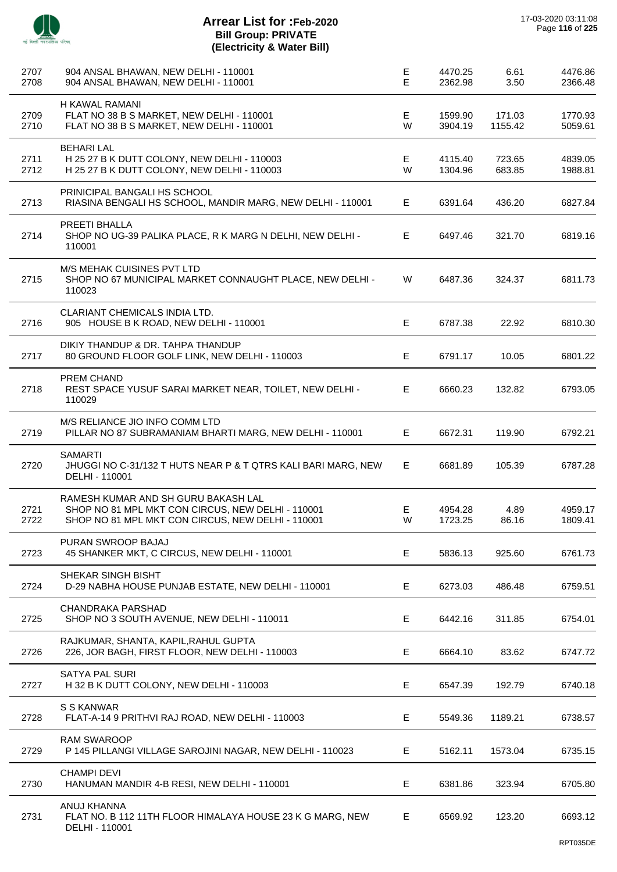| 2707<br>2708 | 904 ANSAL BHAWAN, NEW DELHI - 110001<br>904 ANSAL BHAWAN, NEW DELHI - 110001                                                                  | E<br>E | 4470.25<br>2362.98 | 6.61<br>3.50      | 4476.86<br>2366.48 |
|--------------|-----------------------------------------------------------------------------------------------------------------------------------------------|--------|--------------------|-------------------|--------------------|
| 2709<br>2710 | H KAWAL RAMANI<br>FLAT NO 38 B S MARKET, NEW DELHI - 110001<br>FLAT NO 38 B S MARKET, NEW DELHI - 110001                                      | Е<br>W | 1599.90<br>3904.19 | 171.03<br>1155.42 | 1770.93<br>5059.61 |
| 2711<br>2712 | <b>BEHARI LAL</b><br>H 25 27 B K DUTT COLONY, NEW DELHI - 110003<br>H 25 27 B K DUTT COLONY, NEW DELHI - 110003                               | Е<br>W | 4115.40<br>1304.96 | 723.65<br>683.85  | 4839.05<br>1988.81 |
| 2713         | PRINICIPAL BANGALI HS SCHOOL<br>RIASINA BENGALI HS SCHOOL, MANDIR MARG, NEW DELHI - 110001                                                    | E.     | 6391.64            | 436.20            | 6827.84            |
| 2714         | PREETI BHALLA<br>SHOP NO UG-39 PALIKA PLACE, R K MARG N DELHI, NEW DELHI -<br>110001                                                          | Е      | 6497.46            | 321.70            | 6819.16            |
| 2715         | <b>M/S MEHAK CUISINES PVT LTD</b><br>SHOP NO 67 MUNICIPAL MARKET CONNAUGHT PLACE, NEW DELHI -<br>110023                                       | W      | 6487.36            | 324.37            | 6811.73            |
| 2716         | CLARIANT CHEMICALS INDIA LTD.<br>905 HOUSE B K ROAD, NEW DELHI - 110001                                                                       | Е      | 6787.38            | 22.92             | 6810.30            |
| 2717         | DIKIY THANDUP & DR. TAHPA THANDUP<br>80 GROUND FLOOR GOLF LINK, NEW DELHI - 110003                                                            | E      | 6791.17            | 10.05             | 6801.22            |
| 2718         | PREM CHAND<br>REST SPACE YUSUF SARAI MARKET NEAR, TOILET, NEW DELHI -<br>110029                                                               | E      | 6660.23            | 132.82            | 6793.05            |
| 2719         | M/S RELIANCE JIO INFO COMM LTD<br>PILLAR NO 87 SUBRAMANIAM BHARTI MARG, NEW DELHI - 110001                                                    | E      | 6672.31            | 119.90            | 6792.21            |
| 2720         | <b>SAMARTI</b><br>JHUGGI NO C-31/132 T HUTS NEAR P & T QTRS KALI BARI MARG, NEW<br>DELHI - 110001                                             | E.     | 6681.89            | 105.39            | 6787.28            |
| 2721<br>2722 | RAMESH KUMAR AND SH GURU BAKASH LAL<br>SHOP NO 81 MPL MKT CON CIRCUS, NEW DELHI - 110001<br>SHOP NO 81 MPL MKT CON CIRCUS, NEW DELHI - 110001 | Е<br>W | 4954.28<br>1723.25 | 4.89<br>86.16     | 4959.17<br>1809.41 |
| 2723         | PURAN SWROOP BAJAJ<br>45 SHANKER MKT, C CIRCUS, NEW DELHI - 110001                                                                            | Е      | 5836.13            | 925.60            | 6761.73            |
| 2724         | SHEKAR SINGH BISHT<br>D-29 NABHA HOUSE PUNJAB ESTATE, NEW DELHI - 110001                                                                      | Е      | 6273.03            | 486.48            | 6759.51            |
| 2725         | <b>CHANDRAKA PARSHAD</b><br>SHOP NO 3 SOUTH AVENUE, NEW DELHI - 110011                                                                        | E      | 6442.16            | 311.85            | 6754.01            |
| 2726         | RAJKUMAR, SHANTA, KAPIL, RAHUL GUPTA<br>226, JOR BAGH, FIRST FLOOR, NEW DELHI - 110003                                                        | Е      | 6664.10            | 83.62             | 6747.72            |
| 2727         | <b>SATYA PAL SURI</b><br>H 32 B K DUTT COLONY, NEW DELHI - 110003                                                                             | Е      | 6547.39            | 192.79            | 6740.18            |
| 2728         | S S KANWAR<br>FLAT-A-14 9 PRITHVI RAJ ROAD, NEW DELHI - 110003                                                                                | E      | 5549.36            | 1189.21           | 6738.57            |
| 2729         | <b>RAM SWAROOP</b><br>P 145 PILLANGI VILLAGE SAROJINI NAGAR, NEW DELHI - 110023                                                               | Е      | 5162.11            | 1573.04           | 6735.15            |
| 2730         | <b>CHAMPI DEVI</b><br>HANUMAN MANDIR 4-B RESI, NEW DELHI - 110001                                                                             | Е      | 6381.86            | 323.94            | 6705.80            |
| 2731         | ANUJ KHANNA<br>FLAT NO. B 112 11TH FLOOR HIMALAYA HOUSE 23 K G MARG, NEW<br>DELHI - 110001                                                    | E      | 6569.92            | 123.20            | 6693.12            |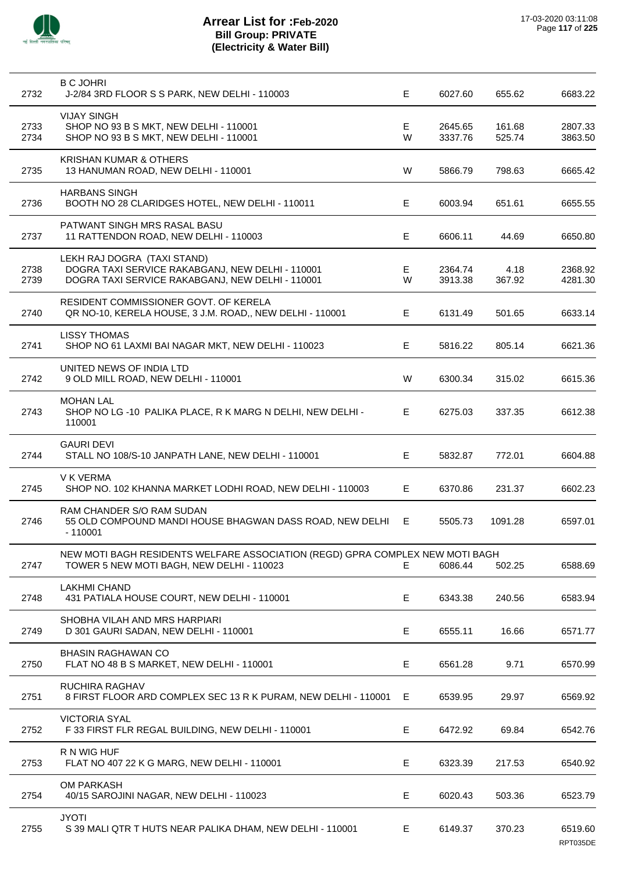

| 2732         | <b>B C JOHRI</b><br>J-2/84 3RD FLOOR S S PARK, NEW DELHI - 110003                                                                   | E      | 6027.60            | 655.62           | 6683.22            |
|--------------|-------------------------------------------------------------------------------------------------------------------------------------|--------|--------------------|------------------|--------------------|
| 2733<br>2734 | <b>VIJAY SINGH</b><br>SHOP NO 93 B S MKT, NEW DELHI - 110001<br>SHOP NO 93 B S MKT, NEW DELHI - 110001                              | Е<br>W | 2645.65<br>3337.76 | 161.68<br>525.74 | 2807.33<br>3863.50 |
| 2735         | <b>KRISHAN KUMAR &amp; OTHERS</b><br>13 HANUMAN ROAD, NEW DELHI - 110001                                                            | W      | 5866.79            | 798.63           | 6665.42            |
| 2736         | <b>HARBANS SINGH</b><br>BOOTH NO 28 CLARIDGES HOTEL, NEW DELHI - 110011                                                             | E      | 6003.94            | 651.61           | 6655.55            |
| 2737         | PATWANT SINGH MRS RASAL BASU<br>11 RATTENDON ROAD, NEW DELHI - 110003                                                               | Е      | 6606.11            | 44.69            | 6650.80            |
| 2738<br>2739 | LEKH RAJ DOGRA (TAXI STAND)<br>DOGRA TAXI SERVICE RAKABGANJ, NEW DELHI - 110001<br>DOGRA TAXI SERVICE RAKABGANJ, NEW DELHI - 110001 | E<br>W | 2364.74<br>3913.38 | 4.18<br>367.92   | 2368.92<br>4281.30 |
| 2740         | RESIDENT COMMISSIONER GOVT. OF KERELA<br>QR NO-10, KERELA HOUSE, 3 J.M. ROAD,, NEW DELHI - 110001                                   | Е      | 6131.49            | 501.65           | 6633.14            |
| 2741         | <b>LISSY THOMAS</b><br>SHOP NO 61 LAXMI BAI NAGAR MKT, NEW DELHI - 110023                                                           | Е      | 5816.22            | 805.14           | 6621.36            |
| 2742         | UNITED NEWS OF INDIA LTD<br>9 OLD MILL ROAD, NEW DELHI - 110001                                                                     | W      | 6300.34            | 315.02           | 6615.36            |
| 2743         | <b>MOHAN LAL</b><br>SHOP NO LG-10 PALIKA PLACE, R K MARG N DELHI, NEW DELHI-<br>110001                                              | E      | 6275.03            | 337.35           | 6612.38            |
| 2744         | GAURI DEVI<br>STALL NO 108/S-10 JANPATH LANE, NEW DELHI - 110001                                                                    | E      | 5832.87            | 772.01           | 6604.88            |
| 2745         | V K VERMA<br>SHOP NO. 102 KHANNA MARKET LODHI ROAD, NEW DELHI - 110003                                                              | Е      | 6370.86            | 231.37           | 6602.23            |
| 2746         | RAM CHANDER S/O RAM SUDAN<br>55 OLD COMPOUND MANDI HOUSE BHAGWAN DASS ROAD, NEW DELHI<br>$-110001$                                  | E      | 5505.73            | 1091.28          | 6597.01            |
| 2747         | NEW MOTI BAGH RESIDENTS WELFARE ASSOCIATION (REGD) GPRA COMPLEX NEW MOTI BAGH<br>TOWER 5 NEW MOTI BAGH, NEW DELHI - 110023          | E.     | 6086.44            | 502.25           | 6588.69            |
| 2748         | <b>LAKHMI CHAND</b><br>431 PATIALA HOUSE COURT, NEW DELHI - 110001                                                                  | Е      | 6343.38            | 240.56           | 6583.94            |
| 2749         | SHOBHA VILAH AND MRS HARPIARI<br>D 301 GAURI SADAN, NEW DELHI - 110001                                                              | Е      | 6555.11            | 16.66            | 6571.77            |
| 2750         | <b>BHASIN RAGHAWAN CO</b><br>FLAT NO 48 B S MARKET, NEW DELHI - 110001                                                              | Е      | 6561.28            | 9.71             | 6570.99            |
| 2751         | RUCHIRA RAGHAV<br>8 FIRST FLOOR ARD COMPLEX SEC 13 R K PURAM, NEW DELHI - 110001                                                    | Е      | 6539.95            | 29.97            | 6569.92            |
| 2752         | <b>VICTORIA SYAL</b><br>F 33 FIRST FLR REGAL BUILDING, NEW DELHI - 110001                                                           | Е      | 6472.92            | 69.84            | 6542.76            |
| 2753         | R N WIG HUF<br>FLAT NO 407 22 K G MARG, NEW DELHI - 110001                                                                          | Е      | 6323.39            | 217.53           | 6540.92            |
| 2754         | <b>OM PARKASH</b><br>40/15 SAROJINI NAGAR, NEW DELHI - 110023                                                                       | Е      | 6020.43            | 503.36           | 6523.79            |
| 2755         | <b>JYOTI</b><br>S 39 MALI QTR T HUTS NEAR PALIKA DHAM, NEW DELHI - 110001                                                           | E.     | 6149.37            | 370.23           | 6519.60            |

RPT035DE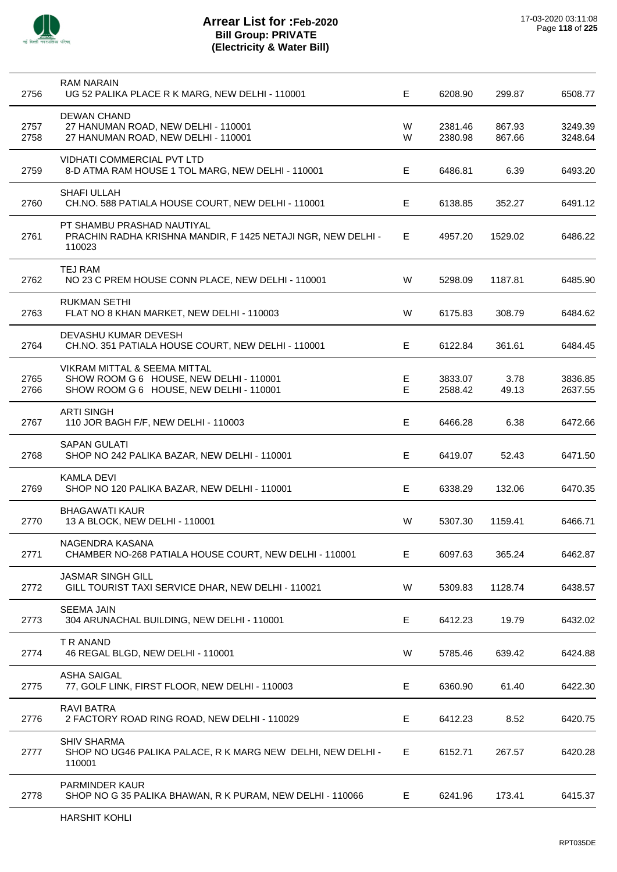

| 2756         | <b>RAM NARAIN</b><br>UG 52 PALIKA PLACE R K MARG, NEW DELHI - 110001                                               | Е      | 6208.90            | 299.87           | 6508.77            |
|--------------|--------------------------------------------------------------------------------------------------------------------|--------|--------------------|------------------|--------------------|
| 2757<br>2758 | <b>DEWAN CHAND</b><br>27 HANUMAN ROAD, NEW DELHI - 110001<br>27 HANUMAN ROAD, NEW DELHI - 110001                   | W<br>W | 2381.46<br>2380.98 | 867.93<br>867.66 | 3249.39<br>3248.64 |
| 2759         | <b>VIDHATI COMMERCIAL PVT LTD</b><br>8-D ATMA RAM HOUSE 1 TOL MARG, NEW DELHI - 110001                             | Е      | 6486.81            | 6.39             | 6493.20            |
| 2760         | SHAFI ULLAH<br>CH.NO. 588 PATIALA HOUSE COURT, NEW DELHI - 110001                                                  | Е      | 6138.85            | 352.27           | 6491.12            |
| 2761         | PT SHAMBU PRASHAD NAUTIYAL<br>PRACHIN RADHA KRISHNA MANDIR, F 1425 NETAJI NGR, NEW DELHI -<br>110023               | E.     | 4957.20            | 1529.02          | 6486.22            |
| 2762         | <b>TEJ RAM</b><br>NO 23 C PREM HOUSE CONN PLACE, NEW DELHI - 110001                                                | W      | 5298.09            | 1187.81          | 6485.90            |
| 2763         | <b>RUKMAN SETHI</b><br>FLAT NO 8 KHAN MARKET, NEW DELHI - 110003                                                   | W      | 6175.83            | 308.79           | 6484.62            |
| 2764         | DEVASHU KUMAR DEVESH<br>CH.NO. 351 PATIALA HOUSE COURT, NEW DELHI - 110001                                         | E.     | 6122.84            | 361.61           | 6484.45            |
| 2765<br>2766 | VIKRAM MITTAL & SEEMA MITTAL<br>SHOW ROOM G 6 HOUSE, NEW DELHI - 110001<br>SHOW ROOM G 6 HOUSE, NEW DELHI - 110001 | Е<br>Е | 3833.07<br>2588.42 | 3.78<br>49.13    | 3836.85<br>2637.55 |
| 2767         | <b>ARTI SINGH</b><br>110 JOR BAGH F/F, NEW DELHI - 110003                                                          | Е      | 6466.28            | 6.38             | 6472.66            |
| 2768         | <b>SAPAN GULATI</b><br>SHOP NO 242 PALIKA BAZAR, NEW DELHI - 110001                                                | Е      | 6419.07            | 52.43            | 6471.50            |
| 2769         | <b>KAMLA DEVI</b><br>SHOP NO 120 PALIKA BAZAR, NEW DELHI - 110001                                                  | Е      | 6338.29            | 132.06           | 6470.35            |
| 2770         | <b>BHAGAWATI KAUR</b><br>13 A BLOCK, NEW DELHI - 110001                                                            | W      | 5307.30            | 1159.41          | 6466.71            |
| 2771         | NAGENDRA KASANA<br>CHAMBER NO-268 PATIALA HOUSE COURT, NEW DELHI - 110001                                          | Е      | 6097.63            | 365.24           | 6462.87            |
| 2772         | <b>JASMAR SINGH GILL</b><br>GILL TOURIST TAXI SERVICE DHAR, NEW DELHI - 110021                                     | W      | 5309.83            | 1128.74          | 6438.57            |
| 2773         | <b>SEEMA JAIN</b><br>304 ARUNACHAL BUILDING, NEW DELHI - 110001                                                    | Е      | 6412.23            | 19.79            | 6432.02            |
| 2774         | T R ANAND<br>46 REGAL BLGD, NEW DELHI - 110001                                                                     | W      | 5785.46            | 639.42           | 6424.88            |
| 2775         | <b>ASHA SAIGAL</b><br>77, GOLF LINK, FIRST FLOOR, NEW DELHI - 110003                                               | Е      | 6360.90            | 61.40            | 6422.30            |
| 2776         | <b>RAVI BATRA</b><br>2 FACTORY ROAD RING ROAD, NEW DELHI - 110029                                                  | Е      | 6412.23            | 8.52             | 6420.75            |
| 2777         | <b>SHIV SHARMA</b><br>SHOP NO UG46 PALIKA PALACE, R K MARG NEW DELHI, NEW DELHI -<br>110001                        | E.     | 6152.71            | 267.57           | 6420.28            |
| 2778         | <b>PARMINDER KAUR</b><br>SHOP NO G 35 PALIKA BHAWAN, R K PURAM, NEW DELHI - 110066                                 | Е      | 6241.96            | 173.41           | 6415.37            |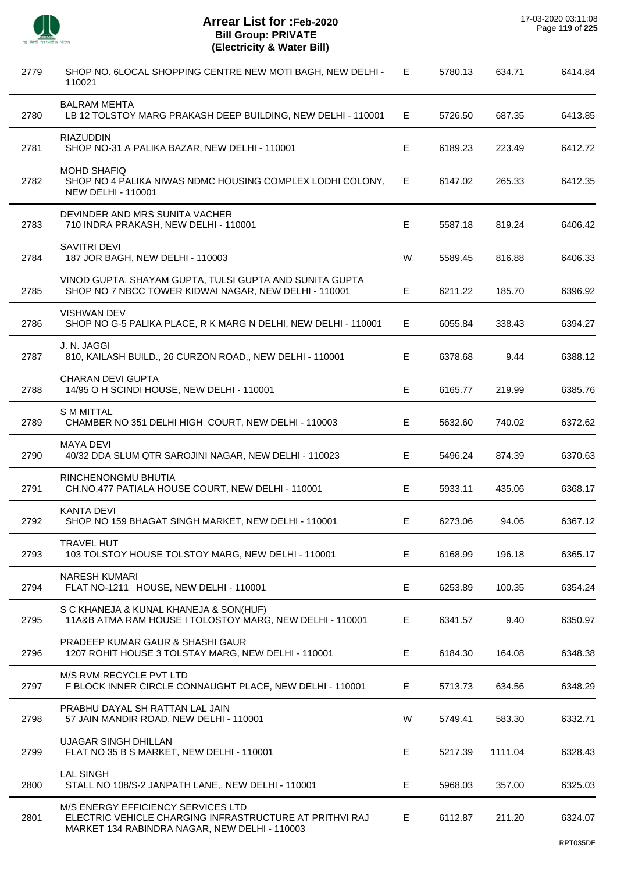$\overline{a}$ 

 $\overline{a}$ 

 $\overline{a}$ 

 $\overline{a}$ 

 $\overline{\phantom{a}}$ 

J.

| 2779 | SHOP NO. 6LOCAL SHOPPING CENTRE NEW MOTI BAGH, NEW DELHI -<br>110021                                                                           | E  | 5780.13 | 634.71  | 6414.84 |
|------|------------------------------------------------------------------------------------------------------------------------------------------------|----|---------|---------|---------|
| 2780 | <b>BALRAM MEHTA</b><br>LB 12 TOLSTOY MARG PRAKASH DEEP BUILDING, NEW DELHI - 110001                                                            | E. | 5726.50 | 687.35  | 6413.85 |
| 2781 | <b>RIAZUDDIN</b><br>SHOP NO-31 A PALIKA BAZAR, NEW DELHI - 110001                                                                              | Е  | 6189.23 | 223.49  | 6412.72 |
| 2782 | <b>MOHD SHAFIQ</b><br>SHOP NO 4 PALIKA NIWAS NDMC HOUSING COMPLEX LODHI COLONY,<br><b>NEW DELHI - 110001</b>                                   | E. | 6147.02 | 265.33  | 6412.35 |
| 2783 | DEVINDER AND MRS SUNITA VACHER<br>710 INDRA PRAKASH, NEW DELHI - 110001                                                                        | Е  | 5587.18 | 819.24  | 6406.42 |
| 2784 | SAVITRI DEVI<br>187 JOR BAGH, NEW DELHI - 110003                                                                                               | W  | 5589.45 | 816.88  | 6406.33 |
| 2785 | VINOD GUPTA, SHAYAM GUPTA, TULSI GUPTA AND SUNITA GUPTA<br>SHOP NO 7 NBCC TOWER KIDWAI NAGAR, NEW DELHI - 110001                               | Е  | 6211.22 | 185.70  | 6396.92 |
| 2786 | <b>VISHWAN DEV</b><br>SHOP NO G-5 PALIKA PLACE, R K MARG N DELHI, NEW DELHI - 110001                                                           | E. | 6055.84 | 338.43  | 6394.27 |
| 2787 | J. N. JAGGI<br>810, KAILASH BUILD., 26 CURZON ROAD,, NEW DELHI - 110001                                                                        | Е  | 6378.68 | 9.44    | 6388.12 |
| 2788 | <b>CHARAN DEVI GUPTA</b><br>14/95 O H SCINDI HOUSE, NEW DELHI - 110001                                                                         | E  | 6165.77 | 219.99  | 6385.76 |
| 2789 | <b>S M MITTAL</b><br>CHAMBER NO 351 DELHI HIGH COURT, NEW DELHI - 110003                                                                       | Е  | 5632.60 | 740.02  | 6372.62 |
| 2790 | <b>MAYA DEVI</b><br>40/32 DDA SLUM QTR SAROJINI NAGAR, NEW DELHI - 110023                                                                      | Е  | 5496.24 | 874.39  | 6370.63 |
| 2791 | RINCHENONGMU BHUTIA<br>CH.NO.477 PATIALA HOUSE COURT, NEW DELHI - 110001                                                                       | E  | 5933.11 | 435.06  | 6368.17 |
| 2792 | <b>KANTA DEVI</b><br>SHOP NO 159 BHAGAT SINGH MARKET, NEW DELHI - 110001                                                                       | E  | 6273.06 | 94.06   | 6367.12 |
| 2793 | <b>TRAVEL HUT</b><br>103 TOLSTOY HOUSE TOLSTOY MARG, NEW DELHI - 110001                                                                        | Е  | 6168.99 | 196.18  | 6365.17 |
| 2794 | <b>NARESH KUMARI</b><br>FLAT NO-1211 HOUSE, NEW DELHI - 110001                                                                                 | Е  | 6253.89 | 100.35  | 6354.24 |
| 2795 | S C KHANEJA & KUNAL KHANEJA & SON(HUF)<br>11A&B ATMA RAM HOUSE I TOLOSTOY MARG, NEW DELHI - 110001                                             | Е  | 6341.57 | 9.40    | 6350.97 |
| 2796 | PRADEEP KUMAR GAUR & SHASHI GAUR<br>1207 ROHIT HOUSE 3 TOLSTAY MARG, NEW DELHI - 110001                                                        | Е  | 6184.30 | 164.08  | 6348.38 |
| 2797 | M/S RVM RECYCLE PVT LTD<br>F BLOCK INNER CIRCLE CONNAUGHT PLACE, NEW DELHI - 110001                                                            | E  | 5713.73 | 634.56  | 6348.29 |
| 2798 | PRABHU DAYAL SH RATTAN LAL JAIN<br>57 JAIN MANDIR ROAD, NEW DELHI - 110001                                                                     | W  | 5749.41 | 583.30  | 6332.71 |
| 2799 | <b>UJAGAR SINGH DHILLAN</b><br>FLAT NO 35 B S MARKET, NEW DELHI - 110001                                                                       | Е  | 5217.39 | 1111.04 | 6328.43 |
| 2800 | <b>LAL SINGH</b><br>STALL NO 108/S-2 JANPATH LANE,, NEW DELHI - 110001                                                                         | Е  | 5968.03 | 357.00  | 6325.03 |
| 2801 | M/S ENERGY EFFICIENCY SERVICES LTD<br>ELECTRIC VEHICLE CHARGING INFRASTRUCTURE AT PRITHVI RAJ<br>MARKET 134 RABINDRA NAGAR, NEW DELHI - 110003 | Е  | 6112.87 | 211.20  | 6324.07 |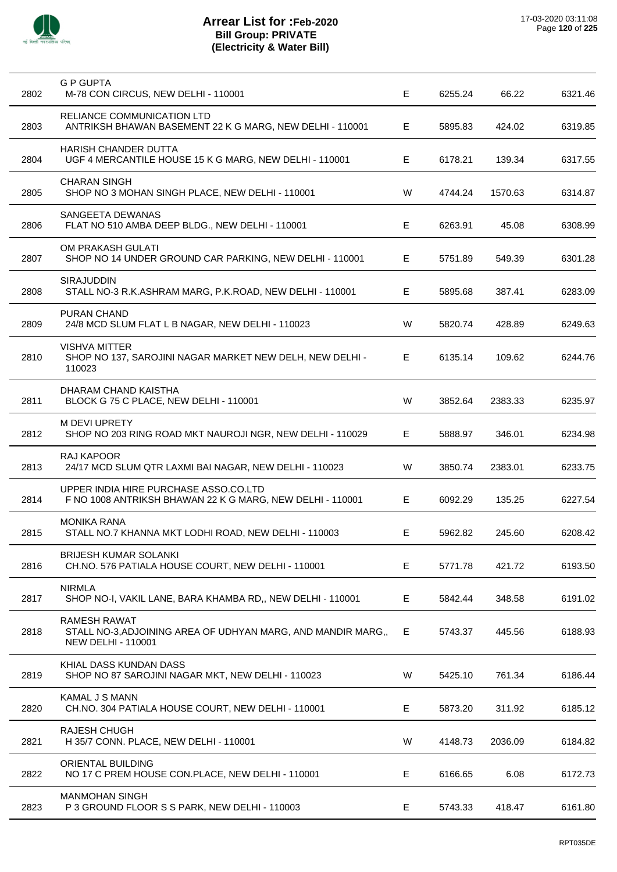| 2802 | <b>G P GUPTA</b><br>M-78 CON CIRCUS, NEW DELHI - 110001                                                          | Е  | 6255.24 | 66.22   | 6321.46 |
|------|------------------------------------------------------------------------------------------------------------------|----|---------|---------|---------|
| 2803 | RELIANCE COMMUNICATION LTD<br>ANTRIKSH BHAWAN BASEMENT 22 K G MARG, NEW DELHI - 110001                           | Е  | 5895.83 | 424.02  | 6319.85 |
| 2804 | HARISH CHANDER DUTTA<br>UGF 4 MERCANTILE HOUSE 15 K G MARG, NEW DELHI - 110001                                   | Е  | 6178.21 | 139.34  | 6317.55 |
| 2805 | <b>CHARAN SINGH</b><br>SHOP NO 3 MOHAN SINGH PLACE, NEW DELHI - 110001                                           | W  | 4744.24 | 1570.63 | 6314.87 |
| 2806 | SANGEETA DEWANAS<br>FLAT NO 510 AMBA DEEP BLDG., NEW DELHI - 110001                                              | Е  | 6263.91 | 45.08   | 6308.99 |
| 2807 | OM PRAKASH GULATI<br>SHOP NO 14 UNDER GROUND CAR PARKING, NEW DELHI - 110001                                     | Е  | 5751.89 | 549.39  | 6301.28 |
| 2808 | <b>SIRAJUDDIN</b><br>STALL NO-3 R.K.ASHRAM MARG, P.K.ROAD, NEW DELHI - 110001                                    | E  | 5895.68 | 387.41  | 6283.09 |
| 2809 | <b>PURAN CHAND</b><br>24/8 MCD SLUM FLAT L B NAGAR, NEW DELHI - 110023                                           | W  | 5820.74 | 428.89  | 6249.63 |
| 2810 | <b>VISHVA MITTER</b><br>SHOP NO 137, SAROJINI NAGAR MARKET NEW DELH, NEW DELHI -<br>110023                       | E  | 6135.14 | 109.62  | 6244.76 |
| 2811 | DHARAM CHAND KAISTHA<br>BLOCK G 75 C PLACE, NEW DELHI - 110001                                                   | W  | 3852.64 | 2383.33 | 6235.97 |
| 2812 | <b>M DEVI UPRETY</b><br>SHOP NO 203 RING ROAD MKT NAUROJI NGR, NEW DELHI - 110029                                | Е  | 5888.97 | 346.01  | 6234.98 |
| 2813 | RAJ KAPOOR<br>24/17 MCD SLUM QTR LAXMI BAI NAGAR, NEW DELHI - 110023                                             | W  | 3850.74 | 2383.01 | 6233.75 |
| 2814 | UPPER INDIA HIRE PURCHASE ASSO.CO.LTD<br>F NO 1008 ANTRIKSH BHAWAN 22 K G MARG, NEW DELHI - 110001               | Е  | 6092.29 | 135.25  | 6227.54 |
| 2815 | <b>MONIKA RANA</b><br>STALL NO.7 KHANNA MKT LODHI ROAD, NEW DELHI - 110003                                       | E  | 5962.82 | 245.60  | 6208.42 |
| 2816 | <b>BRIJESH KUMAR SOLANKI</b><br>CH.NO. 576 PATIALA HOUSE COURT, NEW DELHI - 110001                               | Е  | 5771.78 | 421.72  | 6193.50 |
| 2817 | <b>NIRMLA</b><br>SHOP NO-I, VAKIL LANE, BARA KHAMBA RD,, NEW DELHI - 110001                                      | Е  | 5842.44 | 348.58  | 6191.02 |
| 2818 | <b>RAMESH RAWAT</b><br>STALL NO-3, ADJOINING AREA OF UDHYAN MARG, AND MANDIR MARG,,<br><b>NEW DELHI - 110001</b> | E. | 5743.37 | 445.56  | 6188.93 |
| 2819 | KHIAL DASS KUNDAN DASS<br>SHOP NO 87 SAROJINI NAGAR MKT, NEW DELHI - 110023                                      | W  | 5425.10 | 761.34  | 6186.44 |
| 2820 | KAMAL J S MANN<br>CH.NO. 304 PATIALA HOUSE COURT, NEW DELHI - 110001                                             | E  | 5873.20 | 311.92  | 6185.12 |
| 2821 | <b>RAJESH CHUGH</b><br>H 35/7 CONN. PLACE, NEW DELHI - 110001                                                    | W  | 4148.73 | 2036.09 | 6184.82 |
| 2822 | ORIENTAL BUILDING<br>NO 17 C PREM HOUSE CON.PLACE, NEW DELHI - 110001                                            | E  | 6166.65 | 6.08    | 6172.73 |
| 2823 | <b>MANMOHAN SINGH</b><br>P 3 GROUND FLOOR S S PARK, NEW DELHI - 110003                                           | E  | 5743.33 | 418.47  | 6161.80 |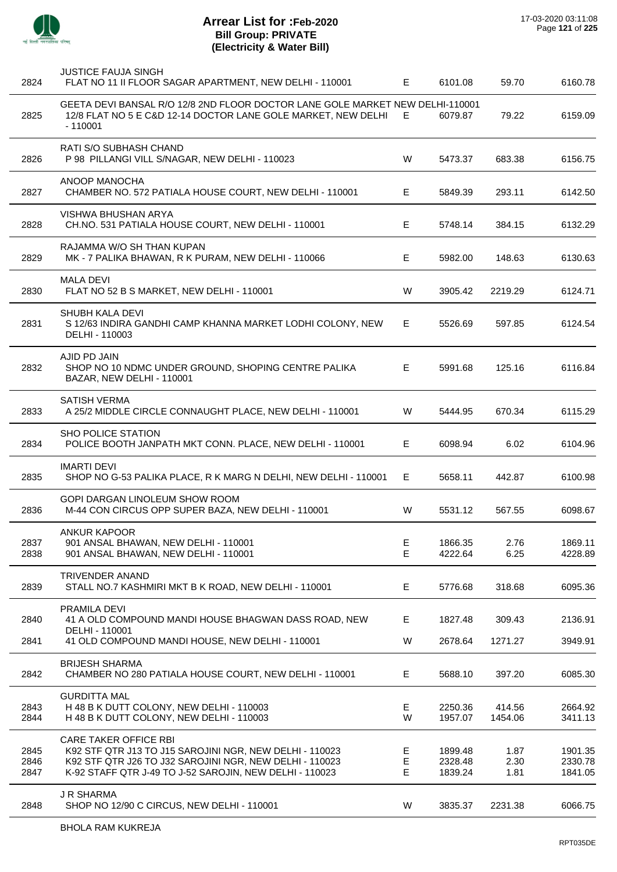

J.

J.

J.

Ĭ.

J.

J.

 $\overline{a}$ 

J.

l,

 $\overline{a}$ 

| 2824                 | <b>JUSTICE FAUJA SINGH</b><br>FLAT NO 11 II FLOOR SAGAR APARTMENT, NEW DELHI - 110001                                                                                                                         | E.          | 6101.08                       | 59.70                | 6160.78                       |
|----------------------|---------------------------------------------------------------------------------------------------------------------------------------------------------------------------------------------------------------|-------------|-------------------------------|----------------------|-------------------------------|
| 2825                 | GEETA DEVI BANSAL R/O 12/8 2ND FLOOR DOCTOR LANE GOLE MARKET NEW DELHI-110001<br>12/8 FLAT NO 5 E C&D 12-14 DOCTOR LANE GOLE MARKET, NEW DELHI<br>$-110001$                                                   | E           | 6079.87                       | 79.22                | 6159.09                       |
| 2826                 | RATI S/O SUBHASH CHAND<br>P 98 PILLANGI VILL S/NAGAR, NEW DELHI - 110023                                                                                                                                      | W           | 5473.37                       | 683.38               | 6156.75                       |
| 2827                 | ANOOP MANOCHA<br>CHAMBER NO. 572 PATIALA HOUSE COURT, NEW DELHI - 110001                                                                                                                                      | E.          | 5849.39                       | 293.11               | 6142.50                       |
| 2828                 | VISHWA BHUSHAN ARYA<br>CH.NO. 531 PATIALA HOUSE COURT, NEW DELHI - 110001                                                                                                                                     | E.          | 5748.14                       | 384.15               | 6132.29                       |
| 2829                 | RAJAMMA W/O SH THAN KUPAN<br>MK - 7 PALIKA BHAWAN, R K PURAM, NEW DELHI - 110066                                                                                                                              | E.          | 5982.00                       | 148.63               | 6130.63                       |
| 2830                 | <b>MALA DEVI</b><br>FLAT NO 52 B S MARKET, NEW DELHI - 110001                                                                                                                                                 | W           | 3905.42                       | 2219.29              | 6124.71                       |
| 2831                 | <b>SHUBH KALA DEVI</b><br>S 12/63 INDIRA GANDHI CAMP KHANNA MARKET LODHI COLONY, NEW<br>DELHI - 110003                                                                                                        | E.          | 5526.69                       | 597.85               | 6124.54                       |
| 2832                 | AJID PD JAIN<br>SHOP NO 10 NDMC UNDER GROUND, SHOPING CENTRE PALIKA<br>BAZAR, NEW DELHI - 110001                                                                                                              | Е           | 5991.68                       | 125.16               | 6116.84                       |
| 2833                 | SATISH VERMA<br>A 25/2 MIDDLE CIRCLE CONNAUGHT PLACE, NEW DELHI - 110001                                                                                                                                      | W           | 5444.95                       | 670.34               | 6115.29                       |
| 2834                 | <b>SHO POLICE STATION</b><br>POLICE BOOTH JANPATH MKT CONN. PLACE, NEW DELHI - 110001                                                                                                                         | E.          | 6098.94                       | 6.02                 | 6104.96                       |
| 2835                 | <b>IMARTI DEVI</b><br>SHOP NO G-53 PALIKA PLACE, R K MARG N DELHI, NEW DELHI - 110001                                                                                                                         | E.          | 5658.11                       | 442.87               | 6100.98                       |
| 2836                 | <b>GOPI DARGAN LINOLEUM SHOW ROOM</b><br>M-44 CON CIRCUS OPP SUPER BAZA, NEW DELHI - 110001                                                                                                                   | W           | 5531.12                       | 567.55               | 6098.67                       |
| 2837<br>2838         | <b>ANKUR KAPOOR</b><br>901 ANSAL BHAWAN, NEW DELHI - 110001<br>901 ANSAL BHAWAN, NEW DELHI - 110001                                                                                                           | Е<br>E      | 1866.35<br>4222.64            | 2.76<br>6.25         | 1869.11<br>4228.89            |
| 2839                 | TRIVENDER ANAND<br>STALL NO.7 KASHMIRI MKT B K ROAD, NEW DELHI - 110001                                                                                                                                       | E.          | 5776.68                       | 318.68               | 6095.36                       |
| 2840                 | PRAMILA DEVI<br>41 A OLD COMPOUND MANDI HOUSE BHAGWAN DASS ROAD, NEW<br>DELHI - 110001                                                                                                                        | E.          | 1827.48                       | 309.43               | 2136.91                       |
| 2841                 | 41 OLD COMPOUND MANDI HOUSE, NEW DELHI - 110001                                                                                                                                                               | W           | 2678.64                       | 1271.27              | 3949.91                       |
| 2842                 | <b>BRIJESH SHARMA</b><br>CHAMBER NO 280 PATIALA HOUSE COURT, NEW DELHI - 110001                                                                                                                               | E.          | 5688.10                       | 397.20               | 6085.30                       |
| 2843<br>2844         | <b>GURDITTA MAL</b><br>H 48 B K DUTT COLONY, NEW DELHI - 110003<br>H 48 B K DUTT COLONY, NEW DELHI - 110003                                                                                                   | Е<br>W      | 2250.36<br>1957.07            | 414.56<br>1454.06    | 2664.92<br>3411.13            |
| 2845<br>2846<br>2847 | <b>CARE TAKER OFFICE RBI</b><br>K92 STF QTR J13 TO J15 SAROJINI NGR, NEW DELHI - 110023<br>K92 STF QTR J26 TO J32 SAROJINI NGR, NEW DELHI - 110023<br>K-92 STAFF QTR J-49 TO J-52 SAROJIN, NEW DELHI - 110023 | Е<br>E<br>Е | 1899.48<br>2328.48<br>1839.24 | 1.87<br>2.30<br>1.81 | 1901.35<br>2330.78<br>1841.05 |
| 2848                 | <b>J R SHARMA</b><br>SHOP NO 12/90 C CIRCUS, NEW DELHI - 110001                                                                                                                                               | W           | 3835.37                       | 2231.38              | 6066.75                       |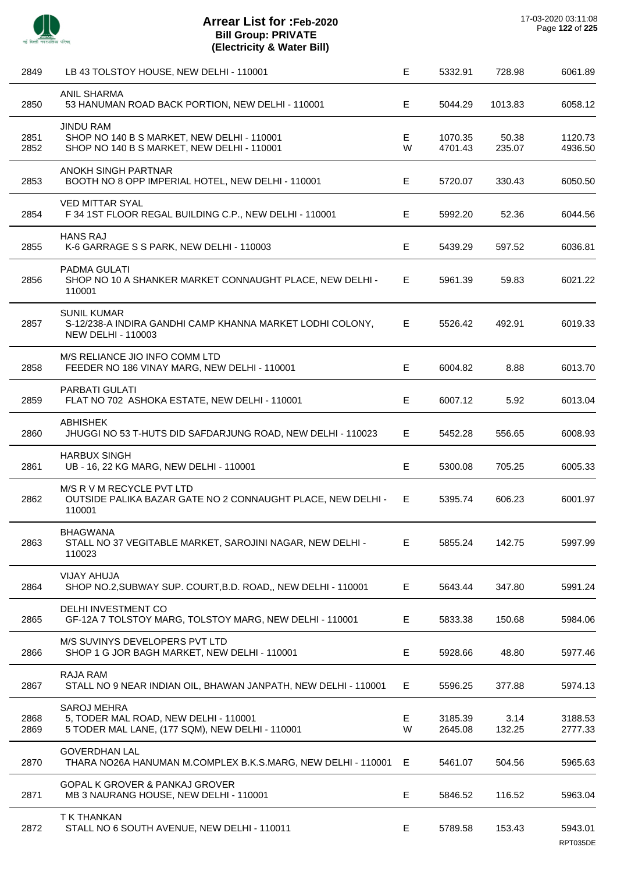| 2849         | LB 43 TOLSTOY HOUSE, NEW DELHI - 110001                                                                        | Е      | 5332.91            | 728.98          | 6061.89             |
|--------------|----------------------------------------------------------------------------------------------------------------|--------|--------------------|-----------------|---------------------|
| 2850         | <b>ANIL SHARMA</b><br>53 HANUMAN ROAD BACK PORTION, NEW DELHI - 110001                                         | Е      | 5044.29            | 1013.83         | 6058.12             |
| 2851<br>2852 | <b>JINDU RAM</b><br>SHOP NO 140 B S MARKET, NEW DELHI - 110001<br>SHOP NO 140 B S MARKET, NEW DELHI - 110001   | Е<br>W | 1070.35<br>4701.43 | 50.38<br>235.07 | 1120.73<br>4936.50  |
| 2853         | ANOKH SINGH PARTNAR<br>BOOTH NO 8 OPP IMPERIAL HOTEL, NEW DELHI - 110001                                       | Е      | 5720.07            | 330.43          | 6050.50             |
| 2854         | <b>VED MITTAR SYAL</b><br>F 34 1ST FLOOR REGAL BUILDING C.P., NEW DELHI - 110001                               | Е      | 5992.20            | 52.36           | 6044.56             |
| 2855         | <b>HANS RAJ</b><br>K-6 GARRAGE S S PARK, NEW DELHI - 110003                                                    | E      | 5439.29            | 597.52          | 6036.81             |
| 2856         | PADMA GULATI<br>SHOP NO 10 A SHANKER MARKET CONNAUGHT PLACE, NEW DELHI -<br>110001                             | E.     | 5961.39            | 59.83           | 6021.22             |
| 2857         | SUNIL KUMAR<br>S-12/238-A INDIRA GANDHI CAMP KHANNA MARKET LODHI COLONY,<br><b>NEW DELHI - 110003</b>          | Е      | 5526.42            | 492.91          | 6019.33             |
| 2858         | M/S RELIANCE JIO INFO COMM LTD<br>FEEDER NO 186 VINAY MARG, NEW DELHI - 110001                                 | E      | 6004.82            | 8.88            | 6013.70             |
| 2859         | PARBATI GULATI<br>FLAT NO 702 ASHOKA ESTATE, NEW DELHI - 110001                                                | Е      | 6007.12            | 5.92            | 6013.04             |
| 2860         | <b>ABHISHEK</b><br>JHUGGI NO 53 T-HUTS DID SAFDARJUNG ROAD, NEW DELHI - 110023                                 | Е      | 5452.28            | 556.65          | 6008.93             |
| 2861         | <b>HARBUX SINGH</b><br>UB - 16, 22 KG MARG, NEW DELHI - 110001                                                 | E      | 5300.08            | 705.25          | 6005.33             |
| 2862         | M/S R V M RECYCLE PVT LTD<br>OUTSIDE PALIKA BAZAR GATE NO 2 CONNAUGHT PLACE, NEW DELHI -<br>110001             | E.     | 5395.74            | 606.23          | 6001.97             |
| 2863         | <b>BHAGWANA</b><br>STALL NO 37 VEGITABLE MARKET, SAROJINI NAGAR, NEW DELHI -<br>110023                         | Е      | 5855.24            | 142.75          | 5997.99             |
| 2864         | <b>VIJAY AHUJA</b><br>SHOP NO.2, SUBWAY SUP. COURT, B.D. ROAD,, NEW DELHI - 110001                             | Е      | 5643.44            | 347.80          | 5991.24             |
| 2865         | DELHI INVESTMENT CO<br>GF-12A 7 TOLSTOY MARG, TOLSTOY MARG, NEW DELHI - 110001                                 | Е      | 5833.38            | 150.68          | 5984.06             |
| 2866         | M/S SUVINYS DEVELOPERS PVT LTD<br>SHOP 1 G JOR BAGH MARKET, NEW DELHI - 110001                                 | Е      | 5928.66            | 48.80           | 5977.46             |
| 2867         | <b>RAJA RAM</b><br>STALL NO 9 NEAR INDIAN OIL, BHAWAN JANPATH, NEW DELHI - 110001                              | Е      | 5596.25            | 377.88          | 5974.13             |
| 2868<br>2869 | <b>SAROJ MEHRA</b><br>5, TODER MAL ROAD, NEW DELHI - 110001<br>5 TODER MAL LANE, (177 SQM), NEW DELHI - 110001 | Е<br>W | 3185.39<br>2645.08 | 3.14<br>132.25  | 3188.53<br>2777.33  |
| 2870         | <b>GOVERDHAN LAL</b><br>THARA NO26A HANUMAN M.COMPLEX B.K.S.MARG, NEW DELHI - 110001                           | Е      | 5461.07            | 504.56          | 5965.63             |
| 2871         | <b>GOPAL K GROVER &amp; PANKAJ GROVER</b><br>MB 3 NAURANG HOUSE, NEW DELHI - 110001                            | E      | 5846.52            | 116.52          | 5963.04             |
| 2872         | T K THANKAN<br>STALL NO 6 SOUTH AVENUE, NEW DELHI - 110011                                                     | Е      | 5789.58            | 153.43          | 5943.01<br>RPT035DE |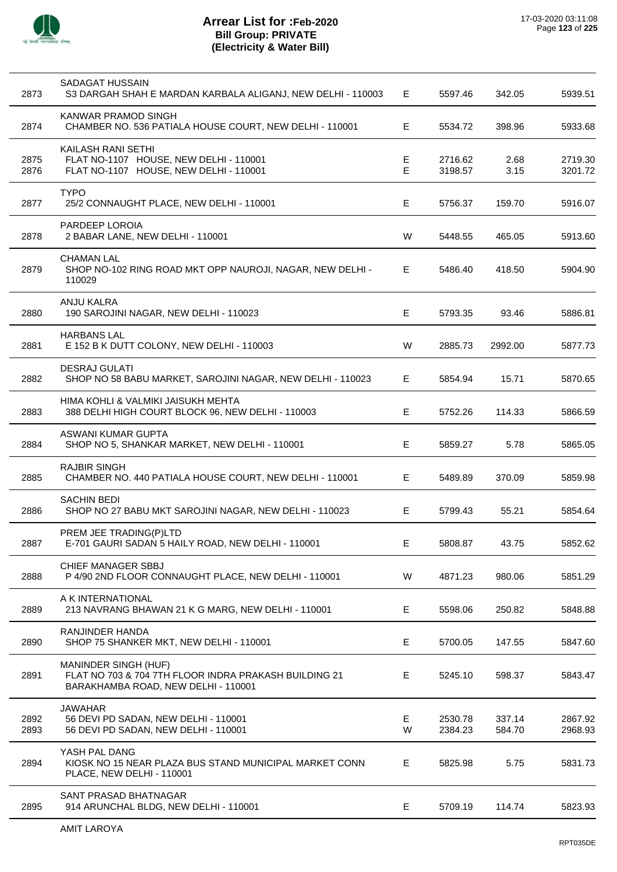

 $\overline{a}$ 

J.

 $\overline{\phantom{a}}$ 

l,

| 2873         | SADAGAT HUSSAIN<br>S3 DARGAH SHAH E MARDAN KARBALA ALIGANJ, NEW DELHI - 110003                                              | E.     | 5597.46            | 342.05           | 5939.51            |
|--------------|-----------------------------------------------------------------------------------------------------------------------------|--------|--------------------|------------------|--------------------|
| 2874         | KANWAR PRAMOD SINGH<br>CHAMBER NO. 536 PATIALA HOUSE COURT, NEW DELHI - 110001                                              | E      | 5534.72            | 398.96           | 5933.68            |
| 2875<br>2876 | KAILASH RANI SETHI<br>FLAT NO-1107 HOUSE, NEW DELHI - 110001<br>FLAT NO-1107 HOUSE, NEW DELHI - 110001                      | Е<br>E | 2716.62<br>3198.57 | 2.68<br>3.15     | 2719.30<br>3201.72 |
| 2877         | <b>TYPO</b><br>25/2 CONNAUGHT PLACE, NEW DELHI - 110001                                                                     | Е      | 5756.37            | 159.70           | 5916.07            |
| 2878         | PARDEEP LOROIA<br>2 BABAR LANE, NEW DELHI - 110001                                                                          | W      | 5448.55            | 465.05           | 5913.60            |
| 2879         | <b>CHAMAN LAL</b><br>SHOP NO-102 RING ROAD MKT OPP NAUROJI, NAGAR, NEW DELHI -<br>110029                                    | E      | 5486.40            | 418.50           | 5904.90            |
| 2880         | ANJU KALRA<br>190 SAROJINI NAGAR, NEW DELHI - 110023                                                                        | E      | 5793.35            | 93.46            | 5886.81            |
| 2881         | <b>HARBANS LAL</b><br>E 152 B K DUTT COLONY, NEW DELHI - 110003                                                             | W      | 2885.73            | 2992.00          | 5877.73            |
| 2882         | <b>DESRAJ GULATI</b><br>SHOP NO 58 BABU MARKET, SAROJINI NAGAR, NEW DELHI - 110023                                          | E      | 5854.94            | 15.71            | 5870.65            |
| 2883         | HIMA KOHLI & VALMIKI JAISUKH MEHTA<br>388 DELHI HIGH COURT BLOCK 96, NEW DELHI - 110003                                     | E      | 5752.26            | 114.33           | 5866.59            |
| 2884         | ASWANI KUMAR GUPTA<br>SHOP NO 5, SHANKAR MARKET, NEW DELHI - 110001                                                         | Е      | 5859.27            | 5.78             | 5865.05            |
| 2885         | <b>RAJBIR SINGH</b><br>CHAMBER NO. 440 PATIALA HOUSE COURT, NEW DELHI - 110001                                              | Е      | 5489.89            | 370.09           | 5859.98            |
| 2886         | <b>SACHIN BEDI</b><br>SHOP NO 27 BABU MKT SAROJINI NAGAR, NEW DELHI - 110023                                                | Е      | 5799.43            | 55.21            | 5854.64            |
| 2887         | PREM JEE TRADING(P)LTD<br>E-701 GAURI SADAN 5 HAILY ROAD, NEW DELHI - 110001                                                | E      | 5808.87            | 43.75            | 5852.62            |
| 2888         | <b>CHIEF MANAGER SBBJ</b><br>P 4/90 2ND FLOOR CONNAUGHT PLACE, NEW DELHI - 110001                                           | W      | 4871.23            | 980.06           | 5851.29            |
| 2889         | A K INTERNATIONAL<br>213 NAVRANG BHAWAN 21 K G MARG, NEW DELHI - 110001                                                     | E.     | 5598.06            | 250.82           | 5848.88            |
| 2890         | RANJINDER HANDA<br>SHOP 75 SHANKER MKT, NEW DELHI - 110001                                                                  | E      | 5700.05            | 147.55           | 5847.60            |
| 2891         | <b>MANINDER SINGH (HUF)</b><br>FLAT NO 703 & 704 7TH FLOOR INDRA PRAKASH BUILDING 21<br>BARAKHAMBA ROAD, NEW DELHI - 110001 | Е      | 5245.10            | 598.37           | 5843.47            |
| 2892<br>2893 | <b>JAWAHAR</b><br>56 DEVI PD SADAN, NEW DELHI - 110001<br>56 DEVI PD SADAN, NEW DELHI - 110001                              | Е<br>W | 2530.78<br>2384.23 | 337.14<br>584.70 | 2867.92<br>2968.93 |
| 2894         | YASH PAL DANG<br>KIOSK NO 15 NEAR PLAZA BUS STAND MUNICIPAL MARKET CONN<br>PLACE, NEW DELHI - 110001                        | Е      | 5825.98            | 5.75             | 5831.73            |
| 2895         | SANT PRASAD BHATNAGAR<br>914 ARUNCHAL BLDG, NEW DELHI - 110001                                                              | Е      | 5709.19            | 114.74           | 5823.93            |
|              |                                                                                                                             |        |                    |                  |                    |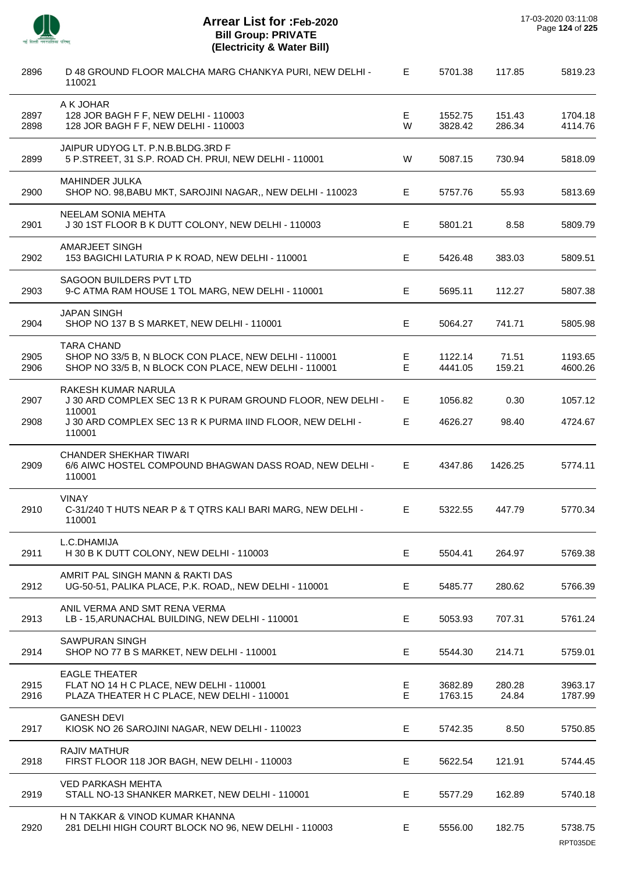

| 2896         | D 48 GROUND FLOOR MALCHA MARG CHANKYA PURI, NEW DELHI -<br>110021                                                                   | Е                | 5701.38            | 117.85           | 5819.23             |         |
|--------------|-------------------------------------------------------------------------------------------------------------------------------------|------------------|--------------------|------------------|---------------------|---------|
| 2897<br>2898 | A K JOHAR<br>128 JOR BAGH F F, NEW DELHI - 110003<br>128 JOR BAGH F F, NEW DELHI - 110003                                           | E<br>W           | 1552.75<br>3828.42 | 151.43<br>286.34 | 1704.18<br>4114.76  |         |
| 2899         | JAIPUR UDYOG LT. P.N.B.BLDG.3RD F<br>5 P.STREET, 31 S.P. ROAD CH. PRUI, NEW DELHI - 110001                                          | W                | 5087.15            | 730.94           | 5818.09             |         |
| 2900         | MAHINDER JULKA<br>SHOP NO. 98, BABU MKT, SAROJINI NAGAR,, NEW DELHI - 110023                                                        | E.               | 5757.76            | 55.93            | 5813.69             |         |
| 2901         | NEELAM SONIA MEHTA<br>J 30 1ST FLOOR B K DUTT COLONY, NEW DELHI - 110003                                                            | E                | 5801.21            | 8.58             | 5809.79             |         |
| 2902         | <b>AMARJEET SINGH</b><br>153 BAGICHI LATURIA P K ROAD, NEW DELHI - 110001                                                           | E                | 5426.48            | 383.03           | 5809.51             |         |
| 2903         | SAGOON BUILDERS PVT LTD<br>9-C ATMA RAM HOUSE 1 TOL MARG, NEW DELHI - 110001                                                        | E.               | 5695.11            | 112.27           | 5807.38             |         |
| 2904         | <b>JAPAN SINGH</b><br>SHOP NO 137 B S MARKET, NEW DELHI - 110001                                                                    | E                |                    | 5064.27          | 741.71              | 5805.98 |
| 2905<br>2906 | <b>TARA CHAND</b><br>SHOP NO 33/5 B, N BLOCK CON PLACE, NEW DELHI - 110001<br>SHOP NO 33/5 B, N BLOCK CON PLACE, NEW DELHI - 110001 | Е<br>E           | 1122.14<br>4441.05 | 71.51<br>159.21  | 1193.65<br>4600.26  |         |
| 2907         | RAKESH KUMAR NARULA<br>J 30 ARD COMPLEX SEC 13 R K PURAM GROUND FLOOR, NEW DELHI -                                                  | E.               | 1056.82            | 0.30             | 1057.12             |         |
| 2908         | 110001<br>J 30 ARD COMPLEX SEC 13 R K PURMA IIND FLOOR, NEW DELHI -<br>110001                                                       | E.               | 4626.27            | 98.40            | 4724.67             |         |
| 2909         | <b>CHANDER SHEKHAR TIWARI</b><br>6/6 AIWC HOSTEL COMPOUND BHAGWAN DASS ROAD, NEW DELHI -<br>110001                                  | E.               | 4347.86            | 1426.25          | 5774.11             |         |
| 2910         | <b>VINAY</b><br>C-31/240 T HUTS NEAR P & T QTRS KALI BARI MARG, NEW DELHI -<br>110001                                               | E.               | 5322.55            | 447.79           | 5770.34             |         |
| 2911         | L.C.DHAMIJA<br>H 30 B K DUTT COLONY, NEW DELHI - 110003                                                                             | E                | 5504.41            | 264.97           | 5769.38             |         |
| 2912         | AMRIT PAL SINGH MANN & RAKTI DAS<br>UG-50-51, PALIKA PLACE, P.K. ROAD,, NEW DELHI - 110001                                          | E.               | 5485.77            | 280.62           | 5766.39             |         |
| 2913         | ANIL VERMA AND SMT RENA VERMA<br>LB - 15, ARUNACHAL BUILDING, NEW DELHI - 110001                                                    | E                | 5053.93            | 707.31           | 5761.24             |         |
| 2914         | <b>SAWPURAN SINGH</b><br>SHOP NO 77 B S MARKET, NEW DELHI - 110001                                                                  | E                | 5544.30            | 214.71           | 5759.01             |         |
| 2915<br>2916 | <b>EAGLE THEATER</b><br>FLAT NO 14 H C PLACE, NEW DELHI - 110001<br>PLAZA THEATER H C PLACE, NEW DELHI - 110001                     | Е<br>$\mathsf E$ | 3682.89<br>1763.15 | 280.28<br>24.84  | 3963.17<br>1787.99  |         |
| 2917         | <b>GANESH DEVI</b><br>KIOSK NO 26 SAROJINI NAGAR, NEW DELHI - 110023                                                                | E                | 5742.35            | 8.50             | 5750.85             |         |
| 2918         | <b>RAJIV MATHUR</b><br>FIRST FLOOR 118 JOR BAGH, NEW DELHI - 110003                                                                 | Е                | 5622.54            | 121.91           | 5744.45             |         |
| 2919         | <b>VED PARKASH MEHTA</b><br>STALL NO-13 SHANKER MARKET, NEW DELHI - 110001                                                          | E.               | 5577.29            | 162.89           | 5740.18             |         |
| 2920         | H N TAKKAR & VINOD KUMAR KHANNA<br>281 DELHI HIGH COURT BLOCK NO 96, NEW DELHI - 110003                                             | E.               | 5556.00            | 182.75           | 5738.75<br>RPT035DE |         |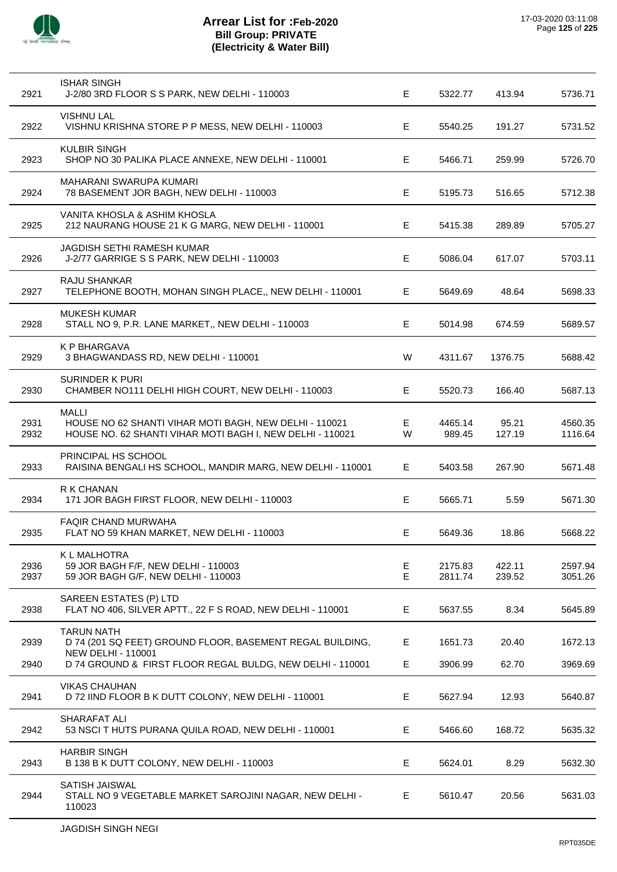

| 2921         | <b>ISHAR SINGH</b><br>J-2/80 3RD FLOOR S S PARK, NEW DELHI - 110003                                                          | Е       | 5322.77            | 413.94           | 5736.71            |
|--------------|------------------------------------------------------------------------------------------------------------------------------|---------|--------------------|------------------|--------------------|
| 2922         | <b>VISHNU LAL</b><br>VISHNU KRISHNA STORE P P MESS, NEW DELHI - 110003                                                       | Е       | 5540.25            | 191.27           | 5731.52            |
| 2923         | <b>KULBIR SINGH</b><br>SHOP NO 30 PALIKA PLACE ANNEXE, NEW DELHI - 110001                                                    | E.      | 5466.71            | 259.99           | 5726.70            |
| 2924         | <b>MAHARANI SWARUPA KUMARI</b><br>78 BASEMENT JOR BAGH, NEW DELHI - 110003                                                   | E       | 5195.73            | 516.65           | 5712.38            |
| 2925         | VANITA KHOSLA & ASHIM KHOSLA<br>212 NAURANG HOUSE 21 K G MARG, NEW DELHI - 110001                                            | Е       | 5415.38            | 289.89           | 5705.27            |
| 2926         | JAGDISH SETHI RAMESH KUMAR<br>J-2/77 GARRIGE S S PARK, NEW DELHI - 110003                                                    | E.      | 5086.04            | 617.07           | 5703.11            |
| 2927         | <b>RAJU SHANKAR</b><br>TELEPHONE BOOTH, MOHAN SINGH PLACE,, NEW DELHI - 110001                                               | E.      | 5649.69            | 48.64            | 5698.33            |
| 2928         | <b>MUKESH KUMAR</b><br>STALL NO 9, P.R. LANE MARKET,, NEW DELHI - 110003                                                     | E       | 5014.98            | 674.59           | 5689.57            |
| 2929         | K P BHARGAVA<br>3 BHAGWANDASS RD, NEW DELHI - 110001                                                                         | W       | 4311.67            | 1376.75          | 5688.42            |
| 2930         | <b>SURINDER K PURI</b><br>CHAMBER NO111 DELHI HIGH COURT, NEW DELHI - 110003                                                 | Е       | 5520.73            | 166.40           | 5687.13            |
| 2931<br>2932 | MALLI<br>HOUSE NO 62 SHANTI VIHAR MOTI BAGH, NEW DELHI - 110021<br>HOUSE NO. 62 SHANTI VIHAR MOTI BAGH I, NEW DELHI - 110021 | E.<br>W | 4465.14<br>989.45  | 95.21<br>127.19  | 4560.35<br>1116.64 |
| 2933         | PRINCIPAL HS SCHOOL<br>RAISINA BENGALI HS SCHOOL, MANDIR MARG, NEW DELHI - 110001                                            | E.      | 5403.58            | 267.90           | 5671.48            |
| 2934         | R K CHANAN<br>171 JOR BAGH FIRST FLOOR, NEW DELHI - 110003                                                                   | E       | 5665.71            | 5.59             | 5671.30            |
| 2935         | <b>FAQIR CHAND MURWAHA</b><br>FLAT NO 59 KHAN MARKET, NEW DELHI - 110003                                                     | Е       | 5649.36            | 18.86            | 5668.22            |
| 2936<br>2937 | K L MALHOTRA<br>59 JOR BAGH F/F, NEW DELHI - 110003<br>59 JOR BAGH G/F, NEW DELHI - 110003                                   | E<br>E  | 2175.83<br>2811.74 | 422.11<br>239.52 | 2597.94<br>3051.26 |
| 2938         | SAREEN ESTATES (P) LTD<br>FLAT NO 406, SILVER APTT., 22 F S ROAD, NEW DELHI - 110001                                         | E.      | 5637.55            | 8.34             | 5645.89            |
| 2939         | <b>TARUN NATH</b><br>D 74 (201 SQ FEET) GROUND FLOOR, BASEMENT REGAL BUILDING,<br><b>NEW DELHI - 110001</b>                  | Е       | 1651.73            | 20.40            | 1672.13            |
| 2940         | D 74 GROUND & FIRST FLOOR REGAL BULDG, NEW DELHI - 110001                                                                    | E       | 3906.99            | 62.70            | 3969.69            |
| 2941         | <b>VIKAS CHAUHAN</b><br>D 72 IIND FLOOR B K DUTT COLONY, NEW DELHI - 110001                                                  | E       | 5627.94            | 12.93            | 5640.87            |
| 2942         | SHARAFAT ALI<br>53 NSCI T HUTS PURANA QUILA ROAD, NEW DELHI - 110001                                                         | Е       | 5466.60            | 168.72           | 5635.32            |
| 2943         | <b>HARBIR SINGH</b><br>B 138 B K DUTT COLONY, NEW DELHI - 110003                                                             | Е       | 5624.01            | 8.29             | 5632.30            |
| 2944         | SATISH JAISWAL<br>STALL NO 9 VEGETABLE MARKET SAROJINI NAGAR, NEW DELHI -<br>110023                                          | Е       | 5610.47            | 20.56            | 5631.03            |
|              |                                                                                                                              |         |                    |                  |                    |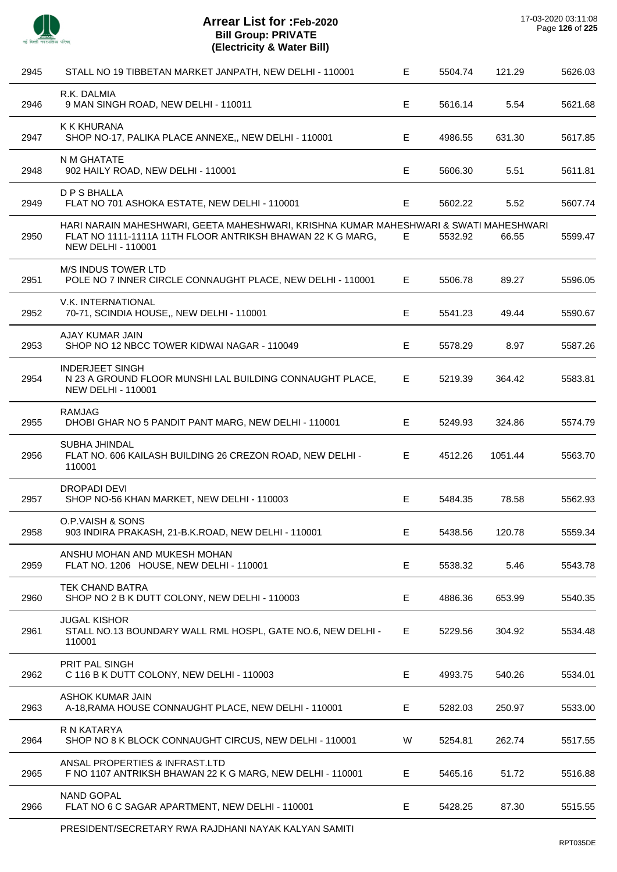

| 2945 | STALL NO 19 TIBBETAN MARKET JANPATH, NEW DELHI - 110001                                                                                                                          | $\mathsf E$ | 5504.74 | 121.29  | 5626.03 |
|------|----------------------------------------------------------------------------------------------------------------------------------------------------------------------------------|-------------|---------|---------|---------|
| 2946 | R.K. DALMIA<br>9 MAN SINGH ROAD, NEW DELHI - 110011                                                                                                                              | E           | 5616.14 | 5.54    | 5621.68 |
| 2947 | K K KHURANA<br>SHOP NO-17, PALIKA PLACE ANNEXE,, NEW DELHI - 110001                                                                                                              | Е           | 4986.55 | 631.30  | 5617.85 |
| 2948 | N M GHATATE<br>902 HAILY ROAD, NEW DELHI - 110001                                                                                                                                | E           | 5606.30 | 5.51    | 5611.81 |
| 2949 | <b>D P S BHALLA</b><br>FLAT NO 701 ASHOKA ESTATE, NEW DELHI - 110001                                                                                                             | E           | 5602.22 | 5.52    | 5607.74 |
| 2950 | HARI NARAIN MAHESHWARI, GEETA MAHESHWARI, KRISHNA KUMAR MAHESHWARI & SWATI MAHESHWARI<br>FLAT NO 1111-1111A 11TH FLOOR ANTRIKSH BHAWAN 22 K G MARG,<br><b>NEW DELHI - 110001</b> | Е           | 5532.92 | 66.55   | 5599.47 |
| 2951 | <b>M/S INDUS TOWER LTD</b><br>POLE NO 7 INNER CIRCLE CONNAUGHT PLACE, NEW DELHI - 110001                                                                                         | E           | 5506.78 | 89.27   | 5596.05 |
| 2952 | V.K. INTERNATIONAL<br>70-71, SCINDIA HOUSE,, NEW DELHI - 110001                                                                                                                  | Е           | 5541.23 | 49.44   | 5590.67 |
| 2953 | AJAY KUMAR JAIN<br>SHOP NO 12 NBCC TOWER KIDWAI NAGAR - 110049                                                                                                                   | Е           | 5578.29 | 8.97    | 5587.26 |
| 2954 | <b>INDERJEET SINGH</b><br>N 23 A GROUND FLOOR MUNSHI LAL BUILDING CONNAUGHT PLACE,<br><b>NEW DELHI - 110001</b>                                                                  | E           | 5219.39 | 364.42  | 5583.81 |
| 2955 | RAMJAG<br>DHOBI GHAR NO 5 PANDIT PANT MARG, NEW DELHI - 110001                                                                                                                   | Е           | 5249.93 | 324.86  | 5574.79 |
| 2956 | <b>SUBHA JHINDAL</b><br>FLAT NO. 606 KAILASH BUILDING 26 CREZON ROAD, NEW DELHI -<br>110001                                                                                      | Е           | 4512.26 | 1051.44 | 5563.70 |
| 2957 | <b>DROPADI DEVI</b><br>SHOP NO-56 KHAN MARKET, NEW DELHI - 110003                                                                                                                | Е           | 5484.35 | 78.58   | 5562.93 |
| 2958 | O.P. VAISH & SONS<br>903 INDIRA PRAKASH, 21-B.K.ROAD, NEW DELHI - 110001                                                                                                         | Е           | 5438.56 | 120.78  | 5559.34 |
| 2959 | ANSHU MOHAN AND MUKESH MOHAN<br>FLAT NO. 1206 HOUSE, NEW DELHI - 110001                                                                                                          | $\mathsf E$ | 5538.32 | 5.46    | 5543.78 |
| 2960 | <b>TEK CHAND BATRA</b><br>SHOP NO 2 B K DUTT COLONY, NEW DELHI - 110003                                                                                                          | Е           | 4886.36 | 653.99  | 5540.35 |
| 2961 | <b>JUGAL KISHOR</b><br>STALL NO.13 BOUNDARY WALL RML HOSPL, GATE NO.6, NEW DELHI -<br>110001                                                                                     | E           | 5229.56 | 304.92  | 5534.48 |
| 2962 | PRIT PAL SINGH<br>C 116 B K DUTT COLONY, NEW DELHI - 110003                                                                                                                      | E           | 4993.75 | 540.26  | 5534.01 |
| 2963 | <b>ASHOK KUMAR JAIN</b><br>A-18, RAMA HOUSE CONNAUGHT PLACE, NEW DELHI - 110001                                                                                                  | E           | 5282.03 | 250.97  | 5533.00 |
| 2964 | R N KATARYA<br>SHOP NO 8 K BLOCK CONNAUGHT CIRCUS, NEW DELHI - 110001                                                                                                            | W           | 5254.81 | 262.74  | 5517.55 |
| 2965 | ANSAL PROPERTIES & INFRAST.LTD<br>F NO 1107 ANTRIKSH BHAWAN 22 K G MARG, NEW DELHI - 110001                                                                                      | Е           | 5465.16 | 51.72   | 5516.88 |
| 2966 | <b>NAND GOPAL</b><br>FLAT NO 6 C SAGAR APARTMENT, NEW DELHI - 110001                                                                                                             | Е           | 5428.25 | 87.30   | 5515.55 |
|      |                                                                                                                                                                                  |             |         |         |         |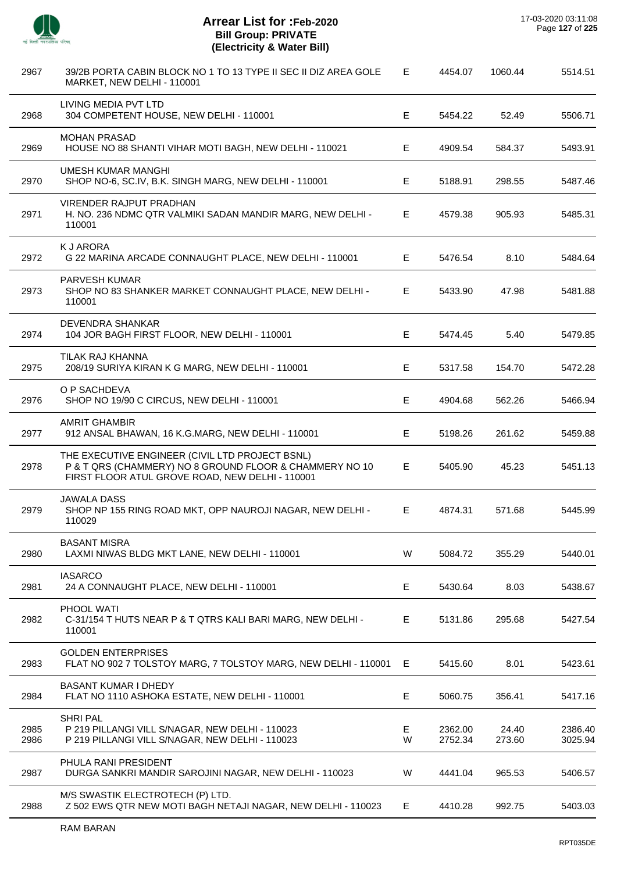

 $\overline{a}$ 

J.

L,

 $\overline{a}$ 

J.

J.

| 2967         | 39/2B PORTA CABIN BLOCK NO 1 TO 13 TYPE II SEC II DIZ AREA GOLE<br>MARKET, NEW DELHI - 110001                                                                 | Е      | 4454.07            | 1060.44         | 5514.51            |
|--------------|---------------------------------------------------------------------------------------------------------------------------------------------------------------|--------|--------------------|-----------------|--------------------|
| 2968         | LIVING MEDIA PVT LTD<br>304 COMPETENT HOUSE, NEW DELHI - 110001                                                                                               | Е      | 5454.22            | 52.49           | 5506.71            |
| 2969         | <b>MOHAN PRASAD</b><br>HOUSE NO 88 SHANTI VIHAR MOTI BAGH, NEW DELHI - 110021                                                                                 | Е      | 4909.54            | 584.37          | 5493.91            |
| 2970         | UMESH KUMAR MANGHI<br>SHOP NO-6, SC.IV, B.K. SINGH MARG, NEW DELHI - 110001                                                                                   | E      | 5188.91            | 298.55          | 5487.46            |
| 2971         | VIRENDER RAJPUT PRADHAN<br>H. NO. 236 NDMC QTR VALMIKI SADAN MANDIR MARG, NEW DELHI -<br>110001                                                               | Е      | 4579.38            | 905.93          | 5485.31            |
| 2972         | <b>KJ ARORA</b><br>G 22 MARINA ARCADE CONNAUGHT PLACE, NEW DELHI - 110001                                                                                     | E.     | 5476.54            | 8.10            | 5484.64            |
| 2973         | PARVESH KUMAR<br>SHOP NO 83 SHANKER MARKET CONNAUGHT PLACE, NEW DELHI -<br>110001                                                                             | Е      | 5433.90            | 47.98           | 5481.88            |
| 2974         | DEVENDRA SHANKAR<br>104 JOR BAGH FIRST FLOOR, NEW DELHI - 110001                                                                                              | E      | 5474.45            | 5.40            | 5479.85            |
| 2975         | TILAK RAJ KHANNA<br>208/19 SURIYA KIRAN K G MARG, NEW DELHI - 110001                                                                                          | Е      | 5317.58            | 154.70          | 5472.28            |
| 2976         | O P SACHDEVA<br>SHOP NO 19/90 C CIRCUS, NEW DELHI - 110001                                                                                                    | Е      | 4904.68            | 562.26          | 5466.94            |
| 2977         | <b>AMRIT GHAMBIR</b><br>912 ANSAL BHAWAN, 16 K.G.MARG, NEW DELHI - 110001                                                                                     | E      | 5198.26            | 261.62          | 5459.88            |
| 2978         | THE EXECUTIVE ENGINEER (CIVIL LTD PROJECT BSNL)<br>P & T QRS (CHAMMERY) NO 8 GROUND FLOOR & CHAMMERY NO 10<br>FIRST FLOOR ATUL GROVE ROAD, NEW DELHI - 110001 | Е      | 5405.90            | 45.23           | 5451.13            |
| 2979         | <b>JAWALA DASS</b><br>SHOP NP 155 RING ROAD MKT, OPP NAUROJI NAGAR, NEW DELHI -<br>110029                                                                     | Е      | 4874.31            | 571.68          | 5445.99            |
| 2980         | <b>BASANT MISRA</b><br>LAXMI NIWAS BLDG MKT LANE, NEW DELHI - 110001                                                                                          | W      | 5084.72            | 355.29          | 5440.01            |
| 2981         | <b>IASARCO</b><br>24 A CONNAUGHT PLACE, NEW DELHI - 110001                                                                                                    | E      | 5430.64            | 8.03            | 5438.67            |
| 2982         | PHOOL WATI<br>C-31/154 T HUTS NEAR P & T QTRS KALI BARI MARG, NEW DELHI -<br>110001                                                                           | Е      | 5131.86            | 295.68          | 5427.54            |
| 2983         | <b>GOLDEN ENTERPRISES</b><br>FLAT NO 902 7 TOLSTOY MARG, 7 TOLSTOY MARG, NEW DELHI - 110001                                                                   | Е      | 5415.60            | 8.01            | 5423.61            |
| 2984         | <b>BASANT KUMAR I DHEDY</b><br>FLAT NO 1110 ASHOKA ESTATE, NEW DELHI - 110001                                                                                 | Е      | 5060.75            | 356.41          | 5417.16            |
| 2985<br>2986 | SHRI PAL<br>P 219 PILLANGI VILL S/NAGAR, NEW DELHI - 110023<br>P 219 PILLANGI VILL S/NAGAR, NEW DELHI - 110023                                                | Е<br>W | 2362.00<br>2752.34 | 24.40<br>273.60 | 2386.40<br>3025.94 |
| 2987         | PHULA RANI PRESIDENT<br>DURGA SANKRI MANDIR SAROJINI NAGAR, NEW DELHI - 110023                                                                                | W      | 4441.04            | 965.53          | 5406.57            |
| 2988         | M/S SWASTIK ELECTROTECH (P) LTD.<br>Z 502 EWS QTR NEW MOTI BAGH NETAJI NAGAR, NEW DELHI - 110023                                                              | Е      | 4410.28            | 992.75          | 5403.03            |
|              |                                                                                                                                                               |        |                    |                 |                    |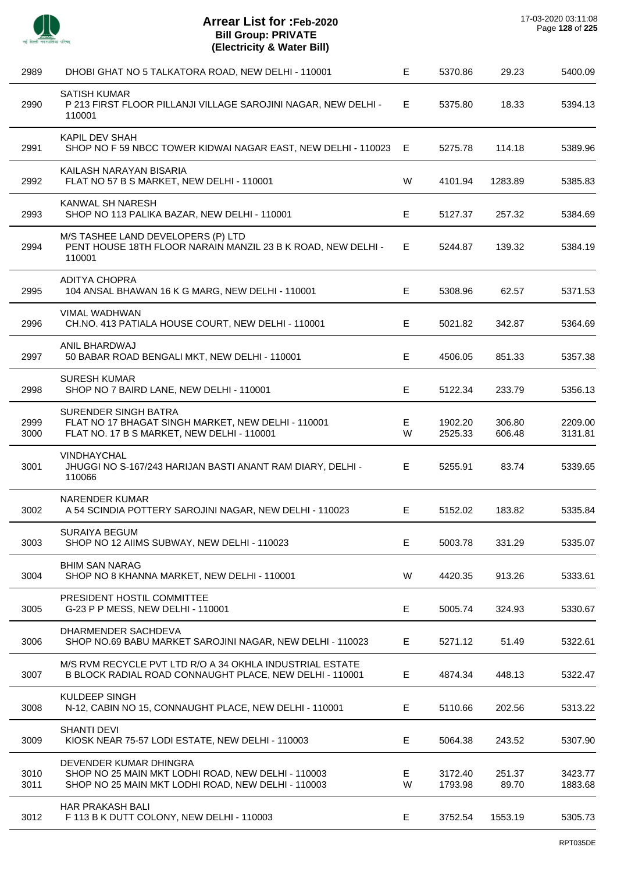

| 2989         | DHOBI GHAT NO 5 TALKATORA ROAD, NEW DELHI - 110001                                                                                 | E       | 5370.86            | 29.23            | 5400.09            |
|--------------|------------------------------------------------------------------------------------------------------------------------------------|---------|--------------------|------------------|--------------------|
| 2990         | <b>SATISH KUMAR</b><br>P 213 FIRST FLOOR PILLANJI VILLAGE SAROJINI NAGAR, NEW DELHI -<br>110001                                    | E.      | 5375.80            | 18.33            | 5394.13            |
| 2991         | KAPIL DEV SHAH<br>SHOP NO F 59 NBCC TOWER KIDWAI NAGAR EAST, NEW DELHI - 110023 E                                                  |         | 5275.78            | 114.18           | 5389.96            |
| 2992         | KAILASH NARAYAN BISARIA<br>FLAT NO 57 B S MARKET, NEW DELHI - 110001                                                               | W       | 4101.94            | 1283.89          | 5385.83            |
| 2993         | KANWAL SH NARESH<br>SHOP NO 113 PALIKA BAZAR, NEW DELHI - 110001                                                                   | E.      | 5127.37            | 257.32           | 5384.69            |
| 2994         | M/S TASHEE LAND DEVELOPERS (P) LTD<br>PENT HOUSE 18TH FLOOR NARAIN MANZIL 23 B K ROAD, NEW DELHI -<br>110001                       | Е.      | 5244.87            | 139.32           | 5384.19            |
| 2995         | <b>ADITYA CHOPRA</b><br>104 ANSAL BHAWAN 16 K G MARG, NEW DELHI - 110001                                                           | E       | 5308.96            | 62.57            | 5371.53            |
| 2996         | VIMAL WADHWAN<br>CH.NO. 413 PATIALA HOUSE COURT, NEW DELHI - 110001                                                                | E.      | 5021.82            | 342.87           | 5364.69            |
| 2997         | ANIL BHARDWAJ<br>50 BABAR ROAD BENGALI MKT, NEW DELHI - 110001                                                                     | E.      | 4506.05            | 851.33           | 5357.38            |
| 2998         | <b>SURESH KUMAR</b><br>SHOP NO 7 BAIRD LANE, NEW DELHI - 110001                                                                    | E       | 5122.34            | 233.79           | 5356.13            |
| 2999<br>3000 | SURENDER SINGH BATRA<br>FLAT NO 17 BHAGAT SINGH MARKET, NEW DELHI - 110001<br>FLAT NO. 17 B S MARKET, NEW DELHI - 110001           | E.<br>W | 1902.20<br>2525.33 | 306.80<br>606.48 | 2209.00<br>3131.81 |
| 3001         | <b>VINDHAYCHAL</b><br>JHUGGI NO S-167/243 HARIJAN BASTI ANANT RAM DIARY, DELHI -<br>110066                                         | E       | 5255.91            | 83.74            | 5339.65            |
| 3002         | <b>NARENDER KUMAR</b><br>A 54 SCINDIA POTTERY SAROJINI NAGAR, NEW DELHI - 110023                                                   | E.      | 5152.02            | 183.82           | 5335.84            |
| 3003         | <b>SURAIYA BEGUM</b><br>SHOP NO 12 AIIMS SUBWAY, NEW DELHI - 110023                                                                | Е       | 5003.78            | 331.29           | 5335.07            |
| 3004         | <b>BHIM SAN NARAG</b><br>SHOP NO 8 KHANNA MARKET, NEW DELHI - 110001                                                               | W       | 4420.35            | 913.26           | 5333.61            |
| 3005         | PRESIDENT HOSTIL COMMITTEE<br>G-23 P P MESS, NEW DELHI - 110001                                                                    | Е       | 5005.74            | 324.93           | 5330.67            |
| 3006         | DHARMENDER SACHDEVA<br>SHOP NO.69 BABU MARKET SAROJINI NAGAR, NEW DELHI - 110023                                                   | E.      | 5271.12            | 51.49            | 5322.61            |
| 3007         | M/S RVM RECYCLE PVT LTD R/O A 34 OKHLA INDUSTRIAL ESTATE<br>B BLOCK RADIAL ROAD CONNAUGHT PLACE, NEW DELHI - 110001                | Е       | 4874.34            | 448.13           | 5322.47            |
| 3008         | <b>KULDEEP SINGH</b><br>N-12, CABIN NO 15, CONNAUGHT PLACE, NEW DELHI - 110001                                                     | E.      | 5110.66            | 202.56           | 5313.22            |
| 3009         | <b>SHANTI DEVI</b><br>KIOSK NEAR 75-57 LODI ESTATE, NEW DELHI - 110003                                                             | E.      | 5064.38            | 243.52           | 5307.90            |
| 3010<br>3011 | DEVENDER KUMAR DHINGRA<br>SHOP NO 25 MAIN MKT LODHI ROAD, NEW DELHI - 110003<br>SHOP NO 25 MAIN MKT LODHI ROAD, NEW DELHI - 110003 | Е<br>W  | 3172.40<br>1793.98 | 251.37<br>89.70  | 3423.77<br>1883.68 |
| 3012         | HAR PRAKASH BALI<br>F 113 B K DUTT COLONY, NEW DELHI - 110003                                                                      | E.      | 3752.54            | 1553.19          | 5305.73            |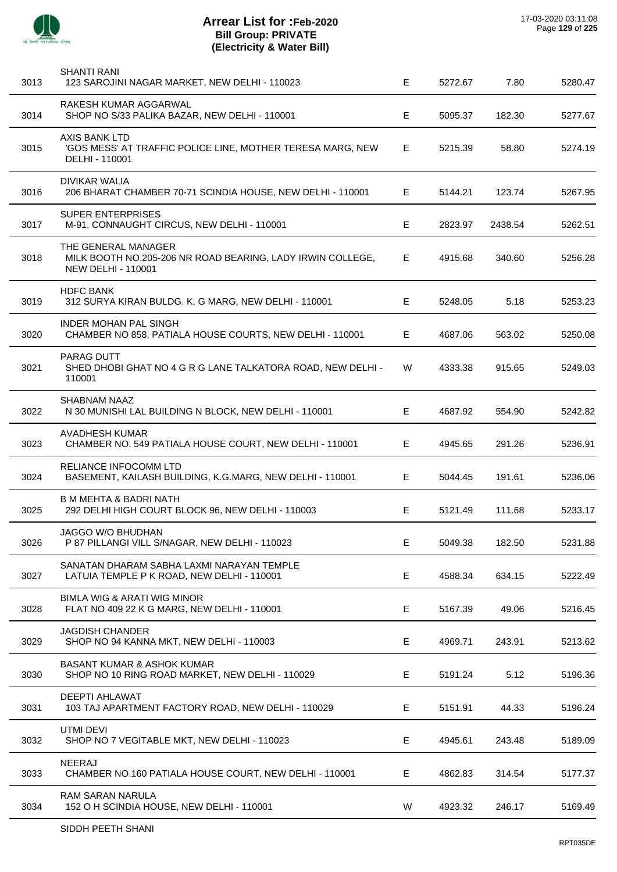

| 3013 | SHANTI RANI<br>123 SAROJINI NAGAR MARKET, NEW DELHI - 110023                                                   | E  | 5272.67 | 7.80    | 5280.47 |
|------|----------------------------------------------------------------------------------------------------------------|----|---------|---------|---------|
| 3014 | RAKESH KUMAR AGGARWAL<br>SHOP NO S/33 PALIKA BAZAR, NEW DELHI - 110001                                         | E  | 5095.37 | 182.30  | 5277.67 |
| 3015 | <b>AXIS BANK LTD</b><br>'GOS MESS' AT TRAFFIC POLICE LINE, MOTHER TERESA MARG, NEW<br>DELHI - 110001           | E. | 5215.39 | 58.80   | 5274.19 |
| 3016 | DIVIKAR WALIA<br>206 BHARAT CHAMBER 70-71 SCINDIA HOUSE, NEW DELHI - 110001                                    | E. | 5144.21 | 123.74  | 5267.95 |
| 3017 | <b>SUPER ENTERPRISES</b><br>M-91, CONNAUGHT CIRCUS, NEW DELHI - 110001                                         | E  | 2823.97 | 2438.54 | 5262.51 |
| 3018 | THE GENERAL MANAGER<br>MILK BOOTH NO.205-206 NR ROAD BEARING, LADY IRWIN COLLEGE,<br><b>NEW DELHI - 110001</b> | Е. | 4915.68 | 340.60  | 5256.28 |
| 3019 | <b>HDFC BANK</b><br>312 SURYA KIRAN BULDG. K. G MARG, NEW DELHI - 110001                                       | E. | 5248.05 | 5.18    | 5253.23 |
| 3020 | INDER MOHAN PAL SINGH<br>CHAMBER NO 858, PATIALA HOUSE COURTS, NEW DELHI - 110001                              | E. | 4687.06 | 563.02  | 5250.08 |
| 3021 | <b>PARAG DUTT</b><br>SHED DHOBI GHAT NO 4 G R G LANE TALKATORA ROAD, NEW DELHI -<br>110001                     | W  | 4333.38 | 915.65  | 5249.03 |
| 3022 | SHABNAM NAAZ<br>N 30 MUNISHI LAL BUILDING N BLOCK, NEW DELHI - 110001                                          | E  | 4687.92 | 554.90  | 5242.82 |
| 3023 | AVADHESH KUMAR<br>CHAMBER NO. 549 PATIALA HOUSE COURT, NEW DELHI - 110001                                      | Е. | 4945.65 | 291.26  | 5236.91 |
| 3024 | <b>RELIANCE INFOCOMM LTD</b><br>BASEMENT, KAILASH BUILDING, K.G.MARG, NEW DELHI - 110001                       | E  | 5044.45 | 191.61  | 5236.06 |
| 3025 | <b>B M MEHTA &amp; BADRI NATH</b><br>292 DELHI HIGH COURT BLOCK 96, NEW DELHI - 110003                         | Е. | 5121.49 | 111.68  | 5233.17 |
| 3026 | JAGGO W/O BHUDHAN<br>P 87 PILLANGI VILL S/NAGAR, NEW DELHI - 110023                                            | Е  | 5049.38 | 182.50  | 5231.88 |
| 3027 | SANATAN DHARAM SABHA LAXMI NARAYAN TEMPLE<br>LATUIA TEMPLE P K ROAD, NEW DELHI - 110001                        | E  | 4588.34 | 634.15  | 5222.49 |
| 3028 | BIMLA WIG & ARATI WIG MINOR<br>FLAT NO 409 22 K G MARG, NEW DELHI - 110001                                     | E  | 5167.39 | 49.06   | 5216.45 |
| 3029 | <b>JAGDISH CHANDER</b><br>SHOP NO 94 KANNA MKT, NEW DELHI - 110003                                             | Е  | 4969.71 | 243.91  | 5213.62 |
| 3030 | <b>BASANT KUMAR &amp; ASHOK KUMAR</b><br>SHOP NO 10 RING ROAD MARKET, NEW DELHI - 110029                       | E. | 5191.24 | 5.12    | 5196.36 |
| 3031 | <b>DEEPTI AHLAWAT</b><br>103 TAJ APARTMENT FACTORY ROAD, NEW DELHI - 110029                                    | Е  | 5151.91 | 44.33   | 5196.24 |
| 3032 | UTMI DEVI<br>SHOP NO 7 VEGITABLE MKT, NEW DELHI - 110023                                                       | E. | 4945.61 | 243.48  | 5189.09 |
| 3033 | NEERAJ<br>CHAMBER NO.160 PATIALA HOUSE COURT, NEW DELHI - 110001                                               | E. | 4862.83 | 314.54  | 5177.37 |
| 3034 | RAM SARAN NARULA<br>152 O H SCINDIA HOUSE, NEW DELHI - 110001                                                  | W  | 4923.32 | 246.17  | 5169.49 |
|      |                                                                                                                |    |         |         |         |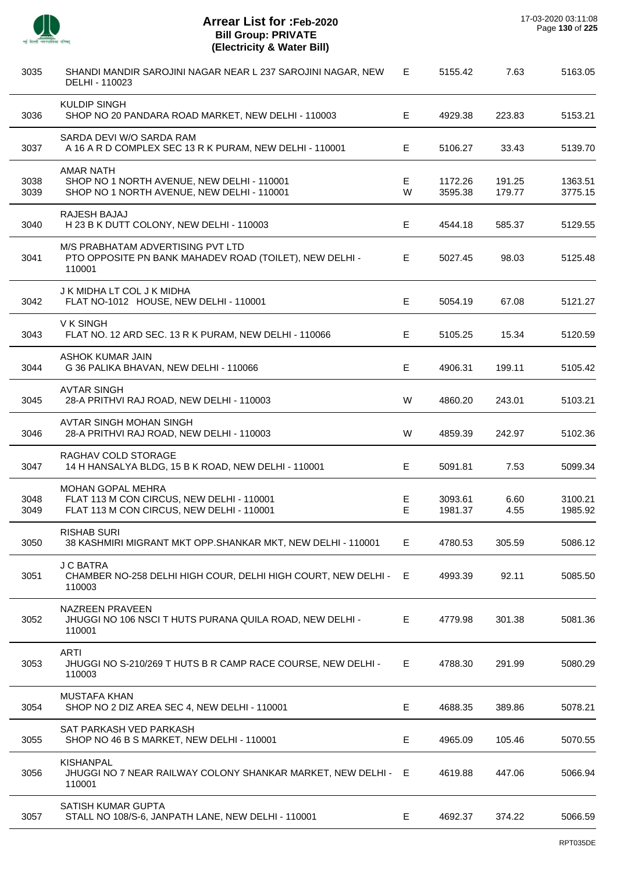

 $\overline{\phantom{a}}$ 

| 3035         | SHANDI MANDIR SAROJINI NAGAR NEAR L 237 SAROJINI NAGAR, NEW<br>DELHI - 110023                                      | E       | 5155.42            | 7.63             | 5163.05            |
|--------------|--------------------------------------------------------------------------------------------------------------------|---------|--------------------|------------------|--------------------|
| 3036         | <b>KULDIP SINGH</b><br>SHOP NO 20 PANDARA ROAD MARKET, NEW DELHI - 110003                                          | E       | 4929.38            | 223.83           | 5153.21            |
| 3037         | SARDA DEVI W/O SARDA RAM<br>A 16 A R D COMPLEX SEC 13 R K PURAM, NEW DELHI - 110001                                | Е       | 5106.27            | 33.43            | 5139.70            |
| 3038<br>3039 | <b>AMAR NATH</b><br>SHOP NO 1 NORTH AVENUE, NEW DELHI - 110001<br>SHOP NO 1 NORTH AVENUE, NEW DELHI - 110001       | E.<br>W | 1172.26<br>3595.38 | 191.25<br>179.77 | 1363.51<br>3775.15 |
| 3040         | RAJESH BAJAJ<br>H 23 B K DUTT COLONY, NEW DELHI - 110003                                                           | Е       | 4544.18            | 585.37           | 5129.55            |
| 3041         | M/S PRABHATAM ADVERTISING PVT LTD<br>PTO OPPOSITE PN BANK MAHADEV ROAD (TOILET), NEW DELHI -<br>110001             | E       | 5027.45            | 98.03            | 5125.48            |
| 3042         | J K MIDHA LT COL J K MIDHA<br>FLAT NO-1012 HOUSE, NEW DELHI - 110001                                               | Е       | 5054.19            | 67.08            | 5121.27            |
| 3043         | V K SINGH<br>FLAT NO. 12 ARD SEC. 13 R K PURAM, NEW DELHI - 110066                                                 | Е       | 5105.25            | 15.34            | 5120.59            |
| 3044         | ASHOK KUMAR JAIN<br>G 36 PALIKA BHAVAN, NEW DELHI - 110066                                                         | Е       | 4906.31            | 199.11           | 5105.42            |
| 3045         | <b>AVTAR SINGH</b><br>28-A PRITHVI RAJ ROAD, NEW DELHI - 110003                                                    | W       | 4860.20            | 243.01           | 5103.21            |
| 3046         | AVTAR SINGH MOHAN SINGH<br>28-A PRITHVI RAJ ROAD, NEW DELHI - 110003                                               | W       | 4859.39            | 242.97           | 5102.36            |
| 3047         | RAGHAV COLD STORAGE<br>14 H HANSALYA BLDG, 15 B K ROAD, NEW DELHI - 110001                                         | Е       | 5091.81            | 7.53             | 5099.34            |
| 3048<br>3049 | <b>MOHAN GOPAL MEHRA</b><br>FLAT 113 M CON CIRCUS, NEW DELHI - 110001<br>FLAT 113 M CON CIRCUS, NEW DELHI - 110001 | E.<br>E | 3093.61<br>1981.37 | 6.60<br>4.55     | 3100.21<br>1985.92 |
| 3050         | <b>RISHAB SURI</b><br>38 KASHMIRI MIGRANT MKT OPP.SHANKAR MKT, NEW DELHI - 110001                                  | E       | 4780.53            | 305.59           | 5086.12            |
| 3051         | <b>J C BATRA</b><br>CHAMBER NO-258 DELHI HIGH COUR, DELHI HIGH COURT, NEW DELHI -<br>110003                        | E.      | 4993.39            | 92.11            | 5085.50            |
| 3052         | <b>NAZREEN PRAVEEN</b><br>JHUGGI NO 106 NSCI T HUTS PURANA QUILA ROAD, NEW DELHI -<br>110001                       | Е       | 4779.98            | 301.38           | 5081.36            |
| 3053         | <b>ARTI</b><br>JHUGGI NO S-210/269 T HUTS B R CAMP RACE COURSE, NEW DELHI -<br>110003                              | Е       | 4788.30            | 291.99           | 5080.29            |
| 3054         | <b>MUSTAFA KHAN</b><br>SHOP NO 2 DIZ AREA SEC 4, NEW DELHI - 110001                                                | Е       | 4688.35            | 389.86           | 5078.21            |
| 3055         | SAT PARKASH VED PARKASH<br>SHOP NO 46 B S MARKET, NEW DELHI - 110001                                               | E.      | 4965.09            | 105.46           | 5070.55            |
| 3056         | <b>KISHANPAL</b><br>JHUGGI NO 7 NEAR RAILWAY COLONY SHANKAR MARKET, NEW DELHI - E<br>110001                        |         | 4619.88            | 447.06           | 5066.94            |
| 3057         | <b>SATISH KUMAR GUPTA</b><br>STALL NO 108/S-6, JANPATH LANE, NEW DELHI - 110001                                    | E.      | 4692.37            | 374.22           | 5066.59            |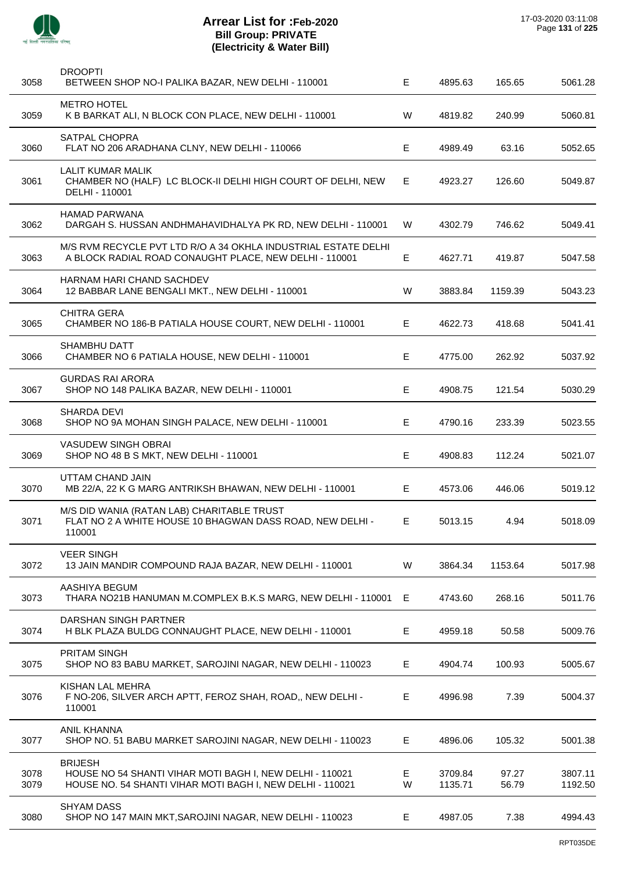

| 3058         | <b>DROOPTI</b><br>BETWEEN SHOP NO-I PALIKA BAZAR, NEW DELHI - 110001                                                                    | Е      | 4895.63            | 165.65         | 5061.28            |
|--------------|-----------------------------------------------------------------------------------------------------------------------------------------|--------|--------------------|----------------|--------------------|
| 3059         | <b>METRO HOTEL</b><br>K B BARKAT ALI, N BLOCK CON PLACE, NEW DELHI - 110001                                                             | W      | 4819.82            | 240.99         | 5060.81            |
| 3060         | SATPAL CHOPRA<br>FLAT NO 206 ARADHANA CLNY, NEW DELHI - 110066                                                                          | Е      | 4989.49            | 63.16          | 5052.65            |
| 3061         | <b>LALIT KUMAR MALIK</b><br>CHAMBER NO (HALF) LC BLOCK-II DELHI HIGH COURT OF DELHI, NEW<br>DELHI - 110001                              | Е      | 4923.27            | 126.60         | 5049.87            |
| 3062         | <b>HAMAD PARWANA</b><br>DARGAH S. HUSSAN ANDHMAHAVIDHALYA PK RD, NEW DELHI - 110001                                                     | W      | 4302.79            | 746.62         | 5049.41            |
| 3063         | M/S RVM RECYCLE PVT LTD R/O A 34 OKHLA INDUSTRIAL ESTATE DELHI<br>A BLOCK RADIAL ROAD CONAUGHT PLACE, NEW DELHI - 110001                | E      | 4627.71            | 419.87         | 5047.58            |
| 3064         | HARNAM HARI CHAND SACHDEV<br>12 BABBAR LANE BENGALI MKT., NEW DELHI - 110001                                                            | W      | 3883.84            | 1159.39        | 5043.23            |
| 3065         | <b>CHITRA GERA</b><br>CHAMBER NO 186-B PATIALA HOUSE COURT, NEW DELHI - 110001                                                          | Е      | 4622.73            | 418.68         | 5041.41            |
| 3066         | <b>SHAMBHU DATT</b><br>CHAMBER NO 6 PATIALA HOUSE, NEW DELHI - 110001                                                                   | Е      | 4775.00            | 262.92         | 5037.92            |
| 3067         | <b>GURDAS RAI ARORA</b><br>SHOP NO 148 PALIKA BAZAR, NEW DELHI - 110001                                                                 | Е      | 4908.75            | 121.54         | 5030.29            |
| 3068         | <b>SHARDA DEVI</b><br>SHOP NO 9A MOHAN SINGH PALACE, NEW DELHI - 110001                                                                 | Е      | 4790.16            | 233.39         | 5023.55            |
| 3069         | <b>VASUDEW SINGH OBRAI</b><br>SHOP NO 48 B S MKT, NEW DELHI - 110001                                                                    | Е      | 4908.83            | 112.24         | 5021.07            |
| 3070         | UTTAM CHAND JAIN<br>MB 22/A, 22 K G MARG ANTRIKSH BHAWAN, NEW DELHI - 110001                                                            | Е      | 4573.06            | 446.06         | 5019.12            |
| 3071         | M/S DID WANIA (RATAN LAB) CHARITABLE TRUST<br>FLAT NO 2 A WHITE HOUSE 10 BHAGWAN DASS ROAD, NEW DELHI -<br>110001                       | E      | 5013.15            | 4.94           | 5018.09            |
| 3072         | <b>VEER SINGH</b><br>13 JAIN MANDIR COMPOUND RAJA BAZAR, NEW DELHI - 110001                                                             | W      | 3864.34            | 1153.64        | 5017.98            |
| 3073         | AASHIYA BEGUM<br>THARA NO21B HANUMAN M.COMPLEX B.K.S MARG, NEW DELHI - 110001                                                           | Е      | 4743.60            | 268.16         | 5011.76            |
| 3074         | DARSHAN SINGH PARTNER<br>H BLK PLAZA BULDG CONNAUGHT PLACE, NEW DELHI - 110001                                                          | Е      | 4959.18            | 50.58          | 5009.76            |
| 3075         | PRITAM SINGH<br>SHOP NO 83 BABU MARKET, SAROJINI NAGAR, NEW DELHI - 110023                                                              | Е      | 4904.74            | 100.93         | 5005.67            |
| 3076         | KISHAN LAL MEHRA<br>F NO-206, SILVER ARCH APTT, FEROZ SHAH, ROAD,, NEW DELHI -<br>110001                                                | E      | 4996.98            | 7.39           | 5004.37            |
| 3077         | <b>ANIL KHANNA</b><br>SHOP NO. 51 BABU MARKET SAROJINI NAGAR, NEW DELHI - 110023                                                        | E      | 4896.06            | 105.32         | 5001.38            |
| 3078<br>3079 | <b>BRIJESH</b><br>HOUSE NO 54 SHANTI VIHAR MOTI BAGH I, NEW DELHI - 110021<br>HOUSE NO. 54 SHANTI VIHAR MOTI BAGH I, NEW DELHI - 110021 | E<br>W | 3709.84<br>1135.71 | 97.27<br>56.79 | 3807.11<br>1192.50 |
| 3080         | <b>SHYAM DASS</b><br>SHOP NO 147 MAIN MKT, SAROJINI NAGAR, NEW DELHI - 110023                                                           | Е      | 4987.05            | 7.38           | 4994.43            |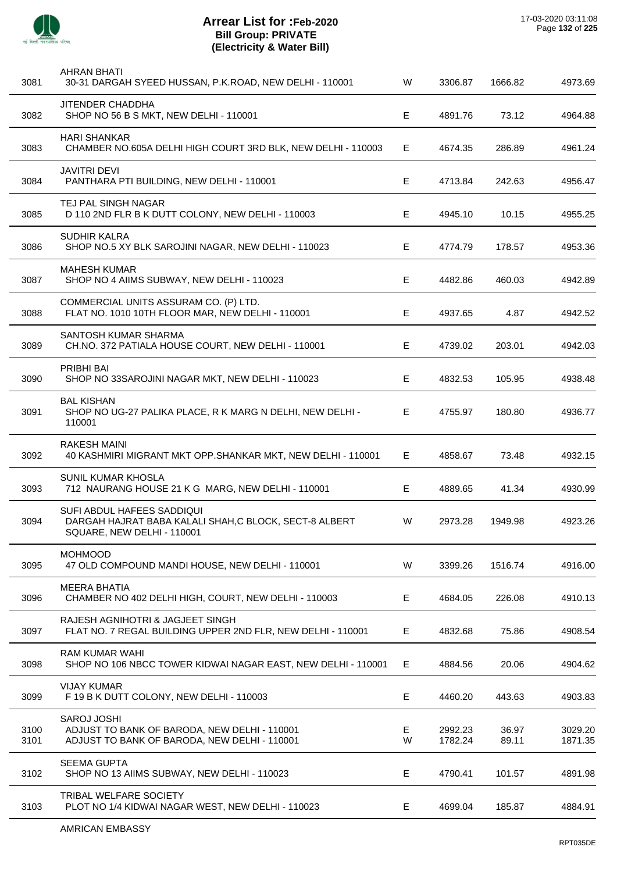

 $\overline{a}$ 

J.

J.

 $\overline{a}$ 

J.

 $\overline{a}$ 

 $\overline{a}$ 

| 3081         | <b>AHRAN BHATI</b><br>30-31 DARGAH SYEED HUSSAN, P.K.ROAD, NEW DELHI - 110001                                      | W      | 3306.87            | 1666.82        | 4973.69            |
|--------------|--------------------------------------------------------------------------------------------------------------------|--------|--------------------|----------------|--------------------|
| 3082         | <b>JITENDER CHADDHA</b><br>SHOP NO 56 B S MKT, NEW DELHI - 110001                                                  | Е      | 4891.76            | 73.12          | 4964.88            |
| 3083         | <b>HARI SHANKAR</b><br>CHAMBER NO.605A DELHI HIGH COURT 3RD BLK, NEW DELHI - 110003                                | E      | 4674.35            | 286.89         | 4961.24            |
| 3084         | <b>JAVITRI DEVI</b><br>PANTHARA PTI BUILDING, NEW DELHI - 110001                                                   | Е      | 4713.84            | 242.63         | 4956.47            |
| 3085         | TEJ PAL SINGH NAGAR<br>D 110 2ND FLR B K DUTT COLONY, NEW DELHI - 110003                                           | E      | 4945.10            | 10.15          | 4955.25            |
| 3086         | <b>SUDHIR KALRA</b><br>SHOP NO.5 XY BLK SAROJINI NAGAR, NEW DELHI - 110023                                         | E      | 4774.79            | 178.57         | 4953.36            |
| 3087         | <b>MAHESH KUMAR</b><br>SHOP NO 4 AIIMS SUBWAY, NEW DELHI - 110023                                                  | Е      | 4482.86            | 460.03         | 4942.89            |
| 3088         | COMMERCIAL UNITS ASSURAM CO. (P) LTD.<br>FLAT NO. 1010 10TH FLOOR MAR, NEW DELHI - 110001                          | E.     | 4937.65            | 4.87           | 4942.52            |
| 3089         | SANTOSH KUMAR SHARMA<br>CH.NO. 372 PATIALA HOUSE COURT, NEW DELHI - 110001                                         | Е      | 4739.02            | 203.01         | 4942.03            |
| 3090         | PRIBHI BAI<br>SHOP NO 33SAROJINI NAGAR MKT, NEW DELHI - 110023                                                     | E      | 4832.53            | 105.95         | 4938.48            |
| 3091         | <b>BAL KISHAN</b><br>SHOP NO UG-27 PALIKA PLACE, R K MARG N DELHI, NEW DELHI -<br>110001                           | E.     | 4755.97            | 180.80         | 4936.77            |
| 3092         | RAKESH MAINI<br>40 KASHMIRI MIGRANT MKT OPP.SHANKAR MKT, NEW DELHI - 110001                                        | E.     | 4858.67            | 73.48          | 4932.15            |
| 3093         | SUNIL KUMAR KHOSLA<br>712 NAURANG HOUSE 21 K G MARG, NEW DELHI - 110001                                            | E      | 4889.65            | 41.34          | 4930.99            |
| 3094         | SUFI ABDUL HAFEES SADDIQUI<br>DARGAH HAJRAT BABA KALALI SHAH, C BLOCK, SECT-8 ALBERT<br>SQUARE, NEW DELHI - 110001 | W      | 2973.28            | 1949.98        | 4923.26            |
| 3095         | <b>MOHMOOD</b><br>47 OLD COMPOUND MANDI HOUSE, NEW DELHI - 110001                                                  | W      | 3399.26            | 1516.74        | 4916.00            |
| 3096         | <b>MEERA BHATIA</b><br>CHAMBER NO 402 DELHI HIGH, COURT, NEW DELHI - 110003                                        | E.     | 4684.05            | 226.08         | 4910.13            |
| 3097         | RAJESH AGNIHOTRI & JAGJEET SINGH<br>FLAT NO. 7 REGAL BUILDING UPPER 2ND FLR, NEW DELHI - 110001                    | Е      | 4832.68            | 75.86          | 4908.54            |
| 3098         | <b>RAM KUMAR WAHI</b><br>SHOP NO 106 NBCC TOWER KIDWAI NAGAR EAST, NEW DELHI - 110001                              | Е      | 4884.56            | 20.06          | 4904.62            |
| 3099         | <b>VIJAY KUMAR</b><br>F 19 B K DUTT COLONY, NEW DELHI - 110003                                                     | E      | 4460.20            | 443.63         | 4903.83            |
| 3100<br>3101 | SAROJ JOSHI<br>ADJUST TO BANK OF BARODA, NEW DELHI - 110001<br>ADJUST TO BANK OF BARODA, NEW DELHI - 110001        | Е<br>W | 2992.23<br>1782.24 | 36.97<br>89.11 | 3029.20<br>1871.35 |
| 3102         | <b>SEEMA GUPTA</b><br>SHOP NO 13 AIIMS SUBWAY, NEW DELHI - 110023                                                  | Е      | 4790.41            | 101.57         | 4891.98            |
| 3103         | TRIBAL WELFARE SOCIETY<br>PLOT NO 1/4 KIDWAI NAGAR WEST, NEW DELHI - 110023                                        | E.     | 4699.04            | 185.87         | 4884.91            |
|              |                                                                                                                    |        |                    |                |                    |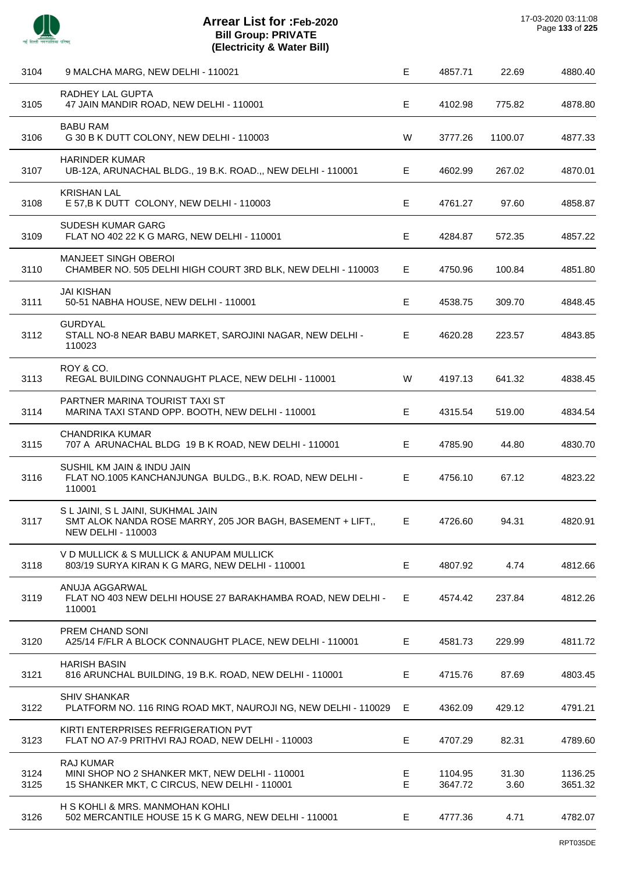

| 3104         | 9 MALCHA MARG, NEW DELHI - 110021                                                                                      | Е      | 4857.71            | 22.69         | 4880.40            |
|--------------|------------------------------------------------------------------------------------------------------------------------|--------|--------------------|---------------|--------------------|
| 3105         | RADHEY LAL GUPTA<br>47 JAIN MANDIR ROAD, NEW DELHI - 110001                                                            | Е      | 4102.98            | 775.82        | 4878.80            |
| 3106         | <b>BABU RAM</b><br>G 30 B K DUTT COLONY, NEW DELHI - 110003                                                            | W      | 3777.26            | 1100.07       | 4877.33            |
| 3107         | <b>HARINDER KUMAR</b><br>UB-12A, ARUNACHAL BLDG., 19 B.K. ROAD.,, NEW DELHI - 110001                                   | Е      | 4602.99            | 267.02        | 4870.01            |
| 3108         | <b>KRISHAN LAL</b><br>E 57, B K DUTT COLONY, NEW DELHI - 110003                                                        | Е      | 4761.27            | 97.60         | 4858.87            |
| 3109         | <b>SUDESH KUMAR GARG</b><br>FLAT NO 402 22 K G MARG, NEW DELHI - 110001                                                | Е      | 4284.87            | 572.35        | 4857.22            |
| 3110         | <b>MANJEET SINGH OBEROI</b><br>CHAMBER NO. 505 DELHI HIGH COURT 3RD BLK, NEW DELHI - 110003                            | E      | 4750.96            | 100.84        | 4851.80            |
| 3111         | <b>JAI KISHAN</b><br>50-51 NABHA HOUSE, NEW DELHI - 110001                                                             | Е      | 4538.75            | 309.70        | 4848.45            |
| 3112         | <b>GURDYAL</b><br>STALL NO-8 NEAR BABU MARKET, SAROJINI NAGAR, NEW DELHI -<br>110023                                   | E.     | 4620.28            | 223.57        | 4843.85            |
| 3113         | ROY & CO.<br>REGAL BUILDING CONNAUGHT PLACE, NEW DELHI - 110001                                                        | W      | 4197.13            | 641.32        | 4838.45            |
| 3114         | PARTNER MARINA TOURIST TAXI ST<br>MARINA TAXI STAND OPP. BOOTH, NEW DELHI - 110001                                     | Е      | 4315.54            | 519.00        | 4834.54            |
| 3115         | <b>CHANDRIKA KUMAR</b><br>707 A ARUNACHAL BLDG 19 B K ROAD, NEW DELHI - 110001                                         | E      | 4785.90            | 44.80         | 4830.70            |
| 3116         | SUSHIL KM JAIN & INDU JAIN<br>FLAT NO.1005 KANCHANJUNGA BULDG., B.K. ROAD, NEW DELHI -<br>110001                       | E.     | 4756.10            | 67.12         | 4823.22            |
| 3117         | S L JAINI, S L JAINI, SUKHMAL JAIN<br>SMT ALOK NANDA ROSE MARRY, 205 JOR BAGH, BASEMENT + LIFT,,<br>NEW DELHI - 110003 | E      | 4726.60            | 94.31         | 4820.91            |
| 3118         | V D MULLICK & S MULLICK & ANUPAM MULLICK<br>803/19 SURYA KIRAN K G MARG, NEW DELHI - 110001                            | Е      | 4807.92            | 4.74          | 4812.66            |
| 3119         | ANUJA AGGARWAL<br>FLAT NO 403 NEW DELHI HOUSE 27 BARAKHAMBA ROAD, NEW DELHI -<br>110001                                | E      | 4574.42            | 237.84        | 4812.26            |
| 3120         | PREM CHAND SONI<br>A25/14 F/FLR A BLOCK CONNAUGHT PLACE, NEW DELHI - 110001                                            | Е      | 4581.73            | 229.99        | 4811.72            |
| 3121         | <b>HARISH BASIN</b><br>816 ARUNCHAL BUILDING, 19 B.K. ROAD, NEW DELHI - 110001                                         | E      | 4715.76            | 87.69         | 4803.45            |
| 3122         | <b>SHIV SHANKAR</b><br>PLATFORM NO. 116 RING ROAD MKT, NAUROJI NG, NEW DELHI - 110029                                  | Е      | 4362.09            | 429.12        | 4791.21            |
| 3123         | KIRTI ENTERPRISES REFRIGERATION PVT<br>FLAT NO A7-9 PRITHVI RAJ ROAD, NEW DELHI - 110003                               | Е      | 4707.29            | 82.31         | 4789.60            |
| 3124<br>3125 | <b>RAJ KUMAR</b><br>MINI SHOP NO 2 SHANKER MKT, NEW DELHI - 110001<br>15 SHANKER MKT, C CIRCUS, NEW DELHI - 110001     | Е<br>Е | 1104.95<br>3647.72 | 31.30<br>3.60 | 1136.25<br>3651.32 |
| 3126         | H S KOHLI & MRS. MANMOHAN KOHLI<br>502 MERCANTILE HOUSE 15 K G MARG, NEW DELHI - 110001                                | E      | 4777.36            | 4.71          | 4782.07            |
|              |                                                                                                                        |        |                    |               |                    |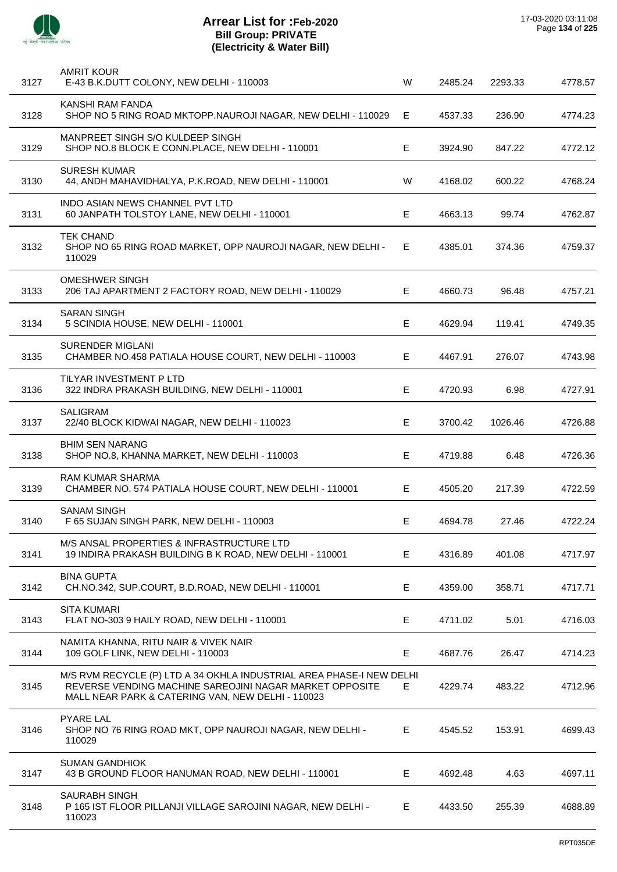

l,

l,

l,

 $\overline{a}$ 

l,

| 3127 | <b>AMRIT KOUR</b><br>E-43 B.K.DUTT COLONY, NEW DELHI - 110003                                                                                                                        | W  | 2485.24 | 2293.33 | 4778.57 |
|------|--------------------------------------------------------------------------------------------------------------------------------------------------------------------------------------|----|---------|---------|---------|
| 3128 | KANSHI RAM FANDA<br>SHOP NO 5 RING ROAD MKTOPP.NAUROJI NAGAR, NEW DELHI - 110029                                                                                                     | Е  | 4537.33 | 236.90  | 4774.23 |
| 3129 | MANPREET SINGH S/O KULDEEP SINGH<br>SHOP NO.8 BLOCK E CONN.PLACE, NEW DELHI - 110001                                                                                                 | Е  | 3924.90 | 847.22  | 4772.12 |
| 3130 | <b>SURESH KUMAR</b><br>44, ANDH MAHAVIDHALYA, P.K.ROAD, NEW DELHI - 110001                                                                                                           | W  | 4168.02 | 600.22  | 4768.24 |
| 3131 | <b>INDO ASIAN NEWS CHANNEL PVT LTD</b><br>60 JANPATH TOLSTOY LANE, NEW DELHI - 110001                                                                                                | Е  | 4663.13 | 99.74   | 4762.87 |
| 3132 | <b>TEK CHAND</b><br>SHOP NO 65 RING ROAD MARKET, OPP NAUROJI NAGAR, NEW DELHI -<br>110029                                                                                            | Е  | 4385.01 | 374.36  | 4759.37 |
| 3133 | OMESHWER SINGH<br>206 TAJ APARTMENT 2 FACTORY ROAD, NEW DELHI - 110029                                                                                                               | E  | 4660.73 | 96.48   | 4757.21 |
| 3134 | <b>SARAN SINGH</b><br>5 SCINDIA HOUSE, NEW DELHI - 110001                                                                                                                            | Е  | 4629.94 | 119.41  | 4749.35 |
| 3135 | <b>SURENDER MIGLANI</b><br>CHAMBER NO.458 PATIALA HOUSE COURT, NEW DELHI - 110003                                                                                                    | E. | 4467.91 | 276.07  | 4743.98 |
| 3136 | TILYAR INVESTMENT P LTD<br>322 INDRA PRAKASH BUILDING, NEW DELHI - 110001                                                                                                            | Е  | 4720.93 | 6.98    | 4727.91 |
| 3137 | <b>SALIGRAM</b><br>22/40 BLOCK KIDWAI NAGAR, NEW DELHI - 110023                                                                                                                      | Е  | 3700.42 | 1026.46 | 4726.88 |
| 3138 | <b>BHIM SEN NARANG</b><br>SHOP NO.8, KHANNA MARKET, NEW DELHI - 110003                                                                                                               | Е  | 4719.88 | 6.48    | 4726.36 |
| 3139 | <b>RAM KUMAR SHARMA</b><br>CHAMBER NO. 574 PATIALA HOUSE COURT, NEW DELHI - 110001                                                                                                   | Е  | 4505.20 | 217.39  | 4722.59 |
| 3140 | <b>SANAM SINGH</b><br>F 65 SUJAN SINGH PARK, NEW DELHI - 110003                                                                                                                      | Е  | 4694.78 | 27.46   | 4722.24 |
| 3141 | M/S ANSAL PROPERTIES & INFRASTRUCTURE LTD<br>19 INDIRA PRAKASH BUILDING B K ROAD, NEW DELHI - 110001                                                                                 | Е  | 4316.89 | 401.08  | 4717.97 |
| 3142 | <b>BINA GUPTA</b><br>CH.NO.342, SUP.COURT, B.D.ROAD, NEW DELHI - 110001                                                                                                              | E  | 4359.00 | 358.71  | 4717.71 |
| 3143 | <b>SITA KUMARI</b><br>FLAT NO-303 9 HAILY ROAD, NEW DELHI - 110001                                                                                                                   | E  | 4711.02 | 5.01    | 4716.03 |
| 3144 | NAMITA KHANNA, RITU NAIR & VIVEK NAIR<br>109 GOLF LINK, NEW DELHI - 110003                                                                                                           | E  | 4687.76 | 26.47   | 4714.23 |
| 3145 | M/S RVM RECYCLE (P) LTD A 34 OKHLA INDUSTRIAL AREA PHASE-I NEW DELHI<br>REVERSE VENDING MACHINE SAREOJINI NAGAR MARKET OPPOSITE<br>MALL NEAR PARK & CATERING VAN, NEW DELHI - 110023 | E. | 4229.74 | 483.22  | 4712.96 |
| 3146 | <b>PYARE LAL</b><br>SHOP NO 76 RING ROAD MKT, OPP NAUROJI NAGAR, NEW DELHI -<br>110029                                                                                               | E  | 4545.52 | 153.91  | 4699.43 |
| 3147 | <b>SUMAN GANDHIOK</b><br>43 B GROUND FLOOR HANUMAN ROAD, NEW DELHI - 110001                                                                                                          | E. | 4692.48 | 4.63    | 4697.11 |
| 3148 | <b>SAURABH SINGH</b><br>P 165 IST FLOOR PILLANJI VILLAGE SAROJINI NAGAR, NEW DELHI -<br>110023                                                                                       | E  | 4433.50 | 255.39  | 4688.89 |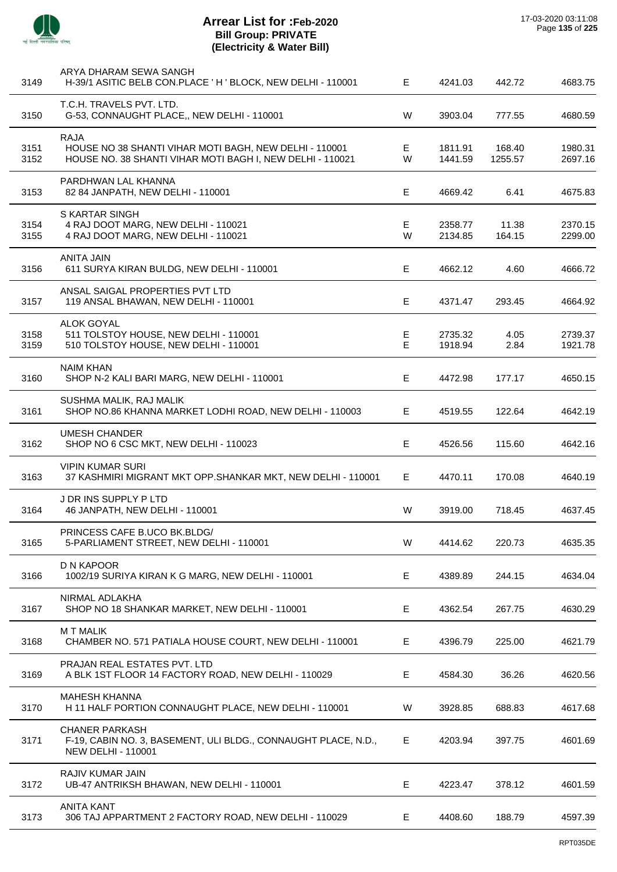

| 3149         | ARYA DHARAM SEWA SANGH<br>H-39/1 ASITIC BELB CON.PLACE 'H ' BLOCK, NEW DELHI - 110001                                              | E.     | 4241.03            | 442.72            | 4683.75            |
|--------------|------------------------------------------------------------------------------------------------------------------------------------|--------|--------------------|-------------------|--------------------|
| 3150         | T.C.H. TRAVELS PVT. LTD.<br>G-53, CONNAUGHT PLACE,, NEW DELHI - 110001                                                             | W      | 3903.04            | 777.55            | 4680.59            |
| 3151<br>3152 | <b>RAJA</b><br>HOUSE NO 38 SHANTI VIHAR MOTI BAGH, NEW DELHI - 110001<br>HOUSE NO. 38 SHANTI VIHAR MOTI BAGH I, NEW DELHI - 110021 | Е<br>W | 1811.91<br>1441.59 | 168.40<br>1255.57 | 1980.31<br>2697.16 |
| 3153         | PARDHWAN LAL KHANNA<br>82 84 JANPATH, NEW DELHI - 110001                                                                           | Е      | 4669.42            | 6.41              | 4675.83            |
| 3154<br>3155 | S KARTAR SINGH<br>4 RAJ DOOT MARG, NEW DELHI - 110021<br>4 RAJ DOOT MARG, NEW DELHI - 110021                                       | E<br>W | 2358.77<br>2134.85 | 11.38<br>164.15   | 2370.15<br>2299.00 |
| 3156         | <b>ANITA JAIN</b><br>611 SURYA KIRAN BULDG, NEW DELHI - 110001                                                                     | E      | 4662.12            | 4.60              | 4666.72            |
| 3157         | ANSAL SAIGAL PROPERTIES PVT LTD<br>119 ANSAL BHAWAN, NEW DELHI - 110001                                                            | E.     | 4371.47            | 293.45            | 4664.92            |
| 3158<br>3159 | <b>ALOK GOYAL</b><br>511 TOLSTOY HOUSE, NEW DELHI - 110001<br>510 TOLSTOY HOUSE, NEW DELHI - 110001                                | Е<br>E | 2735.32<br>1918.94 | 4.05<br>2.84      | 2739.37<br>1921.78 |
| 3160         | <b>NAIM KHAN</b><br>SHOP N-2 KALI BARI MARG, NEW DELHI - 110001                                                                    | Е      | 4472.98            | 177.17            | 4650.15            |
| 3161         | SUSHMA MALIK, RAJ MALIK<br>SHOP NO.86 KHANNA MARKET LODHI ROAD, NEW DELHI - 110003                                                 | E.     | 4519.55            | 122.64            | 4642.19            |
| 3162         | <b>UMESH CHANDER</b><br>SHOP NO 6 CSC MKT, NEW DELHI - 110023                                                                      | E      | 4526.56            | 115.60            | 4642.16            |
| 3163         | <b>VIPIN KUMAR SURI</b><br>37 KASHMIRI MIGRANT MKT OPP.SHANKAR MKT, NEW DELHI - 110001                                             | E.     | 4470.11            | 170.08            | 4640.19            |
| 3164         | J DR INS SUPPLY P LTD<br>46 JANPATH, NEW DELHI - 110001                                                                            | W      | 3919.00            | 718.45            | 4637.45            |
| 3165         | PRINCESS CAFE B.UCO BK.BLDG/<br>5-PARLIAMENT STREET, NEW DELHI - 110001                                                            | W      | 4414.62            | 220.73            | 4635.35            |
| 3166         | D N KAPOOR<br>1002/19 SURIYA KIRAN K G MARG, NEW DELHI - 110001                                                                    | E.     | 4389.89            | 244.15            | 4634.04            |
| 3167         | NIRMAL ADLAKHA<br>SHOP NO 18 SHANKAR MARKET, NEW DELHI - 110001                                                                    | E      | 4362.54            | 267.75            | 4630.29            |
| 3168         | <b>MT MALIK</b><br>CHAMBER NO. 571 PATIALA HOUSE COURT, NEW DELHI - 110001                                                         | E.     | 4396.79            | 225.00            | 4621.79            |
| 3169         | PRAJAN REAL ESTATES PVT. LTD<br>A BLK 1ST FLOOR 14 FACTORY ROAD, NEW DELHI - 110029                                                | Е      | 4584.30            | 36.26             | 4620.56            |
| 3170         | <b>MAHESH KHANNA</b><br>H 11 HALF PORTION CONNAUGHT PLACE, NEW DELHI - 110001                                                      | W      | 3928.85            | 688.83            | 4617.68            |
| 3171         | <b>CHANER PARKASH</b><br>F-19, CABIN NO. 3, BASEMENT, ULI BLDG., CONNAUGHT PLACE, N.D.,<br><b>NEW DELHI - 110001</b>               | E.     | 4203.94            | 397.75            | 4601.69            |
| 3172         | RAJIV KUMAR JAIN<br>UB-47 ANTRIKSH BHAWAN, NEW DELHI - 110001                                                                      | Е      | 4223.47            | 378.12            | 4601.59            |
| 3173         | <b>ANITA KANT</b><br>306 TAJ APPARTMENT 2 FACTORY ROAD, NEW DELHI - 110029                                                         | E.     | 4408.60            | 188.79            | 4597.39            |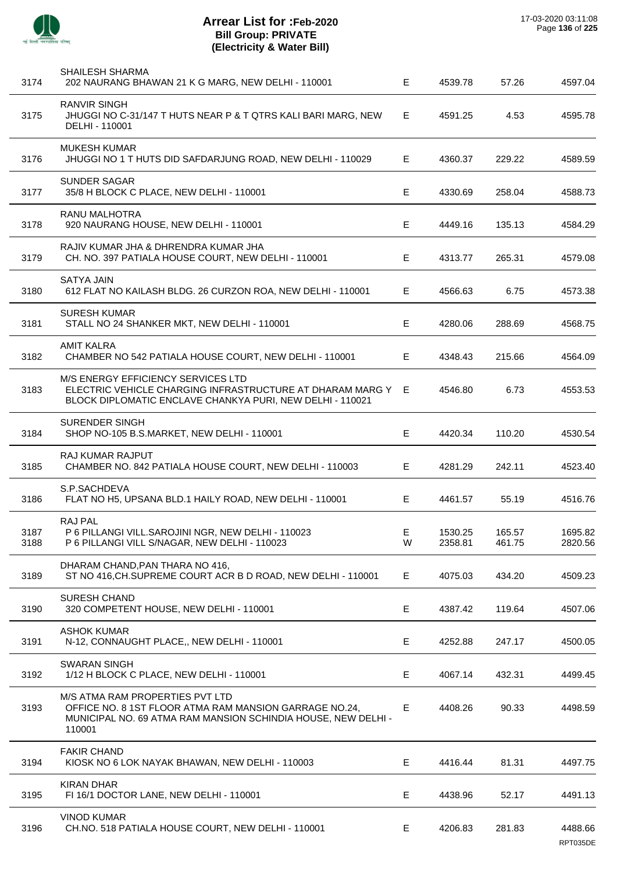

J.

J.

J.

l,

J.

J.

j.

 $\overline{a}$ 

J.

J.

| 3174         | <b>SHAILESH SHARMA</b><br>202 NAURANG BHAWAN 21 K G MARG, NEW DELHI - 110001                                                                                         | E.     | 4539.78            | 57.26            | 4597.04            |
|--------------|----------------------------------------------------------------------------------------------------------------------------------------------------------------------|--------|--------------------|------------------|--------------------|
| 3175         | <b>RANVIR SINGH</b><br>JHUGGI NO C-31/147 T HUTS NEAR P & T QTRS KALI BARI MARG, NEW<br>DELHI - 110001                                                               | E      | 4591.25            | 4.53             | 4595.78            |
| 3176         | <b>MUKESH KUMAR</b><br>JHUGGI NO 1 T HUTS DID SAFDARJUNG ROAD, NEW DELHI - 110029                                                                                    | E.     | 4360.37            | 229.22           | 4589.59            |
| 3177         | <b>SUNDER SAGAR</b><br>35/8 H BLOCK C PLACE, NEW DELHI - 110001                                                                                                      | E      | 4330.69            | 258.04           | 4588.73            |
| 3178         | RANU MALHOTRA<br>920 NAURANG HOUSE, NEW DELHI - 110001                                                                                                               | E.     | 4449.16            | 135.13           | 4584.29            |
| 3179         | RAJIV KUMAR JHA & DHRENDRA KUMAR JHA<br>CH. NO. 397 PATIALA HOUSE COURT, NEW DELHI - 110001                                                                          | E      | 4313.77            | 265.31           | 4579.08            |
| 3180         | <b>SATYA JAIN</b><br>612 FLAT NO KAILASH BLDG. 26 CURZON ROA, NEW DELHI - 110001                                                                                     | Е      | 4566.63            | 6.75             | 4573.38            |
| 3181         | <b>SURESH KUMAR</b><br>STALL NO 24 SHANKER MKT, NEW DELHI - 110001                                                                                                   | Е      | 4280.06            | 288.69           | 4568.75            |
| 3182         | <b>AMIT KALRA</b><br>CHAMBER NO 542 PATIALA HOUSE COURT, NEW DELHI - 110001                                                                                          | E      | 4348.43            | 215.66           | 4564.09            |
| 3183         | M/S ENERGY EFFICIENCY SERVICES LTD<br>ELECTRIC VEHICLE CHARGING INFRASTRUCTURE AT DHARAM MARG Y E<br>BLOCK DIPLOMATIC ENCLAVE CHANKYA PURI, NEW DELHI - 110021       |        | 4546.80            | 6.73             | 4553.53            |
| 3184         | <b>SURENDER SINGH</b><br>SHOP NO-105 B.S.MARKET, NEW DELHI - 110001                                                                                                  | E      | 4420.34            | 110.20           | 4530.54            |
| 3185         | RAJ KUMAR RAJPUT<br>CHAMBER NO. 842 PATIALA HOUSE COURT, NEW DELHI - 110003                                                                                          | E      | 4281.29            | 242.11           | 4523.40            |
| 3186         | S.P.SACHDEVA<br>FLAT NO H5, UPSANA BLD.1 HAILY ROAD, NEW DELHI - 110001                                                                                              | Е      | 4461.57            | 55.19            | 4516.76            |
| 3187<br>3188 | RAJ PAL<br>P 6 PILLANGI VILL.SAROJINI NGR, NEW DELHI - 110023<br>P 6 PILLANGI VILL S/NAGAR, NEW DELHI - 110023                                                       | Е<br>W | 1530.25<br>2358.81 | 165.57<br>461.75 | 1695.82<br>2820.56 |
| 3189         | DHARAM CHAND, PAN THARA NO 416,<br>ST NO 416, CH. SUPREME COURT ACR B D ROAD, NEW DELHI - 110001                                                                     | E.     | 4075.03            | 434.20           | 4509.23            |
| 3190         | <b>SURESH CHAND</b><br>320 COMPETENT HOUSE, NEW DELHI - 110001                                                                                                       | Е      | 4387.42            | 119.64           | 4507.06            |
| 3191         | <b>ASHOK KUMAR</b><br>N-12, CONNAUGHT PLACE,, NEW DELHI - 110001                                                                                                     | Е      | 4252.88            | 247.17           | 4500.05            |
| 3192         | <b>SWARAN SINGH</b><br>1/12 H BLOCK C PLACE, NEW DELHI - 110001                                                                                                      | Е      | 4067.14            | 432.31           | 4499.45            |
| 3193         | M/S ATMA RAM PROPERTIES PVT LTD<br>OFFICE NO. 8 1ST FLOOR ATMA RAM MANSION GARRAGE NO.24,<br>MUNICIPAL NO. 69 ATMA RAM MANSION SCHINDIA HOUSE, NEW DELHI -<br>110001 | E      | 4408.26            | 90.33            | 4498.59            |
| 3194         | <b>FAKIR CHAND</b><br>KIOSK NO 6 LOK NAYAK BHAWAN, NEW DELHI - 110003                                                                                                | E      | 4416.44            | 81.31            | 4497.75            |
| 3195         | <b>KIRAN DHAR</b><br>FI 16/1 DOCTOR LANE, NEW DELHI - 110001                                                                                                         | E      | 4438.96            | 52.17            | 4491.13            |
| 3196         | <b>VINOD KUMAR</b><br>CH.NO. 518 PATIALA HOUSE COURT, NEW DELHI - 110001                                                                                             | Е      | 4206.83            | 281.83           | 4488.66            |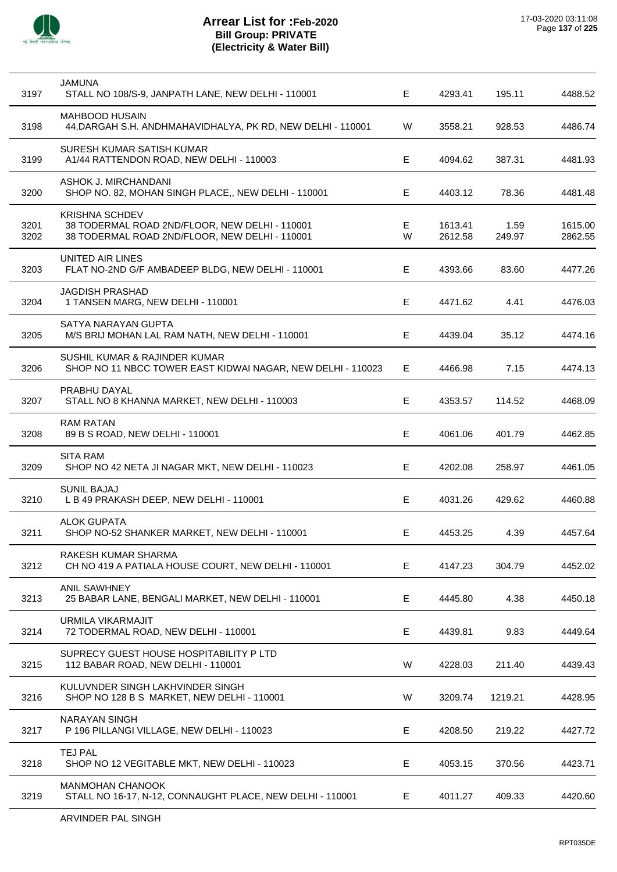

| 3197         | <b>JAMUNA</b><br>STALL NO 108/S-9, JANPATH LANE, NEW DELHI - 110001                                                       | Е           | 4293.41            | 195.11         | 4488.52            |
|--------------|---------------------------------------------------------------------------------------------------------------------------|-------------|--------------------|----------------|--------------------|
| 3198         | <b>MAHBOOD HUSAIN</b><br>44, DARGAH S.H. ANDHMAHAVIDHALYA, PK RD, NEW DELHI - 110001                                      | W           | 3558.21            | 928.53         | 4486.74            |
| 3199         | SURESH KUMAR SATISH KUMAR<br>A1/44 RATTENDON ROAD, NEW DELHI - 110003                                                     | Е           | 4094.62            | 387.31         | 4481.93            |
| 3200         | ASHOK J. MIRCHANDANI<br>SHOP NO. 82, MOHAN SINGH PLACE,, NEW DELHI - 110001                                               | Ε           | 4403.12            | 78.36          | 4481.48            |
| 3201<br>3202 | <b>KRISHNA SCHDEV</b><br>38 TODERMAL ROAD 2ND/FLOOR, NEW DELHI - 110001<br>38 TODERMAL ROAD 2ND/FLOOR, NEW DELHI - 110001 | E<br>W      | 1613.41<br>2612.58 | 1.59<br>249.97 | 1615.00<br>2862.55 |
| 3203         | UNITED AIR LINES<br>FLAT NO-2ND G/F AMBADEEP BLDG, NEW DELHI - 110001                                                     | Е           | 4393.66            | 83.60          | 4477.26            |
| 3204         | <b>JAGDISH PRASHAD</b><br>1 TANSEN MARG, NEW DELHI - 110001                                                               | E           | 4471.62            | 4.41           | 4476.03            |
| 3205         | SATYA NARAYAN GUPTA<br>M/S BRIJ MOHAN LAL RAM NATH, NEW DELHI - 110001                                                    | Е           | 4439.04            | 35.12          | 4474.16            |
| 3206         | SUSHIL KUMAR & RAJINDER KUMAR<br>SHOP NO 11 NBCC TOWER EAST KIDWAI NAGAR, NEW DELHI - 110023                              | Е           | 4466.98            | 7.15           | 4474.13            |
| 3207         | PRABHU DAYAL<br>STALL NO 8 KHANNA MARKET, NEW DELHI - 110003                                                              | E           | 4353.57            | 114.52         | 4468.09            |
| 3208         | <b>RAM RATAN</b><br>89 B S ROAD, NEW DELHI - 110001                                                                       | Е           | 4061.06            | 401.79         | 4462.85            |
| 3209         | <b>SITA RAM</b><br>SHOP NO 42 NETA JI NAGAR MKT, NEW DELHI - 110023                                                       | E           | 4202.08            | 258.97         | 4461.05            |
| 3210         | <b>SUNIL BAJAJ</b><br>L B 49 PRAKASH DEEP, NEW DELHI - 110001                                                             | E           | 4031.26            | 429.62         | 4460.88            |
| 3211         | <b>ALOK GUPATA</b><br>SHOP NO-52 SHANKER MARKET, NEW DELHI - 110001                                                       | Е           | 4453.25            | 4.39           | 4457.64            |
| 3212         | RAKESH KUMAR SHARMA<br>CH NO 419 A PATIALA HOUSE COURT, NEW DELHI - 110001                                                | Е           | 4147.23            | 304.79         | 4452.02            |
| 3213         | <b>ANIL SAWHNEY</b><br>25 BABAR LANE, BENGALI MARKET, NEW DELHI - 110001                                                  | $\mathsf E$ | 4445.80            | 4.38           | 4450.18            |
| 3214         | URMILA VIKARMAJIT<br>72 TODERMAL ROAD, NEW DELHI - 110001                                                                 | E           | 4439.81            | 9.83           | 4449.64            |
| 3215         | SUPRECY GUEST HOUSE HOSPITABILITY P LTD<br>112 BABAR ROAD, NEW DELHI - 110001                                             | W           | 4228.03            | 211.40         | 4439.43            |
| 3216         | KULUVNDER SINGH LAKHVINDER SINGH<br>SHOP NO 128 B S MARKET, NEW DELHI - 110001                                            | W           | 3209.74            | 1219.21        | 4428.95            |
| 3217         | <b>NARAYAN SINGH</b><br>P 196 PILLANGI VILLAGE, NEW DELHI - 110023                                                        | E           | 4208.50            | 219.22         | 4427.72            |
| 3218         | TEJ PAL<br>SHOP NO 12 VEGITABLE MKT, NEW DELHI - 110023                                                                   | E           | 4053.15            | 370.56         | 4423.71            |
| 3219         | <b>MANMOHAN CHANOOK</b><br>STALL NO 16-17, N-12, CONNAUGHT PLACE, NEW DELHI - 110001                                      | E           | 4011.27            | 409.33         | 4420.60            |
|              |                                                                                                                           |             |                    |                |                    |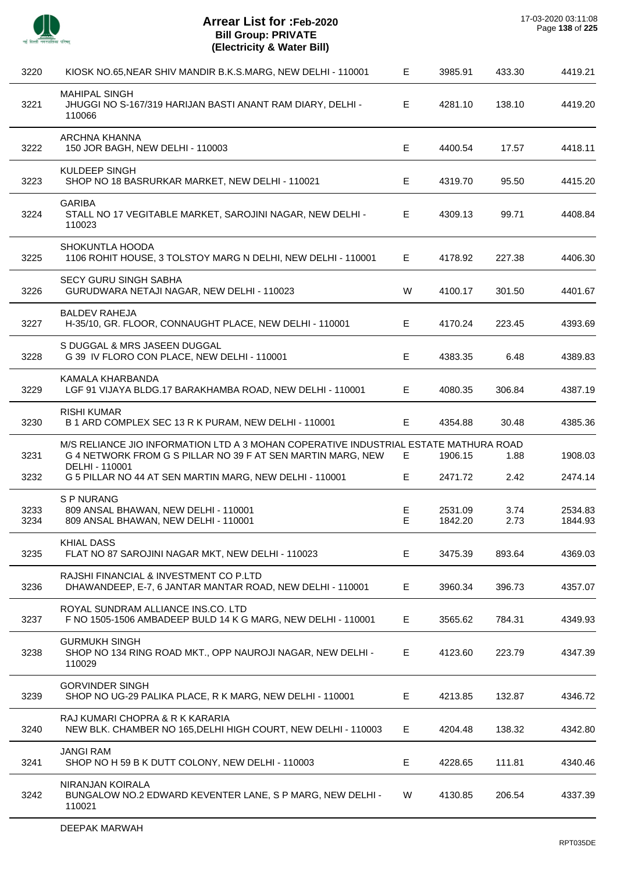

 $\overline{a}$ 

 $\overline{a}$ 

J.

J.

 $\overline{\phantom{a}}$ 

 $\overline{a}$ 

 $\overline{a}$ 

 $\overline{\phantom{a}}$ 

| 3220         | KIOSK NO.65, NEAR SHIV MANDIR B.K.S.MARG, NEW DELHI - 110001                                                                                                          | E      | 3985.91            | 433.30       | 4419.21            |
|--------------|-----------------------------------------------------------------------------------------------------------------------------------------------------------------------|--------|--------------------|--------------|--------------------|
| 3221         | <b>MAHIPAL SINGH</b><br>JHUGGI NO S-167/319 HARIJAN BASTI ANANT RAM DIARY, DELHI -<br>110066                                                                          | Е      | 4281.10            | 138.10       | 4419.20            |
| 3222         | ARCHNA KHANNA<br>150 JOR BAGH, NEW DELHI - 110003                                                                                                                     | Е      | 4400.54            | 17.57        | 4418.11            |
| 3223         | <b>KULDEEP SINGH</b><br>SHOP NO 18 BASRURKAR MARKET, NEW DELHI - 110021                                                                                               | Е      | 4319.70            | 95.50        | 4415.20            |
| 3224         | <b>GARIBA</b><br>STALL NO 17 VEGITABLE MARKET, SAROJINI NAGAR, NEW DELHI -<br>110023                                                                                  | Е      | 4309.13            | 99.71        | 4408.84            |
| 3225         | SHOKUNTLA HOODA<br>1106 ROHIT HOUSE, 3 TOLSTOY MARG N DELHI, NEW DELHI - 110001                                                                                       | Е      | 4178.92            | 227.38       | 4406.30            |
| 3226         | <b>SECY GURU SINGH SABHA</b><br>GURUDWARA NETAJI NAGAR, NEW DELHI - 110023                                                                                            | W      | 4100.17            | 301.50       | 4401.67            |
| 3227         | <b>BALDEV RAHEJA</b><br>H-35/10, GR. FLOOR, CONNAUGHT PLACE, NEW DELHI - 110001                                                                                       | Е      | 4170.24            | 223.45       | 4393.69            |
| 3228         | S DUGGAL & MRS JASEEN DUGGAL<br>G 39 IV FLORO CON PLACE, NEW DELHI - 110001                                                                                           | E      | 4383.35            | 6.48         | 4389.83            |
| 3229         | KAMALA KHARBANDA<br>LGF 91 VIJAYA BLDG.17 BARAKHAMBA ROAD, NEW DELHI - 110001                                                                                         | Е      | 4080.35            | 306.84       | 4387.19            |
| 3230         | <b>RISHI KUMAR</b><br>B 1 ARD COMPLEX SEC 13 R K PURAM, NEW DELHI - 110001                                                                                            | Е      | 4354.88            | 30.48        | 4385.36            |
| 3231         | M/S RELIANCE JIO INFORMATION LTD A 3 MOHAN COPERATIVE INDUSTRIAL ESTATE MATHURA ROAD<br>G 4 NETWORK FROM G S PILLAR NO 39 F AT SEN MARTIN MARG, NEW<br>DELHI - 110001 | E.     | 1906.15            | 1.88         | 1908.03            |
| 3232         | G 5 PILLAR NO 44 AT SEN MARTIN MARG, NEW DELHI - 110001                                                                                                               | Е      | 2471.72            | 2.42         | 2474.14            |
| 3233<br>3234 | S P NURANG<br>809 ANSAL BHAWAN, NEW DELHI - 110001<br>809 ANSAL BHAWAN, NEW DELHI - 110001                                                                            | Е<br>E | 2531.09<br>1842.20 | 3.74<br>2.73 | 2534.83<br>1844.93 |
| 3235         | <b>KHIAL DASS</b><br>FLAT NO 87 SAROJINI NAGAR MKT, NEW DELHI - 110023                                                                                                | Е      | 3475.39            | 893.64       | 4369.03            |
| 3236         | RAJSHI FINANCIAL & INVESTMENT CO P.LTD<br>DHAWANDEEP, E-7, 6 JANTAR MANTAR ROAD, NEW DELHI - 110001                                                                   | Е      | 3960.34            | 396.73       | 4357.07            |
| 3237         | ROYAL SUNDRAM ALLIANCE INS.CO. LTD<br>F NO 1505-1506 AMBADEEP BULD 14 K G MARG, NEW DELHI - 110001                                                                    | Е      | 3565.62            | 784.31       | 4349.93            |
| 3238         | <b>GURMUKH SINGH</b><br>SHOP NO 134 RING ROAD MKT., OPP NAUROJI NAGAR, NEW DELHI -<br>110029                                                                          | Е      | 4123.60            | 223.79       | 4347.39            |
| 3239         | <b>GORVINDER SINGH</b><br>SHOP NO UG-29 PALIKA PLACE, R K MARG, NEW DELHI - 110001                                                                                    | Е      | 4213.85            | 132.87       | 4346.72            |
| 3240         | RAJ KUMARI CHOPRA & R K KARARIA<br>NEW BLK. CHAMBER NO 165, DELHI HIGH COURT, NEW DELHI - 110003                                                                      | Е      | 4204.48            | 138.32       | 4342.80            |
| 3241         | <b>JANGI RAM</b><br>SHOP NO H 59 B K DUTT COLONY, NEW DELHI - 110003                                                                                                  | Е      | 4228.65            | 111.81       | 4340.46            |
| 3242         | NIRANJAN KOIRALA<br>BUNGALOW NO.2 EDWARD KEVENTER LANE, S P MARG, NEW DELHI -<br>110021                                                                               | W      | 4130.85            | 206.54       | 4337.39            |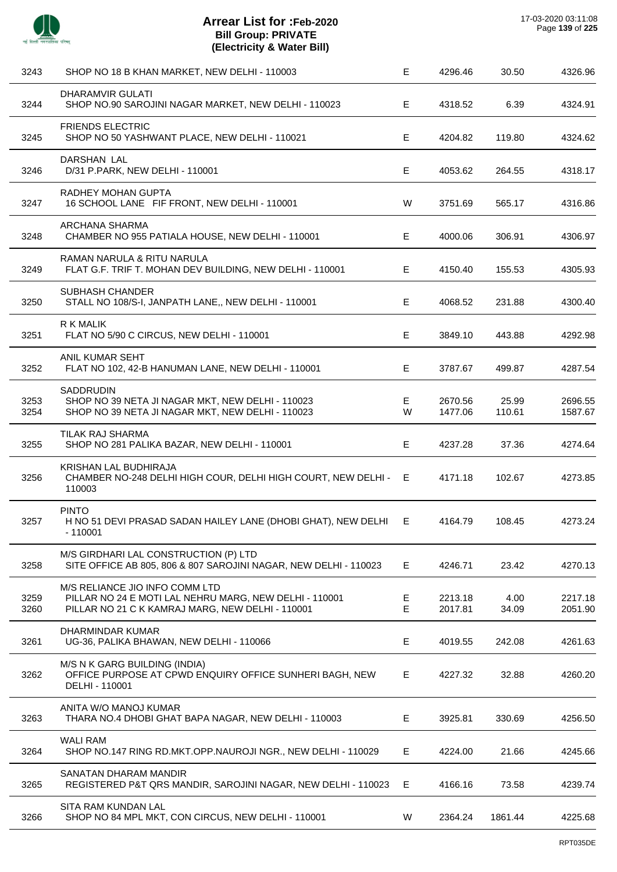

| 3243         | SHOP NO 18 B KHAN MARKET, NEW DELHI - 110003                                                                                                 | E      | 4296.46            | 30.50           | 4326.96            |
|--------------|----------------------------------------------------------------------------------------------------------------------------------------------|--------|--------------------|-----------------|--------------------|
| 3244         | <b>DHARAMVIR GULATI</b><br>SHOP NO.90 SAROJINI NAGAR MARKET, NEW DELHI - 110023                                                              | E.     | 4318.52            | 6.39            | 4324.91            |
| 3245         | <b>FRIENDS ELECTRIC</b><br>SHOP NO 50 YASHWANT PLACE, NEW DELHI - 110021                                                                     | E      | 4204.82            | 119.80          | 4324.62            |
| 3246         | DARSHAN LAL<br>D/31 P.PARK, NEW DELHI - 110001                                                                                               | E      | 4053.62            | 264.55          | 4318.17            |
| 3247         | <b>RADHEY MOHAN GUPTA</b><br>16 SCHOOL LANE FIF FRONT, NEW DELHI - 110001                                                                    | W      | 3751.69            | 565.17          | 4316.86            |
| 3248         | ARCHANA SHARMA<br>CHAMBER NO 955 PATIALA HOUSE, NEW DELHI - 110001                                                                           | E.     | 4000.06            | 306.91          | 4306.97            |
| 3249         | RAMAN NARULA & RITU NARULA<br>FLAT G.F. TRIF T. MOHAN DEV BUILDING, NEW DELHI - 110001                                                       | E      | 4150.40            | 155.53          | 4305.93            |
| 3250         | <b>SUBHASH CHANDER</b><br>STALL NO 108/S-I, JANPATH LANE,, NEW DELHI - 110001                                                                | E      | 4068.52            | 231.88          | 4300.40            |
| 3251         | R K MALIK<br>FLAT NO 5/90 C CIRCUS, NEW DELHI - 110001                                                                                       | E.     | 3849.10            | 443.88          | 4292.98            |
| 3252         | ANIL KUMAR SEHT<br>FLAT NO 102, 42-B HANUMAN LANE, NEW DELHI - 110001                                                                        | E      | 3787.67            | 499.87          | 4287.54            |
| 3253<br>3254 | SADDRUDIN<br>SHOP NO 39 NETA JI NAGAR MKT, NEW DELHI - 110023<br>SHOP NO 39 NETA JI NAGAR MKT, NEW DELHI - 110023                            | E<br>W | 2670.56<br>1477.06 | 25.99<br>110.61 | 2696.55<br>1587.67 |
| 3255         | <b>TILAK RAJ SHARMA</b><br>SHOP NO 281 PALIKA BAZAR, NEW DELHI - 110001                                                                      | E      | 4237.28            | 37.36           | 4274.64            |
| 3256         | KRISHAN LAL BUDHIRAJA<br>CHAMBER NO-248 DELHI HIGH COUR, DELHI HIGH COURT, NEW DELHI - E<br>110003                                           |        | 4171.18            | 102.67          | 4273.85            |
| 3257         | <b>PINTO</b><br>H NO 51 DEVI PRASAD SADAN HAILEY LANE (DHOBI GHAT), NEW DELHI<br>$-110001$                                                   | E.     | 4164.79            | 108.45          | 4273.24            |
| 3258         | M/S GIRDHARI LAL CONSTRUCTION (P) LTD<br>SITE OFFICE AB 805, 806 & 807 SAROJINI NAGAR, NEW DELHI - 110023                                    | E.     | 4246.71            | 23.42           | 4270.13            |
| 3259<br>3260 | M/S RELIANCE JIO INFO COMM LTD<br>PILLAR NO 24 E MOTI LAL NEHRU MARG, NEW DELHI - 110001<br>PILLAR NO 21 C K KAMRAJ MARG, NEW DELHI - 110001 | E<br>E | 2213.18<br>2017.81 | 4.00<br>34.09   | 2217.18<br>2051.90 |
| 3261         | DHARMINDAR KUMAR<br>UG-36, PALIKA BHAWAN, NEW DELHI - 110066                                                                                 | Е      | 4019.55            | 242.08          | 4261.63            |
| 3262         | M/S N K GARG BUILDING (INDIA)<br>OFFICE PURPOSE AT CPWD ENQUIRY OFFICE SUNHERI BAGH, NEW<br>DELHI - 110001                                   | E.     | 4227.32            | 32.88           | 4260.20            |
| 3263         | ANITA W/O MANOJ KUMAR<br>THARA NO.4 DHOBI GHAT BAPA NAGAR, NEW DELHI - 110003                                                                | Е      | 3925.81            | 330.69          | 4256.50            |
| 3264         | <b>WALI RAM</b><br>SHOP NO.147 RING RD.MKT.OPP.NAUROJI NGR., NEW DELHI - 110029                                                              | E.     | 4224.00            | 21.66           | 4245.66            |
| 3265         | SANATAN DHARAM MANDIR<br>REGISTERED P&T QRS MANDIR, SAROJINI NAGAR, NEW DELHI - 110023                                                       | E      | 4166.16            | 73.58           | 4239.74            |
| 3266         | <b>SITA RAM KUNDAN LAL</b><br>SHOP NO 84 MPL MKT, CON CIRCUS, NEW DELHI - 110001                                                             | W      | 2364.24            | 1861.44         | 4225.68            |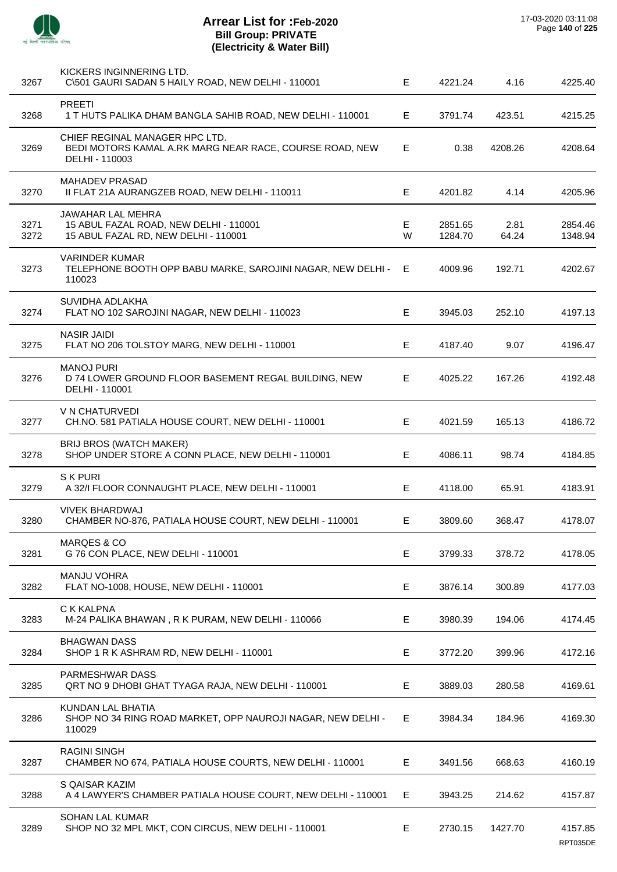

 $\overline{a}$ 

J.

 $\overline{\phantom{a}}$ 

 $\overline{a}$ 

J.

| 3267         | KICKERS INGINNERING LTD.<br>C\501 GAURI SADAN 5 HAILY ROAD, NEW DELHI - 110001                              | E.      | 4221.24            | 4.16          | 4225.40             |
|--------------|-------------------------------------------------------------------------------------------------------------|---------|--------------------|---------------|---------------------|
| 3268         | <b>PREETI</b><br>1 T HUTS PALIKA DHAM BANGLA SAHIB ROAD, NEW DELHI - 110001                                 | E       | 3791.74            | 423.51        | 4215.25             |
| 3269         | CHIEF REGINAL MANAGER HPC LTD.<br>BEDI MOTORS KAMAL A.RK MARG NEAR RACE, COURSE ROAD, NEW<br>DELHI - 110003 | E.      | 0.38               | 4208.26       | 4208.64             |
| 3270         | <b>MAHADEV PRASAD</b><br>II FLAT 21A AURANGZEB ROAD, NEW DELHI - 110011                                     | E.      | 4201.82            | 4.14          | 4205.96             |
| 3271<br>3272 | JAWAHAR LAL MEHRA<br>15 ABUL FAZAL ROAD, NEW DELHI - 110001<br>15 ABUL FAZAL RD, NEW DELHI - 110001         | E.<br>W | 2851.65<br>1284.70 | 2.81<br>64.24 | 2854.46<br>1348.94  |
| 3273         | <b>VARINDER KUMAR</b><br>TELEPHONE BOOTH OPP BABU MARKE, SAROJINI NAGAR, NEW DELHI -<br>110023              | E       | 4009.96            | 192.71        | 4202.67             |
| 3274         | SUVIDHA ADLAKHA<br>FLAT NO 102 SAROJINI NAGAR, NEW DELHI - 110023                                           | E       | 3945.03            | 252.10        | 4197.13             |
| 3275         | <b>NASIR JAIDI</b><br>FLAT NO 206 TOLSTOY MARG, NEW DELHI - 110001                                          | E.      | 4187.40            | 9.07          | 4196.47             |
| 3276         | <b>MANOJ PURI</b><br>D 74 LOWER GROUND FLOOR BASEMENT REGAL BUILDING, NEW<br>DELHI - 110001                 | E.      | 4025.22            | 167.26        | 4192.48             |
| 3277         | V N CHATURVEDI<br>CH.NO. 581 PATIALA HOUSE COURT, NEW DELHI - 110001                                        | E       | 4021.59            | 165.13        | 4186.72             |
| 3278         | BRIJ BROS (WATCH MAKER)<br>SHOP UNDER STORE A CONN PLACE, NEW DELHI - 110001                                | E.      | 4086.11            | 98.74         | 4184.85             |
| 3279         | S K PURI<br>A 32/I FLOOR CONNAUGHT PLACE, NEW DELHI - 110001                                                | E.      | 4118.00            | 65.91         | 4183.91             |
| 3280         | <b>VIVEK BHARDWAJ</b><br>CHAMBER NO-876, PATIALA HOUSE COURT, NEW DELHI - 110001                            | E.      | 3809.60            | 368.47        | 4178.07             |
| 3281         | <b>MARQES &amp; CO</b><br>G 76 CON PLACE, NEW DELHI - 110001                                                | E       | 3799.33            | 378.72        | 4178.05             |
| 3282         | <b>MANJU VOHRA</b><br>FLAT NO-1008, HOUSE, NEW DELHI - 110001                                               | E       | 3876.14            | 300.89        | 4177.03             |
| 3283         | C K KALPNA<br>M-24 PALIKA BHAWAN, R K PURAM, NEW DELHI - 110066                                             | E.      | 3980.39            | 194.06        | 4174.45             |
| 3284         | <b>BHAGWAN DASS</b><br>SHOP 1 R K ASHRAM RD, NEW DELHI - 110001                                             | Е       | 3772.20            | 399.96        | 4172.16             |
| 3285         | PARMESHWAR DASS<br>QRT NO 9 DHOBI GHAT TYAGA RAJA, NEW DELHI - 110001                                       | Е       | 3889.03            | 280.58        | 4169.61             |
| 3286         | KUNDAN LAL BHATIA<br>SHOP NO 34 RING ROAD MARKET, OPP NAUROJI NAGAR, NEW DELHI -<br>110029                  | E.      | 3984.34            | 184.96        | 4169.30             |
| 3287         | <b>RAGINI SINGH</b><br>CHAMBER NO 674, PATIALA HOUSE COURTS, NEW DELHI - 110001                             | E.      | 3491.56            | 668.63        | 4160.19             |
| 3288         | S QAISAR KAZIM<br>A 4 LAWYER'S CHAMBER PATIALA HOUSE COURT, NEW DELHI - 110001                              | Е.      | 3943.25            | 214.62        | 4157.87             |
| 3289         | <b>SOHAN LAL KUMAR</b><br>SHOP NO 32 MPL MKT, CON CIRCUS, NEW DELHI - 110001                                | E.      | 2730.15            | 1427.70       | 4157.85<br>RPT035DE |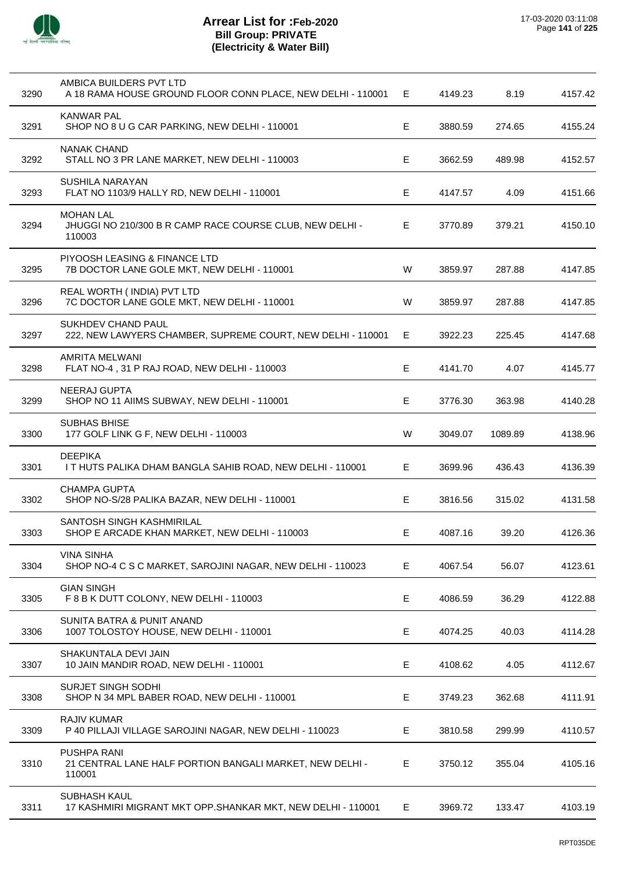

| 3290 | AMBICA BUILDERS PVT LTD<br>A 18 RAMA HOUSE GROUND FLOOR CONN PLACE, NEW DELHI - 110001   | Е. | 4149.23 | 8.19    | 4157.42 |
|------|------------------------------------------------------------------------------------------|----|---------|---------|---------|
| 3291 | <b>KANWAR PAL</b><br>SHOP NO 8 U G CAR PARKING, NEW DELHI - 110001                       | Е  | 3880.59 | 274.65  | 4155.24 |
| 3292 | <b>NANAK CHAND</b><br>STALL NO 3 PR LANE MARKET, NEW DELHI - 110003                      | Е  | 3662.59 | 489.98  | 4152.57 |
| 3293 | <b>SUSHILA NARAYAN</b><br>FLAT NO 1103/9 HALLY RD, NEW DELHI - 110001                    | Е  | 4147.57 | 4.09    | 4151.66 |
| 3294 | <b>MOHAN LAL</b><br>JHUGGI NO 210/300 B R CAMP RACE COURSE CLUB, NEW DELHI -<br>110003   | Е  | 3770.89 | 379.21  | 4150.10 |
| 3295 | PIYOOSH LEASING & FINANCE LTD<br>7B DOCTOR LANE GOLE MKT, NEW DELHI - 110001             | W  | 3859.97 | 287.88  | 4147.85 |
| 3296 | REAL WORTH (INDIA) PVT LTD<br>7C DOCTOR LANE GOLE MKT, NEW DELHI - 110001                | W  | 3859.97 | 287.88  | 4147.85 |
| 3297 | <b>SUKHDEV CHAND PAUL</b><br>222, NEW LAWYERS CHAMBER, SUPREME COURT, NEW DELHI - 110001 | E  | 3922.23 | 225.45  | 4147.68 |
| 3298 | AMRITA MELWANI<br>FLAT NO-4, 31 P RAJ ROAD, NEW DELHI - 110003                           | Е  | 4141.70 | 4.07    | 4145.77 |
| 3299 | NEERAJ GUPTA<br>SHOP NO 11 AIIMS SUBWAY, NEW DELHI - 110001                              | Е  | 3776.30 | 363.98  | 4140.28 |
| 3300 | <b>SUBHAS BHISE</b><br>177 GOLF LINK G F, NEW DELHI - 110003                             | W  | 3049.07 | 1089.89 | 4138.96 |
| 3301 | <b>DEEPIKA</b><br>I T HUTS PALIKA DHAM BANGLA SAHIB ROAD, NEW DELHI - 110001             | E. | 3699.96 | 436.43  | 4136.39 |
| 3302 | <b>CHAMPA GUPTA</b><br>SHOP NO-S/28 PALIKA BAZAR, NEW DELHI - 110001                     | Е  | 3816.56 | 315.02  | 4131.58 |
| 3303 | SANTOSH SINGH KASHMIRILAL<br>SHOP E ARCADE KHAN MARKET, NEW DELHI - 110003               | Е  | 4087.16 | 39.20   | 4126.36 |
| 3304 | <b>VINA SINHA</b><br>SHOP NO-4 C S C MARKET, SAROJINI NAGAR, NEW DELHI - 110023          | Е  | 4067.54 | 56.07   | 4123.61 |
| 3305 | <b>GIAN SINGH</b><br>F 8 B K DUTT COLONY, NEW DELHI - 110003                             | Е  | 4086.59 | 36.29   | 4122.88 |
| 3306 | <b>SUNITA BATRA &amp; PUNIT ANAND</b><br>1007 TOLOSTOY HOUSE, NEW DELHI - 110001         | E  | 4074.25 | 40.03   | 4114.28 |
| 3307 | SHAKUNTALA DEVI JAIN<br>10 JAIN MANDIR ROAD, NEW DELHI - 110001                          | Е  | 4108.62 | 4.05    | 4112.67 |
| 3308 | <b>SURJET SINGH SODHI</b><br>SHOP N 34 MPL BABER ROAD, NEW DELHI - 110001                | Е  | 3749.23 | 362.68  | 4111.91 |
| 3309 | <b>RAJIV KUMAR</b><br>P 40 PILLAJI VILLAGE SAROJINI NAGAR, NEW DELHI - 110023            | Е  | 3810.58 | 299.99  | 4110.57 |
| 3310 | <b>PUSHPA RANI</b><br>21 CENTRAL LANE HALF PORTION BANGALI MARKET, NEW DELHI -<br>110001 | E. | 3750.12 | 355.04  | 4105.16 |
| 3311 | <b>SUBHASH KAUL</b><br>17 KASHMIRI MIGRANT MKT OPP.SHANKAR MKT, NEW DELHI - 110001       | E. | 3969.72 | 133.47  | 4103.19 |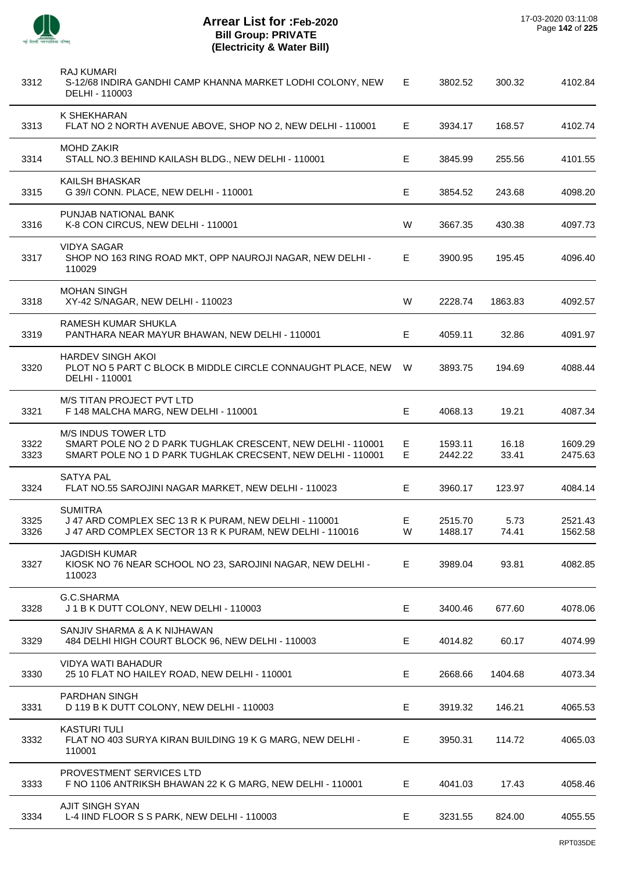

l,

| 3312         | <b>RAJ KUMARI</b><br>S-12/68 INDIRA GANDHI CAMP KHANNA MARKET LODHI COLONY, NEW<br>DELHI - 110003                                                        | Е      | 3802.52            | 300.32         | 4102.84            |
|--------------|----------------------------------------------------------------------------------------------------------------------------------------------------------|--------|--------------------|----------------|--------------------|
| 3313         | K SHEKHARAN<br>FLAT NO 2 NORTH AVENUE ABOVE, SHOP NO 2, NEW DELHI - 110001                                                                               | E.     | 3934.17            | 168.57         | 4102.74            |
| 3314         | <b>MOHD ZAKIR</b><br>STALL NO.3 BEHIND KAILASH BLDG., NEW DELHI - 110001                                                                                 | Е      | 3845.99            | 255.56         | 4101.55            |
| 3315         | <b>KAILSH BHASKAR</b><br>G 39/I CONN. PLACE, NEW DELHI - 110001                                                                                          | Е      | 3854.52            | 243.68         | 4098.20            |
| 3316         | PUNJAB NATIONAL BANK<br>K-8 CON CIRCUS, NEW DELHI - 110001                                                                                               | W      | 3667.35            | 430.38         | 4097.73            |
| 3317         | <b>VIDYA SAGAR</b><br>SHOP NO 163 RING ROAD MKT, OPP NAUROJI NAGAR, NEW DELHI -<br>110029                                                                | Е      | 3900.95            | 195.45         | 4096.40            |
| 3318         | <b>MOHAN SINGH</b><br>XY-42 S/NAGAR, NEW DELHI - 110023                                                                                                  | W      | 2228.74            | 1863.83        | 4092.57            |
| 3319         | RAMESH KUMAR SHUKLA<br>PANTHARA NEAR MAYUR BHAWAN, NEW DELHI - 110001                                                                                    | Е      | 4059.11            | 32.86          | 4091.97            |
| 3320         | <b>HARDEV SINGH AKOI</b><br>PLOT NO 5 PART C BLOCK B MIDDLE CIRCLE CONNAUGHT PLACE, NEW<br>DELHI - 110001                                                | W      | 3893.75            | 194.69         | 4088.44            |
| 3321         | M/S TITAN PROJECT PVT LTD<br>F 148 MALCHA MARG, NEW DELHI - 110001                                                                                       | Е      | 4068.13            | 19.21          | 4087.34            |
| 3322<br>3323 | <b>M/S INDUS TOWER LTD</b><br>SMART POLE NO 2 D PARK TUGHLAK CRESCENT, NEW DELHI - 110001<br>SMART POLE NO 1 D PARK TUGHLAK CRECSENT, NEW DELHI - 110001 | Е<br>E | 1593.11<br>2442.22 | 16.18<br>33.41 | 1609.29<br>2475.63 |
| 3324         | <b>SATYA PAL</b><br>FLAT NO.55 SAROJINI NAGAR MARKET, NEW DELHI - 110023                                                                                 | Е      | 3960.17            | 123.97         | 4084.14            |
| 3325<br>3326 | <b>SUMITRA</b><br>J 47 ARD COMPLEX SEC 13 R K PURAM, NEW DELHI - 110001<br>J 47 ARD COMPLEX SECTOR 13 R K PURAM, NEW DELHI - 110016                      | Е<br>W | 2515.70<br>1488.17 | 5.73<br>74.41  | 2521.43<br>1562.58 |
| 3327         | <b>JAGDISH KUMAR</b><br>KIOSK NO 76 NEAR SCHOOL NO 23, SAROJINI NAGAR, NEW DELHI -<br>110023                                                             | E      | 3989.04            | 93.81          | 4082.85            |
| 3328         | G.C.SHARMA<br>J 1 B K DUTT COLONY, NEW DELHI - 110003                                                                                                    | E      | 3400.46            | 677.60         | 4078.06            |
| 3329         | SANJIV SHARMA & A K NIJHAWAN<br>484 DELHI HIGH COURT BLOCK 96, NEW DELHI - 110003                                                                        | E      | 4014.82            | 60.17          | 4074.99            |
| 3330         | <b>VIDYA WATI BAHADUR</b><br>25 10 FLAT NO HAILEY ROAD, NEW DELHI - 110001                                                                               | E      | 2668.66            | 1404.68        | 4073.34            |
| 3331         | PARDHAN SINGH<br>D 119 B K DUTT COLONY, NEW DELHI - 110003                                                                                               | E      | 3919.32            | 146.21         | 4065.53            |
| 3332         | <b>KASTURI TULI</b><br>FLAT NO 403 SURYA KIRAN BUILDING 19 K G MARG, NEW DELHI -<br>110001                                                               | E      | 3950.31            | 114.72         | 4065.03            |
| 3333         | PROVESTMENT SERVICES LTD<br>F NO 1106 ANTRIKSH BHAWAN 22 K G MARG, NEW DELHI - 110001                                                                    | Е      | 4041.03            | 17.43          | 4058.46            |
| 3334         | <b>AJIT SINGH SYAN</b><br>L-4 IIND FLOOR S S PARK, NEW DELHI - 110003                                                                                    | E      | 3231.55            | 824.00         | 4055.55            |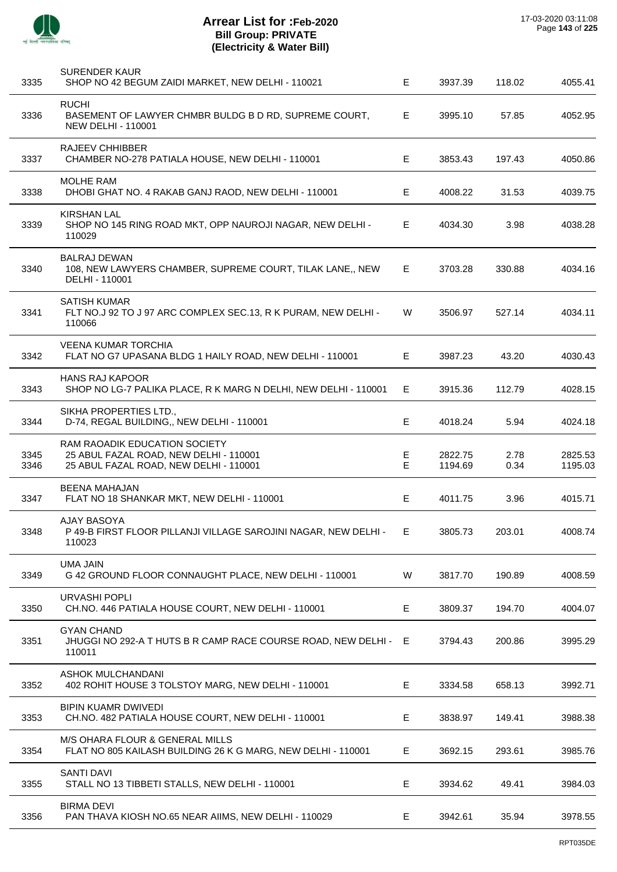

| 3335         | <b>SURENDER KAUR</b><br>SHOP NO 42 BEGUM ZAIDI MARKET, NEW DELHI - 110021                                         | E.      | 3937.39            | 118.02       | 4055.41            |
|--------------|-------------------------------------------------------------------------------------------------------------------|---------|--------------------|--------------|--------------------|
| 3336         | <b>RUCHI</b><br>BASEMENT OF LAWYER CHMBR BULDG B D RD, SUPREME COURT,<br><b>NEW DELHI - 110001</b>                | Е       | 3995.10            | 57.85        | 4052.95            |
| 3337         | <b>RAJEEV CHHIBBER</b><br>CHAMBER NO-278 PATIALA HOUSE, NEW DELHI - 110001                                        | Е       | 3853.43            | 197.43       | 4050.86            |
| 3338         | <b>MOLHE RAM</b><br>DHOBI GHAT NO. 4 RAKAB GANJ RAOD, NEW DELHI - 110001                                          | E       | 4008.22            | 31.53        | 4039.75            |
| 3339         | KIRSHAN LAL<br>SHOP NO 145 RING ROAD MKT, OPP NAUROJI NAGAR, NEW DELHI -<br>110029                                | Е       | 4034.30            | 3.98         | 4038.28            |
| 3340         | <b>BALRAJ DEWAN</b><br>108, NEW LAWYERS CHAMBER, SUPREME COURT, TILAK LANE,, NEW<br>DELHI - 110001                | E       | 3703.28            | 330.88       | 4034.16            |
| 3341         | <b>SATISH KUMAR</b><br>FLT NO.J 92 TO J 97 ARC COMPLEX SEC.13, R K PURAM, NEW DELHI -<br>110066                   | W       | 3506.97            | 527.14       | 4034.11            |
| 3342         | <b>VEENA KUMAR TORCHIA</b><br>FLAT NO G7 UPASANA BLDG 1 HAILY ROAD, NEW DELHI - 110001                            | Е       | 3987.23            | 43.20        | 4030.43            |
| 3343         | <b>HANS RAJ KAPOOR</b><br>SHOP NO LG-7 PALIKA PLACE, R K MARG N DELHI, NEW DELHI - 110001                         | E       | 3915.36            | 112.79       | 4028.15            |
| 3344         | SIKHA PROPERTIES LTD.,<br>D-74, REGAL BUILDING,, NEW DELHI - 110001                                               | E.      | 4018.24            | 5.94         | 4024.18            |
| 3345<br>3346 | RAM RAOADIK EDUCATION SOCIETY<br>25 ABUL FAZAL ROAD, NEW DELHI - 110001<br>25 ABUL FAZAL ROAD, NEW DELHI - 110001 | E.<br>E | 2822.75<br>1194.69 | 2.78<br>0.34 | 2825.53<br>1195.03 |
| 3347         | <b>BEENA MAHAJAN</b><br>FLAT NO 18 SHANKAR MKT, NEW DELHI - 110001                                                | Е       | 4011.75            | 3.96         | 4015.71            |
| 3348         | <b>AJAY BASOYA</b><br>P 49-B FIRST FLOOR PILLANJI VILLAGE SAROJINI NAGAR, NEW DELHI -<br>110023                   | F.      | 3805.73            | 203.01       | 4008.74            |
| 3349         | <b>UMA JAIN</b><br>G 42 GROUND FLOOR CONNAUGHT PLACE, NEW DELHI - 110001                                          | W       | 3817.70            | 190.89       | 4008.59            |
| 3350         | URVASHI POPLI<br>CH.NO. 446 PATIALA HOUSE COURT, NEW DELHI - 110001                                               | Е       | 3809.37            | 194.70       | 4004.07            |
| 3351         | <b>GYAN CHAND</b><br>JHUGGI NO 292-A T HUTS B R CAMP RACE COURSE ROAD, NEW DELHI - E<br>110011                    |         | 3794.43            | 200.86       | 3995.29            |
| 3352         | ASHOK MULCHANDANI<br>402 ROHIT HOUSE 3 TOLSTOY MARG, NEW DELHI - 110001                                           | Е       | 3334.58            | 658.13       | 3992.71            |
| 3353         | <b>BIPIN KUAMR DWIVEDI</b><br>CH.NO. 482 PATIALA HOUSE COURT, NEW DELHI - 110001                                  | E.      | 3838.97            | 149.41       | 3988.38            |
| 3354         | M/S OHARA FLOUR & GENERAL MILLS<br>FLAT NO 805 KAILASH BUILDING 26 K G MARG, NEW DELHI - 110001                   | Е       | 3692.15            | 293.61       | 3985.76            |
| 3355         | <b>SANTI DAVI</b><br>STALL NO 13 TIBBETI STALLS, NEW DELHI - 110001                                               | Е       | 3934.62            | 49.41        | 3984.03            |
| 3356         | <b>BIRMA DEVI</b><br>PAN THAVA KIOSH NO.65 NEAR AIIMS, NEW DELHI - 110029                                         | E.      | 3942.61            | 35.94        | 3978.55            |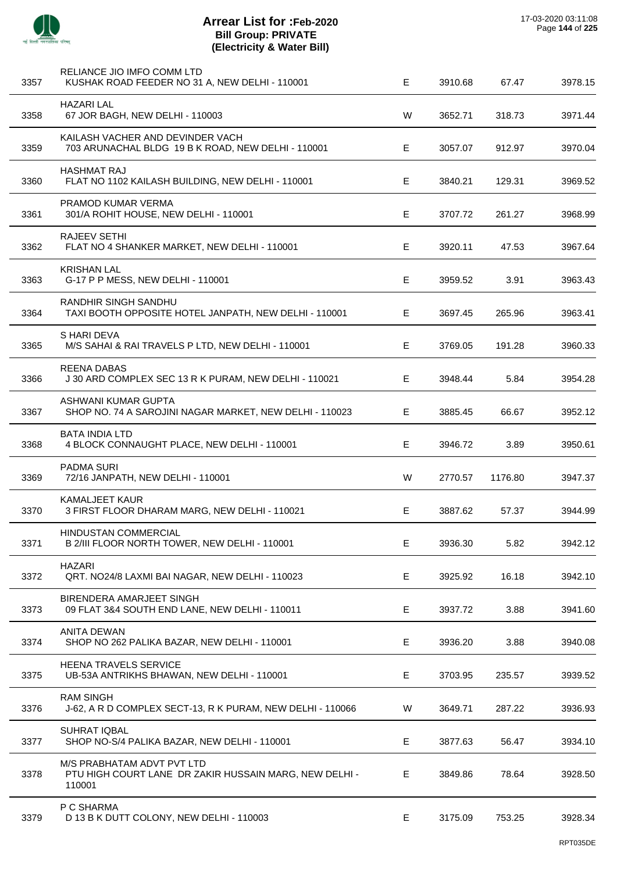

| 3357 | RELIANCE JIO IMFO COMM LTD<br>KUSHAK ROAD FEEDER NO 31 A, NEW DELHI - 110001                   | E | 3910.68 | 67.47   | 3978.15 |
|------|------------------------------------------------------------------------------------------------|---|---------|---------|---------|
| 3358 | HAZARI LAL<br>67 JOR BAGH, NEW DELHI - 110003                                                  | W | 3652.71 | 318.73  | 3971.44 |
| 3359 | KAILASH VACHER AND DEVINDER VACH<br>703 ARUNACHAL BLDG 19 B K ROAD, NEW DELHI - 110001         | Е | 3057.07 | 912.97  | 3970.04 |
| 3360 | <b>HASHMAT RAJ</b><br>FLAT NO 1102 KAILASH BUILDING, NEW DELHI - 110001                        | Е | 3840.21 | 129.31  | 3969.52 |
| 3361 | PRAMOD KUMAR VERMA<br>301/A ROHIT HOUSE, NEW DELHI - 110001                                    | Е | 3707.72 | 261.27  | 3968.99 |
| 3362 | RAJEEV SETHI<br>FLAT NO 4 SHANKER MARKET, NEW DELHI - 110001                                   | Е | 3920.11 | 47.53   | 3967.64 |
| 3363 | <b>KRISHAN LAL</b><br>G-17 P P MESS, NEW DELHI - 110001                                        | E | 3959.52 | 3.91    | 3963.43 |
| 3364 | RANDHIR SINGH SANDHU<br>TAXI BOOTH OPPOSITE HOTEL JANPATH, NEW DELHI - 110001                  | Е | 3697.45 | 265.96  | 3963.41 |
| 3365 | S HARI DEVA<br>M/S SAHAI & RAI TRAVELS P LTD, NEW DELHI - 110001                               | Е | 3769.05 | 191.28  | 3960.33 |
| 3366 | <b>REENA DABAS</b><br>J 30 ARD COMPLEX SEC 13 R K PURAM, NEW DELHI - 110021                    | E | 3948.44 | 5.84    | 3954.28 |
| 3367 | ASHWANI KUMAR GUPTA<br>SHOP NO. 74 A SAROJINI NAGAR MARKET, NEW DELHI - 110023                 | Е | 3885.45 | 66.67   | 3952.12 |
| 3368 | <b>BATA INDIA LTD</b><br>4 BLOCK CONNAUGHT PLACE, NEW DELHI - 110001                           | Е | 3946.72 | 3.89    | 3950.61 |
| 3369 | <b>PADMA SURI</b><br>72/16 JANPATH, NEW DELHI - 110001                                         | W | 2770.57 | 1176.80 | 3947.37 |
| 3370 | <b>KAMALJEET KAUR</b><br>3 FIRST FLOOR DHARAM MARG, NEW DELHI - 110021                         | Е | 3887.62 | 57.37   | 3944.99 |
| 3371 | HINDUSTAN COMMERCIAL<br>B 2/III FLOOR NORTH TOWER, NEW DELHI - 110001                          | Е | 3936.30 | 5.82    | 3942.12 |
| 3372 | <b>HAZARI</b><br>QRT. NO24/8 LAXMI BAI NAGAR, NEW DELHI - 110023                               | Е | 3925.92 | 16.18   | 3942.10 |
| 3373 | BIRENDERA AMARJEET SINGH<br>09 FLAT 3&4 SOUTH END LANE, NEW DELHI - 110011                     | E | 3937.72 | 3.88    | 3941.60 |
| 3374 | <b>ANITA DEWAN</b><br>SHOP NO 262 PALIKA BAZAR, NEW DELHI - 110001                             | E | 3936.20 | 3.88    | 3940.08 |
| 3375 | HEENA TRAVELS SERVICE<br>UB-53A ANTRIKHS BHAWAN, NEW DELHI - 110001                            | Е | 3703.95 | 235.57  | 3939.52 |
| 3376 | <b>RAM SINGH</b><br>J-62, A R D COMPLEX SECT-13, R K PURAM, NEW DELHI - 110066                 | W | 3649.71 | 287.22  | 3936.93 |
| 3377 | <b>SUHRAT IQBAL</b><br>SHOP NO-S/4 PALIKA BAZAR, NEW DELHI - 110001                            | E | 3877.63 | 56.47   | 3934.10 |
| 3378 | M/S PRABHATAM ADVT PVT LTD<br>PTU HIGH COURT LANE DR ZAKIR HUSSAIN MARG, NEW DELHI -<br>110001 | Е | 3849.86 | 78.64   | 3928.50 |
| 3379 | P C SHARMA<br>D 13 B K DUTT COLONY, NEW DELHI - 110003                                         | E | 3175.09 | 753.25  | 3928.34 |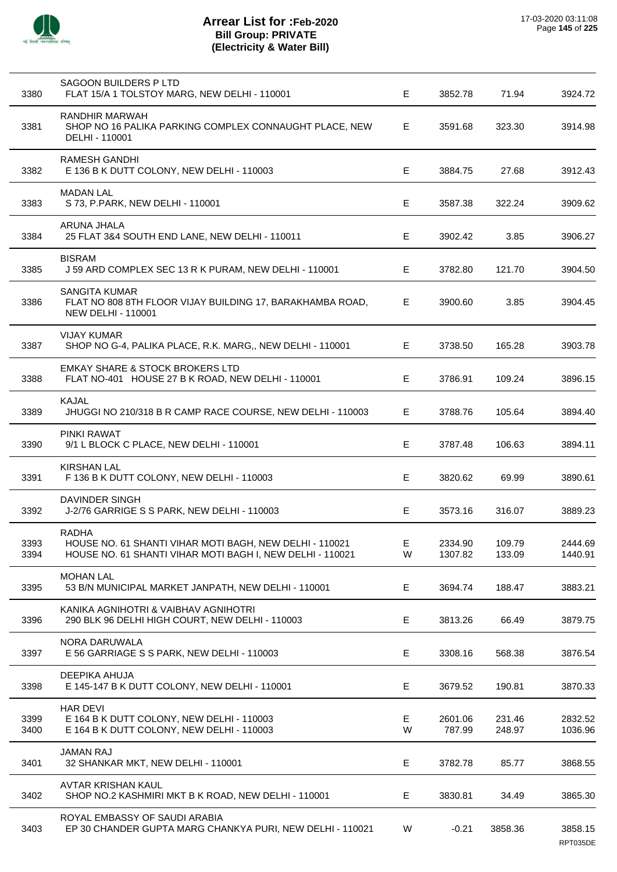

| 3380         | SAGOON BUILDERS P LTD<br>FLAT 15/A 1 TOLSTOY MARG, NEW DELHI - 110001                                                                | E.     | 3852.78            | 71.94            | 3924.72             |
|--------------|--------------------------------------------------------------------------------------------------------------------------------------|--------|--------------------|------------------|---------------------|
| 3381         | RANDHIR MARWAH<br>SHOP NO 16 PALIKA PARKING COMPLEX CONNAUGHT PLACE, NEW<br>DELHI - 110001                                           | E      | 3591.68            | 323.30           | 3914.98             |
| 3382         | RAMESH GANDHI<br>E 136 B K DUTT COLONY, NEW DELHI - 110003                                                                           | E      | 3884.75            | 27.68            | 3912.43             |
| 3383         | <b>MADAN LAL</b><br>S 73, P.PARK, NEW DELHI - 110001                                                                                 | E.     | 3587.38            | 322.24           | 3909.62             |
| 3384         | ARUNA JHALA<br>25 FLAT 3&4 SOUTH END LANE, NEW DELHI - 110011                                                                        | E      | 3902.42            | 3.85             | 3906.27             |
| 3385         | <b>BISRAM</b><br>J 59 ARD COMPLEX SEC 13 R K PURAM, NEW DELHI - 110001                                                               | E      | 3782.80            | 121.70           | 3904.50             |
| 3386         | SANGITA KUMAR<br>FLAT NO 808 8TH FLOOR VIJAY BUILDING 17, BARAKHAMBA ROAD,<br><b>NEW DELHI - 110001</b>                              | E      | 3900.60            | 3.85             | 3904.45             |
| 3387         | <b>VIJAY KUMAR</b><br>SHOP NO G-4, PALIKA PLACE, R.K. MARG,, NEW DELHI - 110001                                                      | E.     | 3738.50            | 165.28           | 3903.78             |
| 3388         | <b>EMKAY SHARE &amp; STOCK BROKERS LTD</b><br>FLAT NO-401 HOUSE 27 B K ROAD, NEW DELHI - 110001                                      | E      | 3786.91            | 109.24           | 3896.15             |
| 3389         | KAJAL<br>JHUGGI NO 210/318 B R CAMP RACE COURSE, NEW DELHI - 110003                                                                  | E      | 3788.76            | 105.64           | 3894.40             |
| 3390         | PINKI RAWAT<br>9/1 L BLOCK C PLACE, NEW DELHI - 110001                                                                               | E      | 3787.48            | 106.63           | 3894.11             |
| 3391         | <b>KIRSHAN LAL</b><br>F 136 B K DUTT COLONY, NEW DELHI - 110003                                                                      | E.     | 3820.62            | 69.99            | 3890.61             |
| 3392         | <b>DAVINDER SINGH</b><br>J-2/76 GARRIGE S S PARK, NEW DELHI - 110003                                                                 | E      | 3573.16            | 316.07           | 3889.23             |
| 3393<br>3394 | <b>RADHA</b><br>HOUSE NO. 61 SHANTI VIHAR MOTI BAGH, NEW DELHI - 110021<br>HOUSE NO. 61 SHANTI VIHAR MOTI BAGH I, NEW DELHI - 110021 | Е<br>W | 2334.90<br>1307.82 | 109.79<br>133.09 | 2444.69<br>1440.91  |
| 3395         | <b>MOHAN LAL</b><br>53 B/N MUNICIPAL MARKET JANPATH, NEW DELHI - 110001                                                              | E      | 3694.74            | 188.47           | 3883.21             |
| 3396         | KANIKA AGNIHOTRI & VAIBHAV AGNIHOTRI<br>290 BLK 96 DELHI HIGH COURT, NEW DELHI - 110003                                              | E      | 3813.26            | 66.49            | 3879.75             |
| 3397         | NORA DARUWALA<br>E 56 GARRIAGE S S PARK, NEW DELHI - 110003                                                                          | Е      | 3308.16            | 568.38           | 3876.54             |
| 3398         | DEEPIKA AHUJA<br>E 145-147 B K DUTT COLONY, NEW DELHI - 110001                                                                       | E.     | 3679.52            | 190.81           | 3870.33             |
| 3399<br>3400 | <b>HAR DEVI</b><br>E 164 B K DUTT COLONY, NEW DELHI - 110003<br>E 164 B K DUTT COLONY, NEW DELHI - 110003                            | E<br>W | 2601.06<br>787.99  | 231.46<br>248.97 | 2832.52<br>1036.96  |
| 3401         | <b>JAMAN RAJ</b><br>32 SHANKAR MKT, NEW DELHI - 110001                                                                               | E      | 3782.78            | 85.77            | 3868.55             |
| 3402         | AVTAR KRISHAN KAUL<br>SHOP NO.2 KASHMIRI MKT B K ROAD, NEW DELHI - 110001                                                            | Е      | 3830.81            | 34.49            | 3865.30             |
| 3403         | ROYAL EMBASSY OF SAUDI ARABIA<br>EP 30 CHANDER GUPTA MARG CHANKYA PURI, NEW DELHI - 110021                                           | W      | $-0.21$            | 3858.36          | 3858.15<br>RPT035DE |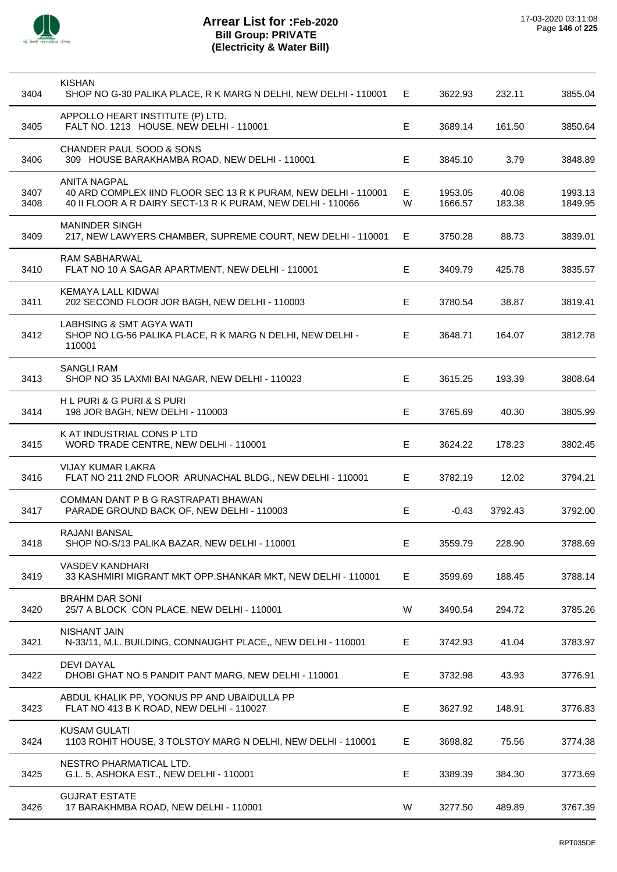

| 3404         | <b>KISHAN</b><br>SHOP NO G-30 PALIKA PLACE, R K MARG N DELHI, NEW DELHI - 110001                                                                     | Е           | 3622.93            | 232.11          | 3855.04            |
|--------------|------------------------------------------------------------------------------------------------------------------------------------------------------|-------------|--------------------|-----------------|--------------------|
| 3405         | APPOLLO HEART INSTITUTE (P) LTD.<br>FALT NO. 1213 HOUSE, NEW DELHI - 110001                                                                          | E           | 3689.14            | 161.50          | 3850.64            |
| 3406         | CHANDER PAUL SOOD & SONS<br>309 HOUSE BARAKHAMBA ROAD, NEW DELHI - 110001                                                                            | Е           | 3845.10            | 3.79            | 3848.89            |
| 3407<br>3408 | <b>ANITA NAGPAL</b><br>40 ARD COMPLEX IIND FLOOR SEC 13 R K PURAM, NEW DELHI - 110001<br>40 II FLOOR A R DAIRY SECT-13 R K PURAM, NEW DELHI - 110066 | Е<br>W      | 1953.05<br>1666.57 | 40.08<br>183.38 | 1993.13<br>1849.95 |
| 3409         | <b>MANINDER SINGH</b><br>217, NEW LAWYERS CHAMBER, SUPREME COURT, NEW DELHI - 110001                                                                 | Е           | 3750.28            | 88.73           | 3839.01            |
| 3410         | RAM SABHARWAL<br>FLAT NO 10 A SAGAR APARTMENT, NEW DELHI - 110001                                                                                    | Е           | 3409.79            | 425.78          | 3835.57            |
| 3411         | <b>KEMAYA LALL KIDWAI</b><br>202 SECOND FLOOR JOR BAGH, NEW DELHI - 110003                                                                           | E           | 3780.54            | 38.87           | 3819.41            |
| 3412         | LABHSING & SMT AGYA WATI<br>SHOP NO LG-56 PALIKA PLACE, R K MARG N DELHI, NEW DELHI -<br>110001                                                      | Е           | 3648.71            | 164.07          | 3812.78            |
| 3413         | SANGLI RAM<br>SHOP NO 35 LAXMI BAI NAGAR, NEW DELHI - 110023                                                                                         | E           | 3615.25            | 193.39          | 3808.64            |
| 3414         | H L PURI & G PURI & S PURI<br>198 JOR BAGH, NEW DELHI - 110003                                                                                       | Е           | 3765.69            | 40.30           | 3805.99            |
| 3415         | K AT INDUSTRIAL CONS P LTD<br>WORD TRADE CENTRE, NEW DELHI - 110001                                                                                  | Е           | 3624.22            | 178.23          | 3802.45            |
| 3416         | <b>VIJAY KUMAR LAKRA</b><br>FLAT NO 211 2ND FLOOR ARUNACHAL BLDG., NEW DELHI - 110001                                                                | E           | 3782.19            | 12.02           | 3794.21            |
| 3417         | COMMAN DANT P B G RASTRAPATI BHAWAN<br>PARADE GROUND BACK OF, NEW DELHI - 110003                                                                     | Е           | $-0.43$            | 3792.43         | 3792.00            |
| 3418         | RAJANI BANSAL<br>SHOP NO-S/13 PALIKA BAZAR, NEW DELHI - 110001                                                                                       | $\mathsf E$ | 3559.79            | 228.90          | 3788.69            |
| 3419         | <b>VASDEV KANDHARI</b><br>33 KASHMIRI MIGRANT MKT OPP.SHANKAR MKT, NEW DELHI - 110001                                                                | Е           | 3599.69            | 188.45          | 3788.14            |
| 3420         | <b>BRAHM DAR SONI</b><br>25/7 A BLOCK CON PLACE, NEW DELHI - 110001                                                                                  | W           | 3490.54            | 294.72          | 3785.26            |
| 3421         | <b>NISHANT JAIN</b><br>N-33/11, M.L. BUILDING, CONNAUGHT PLACE,, NEW DELHI - 110001                                                                  | Е           | 3742.93            | 41.04           | 3783.97            |
| 3422         | <b>DEVI DAYAL</b><br>DHOBI GHAT NO 5 PANDIT PANT MARG, NEW DELHI - 110001                                                                            | Е           | 3732.98            | 43.93           | 3776.91            |
| 3423         | ABDUL KHALIK PP, YOONUS PP AND UBAIDULLA PP<br>FLAT NO 413 B K ROAD, NEW DELHI - 110027                                                              | E           | 3627.92            | 148.91          | 3776.83            |
| 3424         | <b>KUSAM GULATI</b><br>1103 ROHIT HOUSE, 3 TOLSTOY MARG N DELHI, NEW DELHI - 110001                                                                  | Е           | 3698.82            | 75.56           | 3774.38            |
| 3425         | NESTRO PHARMATICAL LTD.<br>G.L. 5, ASHOKA EST., NEW DELHI - 110001                                                                                   | Е           | 3389.39            | 384.30          | 3773.69            |
| 3426         | <b>GUJRAT ESTATE</b><br>17 BARAKHMBA ROAD, NEW DELHI - 110001                                                                                        | W           | 3277.50            | 489.89          | 3767.39            |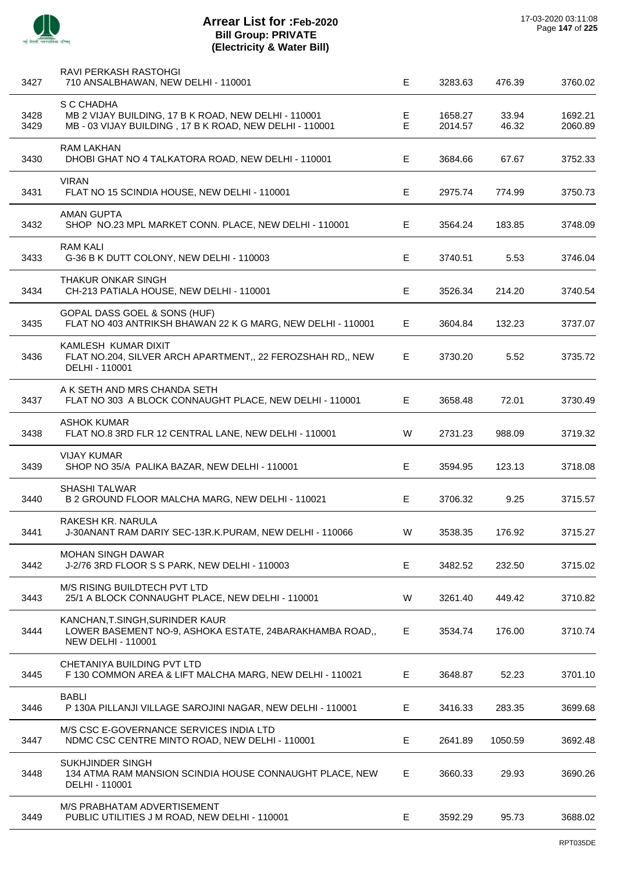

| 3427         | RAVI PERKASH RASTOHGI<br>710 ANSALBHAWAN, NEW DELHI - 110001                                                              | E      | 3283.63            | 476.39         | 3760.02            |
|--------------|---------------------------------------------------------------------------------------------------------------------------|--------|--------------------|----------------|--------------------|
| 3428<br>3429 | S C CHADHA<br>MB 2 VIJAY BUILDING, 17 B K ROAD, NEW DELHI - 110001<br>MB-03 VIJAY BUILDING, 17 B K ROAD, NEW DELHI-110001 | Е<br>E | 1658.27<br>2014.57 | 33.94<br>46.32 | 1692.21<br>2060.89 |
| 3430         | <b>RAM LAKHAN</b><br>DHOBI GHAT NO 4 TALKATORA ROAD, NEW DELHI - 110001                                                   | Е      | 3684.66            | 67.67          | 3752.33            |
| 3431         | <b>VIRAN</b><br>FLAT NO 15 SCINDIA HOUSE, NEW DELHI - 110001                                                              | Е      | 2975.74            | 774.99         | 3750.73            |
| 3432         | AMAN GUPTA<br>SHOP NO.23 MPL MARKET CONN. PLACE, NEW DELHI - 110001                                                       | Е      | 3564.24            | 183.85         | 3748.09            |
| 3433         | <b>RAM KALI</b><br>G-36 B K DUTT COLONY, NEW DELHI - 110003                                                               | E      | 3740.51            | 5.53           | 3746.04            |
| 3434         | <b>THAKUR ONKAR SINGH</b><br>CH-213 PATIALA HOUSE, NEW DELHI - 110001                                                     | E      | 3526.34            | 214.20         | 3740.54            |
| 3435         | GOPAL DASS GOEL & SONS (HUF)<br>FLAT NO 403 ANTRIKSH BHAWAN 22 K G MARG, NEW DELHI - 110001                               | Е      | 3604.84            | 132.23         | 3737.07            |
| 3436         | KAMLESH KUMAR DIXIT<br>FLAT NO.204, SILVER ARCH APARTMENT,, 22 FEROZSHAH RD,, NEW<br>DELHI - 110001                       | E      | 3730.20            | 5.52           | 3735.72            |
| 3437         | A K SETH AND MRS CHANDA SETH<br>FLAT NO 303 A BLOCK CONNAUGHT PLACE, NEW DELHI - 110001                                   | Е      | 3658.48            | 72.01          | 3730.49            |
| 3438         | ASHOK KUMAR<br>FLAT NO.8 3RD FLR 12 CENTRAL LANE, NEW DELHI - 110001                                                      | W      | 2731.23            | 988.09         | 3719.32            |
| 3439         | <b>VIJAY KUMAR</b><br>SHOP NO 35/A PALIKA BAZAR, NEW DELHI - 110001                                                       | Е      | 3594.95            | 123.13         | 3718.08            |
| 3440         | <b>SHASHI TALWAR</b><br>B 2 GROUND FLOOR MALCHA MARG, NEW DELHI - 110021                                                  | Е      | 3706.32            | 9.25           | 3715.57            |
| 3441         | RAKESH KR. NARULA<br>J-30ANANT RAM DARIY SEC-13R.K.PURAM, NEW DELHI - 110066                                              | w      | 3538.35            | 176.92         | 3715.27            |
| 3442         | <b>MOHAN SINGH DAWAR</b><br>J-2/76 3RD FLOOR S S PARK, NEW DELHI - 110003                                                 | Е      | 3482.52            | 232.50         | 3715.02            |
| 3443         | M/S RISING BUILDTECH PVT LTD<br>25/1 A BLOCK CONNAUGHT PLACE, NEW DELHI - 110001                                          | W      | 3261.40            | 449.42         | 3710.82            |
| 3444         | KANCHAN, T. SINGH, SURINDER KAUR<br>LOWER BASEMENT NO-9, ASHOKA ESTATE, 24BARAKHAMBA ROAD,,<br><b>NEW DELHI - 110001</b>  | Е      | 3534.74            | 176.00         | 3710.74            |
| 3445         | CHETANIYA BUILDING PVT LTD<br>F 130 COMMON AREA & LIFT MALCHA MARG, NEW DELHI - 110021                                    | E      | 3648.87            | 52.23          | 3701.10            |
| 3446         | <b>BABLI</b><br>P 130A PILLANJI VILLAGE SAROJINI NAGAR, NEW DELHI - 110001                                                | Е      | 3416.33            | 283.35         | 3699.68            |
| 3447         | M/S CSC E-GOVERNANCE SERVICES INDIA LTD<br>NDMC CSC CENTRE MINTO ROAD, NEW DELHI - 110001                                 | Е      | 2641.89            | 1050.59        | 3692.48            |
| 3448         | <b>SUKHJINDER SINGH</b><br>134 ATMA RAM MANSION SCINDIA HOUSE CONNAUGHT PLACE, NEW<br>DELHI - 110001                      | Е      | 3660.33            | 29.93          | 3690.26            |
| 3449         | M/S PRABHATAM ADVERTISEMENT<br>PUBLIC UTILITIES J M ROAD, NEW DELHI - 110001                                              | E      | 3592.29            | 95.73          | 3688.02            |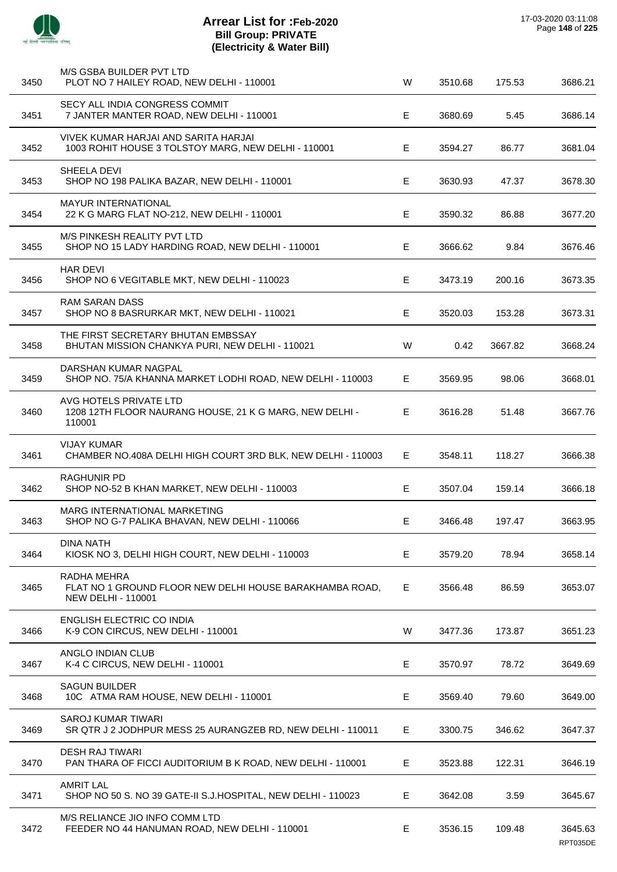

# **Arrear List for :Feb-2020 Bill Group: PRIVATE (Electricity & Water Bill)**

| 3450 | M/S GSBA BUILDER PVT LTD<br>PLOT NO 7 HAILEY ROAD, NEW DELHI - 110001                               | W  | 3510.68 | 175.53  | 3686.21 |
|------|-----------------------------------------------------------------------------------------------------|----|---------|---------|---------|
| 3451 | SECY ALL INDIA CONGRESS COMMIT<br>7 JANTER MANTER ROAD, NEW DELHI - 110001                          | Е  | 3680.69 | 5.45    | 3686.14 |
| 3452 | VIVEK KUMAR HARJAI AND SARITA HARJAI<br>1003 ROHIT HOUSE 3 TOLSTOY MARG, NEW DELHI - 110001         | Е  | 3594.27 | 86.77   | 3681.04 |
| 3453 | SHEELA DEVI<br>SHOP NO 198 PALIKA BAZAR, NEW DELHI - 110001                                         | Е  | 3630.93 | 47.37   | 3678.30 |
| 3454 | <b>MAYUR INTERNATIONAL</b><br>22 K G MARG FLAT NO-212, NEW DELHI - 110001                           | Е  | 3590.32 | 86.88   | 3677.20 |
| 3455 | M/S PINKESH REALITY PVT LTD<br>SHOP NO 15 LADY HARDING ROAD, NEW DELHI - 110001                     | Е  | 3666.62 | 9.84    | 3676.46 |
| 3456 | <b>HAR DEVI</b><br>SHOP NO 6 VEGITABLE MKT, NEW DELHI - 110023                                      | Е  | 3473.19 | 200.16  | 3673.35 |
| 3457 | <b>RAM SARAN DASS</b><br>SHOP NO 8 BASRURKAR MKT, NEW DELHI - 110021                                | Е  | 3520.03 | 153.28  | 3673.31 |
| 3458 | THE FIRST SECRETARY BHUTAN EMBSSAY<br>BHUTAN MISSION CHANKYA PURI, NEW DELHI - 110021               | W  | 0.42    | 3667.82 | 3668.24 |
| 3459 | DARSHAN KUMAR NAGPAL<br>SHOP NO. 75/A KHANNA MARKET LODHI ROAD, NEW DELHI - 110003                  | E. | 3569.95 | 98.06   | 3668.01 |
| 3460 | AVG HOTELS PRIVATE LTD<br>1208 12TH FLOOR NAURANG HOUSE, 21 K G MARG, NEW DELHI -<br>110001         | E  | 3616.28 | 51.48   | 3667.76 |
| 3461 | <b>VIJAY KUMAR</b><br>CHAMBER NO.408A DELHI HIGH COURT 3RD BLK, NEW DELHI - 110003                  | Е  | 3548.11 | 118.27  | 3666.38 |
| 3462 | <b>RAGHUNIR PD</b><br>SHOP NO-52 B KHAN MARKET, NEW DELHI - 110003                                  | Е  | 3507.04 | 159.14  | 3666.18 |
| 3463 | <b>MARG INTERNATIONAL MARKETING</b><br>SHOP NO G-7 PALIKA BHAVAN, NEW DELHI - 110066                | E  | 3466.48 | 197.47  | 3663.95 |
| 3464 | <b>DINA NATH</b><br>KIOSK NO 3, DELHI HIGH COURT, NEW DELHI - 110003                                | E  | 3579.20 | 78.94   | 3658.14 |
| 3465 | RADHA MEHRA<br>FLAT NO 1 GROUND FLOOR NEW DELHI HOUSE BARAKHAMBA ROAD,<br><b>NEW DELHI - 110001</b> | Е  | 3566.48 | 86.59   | 3653.07 |
| 3466 | <b>ENGLISH ELECTRIC CO INDIA</b><br>K-9 CON CIRCUS, NEW DELHI - 110001                              | W  | 3477.36 | 173.87  | 3651.23 |
| 3467 | ANGLO INDIAN CLUB<br>K-4 C CIRCUS, NEW DELHI - 110001                                               | Е  | 3570.97 | 78.72   | 3649.69 |
| 3468 | <b>SAGUN BUILDER</b><br>10C ATMA RAM HOUSE, NEW DELHI - 110001                                      | Е  | 3569.40 | 79.60   | 3649.00 |
| 3469 | <b>SAROJ KUMAR TIWARI</b><br>SR QTR J 2 JODHPUR MESS 25 AURANGZEB RD, NEW DELHI - 110011            | Е  | 3300.75 | 346.62  | 3647.37 |
| 3470 | <b>DESH RAJ TIWARI</b><br>PAN THARA OF FICCI AUDITORIUM B K ROAD, NEW DELHI - 110001                | Е  | 3523.88 | 122.31  | 3646.19 |
| 3471 | <b>AMRIT LAL</b><br>SHOP NO 50 S. NO 39 GATE-II S.J.HOSPITAL, NEW DELHI - 110023                    | Е  | 3642.08 | 3.59    | 3645.67 |
| 3472 | M/S RELIANCE JIO INFO COMM LTD<br>FEEDER NO 44 HANUMAN ROAD, NEW DELHI - 110001                     | Е  | 3536.15 | 109.48  | 3645.63 |

RPT035DE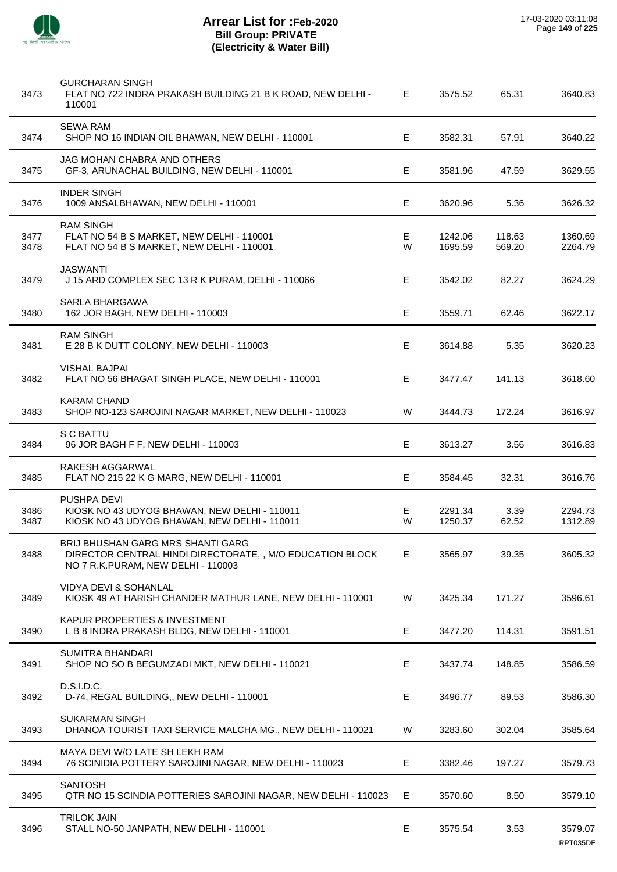

| 3473         | <b>GURCHARAN SINGH</b><br>FLAT NO 722 INDRA PRAKASH BUILDING 21 B K ROAD, NEW DELHI -<br>110001                                      | E      | 3575.52            | 65.31            | 3640.83             |
|--------------|--------------------------------------------------------------------------------------------------------------------------------------|--------|--------------------|------------------|---------------------|
| 3474         | SEWA RAM<br>SHOP NO 16 INDIAN OIL BHAWAN, NEW DELHI - 110001                                                                         | E      | 3582.31            | 57.91            | 3640.22             |
| 3475         | JAG MOHAN CHABRA AND OTHERS<br>GF-3, ARUNACHAL BUILDING, NEW DELHI - 110001                                                          | Е      | 3581.96            | 47.59            | 3629.55             |
| 3476         | <b>INDER SINGH</b><br>1009 ANSALBHAWAN, NEW DELHI - 110001                                                                           | E      | 3620.96            | 5.36             | 3626.32             |
| 3477<br>3478 | <b>RAM SINGH</b><br>FLAT NO 54 B S MARKET, NEW DELHI - 110001<br>FLAT NO 54 B S MARKET, NEW DELHI - 110001                           | E<br>W | 1242.06<br>1695.59 | 118.63<br>569.20 | 1360.69<br>2264.79  |
| 3479         | <b>JASWANTI</b><br>J 15 ARD COMPLEX SEC 13 R K PURAM, DELHI - 110066                                                                 | E      | 3542.02            | 82.27            | 3624.29             |
| 3480         | SARLA BHARGAWA<br>162 JOR BAGH, NEW DELHI - 110003                                                                                   | E      | 3559.71            | 62.46            | 3622.17             |
| 3481         | <b>RAM SINGH</b><br>E 28 B K DUTT COLONY, NEW DELHI - 110003                                                                         | E      | 3614.88            | 5.35             | 3620.23             |
| 3482         | <b>VISHAL BAJPAI</b><br>FLAT NO 56 BHAGAT SINGH PLACE, NEW DELHI - 110001                                                            | Е      | 3477.47            | 141.13           | 3618.60             |
| 3483         | <b>KARAM CHAND</b><br>SHOP NO-123 SAROJINI NAGAR MARKET, NEW DELHI - 110023                                                          | W      | 3444.73            | 172.24           | 3616.97             |
| 3484         | S C BATTU<br>96 JOR BAGH F F, NEW DELHI - 110003                                                                                     | E      | 3613.27            | 3.56             | 3616.83             |
| 3485         | RAKESH AGGARWAL<br>FLAT NO 215 22 K G MARG, NEW DELHI - 110001                                                                       | E      | 3584.45            | 32.31            | 3616.76             |
| 3486<br>3487 | PUSHPA DEVI<br>KIOSK NO 43 UDYOG BHAWAN, NEW DELHI - 110011<br>KIOSK NO 43 UDYOG BHAWAN, NEW DELHI - 110011                          | Е<br>W | 2291.34<br>1250.37 | 3.39<br>62.52    | 2294.73<br>1312.89  |
| 3488         | BRIJ BHUSHAN GARG MRS SHANTI GARG<br>DIRECTOR CENTRAL HINDI DIRECTORATE,, M/O EDUCATION BLOCK<br>NO 7 R.K. PURAM, NEW DELHI - 110003 | E.     | 3565.97            | 39.35            | 3605.32             |
| 3489         | VIDYA DEVI & SOHANLAL<br>KIOSK 49 AT HARISH CHANDER MATHUR LANE, NEW DELHI - 110001                                                  | W      | 3425.34            | 171.27           | 3596.61             |
| 3490         | <b>KAPUR PROPERTIES &amp; INVESTMENT</b><br>L B 8 INDRA PRAKASH BLDG, NEW DELHI - 110001                                             | Е      | 3477.20            | 114.31           | 3591.51             |
| 3491         | SUMITRA BHANDARI<br>SHOP NO SO B BEGUMZADI MKT, NEW DELHI - 110021                                                                   | Е      | 3437.74            | 148.85           | 3586.59             |
| 3492         | D.S.I.D.C.<br>D-74, REGAL BUILDING,, NEW DELHI - 110001                                                                              | Е      | 3496.77            | 89.53            | 3586.30             |
| 3493         | <b>SUKARMAN SINGH</b><br>DHANOA TOURIST TAXI SERVICE MALCHA MG., NEW DELHI - 110021                                                  | W      | 3283.60            | 302.04           | 3585.64             |
| 3494         | MAYA DEVI W/O LATE SH LEKH RAM<br>76 SCINIDIA POTTERY SAROJINI NAGAR, NEW DELHI - 110023                                             | Е      | 3382.46            | 197.27           | 3579.73             |
| 3495         | <b>SANTOSH</b><br>QTR NO 15 SCINDIA POTTERIES SAROJINI NAGAR, NEW DELHI - 110023                                                     | E      | 3570.60            | 8.50             | 3579.10             |
| 3496         | <b>TRILOK JAIN</b><br>STALL NO-50 JANPATH, NEW DELHI - 110001                                                                        | Е      | 3575.54            | 3.53             | 3579.07<br>RPT035DE |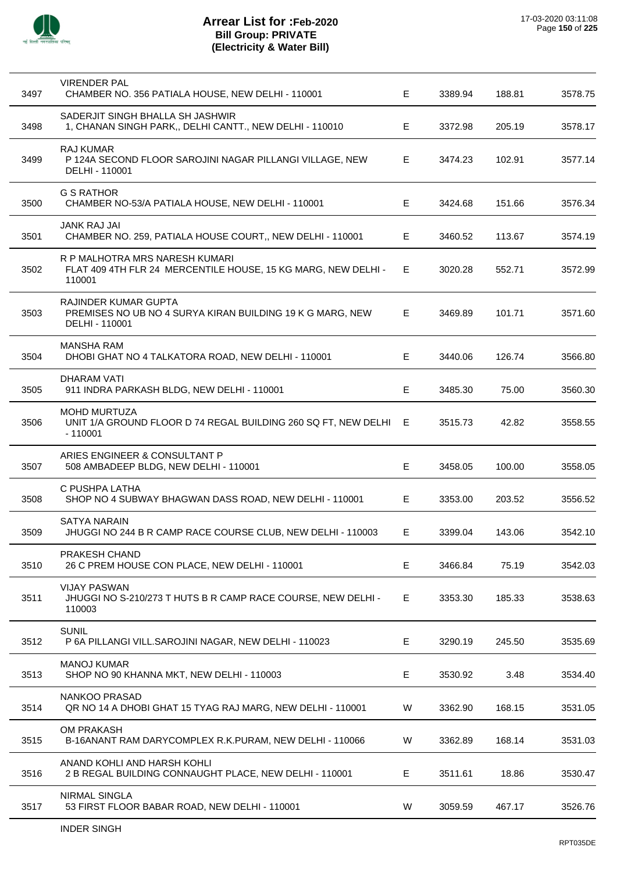

l,

# **Arrear List for :Feb-2020 Bill Group: PRIVATE (Electricity & Water Bill)**

| 3497 | <b>VIRENDER PAL</b><br>CHAMBER NO. 356 PATIALA HOUSE, NEW DELHI - 110001                                  | Е  | 3389.94 | 188.81 | 3578.75 |
|------|-----------------------------------------------------------------------------------------------------------|----|---------|--------|---------|
| 3498 | SADERJIT SINGH BHALLA SH JASHWIR<br>1, CHANAN SINGH PARK,, DELHI CANTT., NEW DELHI - 110010               | E. | 3372.98 | 205.19 | 3578.17 |
| 3499 | <b>RAJ KUMAR</b><br>P 124A SECOND FLOOR SAROJINI NAGAR PILLANGI VILLAGE, NEW<br>DELHI - 110001            | Е  | 3474.23 | 102.91 | 3577.14 |
| 3500 | <b>G S RATHOR</b><br>CHAMBER NO-53/A PATIALA HOUSE, NEW DELHI - 110001                                    | Е  | 3424.68 | 151.66 | 3576.34 |
| 3501 | <b>JANK RAJ JAI</b><br>CHAMBER NO. 259, PATIALA HOUSE COURT,, NEW DELHI - 110001                          | Е  | 3460.52 | 113.67 | 3574.19 |
| 3502 | R P MALHOTRA MRS NARESH KUMARI<br>FLAT 409 4TH FLR 24 MERCENTILE HOUSE, 15 KG MARG, NEW DELHI -<br>110001 | Е  | 3020.28 | 552.71 | 3572.99 |
| 3503 | RAJINDER KUMAR GUPTA<br>PREMISES NO UB NO 4 SURYA KIRAN BUILDING 19 K G MARG, NEW<br>DELHI - 110001       | E  | 3469.89 | 101.71 | 3571.60 |
| 3504 | MANSHA RAM<br>DHOBI GHAT NO 4 TALKATORA ROAD, NEW DELHI - 110001                                          | E  | 3440.06 | 126.74 | 3566.80 |
| 3505 | DHARAM VATI<br>911 INDRA PARKASH BLDG, NEW DELHI - 110001                                                 | E  | 3485.30 | 75.00  | 3560.30 |
| 3506 | <b>MOHD MURTUZA</b><br>UNIT 1/A GROUND FLOOR D 74 REGAL BUILDING 260 SQ FT, NEW DELHI<br>$-110001$        | E  | 3515.73 | 42.82  | 3558.55 |
| 3507 | ARIES ENGINEER & CONSULTANT P<br>508 AMBADEEP BLDG, NEW DELHI - 110001                                    | E  | 3458.05 | 100.00 | 3558.05 |
| 3508 | C PUSHPA LATHA<br>SHOP NO 4 SUBWAY BHAGWAN DASS ROAD, NEW DELHI - 110001                                  | Е  | 3353.00 | 203.52 | 3556.52 |
| 3509 | <b>SATYA NARAIN</b><br>JHUGGI NO 244 B R CAMP RACE COURSE CLUB, NEW DELHI - 110003                        | E  | 3399.04 | 143.06 | 3542.10 |
| 3510 | <b>PRAKESH CHAND</b><br>26 C PREM HOUSE CON PLACE, NEW DELHI - 110001                                     | E  | 3466.84 | 75.19  | 3542.03 |
| 3511 | <b>VIJAY PASWAN</b><br>JHUGGI NO S-210/273 T HUTS B R CAMP RACE COURSE, NEW DELHI -<br>110003             | E  | 3353.30 | 185.33 | 3538.63 |
| 3512 | <b>SUNIL</b><br>P 6A PILLANGI VILL.SAROJINI NAGAR, NEW DELHI - 110023                                     | Е  | 3290.19 | 245.50 | 3535.69 |
| 3513 | <b>MANOJ KUMAR</b><br>SHOP NO 90 KHANNA MKT, NEW DELHI - 110003                                           | Е  | 3530.92 | 3.48   | 3534.40 |
| 3514 | NANKOO PRASAD<br>QR NO 14 A DHOBI GHAT 15 TYAG RAJ MARG, NEW DELHI - 110001                               | W  | 3362.90 | 168.15 | 3531.05 |
| 3515 | <b>OM PRAKASH</b><br>B-16ANANT RAM DARYCOMPLEX R.K.PURAM, NEW DELHI - 110066                              | W  | 3362.89 | 168.14 | 3531.03 |
| 3516 | ANAND KOHLI AND HARSH KOHLI<br>2 B REGAL BUILDING CONNAUGHT PLACE, NEW DELHI - 110001                     | E. | 3511.61 | 18.86  | 3530.47 |
| 3517 | NIRMAL SINGLA<br>53 FIRST FLOOR BABAR ROAD, NEW DELHI - 110001                                            | W  | 3059.59 | 467.17 | 3526.76 |
|      |                                                                                                           |    |         |        |         |

l,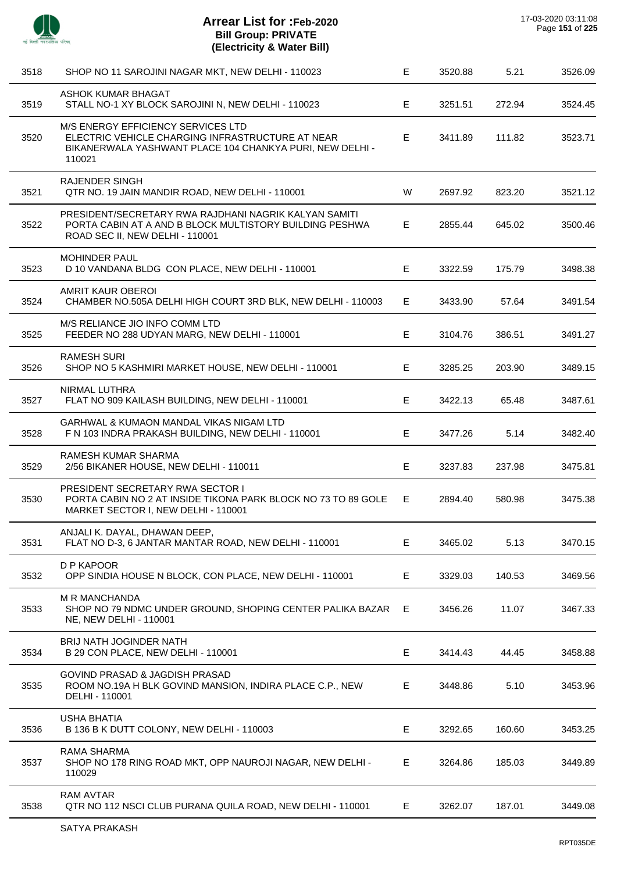

| 3518 | SHOP NO 11 SAROJINI NAGAR MKT, NEW DELHI - 110023                                                                                                            | Е  | 3520.88 | 5.21   | 3526.09 |
|------|--------------------------------------------------------------------------------------------------------------------------------------------------------------|----|---------|--------|---------|
| 3519 | ASHOK KUMAR BHAGAT<br>STALL NO-1 XY BLOCK SAROJINI N, NEW DELHI - 110023                                                                                     | E. | 3251.51 | 272.94 | 3524.45 |
| 3520 | M/S ENERGY EFFICIENCY SERVICES LTD<br>ELECTRIC VEHICLE CHARGING INFRASTRUCTURE AT NEAR<br>BIKANERWALA YASHWANT PLACE 104 CHANKYA PURI, NEW DELHI -<br>110021 | E  | 3411.89 | 111.82 | 3523.71 |
| 3521 | <b>RAJENDER SINGH</b><br>QTR NO. 19 JAIN MANDIR ROAD, NEW DELHI - 110001                                                                                     | W  | 2697.92 | 823.20 | 3521.12 |
| 3522 | PRESIDENT/SECRETARY RWA RAJDHANI NAGRIK KALYAN SAMITI<br>PORTA CABIN AT A AND B BLOCK MULTISTORY BUILDING PESHWA<br>ROAD SEC II, NEW DELHI - 110001          | E  | 2855.44 | 645.02 | 3500.46 |
| 3523 | <b>MOHINDER PAUL</b><br>D 10 VANDANA BLDG CON PLACE, NEW DELHI - 110001                                                                                      | E  | 3322.59 | 175.79 | 3498.38 |
| 3524 | AMRIT KAUR OBEROI<br>CHAMBER NO.505A DELHI HIGH COURT 3RD BLK, NEW DELHI - 110003                                                                            | E. | 3433.90 | 57.64  | 3491.54 |
| 3525 | M/S RELIANCE JIO INFO COMM LTD<br>FEEDER NO 288 UDYAN MARG, NEW DELHI - 110001                                                                               | E. | 3104.76 | 386.51 | 3491.27 |
| 3526 | <b>RAMESH SURI</b><br>SHOP NO 5 KASHMIRI MARKET HOUSE, NEW DELHI - 110001                                                                                    | E  | 3285.25 | 203.90 | 3489.15 |
| 3527 | NIRMAL LUTHRA<br>FLAT NO 909 KAILASH BUILDING, NEW DELHI - 110001                                                                                            | Е  | 3422.13 | 65.48  | 3487.61 |
| 3528 | GARHWAL & KUMAON MANDAL VIKAS NIGAM LTD<br>F N 103 INDRA PRAKASH BUILDING, NEW DELHI - 110001                                                                | Е  | 3477.26 | 5.14   | 3482.40 |
| 3529 | RAMESH KUMAR SHARMA<br>2/56 BIKANER HOUSE, NEW DELHI - 110011                                                                                                | Е  | 3237.83 | 237.98 | 3475.81 |
| 3530 | PRESIDENT SECRETARY RWA SECTOR I<br>PORTA CABIN NO 2 AT INSIDE TIKONA PARK BLOCK NO 73 TO 89 GOLE<br>MARKET SECTOR I, NEW DELHI - 110001                     | E. | 2894.40 | 580.98 | 3475.38 |
| 3531 | ANJALI K. DAYAL, DHAWAN DEEP,<br>FLAT NO D-3, 6 JANTAR MANTAR ROAD, NEW DELHI - 110001                                                                       | Е  | 3465.02 | 5.13   | 3470.15 |
| 3532 | D P KAPOOR<br>OPP SINDIA HOUSE N BLOCK, CON PLACE, NEW DELHI - 110001                                                                                        | Е  | 3329.03 | 140.53 | 3469.56 |
| 3533 | M R MANCHANDA<br>SHOP NO 79 NDMC UNDER GROUND, SHOPING CENTER PALIKA BAZAR E<br>NE, NEW DELHI - 110001                                                       |    | 3456.26 | 11.07  | 3467.33 |
| 3534 | <b>BRIJ NATH JOGINDER NATH</b><br>B 29 CON PLACE, NEW DELHI - 110001                                                                                         | Е  | 3414.43 | 44.45  | 3458.88 |
| 3535 | GOVIND PRASAD & JAGDISH PRASAD<br>ROOM NO.19A H BLK GOVIND MANSION, INDIRA PLACE C.P., NEW<br>DELHI - 110001                                                 | E  | 3448.86 | 5.10   | 3453.96 |
| 3536 | <b>USHA BHATIA</b><br>B 136 B K DUTT COLONY, NEW DELHI - 110003                                                                                              | Е  | 3292.65 | 160.60 | 3453.25 |
| 3537 | RAMA SHARMA<br>SHOP NO 178 RING ROAD MKT, OPP NAUROJI NAGAR, NEW DELHI -<br>110029                                                                           | E  | 3264.86 | 185.03 | 3449.89 |
| 3538 | <b>RAM AVTAR</b><br>QTR NO 112 NSCI CLUB PURANA QUILA ROAD, NEW DELHI - 110001                                                                               | E. | 3262.07 | 187.01 | 3449.08 |
|      |                                                                                                                                                              |    |         |        |         |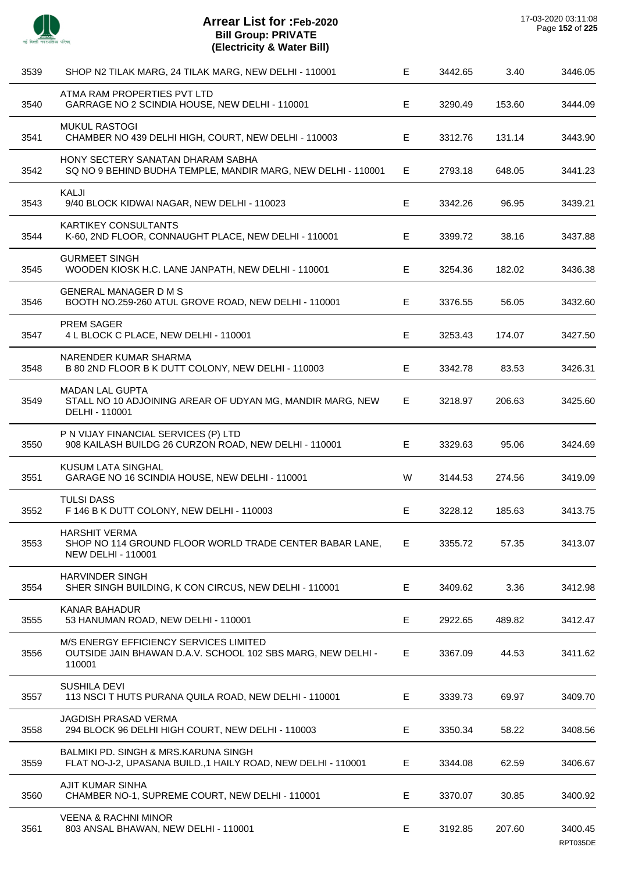

| 3539 | SHOP N2 TILAK MARG, 24 TILAK MARG, NEW DELHI - 110001                                                            | Е  | 3442.65 | 3.40   | 3446.05             |
|------|------------------------------------------------------------------------------------------------------------------|----|---------|--------|---------------------|
| 3540 | ATMA RAM PROPERTIES PVT LTD<br>GARRAGE NO 2 SCINDIA HOUSE, NEW DELHI - 110001                                    | E. | 3290.49 | 153.60 | 3444.09             |
| 3541 | <b>MUKUL RASTOGI</b><br>CHAMBER NO 439 DELHI HIGH, COURT, NEW DELHI - 110003                                     | E  | 3312.76 | 131.14 | 3443.90             |
| 3542 | HONY SECTERY SANATAN DHARAM SABHA<br>SQ NO 9 BEHIND BUDHA TEMPLE, MANDIR MARG, NEW DELHI - 110001                | Е  | 2793.18 | 648.05 | 3441.23             |
| 3543 | KALJI<br>9/40 BLOCK KIDWAI NAGAR, NEW DELHI - 110023                                                             | E  | 3342.26 | 96.95  | 3439.21             |
| 3544 | <b>KARTIKEY CONSULTANTS</b><br>K-60, 2ND FLOOR, CONNAUGHT PLACE, NEW DELHI - 110001                              | E  | 3399.72 | 38.16  | 3437.88             |
| 3545 | <b>GURMEET SINGH</b><br>WOODEN KIOSK H.C. LANE JANPATH, NEW DELHI - 110001                                       | Е  | 3254.36 | 182.02 | 3436.38             |
| 3546 | <b>GENERAL MANAGER D M S</b><br>BOOTH NO.259-260 ATUL GROVE ROAD, NEW DELHI - 110001                             | E. | 3376.55 | 56.05  | 3432.60             |
| 3547 | PREM SAGER<br>4 L BLOCK C PLACE, NEW DELHI - 110001                                                              | E  | 3253.43 | 174.07 | 3427.50             |
| 3548 | NARENDER KUMAR SHARMA<br>B 80 2ND FLOOR B K DUTT COLONY, NEW DELHI - 110003                                      | E. | 3342.78 | 83.53  | 3426.31             |
| 3549 | <b>MADAN LAL GUPTA</b><br>STALL NO 10 ADJOINING AREAR OF UDYAN MG, MANDIR MARG, NEW<br>DELHI - 110001            | E. | 3218.97 | 206.63 | 3425.60             |
| 3550 | P N VIJAY FINANCIAL SERVICES (P) LTD<br>908 KAILASH BUILDG 26 CURZON ROAD, NEW DELHI - 110001                    | E. | 3329.63 | 95.06  | 3424.69             |
| 3551 | <b>KUSUM LATA SINGHAL</b><br>GARAGE NO 16 SCINDIA HOUSE, NEW DELHI - 110001                                      | W  | 3144.53 | 274.56 | 3419.09             |
| 3552 | <b>TULSI DASS</b><br>F 146 B K DUTT COLONY, NEW DELHI - 110003                                                   | E  | 3228.12 | 185.63 | 3413.75             |
| 3553 | <b>HARSHIT VERMA</b><br>SHOP NO 114 GROUND FLOOR WORLD TRADE CENTER BABAR LANE,<br><b>NEW DELHI - 110001</b>     | Е. | 3355.72 | 57.35  | 3413.07             |
| 3554 | <b>HARVINDER SINGH</b><br>SHER SINGH BUILDING, K CON CIRCUS, NEW DELHI - 110001                                  | E. | 3409.62 | 3.36   | 3412.98             |
| 3555 | <b>KANAR BAHADUR</b><br>53 HANUMAN ROAD, NEW DELHI - 110001                                                      | E. | 2922.65 | 489.82 | 3412.47             |
| 3556 | M/S ENERGY EFFICIENCY SERVICES LIMITED<br>OUTSIDE JAIN BHAWAN D.A.V. SCHOOL 102 SBS MARG, NEW DELHI -<br>110001  | E. | 3367.09 | 44.53  | 3411.62             |
| 3557 | <b>SUSHILA DEVI</b><br>113 NSCI T HUTS PURANA QUILA ROAD, NEW DELHI - 110001                                     | E. | 3339.73 | 69.97  | 3409.70             |
| 3558 | <b>JAGDISH PRASAD VERMA</b><br>294 BLOCK 96 DELHI HIGH COURT, NEW DELHI - 110003                                 | E. | 3350.34 | 58.22  | 3408.56             |
| 3559 | <b>BALMIKI PD. SINGH &amp; MRS.KARUNA SINGH</b><br>FLAT NO-J-2, UPASANA BUILD., 1 HAILY ROAD, NEW DELHI - 110001 | E. | 3344.08 | 62.59  | 3406.67             |
| 3560 | AJIT KUMAR SINHA<br>CHAMBER NO-1, SUPREME COURT, NEW DELHI - 110001                                              | E. | 3370.07 | 30.85  | 3400.92             |
| 3561 | <b>VEENA &amp; RACHNI MINOR</b><br>803 ANSAL BHAWAN, NEW DELHI - 110001                                          | E. | 3192.85 | 207.60 | 3400.45<br>RPT035DE |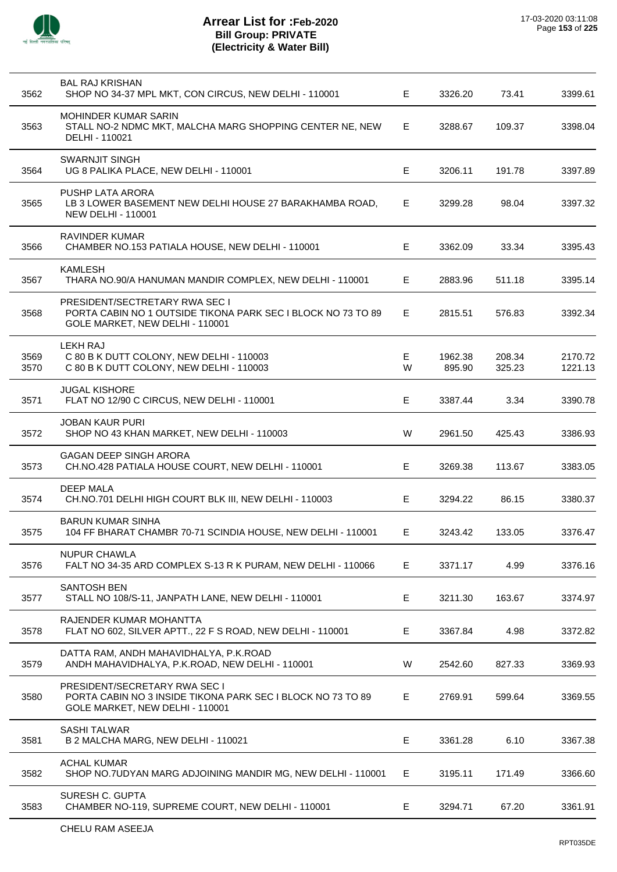

| 3562         | <b>BAL RAJ KRISHAN</b><br>SHOP NO 34-37 MPL MKT, CON CIRCUS, NEW DELHI - 110001                                                          | Е      | 3326.20           | 73.41            | 3399.61            |
|--------------|------------------------------------------------------------------------------------------------------------------------------------------|--------|-------------------|------------------|--------------------|
| 3563         | MOHINDER KUMAR SARIN<br>STALL NO-2 NDMC MKT, MALCHA MARG SHOPPING CENTER NE, NEW<br>DELHI - 110021                                       | E.     | 3288.67           | 109.37           | 3398.04            |
| 3564         | <b>SWARNJIT SINGH</b><br>UG 8 PALIKA PLACE, NEW DELHI - 110001                                                                           | E      | 3206.11           | 191.78           | 3397.89            |
| 3565         | PUSHP LATA ARORA<br>LB 3 LOWER BASEMENT NEW DELHI HOUSE 27 BARAKHAMBA ROAD,<br><b>NEW DELHI - 110001</b>                                 | Е      | 3299.28           | 98.04            | 3397.32            |
| 3566         | RAVINDER KUMAR<br>CHAMBER NO.153 PATIALA HOUSE, NEW DELHI - 110001                                                                       | Е      | 3362.09           | 33.34            | 3395.43            |
| 3567         | <b>KAMLESH</b><br>THARA NO.90/A HANUMAN MANDIR COMPLEX, NEW DELHI - 110001                                                               | E      | 2883.96           | 511.18           | 3395.14            |
| 3568         | <b>PRESIDENT/SECTRETARY RWA SEC I</b><br>PORTA CABIN NO 1 OUTSIDE TIKONA PARK SEC I BLOCK NO 73 TO 89<br>GOLE MARKET, NEW DELHI - 110001 | Е      | 2815.51           | 576.83           | 3392.34            |
| 3569<br>3570 | <b>LEKH RAJ</b><br>C 80 B K DUTT COLONY, NEW DELHI - 110003<br>C 80 B K DUTT COLONY, NEW DELHI - 110003                                  | E<br>W | 1962.38<br>895.90 | 208.34<br>325.23 | 2170.72<br>1221.13 |
| 3571         | <b>JUGAL KISHORE</b><br>FLAT NO 12/90 C CIRCUS, NEW DELHI - 110001                                                                       | E      | 3387.44           | 3.34             | 3390.78            |
| 3572         | <b>JOBAN KAUR PURI</b><br>SHOP NO 43 KHAN MARKET, NEW DELHI - 110003                                                                     | W      | 2961.50           | 425.43           | 3386.93            |
| 3573         | <b>GAGAN DEEP SINGH ARORA</b><br>CH.NO.428 PATIALA HOUSE COURT, NEW DELHI - 110001                                                       | E      | 3269.38           | 113.67           | 3383.05            |
| 3574         | <b>DEEP MALA</b><br>CH.NO.701 DELHI HIGH COURT BLK III, NEW DELHI - 110003                                                               | Е      | 3294.22           | 86.15            | 3380.37            |
| 3575         | <b>BARUN KUMAR SINHA</b><br>104 FF BHARAT CHAMBR 70-71 SCINDIA HOUSE, NEW DELHI - 110001                                                 | Е      | 3243.42           | 133.05           | 3376.47            |
| 3576         | <b>NUPUR CHAWLA</b><br>FALT NO 34-35 ARD COMPLEX S-13 R K PURAM, NEW DELHI - 110066                                                      | Е      | 3371.17           | 4.99             | 3376.16            |
| 3577         | <b>SANTOSH BEN</b><br>STALL NO 108/S-11, JANPATH LANE, NEW DELHI - 110001                                                                | Е      | 3211.30           | 163.67           | 3374.97            |
| 3578         | RAJENDER KUMAR MOHANTTA<br>FLAT NO 602, SILVER APTT., 22 F S ROAD, NEW DELHI - 110001                                                    | Е      | 3367.84           | 4.98             | 3372.82            |
| 3579         | DATTA RAM, ANDH MAHAVIDHALYA, P.K.ROAD<br>ANDH MAHAVIDHALYA, P.K.ROAD, NEW DELHI - 110001                                                | W      | 2542.60           | 827.33           | 3369.93            |
| 3580         | PRESIDENT/SECRETARY RWA SEC I<br>PORTA CABIN NO 3 INSIDE TIKONA PARK SEC I BLOCK NO 73 TO 89<br>GOLE MARKET, NEW DELHI - 110001          | E      | 2769.91           | 599.64           | 3369.55            |
| 3581         | <b>SASHI TALWAR</b><br>B 2 MALCHA MARG, NEW DELHI - 110021                                                                               | Ε      | 3361.28           | 6.10             | 3367.38            |
| 3582         | <b>ACHAL KUMAR</b><br>SHOP NO.7UDYAN MARG ADJOINING MANDIR MG, NEW DELHI - 110001                                                        | Е      | 3195.11           | 171.49           | 3366.60            |
| 3583         | SURESH C. GUPTA<br>CHAMBER NO-119, SUPREME COURT, NEW DELHI - 110001                                                                     | Ε      | 3294.71           | 67.20            | 3361.91            |
|              |                                                                                                                                          |        |                   |                  |                    |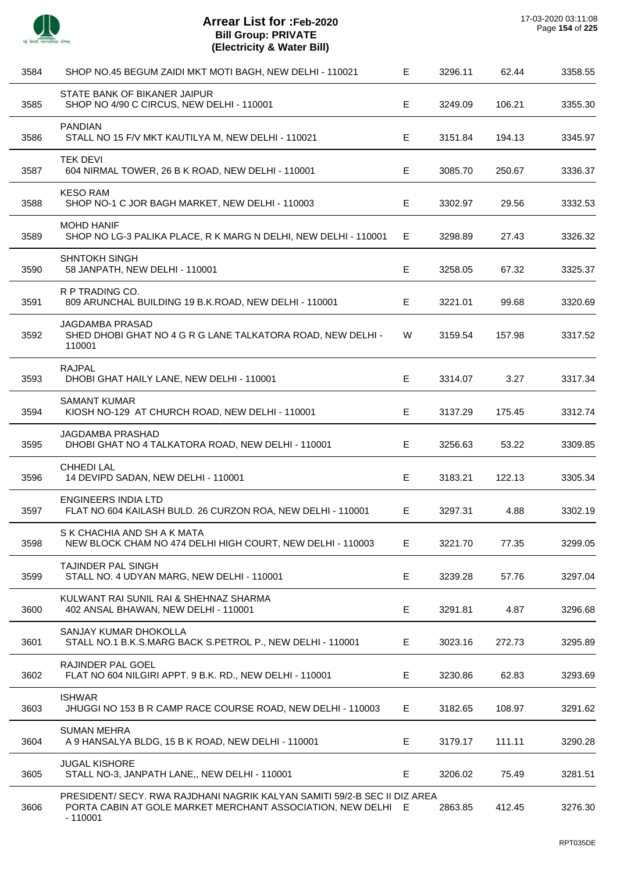

| 3584 | SHOP NO.45 BEGUM ZAIDI MKT MOTI BAGH, NEW DELHI - 110021                                                                                               | E. | 3296.11 | 62.44  | 3358.55 |
|------|--------------------------------------------------------------------------------------------------------------------------------------------------------|----|---------|--------|---------|
| 3585 | STATE BANK OF BIKANER JAIPUR<br>SHOP NO 4/90 C CIRCUS, NEW DELHI - 110001                                                                              | Е  | 3249.09 | 106.21 | 3355.30 |
| 3586 | <b>PANDIAN</b><br>STALL NO 15 F/V MKT KAUTILYA M, NEW DELHI - 110021                                                                                   | Е  | 3151.84 | 194.13 | 3345.97 |
| 3587 | <b>TEK DEVI</b><br>604 NIRMAL TOWER, 26 B K ROAD, NEW DELHI - 110001                                                                                   | Е  | 3085.70 | 250.67 | 3336.37 |
| 3588 | <b>KESO RAM</b><br>SHOP NO-1 C JOR BAGH MARKET, NEW DELHI - 110003                                                                                     | Е  | 3302.97 | 29.56  | 3332.53 |
| 3589 | <b>MOHD HANIF</b><br>SHOP NO LG-3 PALIKA PLACE, R K MARG N DELHI, NEW DELHI - 110001                                                                   | Е. | 3298.89 | 27.43  | 3326.32 |
| 3590 | <b>SHNTOKH SINGH</b><br>58 JANPATH, NEW DELHI - 110001                                                                                                 | Е  | 3258.05 | 67.32  | 3325.37 |
| 3591 | R P TRADING CO.<br>809 ARUNCHAL BUILDING 19 B.K.ROAD, NEW DELHI - 110001                                                                               | Е  | 3221.01 | 99.68  | 3320.69 |
| 3592 | <b>JAGDAMBA PRASAD</b><br>SHED DHOBI GHAT NO 4 G R G LANE TALKATORA ROAD, NEW DELHI -<br>110001                                                        | W  | 3159.54 | 157.98 | 3317.52 |
| 3593 | <b>RAJPAL</b><br>DHOBI GHAT HAILY LANE, NEW DELHI - 110001                                                                                             | E  | 3314.07 | 3.27   | 3317.34 |
| 3594 | <b>SAMANT KUMAR</b><br>KIOSH NO-129 AT CHURCH ROAD, NEW DELHI - 110001                                                                                 | Е  | 3137.29 | 175.45 | 3312.74 |
| 3595 | <b>JAGDAMBA PRASHAD</b><br>DHOBI GHAT NO 4 TALKATORA ROAD, NEW DELHI - 110001                                                                          | Е  | 3256.63 | 53.22  | 3309.85 |
| 3596 | <b>CHHEDI LAL</b><br>14 DEVIPD SADAN, NEW DELHI - 110001                                                                                               | E  | 3183.21 | 122.13 | 3305.34 |
| 3597 | <b>ENGINEERS INDIA LTD</b><br>FLAT NO 604 KAILASH BULD. 26 CURZON ROA, NEW DELHI - 110001                                                              | Е  | 3297.31 | 4.88   | 3302.19 |
| 3598 | S K CHACHIA AND SH A K MATA<br>NEW BLOCK CHAM NO 474 DELHI HIGH COURT, NEW DELHI - 110003                                                              | Е  | 3221.70 | 77.35  | 3299.05 |
| 3599 | TAJINDER PAL SINGH<br>STALL NO. 4 UDYAN MARG, NEW DELHI - 110001                                                                                       | Е  | 3239.28 | 57.76  | 3297.04 |
| 3600 | KULWANT RAI SUNIL RAI & SHEHNAZ SHARMA<br>402 ANSAL BHAWAN, NEW DELHI - 110001                                                                         | Е  | 3291.81 | 4.87   | 3296.68 |
| 3601 | SANJAY KUMAR DHOKOLLA<br>STALL NO.1 B.K.S.MARG BACK S.PETROL P., NEW DELHI - 110001                                                                    | Е  | 3023.16 | 272.73 | 3295.89 |
| 3602 | RAJINDER PAL GOEL<br>FLAT NO 604 NILGIRI APPT. 9 B.K. RD., NEW DELHI - 110001                                                                          | Е  | 3230.86 | 62.83  | 3293.69 |
| 3603 | <b>ISHWAR</b><br>JHUGGI NO 153 B R CAMP RACE COURSE ROAD, NEW DELHI - 110003                                                                           | Е  | 3182.65 | 108.97 | 3291.62 |
| 3604 | <b>SUMAN MEHRA</b><br>A 9 HANSALYA BLDG, 15 B K ROAD, NEW DELHI - 110001                                                                               | Е  | 3179.17 | 111.11 | 3290.28 |
| 3605 | <b>JUGAL KISHORE</b><br>STALL NO-3, JANPATH LANE,, NEW DELHI - 110001                                                                                  | Е  | 3206.02 | 75.49  | 3281.51 |
| 3606 | PRESIDENT/ SECY. RWA RAJDHANI NAGRIK KALYAN SAMITI 59/2-B SEC II DIZ AREA<br>PORTA CABIN AT GOLE MARKET MERCHANT ASSOCIATION, NEW DELHI E<br>$-110001$ |    | 2863.85 | 412.45 | 3276.30 |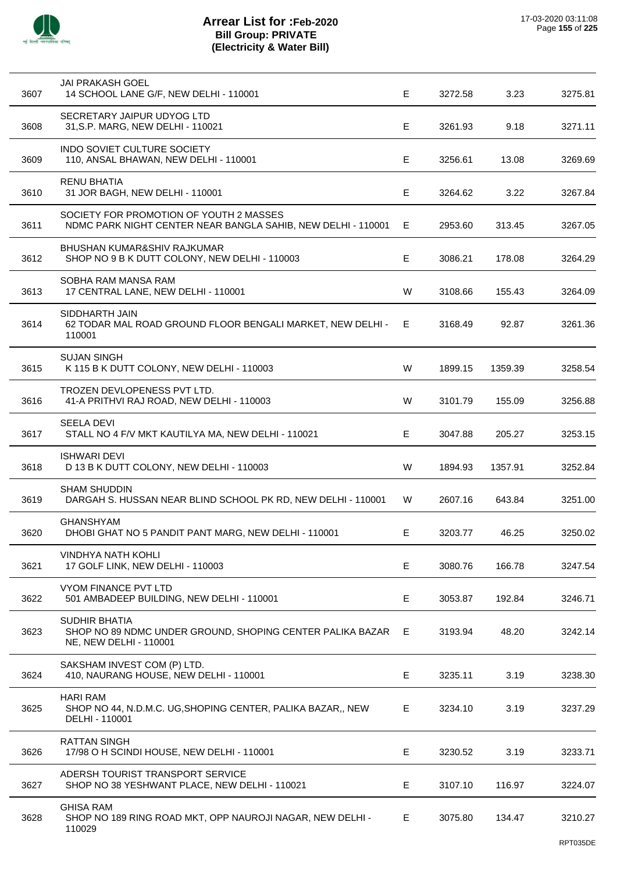

| 3607 | <b>JAI PRAKASH GOEL</b><br>14 SCHOOL LANE G/F, NEW DELHI - 110001                                       | E   | 3272.58 | 3.23    | 3275.81 |
|------|---------------------------------------------------------------------------------------------------------|-----|---------|---------|---------|
| 3608 | SECRETARY JAIPUR UDYOG LTD<br>31, S.P. MARG, NEW DELHI - 110021                                         | E   | 3261.93 | 9.18    | 3271.11 |
| 3609 | INDO SOVIET CULTURE SOCIETY<br>110, ANSAL BHAWAN, NEW DELHI - 110001                                    | E   | 3256.61 | 13.08   | 3269.69 |
| 3610 | <b>RENU BHATIA</b><br>31 JOR BAGH, NEW DELHI - 110001                                                   | E   | 3264.62 | 3.22    | 3267.84 |
| 3611 | SOCIETY FOR PROMOTION OF YOUTH 2 MASSES<br>NDMC PARK NIGHT CENTER NEAR BANGLA SAHIB, NEW DELHI - 110001 | E   | 2953.60 | 313.45  | 3267.05 |
| 3612 | BHUSHAN KUMAR&SHIV RAJKUMAR<br>SHOP NO 9 B K DUTT COLONY, NEW DELHI - 110003                            | E   | 3086.21 | 178.08  | 3264.29 |
| 3613 | SOBHA RAM MANSA RAM<br>17 CENTRAL LANE, NEW DELHI - 110001                                              | W   | 3108.66 | 155.43  | 3264.09 |
| 3614 | SIDDHARTH JAIN<br>62 TODAR MAL ROAD GROUND FLOOR BENGALI MARKET, NEW DELHI -<br>110001                  | E.  | 3168.49 | 92.87   | 3261.36 |
| 3615 | <b>SUJAN SINGH</b><br>K 115 B K DUTT COLONY, NEW DELHI - 110003                                         | W   | 1899.15 | 1359.39 | 3258.54 |
| 3616 | TROZEN DEVLOPENESS PVT LTD.<br>41-A PRITHVI RAJ ROAD, NEW DELHI - 110003                                | W   | 3101.79 | 155.09  | 3256.88 |
| 3617 | <b>SEELA DEVI</b><br>STALL NO 4 F/V MKT KAUTILYA MA, NEW DELHI - 110021                                 | Е   | 3047.88 | 205.27  | 3253.15 |
| 3618 | <b>ISHWARI DEVI</b><br>D 13 B K DUTT COLONY, NEW DELHI - 110003                                         | W   | 1894.93 | 1357.91 | 3252.84 |
| 3619 | <b>SHAM SHUDDIN</b><br>DARGAH S. HUSSAN NEAR BLIND SCHOOL PK RD, NEW DELHI - 110001                     | W   | 2607.16 | 643.84  | 3251.00 |
| 3620 | <b>GHANSHYAM</b><br>DHOBI GHAT NO 5 PANDIT PANT MARG, NEW DELHI - 110001                                | E.  | 3203.77 | 46.25   | 3250.02 |
| 3621 | <b>VINDHYA NATH KOHLI</b><br>17 GOLF LINK, NEW DELHI - 110003                                           | E   | 3080.76 | 166.78  | 3247.54 |
| 3622 | VYOM FINANCE PVT LTD<br>501 AMBADEEP BUILDING, NEW DELHI - 110001                                       | E   | 3053.87 | 192.84  | 3246.71 |
| 3623 | SUDHIR BHATIA<br>SHOP NO 89 NDMC UNDER GROUND, SHOPING CENTER PALIKA BAZAR<br>NE, NEW DELHI - 110001    | - E | 3193.94 | 48.20   | 3242.14 |
| 3624 | SAKSHAM INVEST COM (P) LTD.<br>410, NAURANG HOUSE, NEW DELHI - 110001                                   | E   | 3235.11 | 3.19    | 3238.30 |
| 3625 | <b>HARI RAM</b><br>SHOP NO 44, N.D.M.C. UG, SHOPING CENTER, PALIKA BAZAR,, NEW<br>DELHI - 110001        | E   | 3234.10 | 3.19    | 3237.29 |
| 3626 | <b>RATTAN SINGH</b><br>17/98 O H SCINDI HOUSE, NEW DELHI - 110001                                       | Е   | 3230.52 | 3.19    | 3233.71 |
| 3627 | ADERSH TOURIST TRANSPORT SERVICE<br>SHOP NO 38 YESHWANT PLACE, NEW DELHI - 110021                       | Е   | 3107.10 | 116.97  | 3224.07 |
| 3628 | <b>GHISA RAM</b><br>SHOP NO 189 RING ROAD MKT, OPP NAUROJI NAGAR, NEW DELHI -<br>110029                 | Е   | 3075.80 | 134.47  | 3210.27 |
|      |                                                                                                         |     |         |         |         |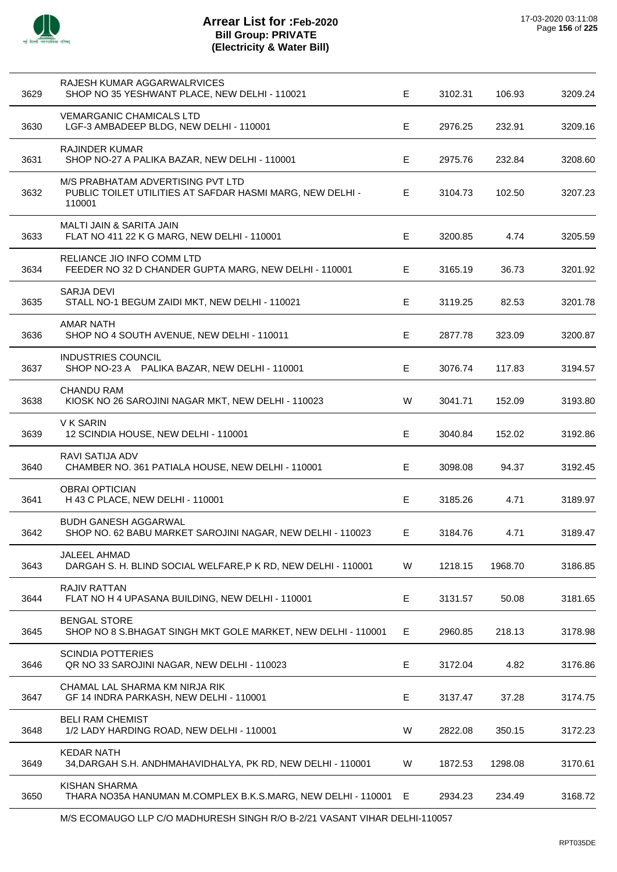

l,

# **Arrear List for :Feb-2020 Bill Group: PRIVATE (Electricity & Water Bill)**

| 3629 | RAJESH KUMAR AGGARWALRVICES<br>SHOP NO 35 YESHWANT PLACE, NEW DELHI - 110021                             | E | 3102.31 | 106.93  | 3209.24 |
|------|----------------------------------------------------------------------------------------------------------|---|---------|---------|---------|
| 3630 | <b>VEMARGANIC CHAMICALS LTD</b><br>LGF-3 AMBADEEP BLDG, NEW DELHI - 110001                               | E | 2976.25 | 232.91  | 3209.16 |
| 3631 | <b>RAJINDER KUMAR</b><br>SHOP NO-27 A PALIKA BAZAR, NEW DELHI - 110001                                   | Е | 2975.76 | 232.84  | 3208.60 |
| 3632 | M/S PRABHATAM ADVERTISING PVT LTD<br>PUBLIC TOILET UTILITIES AT SAFDAR HASMI MARG, NEW DELHI -<br>110001 | E | 3104.73 | 102.50  | 3207.23 |
| 3633 | MALTI JAIN & SARITA JAIN<br>FLAT NO 411 22 K G MARG, NEW DELHI - 110001                                  | Е | 3200.85 | 4.74    | 3205.59 |
| 3634 | RELIANCE JIO INFO COMM LTD<br>FEEDER NO 32 D CHANDER GUPTA MARG, NEW DELHI - 110001                      | Е | 3165.19 | 36.73   | 3201.92 |
| 3635 | <b>SARJA DEVI</b><br>STALL NO-1 BEGUM ZAIDI MKT, NEW DELHI - 110021                                      | Е | 3119.25 | 82.53   | 3201.78 |
| 3636 | <b>AMAR NATH</b><br>SHOP NO 4 SOUTH AVENUE, NEW DELHI - 110011                                           | Е | 2877.78 | 323.09  | 3200.87 |
| 3637 | <b>INDUSTRIES COUNCIL</b><br>SHOP NO-23 A PALIKA BAZAR, NEW DELHI - 110001                               | E | 3076.74 | 117.83  | 3194.57 |
| 3638 | <b>CHANDU RAM</b><br>KIOSK NO 26 SAROJINI NAGAR MKT, NEW DELHI - 110023                                  | W | 3041.71 | 152.09  | 3193.80 |
| 3639 | V K SARIN<br>12 SCINDIA HOUSE, NEW DELHI - 110001                                                        | Е | 3040.84 | 152.02  | 3192.86 |
| 3640 | RAVI SATIJA ADV<br>CHAMBER NO. 361 PATIALA HOUSE, NEW DELHI - 110001                                     | Е | 3098.08 | 94.37   | 3192.45 |
| 3641 | <b>OBRAI OPTICIAN</b><br>H 43 C PLACE, NEW DELHI - 110001                                                | E | 3185.26 | 4.71    | 3189.97 |
| 3642 | <b>BUDH GANESH AGGARWAL</b><br>SHOP NO. 62 BABU MARKET SAROJINI NAGAR, NEW DELHI - 110023                | E | 3184.76 | 4.71    | 3189.47 |
| 3643 | <b>JALEEL AHMAD</b><br>DARGAH S. H. BLIND SOCIAL WELFARE, P K RD, NEW DELHI - 110001                     | W | 1218.15 | 1968.70 | 3186.85 |
| 3644 | RAJIV RATTAN<br>FLAT NO H 4 UPASANA BUILDING, NEW DELHI - 110001                                         | E | 3131.57 | 50.08   | 3181.65 |
| 3645 | <b>BENGAL STORE</b><br>SHOP NO 8 S.BHAGAT SINGH MKT GOLE MARKET, NEW DELHI - 110001                      | E | 2960.85 | 218.13  | 3178.98 |
| 3646 | <b>SCINDIA POTTERIES</b><br>QR NO 33 SAROJINI NAGAR, NEW DELHI - 110023                                  | Е | 3172.04 | 4.82    | 3176.86 |
| 3647 | CHAMAL LAL SHARMA KM NIRJA RIK<br>GF 14 INDRA PARKASH, NEW DELHI - 110001                                | E | 3137.47 | 37.28   | 3174.75 |
| 3648 | <b>BELI RAM CHEMIST</b><br>1/2 LADY HARDING ROAD, NEW DELHI - 110001                                     | W | 2822.08 | 350.15  | 3172.23 |
| 3649 | <b>KEDAR NATH</b><br>34, DARGAH S.H. ANDHMAHAVIDHALYA, PK RD, NEW DELHI - 110001                         | W | 1872.53 | 1298.08 | 3170.61 |
| 3650 | <b>KISHAN SHARMA</b><br>THARA NO35A HANUMAN M.COMPLEX B.K.S.MARG, NEW DELHI - 110001                     | Е | 2934.23 | 234.49  | 3168.72 |
|      |                                                                                                          |   |         |         |         |

M/S ECOMAUGO LLP C/O MADHURESH SINGH R/O B-2/21 VASANT VIHAR DELHI-110057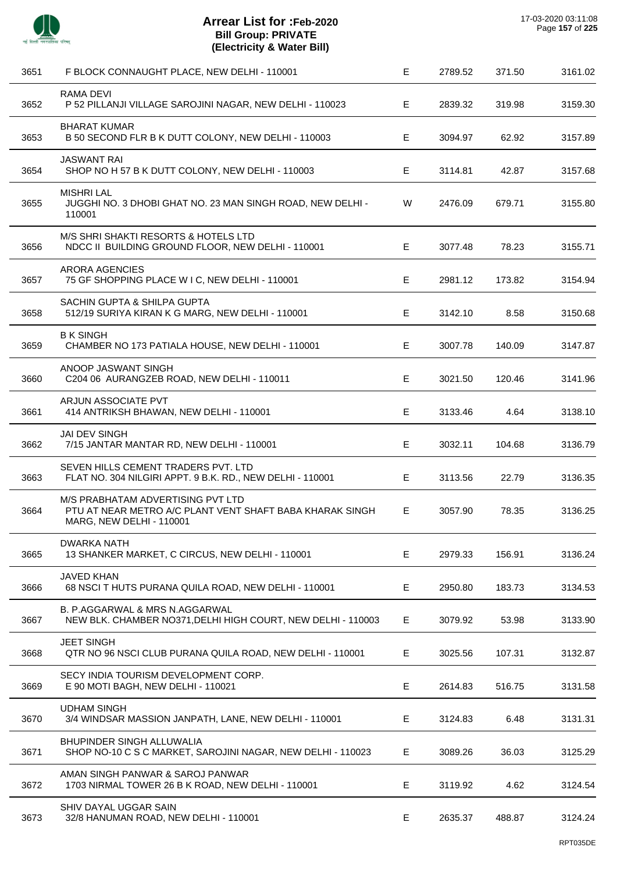

| 3651 | F BLOCK CONNAUGHT PLACE, NEW DELHI - 110001                                                                                      | E  | 2789.52 | 371.50 | 3161.02 |
|------|----------------------------------------------------------------------------------------------------------------------------------|----|---------|--------|---------|
| 3652 | RAMA DEVI<br>P 52 PILLANJI VILLAGE SAROJINI NAGAR, NEW DELHI - 110023                                                            | E. | 2839.32 | 319.98 | 3159.30 |
| 3653 | <b>BHARAT KUMAR</b><br>B 50 SECOND FLR B K DUTT COLONY, NEW DELHI - 110003                                                       | E. | 3094.97 | 62.92  | 3157.89 |
| 3654 | <b>JASWANT RAI</b><br>SHOP NO H 57 B K DUTT COLONY, NEW DELHI - 110003                                                           | E  | 3114.81 | 42.87  | 3157.68 |
| 3655 | <b>MISHRI LAL</b><br>JUGGHI NO. 3 DHOBI GHAT NO. 23 MAN SINGH ROAD, NEW DELHI -<br>110001                                        | W  | 2476.09 | 679.71 | 3155.80 |
| 3656 | M/S SHRI SHAKTI RESORTS & HOTELS LTD<br>NDCC II BUILDING GROUND FLOOR, NEW DELHI - 110001                                        | Е  | 3077.48 | 78.23  | 3155.71 |
| 3657 | <b>ARORA AGENCIES</b><br>75 GF SHOPPING PLACE W I C, NEW DELHI - 110001                                                          | Е  | 2981.12 | 173.82 | 3154.94 |
| 3658 | SACHIN GUPTA & SHILPA GUPTA<br>512/19 SURIYA KIRAN K G MARG, NEW DELHI - 110001                                                  | Е  | 3142.10 | 8.58   | 3150.68 |
| 3659 | <b>B K SINGH</b><br>CHAMBER NO 173 PATIALA HOUSE, NEW DELHI - 110001                                                             | Е  | 3007.78 | 140.09 | 3147.87 |
| 3660 | ANOOP JASWANT SINGH<br>C204 06 AURANGZEB ROAD, NEW DELHI - 110011                                                                | E  | 3021.50 | 120.46 | 3141.96 |
| 3661 | ARJUN ASSOCIATE PVT<br>414 ANTRIKSH BHAWAN, NEW DELHI - 110001                                                                   | Е  | 3133.46 | 4.64   | 3138.10 |
| 3662 | <b>JAI DEV SINGH</b><br>7/15 JANTAR MANTAR RD, NEW DELHI - 110001                                                                | Е  | 3032.11 | 104.68 | 3136.79 |
| 3663 | SEVEN HILLS CEMENT TRADERS PVT. LTD<br>FLAT NO. 304 NILGIRI APPT. 9 B.K. RD., NEW DELHI - 110001                                 | E  | 3113.56 | 22.79  | 3136.35 |
| 3664 | M/S PRABHATAM ADVERTISING PVT LTD<br>PTU AT NEAR METRO A/C PLANT VENT SHAFT BABA KHARAK SINGH<br><b>MARG, NEW DELHI - 110001</b> | E  | 3057.90 | 78.35  | 3136.25 |
| 3665 | <b>DWARKA NATH</b><br>13 SHANKER MARKET, C CIRCUS, NEW DELHI - 110001                                                            | Е  | 2979.33 | 156.91 | 3136.24 |
| 3666 | <b>JAVED KHAN</b><br>68 NSCI T HUTS PURANA QUILA ROAD, NEW DELHI - 110001                                                        | Е  | 2950.80 | 183.73 | 3134.53 |
| 3667 | B. P.AGGARWAL & MRS N.AGGARWAL<br>NEW BLK. CHAMBER NO371, DELHI HIGH COURT, NEW DELHI - 110003                                   | E  | 3079.92 | 53.98  | 3133.90 |
| 3668 | <b>JEET SINGH</b><br>QTR NO 96 NSCI CLUB PURANA QUILA ROAD, NEW DELHI - 110001                                                   | Е  | 3025.56 | 107.31 | 3132.87 |
| 3669 | SECY INDIA TOURISM DEVELOPMENT CORP.<br>E 90 MOTI BAGH, NEW DELHI - 110021                                                       | E  | 2614.83 | 516.75 | 3131.58 |
| 3670 | <b>UDHAM SINGH</b><br>3/4 WINDSAR MASSION JANPATH, LANE, NEW DELHI - 110001                                                      | Е  | 3124.83 | 6.48   | 3131.31 |
| 3671 | <b>BHUPINDER SINGH ALLUWALIA</b><br>SHOP NO-10 C S C MARKET, SAROJINI NAGAR, NEW DELHI - 110023                                  | Е  | 3089.26 | 36.03  | 3125.29 |
| 3672 | AMAN SINGH PANWAR & SAROJ PANWAR<br>1703 NIRMAL TOWER 26 B K ROAD, NEW DELHI - 110001                                            | E  | 3119.92 | 4.62   | 3124.54 |
| 3673 | SHIV DAYAL UGGAR SAIN<br>32/8 HANUMAN ROAD, NEW DELHI - 110001                                                                   | E  | 2635.37 | 488.87 | 3124.24 |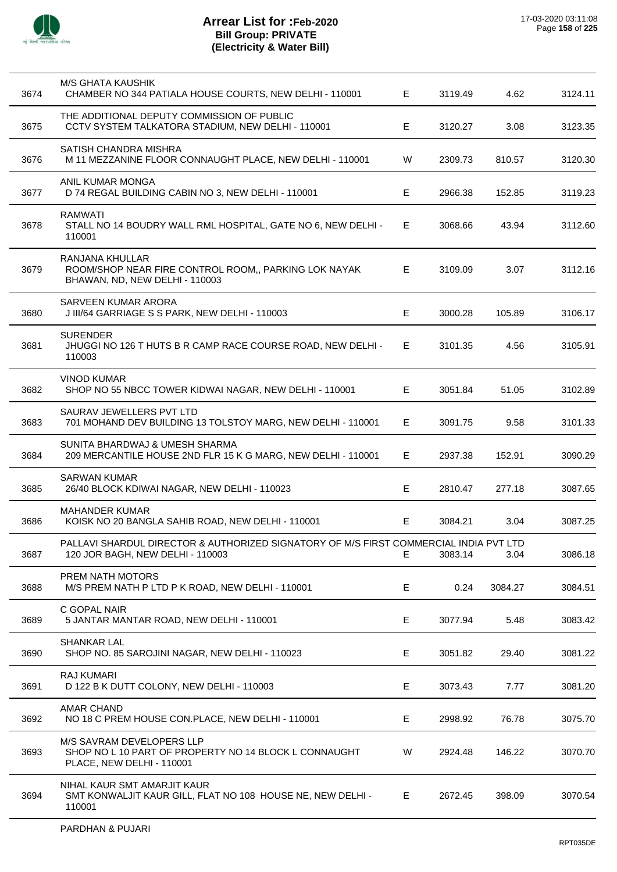

| 3674 | <b>M/S GHATA KAUSHIK</b><br>CHAMBER NO 344 PATIALA HOUSE COURTS, NEW DELHI - 110001                                       | E. | 3119.49 | 4.62    | 3124.11 |
|------|---------------------------------------------------------------------------------------------------------------------------|----|---------|---------|---------|
| 3675 | THE ADDITIONAL DEPUTY COMMISSION OF PUBLIC<br>CCTV SYSTEM TALKATORA STADIUM, NEW DELHI - 110001                           | Е  | 3120.27 | 3.08    | 3123.35 |
| 3676 | SATISH CHANDRA MISHRA<br>M 11 MEZZANINE FLOOR CONNAUGHT PLACE, NEW DELHI - 110001                                         | W  | 2309.73 | 810.57  | 3120.30 |
| 3677 | ANIL KUMAR MONGA<br>D 74 REGAL BUILDING CABIN NO 3, NEW DELHI - 110001                                                    | E. | 2966.38 | 152.85  | 3119.23 |
| 3678 | <b>RAMWATI</b><br>STALL NO 14 BOUDRY WALL RML HOSPITAL, GATE NO 6, NEW DELHI -<br>110001                                  | E. | 3068.66 | 43.94   | 3112.60 |
| 3679 | RANJANA KHULLAR<br>ROOM/SHOP NEAR FIRE CONTROL ROOM,, PARKING LOK NAYAK<br>BHAWAN, ND, NEW DELHI - 110003                 | E  | 3109.09 | 3.07    | 3112.16 |
| 3680 | <b>SARVEEN KUMAR ARORA</b><br>J III/64 GARRIAGE S S PARK, NEW DELHI - 110003                                              | E  | 3000.28 | 105.89  | 3106.17 |
| 3681 | <b>SURENDER</b><br>JHUGGI NO 126 T HUTS B R CAMP RACE COURSE ROAD, NEW DELHI -<br>110003                                  | E. | 3101.35 | 4.56    | 3105.91 |
| 3682 | VINOD KUMAR<br>SHOP NO 55 NBCC TOWER KIDWAI NAGAR, NEW DELHI - 110001                                                     | E  | 3051.84 | 51.05   | 3102.89 |
| 3683 | SAURAV JEWELLERS PVT LTD<br>701 MOHAND DEV BUILDING 13 TOLSTOY MARG, NEW DELHI - 110001                                   | E. | 3091.75 | 9.58    | 3101.33 |
| 3684 | SUNITA BHARDWAJ & UMESH SHARMA<br>209 MERCANTILE HOUSE 2ND FLR 15 K G MARG, NEW DELHI - 110001                            | E  | 2937.38 | 152.91  | 3090.29 |
| 3685 | <b>SARWAN KUMAR</b><br>26/40 BLOCK KDIWAI NAGAR, NEW DELHI - 110023                                                       | Е  | 2810.47 | 277.18  | 3087.65 |
| 3686 | <b>MAHANDER KUMAR</b><br>KOISK NO 20 BANGLA SAHIB ROAD, NEW DELHI - 110001                                                | E  | 3084.21 | 3.04    | 3087.25 |
| 3687 | PALLAVI SHARDUL DIRECTOR & AUTHORIZED SIGNATORY OF M/S FIRST COMMERCIAL INDIA PVT LTD<br>120 JOR BAGH, NEW DELHI - 110003 | E. | 3083.14 | 3.04    | 3086.18 |
| 3688 | PREM NATH MOTORS<br>M/S PREM NATH P LTD P K ROAD, NEW DELHI - 110001                                                      | Е  | 0.24    | 3084.27 | 3084.51 |
| 3689 | C GOPAL NAIR<br>5 JANTAR MANTAR ROAD, NEW DELHI - 110001                                                                  | E  | 3077.94 | 5.48    | 3083.42 |
| 3690 | <b>SHANKAR LAL</b><br>SHOP NO. 85 SAROJINI NAGAR, NEW DELHI - 110023                                                      | Е  | 3051.82 | 29.40   | 3081.22 |
| 3691 | RAJ KUMARI<br>D 122 B K DUTT COLONY, NEW DELHI - 110003                                                                   | Е  | 3073.43 | 7.77    | 3081.20 |
| 3692 | <b>AMAR CHAND</b><br>NO 18 C PREM HOUSE CON.PLACE, NEW DELHI - 110001                                                     | E  | 2998.92 | 76.78   | 3075.70 |
| 3693 | M/S SAVRAM DEVELOPERS LLP<br>SHOP NO L 10 PART OF PROPERTY NO 14 BLOCK L CONNAUGHT<br>PLACE, NEW DELHI - 110001           | W  | 2924.48 | 146.22  | 3070.70 |
| 3694 | NIHAL KAUR SMT AMARJIT KAUR<br>SMT KONWALJIT KAUR GILL, FLAT NO 108 HOUSE NE, NEW DELHI -<br>110001                       | E  | 2672.45 | 398.09  | 3070.54 |
|      |                                                                                                                           |    |         |         |         |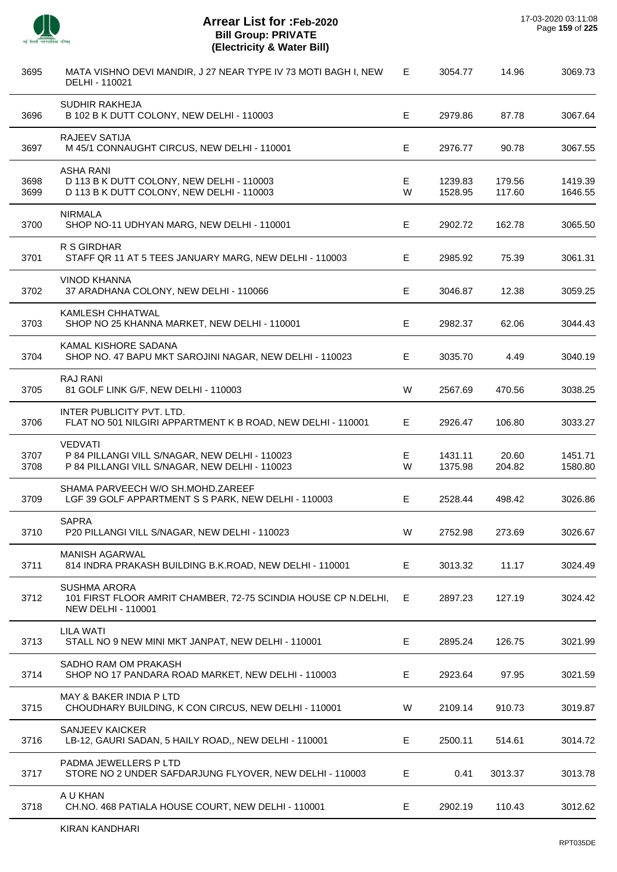

J.

 $\overline{a}$ 

 $\overline{a}$ 

J.

 $\overline{\phantom{a}}$ 

J.

| 3695         | MATA VISHNO DEVI MANDIR, J 27 NEAR TYPE IV 73 MOTI BAGH I, NEW<br>DELHI - 110021                                   | Е      | 3054.77            | 14.96            | 3069.73            |
|--------------|--------------------------------------------------------------------------------------------------------------------|--------|--------------------|------------------|--------------------|
| 3696         | <b>SUDHIR RAKHEJA</b><br>B 102 B K DUTT COLONY, NEW DELHI - 110003                                                 | E      | 2979.86            | 87.78            | 3067.64            |
| 3697         | <b>RAJEEV SATIJA</b><br>M 45/1 CONNAUGHT CIRCUS, NEW DELHI - 110001                                                | Е      | 2976.77            | 90.78            | 3067.55            |
| 3698<br>3699 | <b>ASHA RANI</b><br>D 113 B K DUTT COLONY, NEW DELHI - 110003<br>D 113 B K DUTT COLONY, NEW DELHI - 110003         | Е<br>W | 1239.83<br>1528.95 | 179.56<br>117.60 | 1419.39<br>1646.55 |
| 3700         | <b>NIRMALA</b><br>SHOP NO-11 UDHYAN MARG, NEW DELHI - 110001                                                       | Е      | 2902.72            | 162.78           | 3065.50            |
| 3701         | R S GIRDHAR<br>STAFF QR 11 AT 5 TEES JANUARY MARG, NEW DELHI - 110003                                              | E      | 2985.92            | 75.39            | 3061.31            |
| 3702         | <b>VINOD KHANNA</b><br>37 ARADHANA COLONY, NEW DELHI - 110066                                                      | E      | 3046.87            | 12.38            | 3059.25            |
| 3703         | KAMLESH CHHATWAL<br>SHOP NO 25 KHANNA MARKET, NEW DELHI - 110001                                                   | Е      | 2982.37            | 62.06            | 3044.43            |
| 3704         | KAMAL KISHORE SADANA<br>SHOP NO. 47 BAPU MKT SAROJINI NAGAR, NEW DELHI - 110023                                    | E      | 3035.70            | 4.49             | 3040.19            |
| 3705         | <b>RAJ RANI</b><br>81 GOLF LINK G/F, NEW DELHI - 110003                                                            | W      | 2567.69            | 470.56           | 3038.25            |
| 3706         | INTER PUBLICITY PVT. LTD.<br>FLAT NO 501 NILGIRI APPARTMENT K B ROAD, NEW DELHI - 110001                           | E      | 2926.47            | 106.80           | 3033.27            |
| 3707<br>3708 | <b>VEDVATI</b><br>P 84 PILLANGI VILL S/NAGAR, NEW DELHI - 110023<br>P 84 PILLANGI VILL S/NAGAR, NEW DELHI - 110023 | Е<br>W | 1431.11<br>1375.98 | 20.60<br>204.82  | 1451.71<br>1580.80 |
| 3709         | SHAMA PARVEECH W/O SH.MOHD.ZAREEF<br>LGF 39 GOLF APPARTMENT S S PARK, NEW DELHI - 110003                           | Е      | 2528.44            | 498.42           | 3026.86            |
| 3710         | <b>SAPRA</b><br>P20 PILLANGI VILL S/NAGAR, NEW DELHI - 110023                                                      | W      | 2752.98            | 273.69           | 3026.67            |
| 3711         | <b>MANISH AGARWAL</b><br>814 INDRA PRAKASH BUILDING B.K.ROAD, NEW DELHI - 110001                                   | E      | 3013.32            | 11.17            | 3024.49            |
| 3712         | <b>SUSHMA ARORA</b><br>101 FIRST FLOOR AMRIT CHAMBER, 72-75 SCINDIA HOUSE CP N.DELHI,<br><b>NEW DELHI - 110001</b> | Е      | 2897.23            | 127.19           | 3024.42            |
| 3713         | <b>LILA WATI</b><br>STALL NO 9 NEW MINI MKT JANPAT, NEW DELHI - 110001                                             | E      | 2895.24            | 126.75           | 3021.99            |
| 3714         | SADHO RAM OM PRAKASH<br>SHOP NO 17 PANDARA ROAD MARKET, NEW DELHI - 110003                                         | Е      | 2923.64            | 97.95            | 3021.59            |
| 3715         | MAY & BAKER INDIA P LTD<br>CHOUDHARY BUILDING, K CON CIRCUS, NEW DELHI - 110001                                    | W      | 2109.14            | 910.73           | 3019.87            |
| 3716         | <b>SANJEEV KAICKER</b><br>LB-12, GAURI SADAN, 5 HAILY ROAD,, NEW DELHI - 110001                                    | Е      | 2500.11            | 514.61           | 3014.72            |
| 3717         | PADMA JEWELLERS P LTD<br>STORE NO 2 UNDER SAFDARJUNG FLYOVER, NEW DELHI - 110003                                   | E      | 0.41               | 3013.37          | 3013.78            |
| 3718         | A U KHAN<br>CH.NO. 468 PATIALA HOUSE COURT, NEW DELHI - 110001                                                     | E.     | 2902.19            | 110.43           | 3012.62            |
|              |                                                                                                                    |        |                    |                  |                    |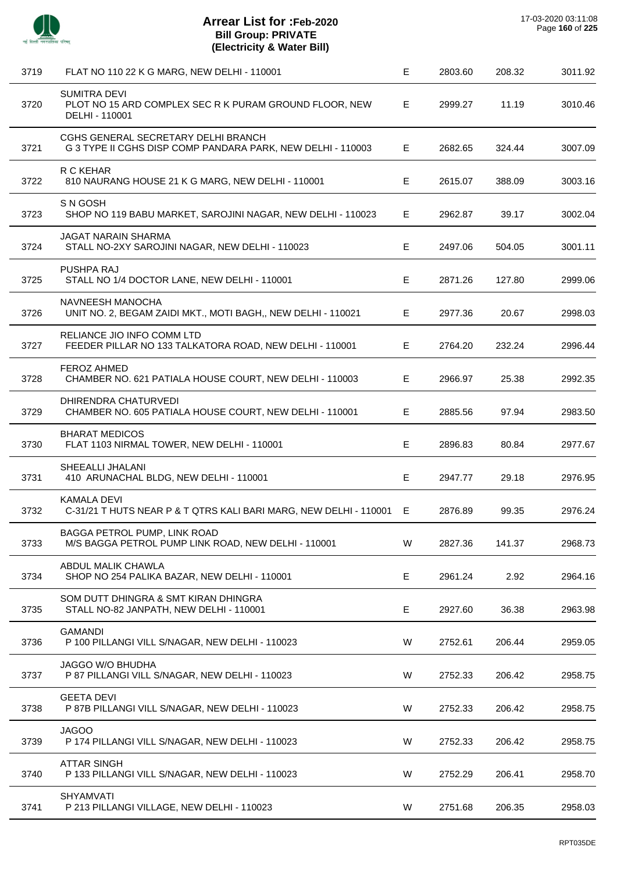

l.

| 3719 | FLAT NO 110 22 K G MARG, NEW DELHI - 110001                                                        | E | 2803.60 | 208.32 | 3011.92 |
|------|----------------------------------------------------------------------------------------------------|---|---------|--------|---------|
| 3720 | <b>SUMITRA DEVI</b><br>PLOT NO 15 ARD COMPLEX SEC R K PURAM GROUND FLOOR, NEW<br>DELHI - 110001    | E | 2999.27 | 11.19  | 3010.46 |
| 3721 | CGHS GENERAL SECRETARY DELHI BRANCH<br>G 3 TYPE II CGHS DISP COMP PANDARA PARK, NEW DELHI - 110003 | Е | 2682.65 | 324.44 | 3007.09 |
| 3722 | R C KEHAR<br>810 NAURANG HOUSE 21 K G MARG, NEW DELHI - 110001                                     | E | 2615.07 | 388.09 | 3003.16 |
| 3723 | S N GOSH<br>SHOP NO 119 BABU MARKET, SAROJINI NAGAR, NEW DELHI - 110023                            | Е | 2962.87 | 39.17  | 3002.04 |
| 3724 | <b>JAGAT NARAIN SHARMA</b><br>STALL NO-2XY SAROJINI NAGAR, NEW DELHI - 110023                      | Е | 2497.06 | 504.05 | 3001.11 |
| 3725 | PUSHPA RAJ<br>STALL NO 1/4 DOCTOR LANE, NEW DELHI - 110001                                         | E | 2871.26 | 127.80 | 2999.06 |
| 3726 | NAVNEESH MANOCHA<br>UNIT NO. 2, BEGAM ZAIDI MKT., MOTI BAGH,, NEW DELHI - 110021                   | E | 2977.36 | 20.67  | 2998.03 |
| 3727 | RELIANCE JIO INFO COMM LTD<br>FEEDER PILLAR NO 133 TALKATORA ROAD, NEW DELHI - 110001              | E | 2764.20 | 232.24 | 2996.44 |
| 3728 | <b>FEROZ AHMED</b><br>CHAMBER NO. 621 PATIALA HOUSE COURT, NEW DELHI - 110003                      | Е | 2966.97 | 25.38  | 2992.35 |
| 3729 | DHIRENDRA CHATURVEDI<br>CHAMBER NO. 605 PATIALA HOUSE COURT, NEW DELHI - 110001                    | Е | 2885.56 | 97.94  | 2983.50 |
| 3730 | <b>BHARAT MEDICOS</b><br>FLAT 1103 NIRMAL TOWER, NEW DELHI - 110001                                | E | 2896.83 | 80.84  | 2977.67 |
| 3731 | SHEEALLI JHALANI<br>410 ARUNACHAL BLDG, NEW DELHI - 110001                                         | Е | 2947.77 | 29.18  | 2976.95 |
| 3732 | <b>KAMALA DEVI</b><br>C-31/21 T HUTS NEAR P & T QTRS KALI BARI MARG, NEW DELHI - 110001 E          |   | 2876.89 | 99.35  | 2976.24 |
| 3733 | BAGGA PETROL PUMP, LINK ROAD<br>M/S BAGGA PETROL PUMP LINK ROAD, NEW DELHI - 110001                | W | 2827.36 | 141.37 | 2968.73 |
| 3734 | ABDUL MALIK CHAWLA<br>SHOP NO 254 PALIKA BAZAR, NEW DELHI - 110001                                 | E | 2961.24 | 2.92   | 2964.16 |
| 3735 | SOM DUTT DHINGRA & SMT KIRAN DHINGRA<br>STALL NO-82 JANPATH, NEW DELHI - 110001                    | E | 2927.60 | 36.38  | 2963.98 |
| 3736 | <b>GAMANDI</b><br>P 100 PILLANGI VILL S/NAGAR, NEW DELHI - 110023                                  | W | 2752.61 | 206.44 | 2959.05 |
| 3737 | <b>JAGGO W/O BHUDHA</b><br>P 87 PILLANGI VILL S/NAGAR, NEW DELHI - 110023                          | W | 2752.33 | 206.42 | 2958.75 |
| 3738 | <b>GEETA DEVI</b><br>P 87B PILLANGI VILL S/NAGAR, NEW DELHI - 110023                               | W | 2752.33 | 206.42 | 2958.75 |
| 3739 | <b>JAGOO</b><br>P 174 PILLANGI VILL S/NAGAR, NEW DELHI - 110023                                    | W | 2752.33 | 206.42 | 2958.75 |
| 3740 | <b>ATTAR SINGH</b><br>P 133 PILLANGI VILL S/NAGAR, NEW DELHI - 110023                              | W | 2752.29 | 206.41 | 2958.70 |
| 3741 | <b>SHYAMVATI</b><br>P 213 PILLANGI VILLAGE, NEW DELHI - 110023                                     | W | 2751.68 | 206.35 | 2958.03 |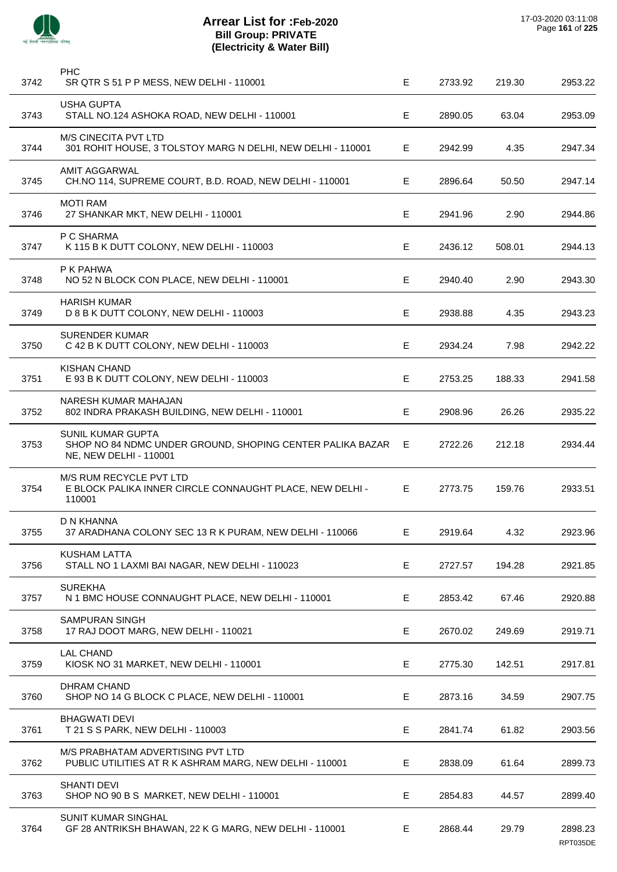

| 3742 | <b>PHC</b><br>SR QTR S 51 P P MESS, NEW DELHI - 110001                                                          | Е  | 2733.92 | 219.30 | 2953.22             |
|------|-----------------------------------------------------------------------------------------------------------------|----|---------|--------|---------------------|
| 3743 | <b>USHA GUPTA</b><br>STALL NO.124 ASHOKA ROAD, NEW DELHI - 110001                                               | Е  | 2890.05 | 63.04  | 2953.09             |
| 3744 | <b>M/S CINECITA PVT LTD</b><br>301 ROHIT HOUSE, 3 TOLSTOY MARG N DELHI, NEW DELHI - 110001                      | Е  | 2942.99 | 4.35   | 2947.34             |
| 3745 | <b>AMIT AGGARWAL</b><br>CH.NO 114, SUPREME COURT, B.D. ROAD, NEW DELHI - 110001                                 | Е  | 2896.64 | 50.50  | 2947.14             |
| 3746 | <b>MOTI RAM</b><br>27 SHANKAR MKT, NEW DELHI - 110001                                                           | Е  | 2941.96 | 2.90   | 2944.86             |
| 3747 | P C SHARMA<br>K 115 B K DUTT COLONY, NEW DELHI - 110003                                                         | E  | 2436.12 | 508.01 | 2944.13             |
| 3748 | P K PAHWA<br>NO 52 N BLOCK CON PLACE, NEW DELHI - 110001                                                        | Е  | 2940.40 | 2.90   | 2943.30             |
| 3749 | <b>HARISH KUMAR</b><br>D 8 B K DUTT COLONY, NEW DELHI - 110003                                                  | Е  | 2938.88 | 4.35   | 2943.23             |
| 3750 | <b>SURENDER KUMAR</b><br>C 42 B K DUTT COLONY, NEW DELHI - 110003                                               | E  | 2934.24 | 7.98   | 2942.22             |
| 3751 | <b>KISHAN CHAND</b><br>E 93 B K DUTT COLONY, NEW DELHI - 110003                                                 | Е  | 2753.25 | 188.33 | 2941.58             |
| 3752 | NARESH KUMAR MAHAJAN<br>802 INDRA PRAKASH BUILDING, NEW DELHI - 110001                                          | Е  | 2908.96 | 26.26  | 2935.22             |
| 3753 | <b>SUNIL KUMAR GUPTA</b><br>SHOP NO 84 NDMC UNDER GROUND, SHOPING CENTER PALIKA BAZAR<br>NE, NEW DELHI - 110001 | Е  | 2722.26 | 212.18 | 2934.44             |
| 3754 | M/S RUM RECYCLE PVT LTD<br>E BLOCK PALIKA INNER CIRCLE CONNAUGHT PLACE, NEW DELHI -<br>110001                   | E. | 2773.75 | 159.76 | 2933.51             |
| 3755 | D N KHANNA<br>37 ARADHANA COLONY SEC 13 R K PURAM, NEW DELHI - 110066                                           | E. | 2919.64 | 4.32   | 2923.96             |
| 3756 | <b>KUSHAM LATTA</b><br>STALL NO 1 LAXMI BAI NAGAR, NEW DELHI - 110023                                           | E  | 2727.57 | 194.28 | 2921.85             |
| 3757 | <b>SUREKHA</b><br>N 1 BMC HOUSE CONNAUGHT PLACE, NEW DELHI - 110001                                             | Е  | 2853.42 | 67.46  | 2920.88             |
| 3758 | <b>SAMPURAN SINGH</b><br>17 RAJ DOOT MARG, NEW DELHI - 110021                                                   | Е  | 2670.02 | 249.69 | 2919.71             |
| 3759 | <b>LAL CHAND</b><br>KIOSK NO 31 MARKET, NEW DELHI - 110001                                                      | E  | 2775.30 | 142.51 | 2917.81             |
| 3760 | <b>DHRAM CHAND</b><br>SHOP NO 14 G BLOCK C PLACE, NEW DELHI - 110001                                            | E  | 2873.16 | 34.59  | 2907.75             |
| 3761 | <b>BHAGWATI DEVI</b><br>T 21 S S PARK, NEW DELHI - 110003                                                       | Е  | 2841.74 | 61.82  | 2903.56             |
| 3762 | M/S PRABHATAM ADVERTISING PVT LTD<br>PUBLIC UTILITIES AT R K ASHRAM MARG, NEW DELHI - 110001                    | Е  | 2838.09 | 61.64  | 2899.73             |
| 3763 | <b>SHANTI DEVI</b><br>SHOP NO 90 B S MARKET, NEW DELHI - 110001                                                 | E  | 2854.83 | 44.57  | 2899.40             |
| 3764 | <b>SUNIT KUMAR SINGHAL</b><br>GF 28 ANTRIKSH BHAWAN, 22 K G MARG, NEW DELHI - 110001                            | E  | 2868.44 | 29.79  | 2898.23<br>RPT035DE |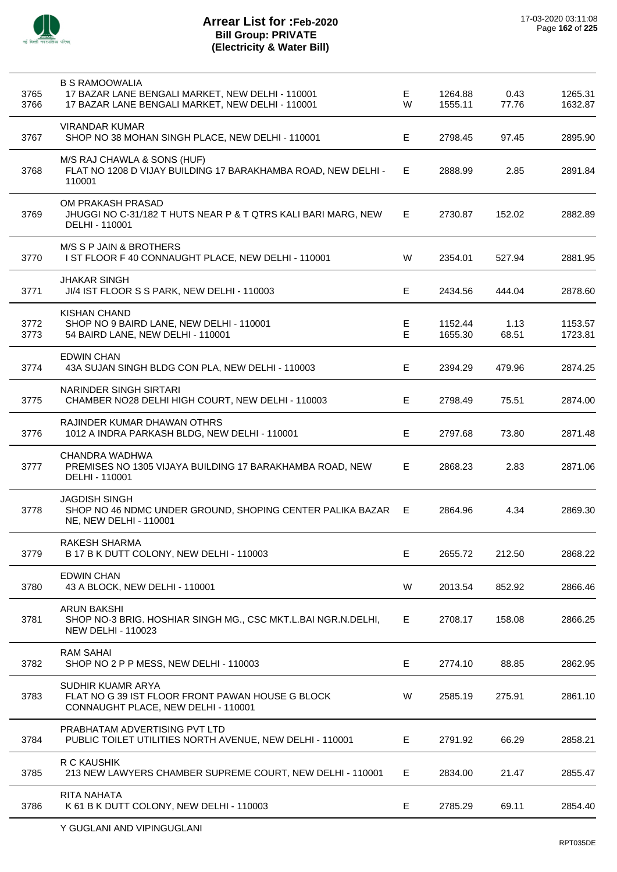

| 3765<br>3766 | <b>B S RAMOOWALIA</b><br>17 BAZAR LANE BENGALI MARKET, NEW DELHI - 110001<br>17 BAZAR LANE BENGALI MARKET, NEW DELHI - 110001 | Е.<br>W | 1264.88<br>1555.11 | 0.43<br>77.76 | 1265.31<br>1632.87 |
|--------------|-------------------------------------------------------------------------------------------------------------------------------|---------|--------------------|---------------|--------------------|
| 3767         | <b>VIRANDAR KUMAR</b><br>SHOP NO 38 MOHAN SINGH PLACE, NEW DELHI - 110001                                                     | E       | 2798.45            | 97.45         | 2895.90            |
| 3768         | M/S RAJ CHAWLA & SONS (HUF)<br>FLAT NO 1208 D VIJAY BUILDING 17 BARAKHAMBA ROAD, NEW DELHI -<br>110001                        | E.      | 2888.99            | 2.85          | 2891.84            |
| 3769         | OM PRAKASH PRASAD<br>JHUGGI NO C-31/182 T HUTS NEAR P & T QTRS KALI BARI MARG, NEW<br>DELHI - 110001                          | E.      | 2730.87            | 152.02        | 2882.89            |
| 3770         | M/S S P JAIN & BROTHERS<br>I ST FLOOR F 40 CONNAUGHT PLACE, NEW DELHI - 110001                                                | W       | 2354.01            | 527.94        | 2881.95            |
| 3771         | JHAKAR SINGH<br>JI/4 IST FLOOR S S PARK, NEW DELHI - 110003                                                                   | E.      | 2434.56            | 444.04        | 2878.60            |
| 3772<br>3773 | <b>KISHAN CHAND</b><br>SHOP NO 9 BAIRD LANE, NEW DELHI - 110001<br>54 BAIRD LANE, NEW DELHI - 110001                          | E.<br>E | 1152.44<br>1655.30 | 1.13<br>68.51 | 1153.57<br>1723.81 |
| 3774         | <b>EDWIN CHAN</b><br>43A SUJAN SINGH BLDG CON PLA, NEW DELHI - 110003                                                         | E       | 2394.29            | 479.96        | 2874.25            |
| 3775         | NARINDER SINGH SIRTARI<br>CHAMBER NO28 DELHI HIGH COURT, NEW DELHI - 110003                                                   | E.      | 2798.49            | 75.51         | 2874.00            |
| 3776         | RAJINDER KUMAR DHAWAN OTHRS<br>1012 A INDRA PARKASH BLDG, NEW DELHI - 110001                                                  | E.      | 2797.68            | 73.80         | 2871.48            |
| 3777         | CHANDRA WADHWA<br>PREMISES NO 1305 VIJAYA BUILDING 17 BARAKHAMBA ROAD, NEW<br>DELHI - 110001                                  | E.      | 2868.23            | 2.83          | 2871.06            |
| 3778         | <b>JAGDISH SINGH</b><br>SHOP NO 46 NDMC UNDER GROUND, SHOPING CENTER PALIKA BAZAR<br>NE, NEW DELHI - 110001                   | E.      | 2864.96            | 4.34          | 2869.30            |
| 3779         | RAKESH SHARMA<br>B 17 B K DUTT COLONY, NEW DELHI - 110003                                                                     | E       | 2655.72            | 212.50        | 2868.22            |
| 3780         | <b>EDWIN CHAN</b><br>43 A BLOCK, NEW DELHI - 110001                                                                           | W       | 2013.54            | 852.92        | 2866.46            |
| 3781         | <b>ARUN BAKSHI</b><br>SHOP NO-3 BRIG. HOSHIAR SINGH MG., CSC MKT.L.BAI NGR.N.DELHI,<br><b>NEW DELHI - 110023</b>              | E.      | 2708.17            | 158.08        | 2866.25            |
| 3782         | <b>RAM SAHAI</b><br>SHOP NO 2 P P MESS, NEW DELHI - 110003                                                                    | E.      | 2774.10            | 88.85         | 2862.95            |
| 3783         | SUDHIR KUAMR ARYA<br>FLAT NO G 39 IST FLOOR FRONT PAWAN HOUSE G BLOCK<br>CONNAUGHT PLACE, NEW DELHI - 110001                  | W       | 2585.19            | 275.91        | 2861.10            |
| 3784         | PRABHATAM ADVERTISING PVT LTD<br>PUBLIC TOILET UTILITIES NORTH AVENUE, NEW DELHI - 110001                                     | E.      | 2791.92            | 66.29         | 2858.21            |
| 3785         | R C KAUSHIK<br>213 NEW LAWYERS CHAMBER SUPREME COURT, NEW DELHI - 110001                                                      | E.      | 2834.00            | 21.47         | 2855.47            |
| 3786         | RITA NAHATA<br>K 61 B K DUTT COLONY, NEW DELHI - 110003                                                                       | Е       | 2785.29            | 69.11         | 2854.40            |
|              |                                                                                                                               |         |                    |               |                    |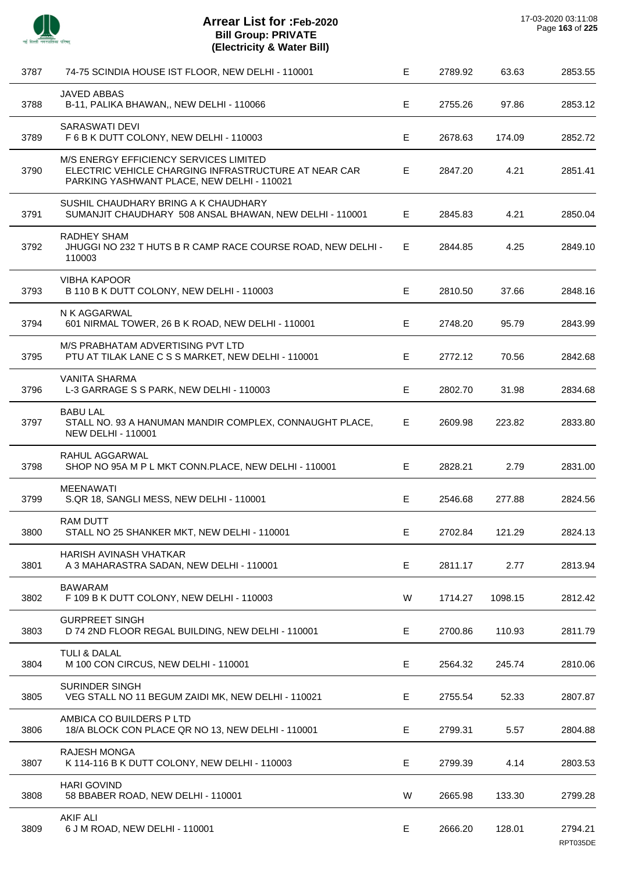

J.

| 3787 | 74-75 SCINDIA HOUSE IST FLOOR, NEW DELHI - 110001                                                                                            | Е           | 2789.92 | 63.63   | 2853.55             |
|------|----------------------------------------------------------------------------------------------------------------------------------------------|-------------|---------|---------|---------------------|
| 3788 | <b>JAVED ABBAS</b><br>B-11, PALIKA BHAWAN,, NEW DELHI - 110066                                                                               | E           | 2755.26 | 97.86   | 2853.12             |
| 3789 | <b>SARASWATI DEVI</b><br>F 6 B K DUTT COLONY, NEW DELHI - 110003                                                                             | Е           | 2678.63 | 174.09  | 2852.72             |
| 3790 | M/S ENERGY EFFICIENCY SERVICES LIMITED<br>ELECTRIC VEHICLE CHARGING INFRASTRUCTURE AT NEAR CAR<br>PARKING YASHWANT PLACE, NEW DELHI - 110021 | Е           | 2847.20 | 4.21    | 2851.41             |
| 3791 | SUSHIL CHAUDHARY BRING A K CHAUDHARY<br>SUMANJIT CHAUDHARY 508 ANSAL BHAWAN, NEW DELHI - 110001                                              | Е           | 2845.83 | 4.21    | 2850.04             |
| 3792 | RADHEY SHAM<br>JHUGGI NO 232 T HUTS B R CAMP RACE COURSE ROAD, NEW DELHI -<br>110003                                                         | E.          | 2844.85 | 4.25    | 2849.10             |
| 3793 | <b>VIBHA KAPOOR</b><br>B 110 B K DUTT COLONY, NEW DELHI - 110003                                                                             | E           | 2810.50 | 37.66   | 2848.16             |
| 3794 | N K AGGARWAL<br>601 NIRMAL TOWER, 26 B K ROAD, NEW DELHI - 110001                                                                            | Е           | 2748.20 | 95.79   | 2843.99             |
| 3795 | M/S PRABHATAM ADVERTISING PVT LTD<br>PTU AT TILAK LANE C S S MARKET, NEW DELHI - 110001                                                      | Е           | 2772.12 | 70.56   | 2842.68             |
| 3796 | <b>VANITA SHARMA</b><br>L-3 GARRAGE S S PARK, NEW DELHI - 110003                                                                             | E           | 2802.70 | 31.98   | 2834.68             |
| 3797 | <b>BABU LAL</b><br>STALL NO. 93 A HANUMAN MANDIR COMPLEX, CONNAUGHT PLACE,<br><b>NEW DELHI - 110001</b>                                      | Е           | 2609.98 | 223.82  | 2833.80             |
| 3798 | RAHUL AGGARWAL<br>SHOP NO 95A M P L MKT CONN.PLACE, NEW DELHI - 110001                                                                       | Е           | 2828.21 | 2.79    | 2831.00             |
| 3799 | <b>MEENAWATI</b><br>S.QR 18, SANGLI MESS, NEW DELHI - 110001                                                                                 | Е           | 2546.68 | 277.88  | 2824.56             |
| 3800 | <b>RAM DUTT</b><br>STALL NO 25 SHANKER MKT, NEW DELHI - 110001                                                                               | E           | 2702.84 | 121.29  | 2824.13             |
| 3801 | HARISH AVINASH VHATKAR<br>A 3 MAHARASTRA SADAN, NEW DELHI - 110001                                                                           | $\mathsf E$ | 2811.17 | 2.77    | 2813.94             |
| 3802 | <b>BAWARAM</b><br>F 109 B K DUTT COLONY, NEW DELHI - 110003                                                                                  | W           | 1714.27 | 1098.15 | 2812.42             |
| 3803 | <b>GURPREET SINGH</b><br>D 74 2ND FLOOR REGAL BUILDING, NEW DELHI - 110001                                                                   | Ε           | 2700.86 | 110.93  | 2811.79             |
| 3804 | TULI & DALAL<br>M 100 CON CIRCUS, NEW DELHI - 110001                                                                                         | Е           | 2564.32 | 245.74  | 2810.06             |
| 3805 | <b>SURINDER SINGH</b><br>VEG STALL NO 11 BEGUM ZAIDI MK, NEW DELHI - 110021                                                                  | E           | 2755.54 | 52.33   | 2807.87             |
| 3806 | AMBICA CO BUILDERS P LTD<br>18/A BLOCK CON PLACE QR NO 13, NEW DELHI - 110001                                                                | E           | 2799.31 | 5.57    | 2804.88             |
| 3807 | <b>RAJESH MONGA</b><br>K 114-116 B K DUTT COLONY, NEW DELHI - 110003                                                                         | Ε           | 2799.39 | 4.14    | 2803.53             |
| 3808 | <b>HARI GOVIND</b><br>58 BBABER ROAD, NEW DELHI - 110001                                                                                     | W           | 2665.98 | 133.30  | 2799.28             |
| 3809 | <b>AKIF ALI</b><br>6 J M ROAD, NEW DELHI - 110001                                                                                            | $\mathsf E$ | 2666.20 | 128.01  | 2794.21<br>RPT035DE |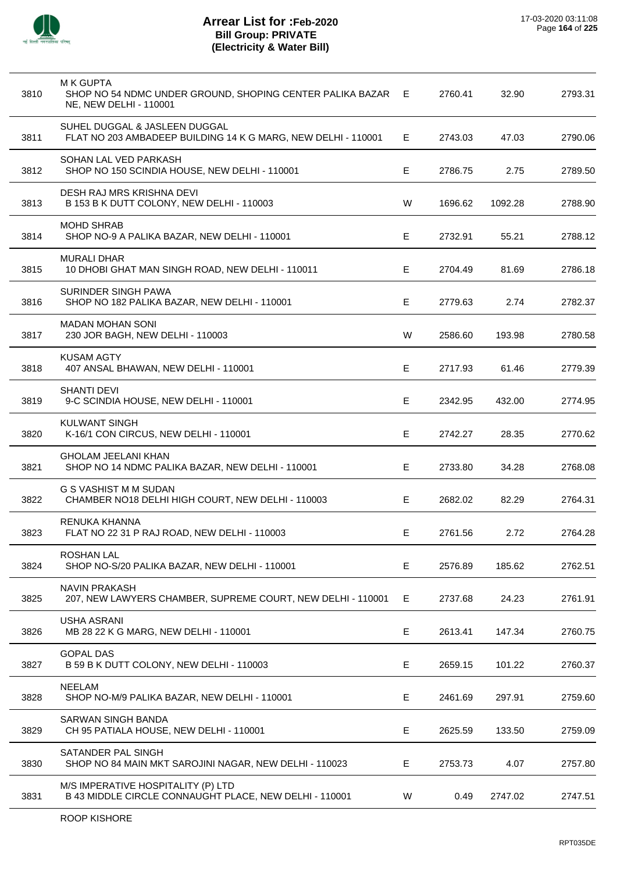

| 3810 | <b>M K GUPTA</b><br>SHOP NO 54 NDMC UNDER GROUND, SHOPING CENTER PALIKA BAZAR E<br>NE, NEW DELHI - 110001 |    | 2760.41 | 32.90   | 2793.31 |
|------|-----------------------------------------------------------------------------------------------------------|----|---------|---------|---------|
| 3811 | SUHEL DUGGAL & JASLEEN DUGGAL<br>FLAT NO 203 AMBADEEP BUILDING 14 K G MARG, NEW DELHI - 110001            | E. | 2743.03 | 47.03   | 2790.06 |
| 3812 | SOHAN LAL VED PARKASH<br>SHOP NO 150 SCINDIA HOUSE, NEW DELHI - 110001                                    | Е  | 2786.75 | 2.75    | 2789.50 |
| 3813 | DESH RAJ MRS KRISHNA DEVI<br>B 153 B K DUTT COLONY, NEW DELHI - 110003                                    | W  | 1696.62 | 1092.28 | 2788.90 |
| 3814 | <b>MOHD SHRAB</b><br>SHOP NO-9 A PALIKA BAZAR, NEW DELHI - 110001                                         | E. | 2732.91 | 55.21   | 2788.12 |
| 3815 | <b>MURALI DHAR</b><br>10 DHOBI GHAT MAN SINGH ROAD, NEW DELHI - 110011                                    | Е  | 2704.49 | 81.69   | 2786.18 |
| 3816 | SURINDER SINGH PAWA<br>SHOP NO 182 PALIKA BAZAR, NEW DELHI - 110001                                       | E  | 2779.63 | 2.74    | 2782.37 |
| 3817 | <b>MADAN MOHAN SONI</b><br>230 JOR BAGH, NEW DELHI - 110003                                               | W  | 2586.60 | 193.98  | 2780.58 |
| 3818 | <b>KUSAM AGTY</b><br>407 ANSAL BHAWAN, NEW DELHI - 110001                                                 | E. | 2717.93 | 61.46   | 2779.39 |
| 3819 | <b>SHANTI DEVI</b><br>9-C SCINDIA HOUSE, NEW DELHI - 110001                                               | Е  | 2342.95 | 432.00  | 2774.95 |
| 3820 | <b>KULWANT SINGH</b><br>K-16/1 CON CIRCUS, NEW DELHI - 110001                                             | Е  | 2742.27 | 28.35   | 2770.62 |
| 3821 | <b>GHOLAM JEELANI KHAN</b><br>SHOP NO 14 NDMC PALIKA BAZAR, NEW DELHI - 110001                            | E. | 2733.80 | 34.28   | 2768.08 |
| 3822 | G S VASHIST M M SUDAN<br>CHAMBER NO18 DELHI HIGH COURT, NEW DELHI - 110003                                | Е  | 2682.02 | 82.29   | 2764.31 |
| 3823 | RENUKA KHANNA<br>FLAT NO 22 31 P RAJ ROAD, NEW DELHI - 110003                                             | Е  | 2761.56 | 2.72    | 2764.28 |
| 3824 | <b>ROSHAN LAL</b><br>SHOP NO-S/20 PALIKA BAZAR, NEW DELHI - 110001                                        | Е  | 2576.89 | 185.62  | 2762.51 |
| 3825 | <b>NAVIN PRAKASH</b><br>207, NEW LAWYERS CHAMBER, SUPREME COURT, NEW DELHI - 110001                       | Е  | 2737.68 | 24.23   | 2761.91 |
| 3826 | <b>USHA ASRANI</b><br>MB 28 22 K G MARG, NEW DELHI - 110001                                               | E  | 2613.41 | 147.34  | 2760.75 |
| 3827 | <b>GOPAL DAS</b><br>B 59 B K DUTT COLONY, NEW DELHI - 110003                                              | Е  | 2659.15 | 101.22  | 2760.37 |
| 3828 | <b>NEELAM</b><br>SHOP NO-M/9 PALIKA BAZAR, NEW DELHI - 110001                                             | Е  | 2461.69 | 297.91  | 2759.60 |
| 3829 | SARWAN SINGH BANDA<br>CH 95 PATIALA HOUSE, NEW DELHI - 110001                                             | Е  | 2625.59 | 133.50  | 2759.09 |
| 3830 | SATANDER PAL SINGH<br>SHOP NO 84 MAIN MKT SAROJINI NAGAR, NEW DELHI - 110023                              | E. | 2753.73 | 4.07    | 2757.80 |
| 3831 | M/S IMPERATIVE HOSPITALITY (P) LTD<br>B 43 MIDDLE CIRCLE CONNAUGHT PLACE, NEW DELHI - 110001              | W  | 0.49    | 2747.02 | 2747.51 |
|      |                                                                                                           |    |         |         |         |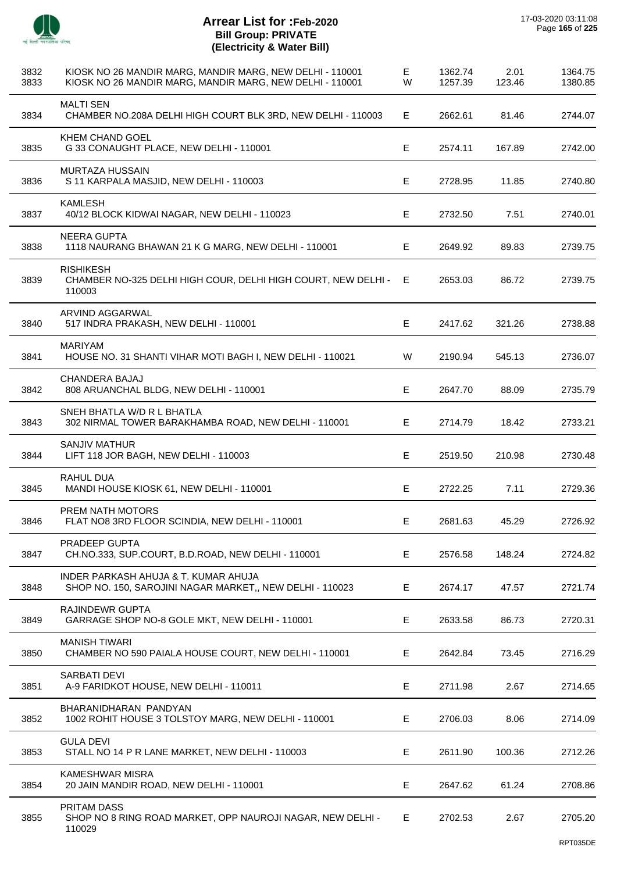

 $\overline{a}$ 

 $\overline{a}$ 

 $\overline{a}$ 

 $\overline{a}$ 

J.

| 3832<br>3833 | KIOSK NO 26 MANDIR MARG, MANDIR MARG, NEW DELHI - 110001<br>KIOSK NO 26 MANDIR MARG, MANDIR MARG, NEW DELHI - 110001 | Е<br>W | 1362.74<br>1257.39 | 2.01<br>123.46 | 1364.75<br>1380.85 |
|--------------|----------------------------------------------------------------------------------------------------------------------|--------|--------------------|----------------|--------------------|
| 3834         | <b>MALTI SEN</b><br>CHAMBER NO.208A DELHI HIGH COURT BLK 3RD, NEW DELHI - 110003                                     | Е      | 2662.61            | 81.46          | 2744.07            |
| 3835         | KHEM CHAND GOEL<br>G 33 CONAUGHT PLACE, NEW DELHI - 110001                                                           | Е      | 2574.11            | 167.89         | 2742.00            |
| 3836         | <b>MURTAZA HUSSAIN</b><br>S 11 KARPALA MASJID, NEW DELHI - 110003                                                    | E      | 2728.95            | 11.85          | 2740.80            |
| 3837         | <b>KAMLESH</b><br>40/12 BLOCK KIDWAI NAGAR, NEW DELHI - 110023                                                       | Е      | 2732.50            | 7.51           | 2740.01            |
| 3838         | <b>NEERA GUPTA</b><br>1118 NAURANG BHAWAN 21 K G MARG, NEW DELHI - 110001                                            | Е      | 2649.92            | 89.83          | 2739.75            |
| 3839         | <b>RISHIKESH</b><br>CHAMBER NO-325 DELHI HIGH COUR, DELHI HIGH COURT, NEW DELHI -<br>110003                          | Е      | 2653.03            | 86.72          | 2739.75            |
| 3840         | ARVIND AGGARWAL<br>517 INDRA PRAKASH, NEW DELHI - 110001                                                             | Е      | 2417.62            | 321.26         | 2738.88            |
| 3841         | <b>MARIYAM</b><br>HOUSE NO. 31 SHANTI VIHAR MOTI BAGH I, NEW DELHI - 110021                                          | W      | 2190.94            | 545.13         | 2736.07            |
| 3842         | <b>CHANDERA BAJAJ</b><br>808 ARUANCHAL BLDG, NEW DELHI - 110001                                                      | E      | 2647.70            | 88.09          | 2735.79            |
| 3843         | SNEH BHATLA W/D R L BHATLA<br>302 NIRMAL TOWER BARAKHAMBA ROAD, NEW DELHI - 110001                                   | Е      | 2714.79            | 18.42          | 2733.21            |
| 3844         | <b>SANJIV MATHUR</b><br>LIFT 118 JOR BAGH, NEW DELHI - 110003                                                        | E      | 2519.50            | 210.98         | 2730.48            |
| 3845         | RAHUL DUA<br>MANDI HOUSE KIOSK 61, NEW DELHI - 110001                                                                | E      | 2722.25            | 7.11           | 2729.36            |
| 3846         | <b>PREM NATH MOTORS</b><br>FLAT NO8 3RD FLOOR SCINDIA, NEW DELHI - 110001                                            | Е      | 2681.63            | 45.29          | 2726.92            |
| 3847         | <b>PRADEEP GUPTA</b><br>CH.NO.333, SUP.COURT, B.D.ROAD, NEW DELHI - 110001                                           | Е      | 2576.58            | 148.24         | 2724.82            |
| 3848         | INDER PARKASH AHUJA & T. KUMAR AHUJA<br>SHOP NO. 150, SAROJINI NAGAR MARKET,, NEW DELHI - 110023                     | Е      | 2674.17            | 47.57          | 2721.74            |
| 3849         | <b>RAJINDEWR GUPTA</b><br>GARRAGE SHOP NO-8 GOLE MKT, NEW DELHI - 110001                                             | Е      | 2633.58            | 86.73          | 2720.31            |
| 3850         | <b>MANISH TIWARI</b><br>CHAMBER NO 590 PAIALA HOUSE COURT, NEW DELHI - 110001                                        | Е      | 2642.84            | 73.45          | 2716.29            |
| 3851         | <b>SARBATI DEVI</b><br>A-9 FARIDKOT HOUSE, NEW DELHI - 110011                                                        | E      | 2711.98            | 2.67           | 2714.65            |
| 3852         | BHARANIDHARAN PANDYAN<br>1002 ROHIT HOUSE 3 TOLSTOY MARG, NEW DELHI - 110001                                         | Е      | 2706.03            | 8.06           | 2714.09            |
| 3853         | <b>GULA DEVI</b><br>STALL NO 14 P R LANE MARKET, NEW DELHI - 110003                                                  | Е      | 2611.90            | 100.36         | 2712.26            |
| 3854         | <b>KAMESHWAR MISRA</b><br>20 JAIN MANDIR ROAD, NEW DELHI - 110001                                                    | E      | 2647.62            | 61.24          | 2708.86            |
| 3855         | PRITAM DASS<br>SHOP NO 8 RING ROAD MARKET, OPP NAUROJI NAGAR, NEW DELHI -<br>110029                                  | Е      | 2702.53            | 2.67           | 2705.20            |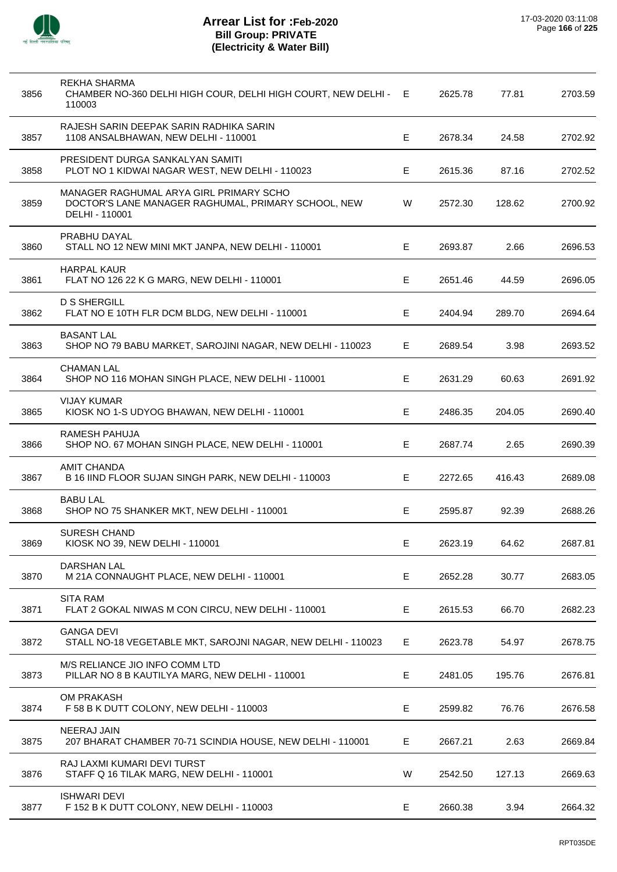

| 3856 | REKHA SHARMA<br>CHAMBER NO-360 DELHI HIGH COUR, DELHI HIGH COURT, NEW DELHI - E<br>110003                        |    | 2625.78 | 77.81  | 2703.59 |
|------|------------------------------------------------------------------------------------------------------------------|----|---------|--------|---------|
| 3857 | RAJESH SARIN DEEPAK SARIN RADHIKA SARIN<br>1108 ANSALBHAWAN, NEW DELHI - 110001                                  | Е  | 2678.34 | 24.58  | 2702.92 |
| 3858 | PRESIDENT DURGA SANKALYAN SAMITI<br>PLOT NO 1 KIDWAI NAGAR WEST, NEW DELHI - 110023                              | Е  | 2615.36 | 87.16  | 2702.52 |
| 3859 | MANAGER RAGHUMAL ARYA GIRL PRIMARY SCHO<br>DOCTOR'S LANE MANAGER RAGHUMAL, PRIMARY SCHOOL, NEW<br>DELHI - 110001 | W  | 2572.30 | 128.62 | 2700.92 |
| 3860 | PRABHU DAYAL<br>STALL NO 12 NEW MINI MKT JANPA, NEW DELHI - 110001                                               | Е  | 2693.87 | 2.66   | 2696.53 |
| 3861 | <b>HARPAL KAUR</b><br>FLAT NO 126 22 K G MARG, NEW DELHI - 110001                                                | Е  | 2651.46 | 44.59  | 2696.05 |
| 3862 | <b>D S SHERGILL</b><br>FLAT NO E 10TH FLR DCM BLDG, NEW DELHI - 110001                                           | E. | 2404.94 | 289.70 | 2694.64 |
| 3863 | <b>BASANT LAL</b><br>SHOP NO 79 BABU MARKET, SAROJINI NAGAR, NEW DELHI - 110023                                  | E. | 2689.54 | 3.98   | 2693.52 |
| 3864 | <b>CHAMAN LAL</b><br>SHOP NO 116 MOHAN SINGH PLACE, NEW DELHI - 110001                                           | Е  | 2631.29 | 60.63  | 2691.92 |
| 3865 | <b>VIJAY KUMAR</b><br>KIOSK NO 1-S UDYOG BHAWAN, NEW DELHI - 110001                                              | Е  | 2486.35 | 204.05 | 2690.40 |
| 3866 | <b>RAMESH PAHUJA</b><br>SHOP NO. 67 MOHAN SINGH PLACE, NEW DELHI - 110001                                        | Е  | 2687.74 | 2.65   | 2690.39 |
| 3867 | <b>AMIT CHANDA</b><br>B 16 IIND FLOOR SUJAN SINGH PARK, NEW DELHI - 110003                                       | Е  | 2272.65 | 416.43 | 2689.08 |
| 3868 | <b>BABU LAL</b><br>SHOP NO 75 SHANKER MKT, NEW DELHI - 110001                                                    | Е  | 2595.87 | 92.39  | 2688.26 |
| 3869 | SURESH CHAND<br>KIOSK NO 39, NEW DELHI - 110001                                                                  | Е  | 2623.19 | 64.62  | 2687.81 |
| 3870 | DARSHAN LAL<br>M 21A CONNAUGHT PLACE, NEW DELHI - 110001                                                         | Е  | 2652.28 | 30.77  | 2683.05 |
| 3871 | <b>SITA RAM</b><br>FLAT 2 GOKAL NIWAS M CON CIRCU, NEW DELHI - 110001                                            | Е  | 2615.53 | 66.70  | 2682.23 |
| 3872 | <b>GANGA DEVI</b><br>STALL NO-18 VEGETABLE MKT, SAROJNI NAGAR, NEW DELHI - 110023                                | Е  | 2623.78 | 54.97  | 2678.75 |
| 3873 | M/S RELIANCE JIO INFO COMM LTD<br>PILLAR NO 8 B KAUTILYA MARG, NEW DELHI - 110001                                | Е  | 2481.05 | 195.76 | 2676.81 |
| 3874 | OM PRAKASH<br>F 58 B K DUTT COLONY, NEW DELHI - 110003                                                           | Е  | 2599.82 | 76.76  | 2676.58 |
| 3875 | NEERAJ JAIN<br>207 BHARAT CHAMBER 70-71 SCINDIA HOUSE, NEW DELHI - 110001                                        | Е  | 2667.21 | 2.63   | 2669.84 |
| 3876 | RAJ LAXMI KUMARI DEVI TURST<br>STAFF Q 16 TILAK MARG, NEW DELHI - 110001                                         | W  | 2542.50 | 127.13 | 2669.63 |
| 3877 | <b>ISHWARI DEVI</b><br>F 152 B K DUTT COLONY, NEW DELHI - 110003                                                 | Е  | 2660.38 | 3.94   | 2664.32 |
|      |                                                                                                                  |    |         |        |         |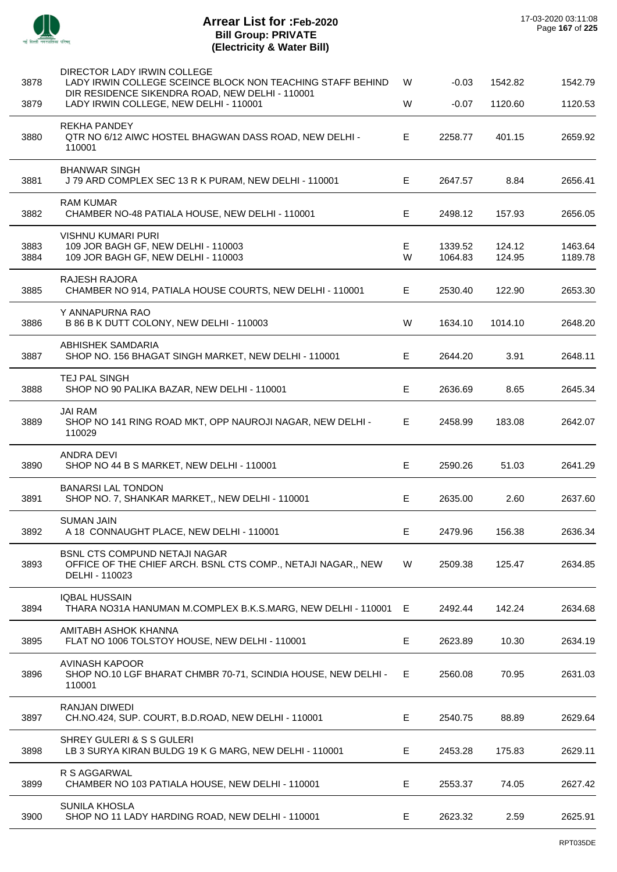

| 3878         | DIRECTOR LADY IRWIN COLLEGE<br>LADY IRWIN COLLEGE SCEINCE BLOCK NON TEACHING STAFF BEHIND<br>DIR RESIDENCE SIKENDRA ROAD, NEW DELHI - 110001 | W      | $-0.03$            | 1542.82          | 1542.79            |
|--------------|----------------------------------------------------------------------------------------------------------------------------------------------|--------|--------------------|------------------|--------------------|
| 3879         | LADY IRWIN COLLEGE, NEW DELHI - 110001                                                                                                       | W      | $-0.07$            | 1120.60          | 1120.53            |
| 3880         | <b>REKHA PANDEY</b><br>QTR NO 6/12 AIWC HOSTEL BHAGWAN DASS ROAD, NEW DELHI -<br>110001                                                      | E      | 2258.77            | 401.15           | 2659.92            |
| 3881         | <b>BHANWAR SINGH</b><br>J 79 ARD COMPLEX SEC 13 R K PURAM, NEW DELHI - 110001                                                                | E.     | 2647.57            | 8.84             | 2656.41            |
| 3882         | RAM KUMAR<br>CHAMBER NO-48 PATIALA HOUSE, NEW DELHI - 110001                                                                                 | E      | 2498.12            | 157.93           | 2656.05            |
| 3883<br>3884 | <b>VISHNU KUMARI PURI</b><br>109 JOR BAGH GF, NEW DELHI - 110003<br>109 JOR BAGH GF, NEW DELHI - 110003                                      | E<br>W | 1339.52<br>1064.83 | 124.12<br>124.95 | 1463.64<br>1189.78 |
| 3885         | <b>RAJESH RAJORA</b><br>CHAMBER NO 914, PATIALA HOUSE COURTS, NEW DELHI - 110001                                                             | Е      | 2530.40            | 122.90           | 2653.30            |
| 3886         | Y ANNAPURNA RAO<br>B 86 B K DUTT COLONY, NEW DELHI - 110003                                                                                  | W      | 1634.10            | 1014.10          | 2648.20            |
| 3887         | ABHISHEK SAMDARIA<br>SHOP NO. 156 BHAGAT SINGH MARKET, NEW DELHI - 110001                                                                    | E.     | 2644.20            | 3.91             | 2648.11            |
| 3888         | TEJ PAL SINGH<br>SHOP NO 90 PALIKA BAZAR, NEW DELHI - 110001                                                                                 | E      | 2636.69            | 8.65             | 2645.34            |
| 3889         | <b>JAI RAM</b><br>SHOP NO 141 RING ROAD MKT, OPP NAUROJI NAGAR, NEW DELHI -<br>110029                                                        | E.     | 2458.99            | 183.08           | 2642.07            |
| 3890         | <b>ANDRA DEVI</b><br>SHOP NO 44 B S MARKET, NEW DELHI - 110001                                                                               | E      | 2590.26            | 51.03            | 2641.29            |
| 3891         | <b>BANARSI LAL TONDON</b><br>SHOP NO. 7, SHANKAR MARKET,, NEW DELHI - 110001                                                                 | E      | 2635.00            | 2.60             | 2637.60            |
| 3892         | <b>SUMAN JAIN</b><br>A 18 CONNAUGHT PLACE, NEW DELHI - 110001                                                                                | E      | 2479.96            | 156.38           | 2636.34            |
| 3893         | <b>BSNL CTS COMPUND NETAJI NAGAR</b><br>OFFICE OF THE CHIEF ARCH. BSNL CTS COMP., NETAJI NAGAR,, NEW<br>DELHI - 110023                       | W      | 2509.38            | 125.47           | 2634.85            |
| 3894         | <b>IQBAL HUSSAIN</b><br>THARA NO31A HANUMAN M.COMPLEX B.K.S.MARG, NEW DELHI - 110001 E                                                       |        | 2492.44            | 142.24           | 2634.68            |
| 3895         | AMITABH ASHOK KHANNA<br>FLAT NO 1006 TOLSTOY HOUSE, NEW DELHI - 110001                                                                       | Е      | 2623.89            | 10.30            | 2634.19            |
| 3896         | <b>AVINASH KAPOOR</b><br>SHOP NO.10 LGF BHARAT CHMBR 70-71, SCINDIA HOUSE, NEW DELHI -<br>110001                                             | E      | 2560.08            | 70.95            | 2631.03            |
| 3897         | RANJAN DIWEDI<br>CH.NO.424, SUP. COURT, B.D.ROAD, NEW DELHI - 110001                                                                         | Е      | 2540.75            | 88.89            | 2629.64            |
| 3898         | SHREY GULERI & S S GULERI<br>LB 3 SURYA KIRAN BULDG 19 K G MARG, NEW DELHI - 110001                                                          | E.     | 2453.28            | 175.83           | 2629.11            |
| 3899         | R S AGGARWAL<br>CHAMBER NO 103 PATIALA HOUSE, NEW DELHI - 110001                                                                             | Е      | 2553.37            | 74.05            | 2627.42            |
| 3900         | SUNILA KHOSLA<br>SHOP NO 11 LADY HARDING ROAD, NEW DELHI - 110001                                                                            | E.     | 2623.32            | 2.59             | 2625.91            |
|              |                                                                                                                                              |        |                    |                  |                    |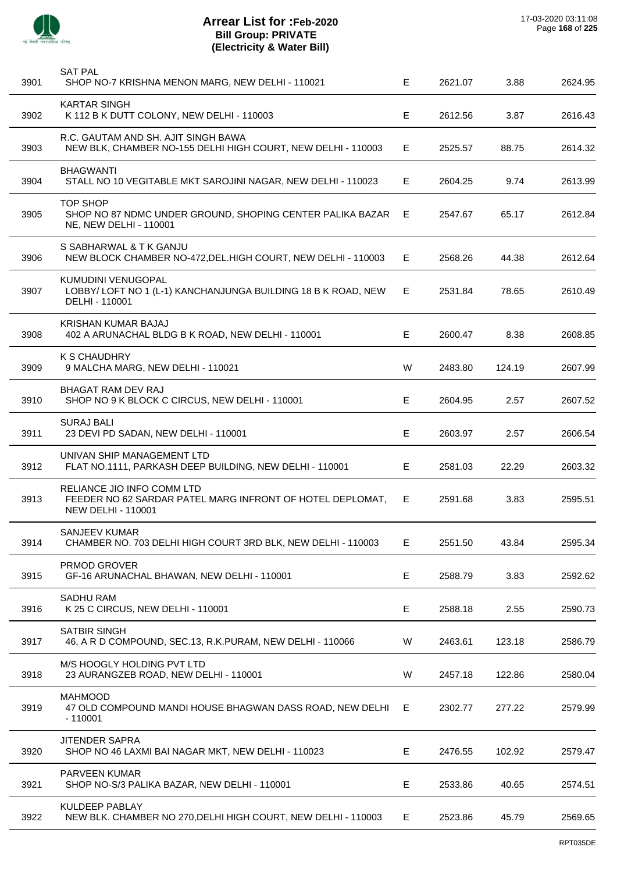

| 3901 | <b>SAT PAL</b><br>SHOP NO-7 KRISHNA MENON MARG, NEW DELHI - 110021                                                   | E  | 2621.07 | 3.88   | 2624.95 |
|------|----------------------------------------------------------------------------------------------------------------------|----|---------|--------|---------|
| 3902 | <b>KARTAR SINGH</b><br>K 112 B K DUTT COLONY, NEW DELHI - 110003                                                     | Е  | 2612.56 | 3.87   | 2616.43 |
| 3903 | R.C. GAUTAM AND SH. AJIT SINGH BAWA<br>NEW BLK, CHAMBER NO-155 DELHI HIGH COURT, NEW DELHI - 110003                  | E. | 2525.57 | 88.75  | 2614.32 |
| 3904 | <b>BHAGWANTI</b><br>STALL NO 10 VEGITABLE MKT SAROJINI NAGAR, NEW DELHI - 110023                                     | Е  | 2604.25 | 9.74   | 2613.99 |
| 3905 | <b>TOP SHOP</b><br>SHOP NO 87 NDMC UNDER GROUND, SHOPING CENTER PALIKA BAZAR<br>NE, NEW DELHI - 110001               | E. | 2547.67 | 65.17  | 2612.84 |
| 3906 | S SABHARWAL & T K GANJU<br>NEW BLOCK CHAMBER NO-472, DEL. HIGH COURT, NEW DELHI - 110003                             | E. | 2568.26 | 44.38  | 2612.64 |
| 3907 | KUMUDINI VENUGOPAL<br>LOBBY/ LOFT NO 1 (L-1) KANCHANJUNGA BUILDING 18 B K ROAD, NEW<br>DELHI - 110001                | E. | 2531.84 | 78.65  | 2610.49 |
| 3908 | KRISHAN KUMAR BAJAJ<br>402 A ARUNACHAL BLDG B K ROAD, NEW DELHI - 110001                                             | Е  | 2600.47 | 8.38   | 2608.85 |
| 3909 | K S CHAUDHRY<br>9 MALCHA MARG, NEW DELHI - 110021                                                                    | W  | 2483.80 | 124.19 | 2607.99 |
| 3910 | BHAGAT RAM DEV RAJ<br>SHOP NO 9 K BLOCK C CIRCUS, NEW DELHI - 110001                                                 | Е  | 2604.95 | 2.57   | 2607.52 |
| 3911 | <b>SURAJ BALI</b><br>23 DEVI PD SADAN, NEW DELHI - 110001                                                            | E  | 2603.97 | 2.57   | 2606.54 |
| 3912 | UNIVAN SHIP MANAGEMENT LTD<br>FLAT NO.1111, PARKASH DEEP BUILDING, NEW DELHI - 110001                                | Е  | 2581.03 | 22.29  | 2603.32 |
| 3913 | RELIANCE JIO INFO COMM LTD<br>FEEDER NO 62 SARDAR PATEL MARG INFRONT OF HOTEL DEPLOMAT,<br><b>NEW DELHI - 110001</b> | E. | 2591.68 | 3.83   | 2595.51 |
| 3914 | SANJEEV KUMAR<br>CHAMBER NO. 703 DELHI HIGH COURT 3RD BLK, NEW DELHI - 110003                                        | Е  | 2551.50 | 43.84  | 2595.34 |
| 3915 | PRMOD GROVER<br>GF-16 ARUNACHAL BHAWAN, NEW DELHI - 110001                                                           | E  | 2588.79 | 3.83   | 2592.62 |
| 3916 | <b>SADHU RAM</b><br>K 25 C CIRCUS, NEW DELHI - 110001                                                                | Е  | 2588.18 | 2.55   | 2590.73 |
| 3917 | SATBIR SINGH<br>46, A R D COMPOUND, SEC.13, R.K.PURAM, NEW DELHI - 110066                                            | W  | 2463.61 | 123.18 | 2586.79 |
| 3918 | M/S HOOGLY HOLDING PVT LTD<br>23 AURANGZEB ROAD, NEW DELHI - 110001                                                  | W  | 2457.18 | 122.86 | 2580.04 |
| 3919 | <b>MAHMOOD</b><br>47 OLD COMPOUND MANDI HOUSE BHAGWAN DASS ROAD, NEW DELHI<br>$-110001$                              | E. | 2302.77 | 277.22 | 2579.99 |
| 3920 | <b>JITENDER SAPRA</b><br>SHOP NO 46 LAXMI BAI NAGAR MKT, NEW DELHI - 110023                                          | Е  | 2476.55 | 102.92 | 2579.47 |
| 3921 | <b>PARVEEN KUMAR</b><br>SHOP NO-S/3 PALIKA BAZAR, NEW DELHI - 110001                                                 | Е  | 2533.86 | 40.65  | 2574.51 |
| 3922 | KULDEEP PABLAY<br>NEW BLK. CHAMBER NO 270, DELHI HIGH COURT, NEW DELHI - 110003                                      | Е  | 2523.86 | 45.79  | 2569.65 |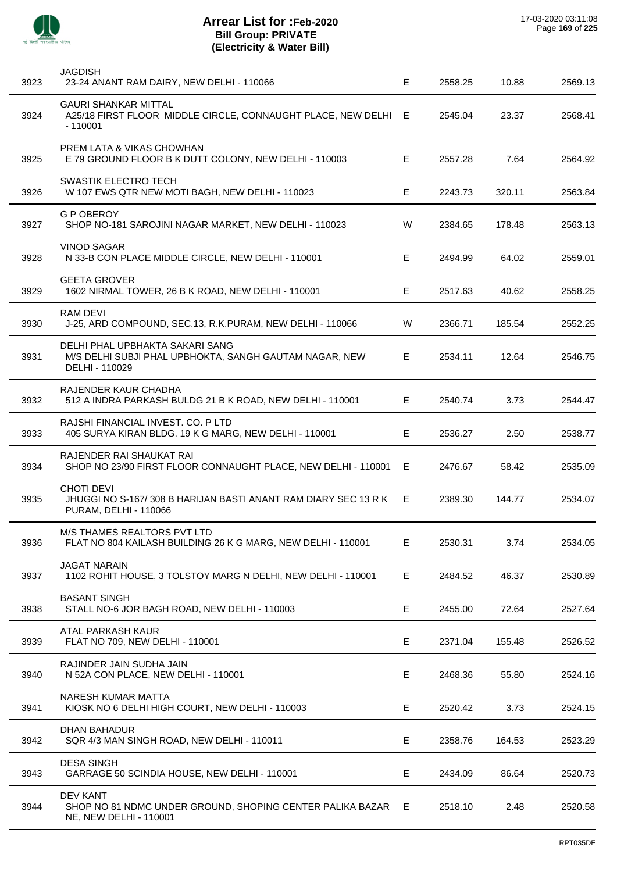| 3923 | <b>JAGDISH</b><br>23-24 ANANT RAM DAIRY, NEW DELHI - 110066                                                  | E           | 2558.25 | 10.88  | 2569.13 |
|------|--------------------------------------------------------------------------------------------------------------|-------------|---------|--------|---------|
| 3924 | <b>GAURI SHANKAR MITTAL</b><br>A25/18 FIRST FLOOR MIDDLE CIRCLE, CONNAUGHT PLACE, NEW DELHI E<br>$-110001$   |             | 2545.04 | 23.37  | 2568.41 |
| 3925 | PREM LATA & VIKAS CHOWHAN<br>E 79 GROUND FLOOR B K DUTT COLONY, NEW DELHI - 110003                           | Е           | 2557.28 | 7.64   | 2564.92 |
| 3926 | <b>SWASTIK ELECTRO TECH</b><br>W 107 EWS QTR NEW MOTI BAGH, NEW DELHI - 110023                               | Е           | 2243.73 | 320.11 | 2563.84 |
| 3927 | <b>G P OBEROY</b><br>SHOP NO-181 SAROJINI NAGAR MARKET, NEW DELHI - 110023                                   | W           | 2384.65 | 178.48 | 2563.13 |
| 3928 | <b>VINOD SAGAR</b><br>N 33-B CON PLACE MIDDLE CIRCLE, NEW DELHI - 110001                                     | Е           | 2494.99 | 64.02  | 2559.01 |
| 3929 | <b>GEETA GROVER</b><br>1602 NIRMAL TOWER, 26 B K ROAD, NEW DELHI - 110001                                    | Е           | 2517.63 | 40.62  | 2558.25 |
| 3930 | RAM DEVI<br>J-25, ARD COMPOUND, SEC.13, R.K.PURAM, NEW DELHI - 110066                                        | W           | 2366.71 | 185.54 | 2552.25 |
| 3931 | DELHI PHAL UPBHAKTA SAKARI SANG<br>M/S DELHI SUBJI PHAL UPBHOKTA, SANGH GAUTAM NAGAR, NEW<br>DELHI - 110029  | E           | 2534.11 | 12.64  | 2546.75 |
| 3932 | RAJENDER KAUR CHADHA<br>512 A INDRA PARKASH BULDG 21 B K ROAD, NEW DELHI - 110001                            | Е           | 2540.74 | 3.73   | 2544.47 |
| 3933 | RAJSHI FINANCIAL INVEST, CO. P LTD<br>405 SURYA KIRAN BLDG. 19 K G MARG, NEW DELHI - 110001                  | E           | 2536.27 | 2.50   | 2538.77 |
| 3934 | RAJENDER RAI SHAUKAT RAI<br>SHOP NO 23/90 FIRST FLOOR CONNAUGHT PLACE, NEW DELHI - 110001                    | E           | 2476.67 | 58.42  | 2535.09 |
| 3935 | <b>CHOTI DEVI</b><br>JHUGGI NO S-167/308 B HARIJAN BASTI ANANT RAM DIARY SEC 13 R K<br>PURAM, DELHI - 110066 | E.          | 2389.30 | 144.77 | 2534.07 |
| 3936 | M/S THAMES REALTORS PVT LTD<br>FLAT NO 804 KAILASH BUILDING 26 K G MARG, NEW DELHI - 110001                  | Е           | 2530.31 | 3.74   | 2534.05 |
| 3937 | <b>JAGAT NARAIN</b><br>1102 ROHIT HOUSE, 3 TOLSTOY MARG N DELHI, NEW DELHI - 110001                          | E           | 2484.52 | 46.37  | 2530.89 |
| 3938 | <b>BASANT SINGH</b><br>STALL NO-6 JOR BAGH ROAD, NEW DELHI - 110003                                          | E           | 2455.00 | 72.64  | 2527.64 |
| 3939 | ATAL PARKASH KAUR<br>FLAT NO 709, NEW DELHI - 110001                                                         | Е           | 2371.04 | 155.48 | 2526.52 |
| 3940 | RAJINDER JAIN SUDHA JAIN<br>N 52A CON PLACE, NEW DELHI - 110001                                              | $\mathsf E$ | 2468.36 | 55.80  | 2524.16 |
| 3941 | NARESH KUMAR MATTA<br>KIOSK NO 6 DELHI HIGH COURT, NEW DELHI - 110003                                        | E           | 2520.42 | 3.73   | 2524.15 |
| 3942 | <b>DHAN BAHADUR</b><br>SQR 4/3 MAN SINGH ROAD, NEW DELHI - 110011                                            | E           | 2358.76 | 164.53 | 2523.29 |
| 3943 | <b>DESA SINGH</b><br>GARRAGE 50 SCINDIA HOUSE, NEW DELHI - 110001                                            | Е           | 2434.09 | 86.64  | 2520.73 |
| 3944 | <b>DEV KANT</b><br>SHOP NO 81 NDMC UNDER GROUND, SHOPING CENTER PALIKA BAZAR<br>NE, NEW DELHI - 110001       | E           | 2518.10 | 2.48   | 2520.58 |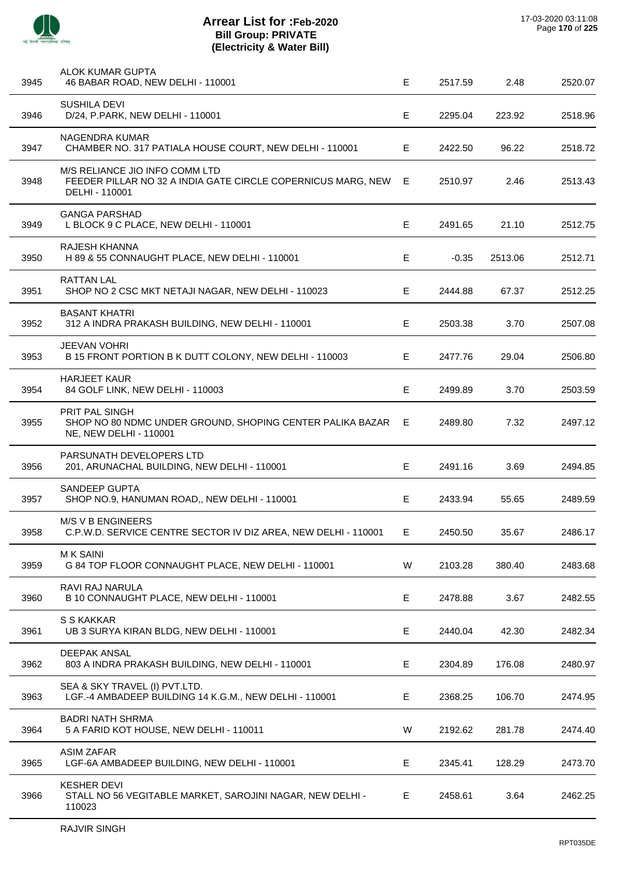

| 3945 | ALOK KUMAR GUPTA<br>46 BABAR ROAD, NEW DELHI - 110001                                                            | E  | 2517.59 | 2.48    | 2520.07 |
|------|------------------------------------------------------------------------------------------------------------------|----|---------|---------|---------|
| 3946 | <b>SUSHILA DEVI</b><br>D/24, P.PARK, NEW DELHI - 110001                                                          | Е  | 2295.04 | 223.92  | 2518.96 |
| 3947 | NAGENDRA KUMAR<br>CHAMBER NO. 317 PATIALA HOUSE COURT, NEW DELHI - 110001                                        | E  | 2422.50 | 96.22   | 2518.72 |
| 3948 | M/S RELIANCE JIO INFO COMM LTD<br>FEEDER PILLAR NO 32 A INDIA GATE CIRCLE COPERNICUS MARG, NEW<br>DELHI - 110001 | E  | 2510.97 | 2.46    | 2513.43 |
| 3949 | <b>GANGA PARSHAD</b><br>L BLOCK 9 C PLACE, NEW DELHI - 110001                                                    | Е  | 2491.65 | 21.10   | 2512.75 |
| 3950 | RAJESH KHANNA<br>H 89 & 55 CONNAUGHT PLACE, NEW DELHI - 110001                                                   | Е  | $-0.35$ | 2513.06 | 2512.71 |
| 3951 | <b>RATTAN LAL</b><br>SHOP NO 2 CSC MKT NETAJI NAGAR, NEW DELHI - 110023                                          | E  | 2444.88 | 67.37   | 2512.25 |
| 3952 | <b>BASANT KHATRI</b><br>312 A INDRA PRAKASH BUILDING, NEW DELHI - 110001                                         | Е  | 2503.38 | 3.70    | 2507.08 |
| 3953 | <b>JEEVAN VOHRI</b><br>B 15 FRONT PORTION B K DUTT COLONY, NEW DELHI - 110003                                    | Е  | 2477.76 | 29.04   | 2506.80 |
| 3954 | <b>HARJEET KAUR</b><br>84 GOLF LINK, NEW DELHI - 110003                                                          | Е  | 2499.89 | 3.70    | 2503.59 |
| 3955 | <b>PRIT PAL SINGH</b><br>SHOP NO 80 NDMC UNDER GROUND, SHOPING CENTER PALIKA BAZAR<br>NE, NEW DELHI - 110001     | E. | 2489.80 | 7.32    | 2497.12 |
| 3956 | PARSUNATH DEVELOPERS LTD<br>201, ARUNACHAL BUILDING, NEW DELHI - 110001                                          | E  | 2491.16 | 3.69    | 2494.85 |
| 3957 | <b>SANDEEP GUPTA</b><br>SHOP NO.9, HANUMAN ROAD,, NEW DELHI - 110001                                             | Е  | 2433.94 | 55.65   | 2489.59 |
| 3958 | <b>M/S V B ENGINEERS</b><br>C.P.W.D. SERVICE CENTRE SECTOR IV DIZ AREA, NEW DELHI - 110001                       | Е  | 2450.50 | 35.67   | 2486.17 |
| 3959 | <b>MK SAINI</b><br>G 84 TOP FLOOR CONNAUGHT PLACE, NEW DELHI - 110001                                            | W  | 2103.28 | 380.40  | 2483.68 |
| 3960 | RAVI RAJ NARULA<br>B 10 CONNAUGHT PLACE, NEW DELHI - 110001                                                      | E  | 2478.88 | 3.67    | 2482.55 |
| 3961 | S S KAKKAR<br>UB 3 SURYA KIRAN BLDG, NEW DELHI - 110001                                                          | E  | 2440.04 | 42.30   | 2482.34 |
| 3962 | <b>DEEPAK ANSAL</b><br>803 A INDRA PRAKASH BUILDING, NEW DELHI - 110001                                          | Е  | 2304.89 | 176.08  | 2480.97 |
| 3963 | SEA & SKY TRAVEL (I) PVT.LTD.<br>LGF.-4 AMBADEEP BUILDING 14 K.G.M., NEW DELHI - 110001                          | E  | 2368.25 | 106.70  | 2474.95 |
| 3964 | <b>BADRI NATH SHRMA</b><br>5 A FARID KOT HOUSE, NEW DELHI - 110011                                               | W  | 2192.62 | 281.78  | 2474.40 |
| 3965 | <b>ASIM ZAFAR</b><br>LGF-6A AMBADEEP BUILDING, NEW DELHI - 110001                                                | Е  | 2345.41 | 128.29  | 2473.70 |
| 3966 | <b>KESHER DEVI</b><br>STALL NO 56 VEGITABLE MARKET, SAROJINI NAGAR, NEW DELHI -<br>110023                        | E  | 2458.61 | 3.64    | 2462.25 |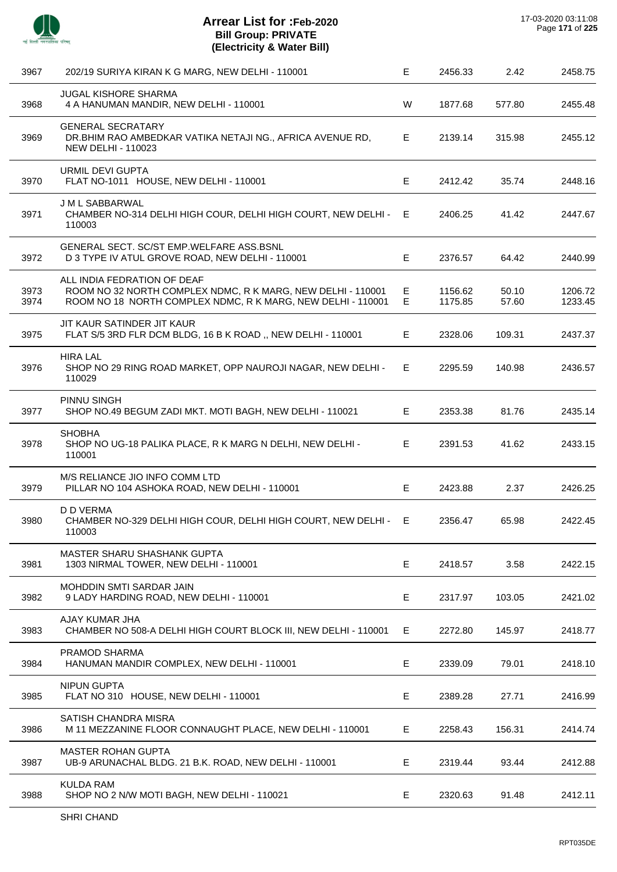| 3967         | 202/19 SURIYA KIRAN K G MARG, NEW DELHI - 110001                                                                                                          | Е       | 2456.33            | 2.42           | 2458.75            |
|--------------|-----------------------------------------------------------------------------------------------------------------------------------------------------------|---------|--------------------|----------------|--------------------|
| 3968         | <b>JUGAL KISHORE SHARMA</b><br>4 A HANUMAN MANDIR, NEW DELHI - 110001                                                                                     | W       | 1877.68            | 577.80         | 2455.48            |
| 3969         | <b>GENERAL SECRATARY</b><br>DR. BHIM RAO AMBEDKAR VATIKA NETAJI NG., AFRICA AVENUE RD,<br><b>NEW DELHI - 110023</b>                                       | E.      | 2139.14            | 315.98         | 2455.12            |
| 3970         | URMIL DEVI GUPTA<br>FLAT NO-1011 HOUSE, NEW DELHI - 110001                                                                                                | Е       | 2412.42            | 35.74          | 2448.16            |
| 3971         | J M L SABBARWAL<br>CHAMBER NO-314 DELHI HIGH COUR, DELHI HIGH COURT, NEW DELHI -<br>110003                                                                | E       | 2406.25            | 41.42          | 2447.67            |
| 3972         | GENERAL SECT. SC/ST EMP.WELFARE ASS.BSNL<br>D 3 TYPE IV ATUL GROVE ROAD, NEW DELHI - 110001                                                               | E       | 2376.57            | 64.42          | 2440.99            |
| 3973<br>3974 | ALL INDIA FEDRATION OF DEAF<br>ROOM NO 32 NORTH COMPLEX NDMC, R K MARG, NEW DELHI - 110001<br>ROOM NO 18 NORTH COMPLEX NDMC, R K MARG, NEW DELHI - 110001 | E<br>E. | 1156.62<br>1175.85 | 50.10<br>57.60 | 1206.72<br>1233.45 |
| 3975         | JIT KAUR SATINDER JIT KAUR<br>FLAT S/5 3RD FLR DCM BLDG, 16 B K ROAD, NEW DELHI - 110001                                                                  | E       | 2328.06            | 109.31         | 2437.37            |
| 3976         | <b>HIRA LAL</b><br>SHOP NO 29 RING ROAD MARKET, OPP NAUROJI NAGAR, NEW DELHI -<br>110029                                                                  | E       | 2295.59            | 140.98         | 2436.57            |
| 3977         | PINNU SINGH<br>SHOP NO.49 BEGUM ZADI MKT. MOTI BAGH, NEW DELHI - 110021                                                                                   | E.      | 2353.38            | 81.76          | 2435.14            |
| 3978         | <b>SHOBHA</b><br>SHOP NO UG-18 PALIKA PLACE, R K MARG N DELHI, NEW DELHI -<br>110001                                                                      | E.      | 2391.53            | 41.62          | 2433.15            |
| 3979         | M/S RELIANCE JIO INFO COMM LTD<br>PILLAR NO 104 ASHOKA ROAD, NEW DELHI - 110001                                                                           | E       | 2423.88            | 2.37           | 2426.25            |
| 3980         | D D VERMA<br>CHAMBER NO-329 DELHI HIGH COUR, DELHI HIGH COURT, NEW DELHI - E<br>110003                                                                    |         | 2356.47            | 65.98          | 2422.45            |
| 3981         | MASTER SHARU SHASHANK GUPTA<br>1303 NIRMAL TOWER, NEW DELHI - 110001                                                                                      | Е       | 2418.57            | 3.58           | 2422.15            |
| 3982         | MOHDDIN SMTI SARDAR JAIN<br>9 LADY HARDING ROAD, NEW DELHI - 110001                                                                                       | Е       | 2317.97            | 103.05         | 2421.02            |
| 3983         | AJAY KUMAR JHA<br>CHAMBER NO 508-A DELHI HIGH COURT BLOCK III, NEW DELHI - 110001                                                                         | Е       | 2272.80            | 145.97         | 2418.77            |
| 3984         | PRAMOD SHARMA<br>HANUMAN MANDIR COMPLEX, NEW DELHI - 110001                                                                                               | Е       | 2339.09            | 79.01          | 2418.10            |
| 3985         | <b>NIPUN GUPTA</b><br>FLAT NO 310 HOUSE, NEW DELHI - 110001                                                                                               | E       | 2389.28            | 27.71          | 2416.99            |
| 3986         | SATISH CHANDRA MISRA<br>M 11 MEZZANINE FLOOR CONNAUGHT PLACE, NEW DELHI - 110001                                                                          | E.      | 2258.43            | 156.31         | 2414.74            |
| 3987         | <b>MASTER ROHAN GUPTA</b><br>UB-9 ARUNACHAL BLDG. 21 B.K. ROAD, NEW DELHI - 110001                                                                        | Е       | 2319.44            | 93.44          | 2412.88            |
| 3988         | <b>KULDA RAM</b><br>SHOP NO 2 N/W MOTI BAGH, NEW DELHI - 110021                                                                                           | Е       | 2320.63            | 91.48          | 2412.11            |
|              |                                                                                                                                                           |         |                    |                |                    |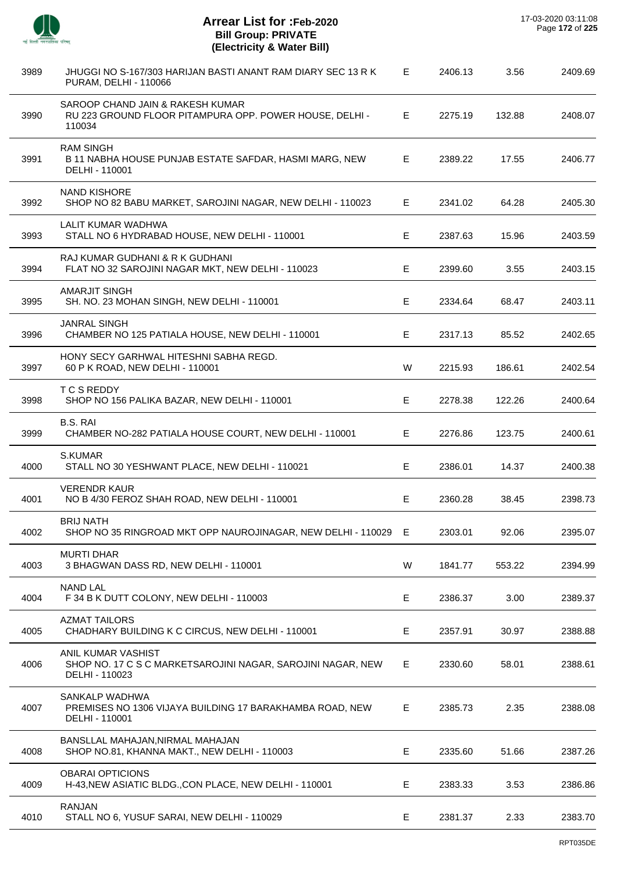| ÷ |
|---|

J.

J.

J.

 $\overline{a}$ 

| 3989 | JHUGGI NO S-167/303 HARIJAN BASTI ANANT RAM DIARY SEC 13 R K<br>PURAM, DELHI - 110066                 | Е. | 2406.13 | 3.56   | 2409.69 |
|------|-------------------------------------------------------------------------------------------------------|----|---------|--------|---------|
| 3990 | SAROOP CHAND JAIN & RAKESH KUMAR<br>RU 223 GROUND FLOOR PITAMPURA OPP. POWER HOUSE, DELHI -<br>110034 | E. | 2275.19 | 132.88 | 2408.07 |
| 3991 | <b>RAM SINGH</b><br>B 11 NABHA HOUSE PUNJAB ESTATE SAFDAR, HASMI MARG, NEW<br>DELHI - 110001          | E. | 2389.22 | 17.55  | 2406.77 |
| 3992 | <b>NAND KISHORE</b><br>SHOP NO 82 BABU MARKET, SAROJINI NAGAR, NEW DELHI - 110023                     | E. | 2341.02 | 64.28  | 2405.30 |
| 3993 | LALIT KUMAR WADHWA<br>STALL NO 6 HYDRABAD HOUSE, NEW DELHI - 110001                                   | Е  | 2387.63 | 15.96  | 2403.59 |
| 3994 | RAJ KUMAR GUDHANI & R K GUDHANI<br>FLAT NO 32 SAROJINI NAGAR MKT, NEW DELHI - 110023                  | Е  | 2399.60 | 3.55   | 2403.15 |
| 3995 | <b>AMARJIT SINGH</b><br>SH. NO. 23 MOHAN SINGH, NEW DELHI - 110001                                    | Е  | 2334.64 | 68.47  | 2403.11 |
| 3996 | <b>JANRAL SINGH</b><br>CHAMBER NO 125 PATIALA HOUSE, NEW DELHI - 110001                               | Е  | 2317.13 | 85.52  | 2402.65 |
| 3997 | HONY SECY GARHWAL HITESHNI SABHA REGD.<br>60 P K ROAD, NEW DELHI - 110001                             | W  | 2215.93 | 186.61 | 2402.54 |
| 3998 | <b>TCSREDDY</b><br>SHOP NO 156 PALIKA BAZAR, NEW DELHI - 110001                                       | E  | 2278.38 | 122.26 | 2400.64 |
| 3999 | <b>B.S. RAI</b><br>CHAMBER NO-282 PATIALA HOUSE COURT, NEW DELHI - 110001                             | Е  | 2276.86 | 123.75 | 2400.61 |
| 4000 | S.KUMAR<br>STALL NO 30 YESHWANT PLACE, NEW DELHI - 110021                                             | E  | 2386.01 | 14.37  | 2400.38 |
| 4001 | <b>VERENDR KAUR</b><br>NO B 4/30 FEROZ SHAH ROAD, NEW DELHI - 110001                                  | E  | 2360.28 | 38.45  | 2398.73 |
| 4002 | <b>BRIJ NATH</b><br>SHOP NO 35 RINGROAD MKT OPP NAUROJINAGAR, NEW DELHI - 110029                      | E  | 2303.01 | 92.06  | 2395.07 |
| 4003 | <b>MURTI DHAR</b><br>3 BHAGWAN DASS RD, NEW DELHI - 110001                                            | W  | 1841.77 | 553.22 | 2394.99 |
| 4004 | <b>NAND LAL</b><br>F 34 B K DUTT COLONY, NEW DELHI - 110003                                           | Е  | 2386.37 | 3.00   | 2389.37 |
| 4005 | <b>AZMAT TAILORS</b><br>CHADHARY BUILDING K C CIRCUS, NEW DELHI - 110001                              | Е  | 2357.91 | 30.97  | 2388.88 |
| 4006 | ANIL KUMAR VASHIST<br>SHOP NO. 17 C S C MARKETSAROJINI NAGAR, SAROJINI NAGAR, NEW<br>DELHI - 110023   | E. | 2330.60 | 58.01  | 2388.61 |
| 4007 | SANKALP WADHWA<br>PREMISES NO 1306 VIJAYA BUILDING 17 BARAKHAMBA ROAD, NEW<br>DELHI - 110001          | E. | 2385.73 | 2.35   | 2388.08 |
| 4008 | BANSLLAL MAHAJAN, NIRMAL MAHAJAN<br>SHOP NO.81, KHANNA MAKT., NEW DELHI - 110003                      | Е  | 2335.60 | 51.66  | 2387.26 |
| 4009 | <b>OBARAI OPTICIONS</b><br>H-43, NEW ASIATIC BLDG., CON PLACE, NEW DELHI - 110001                     | Е  | 2383.33 | 3.53   | 2386.86 |
| 4010 | <b>RANJAN</b><br>STALL NO 6, YUSUF SARAI, NEW DELHI - 110029                                          | Е  | 2381.37 | 2.33   | 2383.70 |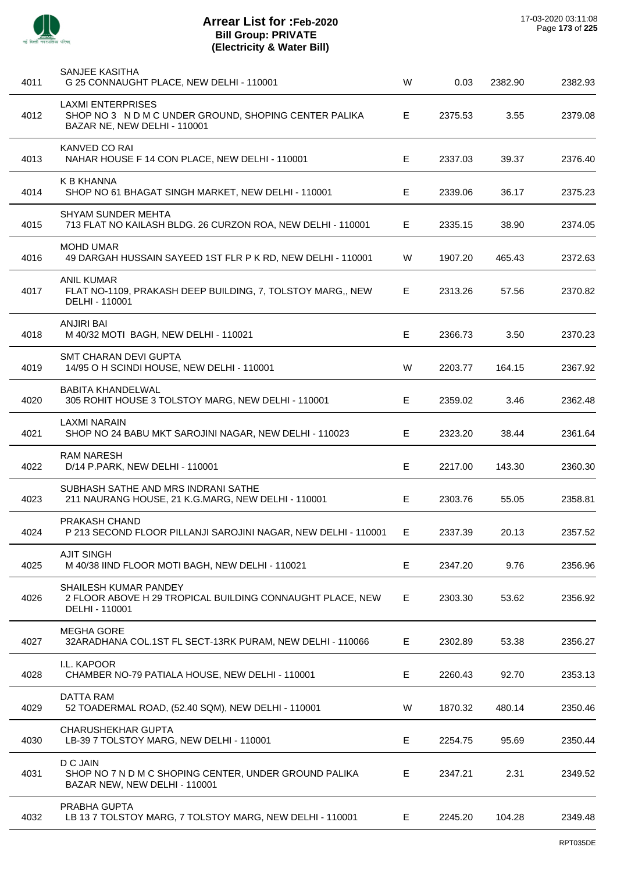

| 4011 | SANJEE KASITHA<br>G 25 CONNAUGHT PLACE, NEW DELHI - 110001                                                        | W | 0.03    | 2382.90 | 2382.93 |
|------|-------------------------------------------------------------------------------------------------------------------|---|---------|---------|---------|
| 4012 | <b>LAXMI ENTERPRISES</b><br>SHOP NO 3 N D M C UNDER GROUND, SHOPING CENTER PALIKA<br>BAZAR NE, NEW DELHI - 110001 | E | 2375.53 | 3.55    | 2379.08 |
| 4013 | KANVED CO RAI<br>NAHAR HOUSE F 14 CON PLACE, NEW DELHI - 110001                                                   | Е | 2337.03 | 39.37   | 2376.40 |
| 4014 | <b>K B KHANNA</b><br>SHOP NO 61 BHAGAT SINGH MARKET, NEW DELHI - 110001                                           | E | 2339.06 | 36.17   | 2375.23 |
| 4015 | <b>SHYAM SUNDER MEHTA</b><br>713 FLAT NO KAILASH BLDG. 26 CURZON ROA, NEW DELHI - 110001                          | Е | 2335.15 | 38.90   | 2374.05 |
| 4016 | <b>MOHD UMAR</b><br>49 DARGAH HUSSAIN SAYEED 1ST FLR P K RD, NEW DELHI - 110001                                   | W | 1907.20 | 465.43  | 2372.63 |
| 4017 | <b>ANIL KUMAR</b><br>FLAT NO-1109, PRAKASH DEEP BUILDING, 7, TOLSTOY MARG,, NEW<br>DELHI - 110001                 | E | 2313.26 | 57.56   | 2370.82 |
| 4018 | <b>ANJIRI BAI</b><br>M 40/32 MOTI BAGH, NEW DELHI - 110021                                                        | Е | 2366.73 | 3.50    | 2370.23 |
| 4019 | SMT CHARAN DEVI GUPTA<br>14/95 O H SCINDI HOUSE, NEW DELHI - 110001                                               | W | 2203.77 | 164.15  | 2367.92 |
| 4020 | <b>BABITA KHANDELWAL</b><br>305 ROHIT HOUSE 3 TOLSTOY MARG, NEW DELHI - 110001                                    | Е | 2359.02 | 3.46    | 2362.48 |
| 4021 | <b>LAXMI NARAIN</b><br>SHOP NO 24 BABU MKT SAROJINI NAGAR, NEW DELHI - 110023                                     | Е | 2323.20 | 38.44   | 2361.64 |
| 4022 | <b>RAM NARESH</b><br>D/14 P.PARK, NEW DELHI - 110001                                                              | Е | 2217.00 | 143.30  | 2360.30 |
| 4023 | SUBHASH SATHE AND MRS INDRANI SATHE<br>211 NAURANG HOUSE, 21 K.G.MARG, NEW DELHI - 110001                         | Е | 2303.76 | 55.05   | 2358.81 |
| 4024 | PRAKASH CHAND<br>P 213 SECOND FLOOR PILLANJI SAROJINI NAGAR, NEW DELHI - 110001                                   | Е | 2337.39 | 20.13   | 2357.52 |
| 4025 | <b>AJIT SINGH</b><br>M 40/38 IIND FLOOR MOTI BAGH, NEW DELHI - 110021                                             | Е | 2347.20 | 9.76    | 2356.96 |
| 4026 | SHAILESH KUMAR PANDEY<br>2 FLOOR ABOVE H 29 TROPICAL BUILDING CONNAUGHT PLACE, NEW<br>DELHI - 110001              | Е | 2303.30 | 53.62   | 2356.92 |
| 4027 | <b>MEGHA GORE</b><br>32ARADHANA COL.1ST FL SECT-13RK PURAM, NEW DELHI - 110066                                    | Е | 2302.89 | 53.38   | 2356.27 |
| 4028 | I.L. KAPOOR<br>CHAMBER NO-79 PATIALA HOUSE, NEW DELHI - 110001                                                    | Е | 2260.43 | 92.70   | 2353.13 |
| 4029 | <b>DATTA RAM</b><br>52 TOADERMAL ROAD, (52.40 SQM), NEW DELHI - 110001                                            | W | 1870.32 | 480.14  | 2350.46 |
| 4030 | <b>CHARUSHEKHAR GUPTA</b><br>LB-39 7 TOLSTOY MARG, NEW DELHI - 110001                                             | Е | 2254.75 | 95.69   | 2350.44 |
| 4031 | D C JAIN<br>SHOP NO 7 N D M C SHOPING CENTER, UNDER GROUND PALIKA<br>BAZAR NEW, NEW DELHI - 110001                | Е | 2347.21 | 2.31    | 2349.52 |
| 4032 | PRABHA GUPTA<br>LB 13 7 TOLSTOY MARG, 7 TOLSTOY MARG, NEW DELHI - 110001                                          | E | 2245.20 | 104.28  | 2349.48 |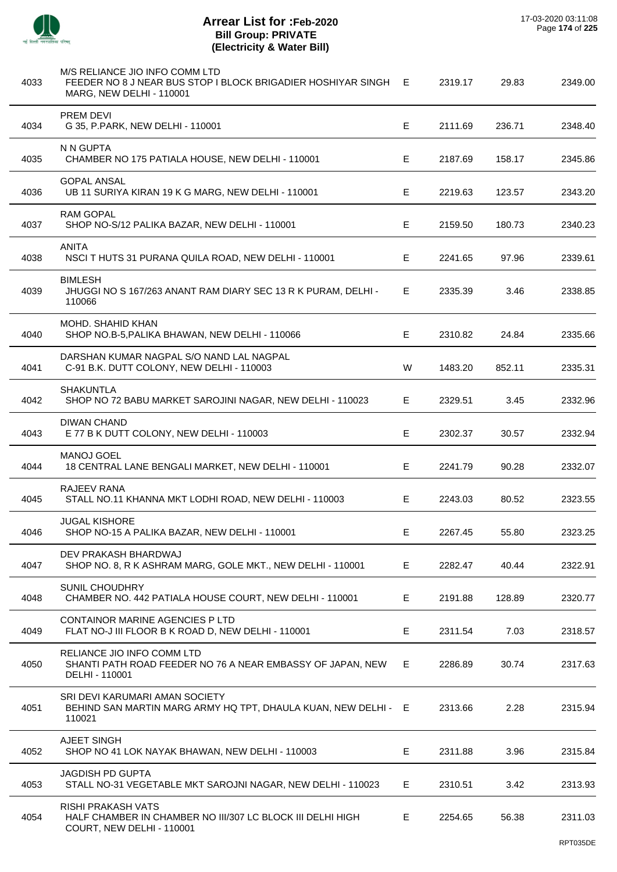

 $\overline{a}$ 

J.

J.

J.

 $\overline{a}$ 

÷.

J.

 $\overline{\phantom{a}}$ 

l.

| 4033 | M/S RELIANCE JIO INFO COMM LTD<br>FEEDER NO 8 J NEAR BUS STOP I BLOCK BRIGADIER HOSHIYAR SINGH<br><b>MARG, NEW DELHI - 110001</b> | E  | 2319.17 | 29.83  | 2349.00 |
|------|-----------------------------------------------------------------------------------------------------------------------------------|----|---------|--------|---------|
| 4034 | PREM DEVI<br>G 35, P.PARK, NEW DELHI - 110001                                                                                     | E  | 2111.69 | 236.71 | 2348.40 |
| 4035 | N N GUPTA<br>CHAMBER NO 175 PATIALA HOUSE, NEW DELHI - 110001                                                                     | E  | 2187.69 | 158.17 | 2345.86 |
| 4036 | <b>GOPAL ANSAL</b><br>UB 11 SURIYA KIRAN 19 K G MARG, NEW DELHI - 110001                                                          | E  | 2219.63 | 123.57 | 2343.20 |
| 4037 | <b>RAM GOPAL</b><br>SHOP NO-S/12 PALIKA BAZAR, NEW DELHI - 110001                                                                 | Е  | 2159.50 | 180.73 | 2340.23 |
| 4038 | <b>ANITA</b><br>NSCI THUTS 31 PURANA QUILA ROAD, NEW DELHI - 110001                                                               | E  | 2241.65 | 97.96  | 2339.61 |
| 4039 | <b>BIMLESH</b><br>JHUGGI NO S 167/263 ANANT RAM DIARY SEC 13 R K PURAM, DELHI -<br>110066                                         | E. | 2335.39 | 3.46   | 2338.85 |
| 4040 | MOHD. SHAHID KHAN<br>SHOP NO.B-5, PALIKA BHAWAN, NEW DELHI - 110066                                                               | E  | 2310.82 | 24.84  | 2335.66 |
| 4041 | DARSHAN KUMAR NAGPAL S/O NAND LAL NAGPAL<br>C-91 B.K. DUTT COLONY, NEW DELHI - 110003                                             | W  | 1483.20 | 852.11 | 2335.31 |
| 4042 | <b>SHAKUNTLA</b><br>SHOP NO 72 BABU MARKET SAROJINI NAGAR, NEW DELHI - 110023                                                     | E  | 2329.51 | 3.45   | 2332.96 |
| 4043 | <b>DIWAN CHAND</b><br>E 77 B K DUTT COLONY, NEW DELHI - 110003                                                                    | Е  | 2302.37 | 30.57  | 2332.94 |
| 4044 | <b>MANOJ GOEL</b><br>18 CENTRAL LANE BENGALI MARKET, NEW DELHI - 110001                                                           | E  | 2241.79 | 90.28  | 2332.07 |
| 4045 | <b>RAJEEV RANA</b><br>STALL NO.11 KHANNA MKT LODHI ROAD, NEW DELHI - 110003                                                       | E. | 2243.03 | 80.52  | 2323.55 |
| 4046 | <b>JUGAL KISHORE</b><br>SHOP NO-15 A PALIKA BAZAR, NEW DELHI - 110001                                                             | E  | 2267.45 | 55.80  | 2323.25 |
| 4047 | DEV PRAKASH BHARDWAJ<br>SHOP NO. 8, R K ASHRAM MARG, GOLE MKT., NEW DELHI - 110001                                                | E  | 2282.47 | 40.44  | 2322.91 |
| 4048 | SUNIL CHOUDHRY<br>CHAMBER NO. 442 PATIALA HOUSE COURT, NEW DELHI - 110001                                                         | Е  | 2191.88 | 128.89 | 2320.77 |
| 4049 | <b>CONTAINOR MARINE AGENCIES P LTD</b><br>FLAT NO-J III FLOOR B K ROAD D, NEW DELHI - 110001                                      | E  | 2311.54 | 7.03   | 2318.57 |
| 4050 | RELIANCE JIO INFO COMM LTD<br>SHANTI PATH ROAD FEEDER NO 76 A NEAR EMBASSY OF JAPAN, NEW<br>DELHI - 110001                        | Е. | 2286.89 | 30.74  | 2317.63 |
| 4051 | SRI DEVI KARUMARI AMAN SOCIETY<br>BEHIND SAN MARTIN MARG ARMY HQ TPT, DHAULA KUAN, NEW DELHI - E<br>110021                        |    | 2313.66 | 2.28   | 2315.94 |
| 4052 | AJEET SINGH<br>SHOP NO 41 LOK NAYAK BHAWAN, NEW DELHI - 110003                                                                    | E. | 2311.88 | 3.96   | 2315.84 |
| 4053 | <b>JAGDISH PD GUPTA</b><br>STALL NO-31 VEGETABLE MKT SAROJNI NAGAR, NEW DELHI - 110023                                            | Е  | 2310.51 | 3.42   | 2313.93 |
| 4054 | RISHI PRAKASH VATS<br>HALF CHAMBER IN CHAMBER NO III/307 LC BLOCK III DELHI HIGH<br>COURT, NEW DELHI - 110001                     | E  | 2254.65 | 56.38  | 2311.03 |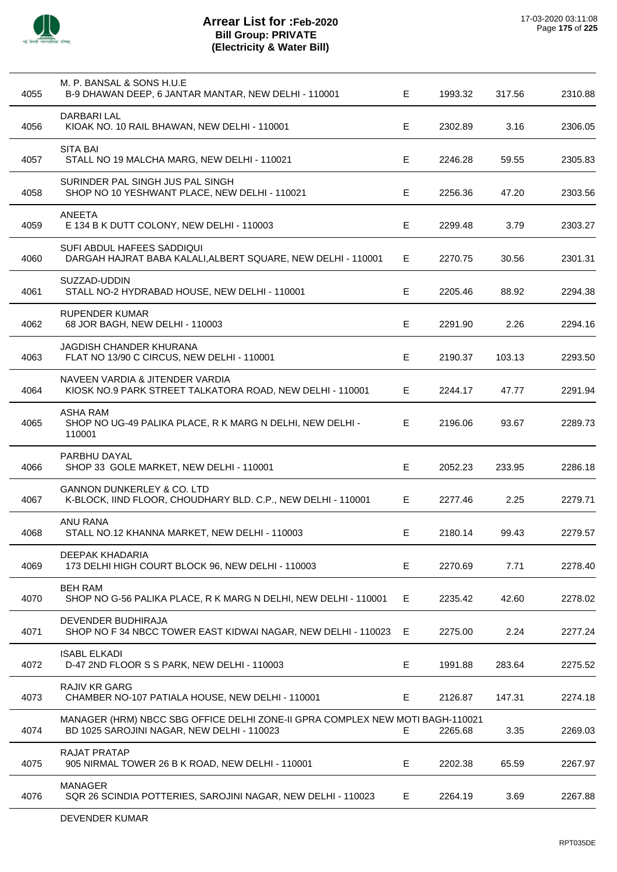

| 4055 | M. P. BANSAL & SONS H.U.E<br>B-9 DHAWAN DEEP, 6 JANTAR MANTAR, NEW DELHI - 110001                                           | E  | 1993.32 | 317.56 | 2310.88 |
|------|-----------------------------------------------------------------------------------------------------------------------------|----|---------|--------|---------|
| 4056 | <b>DARBARI LAL</b><br>KIOAK NO. 10 RAIL BHAWAN, NEW DELHI - 110001                                                          | E  | 2302.89 | 3.16   | 2306.05 |
| 4057 | <b>SITA BAI</b><br>STALL NO 19 MALCHA MARG, NEW DELHI - 110021                                                              | Е  | 2246.28 | 59.55  | 2305.83 |
| 4058 | SURINDER PAL SINGH JUS PAL SINGH<br>SHOP NO 10 YESHWANT PLACE, NEW DELHI - 110021                                           | Е  | 2256.36 | 47.20  | 2303.56 |
| 4059 | <b>ANEETA</b><br>E 134 B K DUTT COLONY, NEW DELHI - 110003                                                                  | E  | 2299.48 | 3.79   | 2303.27 |
| 4060 | SUFI ABDUL HAFEES SADDIQUI<br>DARGAH HAJRAT BABA KALALI, ALBERT SQUARE, NEW DELHI - 110001                                  | E  | 2270.75 | 30.56  | 2301.31 |
| 4061 | SUZZAD-UDDIN<br>STALL NO-2 HYDRABAD HOUSE, NEW DELHI - 110001                                                               | Е  | 2205.46 | 88.92  | 2294.38 |
| 4062 | <b>RUPENDER KUMAR</b><br>68 JOR BAGH, NEW DELHI - 110003                                                                    | Е  | 2291.90 | 2.26   | 2294.16 |
| 4063 | <b>JAGDISH CHANDER KHURANA</b><br>FLAT NO 13/90 C CIRCUS, NEW DELHI - 110001                                                | Е  | 2190.37 | 103.13 | 2293.50 |
| 4064 | NAVEEN VARDIA & JITENDER VARDIA<br>KIOSK NO.9 PARK STREET TALKATORA ROAD, NEW DELHI - 110001                                | E. | 2244.17 | 47.77  | 2291.94 |
| 4065 | <b>ASHA RAM</b><br>SHOP NO UG-49 PALIKA PLACE, R K MARG N DELHI, NEW DELHI -<br>110001                                      | E. | 2196.06 | 93.67  | 2289.73 |
| 4066 | PARBHU DAYAL<br>SHOP 33 GOLE MARKET, NEW DELHI - 110001                                                                     | Е  | 2052.23 | 233.95 | 2286.18 |
| 4067 | <b>GANNON DUNKERLEY &amp; CO. LTD</b><br>K-BLOCK, IIND FLOOR, CHOUDHARY BLD. C.P., NEW DELHI - 110001                       | Е  | 2277.46 | 2.25   | 2279.71 |
| 4068 | ANU RANA<br>STALL NO.12 KHANNA MARKET, NEW DELHI - 110003                                                                   | Е  | 2180.14 | 99.43  | 2279.57 |
| 4069 | DEEPAK KHADARIA<br>173 DELHI HIGH COURT BLOCK 96, NEW DELHI - 110003                                                        | Е  | 2270.69 | 7.71   | 2278.40 |
| 4070 | <b>BEH RAM</b><br>SHOP NO G-56 PALIKA PLACE, R K MARG N DELHI, NEW DELHI - 110001                                           | E. | 2235.42 | 42.60  | 2278.02 |
| 4071 | DEVENDER BUDHIRAJA<br>SHOP NO F 34 NBCC TOWER EAST KIDWAI NAGAR, NEW DELHI - 110023                                         | Е  | 2275.00 | 2.24   | 2277.24 |
| 4072 | <b>ISABL ELKADI</b><br>D-47 2ND FLOOR S S PARK, NEW DELHI - 110003                                                          | Е  | 1991.88 | 283.64 | 2275.52 |
| 4073 | <b>RAJIV KR GARG</b><br>CHAMBER NO-107 PATIALA HOUSE, NEW DELHI - 110001                                                    | Е  | 2126.87 | 147.31 | 2274.18 |
| 4074 | MANAGER (HRM) NBCC SBG OFFICE DELHI ZONE-II GPRA COMPLEX NEW MOTI BAGH-110021<br>BD 1025 SAROJINI NAGAR, NEW DELHI - 110023 | Е  | 2265.68 | 3.35   | 2269.03 |
| 4075 | <b>RAJAT PRATAP</b><br>905 NIRMAL TOWER 26 B K ROAD, NEW DELHI - 110001                                                     | Е  | 2202.38 | 65.59  | 2267.97 |
| 4076 | <b>MANAGER</b><br>SQR 26 SCINDIA POTTERIES, SAROJINI NAGAR, NEW DELHI - 110023                                              | Е  | 2264.19 | 3.69   | 2267.88 |
|      |                                                                                                                             |    |         |        |         |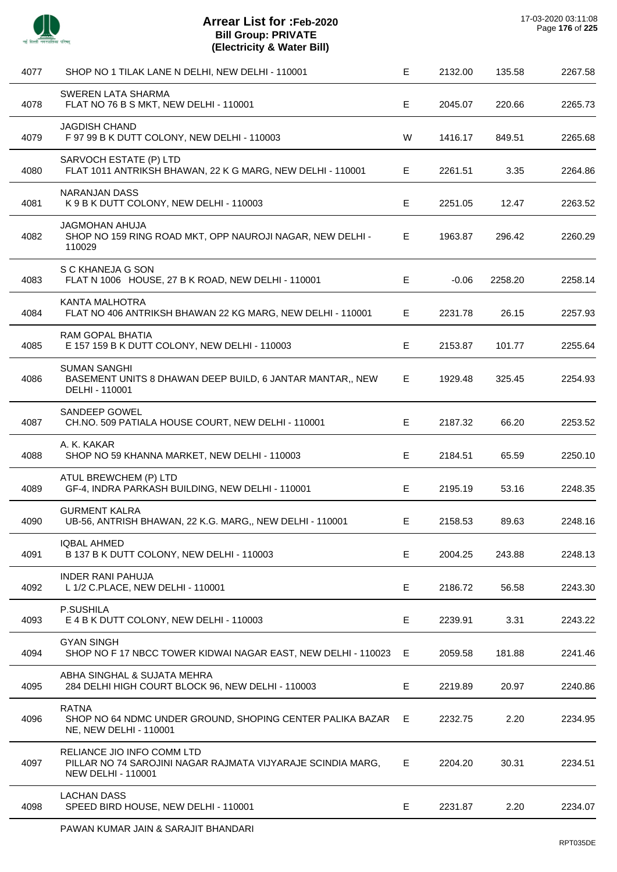

 $\overline{a}$ 

l,

| 4077 | SHOP NO 1 TILAK LANE N DELHI, NEW DELHI - 110001                                                                       | Е  | 2132.00 | 135.58  | 2267.58 |
|------|------------------------------------------------------------------------------------------------------------------------|----|---------|---------|---------|
| 4078 | <b>SWEREN LATA SHARMA</b><br>FLAT NO 76 B S MKT, NEW DELHI - 110001                                                    | Е  | 2045.07 | 220.66  | 2265.73 |
| 4079 | <b>JAGDISH CHAND</b><br>F 97 99 B K DUTT COLONY, NEW DELHI - 110003                                                    | W  | 1416.17 | 849.51  | 2265.68 |
| 4080 | SARVOCH ESTATE (P) LTD<br>FLAT 1011 ANTRIKSH BHAWAN, 22 K G MARG, NEW DELHI - 110001                                   | Е  | 2261.51 | 3.35    | 2264.86 |
| 4081 | NARANJAN DASS<br>K 9 B K DUTT COLONY, NEW DELHI - 110003                                                               | Е  | 2251.05 | 12.47   | 2263.52 |
| 4082 | <b>JAGMOHAN AHUJA</b><br>SHOP NO 159 RING ROAD MKT, OPP NAUROJI NAGAR, NEW DELHI -<br>110029                           | Е  | 1963.87 | 296.42  | 2260.29 |
| 4083 | S C KHANEJA G SON<br>FLAT N 1006 HOUSE, 27 B K ROAD, NEW DELHI - 110001                                                | Е  | $-0.06$ | 2258.20 | 2258.14 |
| 4084 | <b>KANTA MALHOTRA</b><br>FLAT NO 406 ANTRIKSH BHAWAN 22 KG MARG, NEW DELHI - 110001                                    | E. | 2231.78 | 26.15   | 2257.93 |
| 4085 | <b>RAM GOPAL BHATIA</b><br>E 157 159 B K DUTT COLONY, NEW DELHI - 110003                                               | E  | 2153.87 | 101.77  | 2255.64 |
| 4086 | <b>SUMAN SANGHI</b><br>BASEMENT UNITS 8 DHAWAN DEEP BUILD, 6 JANTAR MANTAR,, NEW<br>DELHI - 110001                     | E. | 1929.48 | 325.45  | 2254.93 |
| 4087 | SANDEEP GOWEL<br>CH.NO. 509 PATIALA HOUSE COURT, NEW DELHI - 110001                                                    | Е  | 2187.32 | 66.20   | 2253.52 |
| 4088 | A. K. KAKAR<br>SHOP NO 59 KHANNA MARKET, NEW DELHI - 110003                                                            | E  | 2184.51 | 65.59   | 2250.10 |
| 4089 | ATUL BREWCHEM (P) LTD<br>GF-4, INDRA PARKASH BUILDING, NEW DELHI - 110001                                              | Е  | 2195.19 | 53.16   | 2248.35 |
| 4090 | <b>GURMENT KALRA</b><br>UB-56, ANTRISH BHAWAN, 22 K.G. MARG,, NEW DELHI - 110001                                       | Е  | 2158.53 | 89.63   | 2248.16 |
| 4091 | <b>IQBAL AHMED</b><br>B 137 B K DUTT COLONY, NEW DELHI - 110003                                                        | E  | 2004.25 | 243.88  | 2248.13 |
| 4092 | <b>INDER RANI PAHUJA</b><br>L 1/2 C.PLACE, NEW DELHI - 110001                                                          | E  | 2186.72 | 56.58   | 2243.30 |
| 4093 | P.SUSHILA<br>E 4 B K DUTT COLONY, NEW DELHI - 110003                                                                   | Е  | 2239.91 | 3.31    | 2243.22 |
| 4094 | <b>GYAN SINGH</b><br>SHOP NO F 17 NBCC TOWER KIDWAI NAGAR EAST, NEW DELHI - 110023                                     | Е  | 2059.58 | 181.88  | 2241.46 |
| 4095 | ABHA SINGHAL & SUJATA MEHRA<br>284 DELHI HIGH COURT BLOCK 96, NEW DELHI - 110003                                       | Е  | 2219.89 | 20.97   | 2240.86 |
| 4096 | <b>RATNA</b><br>SHOP NO 64 NDMC UNDER GROUND, SHOPING CENTER PALIKA BAZAR<br>NE, NEW DELHI - 110001                    | E. | 2232.75 | 2.20    | 2234.95 |
| 4097 | RELIANCE JIO INFO COMM LTD<br>PILLAR NO 74 SAROJINI NAGAR RAJMATA VIJYARAJE SCINDIA MARG,<br><b>NEW DELHI - 110001</b> | E  | 2204.20 | 30.31   | 2234.51 |
| 4098 | <b>LACHAN DASS</b><br>SPEED BIRD HOUSE, NEW DELHI - 110001                                                             | Е  | 2231.87 | 2.20    | 2234.07 |
|      |                                                                                                                        |    |         |         |         |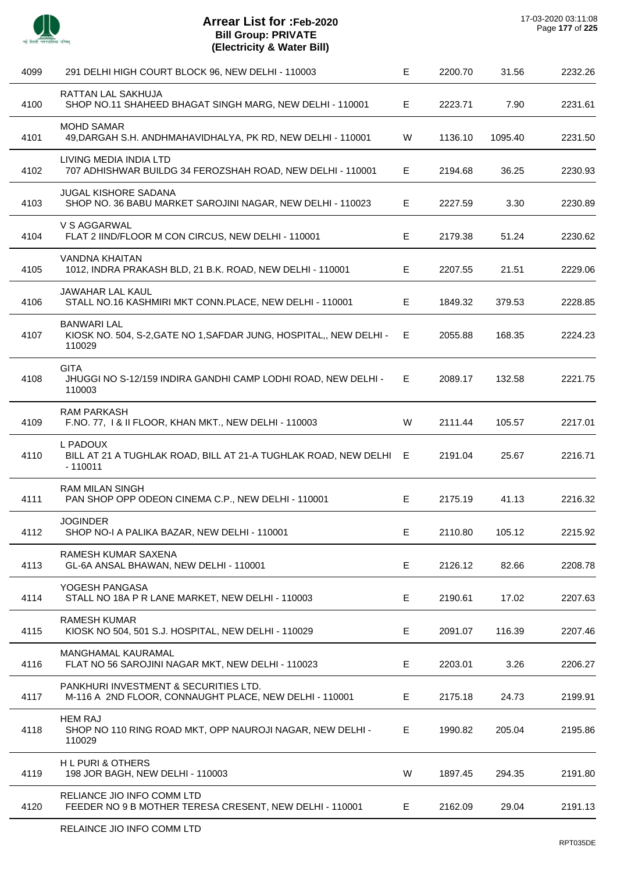

l,

l,

 $\overline{a}$ 

l,

l,

| 4099 | 291 DELHI HIGH COURT BLOCK 96, NEW DELHI - 110003                                                 | Е  | 2200.70 | 31.56   | 2232.26 |
|------|---------------------------------------------------------------------------------------------------|----|---------|---------|---------|
| 4100 | RATTAN LAL SAKHUJA<br>SHOP NO.11 SHAHEED BHAGAT SINGH MARG, NEW DELHI - 110001                    | E  | 2223.71 | 7.90    | 2231.61 |
| 4101 | <b>MOHD SAMAR</b><br>49, DARGAH S.H. ANDHMAHAVIDHALYA, PK RD, NEW DELHI - 110001                  | W  | 1136.10 | 1095.40 | 2231.50 |
| 4102 | LIVING MEDIA INDIA LTD<br>707 ADHISHWAR BUILDG 34 FEROZSHAH ROAD, NEW DELHI - 110001              | E  | 2194.68 | 36.25   | 2230.93 |
| 4103 | JUGAL KISHORE SADANA<br>SHOP NO. 36 BABU MARKET SAROJINI NAGAR, NEW DELHI - 110023                | E  | 2227.59 | 3.30    | 2230.89 |
| 4104 | V S AGGARWAL<br>FLAT 2 IIND/FLOOR M CON CIRCUS, NEW DELHI - 110001                                | E. | 2179.38 | 51.24   | 2230.62 |
| 4105 | <b>VANDNA KHAITAN</b><br>1012, INDRA PRAKASH BLD, 21 B.K. ROAD, NEW DELHI - 110001                | Е  | 2207.55 | 21.51   | 2229.06 |
| 4106 | JAWAHAR LAL KAUL<br>STALL NO.16 KASHMIRI MKT CONN.PLACE, NEW DELHI - 110001                       | Е  | 1849.32 | 379.53  | 2228.85 |
| 4107 | <b>BANWARI LAL</b><br>KIOSK NO. 504, S-2, GATE NO 1, SAFDAR JUNG, HOSPITAL,, NEW DELHI-<br>110029 | E  | 2055.88 | 168.35  | 2224.23 |
| 4108 | <b>GITA</b><br>JHUGGI NO S-12/159 INDIRA GANDHI CAMP LODHI ROAD, NEW DELHI -<br>110003            | Е  | 2089.17 | 132.58  | 2221.75 |
| 4109 | <b>RAM PARKASH</b><br>F.NO. 77, 1 & II FLOOR, KHAN MKT., NEW DELHI - 110003                       | W  | 2111.44 | 105.57  | 2217.01 |
| 4110 | L PADOUX<br>BILL AT 21 A TUGHLAK ROAD, BILL AT 21-A TUGHLAK ROAD, NEW DELHI E<br>$-110011$        |    | 2191.04 | 25.67   | 2216.71 |
| 4111 | <b>RAM MILAN SINGH</b><br>PAN SHOP OPP ODEON CINEMA C.P., NEW DELHI - 110001                      | E  | 2175.19 | 41.13   | 2216.32 |
| 4112 | <b>JOGINDER</b><br>SHOP NO-I A PALIKA BAZAR, NEW DELHI - 110001                                   | Е, | 2110.80 | 105.12  | 2215.92 |
| 4113 | RAMESH KUMAR SAXENA<br>GL-6A ANSAL BHAWAN, NEW DELHI - 110001                                     | Е  | 2126.12 | 82.66   | 2208.78 |
| 4114 | YOGESH PANGASA<br>STALL NO 18A P R LANE MARKET, NEW DELHI - 110003                                | Е  | 2190.61 | 17.02   | 2207.63 |
| 4115 | <b>RAMESH KUMAR</b><br>KIOSK NO 504, 501 S.J. HOSPITAL, NEW DELHI - 110029                        | Е  | 2091.07 | 116.39  | 2207.46 |
| 4116 | MANGHAMAL KAURAMAL<br>FLAT NO 56 SAROJINI NAGAR MKT, NEW DELHI - 110023                           | Е  | 2203.01 | 3.26    | 2206.27 |
| 4117 | PANKHURI INVESTMENT & SECURITIES LTD.<br>M-116 A 2ND FLOOR, CONNAUGHT PLACE, NEW DELHI - 110001   | Е  | 2175.18 | 24.73   | 2199.91 |
| 4118 | <b>HEM RAJ</b><br>SHOP NO 110 RING ROAD MKT, OPP NAUROJI NAGAR, NEW DELHI -<br>110029             | E. | 1990.82 | 205.04  | 2195.86 |
| 4119 | <b>HL PURI &amp; OTHERS</b><br>198 JOR BAGH, NEW DELHI - 110003                                   | W  | 1897.45 | 294.35  | 2191.80 |
| 4120 | RELIANCE JIO INFO COMM LTD<br>FEEDER NO 9 B MOTHER TERESA CRESENT, NEW DELHI - 110001             | E. | 2162.09 | 29.04   | 2191.13 |
|      |                                                                                                   |    |         |         |         |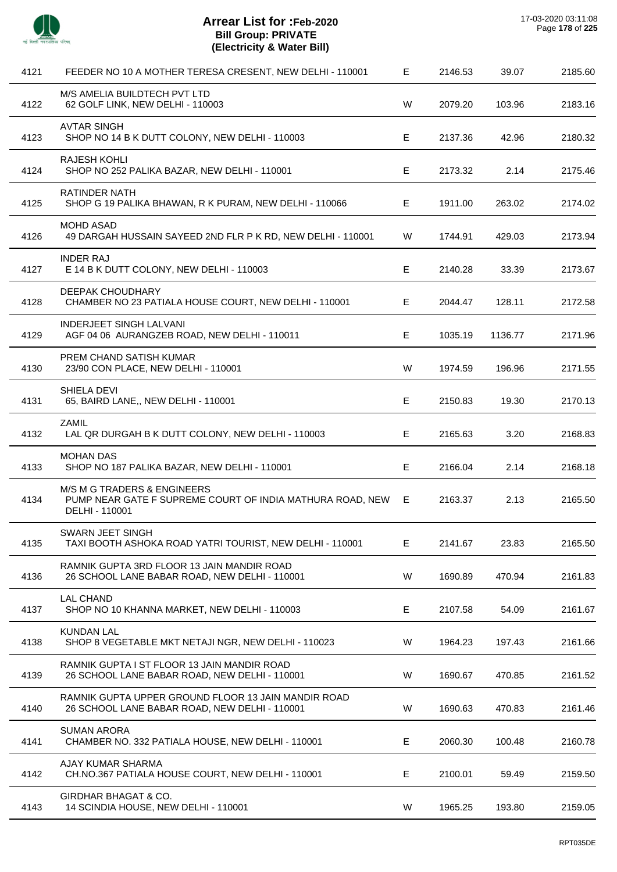

 $\overline{a}$ 

| 4121 | FEEDER NO 10 A MOTHER TERESA CRESENT, NEW DELHI - 110001                                                              | Е           | 2146.53 | 39.07   | 2185.60 |
|------|-----------------------------------------------------------------------------------------------------------------------|-------------|---------|---------|---------|
| 4122 | M/S AMELIA BUILDTECH PVT LTD<br>62 GOLF LINK, NEW DELHI - 110003                                                      | W           | 2079.20 | 103.96  | 2183.16 |
| 4123 | <b>AVTAR SINGH</b><br>SHOP NO 14 B K DUTT COLONY, NEW DELHI - 110003                                                  | Е           | 2137.36 | 42.96   | 2180.32 |
| 4124 | <b>RAJESH KOHLI</b><br>SHOP NO 252 PALIKA BAZAR, NEW DELHI - 110001                                                   | $\mathsf E$ | 2173.32 | 2.14    | 2175.46 |
| 4125 | <b>RATINDER NATH</b><br>SHOP G 19 PALIKA BHAWAN, R K PURAM, NEW DELHI - 110066                                        | Е           | 1911.00 | 263.02  | 2174.02 |
| 4126 | <b>MOHD ASAD</b><br>49 DARGAH HUSSAIN SAYEED 2ND FLR P K RD, NEW DELHI - 110001                                       | W           | 1744.91 | 429.03  | 2173.94 |
| 4127 | <b>INDER RAJ</b><br>E 14 B K DUTT COLONY, NEW DELHI - 110003                                                          | Ε           | 2140.28 | 33.39   | 2173.67 |
| 4128 | DEEPAK CHOUDHARY<br>CHAMBER NO 23 PATIALA HOUSE COURT, NEW DELHI - 110001                                             | Е           | 2044.47 | 128.11  | 2172.58 |
| 4129 | <b>INDERJEET SINGH LALVANI</b><br>AGF 04 06 AURANGZEB ROAD, NEW DELHI - 110011                                        | Е           | 1035.19 | 1136.77 | 2171.96 |
| 4130 | PREM CHAND SATISH KUMAR<br>23/90 CON PLACE, NEW DELHI - 110001                                                        | W           | 1974.59 | 196.96  | 2171.55 |
| 4131 | SHIELA DEVI<br>65, BAIRD LANE,, NEW DELHI - 110001                                                                    | Е           | 2150.83 | 19.30   | 2170.13 |
| 4132 | <b>ZAMIL</b><br>LAL QR DURGAH B K DUTT COLONY, NEW DELHI - 110003                                                     | Е           | 2165.63 | 3.20    | 2168.83 |
| 4133 | <b>MOHAN DAS</b><br>SHOP NO 187 PALIKA BAZAR, NEW DELHI - 110001                                                      | Ε           | 2166.04 | 2.14    | 2168.18 |
| 4134 | <b>M/S M G TRADERS &amp; ENGINEERS</b><br>PUMP NEAR GATE F SUPREME COURT OF INDIA MATHURA ROAD, NEW<br>DELHI - 110001 | Е           | 2163.37 | 2.13    | 2165.50 |
| 4135 | <b>SWARN JEET SINGH</b><br>TAXI BOOTH ASHOKA ROAD YATRI TOURIST, NEW DELHI - 110001                                   | Е           | 2141.67 | 23.83   | 2165.50 |
| 4136 | RAMNIK GUPTA 3RD FLOOR 13 JAIN MANDIR ROAD<br>26 SCHOOL LANE BABAR ROAD, NEW DELHI - 110001                           | W           | 1690.89 | 470.94  | 2161.83 |
| 4137 | <b>LAL CHAND</b><br>SHOP NO 10 KHANNA MARKET, NEW DELHI - 110003                                                      | Ε           | 2107.58 | 54.09   | 2161.67 |
| 4138 | <b>KUNDAN LAL</b><br>SHOP 8 VEGETABLE MKT NETAJI NGR, NEW DELHI - 110023                                              | W           | 1964.23 | 197.43  | 2161.66 |
| 4139 | RAMNIK GUPTA I ST FLOOR 13 JAIN MANDIR ROAD<br>26 SCHOOL LANE BABAR ROAD, NEW DELHI - 110001                          | W           | 1690.67 | 470.85  | 2161.52 |
| 4140 | RAMNIK GUPTA UPPER GROUND FLOOR 13 JAIN MANDIR ROAD<br>26 SCHOOL LANE BABAR ROAD, NEW DELHI - 110001                  | W           | 1690.63 | 470.83  | 2161.46 |
| 4141 | <b>SUMAN ARORA</b><br>CHAMBER NO. 332 PATIALA HOUSE, NEW DELHI - 110001                                               | Е           | 2060.30 | 100.48  | 2160.78 |
| 4142 | AJAY KUMAR SHARMA<br>CH.NO.367 PATIALA HOUSE COURT, NEW DELHI - 110001                                                | Е           | 2100.01 | 59.49   | 2159.50 |
| 4143 | GIRDHAR BHAGAT & CO.<br>14 SCINDIA HOUSE, NEW DELHI - 110001                                                          | W           | 1965.25 | 193.80  | 2159.05 |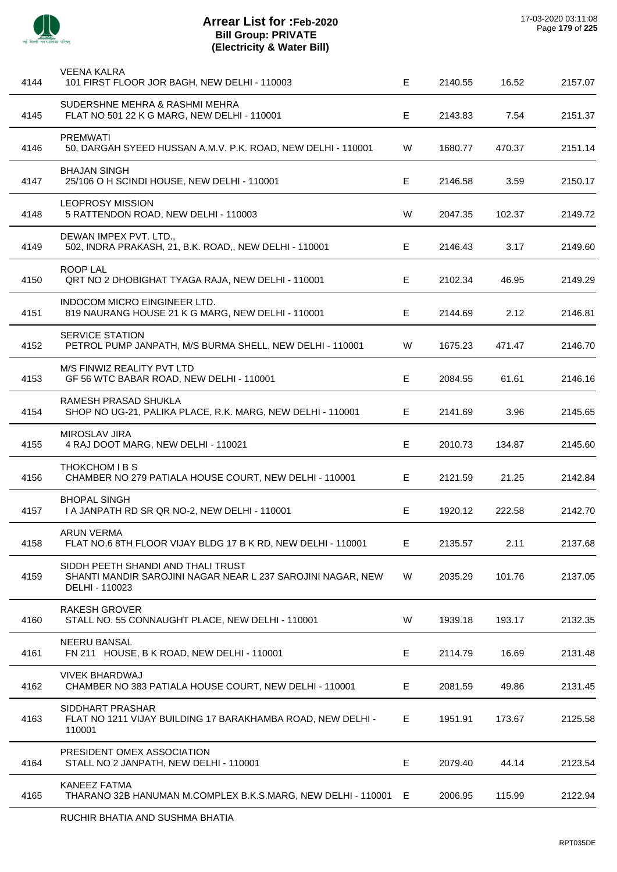

| 4144 | <b>VEENA KALRA</b><br>101 FIRST FLOOR JOR BAGH, NEW DELHI - 110003                                                  | E  | 2140.55 | 16.52  | 2157.07 |
|------|---------------------------------------------------------------------------------------------------------------------|----|---------|--------|---------|
| 4145 | SUDERSHNE MEHRA & RASHMI MEHRA<br>FLAT NO 501 22 K G MARG, NEW DELHI - 110001                                       | E  | 2143.83 | 7.54   | 2151.37 |
| 4146 | <b>PREMWATI</b><br>50, DARGAH SYEED HUSSAN A.M.V. P.K. ROAD, NEW DELHI - 110001                                     | W  | 1680.77 | 470.37 | 2151.14 |
| 4147 | <b>BHAJAN SINGH</b><br>25/106 O H SCINDI HOUSE, NEW DELHI - 110001                                                  | Е  | 2146.58 | 3.59   | 2150.17 |
| 4148 | <b>LEOPROSY MISSION</b><br>5 RATTENDON ROAD, NEW DELHI - 110003                                                     | W  | 2047.35 | 102.37 | 2149.72 |
| 4149 | DEWAN IMPEX PVT. LTD.,<br>502, INDRA PRAKASH, 21, B.K. ROAD,, NEW DELHI - 110001                                    | E. | 2146.43 | 3.17   | 2149.60 |
| 4150 | <b>ROOP LAL</b><br>QRT NO 2 DHOBIGHAT TYAGA RAJA, NEW DELHI - 110001                                                | E  | 2102.34 | 46.95  | 2149.29 |
| 4151 | <b>INDOCOM MICRO EINGINEER LTD.</b><br>819 NAURANG HOUSE 21 K G MARG, NEW DELHI - 110001                            | E  | 2144.69 | 2.12   | 2146.81 |
| 4152 | <b>SERVICE STATION</b><br>PETROL PUMP JANPATH, M/S BURMA SHELL, NEW DELHI - 110001                                  | W  | 1675.23 | 471.47 | 2146.70 |
| 4153 | M/S FINWIZ REALITY PVT LTD<br>GF 56 WTC BABAR ROAD, NEW DELHI - 110001                                              | E. | 2084.55 | 61.61  | 2146.16 |
| 4154 | RAMESH PRASAD SHUKLA<br>SHOP NO UG-21, PALIKA PLACE, R.K. MARG, NEW DELHI - 110001                                  | E  | 2141.69 | 3.96   | 2145.65 |
| 4155 | MIROSLAV JIRA<br>4 RAJ DOOT MARG, NEW DELHI - 110021                                                                | E  | 2010.73 | 134.87 | 2145.60 |
| 4156 | THOKCHOM I B S<br>CHAMBER NO 279 PATIALA HOUSE COURT, NEW DELHI - 110001                                            | E. | 2121.59 | 21.25  | 2142.84 |
| 4157 | <b>BHOPAL SINGH</b><br>I A JANPATH RD SR QR NO-2, NEW DELHI - 110001                                                | Е  | 1920.12 | 222.58 | 2142.70 |
| 4158 | <b>ARUN VERMA</b><br>FLAT NO.6 8TH FLOOR VIJAY BLDG 17 B K RD, NEW DELHI - 110001                                   | E. | 2135.57 | 2.11   | 2137.68 |
| 4159 | SIDDH PEETH SHANDI AND THALI TRUST<br>SHANTI MANDIR SAROJINI NAGAR NEAR L 237 SAROJINI NAGAR, NEW<br>DELHI - 110023 | W  | 2035.29 | 101.76 | 2137.05 |
| 4160 | <b>RAKESH GROVER</b><br>STALL NO. 55 CONNAUGHT PLACE, NEW DELHI - 110001                                            | W  | 1939.18 | 193.17 | 2132.35 |
| 4161 | <b>NEERU BANSAL</b><br>FN 211 HOUSE, B K ROAD, NEW DELHI - 110001                                                   | Е  | 2114.79 | 16.69  | 2131.48 |
| 4162 | <b>VIVEK BHARDWAJ</b><br>CHAMBER NO 383 PATIALA HOUSE COURT, NEW DELHI - 110001                                     | Е  | 2081.59 | 49.86  | 2131.45 |
| 4163 | SIDDHART PRASHAR<br>FLAT NO 1211 VIJAY BUILDING 17 BARAKHAMBA ROAD, NEW DELHI -<br>110001                           | E  | 1951.91 | 173.67 | 2125.58 |
| 4164 | PRESIDENT OMEX ASSOCIATION<br>STALL NO 2 JANPATH, NEW DELHI - 110001                                                | Е  | 2079.40 | 44.14  | 2123.54 |
| 4165 | <b>KANEEZ FATMA</b><br>THARANO 32B HANUMAN M.COMPLEX B.K.S.MARG, NEW DELHI - 110001 E                               |    | 2006.95 | 115.99 | 2122.94 |
|      |                                                                                                                     |    |         |        |         |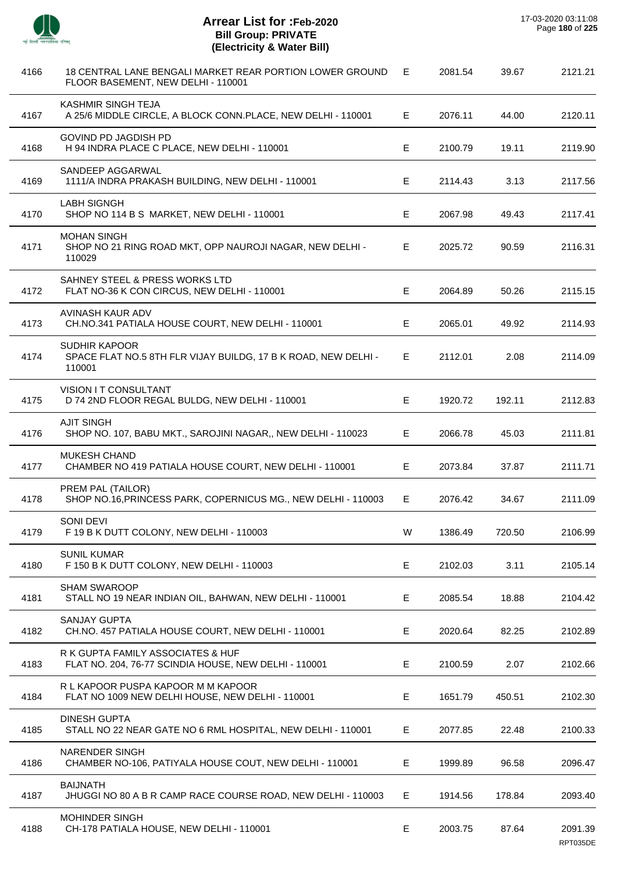

 $\overline{a}$ 

 $\overline{a}$ 

 $\overline{\phantom{a}}$ 

 $\overline{a}$ 

 $\overline{a}$ 

J.

 $\overline{a}$ 

÷.

 $\overline{a}$ 

| 4166 | 18 CENTRAL LANE BENGALI MARKET REAR PORTION LOWER GROUND<br>FLOOR BASEMENT, NEW DELHI - 110001   | E. | 2081.54 | 39.67  | 2121.21             |
|------|--------------------------------------------------------------------------------------------------|----|---------|--------|---------------------|
| 4167 | KASHMIR SINGH TEJA<br>A 25/6 MIDDLE CIRCLE, A BLOCK CONN.PLACE, NEW DELHI - 110001               | E. | 2076.11 | 44.00  | 2120.11             |
| 4168 | <b>GOVIND PD JAGDISH PD</b><br>H 94 INDRA PLACE C PLACE, NEW DELHI - 110001                      | E  | 2100.79 | 19.11  | 2119.90             |
| 4169 | SANDEEP AGGARWAL<br>1111/A INDRA PRAKASH BUILDING, NEW DELHI - 110001                            | E. | 2114.43 | 3.13   | 2117.56             |
| 4170 | <b>LABH SIGNGH</b><br>SHOP NO 114 B S MARKET, NEW DELHI - 110001                                 | E  | 2067.98 | 49.43  | 2117.41             |
| 4171 | <b>MOHAN SINGH</b><br>SHOP NO 21 RING ROAD MKT, OPP NAUROJI NAGAR, NEW DELHI -<br>110029         | E. | 2025.72 | 90.59  | 2116.31             |
| 4172 | SAHNEY STEEL & PRESS WORKS LTD<br>FLAT NO-36 K CON CIRCUS, NEW DELHI - 110001                    | E  | 2064.89 | 50.26  | 2115.15             |
| 4173 | AVINASH KAUR ADV<br>CH.NO.341 PATIALA HOUSE COURT, NEW DELHI - 110001                            | E  | 2065.01 | 49.92  | 2114.93             |
| 4174 | <b>SUDHIR KAPOOR</b><br>SPACE FLAT NO.5 8TH FLR VIJAY BUILDG, 17 B K ROAD, NEW DELHI -<br>110001 | E. | 2112.01 | 2.08   | 2114.09             |
| 4175 | <b>VISION I T CONSULTANT</b><br>D 74 2ND FLOOR REGAL BULDG, NEW DELHI - 110001                   | E  | 1920.72 | 192.11 | 2112.83             |
| 4176 | <b>AJIT SINGH</b><br>SHOP NO. 107, BABU MKT., SAROJINI NAGAR,, NEW DELHI - 110023                | E  | 2066.78 | 45.03  | 2111.81             |
| 4177 | <b>MUKESH CHAND</b><br>CHAMBER NO 419 PATIALA HOUSE COURT, NEW DELHI - 110001                    | E  | 2073.84 | 37.87  | 2111.71             |
| 4178 | PREM PAL (TAILOR)<br>SHOP NO.16, PRINCESS PARK, COPERNICUS MG., NEW DELHI - 110003               | E  | 2076.42 | 34.67  | 2111.09             |
| 4179 | SONI DEVI<br>F 19 B K DUTT COLONY, NEW DELHI - 110003                                            | W  | 1386.49 | 720.50 | 2106.99             |
| 4180 | <b>SUNIL KUMAR</b><br>F 150 B K DUTT COLONY, NEW DELHI - 110003                                  | Е  | 2102.03 | 3.11   | 2105.14             |
| 4181 | <b>SHAM SWAROOP</b><br>STALL NO 19 NEAR INDIAN OIL, BAHWAN, NEW DELHI - 110001                   | Е  | 2085.54 | 18.88  | 2104.42             |
| 4182 | <b>SANJAY GUPTA</b><br>CH.NO. 457 PATIALA HOUSE COURT, NEW DELHI - 110001                        | Е  | 2020.64 | 82.25  | 2102.89             |
| 4183 | R K GUPTA FAMILY ASSOCIATES & HUF<br>FLAT NO. 204, 76-77 SCINDIA HOUSE, NEW DELHI - 110001       | E  | 2100.59 | 2.07   | 2102.66             |
| 4184 | R L KAPOOR PUSPA KAPOOR M M KAPOOR<br>FLAT NO 1009 NEW DELHI HOUSE, NEW DELHI - 110001           | E  | 1651.79 | 450.51 | 2102.30             |
| 4185 | <b>DINESH GUPTA</b><br>STALL NO 22 NEAR GATE NO 6 RML HOSPITAL, NEW DELHI - 110001               | Е  | 2077.85 | 22.48  | 2100.33             |
| 4186 | <b>NARENDER SINGH</b><br>CHAMBER NO-106, PATIYALA HOUSE COUT, NEW DELHI - 110001                 | Е  | 1999.89 | 96.58  | 2096.47             |
| 4187 | <b>BAIJNATH</b><br>JHUGGI NO 80 A B R CAMP RACE COURSE ROAD, NEW DELHI - 110003                  | E  | 1914.56 | 178.84 | 2093.40             |
| 4188 | MOHINDER SINGH<br>CH-178 PATIALA HOUSE, NEW DELHI - 110001                                       | Е  | 2003.75 | 87.64  | 2091.39<br>RPT035DE |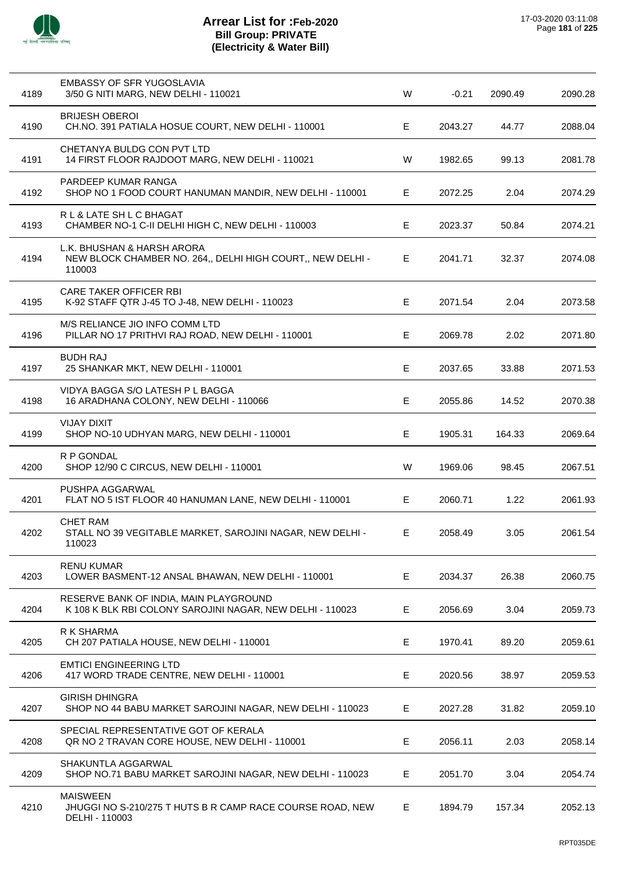

| 4189 | EMBASSY OF SFR YUGOSLAVIA<br>3/50 G NITI MARG, NEW DELHI - 110021                                   | W | $-0.21$ | 2090.49 | 2090.28 |
|------|-----------------------------------------------------------------------------------------------------|---|---------|---------|---------|
| 4190 | <b>BRIJESH OBEROI</b><br>CH.NO. 391 PATIALA HOSUE COURT, NEW DELHI - 110001                         | Е | 2043.27 | 44.77   | 2088.04 |
| 4191 | CHETANYA BULDG CON PVT LTD<br>14 FIRST FLOOR RAJDOOT MARG, NEW DELHI - 110021                       | W | 1982.65 | 99.13   | 2081.78 |
| 4192 | PARDEEP KUMAR RANGA<br>SHOP NO 1 FOOD COURT HANUMAN MANDIR, NEW DELHI - 110001                      | Е | 2072.25 | 2.04    | 2074.29 |
| 4193 | R L & LATE SH L C BHAGAT<br>CHAMBER NO-1 C-II DELHI HIGH C, NEW DELHI - 110003                      | Е | 2023.37 | 50.84   | 2074.21 |
| 4194 | L.K. BHUSHAN & HARSH ARORA<br>NEW BLOCK CHAMBER NO. 264,, DELHI HIGH COURT,, NEW DELHI -<br>110003  | Е | 2041.71 | 32.37   | 2074.08 |
| 4195 | <b>CARE TAKER OFFICER RBI</b><br>K-92 STAFF QTR J-45 TO J-48, NEW DELHI - 110023                    | Е | 2071.54 | 2.04    | 2073.58 |
| 4196 | M/S RELIANCE JIO INFO COMM LTD<br>PILLAR NO 17 PRITHVI RAJ ROAD, NEW DELHI - 110001                 | Е | 2069.78 | 2.02    | 2071.80 |
| 4197 | <b>BUDH RAJ</b><br>25 SHANKAR MKT, NEW DELHI - 110001                                               | E | 2037.65 | 33.88   | 2071.53 |
| 4198 | VIDYA BAGGA S/O LATESH P L BAGGA<br>16 ARADHANA COLONY, NEW DELHI - 110066                          | E | 2055.86 | 14.52   | 2070.38 |
| 4199 | <b>VIJAY DIXIT</b><br>SHOP NO-10 UDHYAN MARG, NEW DELHI - 110001                                    | Е | 1905.31 | 164.33  | 2069.64 |
| 4200 | R P GONDAL<br>SHOP 12/90 C CIRCUS, NEW DELHI - 110001                                               | W | 1969.06 | 98.45   | 2067.51 |
| 4201 | PUSHPA AGGARWAL<br>FLAT NO 5 IST FLOOR 40 HANUMAN LANE, NEW DELHI - 110001                          | Е | 2060.71 | 1.22    | 2061.93 |
| 4202 | <b>CHET RAM</b><br>STALL NO 39 VEGITABLE MARKET, SAROJINI NAGAR, NEW DELHI -<br>110023              | Е | 2058.49 | 3.05    | 2061.54 |
| 4203 | <b>RENU KUMAR</b><br>LOWER BASMENT-12 ANSAL BHAWAN, NEW DELHI - 110001                              | Е | 2034.37 | 26.38   | 2060.75 |
| 4204 | RESERVE BANK OF INDIA, MAIN PLAYGROUND<br>K 108 K BLK RBI COLONY SAROJINI NAGAR, NEW DELHI - 110023 | E | 2056.69 | 3.04    | 2059.73 |
| 4205 | R K SHARMA<br>CH 207 PATIALA HOUSE, NEW DELHI - 110001                                              | Е | 1970.41 | 89.20   | 2059.61 |
| 4206 | <b>EMTICI ENGINEERING LTD</b><br>417 WORD TRADE CENTRE, NEW DELHI - 110001                          | E | 2020.56 | 38.97   | 2059.53 |
| 4207 | <b>GIRISH DHINGRA</b><br>SHOP NO 44 BABU MARKET SAROJINI NAGAR, NEW DELHI - 110023                  | Е | 2027.28 | 31.82   | 2059.10 |
| 4208 | SPECIAL REPRESENTATIVE GOT OF KERALA<br>QR NO 2 TRAVAN CORE HOUSE, NEW DELHI - 110001               | E | 2056.11 | 2.03    | 2058.14 |
| 4209 | SHAKUNTLA AGGARWAL<br>SHOP NO.71 BABU MARKET SAROJINI NAGAR, NEW DELHI - 110023                     | Е | 2051.70 | 3.04    | 2054.74 |
| 4210 | <b>MAISWEEN</b><br>JHUGGI NO S-210/275 T HUTS B R CAMP RACE COURSE ROAD, NEW<br>DELHI - 110003      | Е | 1894.79 | 157.34  | 2052.13 |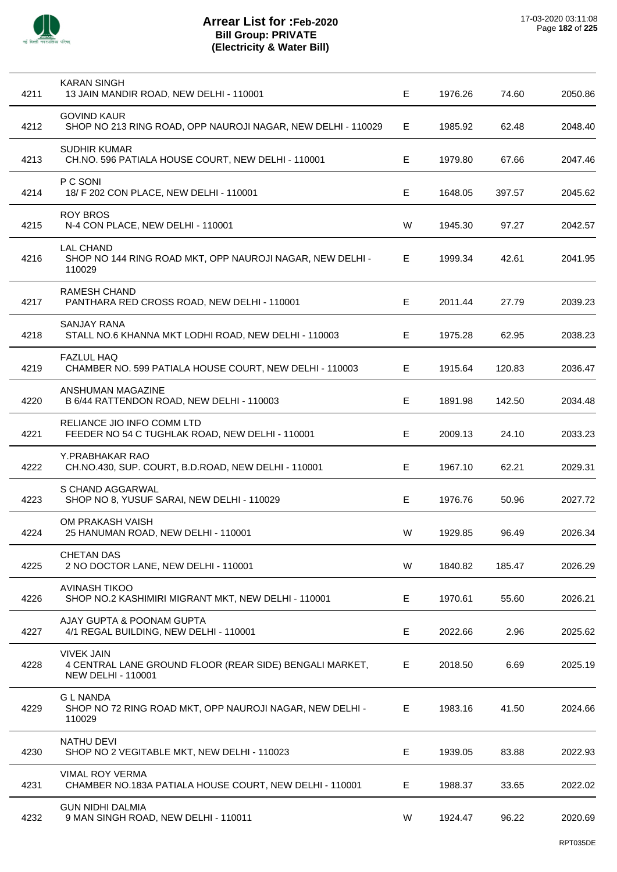

| 4211 | KARAN SINGH<br>13 JAIN MANDIR ROAD, NEW DELHI - 110001                                                    | Е  | 1976.26 | 74.60  | 2050.86 |
|------|-----------------------------------------------------------------------------------------------------------|----|---------|--------|---------|
| 4212 | <b>GOVIND KAUR</b><br>SHOP NO 213 RING ROAD, OPP NAUROJI NAGAR, NEW DELHI - 110029                        | E. | 1985.92 | 62.48  | 2048.40 |
| 4213 | <b>SUDHIR KUMAR</b><br>CH.NO. 596 PATIALA HOUSE COURT, NEW DELHI - 110001                                 | Е  | 1979.80 | 67.66  | 2047.46 |
| 4214 | P C SONI<br>18/ F 202 CON PLACE, NEW DELHI - 110001                                                       | Е  | 1648.05 | 397.57 | 2045.62 |
| 4215 | <b>ROY BROS</b><br>N-4 CON PLACE, NEW DELHI - 110001                                                      | W  | 1945.30 | 97.27  | 2042.57 |
| 4216 | <b>LAL CHAND</b><br>SHOP NO 144 RING ROAD MKT, OPP NAUROJI NAGAR, NEW DELHI -<br>110029                   | E. | 1999.34 | 42.61  | 2041.95 |
| 4217 | <b>RAMESH CHAND</b><br>PANTHARA RED CROSS ROAD, NEW DELHI - 110001                                        | E  | 2011.44 | 27.79  | 2039.23 |
| 4218 | <b>SANJAY RANA</b><br>STALL NO.6 KHANNA MKT LODHI ROAD, NEW DELHI - 110003                                | Е  | 1975.28 | 62.95  | 2038.23 |
| 4219 | <b>FAZLUL HAQ</b><br>CHAMBER NO. 599 PATIALA HOUSE COURT, NEW DELHI - 110003                              | E. | 1915.64 | 120.83 | 2036.47 |
| 4220 | ANSHUMAN MAGAZINE<br>B 6/44 RATTENDON ROAD, NEW DELHI - 110003                                            | E  | 1891.98 | 142.50 | 2034.48 |
| 4221 | RELIANCE JIO INFO COMM LTD<br>FEEDER NO 54 C TUGHLAK ROAD, NEW DELHI - 110001                             | Е  | 2009.13 | 24.10  | 2033.23 |
| 4222 | Y.PRABHAKAR RAO<br>CH.NO.430, SUP. COURT, B.D.ROAD, NEW DELHI - 110001                                    | E  | 1967.10 | 62.21  | 2029.31 |
| 4223 | S CHAND AGGARWAL<br>SHOP NO 8, YUSUF SARAI, NEW DELHI - 110029                                            | Е  | 1976.76 | 50.96  | 2027.72 |
| 4224 | OM PRAKASH VAISH<br>25 HANUMAN ROAD, NEW DELHI - 110001                                                   | W  | 1929.85 | 96.49  | 2026.34 |
| 4225 | <b>CHETAN DAS</b><br>2 NO DOCTOR LANE, NEW DELHI - 110001                                                 | W  | 1840.82 | 185.47 | 2026.29 |
| 4226 | <b>AVINASH TIKOO</b><br>SHOP NO.2 KASHIMIRI MIGRANT MKT, NEW DELHI - 110001                               | E. | 1970.61 | 55.60  | 2026.21 |
| 4227 | AJAY GUPTA & POONAM GUPTA<br>4/1 REGAL BUILDING, NEW DELHI - 110001                                       | E  | 2022.66 | 2.96   | 2025.62 |
| 4228 | <b>VIVEK JAIN</b><br>4 CENTRAL LANE GROUND FLOOR (REAR SIDE) BENGALI MARKET,<br><b>NEW DELHI - 110001</b> | Е  | 2018.50 | 6.69   | 2025.19 |
| 4229 | <b>GL NANDA</b><br>SHOP NO 72 RING ROAD MKT, OPP NAUROJI NAGAR, NEW DELHI -<br>110029                     | Е  | 1983.16 | 41.50  | 2024.66 |
| 4230 | <b>NATHU DEVI</b><br>SHOP NO 2 VEGITABLE MKT, NEW DELHI - 110023                                          | Е  | 1939.05 | 83.88  | 2022.93 |
| 4231 | <b>VIMAL ROY VERMA</b><br>CHAMBER NO.183A PATIALA HOUSE COURT, NEW DELHI - 110001                         | E. | 1988.37 | 33.65  | 2022.02 |
| 4232 | <b>GUN NIDHI DALMIA</b><br>9 MAN SINGH ROAD, NEW DELHI - 110011                                           | W  | 1924.47 | 96.22  | 2020.69 |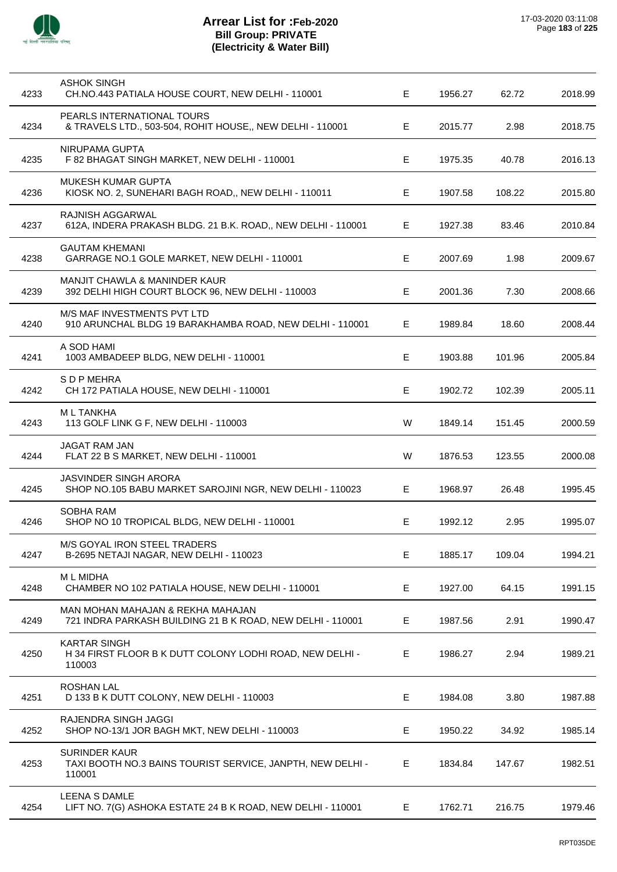

| 4233 | <b>ASHOK SINGH</b><br>CH.NO.443 PATIALA HOUSE COURT, NEW DELHI - 110001                         | Е  | 1956.27 | 62.72  | 2018.99 |
|------|-------------------------------------------------------------------------------------------------|----|---------|--------|---------|
| 4234 | PEARLS INTERNATIONAL TOURS<br>& TRAVELS LTD., 503-504, ROHIT HOUSE,, NEW DELHI - 110001         | E. | 2015.77 | 2.98   | 2018.75 |
| 4235 | NIRUPAMA GUPTA<br>F 82 BHAGAT SINGH MARKET, NEW DELHI - 110001                                  | Е  | 1975.35 | 40.78  | 2016.13 |
| 4236 | <b>MUKESH KUMAR GUPTA</b><br>KIOSK NO. 2, SUNEHARI BAGH ROAD,, NEW DELHI - 110011               | E. | 1907.58 | 108.22 | 2015.80 |
| 4237 | <b>RAJNISH AGGARWAL</b><br>612A, INDERA PRAKASH BLDG. 21 B.K. ROAD,, NEW DELHI - 110001         | Е  | 1927.38 | 83.46  | 2010.84 |
| 4238 | <b>GAUTAM KHEMANI</b><br>GARRAGE NO.1 GOLE MARKET, NEW DELHI - 110001                           | Е  | 2007.69 | 1.98   | 2009.67 |
| 4239 | <b>MANJIT CHAWLA &amp; MANINDER KAUR</b><br>392 DELHI HIGH COURT BLOCK 96, NEW DELHI - 110003   | Е  | 2001.36 | 7.30   | 2008.66 |
| 4240 | M/S MAF INVESTMENTS PVT LTD<br>910 ARUNCHAL BLDG 19 BARAKHAMBA ROAD, NEW DELHI - 110001         | Е  | 1989.84 | 18.60  | 2008.44 |
| 4241 | A SOD HAMI<br>1003 AMBADEEP BLDG, NEW DELHI - 110001                                            | Е  | 1903.88 | 101.96 | 2005.84 |
| 4242 | S D P MEHRA<br>CH 172 PATIALA HOUSE, NEW DELHI - 110001                                         | E  | 1902.72 | 102.39 | 2005.11 |
| 4243 | <b>ML TANKHA</b><br>113 GOLF LINK G F, NEW DELHI - 110003                                       | W  | 1849.14 | 151.45 | 2000.59 |
| 4244 | JAGAT RAM JAN<br>FLAT 22 B S MARKET, NEW DELHI - 110001                                         | W  | 1876.53 | 123.55 | 2000.08 |
| 4245 | JASVINDER SINGH ARORA<br>SHOP NO.105 BABU MARKET SAROJINI NGR, NEW DELHI - 110023               | Е  | 1968.97 | 26.48  | 1995.45 |
| 4246 | <b>SOBHA RAM</b><br>SHOP NO 10 TROPICAL BLDG, NEW DELHI - 110001                                | Е  | 1992.12 | 2.95   | 1995.07 |
| 4247 | M/S GOYAL IRON STEEL TRADERS<br>B-2695 NETAJI NAGAR, NEW DELHI - 110023                         | Е  | 1885.17 | 109.04 | 1994.21 |
| 4248 | <b>ML MIDHA</b><br>CHAMBER NO 102 PATIALA HOUSE, NEW DELHI - 110001                             | Е  | 1927.00 | 64.15  | 1991.15 |
| 4249 | MAN MOHAN MAHAJAN & REKHA MAHAJAN<br>721 INDRA PARKASH BUILDING 21 B K ROAD, NEW DELHI - 110001 | Е  | 1987.56 | 2.91   | 1990.47 |
| 4250 | <b>KARTAR SINGH</b><br>H 34 FIRST FLOOR B K DUTT COLONY LODHI ROAD, NEW DELHI -<br>110003       | Е  | 1986.27 | 2.94   | 1989.21 |
| 4251 | <b>ROSHAN LAL</b><br>D 133 B K DUTT COLONY, NEW DELHI - 110003                                  | Е  | 1984.08 | 3.80   | 1987.88 |
| 4252 | RAJENDRA SINGH JAGGI<br>SHOP NO-13/1 JOR BAGH MKT, NEW DELHI - 110003                           | Е  | 1950.22 | 34.92  | 1985.14 |
| 4253 | <b>SURINDER KAUR</b><br>TAXI BOOTH NO.3 BAINS TOURIST SERVICE, JANPTH, NEW DELHI -<br>110001    | E. | 1834.84 | 147.67 | 1982.51 |
| 4254 | LEENA S DAMLE<br>LIFT NO. 7(G) ASHOKA ESTATE 24 B K ROAD, NEW DELHI - 110001                    | E  | 1762.71 | 216.75 | 1979.46 |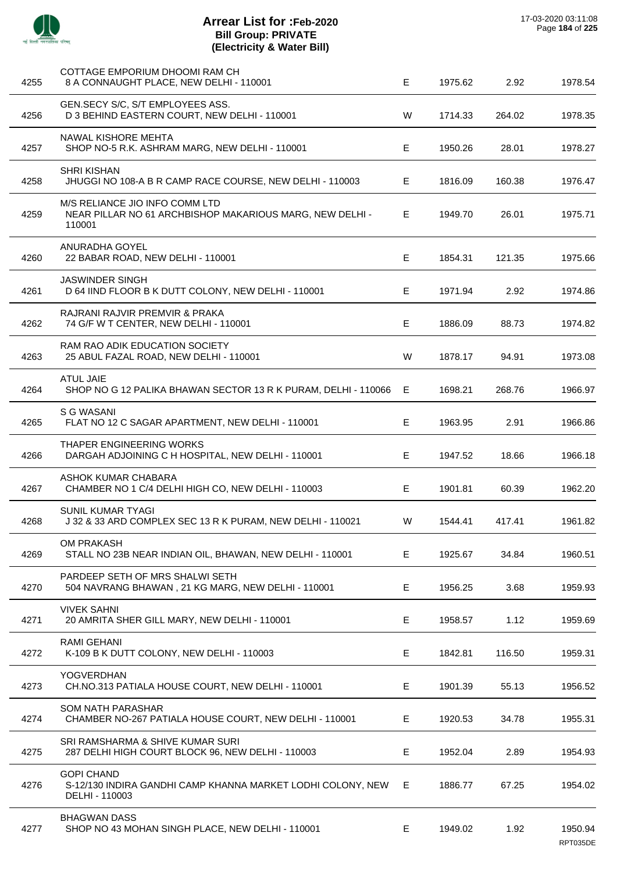| 4255 | COTTAGE EMPORIUM DHOOMI RAM CH<br>8 A CONNAUGHT PLACE, NEW DELHI - 110001                            | E  | 1975.62 | 2.92   | 1978.54             |
|------|------------------------------------------------------------------------------------------------------|----|---------|--------|---------------------|
| 4256 | GEN.SECY S/C, S/T EMPLOYEES ASS.<br>D 3 BEHIND EASTERN COURT, NEW DELHI - 110001                     | W  | 1714.33 | 264.02 | 1978.35             |
| 4257 | NAWAL KISHORE MEHTA<br>SHOP NO-5 R.K. ASHRAM MARG, NEW DELHI - 110001                                | Е  | 1950.26 | 28.01  | 1978.27             |
| 4258 | <b>SHRI KISHAN</b><br>JHUGGI NO 108-A B R CAMP RACE COURSE, NEW DELHI - 110003                       | Е  | 1816.09 | 160.38 | 1976.47             |
| 4259 | M/S RELIANCE JIO INFO COMM LTD<br>NEAR PILLAR NO 61 ARCHBISHOP MAKARIOUS MARG, NEW DELHI -<br>110001 | Е  | 1949.70 | 26.01  | 1975.71             |
| 4260 | ANURADHA GOYEL<br>22 BABAR ROAD, NEW DELHI - 110001                                                  | E  | 1854.31 | 121.35 | 1975.66             |
| 4261 | <b>JASWINDER SINGH</b><br>D 64 IIND FLOOR B K DUTT COLONY, NEW DELHI - 110001                        | Е  | 1971.94 | 2.92   | 1974.86             |
| 4262 | RAJRANI RAJVIR PREMVIR & PRAKA<br>74 G/F W T CENTER, NEW DELHI - 110001                              | Е  | 1886.09 | 88.73  | 1974.82             |
| 4263 | RAM RAO ADIK EDUCATION SOCIETY<br>25 ABUL FAZAL ROAD, NEW DELHI - 110001                             | W  | 1878.17 | 94.91  | 1973.08             |
| 4264 | <b>ATUL JAIE</b><br>SHOP NO G 12 PALIKA BHAWAN SECTOR 13 R K PURAM, DELHI - 110066                   | Е  | 1698.21 | 268.76 | 1966.97             |
| 4265 | S G WASANI<br>FLAT NO 12 C SAGAR APARTMENT, NEW DELHI - 110001                                       | Е  | 1963.95 | 2.91   | 1966.86             |
| 4266 | THAPER ENGINEERING WORKS<br>DARGAH ADJOINING C H HOSPITAL, NEW DELHI - 110001                        | Е  | 1947.52 | 18.66  | 1966.18             |
| 4267 | ASHOK KUMAR CHABARA<br>CHAMBER NO 1 C/4 DELHI HIGH CO, NEW DELHI - 110003                            | Е  | 1901.81 | 60.39  | 1962.20             |
| 4268 | <b>SUNIL KUMAR TYAGI</b><br>J 32 & 33 ARD COMPLEX SEC 13 R K PURAM, NEW DELHI - 110021               | W  | 1544.41 | 417.41 | 1961.82             |
| 4269 | OM PRAKASH<br>STALL NO 23B NEAR INDIAN OIL, BHAWAN, NEW DELHI - 110001                               | Е  | 1925.67 | 34.84  | 1960.51             |
| 4270 | PARDEEP SETH OF MRS SHALWI SETH<br>504 NAVRANG BHAWAN, 21 KG MARG, NEW DELHI - 110001                | Е  | 1956.25 | 3.68   | 1959.93             |
| 4271 | <b>VIVEK SAHNI</b><br>20 AMRITA SHER GILL MARY, NEW DELHI - 110001                                   | Е  | 1958.57 | 1.12   | 1959.69             |
| 4272 | RAMI GEHANI<br>K-109 B K DUTT COLONY, NEW DELHI - 110003                                             | Е  | 1842.81 | 116.50 | 1959.31             |
| 4273 | YOGVERDHAN<br>CH.NO.313 PATIALA HOUSE COURT, NEW DELHI - 110001                                      | Е  | 1901.39 | 55.13  | 1956.52             |
| 4274 | SOM NATH PARASHAR<br>CHAMBER NO-267 PATIALA HOUSE COURT, NEW DELHI - 110001                          | Е  | 1920.53 | 34.78  | 1955.31             |
| 4275 | SRI RAMSHARMA & SHIVE KUMAR SURI<br>287 DELHI HIGH COURT BLOCK 96, NEW DELHI - 110003                | E  | 1952.04 | 2.89   | 1954.93             |
| 4276 | <b>GOPI CHAND</b><br>S-12/130 INDIRA GANDHI CAMP KHANNA MARKET LODHI COLONY, NEW<br>DELHI - 110003   | E. | 1886.77 | 67.25  | 1954.02             |
| 4277 | <b>BHAGWAN DASS</b><br>SHOP NO 43 MOHAN SINGH PLACE, NEW DELHI - 110001                              | Е  | 1949.02 | 1.92   | 1950.94<br>RPT035DE |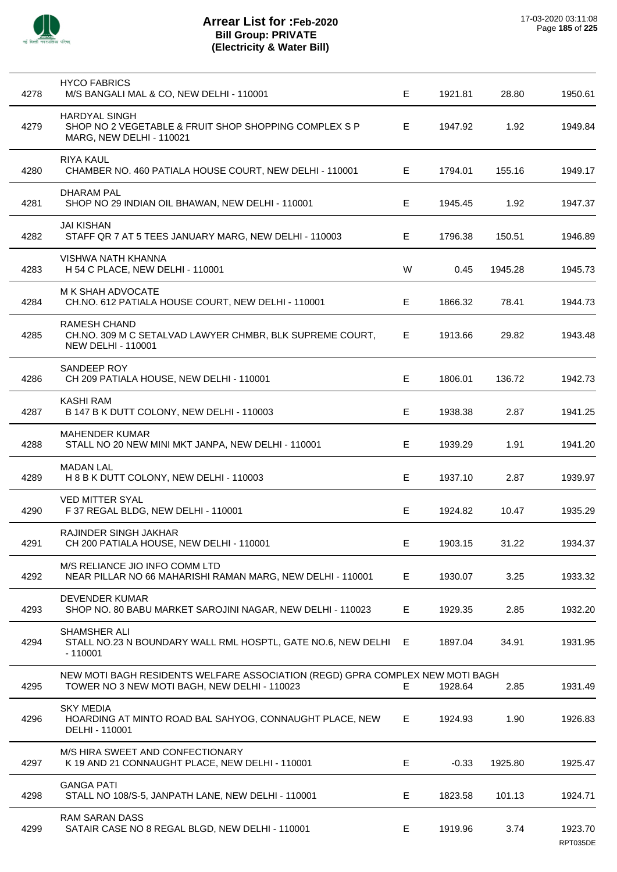

| 4278 | <b>HYCO FABRICS</b><br>M/S BANGALI MAL & CO, NEW DELHI - 110001                                                               | E  | 1921.81 | 28.80   | 1950.61             |
|------|-------------------------------------------------------------------------------------------------------------------------------|----|---------|---------|---------------------|
| 4279 | <b>HARDYAL SINGH</b><br>SHOP NO 2 VEGETABLE & FRUIT SHOP SHOPPING COMPLEX S P<br>MARG, NEW DELHI - 110021                     | E  | 1947.92 | 1.92    | 1949.84             |
| 4280 | <b>RIYA KAUL</b><br>CHAMBER NO. 460 PATIALA HOUSE COURT, NEW DELHI - 110001                                                   | E. | 1794.01 | 155.16  | 1949.17             |
| 4281 | DHARAM PAL<br>SHOP NO 29 INDIAN OIL BHAWAN, NEW DELHI - 110001                                                                | Е  | 1945.45 | 1.92    | 1947.37             |
| 4282 | <b>JAI KISHAN</b><br>STAFF QR 7 AT 5 TEES JANUARY MARG, NEW DELHI - 110003                                                    | E. | 1796.38 | 150.51  | 1946.89             |
| 4283 | VISHWA NATH KHANNA<br>H 54 C PLACE, NEW DELHI - 110001                                                                        | W  | 0.45    | 1945.28 | 1945.73             |
| 4284 | M K SHAH ADVOCATE<br>CH.NO. 612 PATIALA HOUSE COURT, NEW DELHI - 110001                                                       | E. | 1866.32 | 78.41   | 1944.73             |
| 4285 | <b>RAMESH CHAND</b><br>CH.NO. 309 M C SETALVAD LAWYER CHMBR, BLK SUPREME COURT,<br><b>NEW DELHI - 110001</b>                  | E. | 1913.66 | 29.82   | 1943.48             |
| 4286 | SANDEEP ROY<br>CH 209 PATIALA HOUSE, NEW DELHI - 110001                                                                       | E  | 1806.01 | 136.72  | 1942.73             |
| 4287 | <b>KASHI RAM</b><br>B 147 B K DUTT COLONY, NEW DELHI - 110003                                                                 | Е  | 1938.38 | 2.87    | 1941.25             |
| 4288 | <b>MAHENDER KUMAR</b><br>STALL NO 20 NEW MINI MKT JANPA, NEW DELHI - 110001                                                   | E  | 1939.29 | 1.91    | 1941.20             |
| 4289 | <b>MADAN LAL</b><br>H 8 B K DUTT COLONY, NEW DELHI - 110003                                                                   | Е  | 1937.10 | 2.87    | 1939.97             |
| 4290 | <b>VED MITTER SYAL</b><br>F 37 REGAL BLDG, NEW DELHI - 110001                                                                 | E. | 1924.82 | 10.47   | 1935.29             |
| 4291 | RAJINDER SINGH JAKHAR<br>CH 200 PATIALA HOUSE, NEW DELHI - 110001                                                             | E. | 1903.15 | 31.22   | 1934.37             |
| 4292 | M/S RELIANCE JIO INFO COMM LTD<br>NEAR PILLAR NO 66 MAHARISHI RAMAN MARG, NEW DELHI - 110001                                  | E  | 1930.07 | 3.25    | 1933.32             |
| 4293 | <b>DEVENDER KUMAR</b><br>SHOP NO. 80 BABU MARKET SAROJINI NAGAR, NEW DELHI - 110023                                           | E. | 1929.35 | 2.85    | 1932.20             |
| 4294 | SHAMSHER ALI<br>STALL NO.23 N BOUNDARY WALL RML HOSPTL, GATE NO.6, NEW DELHI<br>$-110001$                                     | E  | 1897.04 | 34.91   | 1931.95             |
| 4295 | NEW MOTI BAGH RESIDENTS WELFARE ASSOCIATION (REGD) GPRA COMPLEX NEW MOTI BAGH<br>TOWER NO 3 NEW MOTI BAGH, NEW DELHI - 110023 | Е. | 1928.64 | 2.85    | 1931.49             |
| 4296 | <b>SKY MEDIA</b><br>HOARDING AT MINTO ROAD BAL SAHYOG, CONNAUGHT PLACE, NEW<br>DELHI - 110001                                 | E. | 1924.93 | 1.90    | 1926.83             |
| 4297 | M/S HIRA SWEET AND CONFECTIONARY<br>K 19 AND 21 CONNAUGHT PLACE, NEW DELHI - 110001                                           | Е  | $-0.33$ | 1925.80 | 1925.47             |
| 4298 | <b>GANGA PATI</b><br>STALL NO 108/S-5, JANPATH LANE, NEW DELHI - 110001                                                       | E  | 1823.58 | 101.13  | 1924.71             |
| 4299 | <b>RAM SARAN DASS</b><br>SATAIR CASE NO 8 REGAL BLGD, NEW DELHI - 110001                                                      | Е  | 1919.96 | 3.74    | 1923.70<br>RPT035DE |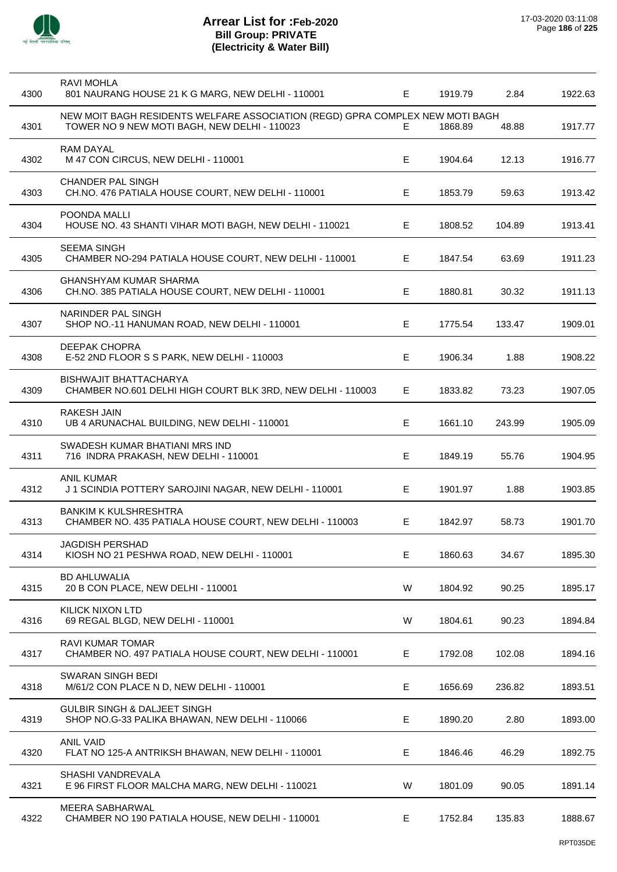

| 4300 | RAVI MOHLA<br>801 NAURANG HOUSE 21 K G MARG, NEW DELHI - 110001                                                               | E. | 1919.79 | 2.84   | 1922.63 |
|------|-------------------------------------------------------------------------------------------------------------------------------|----|---------|--------|---------|
| 4301 | NEW MOIT BAGH RESIDENTS WELFARE ASSOCIATION (REGD) GPRA COMPLEX NEW MOTI BAGH<br>TOWER NO 9 NEW MOTI BAGH, NEW DELHI - 110023 | Е. | 1868.89 | 48.88  | 1917.77 |
| 4302 | <b>RAM DAYAL</b><br>M 47 CON CIRCUS, NEW DELHI - 110001                                                                       | E  | 1904.64 | 12.13  | 1916.77 |
| 4303 | <b>CHANDER PAL SINGH</b><br>CH.NO. 476 PATIALA HOUSE COURT, NEW DELHI - 110001                                                | Е  | 1853.79 | 59.63  | 1913.42 |
| 4304 | POONDA MALLI<br>HOUSE NO. 43 SHANTI VIHAR MOTI BAGH, NEW DELHI - 110021                                                       | Е  | 1808.52 | 104.89 | 1913.41 |
| 4305 | <b>SEEMA SINGH</b><br>CHAMBER NO-294 PATIALA HOUSE COURT, NEW DELHI - 110001                                                  | E. | 1847.54 | 63.69  | 1911.23 |
| 4306 | <b>GHANSHYAM KUMAR SHARMA</b><br>CH.NO. 385 PATIALA HOUSE COURT, NEW DELHI - 110001                                           | Е  | 1880.81 | 30.32  | 1911.13 |
| 4307 | NARINDER PAL SINGH<br>SHOP NO.-11 HANUMAN ROAD, NEW DELHI - 110001                                                            | E  | 1775.54 | 133.47 | 1909.01 |
| 4308 | DEEPAK CHOPRA<br>E-52 2ND FLOOR S S PARK, NEW DELHI - 110003                                                                  | E  | 1906.34 | 1.88   | 1908.22 |
| 4309 | <b>BISHWAJIT BHATTACHARYA</b><br>CHAMBER NO.601 DELHI HIGH COURT BLK 3RD, NEW DELHI - 110003                                  | E. | 1833.82 | 73.23  | 1907.05 |
| 4310 | <b>RAKESH JAIN</b><br>UB 4 ARUNACHAL BUILDING, NEW DELHI - 110001                                                             | Е  | 1661.10 | 243.99 | 1905.09 |
| 4311 | SWADESH KUMAR BHATIANI MRS IND<br>716 INDRA PRAKASH, NEW DELHI - 110001                                                       | E  | 1849.19 | 55.76  | 1904.95 |
| 4312 | <b>ANIL KUMAR</b><br>J1 SCINDIA POTTERY SAROJINI NAGAR, NEW DELHI - 110001                                                    | E. | 1901.97 | 1.88   | 1903.85 |
| 4313 | <b>BANKIM K KULSHRESHTRA</b><br>CHAMBER NO. 435 PATIALA HOUSE COURT, NEW DELHI - 110003                                       | Е  | 1842.97 | 58.73  | 1901.70 |
| 4314 | <b>JAGDISH PERSHAD</b><br>KIOSH NO 21 PESHWA ROAD, NEW DELHI - 110001                                                         | Е  | 1860.63 | 34.67  | 1895.30 |
| 4315 | <b>BD AHLUWALIA</b><br>20 B CON PLACE, NEW DELHI - 110001                                                                     | W  | 1804.92 | 90.25  | 1895.17 |
| 4316 | <b>KILICK NIXON LTD</b><br>69 REGAL BLGD, NEW DELHI - 110001                                                                  | W  | 1804.61 | 90.23  | 1894.84 |
| 4317 | <b>RAVI KUMAR TOMAR</b><br>CHAMBER NO. 497 PATIALA HOUSE COURT, NEW DELHI - 110001                                            | Е  | 1792.08 | 102.08 | 1894.16 |
| 4318 | SWARAN SINGH BEDI<br>M/61/2 CON PLACE N D, NEW DELHI - 110001                                                                 | E  | 1656.69 | 236.82 | 1893.51 |
| 4319 | <b>GULBIR SINGH &amp; DALJEET SINGH</b><br>SHOP NO.G-33 PALIKA BHAWAN, NEW DELHI - 110066                                     | E  | 1890.20 | 2.80   | 1893.00 |
| 4320 | <b>ANIL VAID</b><br>FLAT NO 125-A ANTRIKSH BHAWAN, NEW DELHI - 110001                                                         | Е  | 1846.46 | 46.29  | 1892.75 |
| 4321 | SHASHI VANDREVALA<br>E 96 FIRST FLOOR MALCHA MARG, NEW DELHI - 110021                                                         | W  | 1801.09 | 90.05  | 1891.14 |
| 4322 | MEERA SABHARWAL<br>CHAMBER NO 190 PATIALA HOUSE, NEW DELHI - 110001                                                           | Е  | 1752.84 | 135.83 | 1888.67 |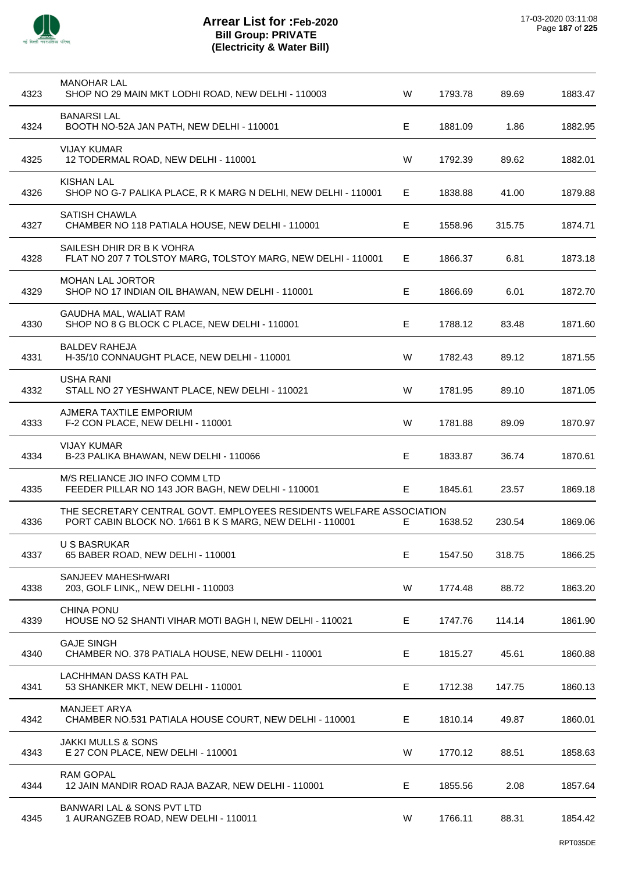

 $\overline{a}$ 

l,

 $\overline{a}$ 

 $\overline{a}$ 

l,

| 4323 | <b>MANOHAR LAL</b><br>SHOP NO 29 MAIN MKT LODHI ROAD, NEW DELHI - 110003                                                         | W  | 1793.78 | 89.69  | 1883.47 |
|------|----------------------------------------------------------------------------------------------------------------------------------|----|---------|--------|---------|
| 4324 | <b>BANARSILAL</b><br>BOOTH NO-52A JAN PATH, NEW DELHI - 110001                                                                   | E. | 1881.09 | 1.86   | 1882.95 |
| 4325 | <b>VIJAY KUMAR</b><br>12 TODERMAL ROAD, NEW DELHI - 110001                                                                       | W  | 1792.39 | 89.62  | 1882.01 |
| 4326 | <b>KISHAN LAL</b><br>SHOP NO G-7 PALIKA PLACE, R K MARG N DELHI, NEW DELHI - 110001                                              | Е  | 1838.88 | 41.00  | 1879.88 |
| 4327 | <b>SATISH CHAWLA</b><br>CHAMBER NO 118 PATIALA HOUSE, NEW DELHI - 110001                                                         | Е  | 1558.96 | 315.75 | 1874.71 |
| 4328 | SAILESH DHIR DR B K VOHRA<br>FLAT NO 207 7 TOLSTOY MARG, TOLSTOY MARG, NEW DELHI - 110001                                        | E. | 1866.37 | 6.81   | 1873.18 |
| 4329 | <b>MOHAN LAL JORTOR</b><br>SHOP NO 17 INDIAN OIL BHAWAN, NEW DELHI - 110001                                                      | E  | 1866.69 | 6.01   | 1872.70 |
| 4330 | GAUDHA MAL, WALIAT RAM<br>SHOP NO 8 G BLOCK C PLACE, NEW DELHI - 110001                                                          | Е  | 1788.12 | 83.48  | 1871.60 |
| 4331 | <b>BALDEV RAHEJA</b><br>H-35/10 CONNAUGHT PLACE, NEW DELHI - 110001                                                              | W  | 1782.43 | 89.12  | 1871.55 |
| 4332 | <b>USHA RANI</b><br>STALL NO 27 YESHWANT PLACE, NEW DELHI - 110021                                                               | W  | 1781.95 | 89.10  | 1871.05 |
| 4333 | AJMERA TAXTILE EMPORIUM<br>F-2 CON PLACE, NEW DELHI - 110001                                                                     | W  | 1781.88 | 89.09  | 1870.97 |
| 4334 | <b>VIJAY KUMAR</b><br>B-23 PALIKA BHAWAN, NEW DELHI - 110066                                                                     | Е  | 1833.87 | 36.74  | 1870.61 |
| 4335 | M/S RELIANCE JIO INFO COMM LTD<br>FEEDER PILLAR NO 143 JOR BAGH, NEW DELHI - 110001                                              | Е  | 1845.61 | 23.57  | 1869.18 |
| 4336 | THE SECRETARY CENTRAL GOVT. EMPLOYEES RESIDENTS WELFARE ASSOCIATION<br>PORT CABIN BLOCK NO. 1/661 B K S MARG, NEW DELHI - 110001 | E  | 1638.52 | 230.54 | 1869.06 |
| 4337 | U S BASRUKAR<br>65 BABER ROAD, NEW DELHI - 110001                                                                                | E  | 1547.50 | 318.75 | 1866.25 |
| 4338 | SANJEEV MAHESHWARI<br>203, GOLF LINK,, NEW DELHI - 110003                                                                        | W  | 1774.48 | 88.72  | 1863.20 |
| 4339 | <b>CHINA PONU</b><br>HOUSE NO 52 SHANTI VIHAR MOTI BAGH I, NEW DELHI - 110021                                                    | E  | 1747.76 | 114.14 | 1861.90 |
| 4340 | <b>GAJE SINGH</b><br>CHAMBER NO. 378 PATIALA HOUSE, NEW DELHI - 110001                                                           | Е  | 1815.27 | 45.61  | 1860.88 |
| 4341 | LACHHMAN DASS KATH PAL<br>53 SHANKER MKT, NEW DELHI - 110001                                                                     | Е  | 1712.38 | 147.75 | 1860.13 |
| 4342 | MANJEET ARYA<br>CHAMBER NO.531 PATIALA HOUSE COURT, NEW DELHI - 110001                                                           | Е  | 1810.14 | 49.87  | 1860.01 |
| 4343 | <b>JAKKI MULLS &amp; SONS</b><br>E 27 CON PLACE, NEW DELHI - 110001                                                              | W  | 1770.12 | 88.51  | 1858.63 |
| 4344 | <b>RAM GOPAL</b><br>12 JAIN MANDIR ROAD RAJA BAZAR, NEW DELHI - 110001                                                           | Е  | 1855.56 | 2.08   | 1857.64 |
| 4345 | BANWARI LAL & SONS PVT LTD<br>1 AURANGZEB ROAD, NEW DELHI - 110011                                                               | W  | 1766.11 | 88.31  | 1854.42 |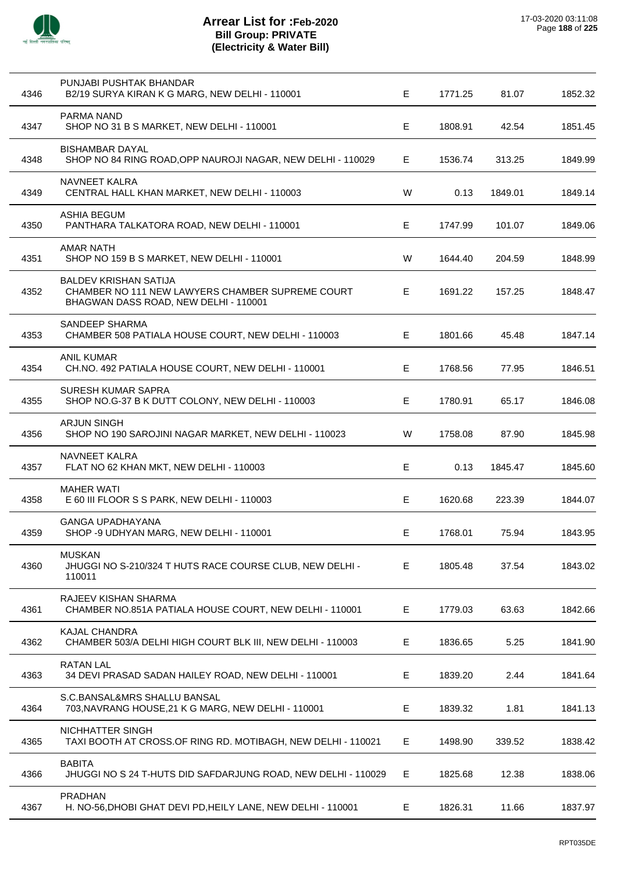

| 4346 | PUNJABI PUSHTAK BHANDAR<br>B2/19 SURYA KIRAN K G MARG, NEW DELHI - 110001                                                 | E | 1771.25 | 81.07   | 1852.32 |
|------|---------------------------------------------------------------------------------------------------------------------------|---|---------|---------|---------|
| 4347 | PARMA NAND<br>SHOP NO 31 B S MARKET, NEW DELHI - 110001                                                                   | Е | 1808.91 | 42.54   | 1851.45 |
| 4348 | <b>BISHAMBAR DAYAL</b><br>SHOP NO 84 RING ROAD, OPP NAUROJI NAGAR, NEW DELHI - 110029                                     | Е | 1536.74 | 313.25  | 1849.99 |
| 4349 | NAVNEET KALRA<br>CENTRAL HALL KHAN MARKET, NEW DELHI - 110003                                                             | W | 0.13    | 1849.01 | 1849.14 |
| 4350 | ASHIA BEGUM<br>PANTHARA TALKATORA ROAD, NEW DELHI - 110001                                                                | Е | 1747.99 | 101.07  | 1849.06 |
| 4351 | <b>AMAR NATH</b><br>SHOP NO 159 B S MARKET, NEW DELHI - 110001                                                            | W | 1644.40 | 204.59  | 1848.99 |
| 4352 | <b>BALDEV KRISHAN SATIJA</b><br>CHAMBER NO 111 NEW LAWYERS CHAMBER SUPREME COURT<br>BHAGWAN DASS ROAD, NEW DELHI - 110001 | E | 1691.22 | 157.25  | 1848.47 |
| 4353 | SANDEEP SHARMA<br>CHAMBER 508 PATIALA HOUSE COURT, NEW DELHI - 110003                                                     | Е | 1801.66 | 45.48   | 1847.14 |
| 4354 | <b>ANIL KUMAR</b><br>CH.NO. 492 PATIALA HOUSE COURT, NEW DELHI - 110001                                                   | Е | 1768.56 | 77.95   | 1846.51 |
| 4355 | <b>SURESH KUMAR SAPRA</b><br>SHOP NO.G-37 B K DUTT COLONY, NEW DELHI - 110003                                             | Е | 1780.91 | 65.17   | 1846.08 |
| 4356 | <b>ARJUN SINGH</b><br>SHOP NO 190 SAROJINI NAGAR MARKET, NEW DELHI - 110023                                               | W | 1758.08 | 87.90   | 1845.98 |
| 4357 | NAVNEET KALRA<br>FLAT NO 62 KHAN MKT, NEW DELHI - 110003                                                                  | Е | 0.13    | 1845.47 | 1845.60 |
| 4358 | <b>MAHER WATI</b><br>E 60 III FLOOR S S PARK, NEW DELHI - 110003                                                          | Е | 1620.68 | 223.39  | 1844.07 |
| 4359 | GANGA UPADHAYANA<br>SHOP -9 UDHYAN MARG, NEW DELHI - 110001                                                               | Е | 1768.01 | 75.94   | 1843.95 |
|      |                                                                                                                           |   |         |         |         |
| 4360 | <b>MUSKAN</b><br>JHUGGI NO S-210/324 T HUTS RACE COURSE CLUB, NEW DELHI -<br>110011                                       | Е | 1805.48 | 37.54   | 1843.02 |
| 4361 | RAJEEV KISHAN SHARMA<br>CHAMBER NO.851A PATIALA HOUSE COURT, NEW DELHI - 110001                                           | Е | 1779.03 | 63.63   | 1842.66 |
| 4362 | <b>KAJAL CHANDRA</b><br>CHAMBER 503/A DELHI HIGH COURT BLK III, NEW DELHI - 110003                                        | Е | 1836.65 | 5.25    | 1841.90 |
| 4363 | <b>RATAN LAL</b><br>34 DEVI PRASAD SADAN HAILEY ROAD, NEW DELHI - 110001                                                  | Е | 1839.20 | 2.44    | 1841.64 |
| 4364 | S.C.BANSAL&MRS SHALLU BANSAL<br>703, NAVRANG HOUSE, 21 K G MARG, NEW DELHI - 110001                                       | Е | 1839.32 | 1.81    | 1841.13 |
| 4365 | NICHHATTER SINGH<br>TAXI BOOTH AT CROSS.OF RING RD. MOTIBAGH, NEW DELHI - 110021                                          | Е | 1498.90 | 339.52  | 1838.42 |
| 4366 | <b>BABITA</b><br>JHUGGI NO S 24 T-HUTS DID SAFDARJUNG ROAD, NEW DELHI - 110029                                            | Е | 1825.68 | 12.38   | 1838.06 |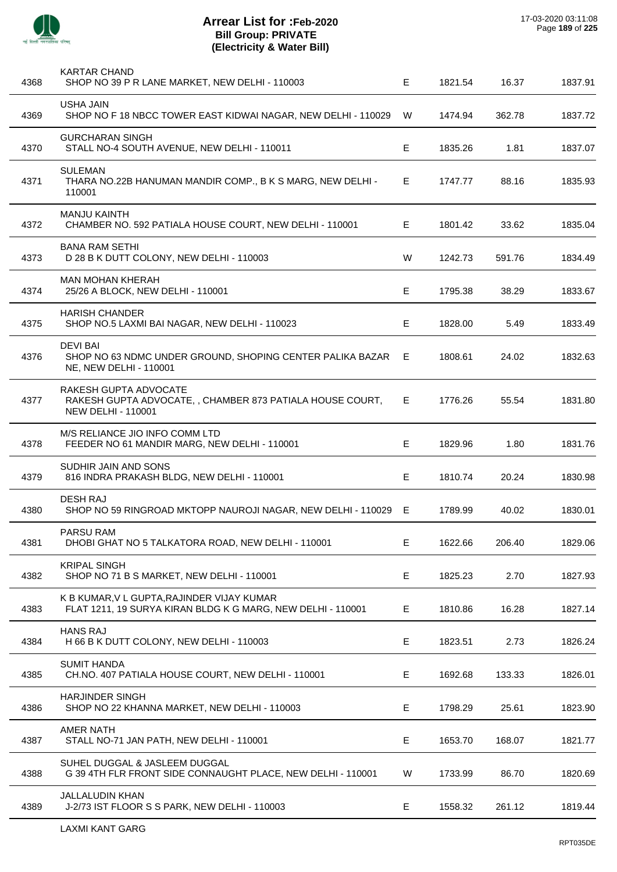

| 4368 | <b>KARTAR CHAND</b><br>SHOP NO 39 P R LANE MARKET, NEW DELHI - 110003                                          | E  | 1821.54 | 16.37  | 1837.91 |
|------|----------------------------------------------------------------------------------------------------------------|----|---------|--------|---------|
| 4369 | USHA JAIN<br>SHOP NO F 18 NBCC TOWER EAST KIDWAI NAGAR, NEW DELHI - 110029                                     | W  | 1474.94 | 362.78 | 1837.72 |
| 4370 | <b>GURCHARAN SINGH</b><br>STALL NO-4 SOUTH AVENUE, NEW DELHI - 110011                                          | Е  | 1835.26 | 1.81   | 1837.07 |
| 4371 | <b>SULEMAN</b><br>THARA NO.22B HANUMAN MANDIR COMP., B K S MARG, NEW DELHI -<br>110001                         | Е  | 1747.77 | 88.16  | 1835.93 |
| 4372 | <b>MANJU KAINTH</b><br>CHAMBER NO. 592 PATIALA HOUSE COURT, NEW DELHI - 110001                                 | Е  | 1801.42 | 33.62  | 1835.04 |
| 4373 | <b>BANA RAM SETHI</b><br>D 28 B K DUTT COLONY, NEW DELHI - 110003                                              | W  | 1242.73 | 591.76 | 1834.49 |
| 4374 | <b>MAN MOHAN KHERAH</b><br>25/26 A BLOCK, NEW DELHI - 110001                                                   | Е  | 1795.38 | 38.29  | 1833.67 |
| 4375 | <b>HARISH CHANDER</b><br>SHOP NO.5 LAXMI BAI NAGAR, NEW DELHI - 110023                                         | Е  | 1828.00 | 5.49   | 1833.49 |
| 4376 | <b>DEVI BAI</b><br>SHOP NO 63 NDMC UNDER GROUND, SHOPING CENTER PALIKA BAZAR E<br>NE, NEW DELHI - 110001       |    | 1808.61 | 24.02  | 1832.63 |
| 4377 | RAKESH GUPTA ADVOCATE<br>RAKESH GUPTA ADVOCATE,, CHAMBER 873 PATIALA HOUSE COURT,<br><b>NEW DELHI - 110001</b> | E. | 1776.26 | 55.54  | 1831.80 |
| 4378 | M/S RELIANCE JIO INFO COMM LTD<br>FEEDER NO 61 MANDIR MARG, NEW DELHI - 110001                                 | E  | 1829.96 | 1.80   | 1831.76 |
| 4379 | SUDHIR JAIN AND SONS<br>816 INDRA PRAKASH BLDG, NEW DELHI - 110001                                             | Е  | 1810.74 | 20.24  | 1830.98 |
| 4380 | <b>DESH RAJ</b><br>SHOP NO 59 RINGROAD MKTOPP NAUROJI NAGAR, NEW DELHI - 110029 E                              |    | 1789.99 | 40.02  | 1830.01 |
| 4381 | PARSU RAM<br>DHOBI GHAT NO 5 TALKATORA ROAD, NEW DELHI - 110001                                                | Е  | 1622.66 | 206.40 | 1829.06 |
| 4382 | <b>KRIPAL SINGH</b><br>SHOP NO 71 B S MARKET, NEW DELHI - 110001                                               | E  | 1825.23 | 2.70   | 1827.93 |
| 4383 | K B KUMAR, V L GUPTA, RAJINDER VIJAY KUMAR<br>FLAT 1211, 19 SURYA KIRAN BLDG K G MARG, NEW DELHI - 110001      | E  | 1810.86 | 16.28  | 1827.14 |
| 4384 | <b>HANS RAJ</b><br>H 66 B K DUTT COLONY, NEW DELHI - 110003                                                    | E  | 1823.51 | 2.73   | 1826.24 |
| 4385 | <b>SUMIT HANDA</b><br>CH.NO. 407 PATIALA HOUSE COURT, NEW DELHI - 110001                                       | Е  | 1692.68 | 133.33 | 1826.01 |
| 4386 | <b>HARJINDER SINGH</b><br>SHOP NO 22 KHANNA MARKET, NEW DELHI - 110003                                         | E  | 1798.29 | 25.61  | 1823.90 |
| 4387 | <b>AMER NATH</b><br>STALL NO-71 JAN PATH, NEW DELHI - 110001                                                   | E  | 1653.70 | 168.07 | 1821.77 |
| 4388 | SUHEL DUGGAL & JASLEEM DUGGAL<br>G 39 4TH FLR FRONT SIDE CONNAUGHT PLACE, NEW DELHI - 110001                   | W  | 1733.99 | 86.70  | 1820.69 |
| 4389 | <b>JALLALUDIN KHAN</b><br>J-2/73 IST FLOOR S S PARK, NEW DELHI - 110003                                        | E  | 1558.32 | 261.12 | 1819.44 |
|      |                                                                                                                |    |         |        |         |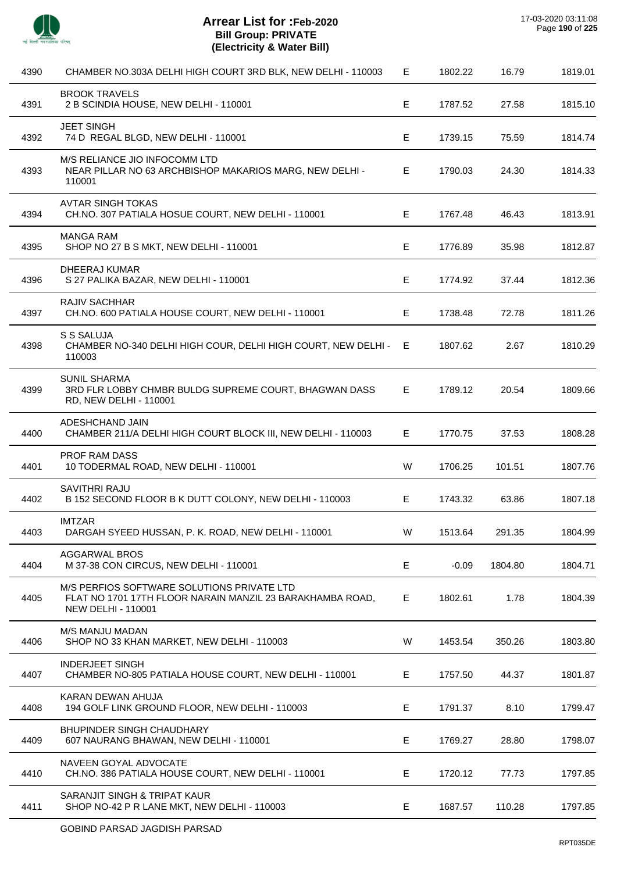

 $\overline{a}$ 

 $\overline{a}$ 

L.

j.

J.

| 4390 | CHAMBER NO.303A DELHI HIGH COURT 3RD BLK, NEW DELHI - 110003                                                                         | Е  | 1802.22 | 16.79   | 1819.01 |
|------|--------------------------------------------------------------------------------------------------------------------------------------|----|---------|---------|---------|
| 4391 | <b>BROOK TRAVELS</b><br>2 B SCINDIA HOUSE, NEW DELHI - 110001                                                                        | Е  | 1787.52 | 27.58   | 1815.10 |
| 4392 | <b>JEET SINGH</b><br>74 D REGAL BLGD, NEW DELHI - 110001                                                                             | Е  | 1739.15 | 75.59   | 1814.74 |
| 4393 | M/S RELIANCE JIO INFOCOMM LTD<br>NEAR PILLAR NO 63 ARCHBISHOP MAKARIOS MARG, NEW DELHI -<br>110001                                   | E  | 1790.03 | 24.30   | 1814.33 |
| 4394 | AVTAR SINGH TOKAS<br>CH.NO. 307 PATIALA HOSUE COURT, NEW DELHI - 110001                                                              | Е  | 1767.48 | 46.43   | 1813.91 |
| 4395 | <b>MANGA RAM</b><br>SHOP NO 27 B S MKT, NEW DELHI - 110001                                                                           | E  | 1776.89 | 35.98   | 1812.87 |
| 4396 | <b>DHEERAJ KUMAR</b><br>S 27 PALIKA BAZAR, NEW DELHI - 110001                                                                        | Е  | 1774.92 | 37.44   | 1812.36 |
| 4397 | RAJIV SACHHAR<br>CH.NO. 600 PATIALA HOUSE COURT, NEW DELHI - 110001                                                                  | Е  | 1738.48 | 72.78   | 1811.26 |
| 4398 | S S SALUJA<br>CHAMBER NO-340 DELHI HIGH COUR, DELHI HIGH COURT, NEW DELHI -<br>110003                                                | E  | 1807.62 | 2.67    | 1810.29 |
| 4399 | <b>SUNIL SHARMA</b><br>3RD FLR LOBBY CHMBR BULDG SUPREME COURT, BHAGWAN DASS<br>RD, NEW DELHI - 110001                               | E. | 1789.12 | 20.54   | 1809.66 |
| 4400 | ADESHCHAND JAIN<br>CHAMBER 211/A DELHI HIGH COURT BLOCK III, NEW DELHI - 110003                                                      | Е  | 1770.75 | 37.53   | 1808.28 |
| 4401 | <b>PROF RAM DASS</b><br>10 TODERMAL ROAD, NEW DELHI - 110001                                                                         | W  | 1706.25 | 101.51  | 1807.76 |
| 4402 | <b>SAVITHRI RAJU</b><br>B 152 SECOND FLOOR B K DUTT COLONY, NEW DELHI - 110003                                                       | Е  | 1743.32 | 63.86   | 1807.18 |
| 4403 | IMTZAR<br>DARGAH SYEED HUSSAN, P. K. ROAD, NEW DELHI - 110001                                                                        | W  | 1513.64 | 291.35  | 1804.99 |
| 4404 | AGGARWAL BROS<br>M 37-38 CON CIRCUS, NEW DELHI - 110001                                                                              | E  | $-0.09$ | 1804.80 | 1804.71 |
| 4405 | M/S PERFIOS SOFTWARE SOLUTIONS PRIVATE LTD<br>FLAT NO 1701 17TH FLOOR NARAIN MANZIL 23 BARAKHAMBA ROAD,<br><b>NEW DELHI - 110001</b> | Е  | 1802.61 | 1.78    | 1804.39 |
| 4406 | <b>M/S MANJU MADAN</b><br>SHOP NO 33 KHAN MARKET, NEW DELHI - 110003                                                                 | W  | 1453.54 | 350.26  | 1803.80 |
| 4407 | <b>INDERJEET SINGH</b><br>CHAMBER NO-805 PATIALA HOUSE COURT, NEW DELHI - 110001                                                     | E  | 1757.50 | 44.37   | 1801.87 |
| 4408 | KARAN DEWAN AHUJA<br>194 GOLF LINK GROUND FLOOR, NEW DELHI - 110003                                                                  | E  | 1791.37 | 8.10    | 1799.47 |
| 4409 | <b>BHUPINDER SINGH CHAUDHARY</b><br>607 NAURANG BHAWAN, NEW DELHI - 110001                                                           | Е  | 1769.27 | 28.80   | 1798.07 |
| 4410 | NAVEEN GOYAL ADVOCATE<br>CH.NO. 386 PATIALA HOUSE COURT, NEW DELHI - 110001                                                          | E  | 1720.12 | 77.73   | 1797.85 |
| 4411 | SARANJIT SINGH & TRIPAT KAUR<br>SHOP NO-42 P R LANE MKT, NEW DELHI - 110003                                                          | E  | 1687.57 | 110.28  | 1797.85 |
|      |                                                                                                                                      |    |         |         |         |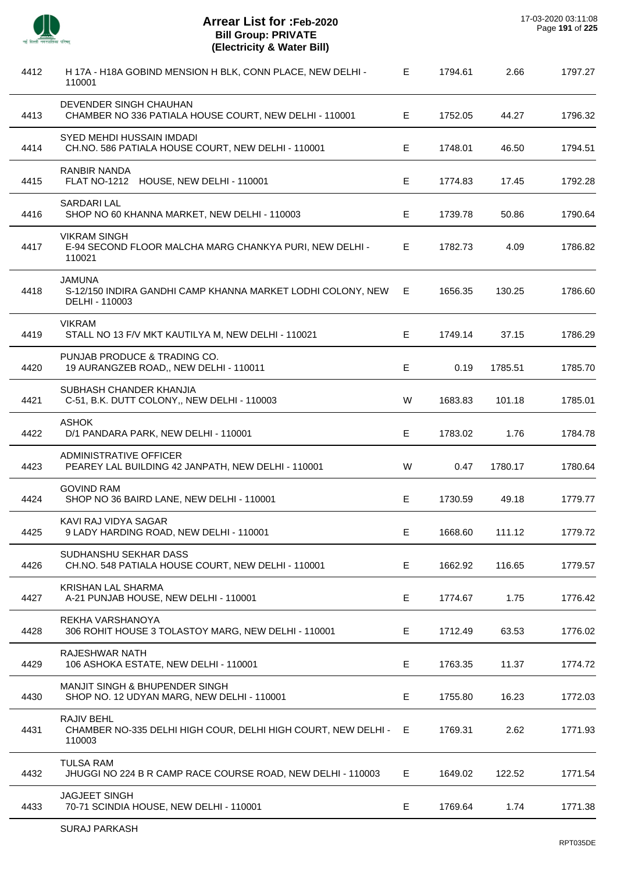

| 4412 | H 17A - H18A GOBIND MENSION H BLK, CONN PLACE, NEW DELHI -<br>110001                           | E. | 1794.61 | 2.66    | 1797.27 |
|------|------------------------------------------------------------------------------------------------|----|---------|---------|---------|
| 4413 | DEVENDER SINGH CHAUHAN<br>CHAMBER NO 336 PATIALA HOUSE COURT, NEW DELHI - 110001               | Е  | 1752.05 | 44.27   | 1796.32 |
| 4414 | SYED MEHDI HUSSAIN IMDADI<br>CH.NO. 586 PATIALA HOUSE COURT, NEW DELHI - 110001                | E  | 1748.01 | 46.50   | 1794.51 |
| 4415 | RANBIR NANDA<br>FLAT NO-1212 HOUSE, NEW DELHI - 110001                                         | E  | 1774.83 | 17.45   | 1792.28 |
| 4416 | <b>SARDARI LAL</b><br>SHOP NO 60 KHANNA MARKET, NEW DELHI - 110003                             | E  | 1739.78 | 50.86   | 1790.64 |
| 4417 | <b>VIKRAM SINGH</b><br>E-94 SECOND FLOOR MALCHA MARG CHANKYA PURI, NEW DELHI -<br>110021       | E  | 1782.73 | 4.09    | 1786.82 |
| 4418 | <b>JAMUNA</b><br>S-12/150 INDIRA GANDHI CAMP KHANNA MARKET LODHI COLONY, NEW<br>DELHI - 110003 | E. | 1656.35 | 130.25  | 1786.60 |
| 4419 | <b>VIKRAM</b><br>STALL NO 13 F/V MKT KAUTILYA M, NEW DELHI - 110021                            | E  | 1749.14 | 37.15   | 1786.29 |
| 4420 | PUNJAB PRODUCE & TRADING CO.<br>19 AURANGZEB ROAD,, NEW DELHI - 110011                         | E  | 0.19    | 1785.51 | 1785.70 |
| 4421 | SUBHASH CHANDER KHANJIA<br>C-51, B.K. DUTT COLONY,, NEW DELHI - 110003                         | W  | 1683.83 | 101.18  | 1785.01 |
| 4422 | <b>ASHOK</b><br>D/1 PANDARA PARK, NEW DELHI - 110001                                           | E  | 1783.02 | 1.76    | 1784.78 |
| 4423 | <b>ADMINISTRATIVE OFFICER</b><br>PEAREY LAL BUILDING 42 JANPATH, NEW DELHI - 110001            | W  | 0.47    | 1780.17 | 1780.64 |
| 4424 | <b>GOVIND RAM</b><br>SHOP NO 36 BAIRD LANE, NEW DELHI - 110001                                 | Е  | 1730.59 | 49.18   | 1779.77 |
| 4425 | KAVI RAJ VIDYA SAGAR<br>9 LADY HARDING ROAD, NEW DELHI - 110001                                | E  | 1668.60 | 111.12  | 1779.72 |
| 4426 | SUDHANSHU SEKHAR DASS<br>CH.NO. 548 PATIALA HOUSE COURT, NEW DELHI - 110001                    | Е  | 1662.92 | 116.65  | 1779.57 |
| 4427 | <b>KRISHAN LAL SHARMA</b><br>A-21 PUNJAB HOUSE, NEW DELHI - 110001                             | E  | 1774.67 | 1.75    | 1776.42 |
| 4428 | REKHA VARSHANOYA<br>306 ROHIT HOUSE 3 TOLASTOY MARG, NEW DELHI - 110001                        | E. | 1712.49 | 63.53   | 1776.02 |
| 4429 | RAJESHWAR NATH<br>106 ASHOKA ESTATE, NEW DELHI - 110001                                        | Е  | 1763.35 | 11.37   | 1774.72 |
| 4430 | MANJIT SINGH & BHUPENDER SINGH<br>SHOP NO. 12 UDYAN MARG, NEW DELHI - 110001                   | E  | 1755.80 | 16.23   | 1772.03 |
| 4431 | RAJIV BEHL<br>CHAMBER NO-335 DELHI HIGH COUR, DELHI HIGH COURT, NEW DELHI - E<br>110003        |    | 1769.31 | 2.62    | 1771.93 |
| 4432 | <b>TULSA RAM</b><br>JHUGGI NO 224 B R CAMP RACE COURSE ROAD, NEW DELHI - 110003                | E. | 1649.02 | 122.52  | 1771.54 |
| 4433 | JAGJEET SINGH<br>70-71 SCINDIA HOUSE, NEW DELHI - 110001                                       | Е  | 1769.64 | 1.74    | 1771.38 |
|      |                                                                                                |    |         |         |         |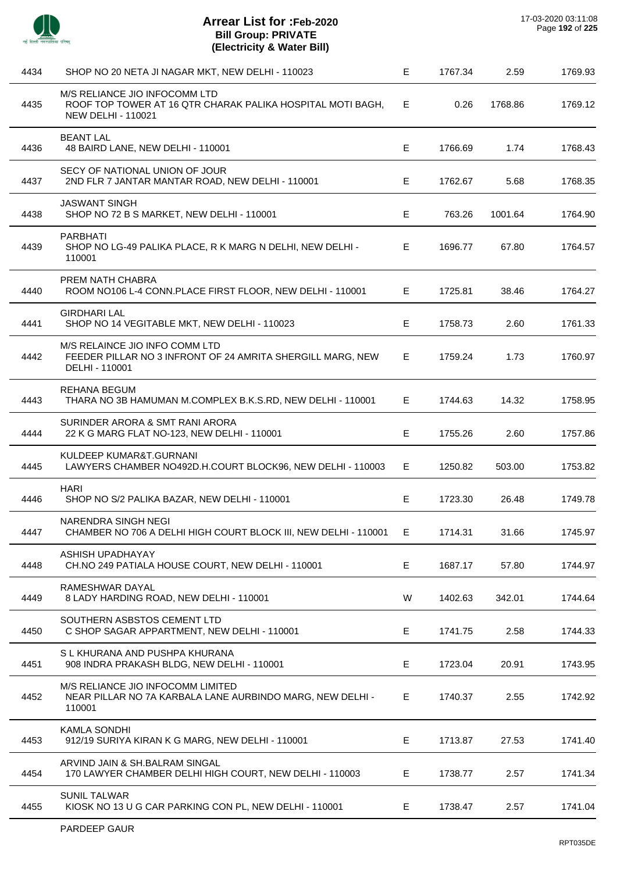

| 4434 | SHOP NO 20 NETA JI NAGAR MKT, NEW DELHI - 110023                                                                         | E  | 1767.34 | 2.59    | 1769.93 |
|------|--------------------------------------------------------------------------------------------------------------------------|----|---------|---------|---------|
| 4435 | M/S RELIANCE JIO INFOCOMM LTD<br>ROOF TOP TOWER AT 16 QTR CHARAK PALIKA HOSPITAL MOTI BAGH,<br><b>NEW DELHI - 110021</b> | Е  | 0.26    | 1768.86 | 1769.12 |
| 4436 | <b>BEANT LAL</b><br>48 BAIRD LANE, NEW DELHI - 110001                                                                    | E  | 1766.69 | 1.74    | 1768.43 |
| 4437 | SECY OF NATIONAL UNION OF JOUR<br>2ND FLR 7 JANTAR MANTAR ROAD, NEW DELHI - 110001                                       | Е  | 1762.67 | 5.68    | 1768.35 |
| 4438 | <b>JASWANT SINGH</b><br>SHOP NO 72 B S MARKET, NEW DELHI - 110001                                                        | Е  | 763.26  | 1001.64 | 1764.90 |
| 4439 | <b>PARBHATI</b><br>SHOP NO LG-49 PALIKA PLACE, R K MARG N DELHI, NEW DELHI -<br>110001                                   | E. | 1696.77 | 67.80   | 1764.57 |
| 4440 | PREM NATH CHABRA<br>ROOM NO106 L-4 CONN.PLACE FIRST FLOOR, NEW DELHI - 110001                                            | E. | 1725.81 | 38.46   | 1764.27 |
| 4441 | <b>GIRDHARI LAL</b><br>SHOP NO 14 VEGITABLE MKT, NEW DELHI - 110023                                                      | Е  | 1758.73 | 2.60    | 1761.33 |
| 4442 | M/S RELAINCE JIO INFO COMM LTD<br>FEEDER PILLAR NO 3 INFRONT OF 24 AMRITA SHERGILL MARG, NEW<br>DELHI - 110001           | E. | 1759.24 | 1.73    | 1760.97 |
| 4443 | REHANA BEGUM<br>THARA NO 3B HAMUMAN M.COMPLEX B.K.S.RD, NEW DELHI - 110001                                               | E. | 1744.63 | 14.32   | 1758.95 |
| 4444 | SURINDER ARORA & SMT RANI ARORA<br>22 K G MARG FLAT NO-123, NEW DELHI - 110001                                           | E  | 1755.26 | 2.60    | 1757.86 |
| 4445 | KULDEEP KUMAR&T.GURNANI<br>LAWYERS CHAMBER NO492D.H.COURT BLOCK96, NEW DELHI - 110003                                    | Е  | 1250.82 | 503.00  | 1753.82 |
| 4446 | <b>HARI</b><br>SHOP NO S/2 PALIKA BAZAR, NEW DELHI - 110001                                                              | Е  | 1723.30 | 26.48   | 1749.78 |
| 4447 | NARENDRA SINGH NEGI<br>CHAMBER NO 706 A DELHI HIGH COURT BLOCK III, NEW DELHI - 110001                                   | Е  | 1714.31 | 31.66   | 1745.97 |
| 4448 | ASHISH UPADHAYAY<br>CH.NO 249 PATIALA HOUSE COURT, NEW DELHI - 110001                                                    | Е  | 1687.17 | 57.80   | 1744.97 |
| 4449 | RAMESHWAR DAYAL<br>8 LADY HARDING ROAD, NEW DELHI - 110001                                                               | W  | 1402.63 | 342.01  | 1744.64 |
| 4450 | SOUTHERN ASBSTOS CEMENT LTD<br>C SHOP SAGAR APPARTMENT, NEW DELHI - 110001                                               | Е  | 1741.75 | 2.58    | 1744.33 |
| 4451 | S L KHURANA AND PUSHPA KHURANA<br>908 INDRA PRAKASH BLDG, NEW DELHI - 110001                                             | Е  | 1723.04 | 20.91   | 1743.95 |
| 4452 | M/S RELIANCE JIO INFOCOMM LIMITED<br>NEAR PILLAR NO 7A KARBALA LANE AURBINDO MARG, NEW DELHI -<br>110001                 | Е  | 1740.37 | 2.55    | 1742.92 |
| 4453 | <b>KAMLA SONDHI</b><br>912/19 SURIYA KIRAN K G MARG, NEW DELHI - 110001                                                  | Е  | 1713.87 | 27.53   | 1741.40 |
| 4454 | ARVIND JAIN & SH.BALRAM SINGAL<br>170 LAWYER CHAMBER DELHI HIGH COURT, NEW DELHI - 110003                                | Е  | 1738.77 | 2.57    | 1741.34 |
| 4455 | <b>SUNIL TALWAR</b><br>KIOSK NO 13 U G CAR PARKING CON PL, NEW DELHI - 110001                                            | Е  | 1738.47 | 2.57    | 1741.04 |
|      |                                                                                                                          |    |         |         |         |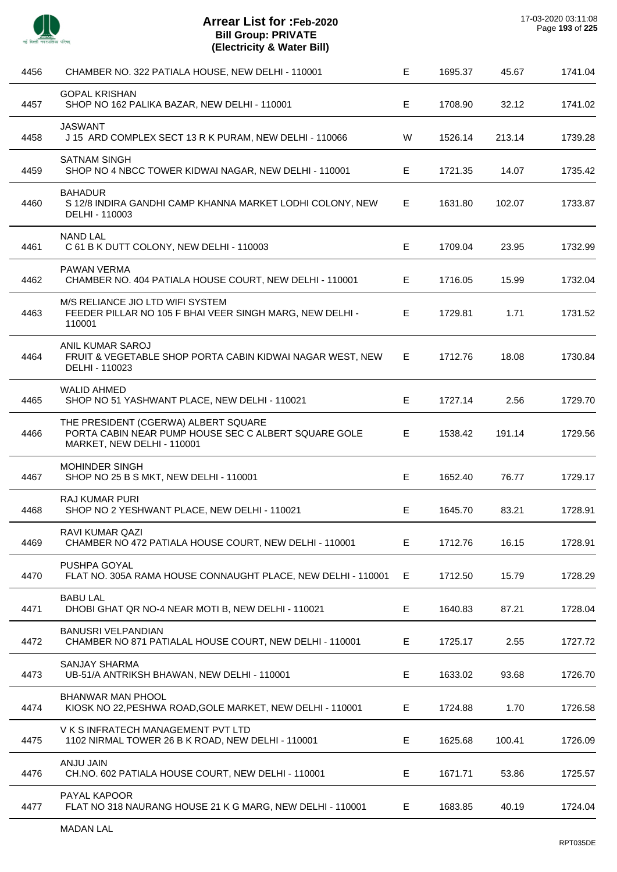

J.

 $\overline{a}$ 

l,

l,

J.

| 4456 | CHAMBER NO. 322 PATIALA HOUSE, NEW DELHI - 110001                                                                          | Е  | 1695.37 | 45.67  | 1741.04 |
|------|----------------------------------------------------------------------------------------------------------------------------|----|---------|--------|---------|
| 4457 | <b>GOPAL KRISHAN</b><br>SHOP NO 162 PALIKA BAZAR, NEW DELHI - 110001                                                       | E  | 1708.90 | 32.12  | 1741.02 |
| 4458 | JASWANT<br>J 15 ARD COMPLEX SECT 13 R K PURAM, NEW DELHI - 110066                                                          | W  | 1526.14 | 213.14 | 1739.28 |
| 4459 | <b>SATNAM SINGH</b><br>SHOP NO 4 NBCC TOWER KIDWAI NAGAR, NEW DELHI - 110001                                               | Е  | 1721.35 | 14.07  | 1735.42 |
| 4460 | <b>BAHADUR</b><br>S 12/8 INDIRA GANDHI CAMP KHANNA MARKET LODHI COLONY, NEW<br>DELHI - 110003                              | E. | 1631.80 | 102.07 | 1733.87 |
| 4461 | <b>NAND LAL</b><br>C 61 B K DUTT COLONY, NEW DELHI - 110003                                                                | E  | 1709.04 | 23.95  | 1732.99 |
| 4462 | <b>PAWAN VERMA</b><br>CHAMBER NO. 404 PATIALA HOUSE COURT, NEW DELHI - 110001                                              | E. | 1716.05 | 15.99  | 1732.04 |
| 4463 | M/S RELIANCE JIO LTD WIFI SYSTEM<br>FEEDER PILLAR NO 105 F BHAI VEER SINGH MARG, NEW DELHI -<br>110001                     | E. | 1729.81 | 1.71   | 1731.52 |
| 4464 | ANIL KUMAR SAROJ<br>FRUIT & VEGETABLE SHOP PORTA CABIN KIDWAI NAGAR WEST, NEW<br>DELHI - 110023                            | E  | 1712.76 | 18.08  | 1730.84 |
| 4465 | <b>WALID AHMED</b><br>SHOP NO 51 YASHWANT PLACE, NEW DELHI - 110021                                                        | E  | 1727.14 | 2.56   | 1729.70 |
| 4466 | THE PRESIDENT (CGERWA) ALBERT SQUARE<br>PORTA CABIN NEAR PUMP HOUSE SEC C ALBERT SQUARE GOLE<br>MARKET, NEW DELHI - 110001 | E  | 1538.42 | 191.14 | 1729.56 |
| 4467 | MOHINDER SINGH<br>SHOP NO 25 B S MKT, NEW DELHI - 110001                                                                   | E  | 1652.40 | 76.77  | 1729.17 |
| 4468 | RAJ KUMAR PURI<br>SHOP NO 2 YESHWANT PLACE, NEW DELHI - 110021                                                             | Е  | 1645.70 | 83.21  | 1728.91 |
| 4469 | RAVI KUMAR QAZI<br>CHAMBER NO 472 PATIALA HOUSE COURT, NEW DELHI - 110001                                                  | Е  | 1712.76 | 16.15  | 1728.91 |
| 4470 | PUSHPA GOYAL<br>FLAT NO. 305A RAMA HOUSE CONNAUGHT PLACE, NEW DELHI - 110001                                               | E  | 1712.50 | 15.79  | 1728.29 |
| 4471 | <b>BABU LAL</b><br>DHOBI GHAT QR NO-4 NEAR MOTI B, NEW DELHI - 110021                                                      | E  | 1640.83 | 87.21  | 1728.04 |
| 4472 | <b>BANUSRI VELPANDIAN</b><br>CHAMBER NO 871 PATIALAL HOUSE COURT, NEW DELHI - 110001                                       | Е  | 1725.17 | 2.55   | 1727.72 |
| 4473 | <b>SANJAY SHARMA</b><br>UB-51/A ANTRIKSH BHAWAN, NEW DELHI - 110001                                                        | Е  | 1633.02 | 93.68  | 1726.70 |
| 4474 | BHANWAR MAN PHOOL<br>KIOSK NO 22, PESHWA ROAD, GOLE MARKET, NEW DELHI - 110001                                             | Е  | 1724.88 | 1.70   | 1726.58 |
| 4475 | V K S INFRATECH MANAGEMENT PVT LTD<br>1102 NIRMAL TOWER 26 B K ROAD, NEW DELHI - 110001                                    | Е  | 1625.68 | 100.41 | 1726.09 |
| 4476 | ANJU JAIN<br>CH.NO. 602 PATIALA HOUSE COURT, NEW DELHI - 110001                                                            | E  | 1671.71 | 53.86  | 1725.57 |
| 4477 | PAYAL KAPOOR<br>FLAT NO 318 NAURANG HOUSE 21 K G MARG, NEW DELHI - 110001                                                  | E. | 1683.85 | 40.19  | 1724.04 |
|      |                                                                                                                            |    |         |        |         |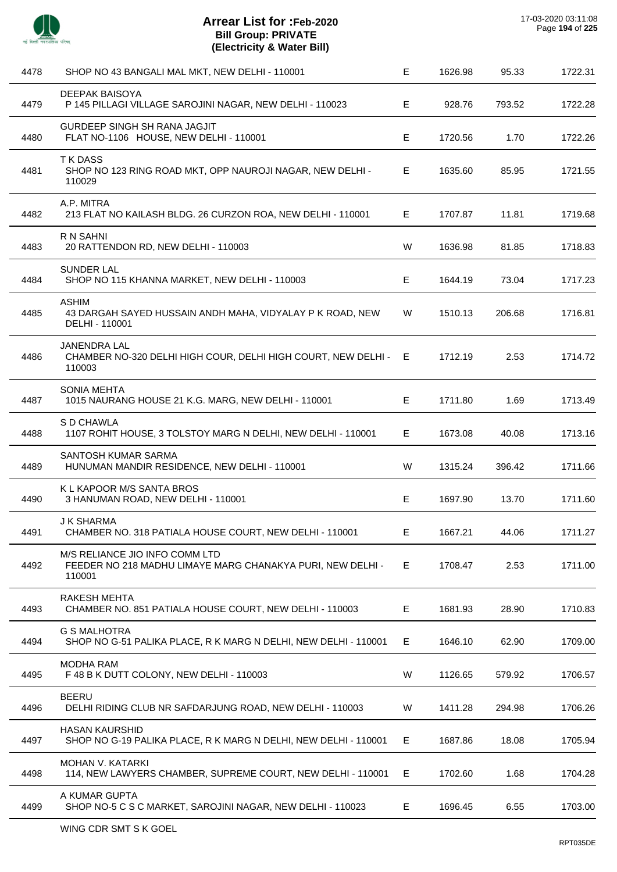

l,

l,

| 4478 | SHOP NO 43 BANGALI MAL MKT, NEW DELHI - 110001                                                         | E. | 1626.98 | 95.33  | 1722.31 |
|------|--------------------------------------------------------------------------------------------------------|----|---------|--------|---------|
| 4479 | DEEPAK BAISOYA<br>P 145 PILLAGI VILLAGE SAROJINI NAGAR, NEW DELHI - 110023                             | E  | 928.76  | 793.52 | 1722.28 |
| 4480 | GURDEEP SINGH SH RANA JAGJIT<br>FLAT NO-1106 HOUSE, NEW DELHI - 110001                                 | E  | 1720.56 | 1.70   | 1722.26 |
| 4481 | <b>TKDASS</b><br>SHOP NO 123 RING ROAD MKT, OPP NAUROJI NAGAR, NEW DELHI -<br>110029                   | Е  | 1635.60 | 85.95  | 1721.55 |
| 4482 | A.P. MITRA<br>213 FLAT NO KAILASH BLDG. 26 CURZON ROA, NEW DELHI - 110001                              | E. | 1707.87 | 11.81  | 1719.68 |
| 4483 | R N SAHNI<br>20 RATTENDON RD, NEW DELHI - 110003                                                       | W  | 1636.98 | 81.85  | 1718.83 |
| 4484 | <b>SUNDER LAL</b><br>SHOP NO 115 KHANNA MARKET, NEW DELHI - 110003                                     | Е  | 1644.19 | 73.04  | 1717.23 |
| 4485 | <b>ASHIM</b><br>43 DARGAH SAYED HUSSAIN ANDH MAHA, VIDYALAY P K ROAD, NEW<br>DELHI - 110001            | W  | 1510.13 | 206.68 | 1716.81 |
| 4486 | <b>JANENDRA LAL</b><br>CHAMBER NO-320 DELHI HIGH COUR, DELHI HIGH COURT, NEW DELHI -<br>110003         | Е  | 1712.19 | 2.53   | 1714.72 |
| 4487 | <b>SONIA MEHTA</b><br>1015 NAURANG HOUSE 21 K.G. MARG, NEW DELHI - 110001                              | E. | 1711.80 | 1.69   | 1713.49 |
| 4488 | S D CHAWLA<br>1107 ROHIT HOUSE, 3 TOLSTOY MARG N DELHI, NEW DELHI - 110001                             | E  | 1673.08 | 40.08  | 1713.16 |
| 4489 | SANTOSH KUMAR SARMA<br>HUNUMAN MANDIR RESIDENCE, NEW DELHI - 110001                                    | W  | 1315.24 | 396.42 | 1711.66 |
| 4490 | K L KAPOOR M/S SANTA BROS<br>3 HANUMAN ROAD, NEW DELHI - 110001                                        | E. | 1697.90 | 13.70  | 1711.60 |
| 4491 | <b>J K SHARMA</b><br>CHAMBER NO. 318 PATIALA HOUSE COURT, NEW DELHI - 110001                           | Е  | 1667.21 | 44.06  | 1711.27 |
| 4492 | M/S RELIANCE JIO INFO COMM LTD<br>FEEDER NO 218 MADHU LIMAYE MARG CHANAKYA PURI, NEW DELHI -<br>110001 | Е  | 1708.47 | 2.53   | 1711.00 |
| 4493 | RAKESH MEHTA<br>CHAMBER NO. 851 PATIALA HOUSE COURT, NEW DELHI - 110003                                | Е  | 1681.93 | 28.90  | 1710.83 |
| 4494 | <b>G S MALHOTRA</b><br>SHOP NO G-51 PALIKA PLACE, R K MARG N DELHI, NEW DELHI - 110001                 | E. | 1646.10 | 62.90  | 1709.00 |
| 4495 | <b>MODHA RAM</b><br>F 48 B K DUTT COLONY, NEW DELHI - 110003                                           | W  | 1126.65 | 579.92 | 1706.57 |
| 4496 | <b>BEERU</b><br>DELHI RIDING CLUB NR SAFDARJUNG ROAD, NEW DELHI - 110003                               | W  | 1411.28 | 294.98 | 1706.26 |
| 4497 | <b>HASAN KAURSHID</b><br>SHOP NO G-19 PALIKA PLACE, R K MARG N DELHI, NEW DELHI - 110001               | Е  | 1687.86 | 18.08  | 1705.94 |
| 4498 | <b>MOHAN V. KATARKI</b><br>114, NEW LAWYERS CHAMBER, SUPREME COURT, NEW DELHI - 110001                 | Е  | 1702.60 | 1.68   | 1704.28 |
| 4499 | A KUMAR GUPTA<br>SHOP NO-5 C S C MARKET, SAROJINI NAGAR, NEW DELHI - 110023                            | E. | 1696.45 | 6.55   | 1703.00 |
|      |                                                                                                        |    |         |        |         |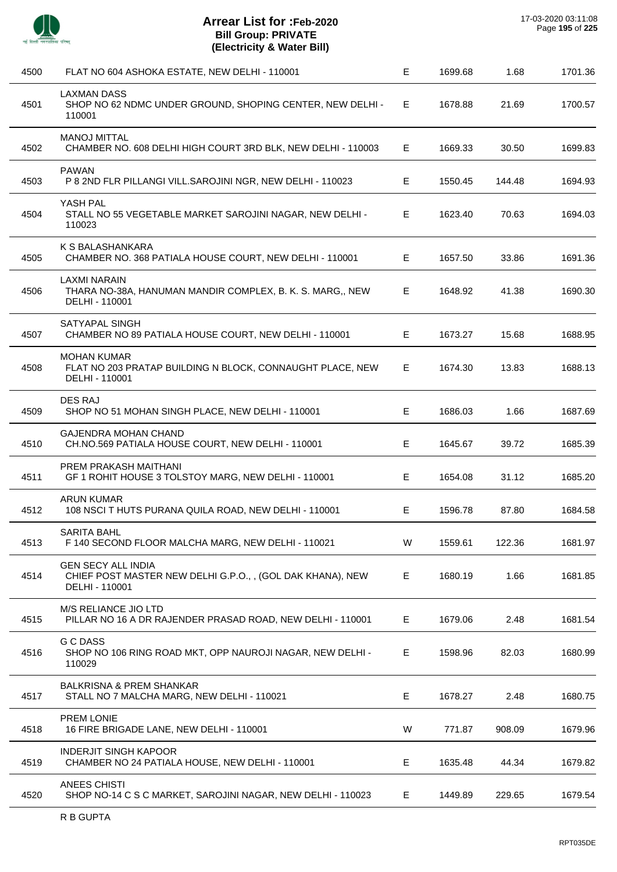

| FLAT NO 604 ASHOKA ESTATE, NEW DELHI - 110001                                                            | E  | 1699.68 | 1.68   | 1701.36 |
|----------------------------------------------------------------------------------------------------------|----|---------|--------|---------|
| <b>LAXMAN DASS</b><br>SHOP NO 62 NDMC UNDER GROUND, SHOPING CENTER, NEW DELHI -<br>110001                | E  | 1678.88 | 21.69  | 1700.57 |
| <b>MANOJ MITTAL</b><br>CHAMBER NO. 608 DELHI HIGH COURT 3RD BLK, NEW DELHI - 110003                      | E. | 1669.33 | 30.50  | 1699.83 |
| <b>PAWAN</b><br>P 8 2ND FLR PILLANGI VILL.SAROJINI NGR, NEW DELHI - 110023                               | Е  | 1550.45 | 144.48 | 1694.93 |
| YASH PAL<br>STALL NO 55 VEGETABLE MARKET SAROJINI NAGAR, NEW DELHI -<br>110023                           | E  | 1623.40 | 70.63  | 1694.03 |
| K S BALASHANKARA<br>CHAMBER NO. 368 PATIALA HOUSE COURT, NEW DELHI - 110001                              | E  | 1657.50 | 33.86  | 1691.36 |
| <b>LAXMI NARAIN</b><br>THARA NO-38A, HANUMAN MANDIR COMPLEX, B. K. S. MARG,, NEW<br>DELHI - 110001       | E  | 1648.92 | 41.38  | 1690.30 |
| SATYAPAL SINGH<br>CHAMBER NO 89 PATIALA HOUSE COURT, NEW DELHI - 110001                                  | E  | 1673.27 | 15.68  | 1688.95 |
| <b>MOHAN KUMAR</b><br>FLAT NO 203 PRATAP BUILDING N BLOCK, CONNAUGHT PLACE, NEW<br>DELHI - 110001        | E. | 1674.30 | 13.83  | 1688.13 |
| <b>DES RAJ</b><br>SHOP NO 51 MOHAN SINGH PLACE, NEW DELHI - 110001                                       | Е  | 1686.03 | 1.66   | 1687.69 |
| <b>GAJENDRA MOHAN CHAND</b><br>CH.NO.569 PATIALA HOUSE COURT, NEW DELHI - 110001                         | E  | 1645.67 | 39.72  | 1685.39 |
| PREM PRAKASH MAITHANI<br>GF 1 ROHIT HOUSE 3 TOLSTOY MARG, NEW DELHI - 110001                             | Е  | 1654.08 | 31.12  | 1685.20 |
| <b>ARUN KUMAR</b><br>108 NSCI T HUTS PURANA QUILA ROAD, NEW DELHI - 110001                               | Е  | 1596.78 | 87.80  | 1684.58 |
| <b>SARITA BAHL</b><br>F 140 SECOND FLOOR MALCHA MARG, NEW DELHI - 110021                                 | W  | 1559.61 | 122.36 | 1681.97 |
| <b>GEN SECY ALL INDIA</b><br>CHIEF POST MASTER NEW DELHI G.P.O.,, (GOL DAK KHANA), NEW<br>DELHI - 110001 | Е  | 1680.19 | 1.66   | 1681.85 |
| M/S RELIANCE JIO LTD<br>PILLAR NO 16 A DR RAJENDER PRASAD ROAD, NEW DELHI - 110001                       | Е  | 1679.06 | 2.48   | 1681.54 |
| <b>G C DASS</b><br>SHOP NO 106 RING ROAD MKT, OPP NAUROJI NAGAR, NEW DELHI -<br>110029                   | E. | 1598.96 | 82.03  | 1680.99 |
| <b>BALKRISNA &amp; PREM SHANKAR</b><br>STALL NO 7 MALCHA MARG, NEW DELHI - 110021                        | Е  | 1678.27 | 2.48   | 1680.75 |
| PREM LONIE<br>16 FIRE BRIGADE LANE, NEW DELHI - 110001                                                   | W  | 771.87  | 908.09 | 1679.96 |
| <b>INDERJIT SINGH KAPOOR</b><br>CHAMBER NO 24 PATIALA HOUSE, NEW DELHI - 110001                          | Е  | 1635.48 | 44.34  | 1679.82 |
| ANEES CHISTI<br>SHOP NO-14 C S C MARKET, SAROJINI NAGAR, NEW DELHI - 110023                              | E. | 1449.89 | 229.65 | 1679.54 |
|                                                                                                          |    |         |        |         |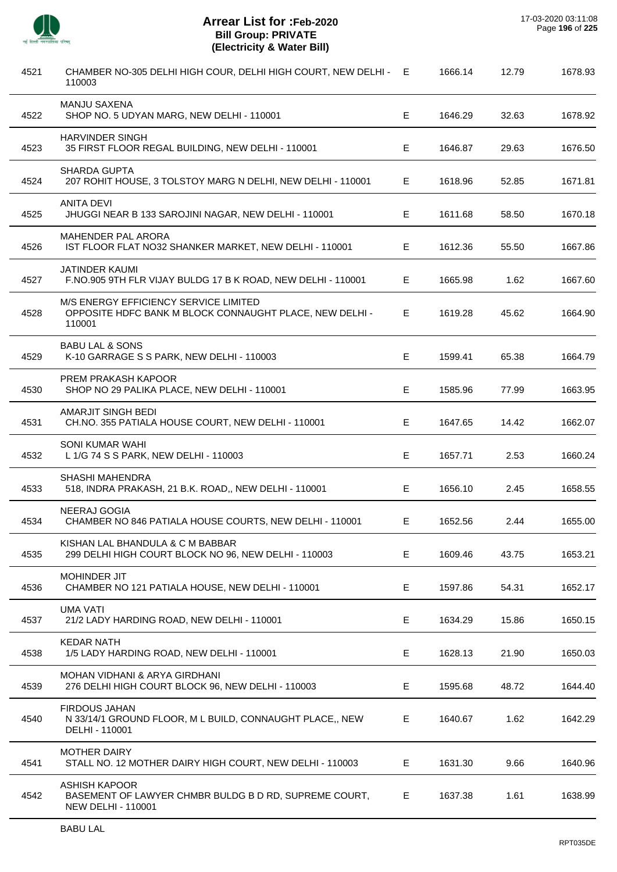$\overline{a}$ 

 $\overline{a}$ 

J.

 $\overline{a}$ 

 $\overline{a}$ 

 $\overline{a}$ 

J.

 $\overline{a}$ 

| 4521 | CHAMBER NO-305 DELHI HIGH COUR, DELHI HIGH COURT, NEW DELHI -<br>110003                                    | E  | 1666.14 | 12.79 | 1678.93 |
|------|------------------------------------------------------------------------------------------------------------|----|---------|-------|---------|
| 4522 | <b>MANJU SAXENA</b><br>SHOP NO. 5 UDYAN MARG, NEW DELHI - 110001                                           | Е  | 1646.29 | 32.63 | 1678.92 |
| 4523 | <b>HARVINDER SINGH</b><br>35 FIRST FLOOR REGAL BUILDING, NEW DELHI - 110001                                | Е  | 1646.87 | 29.63 | 1676.50 |
| 4524 | <b>SHARDA GUPTA</b><br>207 ROHIT HOUSE, 3 TOLSTOY MARG N DELHI, NEW DELHI - 110001                         | E  | 1618.96 | 52.85 | 1671.81 |
| 4525 | <b>ANITA DEVI</b><br>JHUGGI NEAR B 133 SAROJINI NAGAR, NEW DELHI - 110001                                  | Е  | 1611.68 | 58.50 | 1670.18 |
| 4526 | <b>MAHENDER PAL ARORA</b><br>IST FLOOR FLAT NO32 SHANKER MARKET, NEW DELHI - 110001                        | E. | 1612.36 | 55.50 | 1667.86 |
| 4527 | <b>JATINDER KAUMI</b><br>F.NO.905 9TH FLR VIJAY BULDG 17 B K ROAD, NEW DELHI - 110001                      | Е  | 1665.98 | 1.62  | 1667.60 |
| 4528 | M/S ENERGY EFFICIENCY SERVICE LIMITED<br>OPPOSITE HDFC BANK M BLOCK CONNAUGHT PLACE, NEW DELHI -<br>110001 | E. | 1619.28 | 45.62 | 1664.90 |
| 4529 | <b>BABU LAL &amp; SONS</b><br>K-10 GARRAGE S S PARK, NEW DELHI - 110003                                    | Е  | 1599.41 | 65.38 | 1664.79 |
| 4530 | PREM PRAKASH KAPOOR<br>SHOP NO 29 PALIKA PLACE, NEW DELHI - 110001                                         | Е  | 1585.96 | 77.99 | 1663.95 |
| 4531 | <b>AMARJIT SINGH BEDI</b><br>CH.NO. 355 PATIALA HOUSE COURT, NEW DELHI - 110001                            | Е  | 1647.65 | 14.42 | 1662.07 |
| 4532 | <b>SONI KUMAR WAHI</b><br>L 1/G 74 S S PARK, NEW DELHI - 110003                                            | Е  | 1657.71 | 2.53  | 1660.24 |
| 4533 | <b>SHASHI MAHENDRA</b><br>518, INDRA PRAKASH, 21 B.K. ROAD,, NEW DELHI - 110001                            | Е  | 1656.10 | 2.45  | 1658.55 |
| 4534 | <b>NEERAJ GOGIA</b><br>CHAMBER NO 846 PATIALA HOUSE COURTS, NEW DELHI - 110001                             | E. | 1652.56 | 2.44  | 1655.00 |
| 4535 | KISHAN LAL BHANDULA & C M BABBAR<br>299 DELHI HIGH COURT BLOCK NO 96, NEW DELHI - 110003                   | Е  | 1609.46 | 43.75 | 1653.21 |
| 4536 | <b>MOHINDER JIT</b><br>CHAMBER NO 121 PATIALA HOUSE, NEW DELHI - 110001                                    | Е  | 1597.86 | 54.31 | 1652.17 |
| 4537 | <b>UMA VATI</b><br>21/2 LADY HARDING ROAD, NEW DELHI - 110001                                              | Е  | 1634.29 | 15.86 | 1650.15 |
| 4538 | <b>KEDAR NATH</b><br>1/5 LADY HARDING ROAD, NEW DELHI - 110001                                             | Е  | 1628.13 | 21.90 | 1650.03 |
| 4539 | MOHAN VIDHANI & ARYA GIRDHANI<br>276 DELHI HIGH COURT BLOCK 96, NEW DELHI - 110003                         | E  | 1595.68 | 48.72 | 1644.40 |
| 4540 | <b>FIRDOUS JAHAN</b><br>N 33/14/1 GROUND FLOOR, M L BUILD, CONNAUGHT PLACE,, NEW<br>DELHI - 110001         | Е  | 1640.67 | 1.62  | 1642.29 |
| 4541 | <b>MOTHER DAIRY</b><br>STALL NO. 12 MOTHER DAIRY HIGH COURT, NEW DELHI - 110003                            | E. | 1631.30 | 9.66  | 1640.96 |
| 4542 | <b>ASHISH KAPOOR</b><br>BASEMENT OF LAWYER CHMBR BULDG B D RD, SUPREME COURT,<br><b>NEW DELHI - 110001</b> | Е  | 1637.38 | 1.61  | 1638.99 |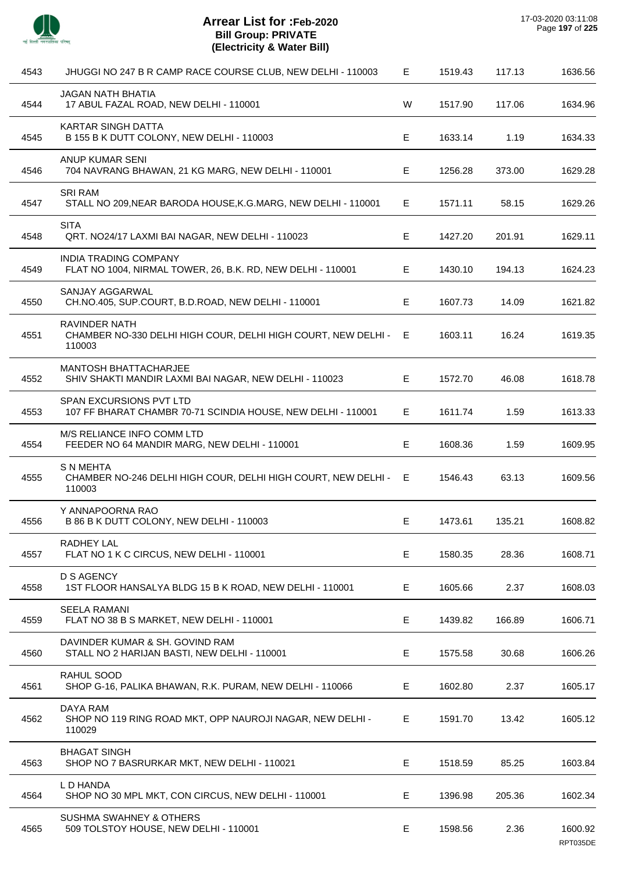

| 4543 | JHUGGI NO 247 B R CAMP RACE COURSE CLUB, NEW DELHI - 110003                                   | E. | 1519.43 | 117.13 | 1636.56             |
|------|-----------------------------------------------------------------------------------------------|----|---------|--------|---------------------|
| 4544 | <b>JAGAN NATH BHATIA</b><br>17 ABUL FAZAL ROAD, NEW DELHI - 110001                            | W  | 1517.90 | 117.06 | 1634.96             |
| 4545 | KARTAR SINGH DATTA<br>B 155 B K DUTT COLONY, NEW DELHI - 110003                               | E  | 1633.14 | 1.19   | 1634.33             |
| 4546 | ANUP KUMAR SENI<br>704 NAVRANG BHAWAN, 21 KG MARG, NEW DELHI - 110001                         | E. | 1256.28 | 373.00 | 1629.28             |
| 4547 | <b>SRI RAM</b><br>STALL NO 209, NEAR BARODA HOUSE, K.G. MARG, NEW DELHI - 110001              | E. | 1571.11 | 58.15  | 1629.26             |
| 4548 | <b>SITA</b><br>QRT. NO24/17 LAXMI BAI NAGAR, NEW DELHI - 110023                               | E. | 1427.20 | 201.91 | 1629.11             |
| 4549 | <b>INDIA TRADING COMPANY</b><br>FLAT NO 1004, NIRMAL TOWER, 26, B.K. RD, NEW DELHI - 110001   | Е  | 1430.10 | 194.13 | 1624.23             |
| 4550 | SANJAY AGGARWAL<br>CH.NO.405, SUP.COURT, B.D.ROAD, NEW DELHI - 110001                         | Е  | 1607.73 | 14.09  | 1621.82             |
| 4551 | RAVINDER NATH<br>CHAMBER NO-330 DELHI HIGH COUR, DELHI HIGH COURT, NEW DELHI - E<br>110003    |    | 1603.11 | 16.24  | 1619.35             |
| 4552 | <b>MANTOSH BHATTACHARJEE</b><br>SHIV SHAKTI MANDIR LAXMI BAI NAGAR, NEW DELHI - 110023        | E  | 1572.70 | 46.08  | 1618.78             |
| 4553 | SPAN EXCURSIONS PVT LTD<br>107 FF BHARAT CHAMBR 70-71 SCINDIA HOUSE, NEW DELHI - 110001       | E. | 1611.74 | 1.59   | 1613.33             |
| 4554 | M/S RELIANCE INFO COMM LTD<br>FEEDER NO 64 MANDIR MARG, NEW DELHI - 110001                    | E  | 1608.36 | 1.59   | 1609.95             |
| 4555 | <b>S N MEHTA</b><br>CHAMBER NO-246 DELHI HIGH COUR, DELHI HIGH COURT, NEW DELHI - E<br>110003 |    | 1546.43 | 63.13  | 1609.56             |
| 4556 | Y ANNAPOORNA RAO<br>B 86 B K DUTT COLONY, NEW DELHI - 110003                                  | E. | 1473.61 | 135.21 | 1608.82             |
| 4557 | RADHEY LAL<br>FLAT NO 1 K C CIRCUS, NEW DELHI - 110001                                        | Е  | 1580.35 | 28.36  | 1608.71             |
| 4558 | <b>D S AGENCY</b><br>1ST FLOOR HANSALYA BLDG 15 B K ROAD, NEW DELHI - 110001                  | E  | 1605.66 | 2.37   | 1608.03             |
| 4559 | <b>SEELA RAMANI</b><br>FLAT NO 38 B S MARKET, NEW DELHI - 110001                              | E  | 1439.82 | 166.89 | 1606.71             |
| 4560 | DAVINDER KUMAR & SH. GOVIND RAM<br>STALL NO 2 HARIJAN BASTI, NEW DELHI - 110001               | E  | 1575.58 | 30.68  | 1606.26             |
| 4561 | RAHUL SOOD<br>SHOP G-16, PALIKA BHAWAN, R.K. PURAM, NEW DELHI - 110066                        | E  | 1602.80 | 2.37   | 1605.17             |
| 4562 | DAYA RAM<br>SHOP NO 119 RING ROAD MKT, OPP NAUROJI NAGAR, NEW DELHI -<br>110029               | E. | 1591.70 | 13.42  | 1605.12             |
| 4563 | <b>BHAGAT SINGH</b><br>SHOP NO 7 BASRURKAR MKT, NEW DELHI - 110021                            | Е  | 1518.59 | 85.25  | 1603.84             |
| 4564 | L D HANDA<br>SHOP NO 30 MPL MKT, CON CIRCUS, NEW DELHI - 110001                               | Е  | 1396.98 | 205.36 | 1602.34             |
| 4565 | <b>SUSHMA SWAHNEY &amp; OTHERS</b><br>509 TOLSTOY HOUSE, NEW DELHI - 110001                   | Е  | 1598.56 | 2.36   | 1600.92<br>RPT035DE |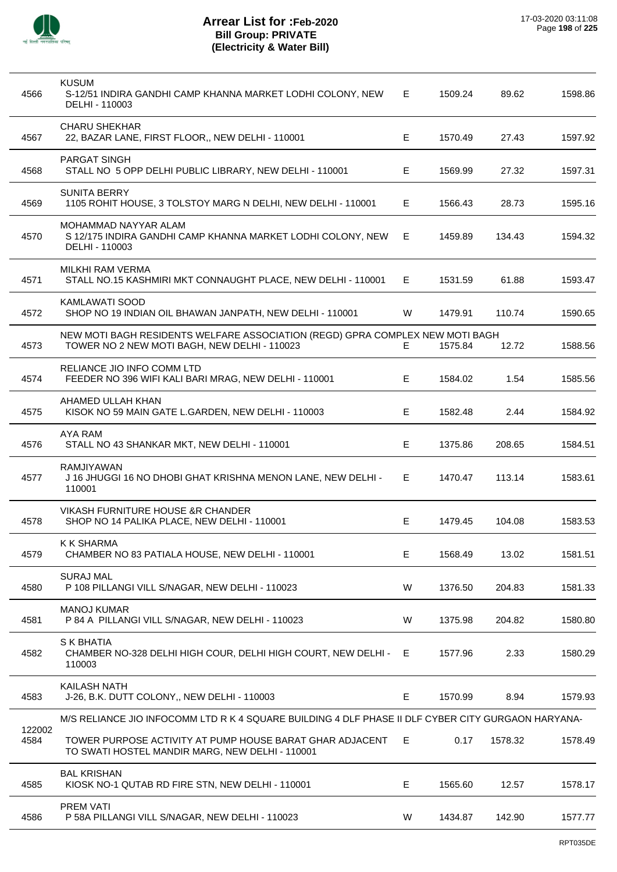

| 4566           | <b>KUSUM</b><br>S-12/51 INDIRA GANDHI CAMP KHANNA MARKET LODHI COLONY, NEW<br>DELHI - 110003                                  | E. | 1509.24 | 89.62   | 1598.86 |
|----------------|-------------------------------------------------------------------------------------------------------------------------------|----|---------|---------|---------|
| 4567           | <b>CHARU SHEKHAR</b><br>22, BAZAR LANE, FIRST FLOOR,, NEW DELHI - 110001                                                      | E. | 1570.49 | 27.43   | 1597.92 |
| 4568           | <b>PARGAT SINGH</b><br>STALL NO 5 OPP DELHI PUBLIC LIBRARY, NEW DELHI - 110001                                                | Е  | 1569.99 | 27.32   | 1597.31 |
| 4569           | <b>SUNITA BERRY</b><br>1105 ROHIT HOUSE, 3 TOLSTOY MARG N DELHI, NEW DELHI - 110001                                           | E  | 1566.43 | 28.73   | 1595.16 |
| 4570           | MOHAMMAD NAYYAR ALAM<br>S 12/175 INDIRA GANDHI CAMP KHANNA MARKET LODHI COLONY, NEW<br>DELHI - 110003                         | E. | 1459.89 | 134.43  | 1594.32 |
| 4571           | MILKHI RAM VERMA<br>STALL NO.15 KASHMIRI MKT CONNAUGHT PLACE, NEW DELHI - 110001                                              | E. | 1531.59 | 61.88   | 1593.47 |
| 4572           | <b>KAMLAWATI SOOD</b><br>SHOP NO 19 INDIAN OIL BHAWAN JANPATH, NEW DELHI - 110001                                             | W  | 1479.91 | 110.74  | 1590.65 |
| 4573           | NEW MOTI BAGH RESIDENTS WELFARE ASSOCIATION (REGD) GPRA COMPLEX NEW MOTI BAGH<br>TOWER NO 2 NEW MOTI BAGH, NEW DELHI - 110023 | E. | 1575.84 | 12.72   | 1588.56 |
| 4574           | RELIANCE JIO INFO COMM LTD<br>FEEDER NO 396 WIFI KALI BARI MRAG, NEW DELHI - 110001                                           | E  | 1584.02 | 1.54    | 1585.56 |
| 4575           | AHAMED ULLAH KHAN<br>KISOK NO 59 MAIN GATE L.GARDEN, NEW DELHI - 110003                                                       | E  | 1582.48 | 2.44    | 1584.92 |
| 4576           | AYA RAM<br>STALL NO 43 SHANKAR MKT, NEW DELHI - 110001                                                                        | E  | 1375.86 | 208.65  | 1584.51 |
| 4577           | RAMJIYAWAN<br>J 16 JHUGGI 16 NO DHOBI GHAT KRISHNA MENON LANE, NEW DELHI -<br>110001                                          | E. | 1470.47 | 113.14  | 1583.61 |
| 4578           | VIKASH FURNITURE HOUSE &R CHANDER<br>SHOP NO 14 PALIKA PLACE, NEW DELHI - 110001                                              | E  | 1479.45 | 104.08  | 1583.53 |
| 4579           | <b>K K SHARMA</b><br>CHAMBER NO 83 PATIALA HOUSE, NEW DELHI - 110001                                                          | E  | 1568.49 | 13.02   | 1581.51 |
| 4580           | <b>SURAJ MAL</b><br>P 108 PILLANGI VILL S/NAGAR, NEW DELHI - 110023                                                           | W  | 1376.50 | 204.83  | 1581.33 |
| 4581           | <b>MANOJ KUMAR</b><br>P 84 A PILLANGI VILL S/NAGAR, NEW DELHI - 110023                                                        | W  | 1375.98 | 204.82  | 1580.80 |
| 4582           | S K BHATIA<br>CHAMBER NO-328 DELHI HIGH COUR, DELHI HIGH COURT, NEW DELHI -<br>110003                                         | E. | 1577.96 | 2.33    | 1580.29 |
| 4583           | KAILASH NATH<br>J-26, B.K. DUTT COLONY,, NEW DELHI - 110003                                                                   | Е  | 1570.99 | 8.94    | 1579.93 |
|                | M/S RELIANCE JIO INFOCOMM LTD R K 4 SQUARE BUILDING 4 DLF PHASE II DLF CYBER CITY GURGAON HARYANA-                            |    |         |         |         |
| 122002<br>4584 | TOWER PURPOSE ACTIVITY AT PUMP HOUSE BARAT GHAR ADJACENT<br>TO SWATI HOSTEL MANDIR MARG, NEW DELHI - 110001                   | E. | 0.17    | 1578.32 | 1578.49 |
| 4585           | <b>BAL KRISHAN</b><br>KIOSK NO-1 QUTAB RD FIRE STN, NEW DELHI - 110001                                                        | Е  | 1565.60 | 12.57   | 1578.17 |
| 4586           | <b>PREM VATI</b><br>P 58A PILLANGI VILL S/NAGAR, NEW DELHI - 110023                                                           | W  | 1434.87 | 142.90  | 1577.77 |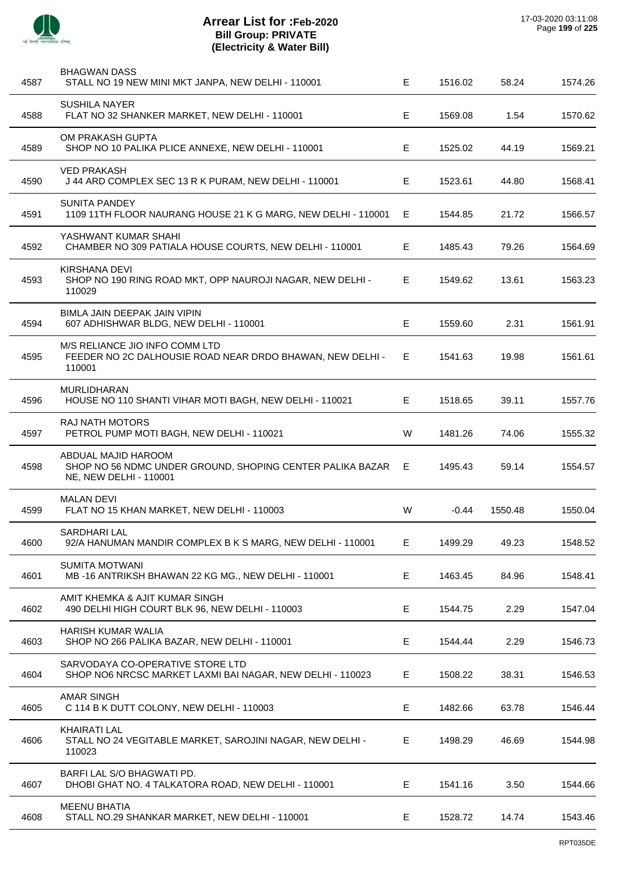

| 4587 | <b>BHAGWAN DASS</b><br>STALL NO 19 NEW MINI MKT JANPA, NEW DELHI - 110001                                    | E. | 1516.02 | 58.24   | 1574.26 |
|------|--------------------------------------------------------------------------------------------------------------|----|---------|---------|---------|
| 4588 | SUSHILA NAYER<br>FLAT NO 32 SHANKER MARKET, NEW DELHI - 110001                                               | Е  | 1569.08 | 1.54    | 1570.62 |
| 4589 | OM PRAKASH GUPTA<br>SHOP NO 10 PALIKA PLICE ANNEXE, NEW DELHI - 110001                                       | Е  | 1525.02 | 44.19   | 1569.21 |
| 4590 | <b>VED PRAKASH</b><br>J 44 ARD COMPLEX SEC 13 R K PURAM, NEW DELHI - 110001                                  | E. | 1523.61 | 44.80   | 1568.41 |
| 4591 | <b>SUNITA PANDEY</b><br>1109 11TH FLOOR NAURANG HOUSE 21 K G MARG, NEW DELHI - 110001                        | E. | 1544.85 | 21.72   | 1566.57 |
| 4592 | YASHWANT KUMAR SHAHI<br>CHAMBER NO 309 PATIALA HOUSE COURTS, NEW DELHI - 110001                              | E. | 1485.43 | 79.26   | 1564.69 |
| 4593 | KIRSHANA DEVI<br>SHOP NO 190 RING ROAD MKT, OPP NAUROJI NAGAR, NEW DELHI -<br>110029                         | E. | 1549.62 | 13.61   | 1563.23 |
| 4594 | BIMLA JAIN DEEPAK JAIN VIPIN<br>607 ADHISHWAR BLDG, NEW DELHI - 110001                                       | Е  | 1559.60 | 2.31    | 1561.91 |
| 4595 | M/S RELIANCE JIO INFO COMM LTD<br>FEEDER NO 2C DALHOUSIE ROAD NEAR DRDO BHAWAN, NEW DELHI -<br>110001        | E. | 1541.63 | 19.98   | 1561.61 |
| 4596 | <b>MURLIDHARAN</b><br>HOUSE NO 110 SHANTI VIHAR MOTI BAGH, NEW DELHI - 110021                                | E. | 1518.65 | 39.11   | 1557.76 |
| 4597 | <b>RAJ NATH MOTORS</b><br>PETROL PUMP MOTI BAGH, NEW DELHI - 110021                                          | W  | 1481.26 | 74.06   | 1555.32 |
| 4598 | ABDUAL MAJID HAROOM<br>SHOP NO 56 NDMC UNDER GROUND, SHOPING CENTER PALIKA BAZAR E<br>NE, NEW DELHI - 110001 |    | 1495.43 | 59.14   | 1554.57 |
| 4599 | <b>MALAN DEVI</b><br>FLAT NO 15 KHAN MARKET, NEW DELHI - 110003                                              | W  | $-0.44$ | 1550.48 | 1550.04 |
| 4600 | SARDHARI LAL<br>92/A HANUMAN MANDIR COMPLEX B K S MARG, NEW DELHI - 110001                                   | Е  | 1499.29 | 49.23   | 1548.52 |
| 4601 | <b>SUMITA MOTWANI</b><br>MB-16 ANTRIKSH BHAWAN 22 KG MG., NEW DELHI-110001                                   | Е  | 1463.45 | 84.96   | 1548.41 |
| 4602 | AMIT KHEMKA & AJIT KUMAR SINGH<br>490 DELHI HIGH COURT BLK 96, NEW DELHI - 110003                            | E  | 1544.75 | 2.29    | 1547.04 |
| 4603 | HARISH KUMAR WALIA<br>SHOP NO 266 PALIKA BAZAR, NEW DELHI - 110001                                           | Е  | 1544.44 | 2.29    | 1546.73 |
| 4604 | SARVODAYA CO-OPERATIVE STORE LTD<br>SHOP NO6 NRCSC MARKET LAXMI BAI NAGAR, NEW DELHI - 110023                | E  | 1508.22 | 38.31   | 1546.53 |
| 4605 | <b>AMAR SINGH</b><br>C 114 B K DUTT COLONY, NEW DELHI - 110003                                               | E  | 1482.66 | 63.78   | 1546.44 |
| 4606 | <b>KHAIRATI LAL</b><br>STALL NO 24 VEGITABLE MARKET, SAROJINI NAGAR, NEW DELHI -<br>110023                   | E. | 1498.29 | 46.69   | 1544.98 |
| 4607 | BARFI LAL S/O BHAGWATI PD.<br>DHOBI GHAT NO. 4 TALKATORA ROAD, NEW DELHI - 110001                            | E  | 1541.16 | 3.50    | 1544.66 |
| 4608 | <b>MEENU BHATIA</b><br>STALL NO.29 SHANKAR MARKET, NEW DELHI - 110001                                        | Е  | 1528.72 | 14.74   | 1543.46 |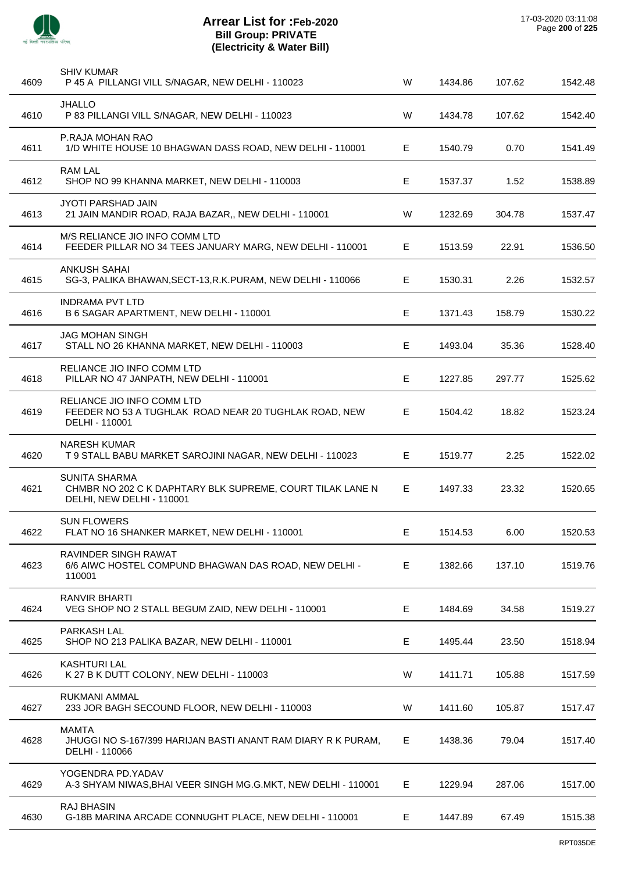

| 4609 | <b>SHIV KUMAR</b><br>P 45 A PILLANGI VILL S/NAGAR, NEW DELHI - 110023                                          | W | 1434.86 | 107.62 | 1542.48 |
|------|----------------------------------------------------------------------------------------------------------------|---|---------|--------|---------|
| 4610 | <b>JHALLO</b><br>P 83 PILLANGI VILL S/NAGAR, NEW DELHI - 110023                                                | W | 1434.78 | 107.62 | 1542.40 |
| 4611 | P.RAJA MOHAN RAO<br>1/D WHITE HOUSE 10 BHAGWAN DASS ROAD, NEW DELHI - 110001                                   | Е | 1540.79 | 0.70   | 1541.49 |
| 4612 | <b>RAM LAL</b><br>SHOP NO 99 KHANNA MARKET, NEW DELHI - 110003                                                 | Е | 1537.37 | 1.52   | 1538.89 |
| 4613 | <b>JYOTI PARSHAD JAIN</b><br>21 JAIN MANDIR ROAD, RAJA BAZAR,, NEW DELHI - 110001                              | W | 1232.69 | 304.78 | 1537.47 |
| 4614 | M/S RELIANCE JIO INFO COMM LTD<br>FEEDER PILLAR NO 34 TEES JANUARY MARG, NEW DELHI - 110001                    | Е | 1513.59 | 22.91  | 1536.50 |
| 4615 | <b>ANKUSH SAHAI</b><br>SG-3, PALIKA BHAWAN, SECT-13, R.K. PURAM, NEW DELHI - 110066                            | Е | 1530.31 | 2.26   | 1532.57 |
| 4616 | <b>INDRAMA PVT LTD</b><br>B 6 SAGAR APARTMENT, NEW DELHI - 110001                                              | Е | 1371.43 | 158.79 | 1530.22 |
| 4617 | JAG MOHAN SINGH<br>STALL NO 26 KHANNA MARKET, NEW DELHI - 110003                                               | Е | 1493.04 | 35.36  | 1528.40 |
| 4618 | RELIANCE JIO INFO COMM LTD<br>PILLAR NO 47 JANPATH, NEW DELHI - 110001                                         | E | 1227.85 | 297.77 | 1525.62 |
| 4619 | RELIANCE JIO INFO COMM LTD<br>FEEDER NO 53 A TUGHLAK ROAD NEAR 20 TUGHLAK ROAD, NEW<br>DELHI - 110001          | Е | 1504.42 | 18.82  | 1523.24 |
| 4620 | <b>NARESH KUMAR</b><br>T 9 STALL BABU MARKET SAROJINI NAGAR, NEW DELHI - 110023                                | Е | 1519.77 | 2.25   | 1522.02 |
| 4621 | <b>SUNITA SHARMA</b><br>CHMBR NO 202 C K DAPHTARY BLK SUPREME, COURT TILAK LANE N<br>DELHI, NEW DELHI - 110001 | Е | 1497.33 | 23.32  | 1520.65 |
| 4622 | <b>SUN FLOWERS</b><br>FLAT NO 16 SHANKER MARKET, NEW DELHI - 110001                                            | E | 1514.53 | 6.00   | 1520.53 |
| 4623 | RAVINDER SINGH RAWAT<br>6/6 AIWC HOSTEL COMPUND BHAGWAN DAS ROAD, NEW DELHI -<br>110001                        | Е | 1382.66 | 137.10 | 1519.76 |
| 4624 | <b>RANVIR BHARTI</b><br>VEG SHOP NO 2 STALL BEGUM ZAID, NEW DELHI - 110001                                     | Е | 1484.69 | 34.58  | 1519.27 |
| 4625 | <b>PARKASH LAL</b><br>SHOP NO 213 PALIKA BAZAR, NEW DELHI - 110001                                             | E | 1495.44 | 23.50  | 1518.94 |
| 4626 | <b>KASHTURI LAL</b><br>K 27 B K DUTT COLONY, NEW DELHI - 110003                                                | W | 1411.71 | 105.88 | 1517.59 |
| 4627 | RUKMANI AMMAL<br>233 JOR BAGH SECOUND FLOOR, NEW DELHI - 110003                                                | W | 1411.60 | 105.87 | 1517.47 |
| 4628 | <b>MAMTA</b><br>JHUGGI NO S-167/399 HARIJAN BASTI ANANT RAM DIARY R K PURAM,<br>DELHI - 110066                 | E | 1438.36 | 79.04  | 1517.40 |
| 4629 | YOGENDRA PD.YADAV<br>A-3 SHYAM NIWAS, BHAI VEER SINGH MG.G.MKT, NEW DELHI - 110001                             | Е | 1229.94 | 287.06 | 1517.00 |
| 4630 | <b>RAJ BHASIN</b><br>G-18B MARINA ARCADE CONNUGHT PLACE, NEW DELHI - 110001                                    | Е | 1447.89 | 67.49  | 1515.38 |
|      |                                                                                                                |   |         |        |         |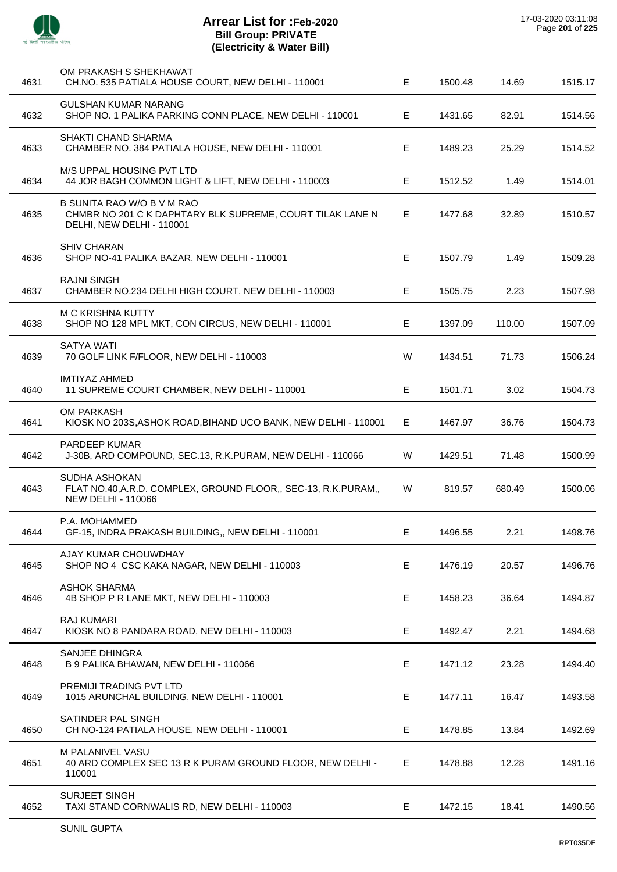

 $\overline{a}$ 

 $\overline{a}$ 

 $\overline{a}$ 

## **Arrear List for :Feb-2020 Bill Group: PRIVATE (Electricity & Water Bill)**

| 4631 | OM PRAKASH S SHEKHAWAT<br>CH.NO. 535 PATIALA HOUSE COURT, NEW DELHI - 110001                                         | E  | 1500.48 | 14.69  | 1515.17 |
|------|----------------------------------------------------------------------------------------------------------------------|----|---------|--------|---------|
| 4632 | <b>GULSHAN KUMAR NARANG</b><br>SHOP NO. 1 PALIKA PARKING CONN PLACE, NEW DELHI - 110001                              | E. | 1431.65 | 82.91  | 1514.56 |
| 4633 | SHAKTI CHAND SHARMA<br>CHAMBER NO. 384 PATIALA HOUSE, NEW DELHI - 110001                                             | Е  | 1489.23 | 25.29  | 1514.52 |
| 4634 | M/S UPPAL HOUSING PVT LTD<br>44 JOR BAGH COMMON LIGHT & LIFT, NEW DELHI - 110003                                     | E. | 1512.52 | 1.49   | 1514.01 |
| 4635 | B SUNITA RAO W/O B V M RAO<br>CHMBR NO 201 C K DAPHTARY BLK SUPREME, COURT TILAK LANE N<br>DELHI, NEW DELHI - 110001 | E. | 1477.68 | 32.89  | 1510.57 |
| 4636 | <b>SHIV CHARAN</b><br>SHOP NO-41 PALIKA BAZAR, NEW DELHI - 110001                                                    | E  | 1507.79 | 1.49   | 1509.28 |
| 4637 | <b>RAJNI SINGH</b><br>CHAMBER NO.234 DELHI HIGH COURT, NEW DELHI - 110003                                            | E  | 1505.75 | 2.23   | 1507.98 |
| 4638 | <b>M C KRISHNA KUTTY</b><br>SHOP NO 128 MPL MKT, CON CIRCUS, NEW DELHI - 110001                                      | E  | 1397.09 | 110.00 | 1507.09 |
| 4639 | <b>SATYA WATI</b><br>70 GOLF LINK F/FLOOR, NEW DELHI - 110003                                                        | W  | 1434.51 | 71.73  | 1506.24 |
| 4640 | <b>IMTIYAZ AHMED</b><br>11 SUPREME COURT CHAMBER, NEW DELHI - 110001                                                 | Е  | 1501.71 | 3.02   | 1504.73 |
| 4641 | <b>OM PARKASH</b><br>KIOSK NO 203S, ASHOK ROAD, BIHAND UCO BANK, NEW DELHI - 110001                                  | E  | 1467.97 | 36.76  | 1504.73 |
| 4642 | <b>PARDEEP KUMAR</b><br>J-30B, ARD COMPOUND, SEC.13, R.K.PURAM, NEW DELHI - 110066                                   | W  | 1429.51 | 71.48  | 1500.99 |
| 4643 | SUDHA ASHOKAN<br>FLAT NO.40, A.R.D. COMPLEX, GROUND FLOOR,, SEC-13, R.K. PURAM,,<br><b>NEW DELHI - 110066</b>        | W  | 819.57  | 680.49 | 1500.06 |
| 4644 | P.A. MOHAMMED<br>GF-15, INDRA PRAKASH BUILDING,, NEW DELHI - 110001                                                  | Е  | 1496.55 | 2.21   | 1498.76 |
| 4645 | AJAY KUMAR CHOUWDHAY<br>SHOP NO 4 CSC KAKA NAGAR, NEW DELHI - 110003                                                 | E  | 1476.19 | 20.57  | 1496.76 |
| 4646 | <b>ASHOK SHARMA</b><br>4B SHOP P R LANE MKT, NEW DELHI - 110003                                                      | Е  | 1458.23 | 36.64  | 1494.87 |
| 4647 | <b>RAJ KUMARI</b><br>KIOSK NO 8 PANDARA ROAD, NEW DELHI - 110003                                                     | Е  | 1492.47 | 2.21   | 1494.68 |
| 4648 | SANJEE DHINGRA<br>B 9 PALIKA BHAWAN, NEW DELHI - 110066                                                              | Е  | 1471.12 | 23.28  | 1494.40 |
| 4649 | PREMIJI TRADING PVT LTD<br>1015 ARUNCHAL BUILDING, NEW DELHI - 110001                                                | Е  | 1477.11 | 16.47  | 1493.58 |
| 4650 | SATINDER PAL SINGH<br>CH NO-124 PATIALA HOUSE, NEW DELHI - 110001                                                    | E  | 1478.85 | 13.84  | 1492.69 |
| 4651 | M PALANIVEL VASU<br>40 ARD COMPLEX SEC 13 R K PURAM GROUND FLOOR, NEW DELHI -<br>110001                              | Е  | 1478.88 | 12.28  | 1491.16 |
| 4652 | <b>SURJEET SINGH</b><br>TAXI STAND CORNWALIS RD, NEW DELHI - 110003                                                  | Е  | 1472.15 | 18.41  | 1490.56 |
|      |                                                                                                                      |    |         |        |         |

J.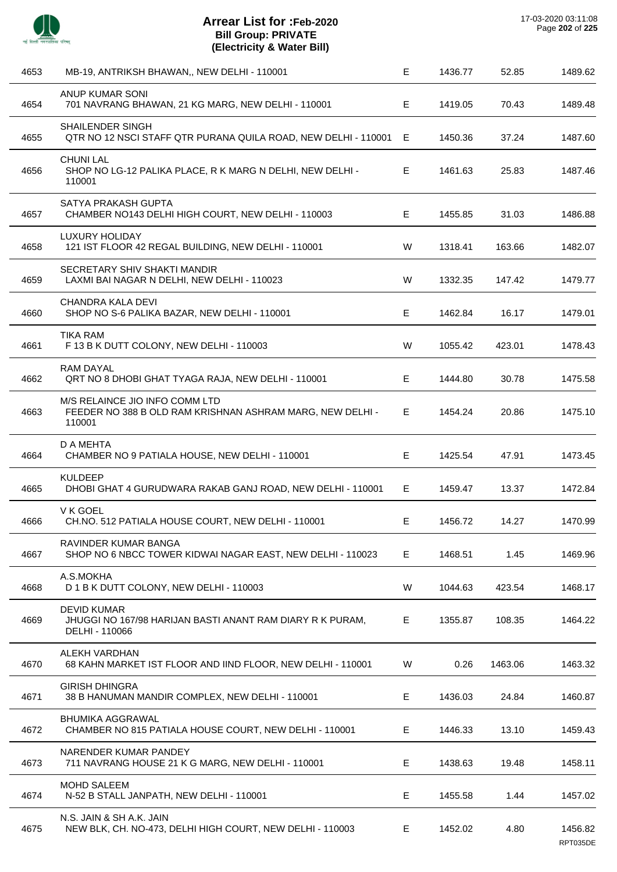

| 4653 | MB-19, ANTRIKSH BHAWAN,, NEW DELHI - 110001                                                           | E  | 1436.77 | 52.85   | 1489.62             |
|------|-------------------------------------------------------------------------------------------------------|----|---------|---------|---------------------|
| 4654 | ANUP KUMAR SONI<br>701 NAVRANG BHAWAN, 21 KG MARG, NEW DELHI - 110001                                 | E  | 1419.05 | 70.43   | 1489.48             |
| 4655 | SHAILENDER SINGH<br>QTR NO 12 NSCI STAFF QTR PURANA QUILA ROAD, NEW DELHI - 110001 E                  |    | 1450.36 | 37.24   | 1487.60             |
| 4656 | <b>CHUNI LAL</b><br>SHOP NO LG-12 PALIKA PLACE, R K MARG N DELHI, NEW DELHI -<br>110001               | Е  | 1461.63 | 25.83   | 1487.46             |
| 4657 | SATYA PRAKASH GUPTA<br>CHAMBER NO143 DELHI HIGH COURT, NEW DELHI - 110003                             | Е  | 1455.85 | 31.03   | 1486.88             |
| 4658 | LUXURY HOLIDAY<br>121 IST FLOOR 42 REGAL BUILDING, NEW DELHI - 110001                                 | W  | 1318.41 | 163.66  | 1482.07             |
| 4659 | SECRETARY SHIV SHAKTI MANDIR<br>LAXMI BAI NAGAR N DELHI, NEW DELHI - 110023                           | W  | 1332.35 | 147.42  | 1479.77             |
| 4660 | CHANDRA KALA DEVI<br>SHOP NO S-6 PALIKA BAZAR, NEW DELHI - 110001                                     | E  | 1462.84 | 16.17   | 1479.01             |
| 4661 | <b>TIKA RAM</b><br>F 13 B K DUTT COLONY, NEW DELHI - 110003                                           | W  | 1055.42 | 423.01  | 1478.43             |
| 4662 | <b>RAM DAYAL</b><br>QRT NO 8 DHOBI GHAT TYAGA RAJA, NEW DELHI - 110001                                | E  | 1444.80 | 30.78   | 1475.58             |
| 4663 | M/S RELAINCE JIO INFO COMM LTD<br>FEEDER NO 388 B OLD RAM KRISHNAN ASHRAM MARG, NEW DELHI -<br>110001 | E. | 1454.24 | 20.86   | 1475.10             |
| 4664 | D A MEHTA<br>CHAMBER NO 9 PATIALA HOUSE, NEW DELHI - 110001                                           | Е  | 1425.54 | 47.91   | 1473.45             |
| 4665 | <b>KULDEEP</b><br>DHOBI GHAT 4 GURUDWARA RAKAB GANJ ROAD, NEW DELHI - 110001                          | E  | 1459.47 | 13.37   | 1472.84             |
| 4666 | V K GOEL<br>CH.NO. 512 PATIALA HOUSE COURT, NEW DELHI - 110001                                        | Е  | 1456.72 | 14.27   | 1470.99             |
| 4667 | RAVINDER KUMAR BANGA<br>SHOP NO 6 NBCC TOWER KIDWAI NAGAR EAST, NEW DELHI - 110023                    | E. | 1468.51 | 1.45    | 1469.96             |
| 4668 | A.S.MOKHA<br>D 1 B K DUTT COLONY, NEW DELHI - 110003                                                  | W  | 1044.63 | 423.54  | 1468.17             |
| 4669 | <b>DEVID KUMAR</b><br>JHUGGI NO 167/98 HARIJAN BASTI ANANT RAM DIARY R K PURAM,<br>DELHI - 110066     | Е  | 1355.87 | 108.35  | 1464.22             |
| 4670 | ALEKH VARDHAN<br>68 KAHN MARKET IST FLOOR AND IIND FLOOR, NEW DELHI - 110001                          | W  | 0.26    | 1463.06 | 1463.32             |
| 4671 | <b>GIRISH DHINGRA</b><br>38 B HANUMAN MANDIR COMPLEX, NEW DELHI - 110001                              | Е  | 1436.03 | 24.84   | 1460.87             |
| 4672 | <b>BHUMIKA AGGRAWAL</b><br>CHAMBER NO 815 PATIALA HOUSE COURT, NEW DELHI - 110001                     | Е  | 1446.33 | 13.10   | 1459.43             |
| 4673 | NARENDER KUMAR PANDEY<br>711 NAVRANG HOUSE 21 K G MARG, NEW DELHI - 110001                            | Е  | 1438.63 | 19.48   | 1458.11             |
| 4674 | <b>MOHD SALEEM</b><br>N-52 B STALL JANPATH, NEW DELHI - 110001                                        | Е  | 1455.58 | 1.44    | 1457.02             |
| 4675 | N.S. JAIN & SH A.K. JAIN<br>NEW BLK, CH. NO-473, DELHI HIGH COURT, NEW DELHI - 110003                 | E  | 1452.02 | 4.80    | 1456.82<br>RPT035DE |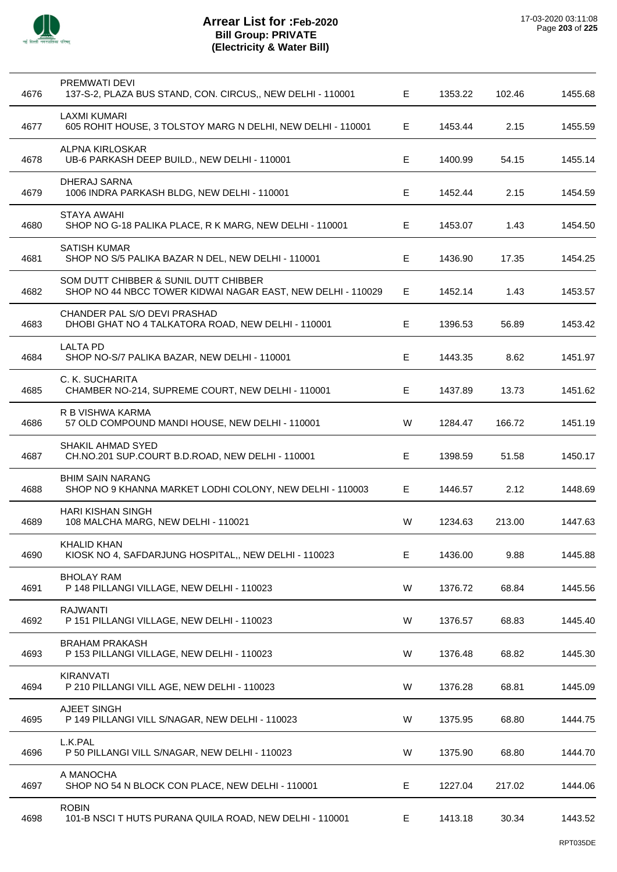

| 4676 | <b>PREMWATI DEVI</b><br>137-S-2, PLAZA BUS STAND, CON. CIRCUS,, NEW DELHI - 110001                   | E           | 1353.22 | 102.46 | 1455.68 |
|------|------------------------------------------------------------------------------------------------------|-------------|---------|--------|---------|
| 4677 | <b>LAXMI KUMARI</b><br>605 ROHIT HOUSE, 3 TOLSTOY MARG N DELHI, NEW DELHI - 110001                   | Е           | 1453.44 | 2.15   | 1455.59 |
| 4678 | <b>ALPNA KIRLOSKAR</b><br>UB-6 PARKASH DEEP BUILD., NEW DELHI - 110001                               | Е           | 1400.99 | 54.15  | 1455.14 |
| 4679 | DHERAJ SARNA<br>1006 INDRA PARKASH BLDG, NEW DELHI - 110001                                          | E           | 1452.44 | 2.15   | 1454.59 |
| 4680 | STAYA AWAHI<br>SHOP NO G-18 PALIKA PLACE, R K MARG, NEW DELHI - 110001                               | Е           | 1453.07 | 1.43   | 1454.50 |
| 4681 | <b>SATISH KUMAR</b><br>SHOP NO S/5 PALIKA BAZAR N DEL, NEW DELHI - 110001                            | Е           | 1436.90 | 17.35  | 1454.25 |
| 4682 | SOM DUTT CHIBBER & SUNIL DUTT CHIBBER<br>SHOP NO 44 NBCC TOWER KIDWAI NAGAR EAST, NEW DELHI - 110029 | $\mathsf E$ | 1452.14 | 1.43   | 1453.57 |
| 4683 | CHANDER PAL S/O DEVI PRASHAD<br>DHOBI GHAT NO 4 TALKATORA ROAD, NEW DELHI - 110001                   | Е           | 1396.53 | 56.89  | 1453.42 |
| 4684 | <b>LALTA PD</b><br>SHOP NO-S/7 PALIKA BAZAR, NEW DELHI - 110001                                      | Е           | 1443.35 | 8.62   | 1451.97 |
| 4685 | C. K. SUCHARITA<br>CHAMBER NO-214, SUPREME COURT, NEW DELHI - 110001                                 | Е           | 1437.89 | 13.73  | 1451.62 |
| 4686 | R B VISHWA KARMA<br>57 OLD COMPOUND MANDI HOUSE, NEW DELHI - 110001                                  | W           | 1284.47 | 166.72 | 1451.19 |
| 4687 | SHAKIL AHMAD SYED<br>CH.NO.201 SUP.COURT B.D.ROAD, NEW DELHI - 110001                                | Е           | 1398.59 | 51.58  | 1450.17 |
| 4688 | <b>BHIM SAIN NARANG</b><br>SHOP NO 9 KHANNA MARKET LODHI COLONY, NEW DELHI - 110003                  | E           | 1446.57 | 2.12   | 1448.69 |
| 4689 | HARI KISHAN SINGH<br>108 MALCHA MARG, NEW DELHI - 110021                                             | W           | 1234.63 | 213.00 | 1447.63 |
| 4690 | <b>KHALID KHAN</b><br>KIOSK NO 4, SAFDARJUNG HOSPITAL,, NEW DELHI - 110023                           | Е           | 1436.00 | 9.88   | 1445.88 |
| 4691 | <b>BHOLAY RAM</b><br>P 148 PILLANGI VILLAGE, NEW DELHI - 110023                                      | W           | 1376.72 | 68.84  | 1445.56 |
| 4692 | <b>RAJWANTI</b><br>P 151 PILLANGI VILLAGE, NEW DELHI - 110023                                        | W           | 1376.57 | 68.83  | 1445.40 |
| 4693 | <b>BRAHAM PRAKASH</b><br>P 153 PILLANGI VILLAGE, NEW DELHI - 110023                                  | W           | 1376.48 | 68.82  | 1445.30 |
| 4694 | <b>KIRANVATI</b><br>P 210 PILLANGI VILL AGE, NEW DELHI - 110023                                      | W           | 1376.28 | 68.81  | 1445.09 |
| 4695 | AJEET SINGH<br>P 149 PILLANGI VILL S/NAGAR, NEW DELHI - 110023                                       | W           | 1375.95 | 68.80  | 1444.75 |
| 4696 | L.K.PAL<br>P 50 PILLANGI VILL S/NAGAR, NEW DELHI - 110023                                            | W           | 1375.90 | 68.80  | 1444.70 |
| 4697 | A MANOCHA<br>SHOP NO 54 N BLOCK CON PLACE, NEW DELHI - 110001                                        | E           | 1227.04 | 217.02 | 1444.06 |
| 4698 | <b>ROBIN</b><br>101-B NSCI T HUTS PURANA QUILA ROAD, NEW DELHI - 110001                              | Е           | 1413.18 | 30.34  | 1443.52 |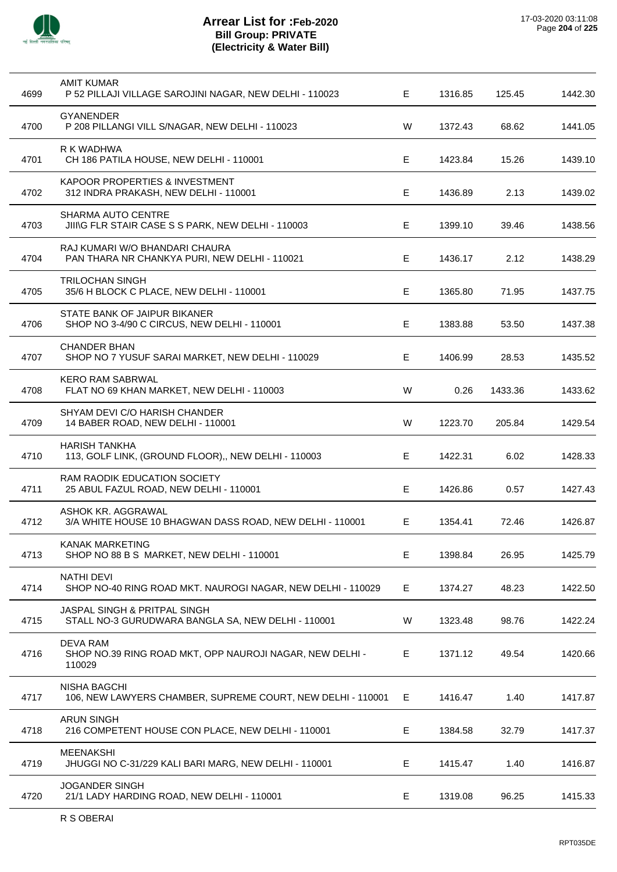

| 4699 | <b>AMIT KUMAR</b><br>P 52 PILLAJI VILLAGE SAROJINI NAGAR, NEW DELHI - 110023          | Е | 1316.85 | 125.45  | 1442.30 |
|------|---------------------------------------------------------------------------------------|---|---------|---------|---------|
| 4700 | <b>GYANENDER</b><br>P 208 PILLANGI VILL S/NAGAR, NEW DELHI - 110023                   | W | 1372.43 | 68.62   | 1441.05 |
| 4701 | R K WADHWA<br>CH 186 PATILA HOUSE, NEW DELHI - 110001                                 | Е | 1423.84 | 15.26   | 1439.10 |
| 4702 | KAPOOR PROPERTIES & INVESTMENT<br>312 INDRA PRAKASH, NEW DELHI - 110001               | E | 1436.89 | 2.13    | 1439.02 |
| 4703 | SHARMA AUTO CENTRE<br>JIING FLR STAIR CASE S S PARK, NEW DELHI - 110003               | Е | 1399.10 | 39.46   | 1438.56 |
| 4704 | RAJ KUMARI W/O BHANDARI CHAURA<br>PAN THARA NR CHANKYA PURI, NEW DELHI - 110021       | Е | 1436.17 | 2.12    | 1438.29 |
| 4705 | <b>TRILOCHAN SINGH</b><br>35/6 H BLOCK C PLACE, NEW DELHI - 110001                    | Е | 1365.80 | 71.95   | 1437.75 |
| 4706 | STATE BANK OF JAIPUR BIKANER<br>SHOP NO 3-4/90 C CIRCUS, NEW DELHI - 110001           | Е | 1383.88 | 53.50   | 1437.38 |
| 4707 | <b>CHANDER BHAN</b><br>SHOP NO 7 YUSUF SARAI MARKET, NEW DELHI - 110029               | Е | 1406.99 | 28.53   | 1435.52 |
| 4708 | <b>KERO RAM SABRWAL</b><br>FLAT NO 69 KHAN MARKET, NEW DELHI - 110003                 | W | 0.26    | 1433.36 | 1433.62 |
| 4709 | SHYAM DEVI C/O HARISH CHANDER<br>14 BABER ROAD, NEW DELHI - 110001                    | W | 1223.70 | 205.84  | 1429.54 |
| 4710 | <b>HARISH TANKHA</b><br>113, GOLF LINK, (GROUND FLOOR),, NEW DELHI - 110003           | Е | 1422.31 | 6.02    | 1428.33 |
| 4711 | RAM RAODIK EDUCATION SOCIETY<br>25 ABUL FAZUL ROAD, NEW DELHI - 110001                | Е | 1426.86 | 0.57    | 1427.43 |
| 4712 | ASHOK KR. AGGRAWAL<br>3/A WHITE HOUSE 10 BHAGWAN DASS ROAD, NEW DELHI - 110001        | Е | 1354.41 | 72.46   | 1426.87 |
| 4713 | <b>KANAK MARKETING</b><br>SHOP NO 88 B S MARKET, NEW DELHI - 110001                   | Е | 1398.84 | 26.95   | 1425.79 |
| 4714 | <b>NATHI DEVI</b><br>SHOP NO-40 RING ROAD MKT. NAUROGI NAGAR, NEW DELHI - 110029      | E | 1374.27 | 48.23   | 1422.50 |
| 4715 | JASPAL SINGH & PRITPAL SINGH<br>STALL NO-3 GURUDWARA BANGLA SA, NEW DELHI - 110001    | W | 1323.48 | 98.76   | 1422.24 |
| 4716 | <b>DEVA RAM</b><br>SHOP NO.39 RING ROAD MKT, OPP NAUROJI NAGAR, NEW DELHI -<br>110029 | Е | 1371.12 | 49.54   | 1420.66 |
| 4717 | <b>NISHA BAGCHI</b><br>106, NEW LAWYERS CHAMBER, SUPREME COURT, NEW DELHI - 110001    | Е | 1416.47 | 1.40    | 1417.87 |
| 4718 | <b>ARUN SINGH</b><br>216 COMPETENT HOUSE CON PLACE, NEW DELHI - 110001                | E | 1384.58 | 32.79   | 1417.37 |
| 4719 | <b>MEENAKSHI</b><br>JHUGGI NO C-31/229 KALI BARI MARG, NEW DELHI - 110001             | Е | 1415.47 | 1.40    | 1416.87 |
| 4720 | <b>JOGANDER SINGH</b><br>21/1 LADY HARDING ROAD, NEW DELHI - 110001                   | E | 1319.08 | 96.25   | 1415.33 |
|      |                                                                                       |   |         |         |         |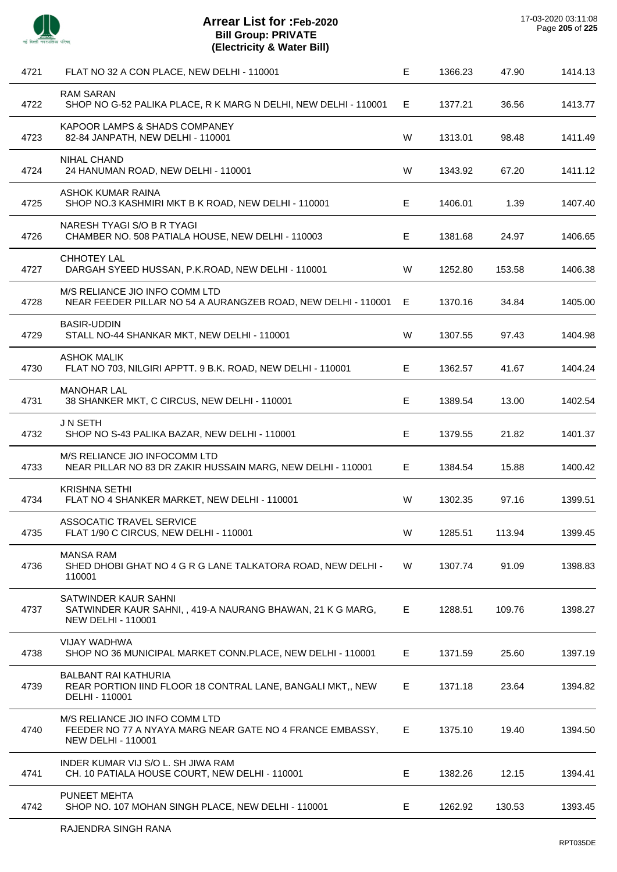

| 4721 | FLAT NO 32 A CON PLACE, NEW DELHI - 110001                                                                              | $\mathsf E$ | 1366.23 | 47.90  | 1414.13 |
|------|-------------------------------------------------------------------------------------------------------------------------|-------------|---------|--------|---------|
| 4722 | <b>RAM SARAN</b><br>SHOP NO G-52 PALIKA PLACE, R K MARG N DELHI, NEW DELHI - 110001                                     | Е           | 1377.21 | 36.56  | 1413.77 |
| 4723 | KAPOOR LAMPS & SHADS COMPANEY<br>82-84 JANPATH, NEW DELHI - 110001                                                      | W           | 1313.01 | 98.48  | 1411.49 |
| 4724 | <b>NIHAL CHAND</b><br>24 HANUMAN ROAD, NEW DELHI - 110001                                                               | W           | 1343.92 | 67.20  | 1411.12 |
| 4725 | ASHOK KUMAR RAINA<br>SHOP NO.3 KASHMIRI MKT B K ROAD, NEW DELHI - 110001                                                | Е           | 1406.01 | 1.39   | 1407.40 |
| 4726 | NARESH TYAGI S/O B R TYAGI<br>CHAMBER NO. 508 PATIALA HOUSE, NEW DELHI - 110003                                         | Е           | 1381.68 | 24.97  | 1406.65 |
| 4727 | <b>CHHOTEY LAL</b><br>DARGAH SYEED HUSSAN, P.K.ROAD, NEW DELHI - 110001                                                 | W           | 1252.80 | 153.58 | 1406.38 |
| 4728 | M/S RELIANCE JIO INFO COMM LTD<br>NEAR FEEDER PILLAR NO 54 A AURANGZEB ROAD, NEW DELHI - 110001                         | Е           | 1370.16 | 34.84  | 1405.00 |
| 4729 | BASIR-UDDIN<br>STALL NO-44 SHANKAR MKT, NEW DELHI - 110001                                                              | W           | 1307.55 | 97.43  | 1404.98 |
| 4730 | <b>ASHOK MALIK</b><br>FLAT NO 703, NILGIRI APPTT. 9 B.K. ROAD, NEW DELHI - 110001                                       | E           | 1362.57 | 41.67  | 1404.24 |
| 4731 | <b>MANOHAR LAL</b><br>38 SHANKER MKT, C CIRCUS, NEW DELHI - 110001                                                      | Е           | 1389.54 | 13.00  | 1402.54 |
| 4732 | J N SETH<br>SHOP NO S-43 PALIKA BAZAR, NEW DELHI - 110001                                                               | E           | 1379.55 | 21.82  | 1401.37 |
| 4733 | M/S RELIANCE JIO INFOCOMM LTD<br>NEAR PILLAR NO 83 DR ZAKIR HUSSAIN MARG, NEW DELHI - 110001                            | E           | 1384.54 | 15.88  | 1400.42 |
| 4734 | <b>KRISHNA SETHI</b><br>FLAT NO 4 SHANKER MARKET, NEW DELHI - 110001                                                    | W           | 1302.35 | 97.16  | 1399.51 |
| 4735 | ASSOCATIC TRAVEL SERVICE<br>FLAT 1/90 C CIRCUS, NEW DELHI - 110001                                                      | W           | 1285.51 | 113.94 | 1399.45 |
| 4736 | <b>MANSA RAM</b><br>SHED DHOBI GHAT NO 4 G R G LANE TALKATORA ROAD, NEW DELHI -<br>110001                               | W           | 1307.74 | 91.09  | 1398.83 |
| 4737 | SATWINDER KAUR SAHNI<br>SATWINDER KAUR SAHNI, , 419-A NAURANG BHAWAN, 21 K G MARG,<br><b>NEW DELHI - 110001</b>         | Е           | 1288.51 | 109.76 | 1398.27 |
| 4738 | <b>VIJAY WADHWA</b><br>SHOP NO 36 MUNICIPAL MARKET CONN.PLACE, NEW DELHI - 110001                                       | E,          | 1371.59 | 25.60  | 1397.19 |
| 4739 | <b>BALBANT RAI KATHURIA</b><br>REAR PORTION IIND FLOOR 18 CONTRAL LANE, BANGALI MKT,, NEW<br>DELHI - 110001             | Е           | 1371.18 | 23.64  | 1394.82 |
| 4740 | M/S RELIANCE JIO INFO COMM LTD<br>FEEDER NO 77 A NYAYA MARG NEAR GATE NO 4 FRANCE EMBASSY,<br><b>NEW DELHI - 110001</b> | Е.          | 1375.10 | 19.40  | 1394.50 |
| 4741 | INDER KUMAR VIJ S/O L. SH JIWA RAM<br>CH. 10 PATIALA HOUSE COURT, NEW DELHI - 110001                                    | Е           | 1382.26 | 12.15  | 1394.41 |
| 4742 | PUNEET MEHTA<br>SHOP NO. 107 MOHAN SINGH PLACE, NEW DELHI - 110001                                                      | Е           | 1262.92 | 130.53 | 1393.45 |
|      |                                                                                                                         |             |         |        |         |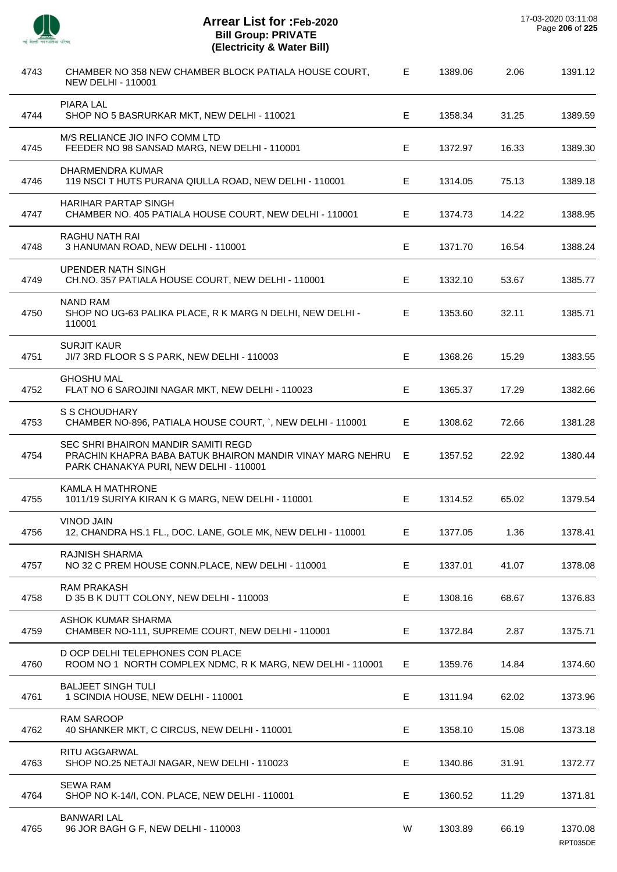

÷,

 $\overline{a}$ 

 $\overline{\phantom{a}}$ 

 $\overline{a}$ 

 $\overline{a}$ 

 $\overline{a}$ 

 $\overline{\phantom{a}}$ 

 $\overline{a}$ 

| 4743 | CHAMBER NO 358 NEW CHAMBER BLOCK PATIALA HOUSE COURT,<br><b>NEW DELHI - 110001</b>                                                         | Е  | 1389.06 | 2.06  | 1391.12             |
|------|--------------------------------------------------------------------------------------------------------------------------------------------|----|---------|-------|---------------------|
| 4744 | <b>PIARA LAL</b><br>SHOP NO 5 BASRURKAR MKT, NEW DELHI - 110021                                                                            | Е  | 1358.34 | 31.25 | 1389.59             |
| 4745 | M/S RELIANCE JIO INFO COMM LTD<br>FEEDER NO 98 SANSAD MARG, NEW DELHI - 110001                                                             | Е  | 1372.97 | 16.33 | 1389.30             |
| 4746 | DHARMENDRA KUMAR<br>119 NSCI T HUTS PURANA QIULLA ROAD, NEW DELHI - 110001                                                                 | Е  | 1314.05 | 75.13 | 1389.18             |
| 4747 | <b>HARIHAR PARTAP SINGH</b><br>CHAMBER NO. 405 PATIALA HOUSE COURT, NEW DELHI - 110001                                                     | E. | 1374.73 | 14.22 | 1388.95             |
| 4748 | RAGHU NATH RAI<br>3 HANUMAN ROAD, NEW DELHI - 110001                                                                                       | Е  | 1371.70 | 16.54 | 1388.24             |
| 4749 | <b>UPENDER NATH SINGH</b><br>CH.NO. 357 PATIALA HOUSE COURT, NEW DELHI - 110001                                                            | Е  | 1332.10 | 53.67 | 1385.77             |
| 4750 | <b>NAND RAM</b><br>SHOP NO UG-63 PALIKA PLACE, R K MARG N DELHI, NEW DELHI -<br>110001                                                     | E  | 1353.60 | 32.11 | 1385.71             |
| 4751 | <b>SURJIT KAUR</b><br>JI/7 3RD FLOOR S S PARK, NEW DELHI - 110003                                                                          | Е  | 1368.26 | 15.29 | 1383.55             |
| 4752 | <b>GHOSHU MAL</b><br>FLAT NO 6 SAROJINI NAGAR MKT, NEW DELHI - 110023                                                                      | Е  | 1365.37 | 17.29 | 1382.66             |
| 4753 | S S CHOUDHARY<br>CHAMBER NO-896, PATIALA HOUSE COURT, `, NEW DELHI - 110001                                                                | Е  | 1308.62 | 72.66 | 1381.28             |
| 4754 | SEC SHRI BHAIRON MANDIR SAMITI REGD<br>PRACHIN KHAPRA BABA BATUK BHAIRON MANDIR VINAY MARG NEHRU<br>PARK CHANAKYA PURI, NEW DELHI - 110001 | Е  | 1357.52 | 22.92 | 1380.44             |
| 4755 | <b>KAMLA H MATHRONE</b><br>1011/19 SURIYA KIRAN K G MARG, NEW DELHI - 110001                                                               | Е  | 1314.52 | 65.02 | 1379.54             |
| 4756 | <b>VINOD JAIN</b><br>12, CHANDRA HS.1 FL., DOC. LANE, GOLE MK, NEW DELHI - 110001                                                          | E  | 1377.05 | 1.36  | 1378.41             |
| 4757 | RAJNISH SHARMA<br>NO 32 C PREM HOUSE CONN.PLACE, NEW DELHI - 110001                                                                        | Е  | 1337.01 | 41.07 | 1378.08             |
| 4758 | <b>RAM PRAKASH</b><br>D 35 B K DUTT COLONY, NEW DELHI - 110003                                                                             | Е  | 1308.16 | 68.67 | 1376.83             |
| 4759 | ASHOK KUMAR SHARMA<br>CHAMBER NO-111, SUPREME COURT, NEW DELHI - 110001                                                                    | E  | 1372.84 | 2.87  | 1375.71             |
| 4760 | D OCP DELHI TELEPHONES CON PLACE<br>ROOM NO 1 NORTH COMPLEX NDMC, R K MARG, NEW DELHI - 110001                                             | E. | 1359.76 | 14.84 | 1374.60             |
| 4761 | <b>BALJEET SINGH TULI</b><br>1 SCINDIA HOUSE, NEW DELHI - 110001                                                                           | E  | 1311.94 | 62.02 | 1373.96             |
| 4762 | <b>RAM SAROOP</b><br>40 SHANKER MKT, C CIRCUS, NEW DELHI - 110001                                                                          | E  | 1358.10 | 15.08 | 1373.18             |
| 4763 | RITU AGGARWAL<br>SHOP NO.25 NETAJI NAGAR, NEW DELHI - 110023                                                                               | Е  | 1340.86 | 31.91 | 1372.77             |
| 4764 | <b>SEWA RAM</b><br>SHOP NO K-14/I, CON. PLACE, NEW DELHI - 110001                                                                          | Е  | 1360.52 | 11.29 | 1371.81             |
| 4765 | <b>BANWARI LAL</b><br>96 JOR BAGH G F, NEW DELHI - 110003                                                                                  | W  | 1303.89 | 66.19 | 1370.08<br>RPT035DE |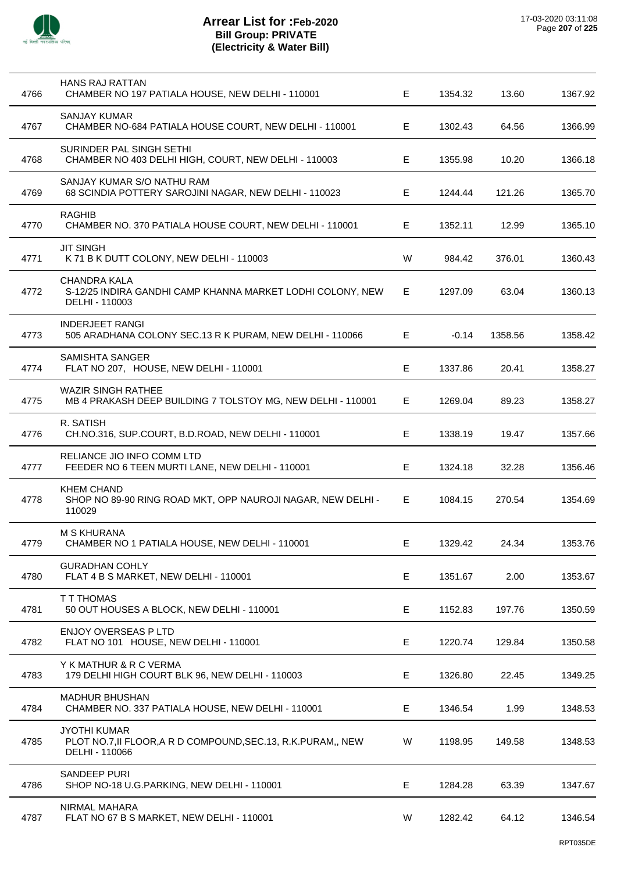

| 4766 | <b>HANS RAJ RATTAN</b><br>CHAMBER NO 197 PATIALA HOUSE, NEW DELHI - 110001                              | Е  | 1354.32 | 13.60   | 1367.92 |
|------|---------------------------------------------------------------------------------------------------------|----|---------|---------|---------|
| 4767 | <b>SANJAY KUMAR</b><br>CHAMBER NO-684 PATIALA HOUSE COURT, NEW DELHI - 110001                           | Е  | 1302.43 | 64.56   | 1366.99 |
| 4768 | SURINDER PAL SINGH SETHI<br>CHAMBER NO 403 DELHI HIGH, COURT, NEW DELHI - 110003                        | Е  | 1355.98 | 10.20   | 1366.18 |
| 4769 | SANJAY KUMAR S/O NATHU RAM<br>68 SCINDIA POTTERY SAROJINI NAGAR, NEW DELHI - 110023                     | Е  | 1244.44 | 121.26  | 1365.70 |
| 4770 | <b>RAGHIB</b><br>CHAMBER NO. 370 PATIALA HOUSE COURT, NEW DELHI - 110001                                | Е  | 1352.11 | 12.99   | 1365.10 |
| 4771 | <b>JIT SINGH</b><br>K 71 B K DUTT COLONY, NEW DELHI - 110003                                            | W  | 984.42  | 376.01  | 1360.43 |
| 4772 | <b>CHANDRA KALA</b><br>S-12/25 INDIRA GANDHI CAMP KHANNA MARKET LODHI COLONY, NEW<br>DELHI - 110003     | Е  | 1297.09 | 63.04   | 1360.13 |
| 4773 | <b>INDERJEET RANGI</b><br>505 ARADHANA COLONY SEC.13 R K PURAM, NEW DELHI - 110066                      | Е  | $-0.14$ | 1358.56 | 1358.42 |
| 4774 | <b>SAMISHTA SANGER</b><br>FLAT NO 207, HOUSE, NEW DELHI - 110001                                        | Е  | 1337.86 | 20.41   | 1358.27 |
| 4775 | <b>WAZIR SINGH RATHEE</b><br>MB 4 PRAKASH DEEP BUILDING 7 TOLSTOY MG, NEW DELHI - 110001                | Е  | 1269.04 | 89.23   | 1358.27 |
| 4776 | R. SATISH<br>CH.NO.316, SUP.COURT, B.D.ROAD, NEW DELHI - 110001                                         | Е  | 1338.19 | 19.47   | 1357.66 |
| 4777 | RELIANCE JIO INFO COMM LTD<br>FEEDER NO 6 TEEN MURTI LANE, NEW DELHI - 110001                           | Е  | 1324.18 | 32.28   | 1356.46 |
| 4778 | <b>KHEM CHAND</b><br>SHOP NO 89-90 RING ROAD MKT, OPP NAUROJI NAGAR, NEW DELHI -<br>110029              | Е  | 1084.15 | 270.54  | 1354.69 |
| 4779 | M S KHURANA<br>CHAMBER NO 1 PATIALA HOUSE, NEW DELHI - 110001                                           | E. | 1329.42 | 24.34   | 1353.76 |
| 4780 | <b>GURADHAN COHLY</b><br>FLAT 4 B S MARKET, NEW DELHI - 110001                                          | E  | 1351.67 | 2.00    | 1353.67 |
| 4781 | <b>T T THOMAS</b><br>50 OUT HOUSES A BLOCK, NEW DELHI - 110001                                          | Е  | 1152.83 | 197.76  | 1350.59 |
| 4782 | <b>ENJOY OVERSEAS P LTD</b><br>FLAT NO 101 HOUSE, NEW DELHI - 110001                                    | E  | 1220.74 | 129.84  | 1350.58 |
| 4783 | Y K MATHUR & R C VERMA<br>179 DELHI HIGH COURT BLK 96, NEW DELHI - 110003                               | E  | 1326.80 | 22.45   | 1349.25 |
| 4784 | <b>MADHUR BHUSHAN</b><br>CHAMBER NO. 337 PATIALA HOUSE, NEW DELHI - 110001                              | Е  | 1346.54 | 1.99    | 1348.53 |
| 4785 | <b>JYOTHI KUMAR</b><br>PLOT NO.7, II FLOOR, A R D COMPOUND, SEC. 13, R.K. PURAM,, NEW<br>DELHI - 110066 | W  | 1198.95 | 149.58  | 1348.53 |
| 4786 | SANDEEP PURI<br>SHOP NO-18 U.G.PARKING, NEW DELHI - 110001                                              | E  | 1284.28 | 63.39   | 1347.67 |
| 4787 | NIRMAL MAHARA<br>FLAT NO 67 B S MARKET, NEW DELHI - 110001                                              | W  | 1282.42 | 64.12   | 1346.54 |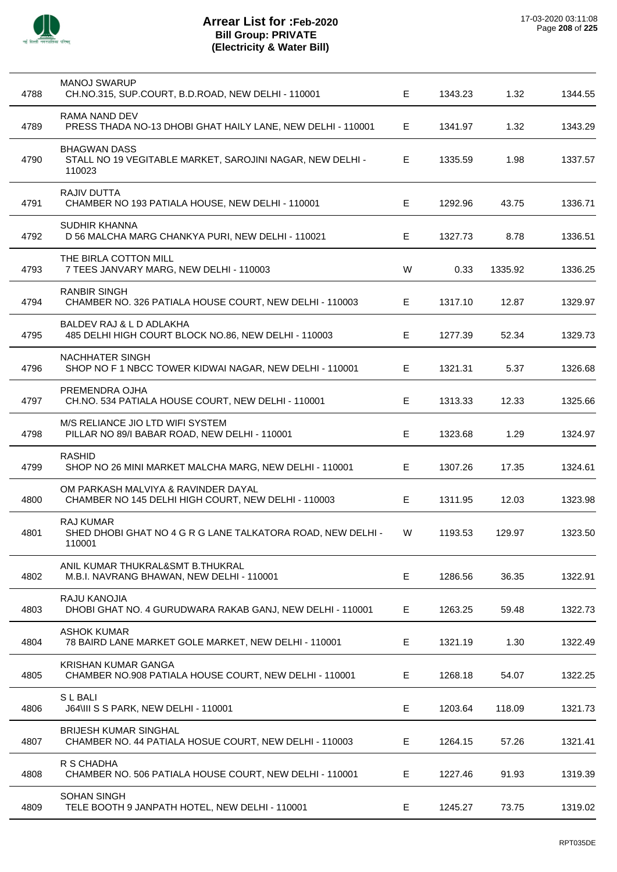

| 4788 | <b>MANOJ SWARUP</b><br>CH.NO.315, SUP.COURT, B.D.ROAD, NEW DELHI - 110001                  | Е           | 1343.23 | 1.32    | 1344.55 |
|------|--------------------------------------------------------------------------------------------|-------------|---------|---------|---------|
| 4789 | RAMA NAND DEV<br>PRESS THADA NO-13 DHOBI GHAT HAILY LANE, NEW DELHI - 110001               | Е           | 1341.97 | 1.32    | 1343.29 |
| 4790 | <b>BHAGWAN DASS</b><br>STALL NO 19 VEGITABLE MARKET, SAROJINI NAGAR, NEW DELHI -<br>110023 | Е           | 1335.59 | 1.98    | 1337.57 |
| 4791 | <b>RAJIV DUTTA</b><br>CHAMBER NO 193 PATIALA HOUSE, NEW DELHI - 110001                     | Е           | 1292.96 | 43.75   | 1336.71 |
| 4792 | <b>SUDHIR KHANNA</b><br>D 56 MALCHA MARG CHANKYA PURI, NEW DELHI - 110021                  | Е           | 1327.73 | 8.78    | 1336.51 |
| 4793 | THE BIRLA COTTON MILL<br>7 TEES JANVARY MARG, NEW DELHI - 110003                           | W           | 0.33    | 1335.92 | 1336.25 |
| 4794 | <b>RANBIR SINGH</b><br>CHAMBER NO. 326 PATIALA HOUSE COURT, NEW DELHI - 110003             | Е           | 1317.10 | 12.87   | 1329.97 |
| 4795 | BALDEV RAJ & L D ADLAKHA<br>485 DELHI HIGH COURT BLOCK NO.86, NEW DELHI - 110003           | Е           | 1277.39 | 52.34   | 1329.73 |
| 4796 | <b>NACHHATER SINGH</b><br>SHOP NO F 1 NBCC TOWER KIDWAI NAGAR, NEW DELHI - 110001          | E           | 1321.31 | 5.37    | 1326.68 |
| 4797 | PREMENDRA OJHA<br>CH.NO. 534 PATIALA HOUSE COURT, NEW DELHI - 110001                       | Е           | 1313.33 | 12.33   | 1325.66 |
| 4798 | M/S RELIANCE JIO LTD WIFI SYSTEM<br>PILLAR NO 89/I BABAR ROAD, NEW DELHI - 110001          | Е           | 1323.68 | 1.29    | 1324.97 |
| 4799 | <b>RASHID</b><br>SHOP NO 26 MINI MARKET MALCHA MARG, NEW DELHI - 110001                    | E           | 1307.26 | 17.35   | 1324.61 |
| 4800 | OM PARKASH MALVIYA & RAVINDER DAYAL<br>CHAMBER NO 145 DELHI HIGH COURT, NEW DELHI - 110003 | E           | 1311.95 | 12.03   | 1323.98 |
| 4801 | <b>RAJ KUMAR</b><br>SHED DHOBI GHAT NO 4 G R G LANE TALKATORA ROAD, NEW DELHI -<br>110001  | W           | 1193.53 | 129.97  | 1323.50 |
| 4802 | ANIL KUMAR THUKRAL&SMT B.THUKRAL<br>M.B.I. NAVRANG BHAWAN, NEW DELHI - 110001              | $\mathsf E$ | 1286.56 | 36.35   | 1322.91 |
| 4803 | RAJU KANOJIA<br>DHOBI GHAT NO. 4 GURUDWARA RAKAB GANJ, NEW DELHI - 110001                  | Е           | 1263.25 | 59.48   | 1322.73 |
| 4804 | <b>ASHOK KUMAR</b><br>78 BAIRD LANE MARKET GOLE MARKET, NEW DELHI - 110001                 | Е           | 1321.19 | 1.30    | 1322.49 |
| 4805 | <b>KRISHAN KUMAR GANGA</b><br>CHAMBER NO.908 PATIALA HOUSE COURT, NEW DELHI - 110001       | Е           | 1268.18 | 54.07   | 1322.25 |
| 4806 | <b>SLBALI</b><br>J64\III S S PARK, NEW DELHI - 110001                                      | E           | 1203.64 | 118.09  | 1321.73 |
| 4807 | <b>BRIJESH KUMAR SINGHAL</b><br>CHAMBER NO. 44 PATIALA HOSUE COURT, NEW DELHI - 110003     | Е           | 1264.15 | 57.26   | 1321.41 |
| 4808 | R S CHADHA<br>CHAMBER NO. 506 PATIALA HOUSE COURT, NEW DELHI - 110001                      | Е           | 1227.46 | 91.93   | 1319.39 |
| 4809 | <b>SOHAN SINGH</b><br>TELE BOOTH 9 JANPATH HOTEL, NEW DELHI - 110001                       | E           | 1245.27 | 73.75   | 1319.02 |
|      |                                                                                            |             |         |         |         |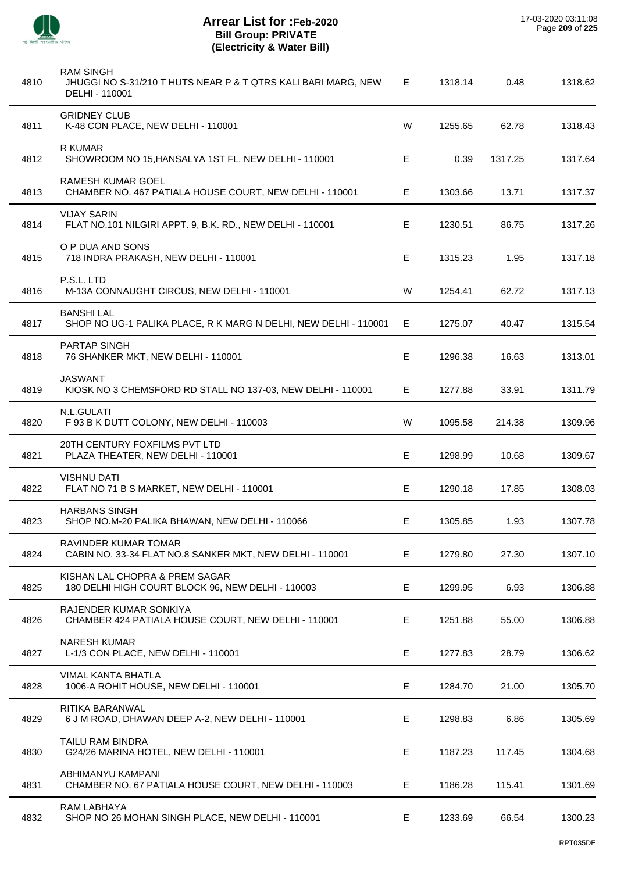

 $\overline{a}$ 

J.

J.

 $\overline{a}$ 

 $\overline{a}$ 

l.

l.

| 4810 | <b>RAM SINGH</b><br>JHUGGI NO S-31/210 T HUTS NEAR P & T QTRS KALI BARI MARG, NEW<br>DELHI - 110001 | Е  | 1318.14 | 0.48    | 1318.62 |
|------|-----------------------------------------------------------------------------------------------------|----|---------|---------|---------|
| 4811 | <b>GRIDNEY CLUB</b><br>K-48 CON PLACE, NEW DELHI - 110001                                           | W  | 1255.65 | 62.78   | 1318.43 |
| 4812 | R KUMAR<br>SHOWROOM NO 15, HANSALYA 1ST FL, NEW DELHI - 110001                                      | Е  | 0.39    | 1317.25 | 1317.64 |
| 4813 | <b>RAMESH KUMAR GOEL</b><br>CHAMBER NO. 467 PATIALA HOUSE COURT, NEW DELHI - 110001                 | Е  | 1303.66 | 13.71   | 1317.37 |
| 4814 | <b>VIJAY SARIN</b><br>FLAT NO.101 NILGIRI APPT. 9, B.K. RD., NEW DELHI - 110001                     | Е  | 1230.51 | 86.75   | 1317.26 |
| 4815 | O P DUA AND SONS<br>718 INDRA PRAKASH, NEW DELHI - 110001                                           | E  | 1315.23 | 1.95    | 1317.18 |
| 4816 | P.S.L. LTD<br>M-13A CONNAUGHT CIRCUS, NEW DELHI - 110001                                            | W  | 1254.41 | 62.72   | 1317.13 |
| 4817 | <b>BANSHI LAL</b><br>SHOP NO UG-1 PALIKA PLACE, R K MARG N DELHI, NEW DELHI - 110001                | Е  | 1275.07 | 40.47   | 1315.54 |
| 4818 | PARTAP SINGH<br>76 SHANKER MKT, NEW DELHI - 110001                                                  | E  | 1296.38 | 16.63   | 1313.01 |
| 4819 | <b>JASWANT</b><br>KIOSK NO 3 CHEMSFORD RD STALL NO 137-03, NEW DELHI - 110001                       | Е  | 1277.88 | 33.91   | 1311.79 |
| 4820 | N.L.GULATI<br>F 93 B K DUTT COLONY, NEW DELHI - 110003                                              | W  | 1095.58 | 214.38  | 1309.96 |
| 4821 | 20TH CENTURY FOXFILMS PVT LTD<br>PLAZA THEATER, NEW DELHI - 110001                                  | E  | 1298.99 | 10.68   | 1309.67 |
| 4822 | <b>VISHNU DATI</b><br>FLAT NO 71 B S MARKET, NEW DELHI - 110001                                     | Е  | 1290.18 | 17.85   | 1308.03 |
| 4823 | <b>HARBANS SINGH</b><br>SHOP NO.M-20 PALIKA BHAWAN, NEW DELHI - 110066                              | Е  | 1305.85 | 1.93    | 1307.78 |
| 4824 | RAVINDER KUMAR TOMAR<br>CABIN NO. 33-34 FLAT NO.8 SANKER MKT, NEW DELHI - 110001                    | E. | 1279.80 | 27.30   | 1307.10 |
| 4825 | KISHAN LAL CHOPRA & PREM SAGAR<br>180 DELHI HIGH COURT BLOCK 96, NEW DELHI - 110003                 | E  | 1299.95 | 6.93    | 1306.88 |
| 4826 | RAJENDER KUMAR SONKIYA<br>CHAMBER 424 PATIALA HOUSE COURT, NEW DELHI - 110001                       | Е  | 1251.88 | 55.00   | 1306.88 |
| 4827 | <b>NARESH KUMAR</b><br>L-1/3 CON PLACE, NEW DELHI - 110001                                          | Е  | 1277.83 | 28.79   | 1306.62 |
| 4828 | VIMAL KANTA BHATLA<br>1006-A ROHIT HOUSE, NEW DELHI - 110001                                        | E  | 1284.70 | 21.00   | 1305.70 |
| 4829 | RITIKA BARANWAL<br>6 J M ROAD, DHAWAN DEEP A-2, NEW DELHI - 110001                                  | Е  | 1298.83 | 6.86    | 1305.69 |
| 4830 | TAILU RAM BINDRA<br>G24/26 MARINA HOTEL, NEW DELHI - 110001                                         | Е  | 1187.23 | 117.45  | 1304.68 |
| 4831 | ABHIMANYU KAMPANI<br>CHAMBER NO. 67 PATIALA HOUSE COURT, NEW DELHI - 110003                         | Е  | 1186.28 | 115.41  | 1301.69 |
| 4832 | RAM LABHAYA<br>SHOP NO 26 MOHAN SINGH PLACE, NEW DELHI - 110001                                     | E. | 1233.69 | 66.54   | 1300.23 |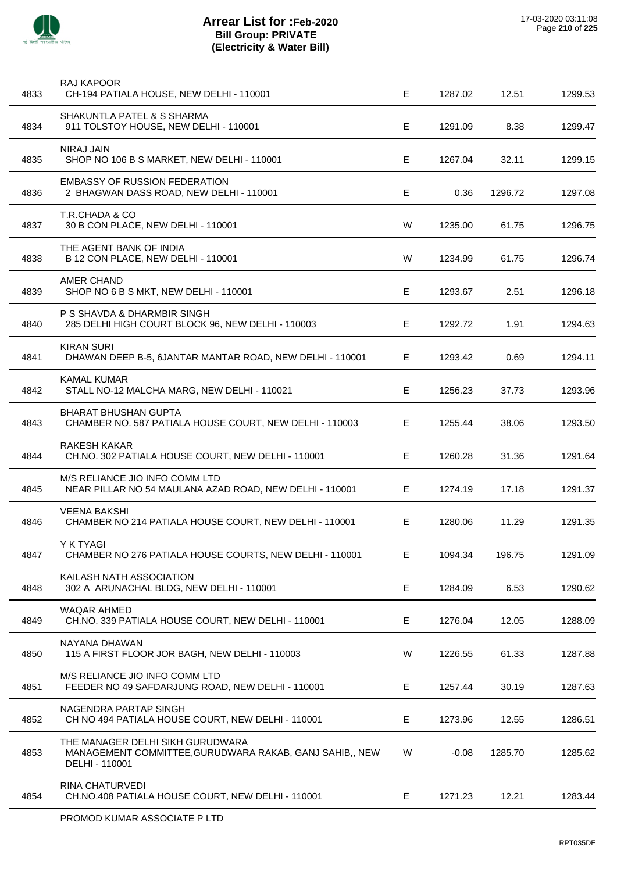

| 4833 | RAJ KAPOOR<br>CH-194 PATIALA HOUSE, NEW DELHI - 110001                                                        | Е  | 1287.02 | 12.51   | 1299.53 |
|------|---------------------------------------------------------------------------------------------------------------|----|---------|---------|---------|
| 4834 | SHAKUNTLA PATEL & S SHARMA<br>911 TOLSTOY HOUSE, NEW DELHI - 110001                                           | Е  | 1291.09 | 8.38    | 1299.47 |
| 4835 | <b>NIRAJ JAIN</b><br>SHOP NO 106 B S MARKET, NEW DELHI - 110001                                               | Е  | 1267.04 | 32.11   | 1299.15 |
| 4836 | <b>EMBASSY OF RUSSION FEDERATION</b><br>2 BHAGWAN DASS ROAD, NEW DELHI - 110001                               | Е  | 0.36    | 1296.72 | 1297.08 |
| 4837 | T.R.CHADA & CO<br>30 B CON PLACE, NEW DELHI - 110001                                                          | W  | 1235.00 | 61.75   | 1296.75 |
| 4838 | THE AGENT BANK OF INDIA<br>B 12 CON PLACE, NEW DELHI - 110001                                                 | W  | 1234.99 | 61.75   | 1296.74 |
| 4839 | <b>AMER CHAND</b><br>SHOP NO 6 B S MKT, NEW DELHI - 110001                                                    | Е  | 1293.67 | 2.51    | 1296.18 |
| 4840 | P S SHAVDA & DHARMBIR SINGH<br>285 DELHI HIGH COURT BLOCK 96, NEW DELHI - 110003                              | Е  | 1292.72 | 1.91    | 1294.63 |
| 4841 | <b>KIRAN SURI</b><br>DHAWAN DEEP B-5, 6JANTAR MANTAR ROAD, NEW DELHI - 110001                                 | Е  | 1293.42 | 0.69    | 1294.11 |
| 4842 | <b>KAMAL KUMAR</b><br>STALL NO-12 MALCHA MARG, NEW DELHI - 110021                                             | Е  | 1256.23 | 37.73   | 1293.96 |
| 4843 | <b>BHARAT BHUSHAN GUPTA</b><br>CHAMBER NO. 587 PATIALA HOUSE COURT, NEW DELHI - 110003                        | E  | 1255.44 | 38.06   | 1293.50 |
| 4844 | <b>RAKESH KAKAR</b><br>CH.NO. 302 PATIALA HOUSE COURT, NEW DELHI - 110001                                     | Е  | 1260.28 | 31.36   | 1291.64 |
| 4845 | M/S RELIANCE JIO INFO COMM LTD<br>NEAR PILLAR NO 54 MAULANA AZAD ROAD, NEW DELHI - 110001                     | Е  | 1274.19 | 17.18   | 1291.37 |
| 4846 | <b>VEENA BAKSHI</b><br>CHAMBER NO 214 PATIALA HOUSE COURT, NEW DELHI - 110001                                 | E. | 1280.06 | 11.29   | 1291.35 |
| 4847 | Y K TYAGI<br>CHAMBER NO 276 PATIALA HOUSE COURTS, NEW DELHI - 110001                                          | Е  | 1094.34 | 196.75  | 1291.09 |
| 4848 | KAILASH NATH ASSOCIATION<br>302 A ARUNACHAL BLDG, NEW DELHI - 110001                                          | E  | 1284.09 | 6.53    | 1290.62 |
| 4849 | WAQAR AHMED<br>CH.NO. 339 PATIALA HOUSE COURT, NEW DELHI - 110001                                             | Е  | 1276.04 | 12.05   | 1288.09 |
| 4850 | NAYANA DHAWAN<br>115 A FIRST FLOOR JOR BAGH, NEW DELHI - 110003                                               | W  | 1226.55 | 61.33   | 1287.88 |
| 4851 | M/S RELIANCE JIO INFO COMM LTD<br>FEEDER NO 49 SAFDARJUNG ROAD, NEW DELHI - 110001                            | Е  | 1257.44 | 30.19   | 1287.63 |
| 4852 | NAGENDRA PARTAP SINGH<br>CH NO 494 PATIALA HOUSE COURT, NEW DELHI - 110001                                    | Е  | 1273.96 | 12.55   | 1286.51 |
| 4853 | THE MANAGER DELHI SIKH GURUDWARA<br>MANAGEMENT COMMITTEE, GURUDWARA RAKAB, GANJ SAHIB,, NEW<br>DELHI - 110001 | W  | $-0.08$ | 1285.70 | 1285.62 |
| 4854 | RINA CHATURVEDI<br>CH.NO.408 PATIALA HOUSE COURT, NEW DELHI - 110001                                          | Е  | 1271.23 | 12.21   | 1283.44 |
|      |                                                                                                               |    |         |         |         |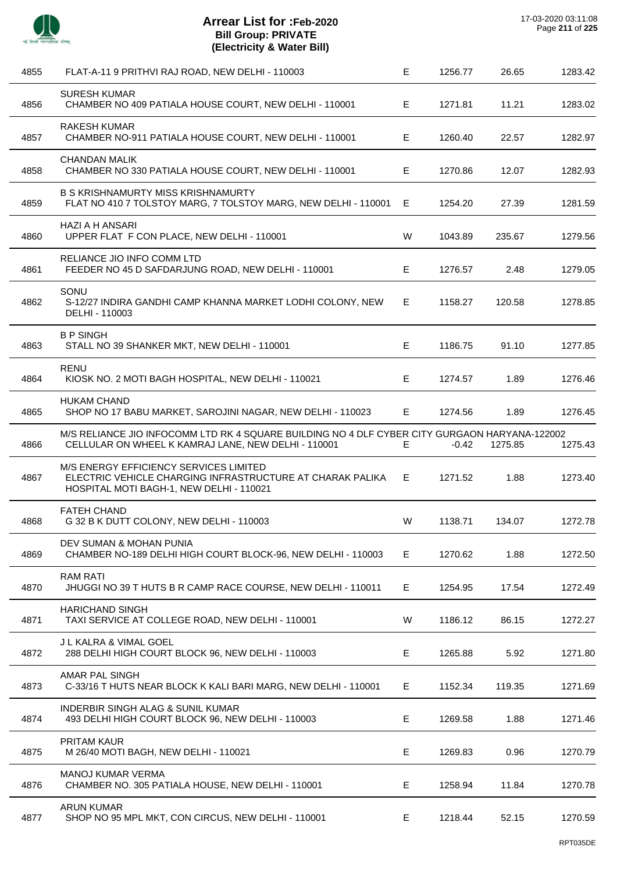

| 4855 | FLAT-A-11 9 PRITHVI RAJ ROAD, NEW DELHI - 110003                                                                                                     | Е  | 1256.77 | 26.65   | 1283.42 |
|------|------------------------------------------------------------------------------------------------------------------------------------------------------|----|---------|---------|---------|
| 4856 | <b>SURESH KUMAR</b><br>CHAMBER NO 409 PATIALA HOUSE COURT, NEW DELHI - 110001                                                                        | E. | 1271.81 | 11.21   | 1283.02 |
| 4857 | <b>RAKESH KUMAR</b><br>CHAMBER NO-911 PATIALA HOUSE COURT, NEW DELHI - 110001                                                                        | E  | 1260.40 | 22.57   | 1282.97 |
| 4858 | <b>CHANDAN MALIK</b><br>CHAMBER NO 330 PATIALA HOUSE COURT, NEW DELHI - 110001                                                                       | E  | 1270.86 | 12.07   | 1282.93 |
| 4859 | <b>B S KRISHNAMURTY MISS KRISHNAMURTY</b><br>FLAT NO 410 7 TOLSTOY MARG, 7 TOLSTOY MARG, NEW DELHI - 110001                                          | E. | 1254.20 | 27.39   | 1281.59 |
| 4860 | <b>HAZI A H ANSARI</b><br>UPPER FLAT F CON PLACE, NEW DELHI - 110001                                                                                 | W  | 1043.89 | 235.67  | 1279.56 |
| 4861 | RELIANCE JIO INFO COMM LTD<br>FEEDER NO 45 D SAFDARJUNG ROAD, NEW DELHI - 110001                                                                     | Е  | 1276.57 | 2.48    | 1279.05 |
| 4862 | SONU<br>S-12/27 INDIRA GANDHI CAMP KHANNA MARKET LODHI COLONY, NEW<br>DELHI - 110003                                                                 | E. | 1158.27 | 120.58  | 1278.85 |
| 4863 | <b>B P SINGH</b><br>STALL NO 39 SHANKER MKT, NEW DELHI - 110001                                                                                      | E. | 1186.75 | 91.10   | 1277.85 |
| 4864 | <b>RENU</b><br>KIOSK NO. 2 MOTI BAGH HOSPITAL, NEW DELHI - 110021                                                                                    | Е  | 1274.57 | 1.89    | 1276.46 |
| 4865 | <b>HUKAM CHAND</b><br>SHOP NO 17 BABU MARKET, SAROJINI NAGAR, NEW DELHI - 110023                                                                     | E. | 1274.56 | 1.89    | 1276.45 |
| 4866 | M/S RELIANCE JIO INFOCOMM LTD RK 4 SQUARE BUILDING NO 4 DLF CYBER CITY GURGAON HARYANA-122002<br>CELLULAR ON WHEEL K KAMRAJ LANE, NEW DELHI - 110001 | E. | $-0.42$ | 1275.85 | 1275.43 |
| 4867 | M/S ENERGY EFFICIENCY SERVICES LIMITED<br>ELECTRIC VEHICLE CHARGING INFRASTRUCTURE AT CHARAK PALIKA<br>HOSPITAL MOTI BAGH-1, NEW DELHI - 110021      | E. | 1271.52 | 1.88    | 1273.40 |
| 4868 | <b>FATEH CHAND</b><br>G 32 B K DUTT COLONY, NEW DELHI - 110003                                                                                       | W  | 1138.71 | 134.07  | 1272.78 |
| 4869 | DEV SUMAN & MOHAN PUNIA<br>CHAMBER NO-189 DELHI HIGH COURT BLOCK-96, NEW DELHI - 110003                                                              | E. | 1270.62 | 1.88    | 1272.50 |
| 4870 | <b>RAM RATI</b><br>JHUGGI NO 39 T HUTS B R CAMP RACE COURSE, NEW DELHI - 110011                                                                      | Е  | 1254.95 | 17.54   | 1272.49 |
| 4871 | <b>HARICHAND SINGH</b><br>TAXI SERVICE AT COLLEGE ROAD, NEW DELHI - 110001                                                                           | W  | 1186.12 | 86.15   | 1272.27 |
| 4872 | J L KALRA & VIMAL GOEL<br>288 DELHI HIGH COURT BLOCK 96, NEW DELHI - 110003                                                                          | E  | 1265.88 | 5.92    | 1271.80 |
| 4873 | AMAR PAL SINGH<br>C-33/16 T HUTS NEAR BLOCK K KALI BARI MARG, NEW DELHI - 110001                                                                     | Е  | 1152.34 | 119.35  | 1271.69 |
| 4874 | <b>INDERBIR SINGH ALAG &amp; SUNIL KUMAR</b><br>493 DELHI HIGH COURT BLOCK 96, NEW DELHI - 110003                                                    | E  | 1269.58 | 1.88    | 1271.46 |
| 4875 | PRITAM KAUR<br>M 26/40 MOTI BAGH, NEW DELHI - 110021                                                                                                 | E  | 1269.83 | 0.96    | 1270.79 |
| 4876 | <b>MANOJ KUMAR VERMA</b><br>CHAMBER NO. 305 PATIALA HOUSE, NEW DELHI - 110001                                                                        | E  | 1258.94 | 11.84   | 1270.78 |
| 4877 | <b>ARUN KUMAR</b><br>SHOP NO 95 MPL MKT, CON CIRCUS, NEW DELHI - 110001                                                                              | E. | 1218.44 | 52.15   | 1270.59 |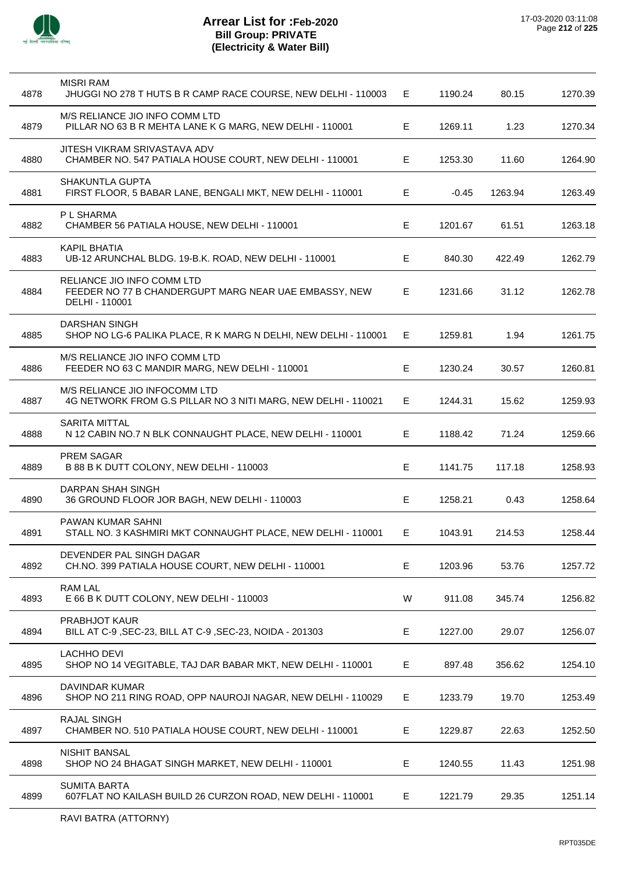

| 4878 | <b>MISRI RAM</b><br>JHUGGI NO 278 T HUTS B R CAMP RACE COURSE, NEW DELHI - 110003                     | E. | 1190.24 | 80.15   | 1270.39 |
|------|-------------------------------------------------------------------------------------------------------|----|---------|---------|---------|
| 4879 | M/S RELIANCE JIO INFO COMM LTD<br>PILLAR NO 63 B R MEHTA LANE K G MARG, NEW DELHI - 110001            | Е  | 1269.11 | 1.23    | 1270.34 |
| 4880 | JITESH VIKRAM SRIVASTAVA ADV<br>CHAMBER NO. 547 PATIALA HOUSE COURT, NEW DELHI - 110001               | Е  | 1253.30 | 11.60   | 1264.90 |
| 4881 | <b>SHAKUNTLA GUPTA</b><br>FIRST FLOOR, 5 BABAR LANE, BENGALI MKT, NEW DELHI - 110001                  | E  | $-0.45$ | 1263.94 | 1263.49 |
| 4882 | P L SHARMA<br>CHAMBER 56 PATIALA HOUSE, NEW DELHI - 110001                                            | Е  | 1201.67 | 61.51   | 1263.18 |
| 4883 | <b>KAPIL BHATIA</b><br>UB-12 ARUNCHAL BLDG. 19-B.K. ROAD, NEW DELHI - 110001                          | Е  | 840.30  | 422.49  | 1262.79 |
| 4884 | RELIANCE JIO INFO COMM LTD<br>FEEDER NO 77 B CHANDERGUPT MARG NEAR UAE EMBASSY, NEW<br>DELHI - 110001 | Е  | 1231.66 | 31.12   | 1262.78 |
| 4885 | <b>DARSHAN SINGH</b><br>SHOP NO LG-6 PALIKA PLACE, R K MARG N DELHI, NEW DELHI - 110001               | Е  | 1259.81 | 1.94    | 1261.75 |
| 4886 | M/S RELIANCE JIO INFO COMM LTD<br>FEEDER NO 63 C MANDIR MARG, NEW DELHI - 110001                      | Е  | 1230.24 | 30.57   | 1260.81 |
| 4887 | M/S RELIANCE JIO INFOCOMM LTD<br>4G NETWORK FROM G.S PILLAR NO 3 NITI MARG, NEW DELHI - 110021        | E. | 1244.31 | 15.62   | 1259.93 |
| 4888 | <b>SARITA MITTAL</b><br>N 12 CABIN NO.7 N BLK CONNAUGHT PLACE, NEW DELHI - 110001                     | Е  | 1188.42 | 71.24   | 1259.66 |
| 4889 | <b>PREM SAGAR</b><br>B 88 B K DUTT COLONY, NEW DELHI - 110003                                         | Е  | 1141.75 | 117.18  | 1258.93 |
| 4890 | DARPAN SHAH SINGH<br>36 GROUND FLOOR JOR BAGH, NEW DELHI - 110003                                     | E  | 1258.21 | 0.43    | 1258.64 |
| 4891 | PAWAN KUMAR SAHNI<br>STALL NO. 3 KASHMIRI MKT CONNAUGHT PLACE, NEW DELHI - 110001                     | E. | 1043.91 | 214.53  | 1258.44 |
| 4892 | DEVENDER PAL SINGH DAGAR<br>CH.NO. 399 PATIALA HOUSE COURT, NEW DELHI - 110001                        | Е  | 1203.96 | 53.76   | 1257.72 |
| 4893 | RAM LAL<br>E 66 B K DUTT COLONY, NEW DELHI - 110003                                                   | W  | 911.08  | 345.74  | 1256.82 |
| 4894 | <b>PRABHJOT KAUR</b><br>BILL AT C-9, SEC-23, BILL AT C-9, SEC-23, NOIDA - 201303                      | Е  | 1227.00 | 29.07   | 1256.07 |
| 4895 | <b>LACHHO DEVI</b><br>SHOP NO 14 VEGITABLE, TAJ DAR BABAR MKT, NEW DELHI - 110001                     | Е  | 897.48  | 356.62  | 1254.10 |
| 4896 | DAVINDAR KUMAR<br>SHOP NO 211 RING ROAD, OPP NAUROJI NAGAR, NEW DELHI - 110029                        | Е  | 1233.79 | 19.70   | 1253.49 |
| 4897 | <b>RAJAL SINGH</b><br>CHAMBER NO. 510 PATIALA HOUSE COURT, NEW DELHI - 110001                         | Е  | 1229.87 | 22.63   | 1252.50 |
| 4898 | <b>NISHIT BANSAL</b><br>SHOP NO 24 BHAGAT SINGH MARKET, NEW DELHI - 110001                            | Е  | 1240.55 | 11.43   | 1251.98 |
| 4899 | <b>SUMITA BARTA</b><br>607FLAT NO KAILASH BUILD 26 CURZON ROAD, NEW DELHI - 110001                    | Е  | 1221.79 | 29.35   | 1251.14 |
|      |                                                                                                       |    |         |         |         |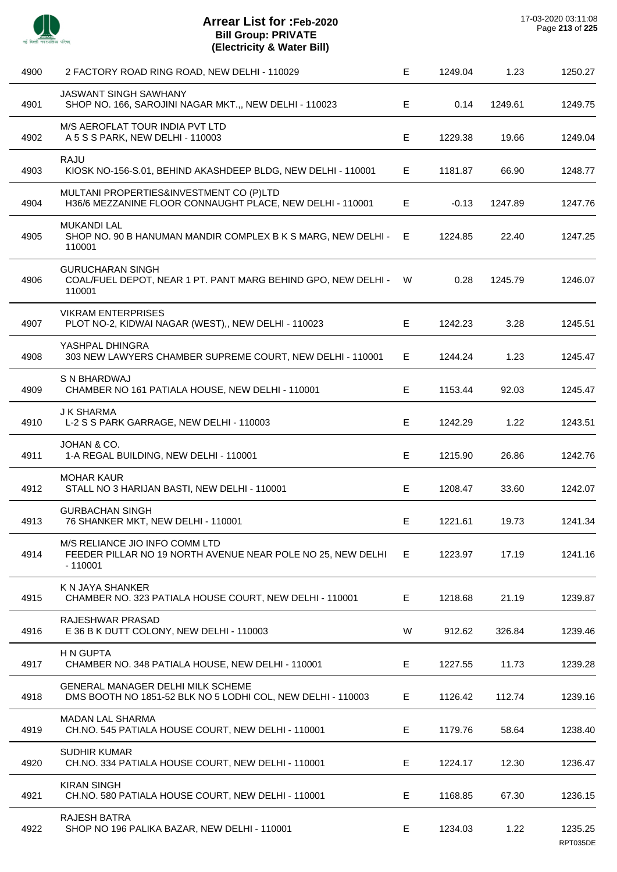

| 4900 | 2 FACTORY ROAD RING ROAD, NEW DELHI - 110029                                                               | E. | 1249.04 | 1.23    | 1250.27             |
|------|------------------------------------------------------------------------------------------------------------|----|---------|---------|---------------------|
| 4901 | <b>JASWANT SINGH SAWHANY</b><br>SHOP NO. 166, SAROJINI NAGAR MKT.,, NEW DELHI - 110023                     | E  | 0.14    | 1249.61 | 1249.75             |
| 4902 | M/S AEROFLAT TOUR INDIA PVT LTD<br>A 5 S S PARK, NEW DELHI - 110003                                        | Е  | 1229.38 | 19.66   | 1249.04             |
| 4903 | <b>RAJU</b><br>KIOSK NO-156-S.01, BEHIND AKASHDEEP BLDG, NEW DELHI - 110001                                | E. | 1181.87 | 66.90   | 1248.77             |
| 4904 | MULTANI PROPERTIES&INVESTMENT CO (P)LTD<br>H36/6 MEZZANINE FLOOR CONNAUGHT PLACE, NEW DELHI - 110001       | E  | $-0.13$ | 1247.89 | 1247.76             |
| 4905 | <b>MUKANDI LAL</b><br>SHOP NO. 90 B HANUMAN MANDIR COMPLEX B K S MARG, NEW DELHI - E<br>110001             |    | 1224.85 | 22.40   | 1247.25             |
| 4906 | <b>GURUCHARAN SINGH</b><br>COAL/FUEL DEPOT, NEAR 1 PT. PANT MARG BEHIND GPO, NEW DELHI -<br>110001         | W  | 0.28    | 1245.79 | 1246.07             |
| 4907 | <b>VIKRAM ENTERPRISES</b><br>PLOT NO-2, KIDWAI NAGAR (WEST),, NEW DELHI - 110023                           | Е  | 1242.23 | 3.28    | 1245.51             |
| 4908 | YASHPAL DHINGRA<br>303 NEW LAWYERS CHAMBER SUPREME COURT, NEW DELHI - 110001                               | E. | 1244.24 | 1.23    | 1245.47             |
| 4909 | <b>S N BHARDWAJ</b><br>CHAMBER NO 161 PATIALA HOUSE, NEW DELHI - 110001                                    | E  | 1153.44 | 92.03   | 1245.47             |
| 4910 | <b>J K SHARMA</b><br>L-2 S S PARK GARRAGE, NEW DELHI - 110003                                              | Е  | 1242.29 | 1.22    | 1243.51             |
| 4911 | JOHAN & CO.<br>1-A REGAL BUILDING, NEW DELHI - 110001                                                      | Е  | 1215.90 | 26.86   | 1242.76             |
| 4912 | <b>MOHAR KAUR</b><br>STALL NO 3 HARIJAN BASTI, NEW DELHI - 110001                                          | Е  | 1208.47 | 33.60   | 1242.07             |
| 4913 | <b>GURBACHAN SINGH</b><br>76 SHANKER MKT, NEW DELHI - 110001                                               | Е  | 1221.61 | 19.73   | 1241.34             |
| 4914 | M/S RELIANCE JIO INFO COMM LTD<br>FEEDER PILLAR NO 19 NORTH AVENUE NEAR POLE NO 25, NEW DELHI<br>$-110001$ | E. | 1223.97 | 17.19   | 1241.16             |
| 4915 | K N JAYA SHANKER<br>CHAMBER NO. 323 PATIALA HOUSE COURT, NEW DELHI - 110001                                | E  | 1218.68 | 21.19   | 1239.87             |
| 4916 | RAJESHWAR PRASAD<br>E 36 B K DUTT COLONY, NEW DELHI - 110003                                               | W  | 912.62  | 326.84  | 1239.46             |
| 4917 | H N GUPTA<br>CHAMBER NO. 348 PATIALA HOUSE, NEW DELHI - 110001                                             | E. | 1227.55 | 11.73   | 1239.28             |
| 4918 | <b>GENERAL MANAGER DELHI MILK SCHEME</b><br>DMS BOOTH NO 1851-52 BLK NO 5 LODHI COL, NEW DELHI - 110003    | E  | 1126.42 | 112.74  | 1239.16             |
| 4919 | <b>MADAN LAL SHARMA</b><br>CH.NO. 545 PATIALA HOUSE COURT, NEW DELHI - 110001                              | E  | 1179.76 | 58.64   | 1238.40             |
| 4920 | <b>SUDHIR KUMAR</b><br>CH.NO. 334 PATIALA HOUSE COURT, NEW DELHI - 110001                                  | E  | 1224.17 | 12.30   | 1236.47             |
| 4921 | <b>KIRAN SINGH</b><br>CH.NO. 580 PATIALA HOUSE COURT, NEW DELHI - 110001                                   | Е  | 1168.85 | 67.30   | 1236.15             |
| 4922 | <b>RAJESH BATRA</b><br>SHOP NO 196 PALIKA BAZAR, NEW DELHI - 110001                                        | Е  | 1234.03 | 1.22    | 1235.25<br>RPT035DE |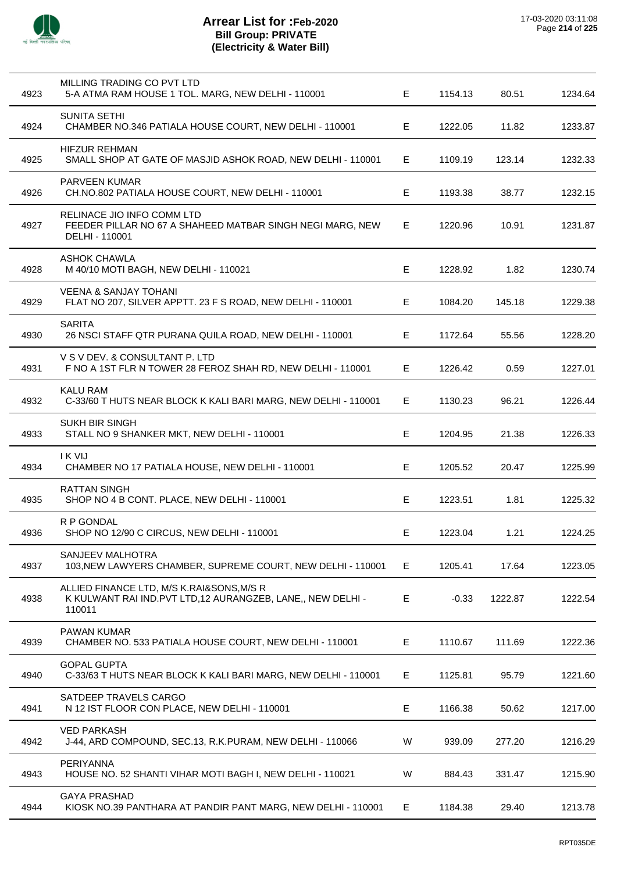

| 4923 | MILLING TRADING CO PVT LTD<br>5-A ATMA RAM HOUSE 1 TOL. MARG, NEW DELHI - 110001                                    | Е | 1154.13 | 80.51   | 1234.64 |
|------|---------------------------------------------------------------------------------------------------------------------|---|---------|---------|---------|
| 4924 | <b>SUNITA SETHI</b><br>CHAMBER NO.346 PATIALA HOUSE COURT, NEW DELHI - 110001                                       | Е | 1222.05 | 11.82   | 1233.87 |
| 4925 | <b>HIFZUR REHMAN</b><br>SMALL SHOP AT GATE OF MASJID ASHOK ROAD, NEW DELHI - 110001                                 | Е | 1109.19 | 123.14  | 1232.33 |
| 4926 | <b>PARVEEN KUMAR</b><br>CH.NO.802 PATIALA HOUSE COURT, NEW DELHI - 110001                                           | E | 1193.38 | 38.77   | 1232.15 |
| 4927 | RELINACE JIO INFO COMM LTD<br>FEEDER PILLAR NO 67 A SHAHEED MATBAR SINGH NEGI MARG, NEW<br>DELHI - 110001           | Е | 1220.96 | 10.91   | 1231.87 |
| 4928 | <b>ASHOK CHAWLA</b><br>M 40/10 MOTI BAGH, NEW DELHI - 110021                                                        | E | 1228.92 | 1.82    | 1230.74 |
| 4929 | <b>VEENA &amp; SANJAY TOHANI</b><br>FLAT NO 207, SILVER APPTT. 23 F S ROAD, NEW DELHI - 110001                      | E | 1084.20 | 145.18  | 1229.38 |
| 4930 | <b>SARITA</b><br>26 NSCI STAFF QTR PURANA QUILA ROAD, NEW DELHI - 110001                                            | Е | 1172.64 | 55.56   | 1228.20 |
| 4931 | V S V DEV. & CONSULTANT P. LTD<br>F NO A 1ST FLR N TOWER 28 FEROZ SHAH RD, NEW DELHI - 110001                       | Е | 1226.42 | 0.59    | 1227.01 |
| 4932 | <b>KALU RAM</b><br>C-33/60 T HUTS NEAR BLOCK K KALI BARI MARG, NEW DELHI - 110001                                   | Е | 1130.23 | 96.21   | 1226.44 |
| 4933 | <b>SUKH BIR SINGH</b><br>STALL NO 9 SHANKER MKT, NEW DELHI - 110001                                                 | Е | 1204.95 | 21.38   | 1226.33 |
| 4934 | <b>IKVIJ</b><br>CHAMBER NO 17 PATIALA HOUSE, NEW DELHI - 110001                                                     | Е | 1205.52 | 20.47   | 1225.99 |
| 4935 | <b>RATTAN SINGH</b><br>SHOP NO 4 B CONT. PLACE, NEW DELHI - 110001                                                  | E | 1223.51 | 1.81    | 1225.32 |
| 4936 | R P GONDAL<br>SHOP NO 12/90 C CIRCUS, NEW DELHI - 110001                                                            | Е | 1223.04 | 1.21    | 1224.25 |
| 4937 | SANJEEV MALHOTRA<br>103, NEW LAWYERS CHAMBER, SUPREME COURT, NEW DELHI - 110001                                     | Е | 1205.41 | 17.64   | 1223.05 |
| 4938 | ALLIED FINANCE LTD, M/S K.RAI&SONS, M/S R<br>K KULWANT RAI IND. PVT LTD, 12 AURANGZEB, LANE,, NEW DELHI -<br>110011 | Ε | $-0.33$ | 1222.87 | 1222.54 |
| 4939 | PAWAN KUMAR<br>CHAMBER NO. 533 PATIALA HOUSE COURT, NEW DELHI - 110001                                              | Ε | 1110.67 | 111.69  | 1222.36 |
| 4940 | <b>GOPAL GUPTA</b><br>C-33/63 T HUTS NEAR BLOCK K KALI BARI MARG, NEW DELHI - 110001                                | Е | 1125.81 | 95.79   | 1221.60 |
| 4941 | SATDEEP TRAVELS CARGO<br>N 12 IST FLOOR CON PLACE, NEW DELHI - 110001                                               | E | 1166.38 | 50.62   | 1217.00 |
| 4942 | <b>VED PARKASH</b><br>J-44, ARD COMPOUND, SEC.13, R.K.PURAM, NEW DELHI - 110066                                     | W | 939.09  | 277.20  | 1216.29 |
| 4943 | PERIYANNA<br>HOUSE NO. 52 SHANTI VIHAR MOTI BAGH I, NEW DELHI - 110021                                              | W | 884.43  | 331.47  | 1215.90 |
| 4944 | <b>GAYA PRASHAD</b><br>KIOSK NO.39 PANTHARA AT PANDIR PANT MARG, NEW DELHI - 110001                                 | E | 1184.38 | 29.40   | 1213.78 |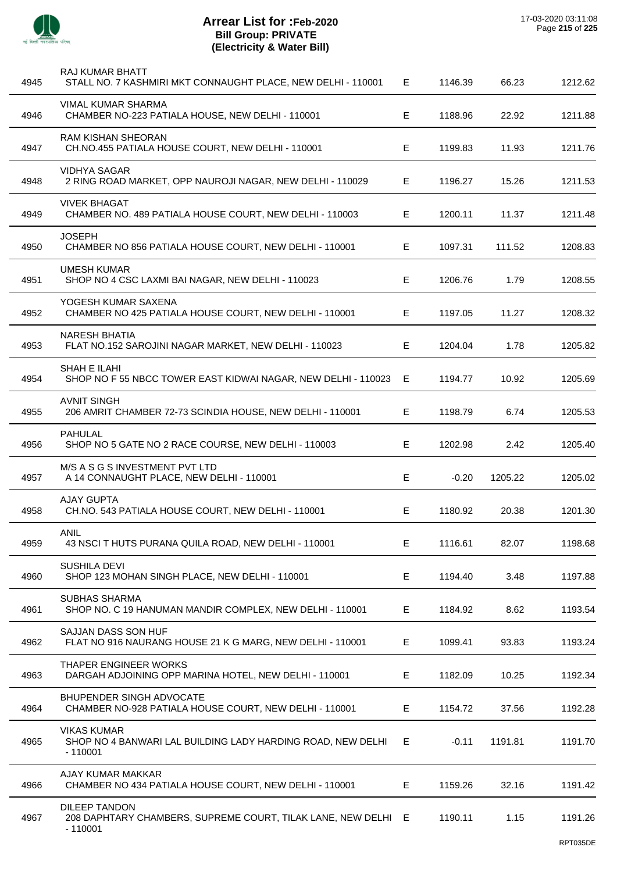

÷,

 $\overline{a}$ 

 $\overline{\phantom{a}}$ 

 $\overline{\phantom{a}}$ 

 $\overline{\phantom{a}}$ 

 $\overline{\phantom{a}}$ 

 $\overline{\phantom{a}}$ 

 $\overline{a}$ 

| 4945 | RAJ KUMAR BHATT<br>STALL NO. 7 KASHMIRI MKT CONNAUGHT PLACE, NEW DELHI - 110001                    | E  | 1146.39 | 66.23   | 1212.62 |
|------|----------------------------------------------------------------------------------------------------|----|---------|---------|---------|
| 4946 | <b>VIMAL KUMAR SHARMA</b><br>CHAMBER NO-223 PATIALA HOUSE, NEW DELHI - 110001                      | Е  | 1188.96 | 22.92   | 1211.88 |
| 4947 | RAM KISHAN SHEORAN<br>CH.NO.455 PATIALA HOUSE COURT, NEW DELHI - 110001                            | E. | 1199.83 | 11.93   | 1211.76 |
| 4948 | <b>VIDHYA SAGAR</b><br>2 RING ROAD MARKET, OPP NAUROJI NAGAR, NEW DELHI - 110029                   | Е  | 1196.27 | 15.26   | 1211.53 |
| 4949 | <b>VIVEK BHAGAT</b><br>CHAMBER NO. 489 PATIALA HOUSE COURT, NEW DELHI - 110003                     | E  | 1200.11 | 11.37   | 1211.48 |
| 4950 | <b>JOSEPH</b><br>CHAMBER NO 856 PATIALA HOUSE COURT, NEW DELHI - 110001                            | E. | 1097.31 | 111.52  | 1208.83 |
| 4951 | <b>UMESH KUMAR</b><br>SHOP NO 4 CSC LAXMI BAI NAGAR, NEW DELHI - 110023                            | Е  | 1206.76 | 1.79    | 1208.55 |
| 4952 | YOGESH KUMAR SAXENA<br>CHAMBER NO 425 PATIALA HOUSE COURT, NEW DELHI - 110001                      | E. | 1197.05 | 11.27   | 1208.32 |
| 4953 | <b>NARESH BHATIA</b><br>FLAT NO.152 SAROJINI NAGAR MARKET, NEW DELHI - 110023                      | E  | 1204.04 | 1.78    | 1205.82 |
| 4954 | SHAH E ILAHI<br>SHOP NO F 55 NBCC TOWER EAST KIDWAI NAGAR, NEW DELHI - 110023                      | Е  | 1194.77 | 10.92   | 1205.69 |
| 4955 | <b>AVNIT SINGH</b><br>206 AMRIT CHAMBER 72-73 SCINDIA HOUSE, NEW DELHI - 110001                    | E  | 1198.79 | 6.74    | 1205.53 |
| 4956 | <b>PAHULAL</b><br>SHOP NO 5 GATE NO 2 RACE COURSE, NEW DELHI - 110003                              | Е  | 1202.98 | 2.42    | 1205.40 |
| 4957 | M/S A S G S INVESTMENT PVT LTD<br>A 14 CONNAUGHT PLACE, NEW DELHI - 110001                         | Е  | $-0.20$ | 1205.22 | 1205.02 |
| 4958 | <b>AJAY GUPTA</b><br>CH.NO. 543 PATIALA HOUSE COURT, NEW DELHI - 110001                            | Е  | 1180.92 | 20.38   | 1201.30 |
| 4959 | ANIL<br>43 NSCI T HUTS PURANA QUILA ROAD, NEW DELHI - 110001                                       | Е  | 1116.61 | 82.07   | 1198.68 |
| 4960 | <b>SUSHILA DEVI</b><br>SHOP 123 MOHAN SINGH PLACE, NEW DELHI - 110001                              | Е  | 1194.40 | 3.48    | 1197.88 |
| 4961 | SUBHAS SHARMA<br>SHOP NO. C 19 HANUMAN MANDIR COMPLEX, NEW DELHI - 110001                          | Е  | 1184.92 | 8.62    | 1193.54 |
| 4962 | SAJJAN DASS SON HUF<br>FLAT NO 916 NAURANG HOUSE 21 K G MARG, NEW DELHI - 110001                   | Е  | 1099.41 | 93.83   | 1193.24 |
| 4963 | THAPER ENGINEER WORKS<br>DARGAH ADJOINING OPP MARINA HOTEL, NEW DELHI - 110001                     | Е  | 1182.09 | 10.25   | 1192.34 |
| 4964 | <b>BHUPENDER SINGH ADVOCATE</b><br>CHAMBER NO-928 PATIALA HOUSE COURT, NEW DELHI - 110001          | E. | 1154.72 | 37.56   | 1192.28 |
| 4965 | <b>VIKAS KUMAR</b><br>SHOP NO 4 BANWARI LAL BUILDING LADY HARDING ROAD, NEW DELHI<br>$-110001$     | E. | $-0.11$ | 1191.81 | 1191.70 |
| 4966 | AJAY KUMAR MAKKAR<br>CHAMBER NO 434 PATIALA HOUSE COURT, NEW DELHI - 110001                        | Е  | 1159.26 | 32.16   | 1191.42 |
| 4967 | <b>DILEEP TANDON</b><br>208 DAPHTARY CHAMBERS, SUPREME COURT, TILAK LANE, NEW DELHI E<br>$-110001$ |    | 1190.11 | 1.15    | 1191.26 |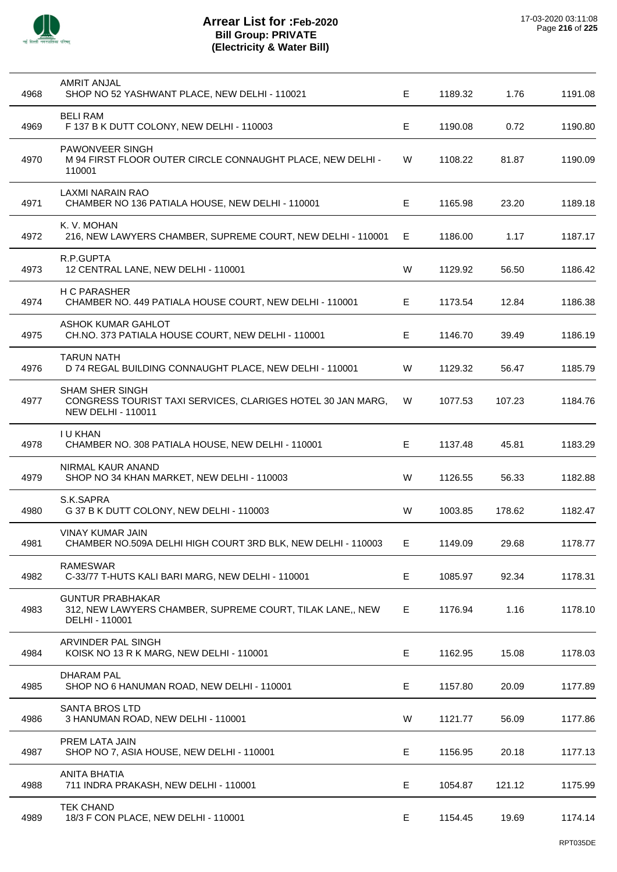

| 4968 | <b>AMRIT ANJAL</b><br>SHOP NO 52 YASHWANT PLACE, NEW DELHI - 110021                                                | Е  | 1189.32 | 1.76   | 1191.08 |
|------|--------------------------------------------------------------------------------------------------------------------|----|---------|--------|---------|
| 4969 | <b>BELI RAM</b><br>F 137 B K DUTT COLONY, NEW DELHI - 110003                                                       | E  | 1190.08 | 0.72   | 1190.80 |
| 4970 | <b>PAWONVEER SINGH</b><br>M 94 FIRST FLOOR OUTER CIRCLE CONNAUGHT PLACE, NEW DELHI -<br>110001                     | W  | 1108.22 | 81.87  | 1190.09 |
| 4971 | LAXMI NARAIN RAO<br>CHAMBER NO 136 PATIALA HOUSE, NEW DELHI - 110001                                               | Е  | 1165.98 | 23.20  | 1189.18 |
| 4972 | K. V. MOHAN<br>216, NEW LAWYERS CHAMBER, SUPREME COURT, NEW DELHI - 110001                                         | Е  | 1186.00 | 1.17   | 1187.17 |
| 4973 | R.P.GUPTA<br>12 CENTRAL LANE, NEW DELHI - 110001                                                                   | W  | 1129.92 | 56.50  | 1186.42 |
| 4974 | H C PARASHER<br>CHAMBER NO. 449 PATIALA HOUSE COURT, NEW DELHI - 110001                                            | Е  | 1173.54 | 12.84  | 1186.38 |
| 4975 | <b>ASHOK KUMAR GAHLOT</b><br>CH.NO. 373 PATIALA HOUSE COURT, NEW DELHI - 110001                                    | Е  | 1146.70 | 39.49  | 1186.19 |
| 4976 | <b>TARUN NATH</b><br>D 74 REGAL BUILDING CONNAUGHT PLACE, NEW DELHI - 110001                                       | W  | 1129.32 | 56.47  | 1185.79 |
| 4977 | <b>SHAM SHER SINGH</b><br>CONGRESS TOURIST TAXI SERVICES, CLARIGES HOTEL 30 JAN MARG,<br><b>NEW DELHI - 110011</b> | W  | 1077.53 | 107.23 | 1184.76 |
| 4978 | I U KHAN<br>CHAMBER NO. 308 PATIALA HOUSE, NEW DELHI - 110001                                                      | E  | 1137.48 | 45.81  | 1183.29 |
| 4979 | NIRMAL KAUR ANAND<br>SHOP NO 34 KHAN MARKET, NEW DELHI - 110003                                                    | W  | 1126.55 | 56.33  | 1182.88 |
| 4980 | S.K.SAPRA<br>G 37 B K DUTT COLONY, NEW DELHI - 110003                                                              | W  | 1003.85 | 178.62 | 1182.47 |
| 4981 | VINAY KUMAR JAIN<br>CHAMBER NO.509A DELHI HIGH COURT 3RD BLK, NEW DELHI - 110003                                   | E. | 1149.09 | 29.68  | 1178.77 |
| 4982 | <b>RAMESWAR</b><br>C-33/77 T-HUTS KALI BARI MARG, NEW DELHI - 110001                                               | E  | 1085.97 | 92.34  | 1178.31 |
| 4983 | <b>GUNTUR PRABHAKAR</b><br>312, NEW LAWYERS CHAMBER, SUPREME COURT, TILAK LANE,, NEW<br>DELHI - 110001             | E  | 1176.94 | 1.16   | 1178.10 |
| 4984 | ARVINDER PAL SINGH<br>KOISK NO 13 R K MARG, NEW DELHI - 110001                                                     | E  | 1162.95 | 15.08  | 1178.03 |
| 4985 | <b>DHARAM PAL</b><br>SHOP NO 6 HANUMAN ROAD, NEW DELHI - 110001                                                    | Е  | 1157.80 | 20.09  | 1177.89 |
| 4986 | <b>SANTA BROS LTD</b><br>3 HANUMAN ROAD, NEW DELHI - 110001                                                        | W  | 1121.77 | 56.09  | 1177.86 |
| 4987 | PREM LATA JAIN<br>SHOP NO 7, ASIA HOUSE, NEW DELHI - 110001                                                        | E  | 1156.95 | 20.18  | 1177.13 |
| 4988 | <b>ANITA BHATIA</b><br>711 INDRA PRAKASH, NEW DELHI - 110001                                                       | E  | 1054.87 | 121.12 | 1175.99 |
| 4989 | <b>TEK CHAND</b><br>18/3 F CON PLACE, NEW DELHI - 110001                                                           | Е  | 1154.45 | 19.69  | 1174.14 |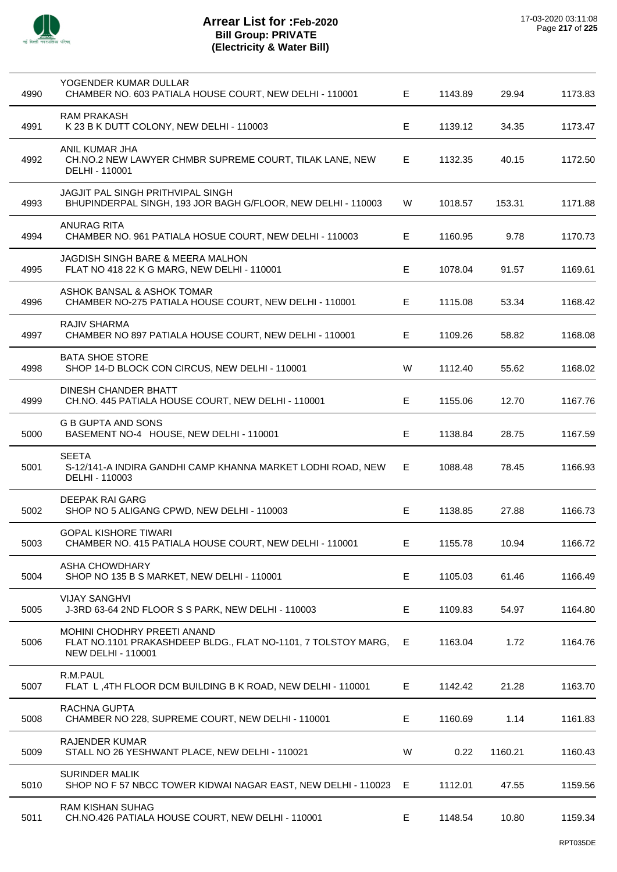

| 4990 | YOGENDER KUMAR DULLAR<br>CHAMBER NO. 603 PATIALA HOUSE COURT, NEW DELHI - 110001                                                 | E. | 1143.89 | 29.94   | 1173.83 |
|------|----------------------------------------------------------------------------------------------------------------------------------|----|---------|---------|---------|
| 4991 | <b>RAM PRAKASH</b><br>K 23 B K DUTT COLONY, NEW DELHI - 110003                                                                   | Е  | 1139.12 | 34.35   | 1173.47 |
| 4992 | ANIL KUMAR JHA<br>CH.NO.2 NEW LAWYER CHMBR SUPREME COURT, TILAK LANE, NEW<br>DELHI - 110001                                      | E  | 1132.35 | 40.15   | 1172.50 |
| 4993 | JAGJIT PAL SINGH PRITHVIPAL SINGH<br>BHUPINDERPAL SINGH, 193 JOR BAGH G/FLOOR, NEW DELHI - 110003                                | W  | 1018.57 | 153.31  | 1171.88 |
| 4994 | <b>ANURAG RITA</b><br>CHAMBER NO. 961 PATIALA HOSUE COURT, NEW DELHI - 110003                                                    | Е  | 1160.95 | 9.78    | 1170.73 |
| 4995 | JAGDISH SINGH BARE & MEERA MALHON<br>FLAT NO 418 22 K G MARG, NEW DELHI - 110001                                                 | E  | 1078.04 | 91.57   | 1169.61 |
| 4996 | ASHOK BANSAL & ASHOK TOMAR<br>CHAMBER NO-275 PATIALA HOUSE COURT, NEW DELHI - 110001                                             | E. | 1115.08 | 53.34   | 1168.42 |
| 4997 | RAJIV SHARMA<br>CHAMBER NO 897 PATIALA HOUSE COURT, NEW DELHI - 110001                                                           | Е  | 1109.26 | 58.82   | 1168.08 |
| 4998 | <b>BATA SHOE STORE</b><br>SHOP 14-D BLOCK CON CIRCUS, NEW DELHI - 110001                                                         | W  | 1112.40 | 55.62   | 1168.02 |
| 4999 | DINESH CHANDER BHATT<br>CH.NO. 445 PATIALA HOUSE COURT, NEW DELHI - 110001                                                       | E  | 1155.06 | 12.70   | 1167.76 |
| 5000 | <b>G B GUPTA AND SONS</b><br>BASEMENT NO-4 HOUSE, NEW DELHI - 110001                                                             | E  | 1138.84 | 28.75   | 1167.59 |
| 5001 | <b>SEETA</b><br>S-12/141-A INDIRA GANDHI CAMP KHANNA MARKET LODHI ROAD, NEW<br>DELHI - 110003                                    | E. | 1088.48 | 78.45   | 1166.93 |
| 5002 | DEEPAK RAI GARG<br>SHOP NO 5 ALIGANG CPWD, NEW DELHI - 110003                                                                    | E  | 1138.85 | 27.88   | 1166.73 |
| 5003 | <b>GOPAL KISHORE TIWARI</b><br>CHAMBER NO. 415 PATIALA HOUSE COURT, NEW DELHI - 110001                                           | Е  | 1155.78 | 10.94   | 1166.72 |
| 5004 | <b>ASHA CHOWDHARY</b><br>SHOP NO 135 B S MARKET, NEW DELHI - 110001                                                              | E  | 1105.03 | 61.46   | 1166.49 |
| 5005 | <b>VIJAY SANGHVI</b><br>J-3RD 63-64 2ND FLOOR S S PARK, NEW DELHI - 110003                                                       | Е  | 1109.83 | 54.97   | 1164.80 |
| 5006 | <b>MOHINI CHODHRY PREETI ANAND</b><br>FLAT NO.1101 PRAKASHDEEP BLDG., FLAT NO-1101, 7 TOLSTOY MARG,<br><b>NEW DELHI - 110001</b> | E. | 1163.04 | 1.72    | 1164.76 |
| 5007 | R.M.PAUL<br>FLAT L, 4TH FLOOR DCM BUILDING B K ROAD, NEW DELHI - 110001                                                          | Е  | 1142.42 | 21.28   | 1163.70 |
| 5008 | RACHNA GUPTA<br>CHAMBER NO 228, SUPREME COURT, NEW DELHI - 110001                                                                | Е  | 1160.69 | 1.14    | 1161.83 |
| 5009 | <b>RAJENDER KUMAR</b><br>STALL NO 26 YESHWANT PLACE, NEW DELHI - 110021                                                          | W  | 0.22    | 1160.21 | 1160.43 |
| 5010 | <b>SURINDER MALIK</b><br>SHOP NO F 57 NBCC TOWER KIDWAI NAGAR EAST, NEW DELHI - 110023                                           | E  | 1112.01 | 47.55   | 1159.56 |
| 5011 | <b>RAM KISHAN SUHAG</b><br>CH.NO.426 PATIALA HOUSE COURT, NEW DELHI - 110001                                                     | E. | 1148.54 | 10.80   | 1159.34 |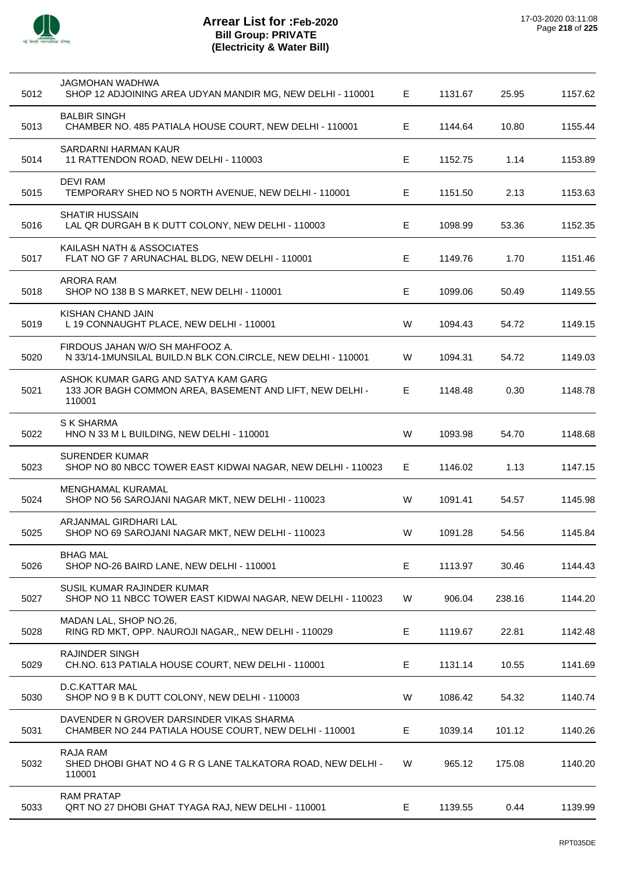

| 5012 | JAGMOHAN WADHWA<br>SHOP 12 ADJOINING AREA UDYAN MANDIR MG, NEW DELHI - 110001                             | Е  | 1131.67 | 25.95  | 1157.62 |
|------|-----------------------------------------------------------------------------------------------------------|----|---------|--------|---------|
| 5013 | <b>BALBIR SINGH</b><br>CHAMBER NO. 485 PATIALA HOUSE COURT, NEW DELHI - 110001                            | Е  | 1144.64 | 10.80  | 1155.44 |
| 5014 | SARDARNI HARMAN KAUR<br>11 RATTENDON ROAD, NEW DELHI - 110003                                             | Е  | 1152.75 | 1.14   | 1153.89 |
| 5015 | <b>DEVI RAM</b><br>TEMPORARY SHED NO 5 NORTH AVENUE, NEW DELHI - 110001                                   | Е  | 1151.50 | 2.13   | 1153.63 |
| 5016 | <b>SHATIR HUSSAIN</b><br>LAL QR DURGAH B K DUTT COLONY, NEW DELHI - 110003                                | Е  | 1098.99 | 53.36  | 1152.35 |
| 5017 | KAILASH NATH & ASSOCIATES<br>FLAT NO GF 7 ARUNACHAL BLDG, NEW DELHI - 110001                              | Е  | 1149.76 | 1.70   | 1151.46 |
| 5018 | ARORA RAM<br>SHOP NO 138 B S MARKET, NEW DELHI - 110001                                                   | E  | 1099.06 | 50.49  | 1149.55 |
| 5019 | KISHAN CHAND JAIN<br>L 19 CONNAUGHT PLACE, NEW DELHI - 110001                                             | W  | 1094.43 | 54.72  | 1149.15 |
| 5020 | FIRDOUS JAHAN W/O SH MAHFOOZ A.<br>N 33/14-1MUNSILAL BUILD.N BLK CON.CIRCLE, NEW DELHI - 110001           | W  | 1094.31 | 54.72  | 1149.03 |
| 5021 | ASHOK KUMAR GARG AND SATYA KAM GARG<br>133 JOR BAGH COMMON AREA, BASEMENT AND LIFT, NEW DELHI -<br>110001 | Е  | 1148.48 | 0.30   | 1148.78 |
| 5022 | S K SHARMA<br>HNO N 33 M L BUILDING, NEW DELHI - 110001                                                   | W  | 1093.98 | 54.70  | 1148.68 |
| 5023 | <b>SURENDER KUMAR</b><br>SHOP NO 80 NBCC TOWER EAST KIDWAI NAGAR, NEW DELHI - 110023                      | E. | 1146.02 | 1.13   | 1147.15 |
| 5024 | <b>MENGHAMAL KURAMAL</b><br>SHOP NO 56 SAROJANI NAGAR MKT, NEW DELHI - 110023                             | W  | 1091.41 | 54.57  | 1145.98 |
| 5025 | ARJANMAL GIRDHARI LAL<br>SHOP NO 69 SAROJANI NAGAR MKT, NEW DELHI - 110023                                | W  | 1091.28 | 54.56  | 1145.84 |
| 5026 | <b>BHAG MAL</b><br>SHOP NO-26 BAIRD LANE, NEW DELHI - 110001                                              | E  | 1113.97 | 30.46  | 1144.43 |
| 5027 | SUSIL KUMAR RAJINDER KUMAR<br>SHOP NO 11 NBCC TOWER EAST KIDWAI NAGAR, NEW DELHI - 110023                 | W  | 906.04  | 238.16 | 1144.20 |
| 5028 | MADAN LAL, SHOP NO.26,<br>RING RD MKT, OPP. NAUROJI NAGAR,, NEW DELHI - 110029                            | E  | 1119.67 | 22.81  | 1142.48 |
| 5029 | <b>RAJINDER SINGH</b><br>CH.NO. 613 PATIALA HOUSE COURT, NEW DELHI - 110001                               | E  | 1131.14 | 10.55  | 1141.69 |
| 5030 | D.C.KATTAR MAL<br>SHOP NO 9 B K DUTT COLONY, NEW DELHI - 110003                                           | W  | 1086.42 | 54.32  | 1140.74 |
| 5031 | DAVENDER N GROVER DARSINDER VIKAS SHARMA<br>CHAMBER NO 244 PATIALA HOUSE COURT, NEW DELHI - 110001        | Е  | 1039.14 | 101.12 | 1140.26 |
| 5032 | RAJA RAM<br>SHED DHOBI GHAT NO 4 G R G LANE TALKATORA ROAD, NEW DELHI -<br>110001                         | W  | 965.12  | 175.08 | 1140.20 |
| 5033 | <b>RAM PRATAP</b><br>QRT NO 27 DHOBI GHAT TYAGA RAJ, NEW DELHI - 110001                                   | Е  | 1139.55 | 0.44   | 1139.99 |
|      |                                                                                                           |    |         |        |         |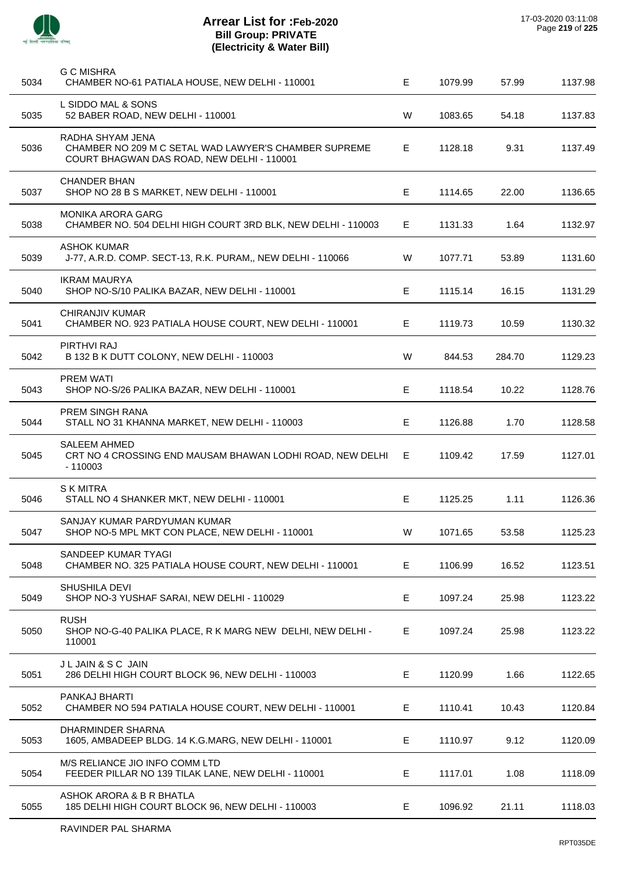

| 5034 | <b>G C MISHRA</b><br>CHAMBER NO-61 PATIALA HOUSE, NEW DELHI - 110001                                                    | E | 1079.99 | 57.99  | 1137.98 |
|------|-------------------------------------------------------------------------------------------------------------------------|---|---------|--------|---------|
| 5035 | L SIDDO MAL & SONS<br>52 BABER ROAD, NEW DELHI - 110001                                                                 | W | 1083.65 | 54.18  | 1137.83 |
| 5036 | RADHA SHYAM JENA<br>CHAMBER NO 209 M C SETAL WAD LAWYER'S CHAMBER SUPREME<br>COURT BHAGWAN DAS ROAD, NEW DELHI - 110001 | Е | 1128.18 | 9.31   | 1137.49 |
| 5037 | <b>CHANDER BHAN</b><br>SHOP NO 28 B S MARKET, NEW DELHI - 110001                                                        | Е | 1114.65 | 22.00  | 1136.65 |
| 5038 | <b>MONIKA ARORA GARG</b><br>CHAMBER NO. 504 DELHI HIGH COURT 3RD BLK, NEW DELHI - 110003                                | Е | 1131.33 | 1.64   | 1132.97 |
| 5039 | <b>ASHOK KUMAR</b><br>J-77, A.R.D. COMP. SECT-13, R.K. PURAM,, NEW DELHI - 110066                                       | W | 1077.71 | 53.89  | 1131.60 |
| 5040 | <b>IKRAM MAURYA</b><br>SHOP NO-S/10 PALIKA BAZAR, NEW DELHI - 110001                                                    | Е | 1115.14 | 16.15  | 1131.29 |
| 5041 | CHIRANJIV KUMAR<br>CHAMBER NO. 923 PATIALA HOUSE COURT, NEW DELHI - 110001                                              | Е | 1119.73 | 10.59  | 1130.32 |
| 5042 | PIRTHVI RAJ<br>B 132 B K DUTT COLONY, NEW DELHI - 110003                                                                | W | 844.53  | 284.70 | 1129.23 |
| 5043 | <b>PREM WATI</b><br>SHOP NO-S/26 PALIKA BAZAR, NEW DELHI - 110001                                                       | Е | 1118.54 | 10.22  | 1128.76 |
| 5044 | PREM SINGH RANA<br>STALL NO 31 KHANNA MARKET, NEW DELHI - 110003                                                        | Е | 1126.88 | 1.70   | 1128.58 |
| 5045 | SALEEM AHMED<br>CRT NO 4 CROSSING END MAUSAM BHAWAN LODHI ROAD, NEW DELHI<br>- 110003                                   | Е | 1109.42 | 17.59  | 1127.01 |
| 5046 | <b>SKMITRA</b><br>STALL NO 4 SHANKER MKT, NEW DELHI - 110001                                                            | Е | 1125.25 | 1.11   | 1126.36 |
| 5047 | SANJAY KUMAR PARDYUMAN KUMAR<br>SHOP NO-5 MPL MKT CON PLACE, NEW DELHI - 110001                                         | W | 1071.65 | 53.58  | 1125.23 |
| 5048 | SANDEEP KUMAR TYAGI<br>CHAMBER NO. 325 PATIALA HOUSE COURT, NEW DELHI - 110001                                          | E | 1106.99 | 16.52  | 1123.51 |
| 5049 | SHUSHILA DEVI<br>SHOP NO-3 YUSHAF SARAI, NEW DELHI - 110029                                                             | E | 1097.24 | 25.98  | 1123.22 |
| 5050 | <b>RUSH</b><br>SHOP NO-G-40 PALIKA PLACE, R K MARG NEW DELHI, NEW DELHI -<br>110001                                     | E | 1097.24 | 25.98  | 1123.22 |
| 5051 | J L JAIN & S C JAIN<br>286 DELHI HIGH COURT BLOCK 96, NEW DELHI - 110003                                                | Е | 1120.99 | 1.66   | 1122.65 |
| 5052 | PANKAJ BHARTI<br>CHAMBER NO 594 PATIALA HOUSE COURT, NEW DELHI - 110001                                                 | Е | 1110.41 | 10.43  | 1120.84 |
| 5053 | DHARMINDER SHARNA<br>1605, AMBADEEP BLDG. 14 K.G.MARG, NEW DELHI - 110001                                               | E | 1110.97 | 9.12   | 1120.09 |
| 5054 | M/S RELIANCE JIO INFO COMM LTD<br>FEEDER PILLAR NO 139 TILAK LANE, NEW DELHI - 110001                                   | Е | 1117.01 | 1.08   | 1118.09 |
| 5055 | ASHOK ARORA & B R BHATLA<br>185 DELHI HIGH COURT BLOCK 96, NEW DELHI - 110003                                           | E | 1096.92 | 21.11  | 1118.03 |
|      |                                                                                                                         |   |         |        |         |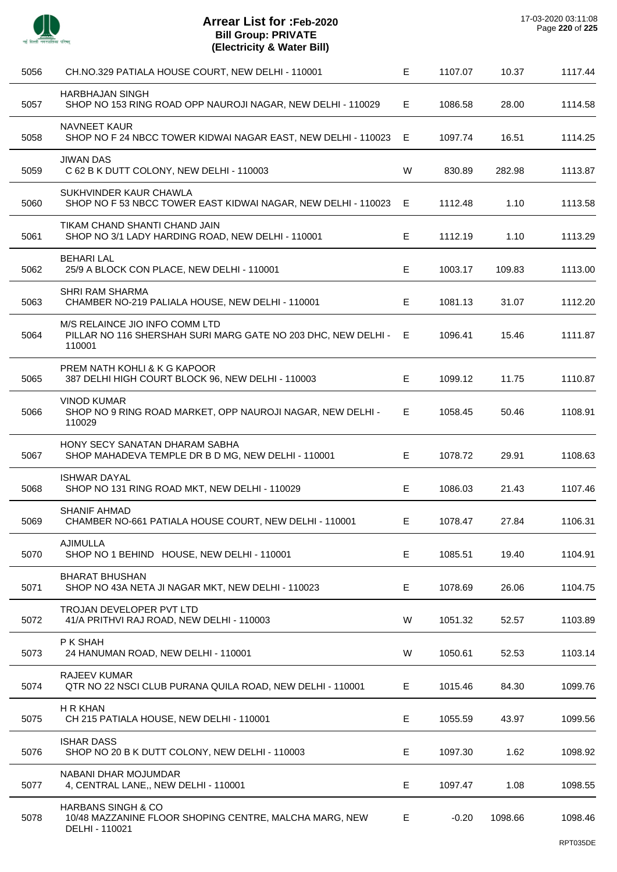

| 5056 | CH.NO.329 PATIALA HOUSE COURT, NEW DELHI - 110001                                                           | E  | 1107.07 | 10.37   | 1117.44 |
|------|-------------------------------------------------------------------------------------------------------------|----|---------|---------|---------|
| 5057 | <b>HARBHAJAN SINGH</b><br>SHOP NO 153 RING ROAD OPP NAUROJI NAGAR, NEW DELHI - 110029                       | E. | 1086.58 | 28.00   | 1114.58 |
| 5058 | <b>NAVNEET KAUR</b><br>SHOP NO F 24 NBCC TOWER KIDWAI NAGAR EAST, NEW DELHI - 110023 E                      |    | 1097.74 | 16.51   | 1114.25 |
| 5059 | <b>JIWAN DAS</b><br>C 62 B K DUTT COLONY, NEW DELHI - 110003                                                | W  | 830.89  | 282.98  | 1113.87 |
| 5060 | SUKHVINDER KAUR CHAWLA<br>SHOP NO F 53 NBCC TOWER EAST KIDWAI NAGAR, NEW DELHI - 110023 E                   |    | 1112.48 | 1.10    | 1113.58 |
| 5061 | TIKAM CHAND SHANTI CHAND JAIN<br>SHOP NO 3/1 LADY HARDING ROAD, NEW DELHI - 110001                          | E  | 1112.19 | 1.10    | 1113.29 |
| 5062 | <b>BEHARI LAL</b><br>25/9 A BLOCK CON PLACE, NEW DELHI - 110001                                             | E  | 1003.17 | 109.83  | 1113.00 |
| 5063 | SHRI RAM SHARMA<br>CHAMBER NO-219 PALIALA HOUSE, NEW DELHI - 110001                                         | E  | 1081.13 | 31.07   | 1112.20 |
| 5064 | M/S RELAINCE JIO INFO COMM LTD<br>PILLAR NO 116 SHERSHAH SURI MARG GATE NO 203 DHC, NEW DELHI - E<br>110001 |    | 1096.41 | 15.46   | 1111.87 |
| 5065 | PREM NATH KOHLI & K G KAPOOR<br>387 DELHI HIGH COURT BLOCK 96, NEW DELHI - 110003                           | E  | 1099.12 | 11.75   | 1110.87 |
| 5066 | <b>VINOD KUMAR</b><br>SHOP NO 9 RING ROAD MARKET, OPP NAUROJI NAGAR, NEW DELHI -<br>110029                  | E. | 1058.45 | 50.46   | 1108.91 |
| 5067 | HONY SECY SANATAN DHARAM SABHA<br>SHOP MAHADEVA TEMPLE DR B D MG, NEW DELHI - 110001                        | E  | 1078.72 | 29.91   | 1108.63 |
| 5068 | <b>ISHWAR DAYAL</b><br>SHOP NO 131 RING ROAD MKT, NEW DELHI - 110029                                        | E  | 1086.03 | 21.43   | 1107.46 |
| 5069 | <b>SHANIF AHMAD</b><br>CHAMBER NO-661 PATIALA HOUSE COURT, NEW DELHI - 110001                               | E  | 1078.47 | 27.84   | 1106.31 |
| 5070 | <b>AJIMULLA</b><br>SHOP NO 1 BEHIND HOUSE, NEW DELHI - 110001                                               | E  | 1085.51 | 19.40   | 1104.91 |
| 5071 | <b>BHARAT BHUSHAN</b><br>SHOP NO 43A NETA JI NAGAR MKT, NEW DELHI - 110023                                  | E  | 1078.69 | 26.06   | 1104.75 |
| 5072 | TROJAN DEVELOPER PVT LTD<br>41/A PRITHVI RAJ ROAD, NEW DELHI - 110003                                       | W  | 1051.32 | 52.57   | 1103.89 |
| 5073 | P K SHAH<br>24 HANUMAN ROAD, NEW DELHI - 110001                                                             | W  | 1050.61 | 52.53   | 1103.14 |
| 5074 | <b>RAJEEV KUMAR</b><br>QTR NO 22 NSCI CLUB PURANA QUILA ROAD, NEW DELHI - 110001                            | Е  | 1015.46 | 84.30   | 1099.76 |
| 5075 | H R KHAN<br>CH 215 PATIALA HOUSE, NEW DELHI - 110001                                                        | E  | 1055.59 | 43.97   | 1099.56 |
| 5076 | <b>ISHAR DASS</b><br>SHOP NO 20 B K DUTT COLONY, NEW DELHI - 110003                                         | E  | 1097.30 | 1.62    | 1098.92 |
| 5077 | NABANI DHAR MOJUMDAR<br>4, CENTRAL LANE,, NEW DELHI - 110001                                                | Е  | 1097.47 | 1.08    | 1098.55 |
| 5078 | <b>HARBANS SINGH &amp; CO</b><br>10/48 MAZZANINE FLOOR SHOPING CENTRE, MALCHA MARG, NEW<br>DELHI - 110021   | E. | $-0.20$ | 1098.66 | 1098.46 |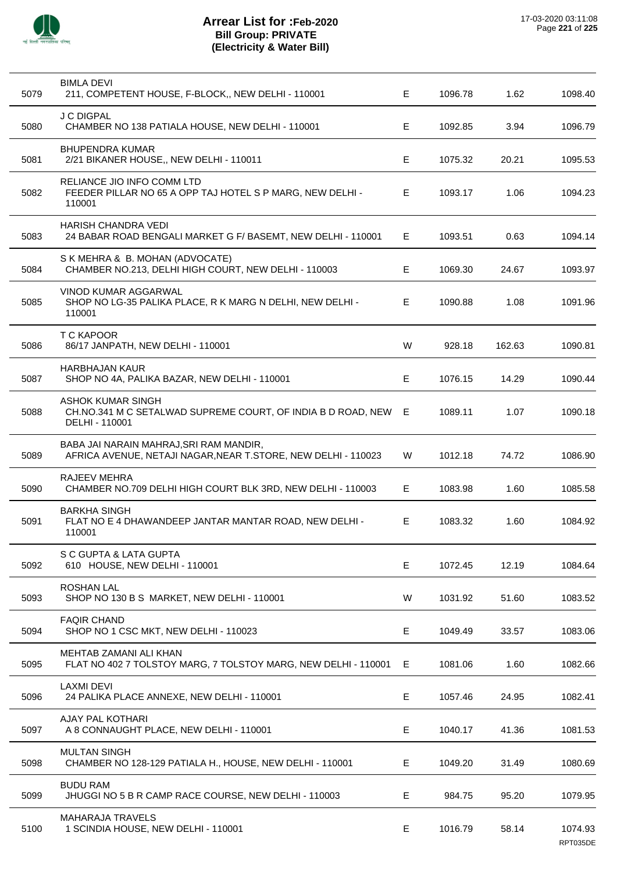

| 5079 | <b>BIMLA DEVI</b><br>211, COMPETENT HOUSE, F-BLOCK,, NEW DELHI - 110001                                  | E  | 1096.78 | 1.62   | 1098.40             |
|------|----------------------------------------------------------------------------------------------------------|----|---------|--------|---------------------|
| 5080 | <b>J C DIGPAL</b><br>CHAMBER NO 138 PATIALA HOUSE, NEW DELHI - 110001                                    | E  | 1092.85 | 3.94   | 1096.79             |
| 5081 | <b>BHUPENDRA KUMAR</b><br>2/21 BIKANER HOUSE,, NEW DELHI - 110011                                        | E  | 1075.32 | 20.21  | 1095.53             |
| 5082 | RELIANCE JIO INFO COMM LTD<br>FEEDER PILLAR NO 65 A OPP TAJ HOTEL S P MARG, NEW DELHI -<br>110001        | Е  | 1093.17 | 1.06   | 1094.23             |
| 5083 | <b>HARISH CHANDRA VEDI</b><br>24 BABAR ROAD BENGALI MARKET G F/ BASEMT, NEW DELHI - 110001               | E. | 1093.51 | 0.63   | 1094.14             |
| 5084 | S K MEHRA & B. MOHAN (ADVOCATE)<br>CHAMBER NO.213, DELHI HIGH COURT, NEW DELHI - 110003                  | E  | 1069.30 | 24.67  | 1093.97             |
| 5085 | <b>VINOD KUMAR AGGARWAL</b><br>SHOP NO LG-35 PALIKA PLACE, R K MARG N DELHI, NEW DELHI -<br>110001       | E  | 1090.88 | 1.08   | 1091.96             |
| 5086 | T C KAPOOR<br>86/17 JANPATH, NEW DELHI - 110001                                                          | W  | 928.18  | 162.63 | 1090.81             |
| 5087 | <b>HARBHAJAN KAUR</b><br>SHOP NO 4A, PALIKA BAZAR, NEW DELHI - 110001                                    | E  | 1076.15 | 14.29  | 1090.44             |
| 5088 | ASHOK KUMAR SINGH<br>CH.NO.341 M C SETALWAD SUPREME COURT, OF INDIA B D ROAD, NEW E<br>DELHI - 110001    |    | 1089.11 | 1.07   | 1090.18             |
| 5089 | BABA JAI NARAIN MAHRAJ, SRI RAM MANDIR,<br>AFRICA AVENUE, NETAJI NAGAR, NEAR T.STORE, NEW DELHI - 110023 | W  | 1012.18 | 74.72  | 1086.90             |
| 5090 | RAJEEV MEHRA<br>CHAMBER NO.709 DELHI HIGH COURT BLK 3RD, NEW DELHI - 110003                              | E. | 1083.98 | 1.60   | 1085.58             |
| 5091 | <b>BARKHA SINGH</b><br>FLAT NO E 4 DHAWANDEEP JANTAR MANTAR ROAD, NEW DELHI -<br>110001                  | E. | 1083.32 | 1.60   | 1084.92             |
| 5092 | S C GUPTA & LATA GUPTA<br>610 HOUSE, NEW DELHI - 110001                                                  | E  | 1072.45 | 12.19  | 1084.64             |
| 5093 | <b>ROSHAN LAL</b><br>SHOP NO 130 B S MARKET, NEW DELHI - 110001                                          | W  | 1031.92 | 51.60  | 1083.52             |
| 5094 | <b>FAQIR CHAND</b><br>SHOP NO 1 CSC MKT, NEW DELHI - 110023                                              | Е  | 1049.49 | 33.57  | 1083.06             |
| 5095 | MEHTAB ZAMANI ALI KHAN<br>FLAT NO 402 7 TOLSTOY MARG, 7 TOLSTOY MARG, NEW DELHI - 110001                 | E  | 1081.06 | 1.60   | 1082.66             |
| 5096 | <b>LAXMI DEVI</b><br>24 PALIKA PLACE ANNEXE, NEW DELHI - 110001                                          | E  | 1057.46 | 24.95  | 1082.41             |
| 5097 | AJAY PAL KOTHARI<br>A 8 CONNAUGHT PLACE, NEW DELHI - 110001                                              | Е  | 1040.17 | 41.36  | 1081.53             |
| 5098 | <b>MULTAN SINGH</b><br>CHAMBER NO 128-129 PATIALA H., HOUSE, NEW DELHI - 110001                          | E  | 1049.20 | 31.49  | 1080.69             |
| 5099 | <b>BUDU RAM</b><br>JHUGGI NO 5 B R CAMP RACE COURSE, NEW DELHI - 110003                                  | Е  | 984.75  | 95.20  | 1079.95             |
| 5100 | <b>MAHARAJA TRAVELS</b><br>1 SCINDIA HOUSE, NEW DELHI - 110001                                           | E  | 1016.79 | 58.14  | 1074.93<br>RPT035DE |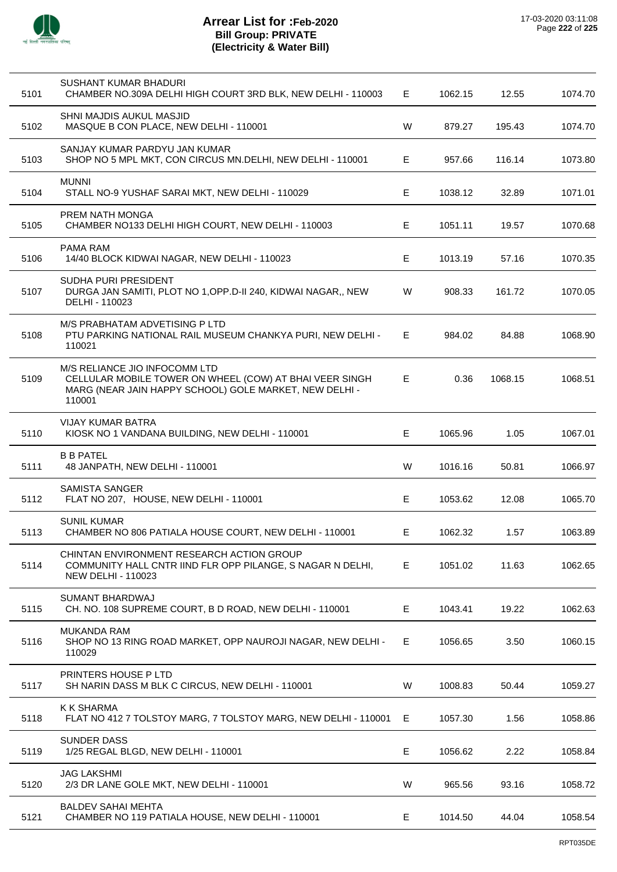

| 5101 | SUSHANT KUMAR BHADURI<br>CHAMBER NO.309A DELHI HIGH COURT 3RD BLK, NEW DELHI - 110003                                                                        | Е | 1062.15 | 12.55   | 1074.70 |
|------|--------------------------------------------------------------------------------------------------------------------------------------------------------------|---|---------|---------|---------|
| 5102 | SHNI MAJDIS AUKUL MASJID<br>MASQUE B CON PLACE, NEW DELHI - 110001                                                                                           | W | 879.27  | 195.43  | 1074.70 |
| 5103 | SANJAY KUMAR PARDYU JAN KUMAR<br>SHOP NO 5 MPL MKT, CON CIRCUS MN.DELHI, NEW DELHI - 110001                                                                  | Е | 957.66  | 116.14  | 1073.80 |
| 5104 | <b>MUNNI</b><br>STALL NO-9 YUSHAF SARAI MKT, NEW DELHI - 110029                                                                                              | Е | 1038.12 | 32.89   | 1071.01 |
| 5105 | PREM NATH MONGA<br>CHAMBER NO133 DELHI HIGH COURT, NEW DELHI - 110003                                                                                        | Е | 1051.11 | 19.57   | 1070.68 |
| 5106 | PAMA RAM<br>14/40 BLOCK KIDWAI NAGAR, NEW DELHI - 110023                                                                                                     | Е | 1013.19 | 57.16   | 1070.35 |
| 5107 | SUDHA PURI PRESIDENT<br>DURGA JAN SAMITI, PLOT NO 1, OPP.D-II 240, KIDWAI NAGAR,, NEW<br>DELHI - 110023                                                      | W | 908.33  | 161.72  | 1070.05 |
| 5108 | M/S PRABHATAM ADVETISING P LTD<br>PTU PARKING NATIONAL RAIL MUSEUM CHANKYA PURI, NEW DELHI -<br>110021                                                       | Е | 984.02  | 84.88   | 1068.90 |
| 5109 | M/S RELIANCE JIO INFOCOMM LTD<br>CELLULAR MOBILE TOWER ON WHEEL (COW) AT BHAI VEER SINGH<br>MARG (NEAR JAIN HAPPY SCHOOL) GOLE MARKET, NEW DELHI -<br>110001 | Е | 0.36    | 1068.15 | 1068.51 |
| 5110 | VIJAY KUMAR BATRA<br>KIOSK NO 1 VANDANA BUILDING, NEW DELHI - 110001                                                                                         | Е | 1065.96 | 1.05    | 1067.01 |
| 5111 | <b>B B PATEL</b><br>48 JANPATH, NEW DELHI - 110001                                                                                                           | W | 1016.16 | 50.81   | 1066.97 |
| 5112 | <b>SAMISTA SANGER</b><br>FLAT NO 207, HOUSE, NEW DELHI - 110001                                                                                              | Е | 1053.62 | 12.08   | 1065.70 |
| 5113 | <b>SUNIL KUMAR</b><br>CHAMBER NO 806 PATIALA HOUSE COURT, NEW DELHI - 110001                                                                                 | E | 1062.32 | 1.57    | 1063.89 |
| 5114 | CHINTAN ENVIRONMENT RESEARCH ACTION GROUP<br>COMMUNITY HALL CNTR IIND FLR OPP PILANGE, S NAGAR N DELHI,<br><b>NEW DELHI - 110023</b>                         | Е | 1051.02 | 11.63   | 1062.65 |
| 5115 | SUMANT BHARDWAJ<br>CH. NO. 108 SUPREME COURT, B D ROAD, NEW DELHI - 110001                                                                                   | Е | 1043.41 | 19.22   | 1062.63 |
| 5116 | <b>MUKANDA RAM</b><br>SHOP NO 13 RING ROAD MARKET, OPP NAUROJI NAGAR, NEW DELHI -<br>110029                                                                  | Е | 1056.65 | 3.50    | 1060.15 |
| 5117 | PRINTERS HOUSE P LTD<br>SH NARIN DASS M BLK C CIRCUS, NEW DELHI - 110001                                                                                     | W | 1008.83 | 50.44   | 1059.27 |
| 5118 | <b>K K SHARMA</b><br>FLAT NO 412 7 TOLSTOY MARG, 7 TOLSTOY MARG, NEW DELHI - 110001                                                                          | Е | 1057.30 | 1.56    | 1058.86 |
| 5119 | <b>SUNDER DASS</b><br>1/25 REGAL BLGD, NEW DELHI - 110001                                                                                                    | Е | 1056.62 | 2.22    | 1058.84 |
| 5120 | <b>JAG LAKSHMI</b><br>2/3 DR LANE GOLE MKT, NEW DELHI - 110001                                                                                               | W | 965.56  | 93.16   | 1058.72 |
| 5121 | <b>BALDEV SAHAI MEHTA</b><br>CHAMBER NO 119 PATIALA HOUSE, NEW DELHI - 110001                                                                                | E | 1014.50 | 44.04   | 1058.54 |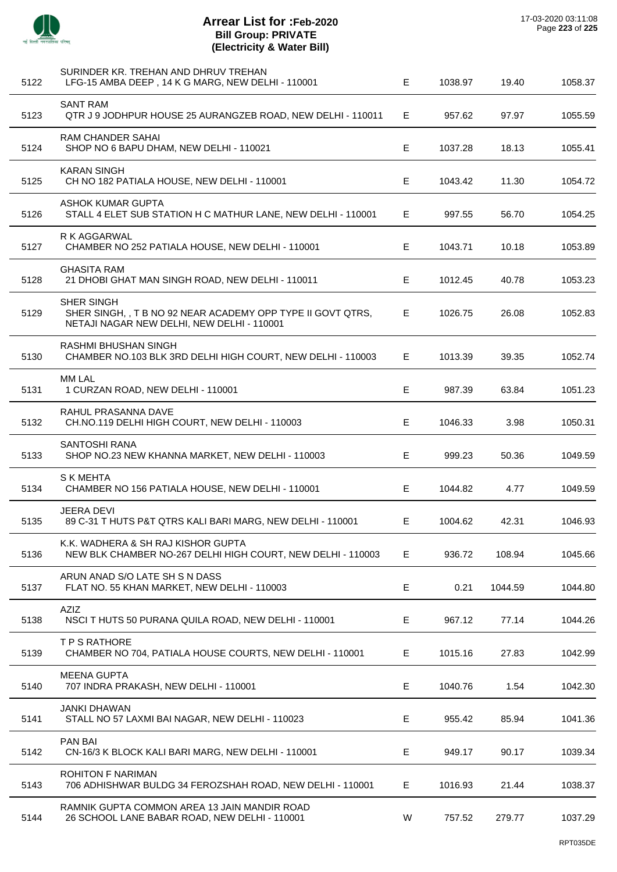

 $\overline{a}$ 

 $\overline{a}$ 

 $\overline{a}$ 

 $\overline{a}$ 

J.

| 5122 | SURINDER KR. TREHAN AND DHRUV TREHAN<br>LFG-15 AMBA DEEP, 14 K G MARG, NEW DELHI - 110001                               | E. | 1038.97 | 19.40   | 1058.37 |
|------|-------------------------------------------------------------------------------------------------------------------------|----|---------|---------|---------|
| 5123 | <b>SANT RAM</b><br>QTR J 9 JODHPUR HOUSE 25 AURANGZEB ROAD, NEW DELHI - 110011                                          | Е  | 957.62  | 97.97   | 1055.59 |
| 5124 | RAM CHANDER SAHAI<br>SHOP NO 6 BAPU DHAM, NEW DELHI - 110021                                                            | E  | 1037.28 | 18.13   | 1055.41 |
| 5125 | <b>KARAN SINGH</b><br>CH NO 182 PATIALA HOUSE, NEW DELHI - 110001                                                       | Е  | 1043.42 | 11.30   | 1054.72 |
| 5126 | <b>ASHOK KUMAR GUPTA</b><br>STALL 4 ELET SUB STATION H C MATHUR LANE, NEW DELHI - 110001                                | Е  | 997.55  | 56.70   | 1054.25 |
| 5127 | R K AGGARWAL<br>CHAMBER NO 252 PATIALA HOUSE, NEW DELHI - 110001                                                        | E. | 1043.71 | 10.18   | 1053.89 |
| 5128 | <b>GHASITA RAM</b><br>21 DHOBI GHAT MAN SINGH ROAD, NEW DELHI - 110011                                                  | E  | 1012.45 | 40.78   | 1053.23 |
| 5129 | SHER SINGH<br>SHER SINGH, , T B NO 92 NEAR ACADEMY OPP TYPE II GOVT QTRS,<br>NETAJI NAGAR NEW DELHI, NEW DELHI - 110001 | E  | 1026.75 | 26.08   | 1052.83 |
| 5130 | RASHMI BHUSHAN SINGH<br>CHAMBER NO.103 BLK 3RD DELHI HIGH COURT, NEW DELHI - 110003                                     | E. | 1013.39 | 39.35   | 1052.74 |
| 5131 | <b>MM LAL</b><br>1 CURZAN ROAD, NEW DELHI - 110001                                                                      | E  | 987.39  | 63.84   | 1051.23 |
| 5132 | RAHUL PRASANNA DAVE<br>CH.NO.119 DELHI HIGH COURT, NEW DELHI - 110003                                                   | E  | 1046.33 | 3.98    | 1050.31 |
| 5133 | <b>SANTOSHI RANA</b><br>SHOP NO.23 NEW KHANNA MARKET, NEW DELHI - 110003                                                | E  | 999.23  | 50.36   | 1049.59 |
| 5134 | <b>S K MEHTA</b><br>CHAMBER NO 156 PATIALA HOUSE, NEW DELHI - 110001                                                    | E. | 1044.82 | 4.77    | 1049.59 |
| 5135 | <b>JEERA DEVI</b><br>89 C-31 T HUTS P&T QTRS KALI BARI MARG, NEW DELHI - 110001                                         | E  | 1004.62 | 42.31   | 1046.93 |
| 5136 | K.K. WADHERA & SH RAJ KISHOR GUPTA<br>NEW BLK CHAMBER NO-267 DELHI HIGH COURT, NEW DELHI - 110003                       | Е  | 936.72  | 108.94  | 1045.66 |
| 5137 | ARUN ANAD S/O LATE SH S N DASS<br>FLAT NO. 55 KHAN MARKET, NEW DELHI - 110003                                           | Е  | 0.21    | 1044.59 | 1044.80 |
| 5138 | AZIZ<br>NSCIT HUTS 50 PURANA QUILA ROAD, NEW DELHI - 110001                                                             | Е  | 967.12  | 77.14   | 1044.26 |
| 5139 | T P S RATHORE<br>CHAMBER NO 704, PATIALA HOUSE COURTS, NEW DELHI - 110001                                               | E. | 1015.16 | 27.83   | 1042.99 |
| 5140 | <b>MEENA GUPTA</b><br>707 INDRA PRAKASH, NEW DELHI - 110001                                                             | E  | 1040.76 | 1.54    | 1042.30 |
| 5141 | <b>JANKI DHAWAN</b><br>STALL NO 57 LAXMI BAI NAGAR, NEW DELHI - 110023                                                  | E  | 955.42  | 85.94   | 1041.36 |
| 5142 | PAN BAI<br>CN-16/3 K BLOCK KALI BARI MARG, NEW DELHI - 110001                                                           | Е  | 949.17  | 90.17   | 1039.34 |
| 5143 | <b>ROHITON F NARIMAN</b><br>706 ADHISHWAR BULDG 34 FEROZSHAH ROAD, NEW DELHI - 110001                                   | E. | 1016.93 | 21.44   | 1038.37 |
| 5144 | RAMNIK GUPTA COMMON AREA 13 JAIN MANDIR ROAD<br>26 SCHOOL LANE BABAR ROAD, NEW DELHI - 110001                           | W  | 757.52  | 279.77  | 1037.29 |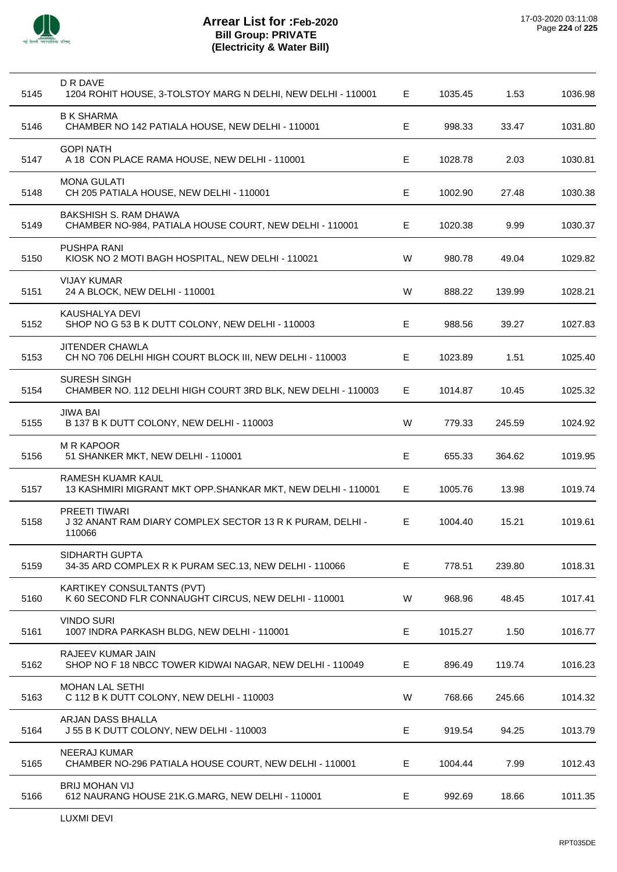

| 5145 | D R DAVE<br>1204 ROHIT HOUSE, 3-TOLSTOY MARG N DELHI, NEW DELHI - 110001                    | E           | 1035.45 | 1.53   | 1036.98 |
|------|---------------------------------------------------------------------------------------------|-------------|---------|--------|---------|
| 5146 | <b>B K SHARMA</b><br>CHAMBER NO 142 PATIALA HOUSE, NEW DELHI - 110001                       | E           | 998.33  | 33.47  | 1031.80 |
| 5147 | <b>GOPI NATH</b><br>A 18 CON PLACE RAMA HOUSE, NEW DELHI - 110001                           | Е           | 1028.78 | 2.03   | 1030.81 |
| 5148 | <b>MONA GULATI</b><br>CH 205 PATIALA HOUSE, NEW DELHI - 110001                              | E           | 1002.90 | 27.48  | 1030.38 |
| 5149 | BAKSHISH S. RAM DHAWA<br>CHAMBER NO-984, PATIALA HOUSE COURT, NEW DELHI - 110001            | Е           | 1020.38 | 9.99   | 1030.37 |
| 5150 | PUSHPA RANI<br>KIOSK NO 2 MOTI BAGH HOSPITAL, NEW DELHI - 110021                            | W           | 980.78  | 49.04  | 1029.82 |
| 5151 | <b>VIJAY KUMAR</b><br>24 A BLOCK, NEW DELHI - 110001                                        | W           | 888.22  | 139.99 | 1028.21 |
| 5152 | KAUSHALYA DEVI<br>SHOP NO G 53 B K DUTT COLONY, NEW DELHI - 110003                          | Е           | 988.56  | 39.27  | 1027.83 |
| 5153 | JITENDER CHAWLA<br>CH NO 706 DELHI HIGH COURT BLOCK III, NEW DELHI - 110003                 | Е           | 1023.89 | 1.51   | 1025.40 |
| 5154 | SURESH SINGH<br>CHAMBER NO. 112 DELHI HIGH COURT 3RD BLK, NEW DELHI - 110003                | E           | 1014.87 | 10.45  | 1025.32 |
| 5155 | <b>JIWA BAI</b><br>B 137 B K DUTT COLONY, NEW DELHI - 110003                                | W           | 779.33  | 245.59 | 1024.92 |
| 5156 | <b>M R KAPOOR</b><br>51 SHANKER MKT, NEW DELHI - 110001                                     | E           | 655.33  | 364.62 | 1019.95 |
| 5157 | RAMESH KUAMR KAUL<br>13 KASHMIRI MIGRANT MKT OPP.SHANKAR MKT, NEW DELHI - 110001            | E           | 1005.76 | 13.98  | 1019.74 |
| 5158 | <b>PREETI TIWARI</b><br>J 32 ANANT RAM DIARY COMPLEX SECTOR 13 R K PURAM, DELHI -<br>110066 | Е           | 1004.40 | 15.21  | 1019.61 |
| 5159 | SIDHARTH GUPTA<br>34-35 ARD COMPLEX R K PURAM SEC.13, NEW DELHI - 110066                    | E           | 778.51  | 239.80 | 1018.31 |
| 5160 | KARTIKEY CONSULTANTS (PVT)<br>K 60 SECOND FLR CONNAUGHT CIRCUS, NEW DELHI - 110001          | W           | 968.96  | 48.45  | 1017.41 |
| 5161 | <b>VINDO SURI</b><br>1007 INDRA PARKASH BLDG, NEW DELHI - 110001                            | $\mathsf E$ | 1015.27 | 1.50   | 1016.77 |
| 5162 | RAJEEV KUMAR JAIN<br>SHOP NO F 18 NBCC TOWER KIDWAI NAGAR, NEW DELHI - 110049               | Ε           | 896.49  | 119.74 | 1016.23 |
| 5163 | <b>MOHAN LAL SETHI</b><br>C 112 B K DUTT COLONY, NEW DELHI - 110003                         | W           | 768.66  | 245.66 | 1014.32 |
| 5164 | ARJAN DASS BHALLA<br>J 55 B K DUTT COLONY, NEW DELHI - 110003                               | E           | 919.54  | 94.25  | 1013.79 |
| 5165 | <b>NEERAJ KUMAR</b><br>CHAMBER NO-296 PATIALA HOUSE COURT, NEW DELHI - 110001               | Е           | 1004.44 | 7.99   | 1012.43 |
| 5166 | <b>BRIJ MOHAN VIJ</b><br>612 NAURANG HOUSE 21K.G.MARG, NEW DELHI - 110001                   | Е           | 992.69  | 18.66  | 1011.35 |
|      |                                                                                             |             |         |        |         |